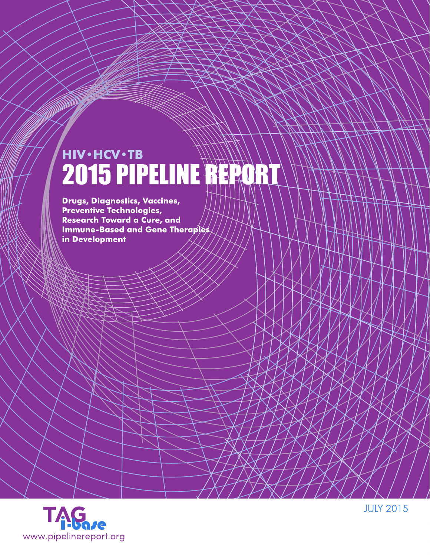# **HIV·HCV·TB** 2015 PIPELINE PORT

**Drugs, Diagnostics, Vaccines, Preventive Technologies, Research Toward a Cure, and Immune-Based and Gene Therapies** in Development



**JULY 2015**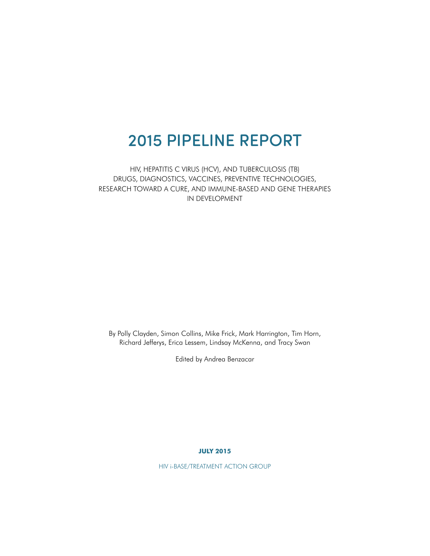HIV, HEPATITIS C VIRUS (HCV), AND TUBERCULOSIS (TB) DRUGS, DIAGNOSTICS, VACCINES, PREVENTIVE TECHNOLOGIES, RESEARCH TOWARD A CURE, AND IMMUNE-BASED AND GENE THERAPIES IN DEVELOPMENT

By Polly Clayden, Simon Collins, Mike Frick, Mark Harrington, Tim Horn, Richard Jefferys, Erica Lessem, Lindsay McKenna, and Tracy Swan

Edited by Andrea Benzacar

**JULY 2015**

HIV i-BASE/TREATMENT ACTION GROUP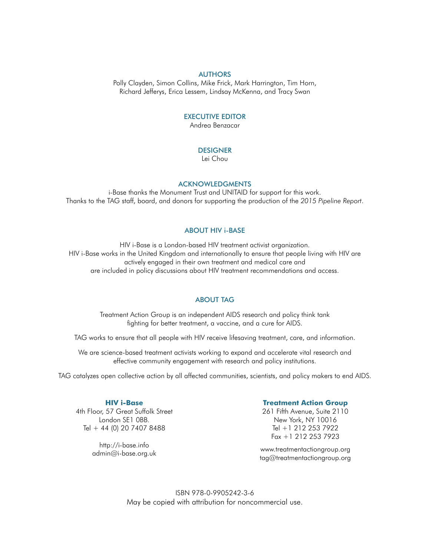#### AUTHORS

Polly Clayden, Simon Collins, Mike Frick, Mark Harrington, Tim Horn, Richard Jefferys, Erica Lessem, Lindsay McKenna, and Tracy Swan

#### EXECUTIVE EDITOR

Andrea Benzacar

#### DESIGNER

Lei Chou

#### ACKNOWLEDGMENTS

i-Base thanks the Monument Trust and UNITAID for support for this work. Thanks to the TAG staff, board, and donors for supporting the production of the *2015 Pipeline Report*.

#### ABOUT HIV i-BASE

HIV i-Base is a London-based HIV treatment activist organization. HIV i-Base works in the United Kingdom and internationally to ensure that people living with HIV are actively engaged in their own treatment and medical care and are included in policy discussions about HIV treatment recommendations and access.

#### ABOUT TAG

Treatment Action Group is an independent AIDS research and policy think tank fighting for better treatment, a vaccine, and a cure for AIDS.

TAG works to ensure that all people with HIV receive lifesaving treatment, care, and information.

We are science-based treatment activists working to expand and accelerate vital research and effective community engagement with research and policy institutions.

TAG catalyzes open collective action by all affected communities, scientists, and policy makers to end AIDS.

#### **HIV i-Base**

4th Floor, 57 Great Suffolk Street London SE1 0BB. Tel + 44 (0) 20 7407 8488

> http://i-base.info admin@i-base.org.uk

#### **Treatment Action Group**

261 Fifth Avenue, Suite 2110 New York, NY 10016 Tel +1 212 253 7922 Fax +1 212 253 7923

www.treatmentactiongroup.org tag@treatmentactiongroup.org

ISBN 978-0-9905242-3-6 May be copied with attribution for noncommercial use.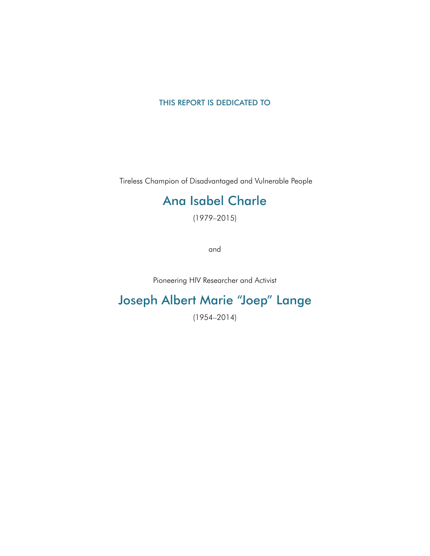#### THIS REPORT IS DEDICATED TO

Tireless Champion of Disadvantaged and Vulnerable People

## Ana Isabel Charle

(1979–2015)

and

Pioneering HIV Researcher and Activist

## Joseph Albert Marie "Joep" Lange

(1954–2014)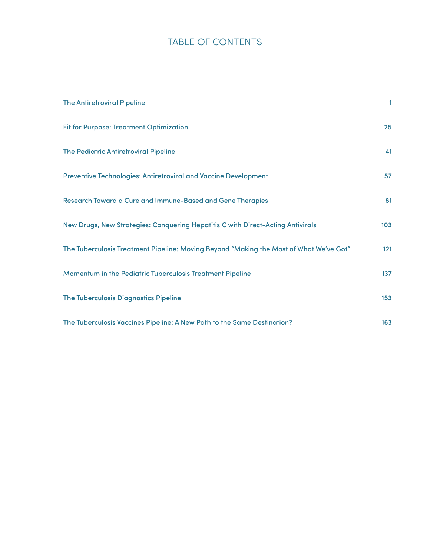## TABLE OF CONTENTS

| <b>The Antiretroviral Pipeline</b>                                                     | $\mathbf{1}$ |
|----------------------------------------------------------------------------------------|--------------|
| <b>Fit for Purpose: Treatment Optimization</b>                                         | 25           |
| <b>The Pediatric Antiretroviral Pipeline</b>                                           | 41           |
| Preventive Technologies: Antiretroviral and Vaccine Development                        | 57           |
| Research Toward a Cure and Immune-Based and Gene Therapies                             | 81           |
| New Drugs, New Strategies: Conquering Hepatitis C with Direct-Acting Antivirals        | 103          |
| The Tuberculosis Treatment Pipeline: Moving Beyond "Making the Most of What We've Got" | 121          |
| Momentum in the Pediatric Tuberculosis Treatment Pipeline                              | 137          |
| <b>The Tuberculosis Diagnostics Pipeline</b>                                           | 153          |
| The Tuberculosis Vaccines Pipeline: A New Path to the Same Destination?                | 163          |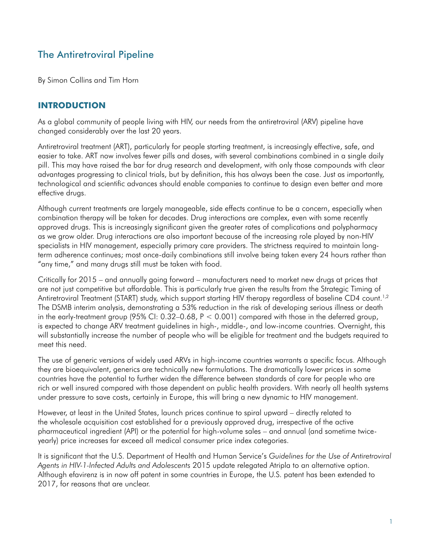## The Antiretroviral Pipeline

By Simon Collins and Tim Horn

## **INTRODUCTION**

As a global community of people living with HIV, our needs from the antiretroviral (ARV) pipeline have changed considerably over the last 20 years.

Antiretroviral treatment (ART), particularly for people starting treatment, is increasingly effective, safe, and easier to take. ART now involves fewer pills and doses, with several combinations combined in a single daily pill. This may have raised the bar for drug research and development, with only those compounds with clear advantages progressing to clinical trials, but by definition, this has always been the case. Just as importantly, technological and scientific advances should enable companies to continue to design even better and more effective drugs.

Although current treatments are largely manageable, side effects continue to be a concern, especially when combination therapy will be taken for decades. Drug interactions are complex, even with some recently approved drugs. This is increasingly significant given the greater rates of complications and polypharmacy as we grow older. Drug interactions are also important because of the increasing role played by non-HIV specialists in HIV management, especially primary care providers. The strictness required to maintain longterm adherence continues; most once-daily combinations still involve being taken every 24 hours rather than "any time," and many drugs still must be taken with food.

Critically for 2015 – and annually going forward – manufacturers need to market new drugs at prices that are not just competitive but affordable. This is particularly true given the results from the Strategic Timing of Antiretroviral Treatment (START) study, which support starting HIV therapy regardless of baseline CD4 count.<sup>1,2</sup> The DSMB interim analysis, demonstrating a 53% reduction in the risk of developing serious illness or death in the early-treatment group (95% CI:  $0.32-0.68$ , P  $\lt 0.001$ ) compared with those in the deferred group, is expected to change ARV treatment guidelines in high-, middle-, and low-income countries. Overnight, this will substantially increase the number of people who will be eligible for treatment and the budgets required to meet this need.

The use of generic versions of widely used ARVs in high-income countries warrants a specific focus. Although they are bioequivalent, generics are technically new formulations. The dramatically lower prices in some countries have the potential to further widen the difference between standards of care for people who are rich or well insured compared with those dependent on public health providers. With nearly all health systems under pressure to save costs, certainly in Europe, this will bring a new dynamic to HIV management.

However, at least in the United States, launch prices continue to spiral upward – directly related to the wholesale acquisition cost established for a previously approved drug, irrespective of the active pharmaceutical ingredient (API) or the potential for high-volume sales – and annual (and sometime twiceyearly) price increases far exceed all medical consumer price index categories.

It is significant that the U.S. Department of Health and Human Service's *Guidelines for the Use of Antiretroviral Agents in HIV-1-Infected Adults and Adolescents* 2015 update relegated Atripla to an alternative option. Although efavirenz is in now off patent in some countries in Europe, the U.S. patent has been extended to 2017, for reasons that are unclear.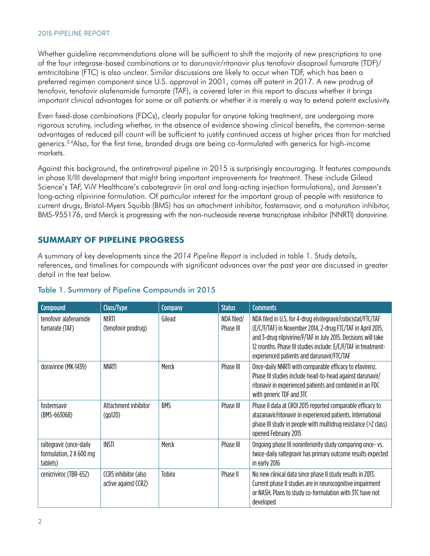Whether guideline recommendations alone will be sufficient to shift the majority of new prescriptions to one of the four integrase-based combinations or to darunavir/ritonavir plus tenofovir disoproxil fumarate (TDF)/ emtricitabine (FTC) is also unclear. Similar discussions are likely to occur when TDF, which has been a preferred regimen component since U.S. approval in 2001, comes off patent in 2017. A new prodrug of tenofovir, tenofovir alafenamide fumarate (TAF), is covered later in this report to discuss whether it brings important clinical advantages for some or all patients or whether it is merely a way to extend patent exclusivity.

Even fixed-dose combinations (FDCs), clearly popular for anyone taking treatment, are undergoing more rigorous scrutiny, including whether, in the absence of evidence showing clinical benefits, the common-sense advantages of reduced pill count will be sufficient to justify continued access at higher prices than for matched generics.3,4Also, for the first time, branded drugs are being co-formulated with generics for high-income markets.

Against this background, the antiretroviral pipeline in 2015 is surprisingly encouraging. It features compounds in phase II/III development that might bring important improvements for treatment. These include Gilead Science's TAF, ViiV Healthcare's cabotegravir (in oral and long-acting injection formulations), and Janssen's long-acting rilpivirine formulation. Of particular interest for the important group of people with resistance to current drugs, Bristol-Myers Squibb (BMS) has an attachment inhibitor, fostemsavir, and a maturation inhibitor, BMS-955176, and Merck is progressing with the non-nucleoside reverse transcriptase inhibitor (NNRTI) doravirine.

## **SUMMARY OF PIPELINE PROGRESS**

A summary of key developments since the *2014 Pipeline Report* is included in table 1. Study details, references, and timelines for compounds with significant advances over the past year are discussed in greater detail in the text below.

| Compound                                                       | Class/Type                                   | Company       | <b>Status</b>           | <b>Comments</b>                                                                                                                                                                                                                                                                                              |  |
|----------------------------------------------------------------|----------------------------------------------|---------------|-------------------------|--------------------------------------------------------------------------------------------------------------------------------------------------------------------------------------------------------------------------------------------------------------------------------------------------------------|--|
| tenofovir alafenamide<br>fumarate (TAF)                        | <b>NtRTI</b><br>(tenofovir prodrug)          | Gilead        | NDA filed/<br>Phase III | NDA filed in U.S. for 4-drug elvitegravir/cobicistat/FTC/TAF<br>(E/C/F/TAF) in November 2014, 2-drug FTC/TAF in April 2015,<br>and 3-drug rilpivirine/F/TAF in July 2015. Decisions will take<br>12 months. Phase III studies include: E/C/F/TAF in treatment-<br>experienced patients and darunavir/FTC/TAF |  |
| doravirine (MK-1439)                                           | <b>NNRTI</b>                                 | Merck         | Phase III               | Once-daily NNRTI with comparable efficacy to efavirenz.<br>Phase III studies include head-to-head against darunavir/<br>ritonavir in experienced patients and combined in an FDC<br>with generic TDF and 3TC                                                                                                 |  |
| fostemsavir<br>(BMS-663068)                                    | Attachment inhibitor<br>(gp120)              | <b>BMS</b>    | Phase III               | Phase II data at CROI 2015 reported comparable efficacy to<br>atazanavir/ritonavir in experienced patients. International<br>phase III study in people with multidrug resistance (>2 class)<br>opened February 2015                                                                                          |  |
| raltegravir (once-daily<br>formulation, 2 X 600 mg<br>tablets) | <b>INSTI</b>                                 | Merck         | Phase III               | Ongoing phase III noninferiority study comparing once-vs.<br>twice-daily raltegravir has primary outcome results expected<br>in early 2016                                                                                                                                                                   |  |
| cenicriviroc (TBR-652)                                         | CCR5 inhibitor (also<br>active against CCR2) | <b>Tobira</b> | Phase II                | No new clinical data since phase II study results in 2013.<br>Current phase II studies are in neurocognitive impairment<br>or NASH. Plans to study co-formulation with 3TC have not<br>developed                                                                                                             |  |

## Table 1. Summary of Pipeline Compounds in 2015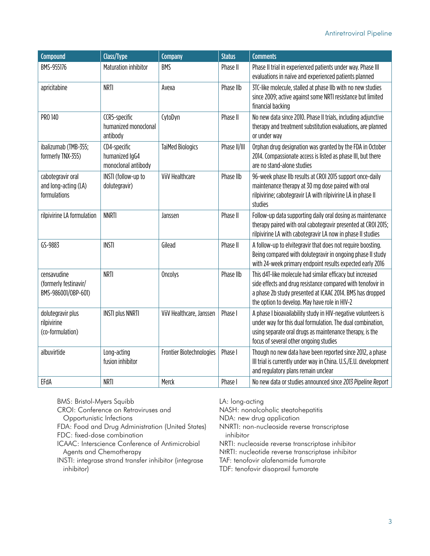#### Antiretroviral Pipeline

| <b>Compound</b>                                             | Class/Type                                            | <b>Company</b>           | <b>Status</b> | <b>Comments</b>                                                                                                                                                                                                                        |
|-------------------------------------------------------------|-------------------------------------------------------|--------------------------|---------------|----------------------------------------------------------------------------------------------------------------------------------------------------------------------------------------------------------------------------------------|
| BMS-955176                                                  | <b>Maturation inhibitor</b>                           | <b>BMS</b>               | Phase II      | Phase II trial in experienced patients under way. Phase III<br>evaluations in naïve and experienced patients planned                                                                                                                   |
| apricitabine                                                | <b>NRTI</b>                                           | Avexa                    | Phase IIb     | 3TC-like molecule, stalled at phase IIb with no new studies<br>since 2009; active against some NRTI resistance but limited<br>financial backing                                                                                        |
| PRO 140                                                     | CCR5-specific<br>humanized monoclonal<br>antibody     | CytoDyn                  | Phase II      | No new data since 2010. Phase II trials, including adjunctive<br>therapy and treatment substitution evaluations, are planned<br>or under way                                                                                           |
| ibalizumab (TMB-355;<br>formerly TNX-355)                   | CD4-specific<br>humanized IgG4<br>monoclonal antibody | <b>TaiMed Biologics</b>  | Phase II/III  | Orphan drug designation was granted by the FDA in October<br>2014. Compassionate access is listed as phase III, but there<br>are no stand-alone studies                                                                                |
| cabotegravir oral<br>and long-acting (LA)<br>formulations   | INSTI (follow-up to<br>dolutegravir)                  | <b>ViiV Healthcare</b>   | Phase IIb     | 96-week phase IIb results at CROI 2015 support once-daily<br>maintenance therapy at 30 mg dose paired with oral<br>rilpivirine; cabotegravir LA with rilpivirine LA in phase II<br>studies                                             |
| rilpivirine LA formulation                                  | <b>NNRTI</b>                                          | Janssen                  | Phase II      | Follow-up data supporting daily oral dosing as maintenance<br>therapy paired with oral cabotegravir presented at CROI 2015;<br>rilpivirine LA with cabotegravir LA now in phase II studies                                             |
| GS-9883                                                     | <b>INSTI</b>                                          | Gilead                   | Phase II      | A follow-up to elvitegravir that does not require boosting.<br>Being compared with dolutegravir in ongoing phase II study<br>with 24-week primary endpoint results expected early 2016                                                 |
| censavudine<br>(formerly festinavir/<br>BMS-986001/0BP-601) | <b>NRTI</b>                                           | Oncolys                  | Phase IIb     | This d4T-like molecule had similar efficacy but increased<br>side effects and drug resistance compared with tenofovir in<br>a phase 2b study presented at ICAAC 2014. BMS has dropped<br>the option to develop. May have role in HIV-2 |
| dolutegravir plus<br>rilpivirine<br>(co-formulation)        | <b>INSTI plus NNRTI</b>                               | ViiV Healthcare, Janssen | Phase I       | A phase I bioavailability study in HIV-negative volunteers is<br>under way for this dual formulation. The dual combination,<br>using separate oral drugs as maintenance therapy, is the<br>focus of several other ongoing studies      |
| albuvirtide                                                 | Long-acting<br>fusion inhibitor                       | Frontier Biotechnologies | Phase I       | Though no new data have been reported since 2012, a phase<br>III trial is currently under way in China. U.S./E.U. development<br>and regulatory plans remain unclear                                                                   |
| EFdA                                                        | <b>NRTI</b>                                           | Merck                    | Phase I       | No new data or studies announced since 2013 Pipeline Report                                                                                                                                                                            |

BMS: Bristol-Myers Squibb

CROI: Conference on Retroviruses and

Opportunistic Infections

FDA: Food and Drug Administration (United States)

FDC: fixed-dose combination

ICAAC: Interscience Conference of Antimicrobial Agents and Chemotherapy

INSTI: integrase strand transfer inhibitor (integrase inhibitor)

LA: long-acting

NASH: nonalcoholic steatohepatitis

NDA: new drug application

NNRTI: non-nucleoside reverse transcriptase

inhibitor

NRTI: nucleoside reverse transcriptase inhibitor NtRTI: nucleotide reverse transcriptase inhibitor

TAF: tenofovir alafenamide fumarate

TDF: tenofovir disoproxil fumarate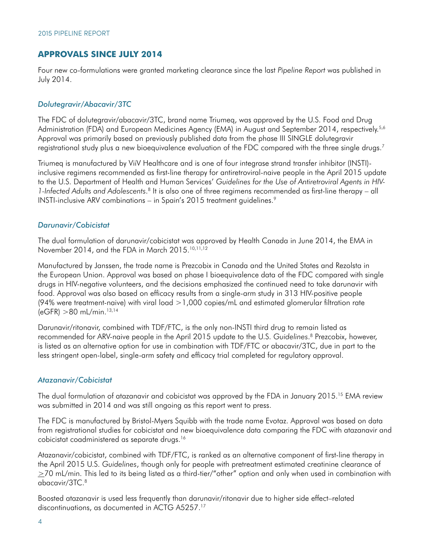## **APPROVALS SINCE JULY 2014**

Four new co-formulations were granted marketing clearance since the last *Pipeline Report* was published in July 2014.

#### *Dolutegravir/Abacavir/3TC*

The FDC of dolutegravir/abacavir/3TC, brand name Triumeq, was approved by the U.S. Food and Drug Administration (FDA) and European Medicines Agency (EMA) in August and September 2014, respectively.5,6 Approval was primarily based on previously published data from the phase III SINGLE dolutegravir registrational study plus a new bioequivalence evaluation of the FDC compared with the three single drugs.<sup>7</sup>

Triumeq is manufactured by ViiV Healthcare and is one of four integrase strand transfer inhibitor (INSTI) inclusive regimens recommended as first-line therapy for antiretroviral-naive people in the April 2015 update to the U.S. Department of Health and Human Services' *Guidelines for the Use of Antiretroviral Agents in HIV-1-Infected Adults and Adolescents*. 8 It is also one of three regimens recommended as first-line therapy – all INSTI-inclusive ARV combinations - in Spain's 2015 treatment guidelines.<sup>9</sup>

#### *Darunavir/Cobicistat*

The dual formulation of darunavir/cobicistat was approved by Health Canada in June 2014, the EMA in November 2014, and the FDA in March 2015.<sup>10,11,12</sup>

Manufactured by Janssen, the trade name is Prezcobix in Canada and the United States and Rezolsta in the European Union. Approval was based on phase I bioequivalence data of the FDC compared with single drugs in HIV-negative volunteers, and the decisions emphasized the continued need to take darunavir with food. Approval was also based on efficacy results from a single-arm study in 313 HIV-positive people (94% were treatment-naive) with viral load  $>1,000$  copies/mL and estimated glomerular filtration rate  $(eGFR) > 80$  mL/min.<sup>13,14</sup>

Darunavir/ritonavir, combined with TDF/FTC, is the only non-INSTI third drug to remain listed as recommended for ARV-naive people in the April 2015 update to the U.S. *Guidelines*. 8 Prezcobix, however, is listed as an alternative option for use in combination with TDF/FTC or abacavir/3TC, due in part to the less stringent open-label, single-arm safety and efficacy trial completed for regulatory approval.

#### *Atazanavir/Cobicistat*

The dual formulation of atazanavir and cobicistat was approved by the FDA in January 2015.15 EMA review was submitted in 2014 and was still ongoing as this report went to press.

The FDC is manufactured by Bristol-Myers Squibb with the trade name Evotaz. Approval was based on data from registrational studies for cobicistat and new bioequivalence data comparing the FDC with atazanavir and cobicistat coadministered as separate drugs.16

Atazanavir/cobicistat, combined with TDF/FTC, is ranked as an alternative component of first-line therapy in the April 2015 U.S. *Guidelines*, though only for people with pretreatment estimated creatinine clearance of  $\geq$ 70 mL/min. This led to its being listed as a third-tier/"other" option and only when used in combination with abacavir/3TC.8

Boosted atazanavir is used less frequently than darunavir/ritonavir due to higher side effect–related discontinuations, as documented in ACTG A5257.17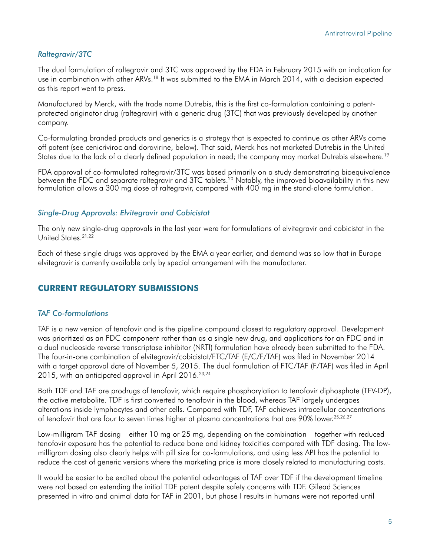### *Raltegravir/3TC*

The dual formulation of raltegravir and 3TC was approved by the FDA in February 2015 with an indication for use in combination with other ARVs.<sup>18</sup> It was submitted to the EMA in March 2014, with a decision expected as this report went to press.

Manufactured by Merck, with the trade name Dutrebis, this is the first co-formulation containing a patentprotected originator drug (raltegravir) with a generic drug (3TC) that was previously developed by another company.

Co-formulating branded products and generics is a strategy that is expected to continue as other ARVs come off patent (see cenicriviroc and doravirine, below). That said, Merck has not marketed Dutrebis in the United States due to the lack of a clearly defined population in need; the company may market Dutrebis elsewhere.<sup>19</sup>

FDA approval of co-formulated raltegravir/3TC was based primarily on a study demonstrating bioequivalence between the FDC and separate raltegravir and 3TC tablets.20 Notably, the improved bioavailability in this new formulation allows a 300 mg dose of raltegravir, compared with 400 mg in the stand-alone formulation.

#### *Single-Drug Approvals: Elvitegravir and Cobicistat*

The only new single-drug approvals in the last year were for formulations of elvitegravir and cobicistat in the United States.21,22

Each of these single drugs was approved by the EMA a year earlier, and demand was so low that in Europe elvitegravir is currently available only by special arrangement with the manufacturer.

## **CURRENT REGULATORY SUBMISSIONS**

#### *TAF Co-formulations*

TAF is a new version of tenofovir and is the pipeline compound closest to regulatory approval. Development was prioritized as an FDC component rather than as a single new drug, and applications for an FDC and in a dual nucleoside reverse transcriptase inhibitor (NRTI) formulation have already been submitted to the FDA. The four-in-one combination of elvitegravir/cobicistat/FTC/TAF (E/C/F/TAF) was filed in November 2014 with a target approval date of November 5, 2015. The dual formulation of FTC/TAF (F/TAF) was filed in April 2015, with an anticipated approval in April 2016.<sup>23,24</sup>

Both TDF and TAF are prodrugs of tenofovir, which require phosphorylation to tenofovir diphosphate (TFV-DP), the active metabolite. TDF is first converted to tenofovir in the blood, whereas TAF largely undergoes alterations inside lymphocytes and other cells. Compared with TDF, TAF achieves intracellular concentrations of tenofovir that are four to seven times higher at plasma concentrations that are 90% lower.25,26,27

Low-milligram TAF dosing – either 10 mg or 25 mg, depending on the combination – together with reduced tenofovir exposure has the potential to reduce bone and kidney toxicities compared with TDF dosing. The lowmilligram dosing also clearly helps with pill size for co-formulations, and using less API has the potential to reduce the cost of generic versions where the marketing price is more closely related to manufacturing costs.

It would be easier to be excited about the potential advantages of TAF over TDF if the development timeline were not based on extending the initial TDF patent despite safety concerns with TDF. Gilead Sciences presented in vitro and animal data for TAF in 2001, but phase I results in humans were not reported until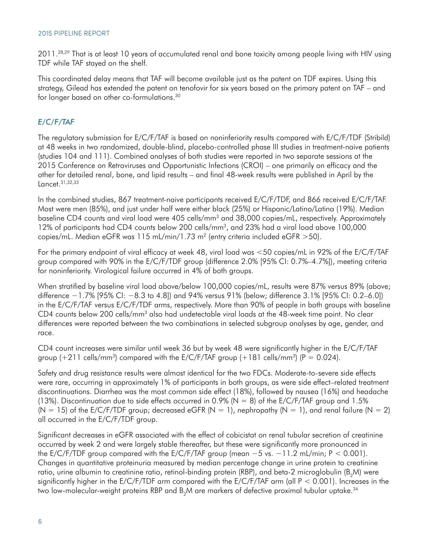2011.28,29 That is at least 10 years of accumulated renal and bone toxicity among people living with HIV using TDF while TAF stayed on the shelf.

This coordinated delay means that TAF will become available just as the patent on TDF expires. Using this strategy, Gilead has extended the patent on tenofovir for six years based on the primary patent on TAF – and for longer based on other co-formulations.30

### *E/C/F/TAF*

The regulatory submission for E/C/F/TAF is based on noninferiority results compared with E/C/F/TDF (Stribild) at 48 weeks in two randomized, double-blind, placebo-controlled phase III studies in treatment-naive patients (studies 104 and 111). Combined analyses of both studies were reported in two separate sessions at the 2015 Conference on Retroviruses and Opportunistic Infections (CROI) – one primarily on efficacy and the other for detailed renal, bone, and lipid results – and final 48-week results were published in April by the Lancet.31,32,33

In the combined studies, 867 treatment-naive participants received E/C/F/TDF, and 866 received E/C/F/TAF. Most were men (85%), and just under half were either black (25%) or Hispanic/Latino/Latina (19%). Median baseline CD4 counts and viral load were 405 cells/mm<sup>3</sup> and 38,000 copies/mL, respectively. Approximately 12% of participants had CD4 counts below 200 cells/mm<sup>3</sup>, and 23% had a viral load above 100,000 copies/mL. Median eGFR was 115 mL/min/1.73 m<sup>2</sup> (entry criteria included eGFR  $>50$ ).

For the primary endpoint of viral efficacy at week 48, viral load was <50 copies/mL in 92% of the E/C/F/TAF group compared with 90% in the E/C/F/TDF group (difference 2.0% [95% CI: 0.7%–4.7%]), meeting criteria for noninferiority. Virological failure occurred in 4% of both groups.

When stratified by baseline viral load above/below 100,000 copies/mL, results were 87% versus 89% (above; difference −1.7% [95% CI: −8.3 to 4.8]) and 94% versus 91% (below; difference 3.1% [95% CI: 0.2–6.0]) in the E/C/F/TAF versus E/C/F/TDF arms, respectively. More than 90% of people in both groups with baseline CD4 counts below 200 cells/mm3 also had undetectable viral loads at the 48-week time point. No clear differences were reported between the two combinations in selected subgroup analyses by age, gender, and race.

CD4 count increases were similar until week 36 but by week 48 were significantly higher in the E/C/F/TAF group  $(+211 \text{ cells/mm}^3)$  compared with the  $E/C/F/TAF$  group  $(+181 \text{ cells/mm}^3)$  (P = 0.024).

Safety and drug resistance results were almost identical for the two FDCs. Moderate-to-severe side effects were rare, occurring in approximately 1% of participants in both groups, as were side effect–related treatment discontinuations. Diarrhea was the most common side effect (18%), followed by nausea (16%) and headache (13%). Discontinuation due to side effects occurred in 0.9% ( $N = 8$ ) of the E/C/F/TAF group and 1.5% (N = 15) of the E/C/F/TDF group; decreased eGFR (N = 1), nephropathy (N = 1), and renal failure (N = 2) all occurred in the E/C/F/TDF group.

Significant decreases in eGFR associated with the effect of cobicistat on renal tubular secretion of creatinine occurred by week 2 and were largely stable thereafter, but these were significantly more pronounced in the E/C/F/TDF group compared with the E/C/F/TAF group (mean  $-5$  vs.  $-11.2$  mL/min; P < 0.001). Changes in quantitative proteinuria measured by median percentage change in urine protein to creatinine ratio, urine albumin to creatinine ratio, retinol-binding protein (RBP), and beta-2 microglobulin (B<sub>2</sub>M) were significantly higher in the E/C/F/TDF arm compared with the  $E/C/F/TAF$  arm (all  $P < 0.001$ ). Increases in the two low-molecular-weight proteins RBP and B<sub>2</sub>M are markers of defective proximal tubular uptake.<sup>34</sup>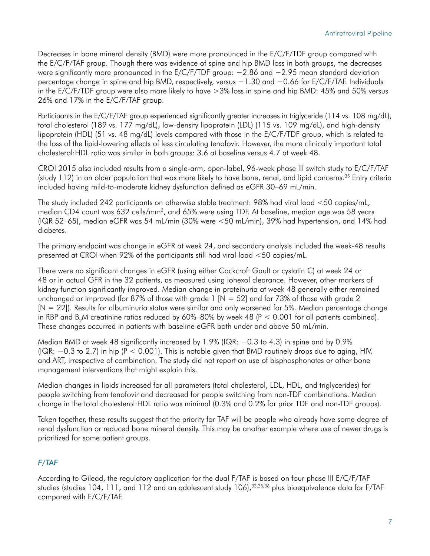Decreases in bone mineral density (BMD) were more pronounced in the E/C/F/TDF group compared with the E/C/F/TAF group. Though there was evidence of spine and hip BMD loss in both groups, the decreases were significantly more pronounced in the E/C/F/TDF group: -2.86 and -2.95 mean standard deviation percentage change in spine and hip BMD, respectively, versus -1.30 and -0.66 for E/C/F/TAF. Individuals in the E/C/F/TDF group were also more likely to have >3% loss in spine and hip BMD: 45% and 50% versus 26% and 17% in the E/C/F/TAF group.

Participants in the E/C/F/TAF group experienced significantly greater increases in triglyceride (114 vs. 108 mg/dL), total cholesterol (189 vs. 177 mg/dL), low-density lipoprotein (LDL) (115 vs. 109 mg/dL), and high-density lipoprotein (HDL) (51 vs. 48 mg/dL) levels compared with those in the E/C/F/TDF group, which is related to the loss of the lipid-lowering effects of less circulating tenofovir. However, the more clinically important total cholesterol:HDL ratio was similar in both groups: 3.6 at baseline versus 4.7 at week 48.

CROI 2015 also included results from a single-arm, open-label, 96-week phase III switch study to E/C/F/TAF (study 112) in an older population that was more likely to have bone, renal, and lipid concerns.<sup>35</sup> Entry criteria included having mild-to-moderate kidney dysfunction defined as eGFR 30–69 mL/min.

The study included 242 participants on otherwise stable treatment: 98% had viral load <50 copies/mL, median CD4 count was 632 cells/mm3, and 65% were using TDF. At baseline, median age was 58 years (IQR 52–65), median eGFR was 54 mL/min (30% were <50 mL/min), 39% had hypertension, and 14% had diabetes.

The primary endpoint was change in eGFR at week 24, and secondary analysis included the week-48 results presented at CROI when 92% of the participants still had viral load <50 copies/mL.

There were no significant changes in eGFR (using either Cockcroft Gault or cystatin C) at week 24 or 48 or in actual GFR in the 32 patients, as measured using iohexol clearance. However, other markers of kidney function significantly improved. Median change in proteinuria at week 48 generally either remained unchanged or improved (for 87% of those with grade 1  $[N = 52]$  and for 73% of those with grade 2 [N = 22]). Results for albuminuria status were similar and only worsened for 5%. Median percentage change in RBP and B<sub>a</sub>M creatinine ratios reduced by 60%–80% by week 48 ( $P < 0.001$  for all patients combined). These changes occurred in patients with baseline eGFR both under and above 50 mL/min.

Median BMD at week 48 significantly increased by 1.9% (IQR: -0.3 to 4.3) in spine and by 0.9% (IQR: −0.3 to 2.7) in hip (P < 0.001). This is notable given that BMD routinely drops due to aging, HIV, and ART, irrespective of combination. The study did not report on use of bisphosphonates or other bone management interventions that might explain this.

Median changes in lipids increased for all parameters (total cholesterol, LDL, HDL, and triglycerides) for people switching from tenofovir and decreased for people switching from non-TDF combinations. Median change in the total cholesterol:HDL ratio was minimal (0.3% and 0.2% for prior TDF and non-TDF groups).

Taken together, these results suggest that the priority for TAF will be people who already have some degree of renal dysfunction or reduced bone mineral density. This may be another example where use of newer drugs is prioritized for some patient groups.

## *F/TAF*

According to Gilead, the regulatory application for the dual F/TAF is based on four phase III E/C/F/TAF studies (studies 104, 111, and 112 and an adolescent study 106),<sup>33,35,36</sup> plus bioequivalence data for F/TAF compared with E/C/F/TAF.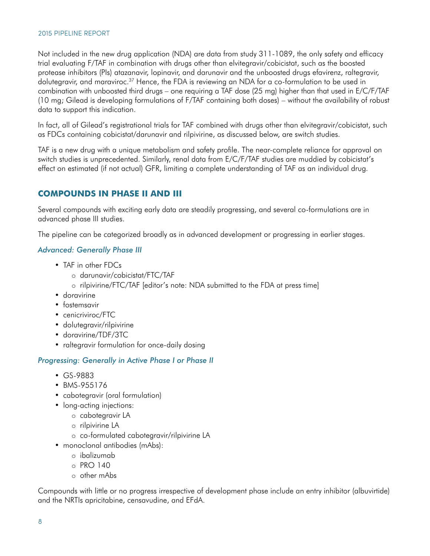Not included in the new drug application (NDA) are data from study 311-1089, the only safety and efficacy trial evaluating F/TAF in combination with drugs other than elvitegravir/cobicistat, such as the boosted protease inhibitors (PIs) atazanavir, lopinavir, and darunavir and the unboosted drugs efavirenz, raltegravir, dolutegravir, and maraviroc.<sup>37</sup> Hence, the FDA is reviewing an NDA for a co-formulation to be used in combination with unboosted third drugs – one requiring a TAF dose (25 mg) higher than that used in E/C/F/TAF (10 mg; Gilead is developing formulations of F/TAF containing both doses) – without the availability of robust data to support this indication.

In fact, all of Gilead's registrational trials for TAF combined with drugs other than elvitegravir/cobicistat, such as FDCs containing cobicistat/darunavir and rilpivirine, as discussed below, are switch studies.

TAF is a new drug with a unique metabolism and safety profile. The near-complete reliance for approval on switch studies is unprecedented. Similarly, renal data from E/C/F/TAF studies are muddied by cobicistat's effect on estimated (if not actual) GFR, limiting a complete understanding of TAF as an individual drug.

## **COMPOUNDS IN PHASE II AND III**

Several compounds with exciting early data are steadily progressing, and several co-formulations are in advanced phase III studies.

The pipeline can be categorized broadly as in advanced development or progressing in earlier stages.

#### *Advanced: Generally Phase III*

- TAF in other FDCs
	- o darunavir/cobicistat/FTC/TAF
	- o rilpivirine/FTC/TAF [editor's note: NDA submitted to the FDA at press time]
- doravirine
- fostemsavir
- cenicriviroc/FTC
- dolutegravir/rilpivirine
- doravirine/TDF/3TC
- raltegravir formulation for once-daily dosing

#### *Progressing: Generally in Active Phase I or Phase II*

- GS-9883
- BMS-955176
- cabotegravir (oral formulation)
- long-acting injections:
	- o cabotegravir LA
	- o rilpivirine LA
	- o co-formulated cabotegravir/rilpivirine LA
- monoclonal antibodies (mAbs):
	- o ibalizumab
	- o PRO 140
	- o other mAbs

Compounds with little or no progress irrespective of development phase include an entry inhibitor (albuvirtide) and the NRTIs apricitabine, censavudine, and EFdA.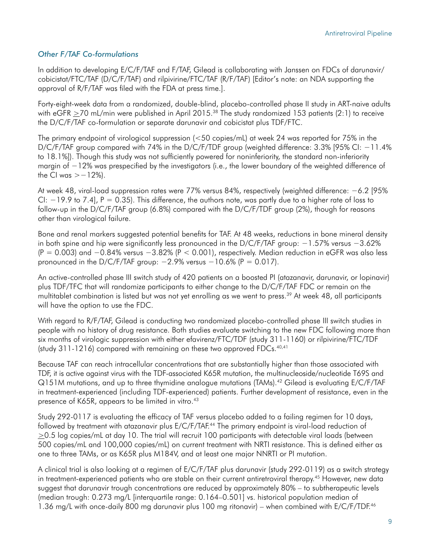## *Other F/TAF Co-formulations*

In addition to developing E/C/F/TAF and F/TAF, Gilead is collaborating with Janssen on FDCs of darunavir/ cobicistat/FTC/TAF (D/C/F/TAF) and rilpivirine/FTC/TAF (R/F/TAF) [Editor's note: an NDA supporting the approval of R/F/TAF was filed with the FDA at press time.].

Forty-eight-week data from a randomized, double-blind, placebo-controlled phase II study in ART-naive adults with eGFR >70 mL/min were published in April 2015.<sup>38</sup> The study randomized 153 patients (2:1) to receive the D/C/F/TAF co-formulation or separate darunavir and cobicistat plus TDF/FTC.

The primary endpoint of virological suppression (<50 copies/mL) at week 24 was reported for 75% in the D/C/F/TAF group compared with 74% in the D/C/F/TDF group (weighted difference: 3.3% [95% CI: −11.4% to 18.1%]). Though this study was not sufficiently powered for noninferiority, the standard non-inferiority margin of −12% was prespecified by the investigators (i.e., the lower boundary of the weighted difference of the CI was  $> -12\%$ ).

At week 48, viral-load suppression rates were 77% versus 84%, respectively (weighted difference: −6.2 [95% CI:  $-19.9$  to 7.4], P = 0.35). This difference, the authors note, was partly due to a higher rate of loss to follow-up in the D/C/F/TAF group (6.8%) compared with the D/C/F/TDF group (2%), though for reasons other than virological failure.

Bone and renal markers suggested potential benefits for TAF. At 48 weeks, reductions in bone mineral density in both spine and hip were significantly less pronounced in the D/C/F/TAF group: −1.57% versus −3.62% (P = 0.003) and −0.84% versus −3.82% (P < 0.001), respectively. Median reduction in eGFR was also less pronounced in the D/C/F/TAF group:  $-2.9\%$  versus  $-10.6\%$  (P = 0.017).

An active-controlled phase III switch study of 420 patients on a boosted PI (atazanavir, darunavir, or lopinavir) plus TDF/TFC that will randomize participants to either change to the D/C/F/TAF FDC or remain on the multitablet combination is listed but was not yet enrolling as we went to press.<sup>39</sup> At week 48, all participants will have the option to use the FDC.

With regard to R/F/TAF, Gilead is conducting two randomized placebo-controlled phase III switch studies in people with no history of drug resistance. Both studies evaluate switching to the new FDC following more than six months of virologic suppression with either efavirenz/FTC/TDF (study 311-1160) or rilpivirine/FTC/TDF (study  $311-1216$ ) compared with remaining on these two approved FDCs.<sup>40,41</sup>

Because TAF can reach intracellular concentrations that are substantially higher than those associated with TDF, it is active against virus with the TDF-associated K65R mutation, the multinucleoside/nucleotide T69S and Q151M mutations, and up to three thymidine analogue mutations (TAMs).42 Gilead is evaluating E/C/F/TAF in treatment-experienced (including TDF-experienced) patients. Further development of resistance, even in the presence of K65R, appears to be limited in vitro.<sup>43</sup>

Study 292-0117 is evaluating the efficacy of TAF versus placebo added to a failing regimen for 10 days, followed by treatment with atazanavir plus E/C/F/TAF.44 The primary endpoint is viral-load reduction of  $\geq$ 0.5 log copies/mL at day 10. The trial will recruit 100 participants with detectable viral loads (between 500 copies/mL and 100,000 copies/mL) on current treatment with NRTI resistance. This is defined either as one to three TAMs, or as K65R plus M184V, and at least one major NNRTI or PI mutation.

A clinical trial is also looking at a regimen of E/C/F/TAF plus darunavir (study 292-0119) as a switch strategy in treatment-experienced patients who are stable on their current antiretroviral therapy.45 However, new data suggest that darunavir trough concentrations are reduced by approximately 80% – to subtherapeutic levels (median trough: 0.273 mg/L [interquartile range: 0.164–0.501] vs. historical population median of 1.36 mg/L with once-daily 800 mg darunavir plus 100 mg ritonavir) – when combined with E/C/F/TDF.46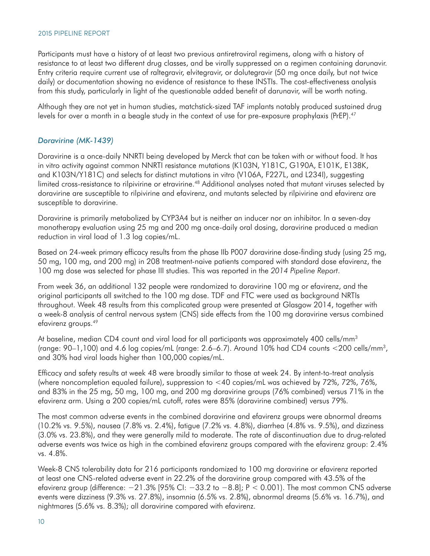Participants must have a history of at least two previous antiretroviral regimens, along with a history of resistance to at least two different drug classes, and be virally suppressed on a regimen containing darunavir. Entry criteria require current use of raltegravir, elvitegravir, or dolutegravir (50 mg once daily, but not twice daily) or documentation showing no evidence of resistance to these INSTIs. The cost-effectiveness analysis from this study, particularly in light of the questionable added benefit of darunavir, will be worth noting.

Although they are not yet in human studies, matchstick-sized TAF implants notably produced sustained drug levels for over a month in a beagle study in the context of use for pre-exposure prophylaxis (PrEP).47

### *Doravirine (MK-1439)*

Doravirine is a once-daily NNRTI being developed by Merck that can be taken with or without food. It has in vitro activity against common NNRTI resistance mutations (K103N, Y181C, G190A, E101K, E138K, and K103N/Y181C) and selects for distinct mutations in vitro (V106A, F227L, and L234I), suggesting limited cross-resistance to rilpivirine or etravirine.<sup>48</sup> Additional analyses noted that mutant viruses selected by doravirine are susceptible to rilpivirine and efavirenz, and mutants selected by rilpivirine and efavirenz are susceptible to doravirine.

Doravirine is primarily metabolized by CYP3A4 but is neither an inducer nor an inhibitor. In a seven-day monotherapy evaluation using 25 mg and 200 mg once-daily oral dosing, doravirine produced a median reduction in viral load of 1.3 log copies/mL.

Based on 24-week primary efficacy results from the phase IIb P007 doravirine dose-finding study (using 25 mg, 50 mg, 100 mg, and 200 mg) in 208 treatment-naive patients compared with standard dose efavirenz, the 100 mg dose was selected for phase III studies. This was reported in the *2014 Pipeline Report*.

From week 36, an additional 132 people were randomized to doravirine 100 mg or efavirenz, and the original participants all switched to the 100 mg dose. TDF and FTC were used as background NRTIs throughout. Week 48 results from this complicated group were presented at Glasgow 2014, together with a week-8 analysis of central nervous system (CNS) side effects from the 100 mg doravirine versus combined efavirenz groups.49

At baseline, median CD4 count and viral load for all participants was approximately 400 cells/mm<sup>3</sup> (range:  $90-1,100$ ) and  $4.6$  log copies/mL (range:  $2.6-6.7$ ). Around 10% had CD4 counts  $\leq$ 200 cells/mm<sup>3</sup>, and 30% had viral loads higher than 100,000 copies/mL.

Efficacy and safety results at week 48 were broadly similar to those at week 24. By intent-to-treat analysis (where noncompletion equaled failure), suppression to <40 copies/mL was achieved by 72%, 72%, 76%, and 83% in the 25 mg, 50 mg, 100 mg, and 200 mg doravirine groups (76% combined) versus 71% in the efavirenz arm. Using a 200 copies/mL cutoff, rates were 85% (doravirine combined) versus 79%.

The most common adverse events in the combined doravirine and efavirenz groups were abnormal dreams (10.2% vs. 9.5%), nausea (7.8% vs. 2.4%), fatigue (7.2% vs. 4.8%), diarrhea (4.8% vs. 9.5%), and dizziness (3.0% vs. 23.8%), and they were generally mild to moderate. The rate of discontinuation due to drug-related adverse events was twice as high in the combined efavirenz groups compared with the efavirenz group: 2.4% vs. 4.8%.

Week-8 CNS tolerability data for 216 participants randomized to 100 mg doravirine or efavirenz reported at least one CNS-related adverse event in 22.2% of the doravirine group compared with 43.5% of the efavirenz group (difference: −21.3% [95% CI: −33.2 to −8.8]; P < 0.001). The most common CNS adverse events were dizziness (9.3% vs. 27.8%), insomnia (6.5% vs. 2.8%), abnormal dreams (5.6% vs. 16.7%), and nightmares (5.6% vs. 8.3%); all doravirine compared with efavirenz.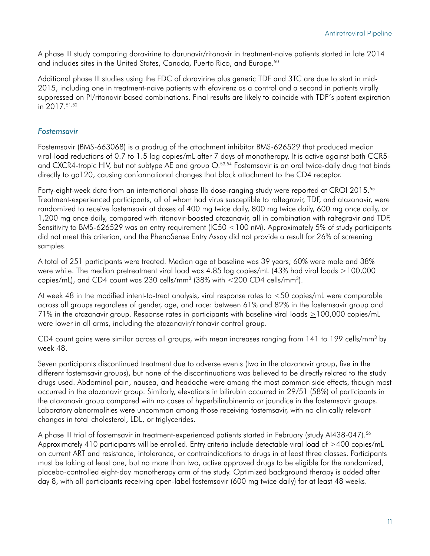A phase III study comparing doravirine to darunavir/ritonavir in treatment-naive patients started in late 2014 and includes sites in the United States, Canada, Puerto Rico, and Europe.<sup>50</sup>

Additional phase III studies using the FDC of doravirine plus generic TDF and 3TC are due to start in mid-2015, including one in treatment-naive patients with efavirenz as a control and a second in patients virally suppressed on PI/ritonavir-based combinations. Final results are likely to coincide with TDF's patent expiration in 2017.51,52

### *Fostemsavir*

Fostemsavir (BMS-663068) is a prodrug of the attachment inhibitor BMS-626529 that produced median viral-load reductions of 0.7 to 1.5 log copies/mL after 7 days of monotherapy. It is active against both CCR5 and CXCR4-tropic HIV, but not subtype AE and group O.53,54 Fostemsavir is an oral twice-daily drug that binds directly to gp120, causing conformational changes that block attachment to the CD4 receptor.

Forty-eight-week data from an international phase IIb dose-ranging study were reported at CROI 2015.55 Treatment-experienced participants, all of whom had virus susceptible to raltegravir, TDF, and atazanavir, were randomized to receive fostemsavir at doses of 400 mg twice daily, 800 mg twice daily, 600 mg once daily, or 1,200 mg once daily, compared with ritonavir-boosted atazanavir, all in combination with raltegravir and TDF. Sensitivity to BMS-626529 was an entry requirement (IC50 <100 nM). Approximately 5% of study participants did not meet this criterion, and the PhenoSense Entry Assay did not provide a result for 26% of screening samples.

A total of 251 participants were treated. Median age at baseline was 39 years; 60% were male and 38% were white. The median pretreatment viral load was 4.85 log copies/mL (43% had viral loads  $\geq$ 100,000 copies/mL), and CD4 count was 230 cells/mm<sup>3</sup> (38% with  $\leq$  200 CD4 cells/mm<sup>3</sup>).

At week 48 in the modified intent-to-treat analysis, viral response rates to <50 copies/mL were comparable across all groups regardless of gender, age, and race: between 61% and 82% in the fostemsavir group and 71% in the atazanavir group. Response rates in participants with baseline viral loads >100,000 copies/mL were lower in all arms, including the atazanavir/ritonavir control group.

CD4 count gains were similar across all groups, with mean increases ranging from  $141$  to 199 cells/mm<sup>3</sup> by week 48.

Seven participants discontinued treatment due to adverse events (two in the atazanavir group, five in the different fostemsavir groups), but none of the discontinuations was believed to be directly related to the study drugs used. Abdominal pain, nausea, and headache were among the most common side effects, though most occurred in the atazanavir group. Similarly, elevations in bilirubin occurred in 29/51 (58%) of participants in the atazanavir group compared with no cases of hyperbilirubinemia or jaundice in the fostemsavir groups. Laboratory abnormalities were uncommon among those receiving fostemsavir, with no clinically relevant changes in total cholesterol, LDL, or triglycerides.

A phase III trial of fostemsavir in treatment-experienced patients started in February (study AI438-047).56 Approximately 410 participants will be enrolled. Entry criteria include detectable viral load of >400 copies/mL on current ART and resistance, intolerance, or contraindications to drugs in at least three classes. Participants must be taking at least one, but no more than two, active approved drugs to be eligible for the randomized, placebo-controlled eight-day monotherapy arm of the study. Optimized background therapy is added after day 8, with all participants receiving open-label fostemsavir (600 mg twice daily) for at least 48 weeks.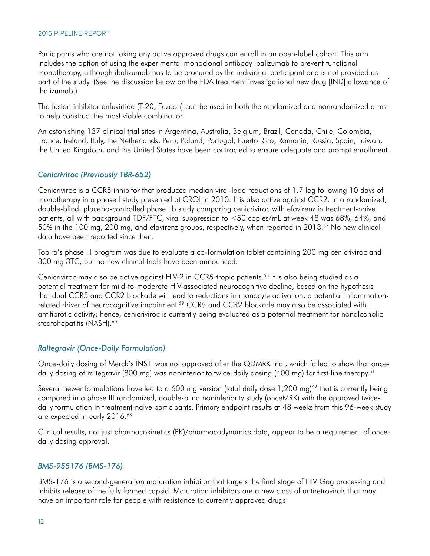Participants who are not taking any active approved drugs can enroll in an open-label cohort. This arm includes the option of using the experimental monoclonal antibody ibalizumab to prevent functional monotherapy, although ibalizumab has to be procured by the individual participant and is not provided as part of the study. (See the discussion below on the FDA treatment investigational new drug [IND] allowance of ibalizumab.)

The fusion inhibitor enfuvirtide (T-20, Fuzeon) can be used in both the randomized and nonrandomized arms to help construct the most viable combination.

An astonishing 137 clinical trial sites in Argentina, Australia, Belgium, Brazil, Canada, Chile, Colombia, France, Ireland, Italy, the Netherlands, Peru, Poland, Portugal, Puerto Rico, Romania, Russia, Spain, Taiwan, the United Kingdom, and the United States have been contracted to ensure adequate and prompt enrollment.

### *Cenicriviroc (Previously TBR-652)*

Cenicriviroc is a CCR5 inhibitor that produced median viral-load reductions of 1.7 log following 10 days of monotherapy in a phase I study presented at CROI in 2010. It is also active against CCR2. In a randomized, double-blind, placebo-controlled phase IIb study comparing cenicriviroc with efavirenz in treatment-naive patients, all with background TDF/FTC, viral suppression to <50 copies/mL at week 48 was 68%, 64%, and 50% in the 100 mg, 200 mg, and efavirenz groups, respectively, when reported in 2013.57 No new clinical data have been reported since then.

Tobira's phase III program was due to evaluate a co-formulation tablet containing 200 mg cenicriviroc and 300 mg 3TC, but no new clinical trials have been announced.

Cenicriviroc may also be active against HIV-2 in CCR5-tropic patients.58 It is also being studied as a potential treatment for mild-to-moderate HIV-associated neurocognitive decline, based on the hypothesis that dual CCR5 and CCR2 blockade will lead to reductions in monocyte activation, a potential inflammationrelated driver of neurocognitive impairment.<sup>59</sup> CCR5 and CCR2 blockade may also be associated with antifibrotic activity; hence, cenicriviroc is currently being evaluated as a potential treatment for nonalcoholic steatohepatitis (NASH).<sup>60</sup>

## *Raltegravir (Once-Daily Formulation)*

Once-daily dosing of Merck's INSTI was not approved after the QDMRK trial, which failed to show that oncedaily dosing of raltegravir (800 mg) was noninferior to twice-daily dosing (400 mg) for first-line therapy.<sup>61</sup>

Several newer formulations have led to a 600 mg version (total daily dose 1,200 mg)<sup>62</sup> that is currently being compared in a phase III randomized, double-blind noninferiority study (onceMRK) with the approved twicedaily formulation in treatment-naive participants. Primary endpoint results at 48 weeks from this 96-week study are expected in early 2016.<sup>63</sup>

Clinical results, not just pharmacokinetics (PK)/pharmacodynamics data, appear to be a requirement of oncedaily dosing approval.

#### *BMS-955176 (BMS-176)*

BMS-176 is a second-generation maturation inhibitor that targets the final stage of HIV Gag processing and inhibits release of the fully formed capsid. Maturation inhibitors are a new class of antiretrovirals that may have an important role for people with resistance to currently approved drugs.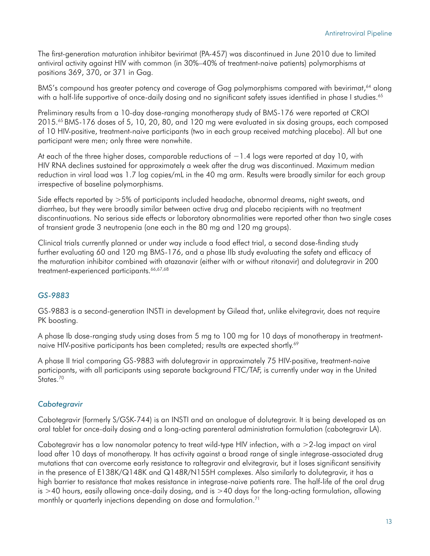The first-generation maturation inhibitor bevirimat (PA-457) was discontinued in June 2010 due to limited antiviral activity against HIV with common (in 30%–40% of treatment-naive patients) polymorphisms at positions 369, 370, or 371 in Gag.

BMS's compound has greater potency and coverage of Gag polymorphisms compared with bevirimat,<sup>64</sup> along with a half-life supportive of once-daily dosing and no significant safety issues identified in phase I studies.<sup>65</sup>

Preliminary results from a 10-day dose-ranging monotherapy study of BMS-176 were reported at CROI 2015.65 BMS-176 doses of 5, 10, 20, 80, and 120 mg were evaluated in six dosing groups, each composed of 10 HIV-positive, treatment-naive participants (two in each group received matching placebo). All but one participant were men; only three were nonwhite.

At each of the three higher doses, comparable reductions of  $-1.4$  logs were reported at day 10, with HIV RNA declines sustained for approximately a week after the drug was discontinued. Maximum median reduction in viral load was 1.7 log copies/mL in the 40 mg arm. Results were broadly similar for each group irrespective of baseline polymorphisms.

Side effects reported by >5% of participants included headache, abnormal dreams, night sweats, and diarrhea, but they were broadly similar between active drug and placebo recipients with no treatment discontinuations. No serious side effects or laboratory abnormalities were reported other than two single cases of transient grade 3 neutropenia (one each in the 80 mg and 120 mg groups).

Clinical trials currently planned or under way include a food effect trial, a second dose-finding study further evaluating 60 and 120 mg BMS-176, and a phase IIb study evaluating the safety and efficacy of the maturation inhibitor combined with atazanavir (either with or without ritonavir) and dolutegravir in 200 treatment-experienced participants. 66,67,68

#### *GS-9883*

GS-9883 is a second-generation INSTI in development by Gilead that, unlike elvitegravir, does not require PK boosting.

A phase Ib dose-ranging study using doses from 5 mg to 100 mg for 10 days of monotherapy in treatmentnaive HIV-positive participants has been completed; results are expected shortly.<sup>69</sup>

A phase II trial comparing GS-9883 with dolutegravir in approximately 75 HIV-positive, treatment-naive participants, with all participants using separate background FTC/TAF, is currently under way in the United States.<sup>70</sup>

#### *Cabotegravir*

Cabotegravir (formerly S/GSK-744) is an INSTI and an analogue of dolutegravir. It is being developed as an oral tablet for once-daily dosing and a long-acting parenteral administration formulation (cabotegravir LA).

Cabotegravir has a low nanomolar potency to treat wild-type HIV infection, with  $a > 2$ -log impact on viral load after 10 days of monotherapy. It has activity against a broad range of single integrase-associated drug mutations that can overcome early resistance to raltegravir and elvitegravir, but it loses significant sensitivity in the presence of E138K/Q148K and Q148R/N155H complexes. Also similarly to dolutegravir, it has a high barrier to resistance that makes resistance in integrase-naive patients rare. The half-life of the oral drug is >40 hours, easily allowing once-daily dosing, and is >40 days for the long-acting formulation, allowing monthly or quarterly injections depending on dose and formulation.71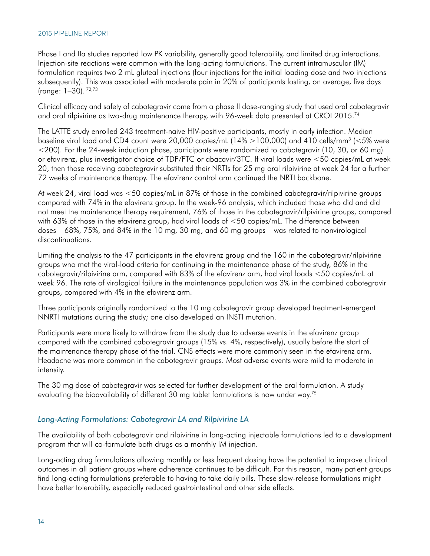Phase I and IIa studies reported low PK variability, generally good tolerability, and limited drug interactions. Injection-site reactions were common with the long-acting formulations. The current intramuscular (IM) formulation requires two 2 mL gluteal injections (four injections for the initial loading dose and two injections subsequently). This was associated with moderate pain in 20% of participants lasting, on average, five days (range: 1–30). 72,73

Clinical efficacy and safety of cabotegravir come from a phase II dose-ranging study that used oral cabotegravir and oral rilpivirine as two-drug maintenance therapy, with 96-week data presented at CROI 2015.74

The LATTE study enrolled 243 treatment-naive HIV-positive participants, mostly in early infection. Median baseline viral load and CD4 count were 20,000 copies/mL  $(14\% > 100,000)$  and 410 cells/mm<sup>3</sup> (<5% were <200). For the 24-week induction phase, participants were randomized to cabotegravir (10, 30, or 60 mg) or efavirenz, plus investigator choice of TDF/FTC or abacavir/3TC. If viral loads were <50 copies/mL at week 20, then those receiving cabotegravir substituted their NRTIs for 25 mg oral rilpivirine at week 24 for a further 72 weeks of maintenance therapy. The efavirenz control arm continued the NRTI backbone.

At week 24, viral load was <50 copies/mL in 87% of those in the combined cabotegravir/rilpivirine groups compared with 74% in the efavirenz group. In the week-96 analysis, which included those who did and did not meet the maintenance therapy requirement, 76% of those in the cabotegravir/rilpivirine groups, compared with 63% of those in the efavirenz group, had viral loads of <50 copies/mL. The difference between doses – 68%, 75%, and 84% in the 10 mg, 30 mg, and 60 mg groups – was related to nonvirological discontinuations.

Limiting the analysis to the 47 participants in the efavirenz group and the 160 in the cabotegravir/rilpivirine groups who met the viral-load criteria for continuing in the maintenance phase of the study, 86% in the cabotegravir/rilpivirine arm, compared with 83% of the efavirenz arm, had viral loads <50 copies/mL at week 96. The rate of virological failure in the maintenance population was 3% in the combined cabotegravir groups, compared with 4% in the efavirenz arm.

Three participants originally randomized to the 10 mg cabotegravir group developed treatment-emergent NNRTI mutations during the study; one also developed an INSTI mutation.

Participants were more likely to withdraw from the study due to adverse events in the efavirenz group compared with the combined cabotegravir groups (15% vs. 4%, respectively), usually before the start of the maintenance therapy phase of the trial. CNS effects were more commonly seen in the efavirenz arm. Headache was more common in the cabotegravir groups. Most adverse events were mild to moderate in intensity.

The 30 mg dose of cabotegravir was selected for further development of the oral formulation. A study evaluating the bioavailability of different 30 mg tablet formulations is now under way.<sup>75</sup>

#### *Long-Acting Formulations: Cabotegravir LA and Rilpivirine LA*

The availability of both cabotegravir and rilpivirine in long-acting injectable formulations led to a development program that will co-formulate both drugs as a monthly IM injection.

Long-acting drug formulations allowing monthly or less frequent dosing have the potential to improve clinical outcomes in all patient groups where adherence continues to be difficult. For this reason, many patient groups find long-acting formulations preferable to having to take daily pills. These slow-release formulations might have better tolerability, especially reduced gastrointestinal and other side effects.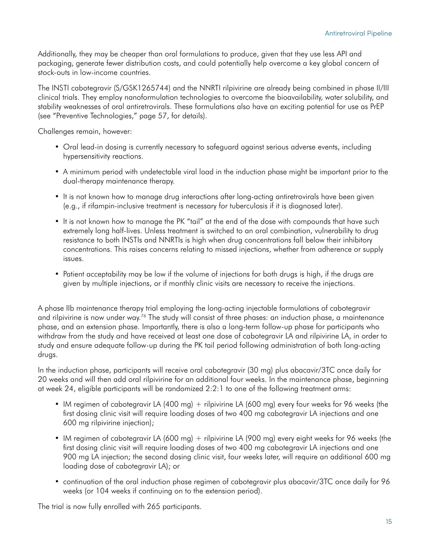Additionally, they may be cheaper than oral formulations to produce, given that they use less API and packaging, generate fewer distribution costs, and could potentially help overcome a key global concern of stock-outs in low-income countries.

The INSTI cabotegravir (S/GSK1265744) and the NNRTI rilpivirine are already being combined in phase II/III clinical trials. They employ nanoformulation technologies to overcome the bioavailability, water solubility, and stability weaknesses of oral antiretrovirals. These formulations also have an exciting potential for use as PrEP (see "Preventive Technologies," page 57, for details).

Challenges remain, however:

- Oral lead-in dosing is currently necessary to safeguard against serious adverse events, including hypersensitivity reactions.
- A minimum period with undetectable viral load in the induction phase might be important prior to the dual-therapy maintenance therapy.
- It is not known how to manage drug interactions after long-acting antiretrovirals have been given (e.g., if rifampin-inclusive treatment is necessary for tuberculosis if it is diagnosed later).
- It is not known how to manage the PK "tail" at the end of the dose with compounds that have such extremely long half-lives. Unless treatment is switched to an oral combination, vulnerability to drug resistance to both INSTIs and NNRTIs is high when drug concentrations fall below their inhibitory concentrations. This raises concerns relating to missed injections, whether from adherence or supply issues.
- Patient acceptability may be low if the volume of injections for both drugs is high, if the drugs are given by multiple injections, or if monthly clinic visits are necessary to receive the injections.

A phase IIb maintenance therapy trial employing the long-acting injectable formulations of cabotegravir and rilpivirine is now under way.<sup>76</sup> The study will consist of three phases: an induction phase, a maintenance phase, and an extension phase. Importantly, there is also a long-term follow-up phase for participants who withdraw from the study and have received at least one dose of cabotegravir LA and rilpivirine LA, in order to study and ensure adequate follow-up during the PK tail period following administration of both long-acting drugs.

In the induction phase, participants will receive oral cabotegravir (30 mg) plus abacavir/3TC once daily for 20 weeks and will then add oral rilpivirine for an additional four weeks. In the maintenance phase, beginning at week 24, eligible participants will be randomized 2:2:1 to one of the following treatment arms:

- IM regimen of cabotegravir LA (400 mg) + rilpivirine LA (600 mg) every four weeks for 96 weeks (the first dosing clinic visit will require loading doses of two 400 mg cabotegravir LA injections and one 600 mg rilpivirine injection);
- IM regimen of cabotegravir LA (600 mg) + rilpivirine LA (900 mg) every eight weeks for 96 weeks (the first dosing clinic visit will require loading doses of two 400 mg cabotegravir LA injections and one 900 mg LA injection; the second dosing clinic visit, four weeks later, will require an additional 600 mg loading dose of cabotegravir LA); or
- continuation of the oral induction phase regimen of cabotegravir plus abacavir/3TC once daily for 96 weeks (or 104 weeks if continuing on to the extension period).

The trial is now fully enrolled with 265 participants.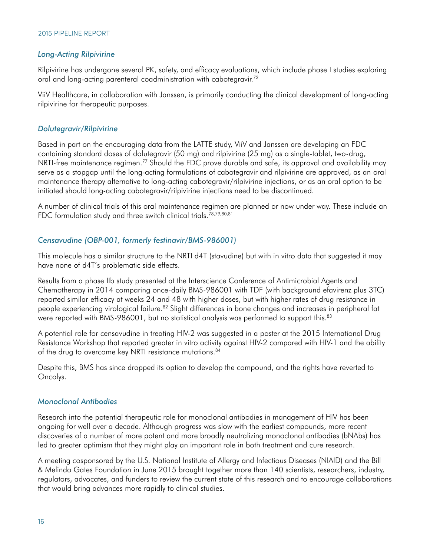#### *Long-Acting Rilpivirine*

Rilpivirine has undergone several PK, safety, and efficacy evaluations, which include phase I studies exploring oral and long-acting parenteral coadministration with cabotegravir.<sup>72</sup>

ViiV Healthcare, in collaboration with Janssen, is primarily conducting the clinical development of long-acting rilpivirine for therapeutic purposes.

#### *Dolutegravir/Rilpivirine*

Based in part on the encouraging data from the LATTE study, ViiV and Janssen are developing an FDC containing standard doses of dolutegravir (50 mg) and rilpivirine (25 mg) as a single-tablet, two-drug, NRTI-free maintenance regimen.<sup>77</sup> Should the FDC prove durable and safe, its approval and availability may serve as a stopgap until the long-acting formulations of cabotegravir and rilpivirine are approved, as an oral maintenance therapy alternative to long-acting cabotegravir/rilpivirine injections, or as an oral option to be initiated should long-acting cabotegravir/rilpivirine injections need to be discontinued.

A number of clinical trials of this oral maintenance regimen are planned or now under way. These include an FDC formulation study and three switch clinical trials.<sup>78,79,80,81</sup>

#### *Censavudine (OBP-001, formerly festinavir/BMS-986001)*

This molecule has a similar structure to the NRTI d4T (stavudine) but with in vitro data that suggested it may have none of d4T's problematic side effects.

Results from a phase IIb study presented at the Interscience Conference of Antimicrobial Agents and Chemotherapy in 2014 comparing once-daily BMS-986001 with TDF (with background efavirenz plus 3TC) reported similar efficacy at weeks 24 and 48 with higher doses, but with higher rates of drug resistance in people experiencing virological failure.<sup>82</sup> Slight differences in bone changes and increases in peripheral fat were reported with BMS-986001, but no statistical analysis was performed to support this.<sup>83</sup>

A potential role for censavudine in treating HIV-2 was suggested in a poster at the 2015 International Drug Resistance Workshop that reported greater in vitro activity against HIV-2 compared with HIV-1 and the ability of the drug to overcome key NRTI resistance mutations.<sup>84</sup>

Despite this, BMS has since dropped its option to develop the compound, and the rights have reverted to Oncolys.

#### *Monoclonal Antibodies*

Research into the potential therapeutic role for monoclonal antibodies in management of HIV has been ongoing for well over a decade. Although progress was slow with the earliest compounds, more recent discoveries of a number of more potent and more broadly neutralizing monoclonal antibodies (bNAbs) has led to greater optimism that they might play an important role in both treatment and cure research.

A meeting cosponsored by the U.S. National Institute of Allergy and Infectious Diseases (NIAID) and the Bill & Melinda Gates Foundation in June 2015 brought together more than 140 scientists, researchers, industry, regulators, advocates, and funders to review the current state of this research and to encourage collaborations that would bring advances more rapidly to clinical studies.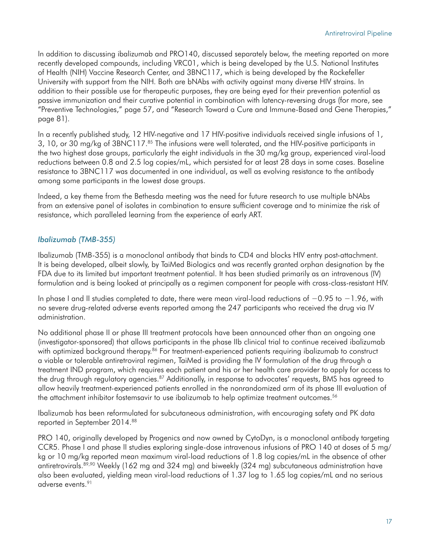In addition to discussing ibalizumab and PRO140, discussed separately below, the meeting reported on more recently developed compounds, including VRC01, which is being developed by the U.S. National Institutes of Health (NIH) Vaccine Research Center, and 3BNC117, which is being developed by the Rockefeller University with support from the NIH. Both are bNAbs with activity against many diverse HIV strains. In addition to their possible use for therapeutic purposes, they are being eyed for their prevention potential as passive immunization and their curative potential in combination with latency-reversing drugs (for more, see "Preventive Technologies," page 57, and "Research Toward a Cure and Immune-Based and Gene Therapies," page 81).

In a recently published study, 12 HIV-negative and 17 HIV-positive individuals received single infusions of 1, 3, 10, or 30 mg/kg of 3BNC117.<sup>85</sup> The infusions were well tolerated, and the HIV-positive participants in the two highest dose groups, particularly the eight individuals in the 30 mg/kg group, experienced viral-load reductions between 0.8 and 2.5 log copies/mL, which persisted for at least 28 days in some cases. Baseline resistance to 3BNC117 was documented in one individual, as well as evolving resistance to the antibody among some participants in the lowest dose groups.

Indeed, a key theme from the Bethesda meeting was the need for future research to use multiple bNAbs from an extensive panel of isolates in combination to ensure sufficient coverage and to minimize the risk of resistance, which paralleled learning from the experience of early ART.

### *Ibalizumab (TMB-355)*

Ibalizumab (TMB-355) is a monoclonal antibody that binds to CD4 and blocks HIV entry post-attachment. It is being developed, albeit slowly, by TaiMed Biologics and was recently granted orphan designation by the FDA due to its limited but important treatment potential. It has been studied primarily as an intravenous (IV) formulation and is being looked at principally as a regimen component for people with cross-class-resistant HIV.

In phase I and II studies completed to date, there were mean viral-load reductions of −0.95 to −1.96, with no severe drug-related adverse events reported among the 247 participants who received the drug via IV administration.

No additional phase II or phase III treatment protocols have been announced other than an ongoing one (investigator-sponsored) that allows participants in the phase IIb clinical trial to continue received ibalizumab with optimized background therapy.<sup>86</sup> For treatment-experienced patients requiring ibalizumab to construct a viable or tolerable antiretroviral regimen, TaiMed is providing the IV formulation of the drug through a treatment IND program, which requires each patient and his or her health care provider to apply for access to the drug through regulatory agencies.<sup>87</sup> Additionally, in response to advocates' requests, BMS has agreed to allow heavily treatment-experienced patients enrolled in the nonrandomized arm of its phase III evaluation of the attachment inhibitor fostemsavir to use ibalizumab to help optimize treatment outcomes.<sup>56</sup>

Ibalizumab has been reformulated for subcutaneous administration, with encouraging safety and PK data reported in September 2014.88

PRO 140, originally developed by Progenics and now owned by CytoDyn, is a monoclonal antibody targeting CCR5. Phase I and phase II studies exploring single-dose intravenous infusions of PRO 140 at doses of 5 mg/ kg or 10 mg/kg reported mean maximum viral-load reductions of 1.8 log copies/mL in the absence of other antiretrovirals.89,90 Weekly (162 mg and 324 mg) and biweekly (324 mg) subcutaneous administration have also been evaluated, yielding mean viral-load reductions of 1.37 log to 1.65 log copies/mL and no serious adverse events.91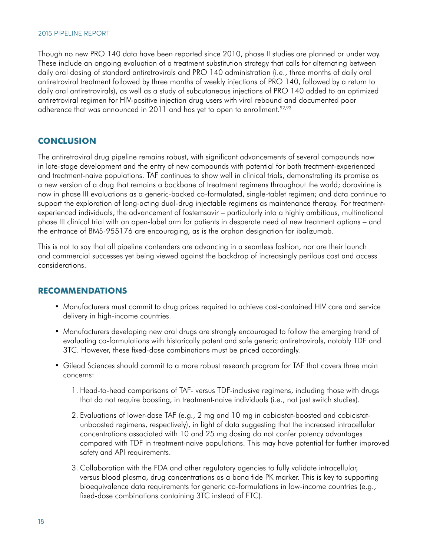Though no new PRO 140 data have been reported since 2010, phase II studies are planned or under way. These include an ongoing evaluation of a treatment substitution strategy that calls for alternating between daily oral dosing of standard antiretrovirals and PRO 140 administration (i.e., three months of daily oral antiretroviral treatment followed by three months of weekly injections of PRO 140, followed by a return to daily oral antiretrovirals), as well as a study of subcutaneous injections of PRO 140 added to an optimized antiretroviral regimen for HIV-positive injection drug users with viral rebound and documented poor adherence that was announced in 2011 and has yet to open to enrollment.<sup>92,93</sup>

## **CONCLUSION**

The antiretroviral drug pipeline remains robust, with significant advancements of several compounds now in late-stage development and the entry of new compounds with potential for both treatment-experienced and treatment-naive populations. TAF continues to show well in clinical trials, demonstrating its promise as a new version of a drug that remains a backbone of treatment regimens throughout the world; doravirine is now in phase III evaluations as a generic-backed co-formulated, single-tablet regimen; and data continue to support the exploration of long-acting dual-drug injectable regimens as maintenance therapy. For treatmentexperienced individuals, the advancement of fostemsavir – particularly into a highly ambitious, multinational phase III clinical trial with an open-label arm for patients in desperate need of new treatment options – and the entrance of BMS-955176 are encouraging, as is the orphan designation for ibalizumab.

This is not to say that all pipeline contenders are advancing in a seamless fashion, nor are their launch and commercial successes yet being viewed against the backdrop of increasingly perilous cost and access considerations.

## **RECOMMENDATIONS**

- Manufacturers must commit to drug prices required to achieve cost-contained HIV care and service delivery in high-income countries.
- Manufacturers developing new oral drugs are strongly encouraged to follow the emerging trend of evaluating co-formulations with historically potent and safe generic antiretrovirals, notably TDF and 3TC. However, these fixed-dose combinations must be priced accordingly.
- Gilead Sciences should commit to a more robust research program for TAF that covers three main concerns:
	- 1. Head-to-head comparisons of TAF- versus TDF-inclusive regimens, including those with drugs that do not require boosting, in treatment-naive individuals (i.e., not just switch studies).
	- 2. Evaluations of lower-dose TAF (e.g., 2 mg and 10 mg in cobicistat-boosted and cobicistatunboosted regimens, respectively), in light of data suggesting that the increased intracellular concentrations associated with 10 and 25 mg dosing do not confer potency advantages compared with TDF in treatment-naive populations. This may have potential for further improved safety and API requirements.
	- 3. Collaboration with the FDA and other regulatory agencies to fully validate intracellular, versus blood plasma, drug concentrations as a bona fide PK marker. This is key to supporting bioequivalence data requirements for generic co-formulations in low-income countries (e.g., fixed-dose combinations containing 3TC instead of FTC).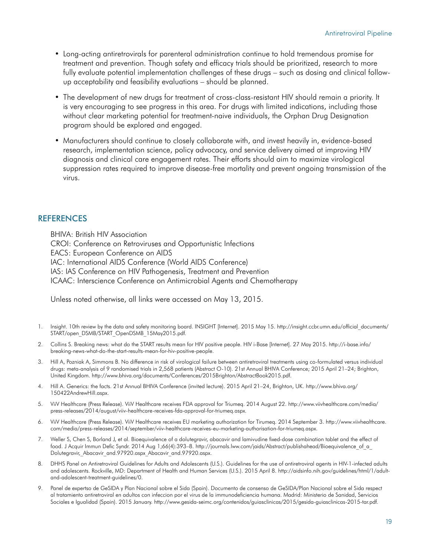- Long-acting antiretrovirals for parenteral administration continue to hold tremendous promise for treatment and prevention. Though safety and efficacy trials should be prioritized, research to more fully evaluate potential implementation challenges of these drugs – such as dosing and clinical followup acceptability and feasibility evaluations – should be planned.
- The development of new drugs for treatment of cross-class-resistant HIV should remain a priority. It is very encouraging to see progress in this area. For drugs with limited indications, including those without clear marketing potential for treatment-naive individuals, the Orphan Drug Designation program should be explored and engaged.
- Manufacturers should continue to closely collaborate with, and invest heavily in, evidence-based research, implementation science, policy advocacy, and service delivery aimed at improving HIV diagnosis and clinical care engagement rates. Their efforts should aim to maximize virological suppression rates required to improve disease-free mortality and prevent ongoing transmission of the virus.

### REFERENCES

BHIVA: British HIV Association CROI: Conference on Retroviruses and Opportunistic Infections EACS: European Conference on AIDS IAC: International AIDS Conference (World AIDS Conference) IAS: IAS Conference on HIV Pathogenesis, Treatment and Prevention ICAAC: Interscience Conference on Antimicrobial Agents and Chemotherapy

Unless noted otherwise, all links were accessed on May 13, 2015.

- 1. Insight. 10th review by the data and safety monitoring board. INSIGHT [Internet]. 2015 May 15. http://insight.ccbr.umn.edu/official documents/ [START/open\\_DSMB/START\\_OpenDSMB\\_15May2015.pdf](http://insight.ccbr.umn.edu/official_documents/START/open_DSMB/START_OpenDSMB_15May2015.pdf).
- 2. Collins S. Breaking news: what do the START results mean for HIV positive people. HIV i-Base [Internet]. 27 May 2015. [http://i-base.info/](http://i-base.info/breaking-news-what-do-the-start-results-mean-for-hiv-positive-people) [breaking-news-what-do-the-start-results-mean-for-hiv-positive-people](http://i-base.info/breaking-news-what-do-the-start-results-mean-for-hiv-positive-people).
- 3. Hill A, Pozniak A, Simmons B. No difference in risk of virological failure between antiretroviral treatments using co-formulated versus individual drugs: meta-analysis of 9 randomised trials in 2,568 patients (Abstract O-10). 21st Annual BHIVA Conference; 2015 April 21–24; Brighton, United Kingdom. <http://www.bhiva.org/documents/Conferences/2015Brighton/AbstractBook2015.pdf>.
- 4. Hill A. Generics: the facts. 21st Annual BHIVA Conference (invited lecture). 2015 April 21–24, Brighton, UK. [http://www.bhiva.org/](http://www.bhiva.org/150422AndrewHill.aspx) [150422AndrewHill.aspx.](http://www.bhiva.org/150422AndrewHill.aspx)
- 5. ViiV Healthcare (Press Release). ViiV Healthcare receives FDA approval for Triumeq. 2014 August 22. [http://www.viivhealthcare.com/media/](http://www.viivhealthcare.com/media/press-releases/2014/august/viiv-healthcare-receives-fda-approval-for-triumeq.aspx) [press-releases/2014/august/viiv-healthcare-receives-fda-approval-for-triumeq.aspx](http://www.viivhealthcare.com/media/press-releases/2014/august/viiv-healthcare-receives-fda-approval-for-triumeq.aspx).
- 6. ViiV Healthcare (Press Release). ViiV Healthcare receives EU marketing authorization for Tirumeq. 2014 September 3. [http://www.viivhealthcare.](http://www.viivhealthcare.com/media/press-releases/2014/september/viiv-healthcare-receives-eu-marketing-authorisation-for-triumeq.aspx) [com/media/press-releases/2014/september/viiv-healthcare-receives-eu-marketing-authorisation-for-triumeq.aspx](http://www.viivhealthcare.com/media/press-releases/2014/september/viiv-healthcare-receives-eu-marketing-authorisation-for-triumeq.aspx).
- 7. Weller S, Chen S, Borland J, et al. Bioequivalence of a dolutegravir, abacavir and lamivudine fixed-dose combination tablet and the effect of food. J Acquir Immun Defic Syndr. 2014 Aug 1;66(4):393–8. [http://journals.lww.com/jaids/Abstract/publishahead/Bioequivalence\\_of\\_a\\_](http://journals.lww.com/jaids/Abstract/publishahead/Bioequivalence_of_a_Dolutegravir,_Abacavir_and.97920.aspx_Abacavir_and.97920.aspx) Dolutegravir, Abacavir\_and.97920.aspx Abacavir\_and.97920.aspx.
- 8. DHHS Panel on Antiretroviral Guidelines for Adults and Adolescents (U.S.). Guidelines for the use of antiretroviral agents in HIV-1-infected adults and adolescents. Rockville, MD: Department of Health and Human Services (U.S.). 2015 April 8. [http://aidsinfo.nih.gov/guidelines/html/1/adult](http://aidsinfo.nih.gov/guidelines/html/1/adult-and-adolescent-treatment-guidelines/0)[and-adolescent-treatment-guidelines/0](http://aidsinfo.nih.gov/guidelines/html/1/adult-and-adolescent-treatment-guidelines/0).
- 9. Panel de expertso de GeSIDA y Plan Nacional sobre el Sida (Spain). Documento de consenso de GeSIDA/Plan Nacional sobre el Sida respect al tratamiento antiretroviral en adultos con infeccion por el virus de la immunodeficiencia humana. Madrid: Ministerio de Sanidad, Servicios Sociales e Igualidad (Spain). 2015 January. [http://www.gesida-seimc.org/contenidos/guiasclinicas/2015/gesida-guiasclinicas-2015-tar.pdf.](http://www.gesida-seimc.org/contenidos/guiasclinicas/2015/gesida-guiasclinicas-2015-tar.pdf)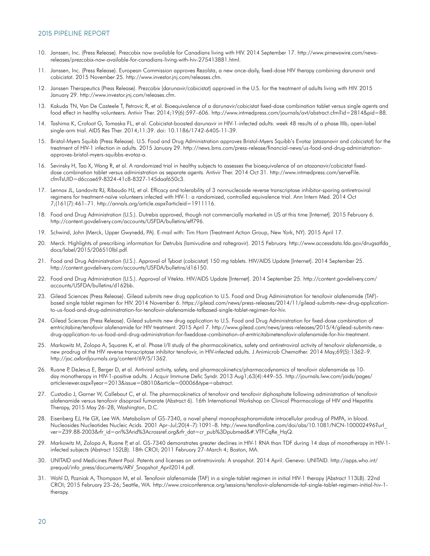- 10. Janssen, Inc. (Press Release). Prezcobix now available for Canadians living with HIV. 2014 September 17. [http://www.prnewswire.com/news](http://www.prnewswire.com/news-releases/prezcobix-now-available-for-canadians-living-with-hiv-275413881.html)[releases/prezcobix-now-available-for-canadians-living-with-hiv-275413881.html.](http://www.prnewswire.com/news-releases/prezcobix-now-available-for-canadians-living-with-hiv-275413881.html)
- 11. Janssen, Inc. (Press Release). European Commission approves Rezolsta, a new once-daily, fixed-dose HIV therapy combining darunavir and cobicistat. 2015 November 25. [http://www.investor.jnj.com/releases.cfm.](http://www.investor.jnj.com/releases.cfm)
- 12. Janssen Therapeutics (Press Release). Prezcobix (darunavir/cobicistat) approved in the U.S. for the treatment of adults living with HIV. 2015 January 29. <http://www.investor.jnj.com/releases.cfm>.
- 13. Kakuda TN, Van De Casteele T, Petrovic R, et al. Bioequivalence of a darunavir/cobicistat fixed-dose combination tablet versus single agents and food effect in healthy volunteers. Antivir Ther. 2014;19(6):597–606.<http://www.intmedpress.com/journals/avt/abstract.cfm?id=2814&pid=88>.
- 14. Tashima K, Crofoot G, Tomaska FL, et al. Cobicistat-boosted darunavir in HIV-1-infected adults: week 48 results of a phase IIIb, open-label single-arm trial. AIDS Res Ther. 2014;11:39. doi: 10.1186/1742-6405-11-39.
- 15. Bristol-Myers Squibb (Press Release). U.S. Food and Drug Administration approves Bristol-Myers Squibb's Evotaz (atazanavir and cobicistat) for the treatment of HIV-1 infection in adults. 2015 January 29. [http://news.bms.com/press-release/financial-news/us-food-and-drug-administration](http://news.bms.com/press-release/financial-news/us-food-and-drug-administration-approves-bristol-myers-squibbs-evotaz-a)[approves-bristol-myers-squibbs-evotaz-a.](http://news.bms.com/press-release/financial-news/us-food-and-drug-administration-approves-bristol-myers-squibbs-evotaz-a)
- 16. Sevinsky H, Tao X, Wang R, et al. A randomized trial in healthy subjects to assesses the bioequivalence of an atazanavir/cobicistat fixeddose combination tablet versus administration as separate agents. Antivir Ther. 2014 Oct 31. [http://www.intmedpress.com/serveFile.](http://www.intmedpress.com/serveFile.cfm?sUID=d6ccae69-8324-41c8-8327-145daaf650c3) [cfm?sUID=d6ccae69-8324-41c8-8327-145daaf650c3](http://www.intmedpress.com/serveFile.cfm?sUID=d6ccae69-8324-41c8-8327-145daaf650c3).
- 17. Lennox JL, Landovitz RJ, Ribaudo HJ, et al. Efficacy and tolerability of 3 nonnucleoside reverse transcriptase inhibitor-sparing antiretroviral regimens for treatment-naïve volunteers infected with HIV-1: a randomized, controlled equivalence trial. Ann Intern Med. 2014 Oct 7;(161(7):461–71. [http://annals.org/article.aspx?articleid=1911116.](http://annals.org/article.aspx?articleid=1911116)
- 18. Food and Drug Administration (U.S.). Dutrebis approved, though not commercially marketed in US at this time [Internet]. 2015 February 6. [http://content.govdelivery.com/accounts/USFDA/bulletins/eff796.](http://content.govdelivery.com/accounts/USFDA/bulletins/eff796)
- 19. Schwind, John (Merck, Upper Gwynedd, PA). E-mail with: Tim Horn (Treatment Action Group, New York, NY). 2015 April 17.
- 20. Merck. Highlights of prescribing information for Detrubis (lamivudine and raltegravir). 2015 February. [http://www.accessdata.fda.gov/drugsatfda\\_](http://www.accessdata.fda.gov/drugsatfda_docs/label/2015/206510lbl.pdf) [docs/label/2015/206510lbl.pdf](http://www.accessdata.fda.gov/drugsatfda_docs/label/2015/206510lbl.pdf).
- 21. Food and Drug Administration (U.S.). Approval of Tybost (cobicistat) 150 mg tablets. HIV/AIDS Update [Internet]. 2014 September 25. <http://content.govdelivery.com/accounts/USFDA/bulletins/d16150>.
- 22. Food and Drug Administration (U.S.). Approval of Vitekta. HIV/AIDS Update [Internet]. 2014 September 25. [http://content.govdelivery.com/](http://content.govdelivery.com/accounts/USFDA/bulletins/d162bb) [accounts/USFDA/bulletins/d162bb.](http://content.govdelivery.com/accounts/USFDA/bulletins/d162bb)
- 23. Gilead Sciences (Press Release). Gilead submits new drug application to U.S. Food and Drug Administration for tenofovir alafenamide (TAF)based single tablet regimen for HIV. 2014 November 6. [https://gilead.com/news/press-releases/2014/11/gilead-submits-new-drug-application](https://gilead.com/news/press-releases/2014/11/gilead-submits-new-drug-application-to-us-food-and-drug-administration-for-tenofovir-alafenamide-tafbased-single-tablet-regimen-for-hiv)[to-us-food-and-drug-administration-for-tenofovir-alafenamide-tafbased-single-tablet-regimen-for-hiv](https://gilead.com/news/press-releases/2014/11/gilead-submits-new-drug-application-to-us-food-and-drug-administration-for-tenofovir-alafenamide-tafbased-single-tablet-regimen-for-hiv).
- 24. Gilead Sciences (Press Release). Gilead submits new drug application to U.S. Food and Drug Administration for fixed-dose combination of emtricitabine/tenofovir alafenamide for HIV treatment. 2015 April 7. [http://www.gilead.com/news/press-releases/2015/4/gilead-submits-new](http://www.gilead.com/news/press-releases/2015/4/gilead-submits-new-drug-application-to-us-food-and-drug-administration-for-fixeddose-combination-of-emtricitabinetenofovir-alafenamide-for-hiv-treatment)[drug-application-to-us-food-and-drug-administration-for-fixeddose-combination-of-emtricitabinetenofovir-alafenamide-for-hiv-treatment](http://www.gilead.com/news/press-releases/2015/4/gilead-submits-new-drug-application-to-us-food-and-drug-administration-for-fixeddose-combination-of-emtricitabinetenofovir-alafenamide-for-hiv-treatment).
- 25. Markowitz M, Zolopa A, Squares K, et al. Phase I/II study of the pharmacokinetics, safety and antiretroviral activity of tenofovir alafenamide, a new prodrug of the HIV reverse transcriptase inhibitor tenofovir, in HIV-infected adults. J Animicrob Chemother. 2014 May;69(5):1362–9. <http://jac.oxfordjournals.org/content/69/5/1362>.
- 26. Ruane P, DeJesus E, Berger D, et al. Antiviral activity, safety, and pharmacokinetics/pharmacodynamics of tenofovir alafenamide as 10 day monotherapy in HIV-1-positive adults. J Acquir Immune Defic Syndr. 2013 Aug1;63(4):449–55. [http://journals.lww.com/jaids/pages/](http://journals.lww.com/jaids/pages/articleviewer.aspx?year=2013&issue=08010&article=00006&type=abstract) [articleviewer.aspx?year=2013&issue=08010&article=00006&type=abstract](http://journals.lww.com/jaids/pages/articleviewer.aspx?year=2013&issue=08010&article=00006&type=abstract).
- 27. Custodio J, Garner W, Callebaut C, et al. The pharmacokinetics of tenofovir and tenofovir diphosphate following administration of tenofovir alafenamide versus tenofovir disoproxil fumarate (Abstract 6). 16th International Workshop on Clinical Pharmacology of HIV and Hepatitis Therapy, 2015 May 26–28, Washington, D.C.
- 28. Eisenberg EJ, He GX, Lee WA. Metabolism of GS-7340, a novel phenyl monophosphoramidate intracellular prodrug of PMPA, in blood. Nucleosides Nucleotides Nucleic Acids. 2001 Apr–Jul;20(4–7):1091–8. [http://www.tandfonline.com/doi/abs/10.1081/NCN-100002496?url\\_](http://www.tandfonline.com/doi/abs/10.1081/NCN-100002496?url_ver=Z39.88-2003&rfr_id=ori%3Arid%3Acrossref.org&rfr_dat=cr_pub%3Dpubmed&#.VTFCqRe_HqQ) [ver=Z39.88-2003&rfr\\_id=ori%3Arid%3Acrossref.org&rfr\\_dat=cr\\_pub%3Dpubmed&#.VTFCqRe\\_HqQ.](http://www.tandfonline.com/doi/abs/10.1081/NCN-100002496?url_ver=Z39.88-2003&rfr_id=ori%3Arid%3Acrossref.org&rfr_dat=cr_pub%3Dpubmed&#.VTFCqRe_HqQ)
- 29. Markowitz M, Zolopa A, Ruane P, et al. GS-7340 demonstrates greater declines in HIV-1 RNA than TDF during 14 days of monotherapy in HIV-1 infected subjects (Abstract 152LB). 18th CROI; 2011 February 27–March 4; Boston, MA.
- 30. UNITAID and Medicines Patent Pool. Patents and licenses on antiretrovirals: A snapshot. 2014 April. Geneva: UNITAID. [http://apps.who.int/](http://apps.who.int/prequal/info_press/documents/ARV_Snapshot_April2014.pdf) [prequal/info\\_press/documents/ARV\\_Snapshot\\_April2014.pdf](http://apps.who.int/prequal/info_press/documents/ARV_Snapshot_April2014.pdf).
- 31. Wohl D, Pozniak A, Thompson M, et al. Tenofovir alafenamide (TAF) in a single-tablet regimen in initial HIV-1 therapy (Abstract 113LB). 22nd CROI; 2015 February 23–26; Seattle, WA. [http://www.croiconference.org/sessions/tenofovir-alafenamide-taf-single-tablet-regimen-initial-hiv-1](http://www.croiconference.org/sessions/tenofovir-alafenamide-taf-single-tablet-regimen-initial-hiv-1-therapy) [therapy.](http://www.croiconference.org/sessions/tenofovir-alafenamide-taf-single-tablet-regimen-initial-hiv-1-therapy)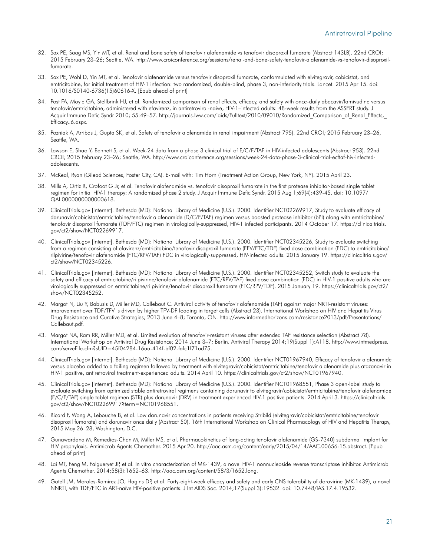- 32. Sax PE, Saag MS, Yin MT, et al. Renal and bone safety of tenofovir alafenamide vs tenofovir disoproxil fumarate (Abstract 143LB). 22nd CROI; 2015 February 23–26; Seattle, WA. [http://www.croiconference.org/sessions/renal-and-bone-safety-tenofovir-alafenamide-vs-tenofovir-disoproxil](http://www.croiconference.org/sessions/renal-and-bone-safety-tenofovir-alafenamide-vs-tenofovir-disoproxil-fumarate)[fumarate.](http://www.croiconference.org/sessions/renal-and-bone-safety-tenofovir-alafenamide-vs-tenofovir-disoproxil-fumarate)
- 33. Sax PE, Wohl D, Yin MT, et al. Tenofovir alafenamide versus tenofovir disoproxil fumarate, conformulated with elvitegravir, cobicistat, and emtricitabine, for initial treatment of HIV-1 infection: two randomized, double-blind, phase 3, non-inferiority trials. Lancet. 2015 Apr 15. doi: 10.1016/S0140-6736(15)60616-X. [Epub ahead of print]
- 34. Post FA, Moyle GA, Stellbrink HJ, et al. Randomized comparison of renal effects, efficacy, and safety with once-daily abacavir/lamivudine versus tenofovir/emtricitabine, administered with efavirenz, in antiretroviral-naive, HIV-1–infected adults: 48-week results from the ASSERT study. J Acquir Immune Defic Syndr 2010; 55:49-57. http://journals.lww.com/jaids/Fulltext/2010/09010/Randomized Comparison of Renal Effects, [Efficacy,.6.aspx](http://journals.lww.com/jaids/Fulltext/2010/09010/Randomized_Comparison_of_Renal_Effects,_Efficacy,.6.aspx).
- 35. Pozniak A, Arribas J, Gupta SK, et al. Safety of tenofovir alafenamide in renal impairment (Abstract 795). 22nd CROI; 2015 February 23–26, Seattle, WA.
- 36. Lawson E, Shao Y, Bennett S, et al. Week-24 data from a phase 3 clinical trial of E/C/F/TAF in HIV-infected adolescents (Abstract 953). 22nd CROI; 2015 February 23–26; Seattle, WA. [http://www.croiconference.org/sessions/week-24-data-phase-3-clinical-trial-ecftaf-hiv-infected](http://www.croiconference.org/sessions/week-24-data-phase-3-clinical-trial-ecftaf-hiv-infected-adolescents)[adolescents.](http://www.croiconference.org/sessions/week-24-data-phase-3-clinical-trial-ecftaf-hiv-infected-adolescents)
- 37. McKeal, Ryan (Gilead Sciences, Foster City, CA). E-mail with: Tim Horn (Treatment Action Group, New York, NY). 2015 April 23.
- 38. Mills A, Ortiz R, Crofoot G Jr, et al. Tenofovir alafenamide vs. tenofovir disoproxil fumarate in the first protease inhibitor-based single tablet regimen for initial HIV-1 therapy: A randomized phase 2 study. J Acquir Immune Defic Syndr. 2015 Aug 1;69(4):439-45. doi: 10.1097/ QAI.0000000000000618.
- 39. ClinicalTrials.gov [Internet]. Bethesda (MD): National Library of Medicine (U.S.). 2000. Identifier NCT02269917, Study to evaluate efficacy of darunavir/cobicistat/emtricitabine/tenofovir alafenamide (D/C/F/TAF) regimen versus boosted protease inhibitor (bPI) along with emtricitabine/ tenofovir disoproxil fumarate (TDF/FTC) regimen in virologically-suppressed, HIV-1 infected participants. 2014 October 17. [https://clinicaltrials.](https://clinicaltrials.gov/ct2/show/NCT02269917) [gov/ct2/show/NCT02269917.](https://clinicaltrials.gov/ct2/show/NCT02269917)
- 40. ClinicalTrials.gov [Internet]. Bethesda (MD): National Library of Medicine (U.S.). 2000. Identifier NCT02345226, Study to evaluate switching from a regimen consisting of efavirenz/emtricitabine/tenofovir disoproxil fumarate (EFV/FTC/TDF) fixed dose combination (FDC) to emtricitabine/ rilpivirine/tenofovir alafenamide (FTC/RPV/TAF) FDC in virologically-suppressed, HIV-infected adults. 2015 January 19. [https://clinicaltrials.gov/](https://clinicaltrials.gov/ct2/show/NCT02345226) [ct2/show/NCT02345226](https://clinicaltrials.gov/ct2/show/NCT02345226).
- 41. ClinicalTrials.gov [Internet]. Bethesda (MD): National Library of Medicine (U.S.). 2000. Identifier NCT02345252, Switch study to evaluate the safety and efficacy of emtricitabine/rilpivirine/tenofovir alafenamide (FTC/RPV/TAF) fixed dose combination (FDC) in HIV-1 positive adults who are virologically suppressed on emtricitabine/rilpivirine/tenofovir disoproxil fumarate (FTC/RPV/TDF). 2015 January 19. [https://clinicaltrials.gov/ct2/](https://clinicaltrials.gov/ct2/show/NCT02345252) [show/NCT02345252.](https://clinicaltrials.gov/ct2/show/NCT02345252)
- 42. Margot N, Liu Y, Babusis D, Miller MD, Callebaut C. Antiviral activity of tenofovir alafenamide (TAF) against major NRTI-resistant viruses: improvement over TDF/TFV is driven by higher TFV-DP loading in target cells (Abstract 23). International Workshop on HIV and Hepatitis Virus Drug Resistance and Curative Strategies; 2013 June 4–8; Toronto, ON. [http://www.informedhorizons.com/resistance2013/pdf/Presentations/](http://www.informedhorizons.com/resistance2013/pdf/Presentations/Callebaut.pdf) [Callebaut.pdf](http://www.informedhorizons.com/resistance2013/pdf/Presentations/Callebaut.pdf).
- 43. Margot NA, Ram RR, Miller MD, et al. Limited evolution of tenofovir-resistant viruses after extended TAF resistance selection (Abstract 78). International Workshop on Antiviral Drug Resistance; 2014 June 3–7; Berlin. Antiviral Therapy 2014;19(Suppl 1):A118. [http://www.intmedpress.](http://www.intmedpress.com/serveFile.cfm?sUID=45f04284-16aa-414f-bf02-fafc1f71ad75) [com/serveFile.cfm?sUID=45f04284-16aa-414f-bf02-fafc1f71ad75.](http://www.intmedpress.com/serveFile.cfm?sUID=45f04284-16aa-414f-bf02-fafc1f71ad75)
- 44. ClinicalTrials.gov [Internet]. Bethesda (MD): National Library of Medicine (U.S.). 2000. Identifier NCT01967940, Efficacy of tenofovir alafenamide versus placebo added to a failing regimen followed by treatment with elvitegravir/cobicistat/emtricitabine/tenofovir alafenamide plus atazanavir in HIV-1 positive, antiretroviral treatment-experienced adults. 2014 April 10.<https://clinicaltrials.gov/ct2/show/NCT01967940>.
- 45. ClinicalTrials.gov [Internet]. Bethesda (MD): National Library of Medicine (U.S.). 2000. Identifier NCT01968551, Phase 3 open-label study to evaluate switching from optimized stable antiretroviral regimens containing darunavir to elvitegravir/cobicistat/emtricitabine/tenofovir alafenamide (E/C/F/TAF) single tablet regimen (STR) plus darunavir (DRV) in treatment experienced HIV-1 positive patients. 2014 April 3. [https://clinicaltrials.](https://clinicaltrials.gov/ct2/show/NCT02269917?term=NCT01968551) [gov/ct2/show/NCT02269917?term=NCT01968551.](https://clinicaltrials.gov/ct2/show/NCT02269917?term=NCT01968551)
- 46. Ricard F, Wong A, Lebouche B, et al. Low darunavir concentrations in patients receiving Stribild (elvitegravir/cobicistat/emtricitabine/tenofovir disoproxil fumarate) and darunavir once daily (Abstract 50). 16th International Workshop on Clinical Pharmacology of HIV and Hepatitis Therapy, 2015 May 26–28, Washington, D.C.
- 47. Gunawardana M, Remedios-Chan M, Miller MS, et al. Pharmacokinetics of long-acting tenofovir alafenamide (GS-7340) subdermal implant for HIV prophylaxis. Antimicrob Agents Chemother. 2015 Apr 20.<http://aac.asm.org/content/early/2015/04/14/AAC.00656-15.abstract>. [Epub ahead of print]
- 48. Lai MT, Feng M, Falgueryet JP, et al. In vitro characterization of MK-1439, a novel HIV-1 nonnucleoside reverse transcriptase inhibitor. Antimicrob Agents Chemother. 2014;58(3):1652–63. <http://aac.asm.org/content/58/3/1652.long>.
- 49. Gatell JM, Morales-Ramirez JO, Hagins DP, et al. Forty-eight-week efficacy and safety and early CNS tolerability of doravirine (MK-1439), a novel NNRTI, with TDF/FTC in ART-naïve HIV-positive patients. J Int AIDS Soc. 2014;17(Suppl 3):19532. doi: 10.7448/IAS.17.4.19532.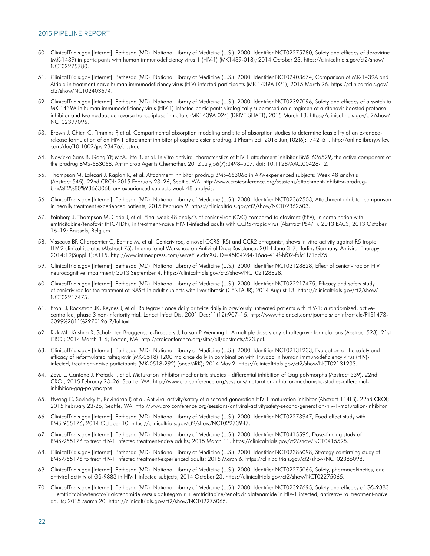- 50. ClinicalTrials.gov [Internet]. Bethesda (MD): National Library of Medicine (U.S.). 2000. Identifier NCT02275780, Safety and efficacy of doravirine (MK-1439) in participants with human immunodeficiency virus 1 (HIV-1) (MK1439-018); 2014 October 23. [https://clinicaltrials.gov/ct2/show/](https://clinicaltrials.gov/ct2/show/NCT02275780) [NCT02275780.](https://clinicaltrials.gov/ct2/show/NCT02275780)
- 51. ClinicalTrials.gov [Internet]. Bethesda (MD): National Library of Medicine (U.S.). 2000. Identifier NCT02403674, Comparison of MK-1439A and Atripla in treatment-naïve human immunodeficiency virus (HIV)-infected participants (MK-1439A-021); 2015 March 26. [https://clinicaltrials.gov/](https://clinicaltrials.gov/ct2/show/NCT02403674) [ct2/show/NCT02403674](https://clinicaltrials.gov/ct2/show/NCT02403674).
- 52. ClinicalTrials.gov [Internet]. Bethesda (MD): National Library of Medicine (U.S.). 2000. Identifier NCT02397096, Safety and efficacy of a switch to MK-1439A in human immunodeficiency virus (HIV-1)-infected participants virologically suppressed on a regimen of a ritonavir-boosted protease inhibitor and two nucleoside reverse transcriptase inhibitors (MK1439A-024) (DRIVE-SHAFT); 2015 March 18. [https://clinicaltrials.gov/ct2/show/](https://clinicaltrials.gov/ct2/show/NCT02397096) [NCT02397096.](https://clinicaltrials.gov/ct2/show/NCT02397096)
- 53. Brown J, Chien C, Timmins P, et al. Compartmental absorption modeling and site of absorption studies to determine feasibility of an extendedrelease formulation of an HIV-1 attachment inhibitor phosphate ester prodrug. J Pharm Sci. 2013 Jun;102(6):1742–51. [http://onlinelibrary.wiley.](http://onlinelibrary.wiley.com/doi/10.1002/jps.23476/abstract) [com/doi/10.1002/jps.23476/abstract.](http://onlinelibrary.wiley.com/doi/10.1002/jps.23476/abstract)
- 54. Nowicka-Sans B, Gong YF, McAuliffe B, et al. In vitro antiviral characteristics of HIV-1 attachment inhibitor BMS-626529, the active component of the prodrug BMS-663068. Antimicrob Agents Chemother. 2012 July;56(7):3498–507. doi: 10.1128/AAC.00426-12.
- 55. Thompson M, Lalezari J, Kaplan R, et al. Attachment inhibitor prodrug BMS-663068 in ARV-experienced subjects: Week 48 analysis (Abstract 545). 22nd CROI; 2015 February 23–26; Seattle, WA. [http://www.croiconference.org/sessions/attachment-inhibitor-prodrug](http://www.croiconference.org/sessions/attachment-inhibitor-prodrug-bms%E2%80%93663068-arv-experienced-subjects-week-48-analysis)[bms%E2%80%93663068-arv-experienced-subjects-week-48-analysis.](http://www.croiconference.org/sessions/attachment-inhibitor-prodrug-bms%E2%80%93663068-arv-experienced-subjects-week-48-analysis)
- 56. ClinicalTrials.gov [Internet]. Bethesda (MD): National Library of Medicine (U.S.). 2000. Identifier NCT02362503, Attachment inhibitor comparison in heavily treatment experienced patients; 2015 February 9. [https://clinicaltrials.gov/ct2/show/NCT02362503.](https://clinicaltrials.gov/ct2/show/NCT02362503)
- 57. Feinberg J, Thompson M, Cade J, et al. Final week 48 analysis of cenicriviroc (CVC) compared to efavirenz (EFV), in combination with emtricitabine/tenofovir (FTC/TDF), in treatment-naïve HIV-1-infected adults with CCR5-tropic virus (Abstract PS4/1). 2013 EACS; 2013 October 16–19; Brussels, Belgium.
- 58. Visseaux BF, Charpentier C, Bertine M, et al. Cenicriviroc, a novel CCR5 (R5) and CCR2 antagonist, shows in vitro activity against R5 tropic HIV-2 clinical isolates (Abstract 75). International Workshop on Antiviral Drug Resistance; 2014 June 3–7; Berlin, Germany. Antiviral Therapy 2014;19(Suppl 1):A115. <http://www.intmedpress.com/serveFile.cfm?sUID=45f04284-16aa-414f-bf02-fafc1f71ad75>.
- 59. ClinicalTrials.gov [Internet]. Bethesda (MD): National Library of Medicine (U.S.). 2000. Identifier NCT02128828, Effect of cenicriviroc on HIV neurocognitive impairment; 2013 September 4.<https://clinicaltrials.gov/ct2/show/NCT02128828>.
- 60. ClinicalTrials.gov [Internet]. Bethesda (MD): National Library of Medicine (U.S.). 2000. Identifier NCT022217475, Efficacy and safety study of cenicriviroc for the treatment of NASH in adult subjects with liver fibrosis (CENTAUR); 2014 August 13. [https://clinicaltrials.gov/ct2/show/](https://clinicaltrials.gov/ct2/show/NCT02217475) [NCT02217475.](https://clinicaltrials.gov/ct2/show/NCT02217475)
- 61. Eron JJ, Rockstroh JK, Reynes J, et al. Raltegravir once daily or twice daily in previously untreated patients with HIV-1: a randomized, activecontrolled, phase 3 non-inferiority trial. Lancet Infect Dis. 2001 Dec;11(12):907–15. [http://www.thelancet.com/journals/laninf/article/PIIS1473-](http://www.thelancet.com/journals/laninf/article/PIIS1473-3099%2811%2970196-7/fulltext) [3099%2811%2970196-7/fulltext](http://www.thelancet.com/journals/laninf/article/PIIS1473-3099%2811%2970196-7/fulltext).
- 62. Rizk ML, Krishna R, Schulz, ten Bruggencate-Broeders J, Larson P, Wenning L. A multiple dose study of raltegravir formulations (Abstract 523). 21st CROI; 2014 March 3–6; Boston, MA.<http://croiconference.org/sites/all/abstracts/523.pdf>.
- 63. ClinicalTrials.gov [Internet]. Bethesda (MD): National Library of Medicine (U.S.). 2000. Identifier NCT02131233, Evaluation of the safety and efficacy of reformulated raltegravir (MK-0518) 1200 mg once daily in combination with Truvada in human immunodeficiency virus (HIV)-1 infected, treatment-naïve participants (MK-0518-292) (onceMRK); 2014 May 2. [https://clinicaltrials.gov/ct2/show/NCT02131233.](https://clinicaltrials.gov/ct2/show/NCT02131233)
- 64. Zeyu L, Cantone J, Protack T, et al. Maturation inhibitor mechanistic studies differential inhibition of Gag polymorphs (Abstract 539). 22nd CROI; 2015 February 23–26; Seattle, WA. [http://www.croiconference.org/sessions/maturation-inhibitor-mechanistic-studies-differential](http://www.croiconference.org/sessions/maturation-inhibitor-mechanistic-studies-differential-inhibition-gag-polymorphs)[inhibition-gag-polymorphs.](http://www.croiconference.org/sessions/maturation-inhibitor-mechanistic-studies-differential-inhibition-gag-polymorphs)
- 65. Hwang C, Sevinsky H, Ravindran P, et al. Antiviral activity/safety of a second-generation HIV-1 maturation inhibitor (Abstract 114LB). 22nd CROI; 2015 February 23-26; Seattle, WA. [http://www.croiconference.org/sessions/antiviral-activitysafety-second-generation-hiv-1-maturation-inhibitor.](http://www.croiconference.org/sessions/antiviral-activitysafety-second-generation-hiv-1-maturation-inhibitor)
- 66. ClinicalTrials.gov [Internet]. Bethesda (MD): National Library of Medicine (U.S.). 2000. Identifier NCT02273947, Food effect study with BMS-955176; 2014 October 10.<https://clinicaltrials.gov/ct2/show/NCT02273947>.
- 67. ClinicalTrials.gov [Internet]. Bethesda (MD): National Library of Medicine (U.S.). 2000. Identifier NCT0415595, Dose-finding study of BMS-955176 to treat HIV-1 infected treatment-naïve adults; 2015 March 11. <https://clinicaltrials.gov/ct2/show/NCT0415595>.
- 68. ClinicalTrials.gov [Internet]. Bethesda (MD): National Library of Medicine (U.S.). 2000. Identifier NCT02386098, Strategy-confirming study of BMS-955176 to treat HIV-1 infected treatment-experienced adults; 2015 March 6.<https://clinicaltrials.gov/ct2/show/NCT02386098>.
- 69. ClinicalTrials.gov [Internet]. Bethesda (MD): National Library of Medicine (U.S.). 2000. Identifier NCT02275065, Safety, pharmacokinetics, and antiviral activity of GS-9883 in HIV-1 infected subjects; 2014 October 23.<https://clinicaltrials.gov/ct2/show/NCT02275065>.
- 70. ClinicalTrials.gov [Internet]. Bethesda (MD): National Library of Medicine (U.S.). 2000. Identifier NCT02397695, Safety and efficacy of GS-9883 + emtricitabine/tenofovir alafenamide versus dolutegravir + emtricitabine/tenofovir alafenamide in HIV-1 infected, antiretroviral treatment-naïve adults; 2015 March 20. [https://clinicaltrials.gov/ct2/show/NCT02275065.](https://clinicaltrials.gov/ct2/show/NCT02275065)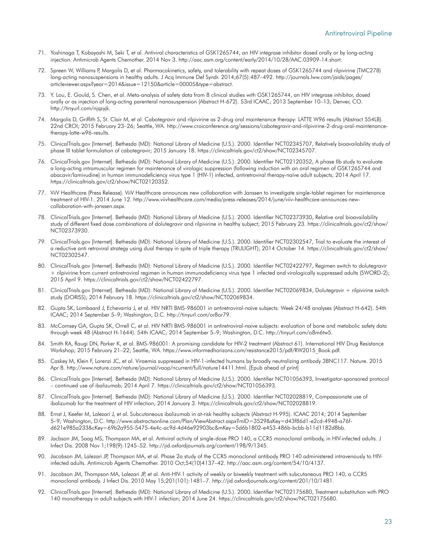- 71. Yoshinaga T, Kobayashi M, Seki T, et al. Antiviral characteristics of GSK1265744, an HIV integrase inhibitor dosed orally or by long-acting injection. Antimicrob Agents Chemother. 2014 Nov 3.<http://aac.asm.org/content/early/2014/10/28/AAC.03909-14.short>.
- 72. Spreen W, Williams P, Margolis D, et al. Pharmacokinetics, safety, and tolerability with repeat doses of GSK1265744 and rilpivirine (TMC278) long-acting nanosuspensions in healthy adults. J Acq Immune Def Syndr. 2014;67(5):487–492. [http://journals.lww.com/jaids/pages/](http://journals.lww.com/jaids/pages/articleviewer.aspx?year=2014&issue=12150&article=00005&type=abstract) [articleviewer.aspx?year=2014&issue=12150&article=00005&type=abstract](http://journals.lww.com/jaids/pages/articleviewer.aspx?year=2014&issue=12150&article=00005&type=abstract).
- 73. Y. Lou, E. Gould, S. Chen, et al. Meta-analysis of safety data from 8 clinical studies with GSK1265744, an HIV integrase inhibitor, dosed orally or as injection of long-acting parenteral nanosuspension (Abstract H-672). 53rd ICAAC; 2013 September 10–13; Denver, CO. <http://tinyurl.com/njqzyjk>.
- 74. Margolis D, Griffith S, St. Clair M, et al. Cabotegravir and rilpivirine as 2-drug oral maintenance therapy: LATTE W96 results (Abstract 554LB). 22nd CROI; 2015 February 23–26; Seattle, WA. [http://www.croiconference.org/sessions/cabotegravir-and-rilpivirine-2-drug-oral-maintenance](http://www.croiconference.org/sessions/cabotegravir-and-rilpivirine-2-drug-oral-maintenance-therapy-latte-w96-results)[therapy-latte-w96-results](http://www.croiconference.org/sessions/cabotegravir-and-rilpivirine-2-drug-oral-maintenance-therapy-latte-w96-results).
- 75. ClinicalTrials.gov [Internet]. Bethesda (MD): National Library of Medicine (U.S.). 2000. Identifier NCT02345707, Relatively bioavailability study of phase III tablet formulation of cabotegravir; 2015 January 18.<https://clinicaltrials.gov/ct2/show/NCT02345707>.
- 76. ClinicalTrials.gov [Internet]. Bethesda (MD): National Library of Medicine (U.S.). 2000. Identifier NCT02120352, A phase IIb study to evaluate a long-acting intramuscular regimen for maintenance of virologic suppression (following induction with an oral regimen of GSK1265744 and abacavir/lamivudine) in human immunodeficiency virus type 1 (HIV-1) infected, antiretroviral therapy-naïve adult subjects; 2014 April 17. [https://clinicaltrials.gov/ct2/show/NCT02120352.](https://clinicaltrials.gov/ct2/show/NCT02120352)
- 77. ViiV Healthcare (Press Release). ViiV Healthcare announces new collaboration with Janssen to investigate single-tablet regimen for maintenance treatment of HIV-1. 2014 June 12. [http://www.viivhealthcare.com/media/press-releases/2014/june/viiv-healthcare-announces-new](http://www.viivhealthcare.com/media/press-releases/2014/june/viiv-healthcare-announces-new-collaboration-with-janssen.aspx)[collaboration-with-janssen.aspx.](http://www.viivhealthcare.com/media/press-releases/2014/june/viiv-healthcare-announces-new-collaboration-with-janssen.aspx)
- 78. ClinicalTrials.gov [Internet]. Bethesda (MD): National Library of Medicine (U.S.). 2000. Identifier NCT02373930, Relative oral bioavailability study of different fixed dose combinations of dolutegravir and rilpivirine in healthy subject; 2015 February 23. [https://clinicaltrials.gov/ct2/show/](https://clinicaltrials.gov/ct2/show/NCT02373930) [NCT02373930.](https://clinicaltrials.gov/ct2/show/NCT02373930)
- 79. ClinicalTrials.gov [Internet]. Bethesda (MD): National Library of Medicine (U.S.). 2000. Identifier NCT02302547, Trial to evaluate the interest of a reductive anti retroviral strategy using dual therapy in spite of triple therapy (TRULIGHT); 2014 October 14. [https://clinicaltrials.gov/ct2/show/](https://clinicaltrials.gov/ct2/show/NCT02302547) [NCT02302547.](https://clinicaltrials.gov/ct2/show/NCT02302547)
- 80. ClinicalTrials.gov [Internet]. Bethesda (MD): National Library of Medicine (U.S.). 2000. Identifier NCT02422797, Regimen switch to dolutegravir + rilpivirine from current antiretroviral regimen in human immunodeficiency virus type 1 infected and virologically suppressed adults (SWORD-2); 2015 April 9. [https://clinicaltrials.gov/ct2/show/NCT02422797.](https://clinicaltrials.gov/ct2/show/NCT02422797)
- 81. ClinicalTrials.gov [Internet]. Bethesda (MD): National Library of Medicine (U.S.). 2000. Identifier NCT02069834, Dolutegravir + rilpivirine switch study (DORISS); 2014 February 18. [https://clinicaltrials.gov/ct2/show/NCT02069834.](https://clinicaltrials.gov/ct2/show/NCT02069834)
- 82. Gupta SK, Lombaard J, Echevarría J, et al. HIV NRTI BMS-986001 in antiretroviral-naïve subjects: Week 24/48 analyses (Abstract H-642). 54th ICAAC; 2014 September 5–9; Washington, D.C. [http://tinyurl.com/or8or79.](http://tinyurl.com/or8or79)
- 83. McComsey GA, Gupta SK, Orrell C, et al. HIV NRTI BMS-986001 in antiretroviral-naive subjects: evaluation of bone and metabolic safety data through week 48 (Abstract H-1644). 54th ICAAC; 2014 September 5–9; Washington, D.C. [http://tinyurl.com/o8m6tw5.](http://tinyurl.com/o8m6tw5)
- 84. Smith RA, Raugi DN, Parker K, et al. BMS-986001: A promising candidate for HIV-2 treatment (Abstract 61). International HIV Drug Resistance Workshop; 2015 February 21–22; Seattle, WA. [https://www.informedhorizons.com/resistance2015/pdf/RW2015\\_Book.pdf](https://www.informedhorizons.com/resistance2015/pdf/RW2015_Book.pdf).
- 85. Caskey M, Klein F, Lorenzi JC, et al. Viraemia suppressed in HIV-1-infected humans by broadly neutralizing antibody 3BNC117. Nature. 2015 Apr 8.<http://www.nature.com/nature/journal/vaop/ncurrent/full/nature14411.html>. [Epub ahead of print]
- 86. ClinicalTrials.gov [Internet]. Bethesda (MD): National Library of Medicine (U.S.). 2000. Identifier NCT01056393, Investigator-sponsored protocol – continued use of ibalizumab; 2014 April 7. [https://clinicaltrials.gov/ct2/show/NCT01056393.](https://clinicaltrials.gov/ct2/show/NCT01056393)
- 87. ClinicalTrials.gov [Internet]. Bethesda (MD): National Library of Medicine (U.S.). 2000. Identifier NCT02028819, Compassionate use of ibalizumab for the treatment of HIV infection; 2014 January 3.<https://clinicaltrials.gov/ct2/show/NCT02028819>.
- 88. Ernst J, Keefer M, Lalezari J, et al. Subcutaneous ibalizumab in at-risk healthy subjects (Abstract H-995). ICAAC 2014; 2014 September 5–9; Washington, D.C. [http://www.abstractsonline.com/Plan/ViewAbstract.aspx?mID=3529&sKey=d43f86d1-e2cd-4948-a76f](http://www.abstractsonline.com/Plan/ViewAbstract.aspx?mID=3529&sKey=d43f86d1-e2cd-4948-a76f-d621e985a233&cKey=69b2a955-5475-4e4c-ac9d-4d46e92903bc&mKey=5d6b1802-e453-486b-bcbb-b11d1182d8bb)[d621e985a233&cKey=69b2a955-5475-4e4c-ac9d-4d46e92903bc&mKey=5d6b1802-e453-486b-bcbb-b11d1182d8bb.](http://www.abstractsonline.com/Plan/ViewAbstract.aspx?mID=3529&sKey=d43f86d1-e2cd-4948-a76f-d621e985a233&cKey=69b2a955-5475-4e4c-ac9d-4d46e92903bc&mKey=5d6b1802-e453-486b-bcbb-b11d1182d8bb)
- 89. Jacbson JM, Saag MS, Thompson MA, et al. Antiviral activity of single-dose PRO 140, a CCR5 monoclonal antibody, in HIV-infected adults. J Infect Dis. 2008 Nov 1;198(9):1245–52. [http://jid.oxfordjournals.org/content/198/9/1345.](http://jid.oxfordjournals.org/content/198/9/1345)
- 90. Jacobson JM, Lalezari JP, Thompson MA, et al. Phase 2a study of the CCR5 monoclonal antibody PRO 140 administered intravenously to HIVinfected adults. Antimicrob Agents Chemother. 2010 Oct;54(10)4137–42. [http://aac.asm.org/content/54/10/4137.](http://aac.asm.org/content/54/10/4137)
- 91. Jacobson JM, Thompson MA, Lalezari JP, et al. Anti-HIV-1 activity of weekly or biweekly treatment with subcutaneous PRO 140, a CCR5 monoclonal antibody. J Infect Dis. 2010 May 15;201(101):1481–7. [http://jid.oxfordjournals.org/content/201/10/1481.](http://jid.oxfordjournals.org/content/201/10/1481)
- 92. ClinicalTrials.gov [Internet]. Bethesda (MD): National Library of Medicine (U.S.). 2000. Identifier NCT02175680, Treatment substitution with PRO 140 monotherapy in adult subjects with HIV-1 infection; 2014 June 24. [https://clinicaltrials.gov/ct2/show/NCT02175680.](https://clinicaltrials.gov/ct2/show/NCT02175680)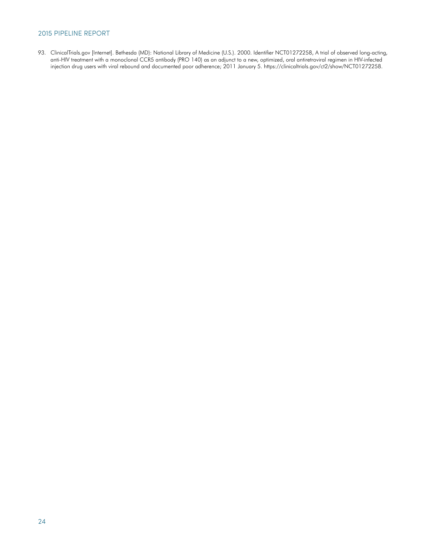93. ClinicalTrials.gov [Internet]. Bethesda (MD): National Library of Medicine (U.S.). 2000. Identifier NCT01272258, A trial of observed long-acting, anti-HIV treatment with a monoclonal CCR5 antibody (PRO 140) as an adjunct to a new, optimized, oral antiretroviral regimen in HIV-infected injection drug users with viral rebound and documented poor adherence; 2011 January 5. [https://clinicaltrials.gov/ct2/show/NCT01272258.](https://clinicaltrials.gov/ct2/show/NCT01272258)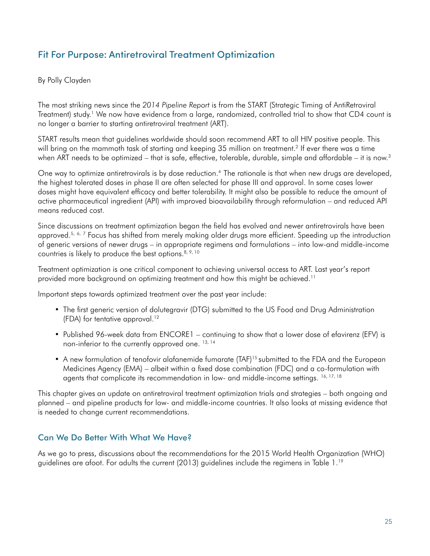## Fit For Purpose: Antiretroviral Treatment Optimization

By Polly Clayden

The most striking news since the *2014 Pipeline Report* is from the START (Strategic Timing of AntiRetroviral Treatment) study.<sup>1</sup> We now have evidence from a large, randomized, controlled trial to show that CD4 count is no longer a barrier to starting antiretroviral treatment (ART).

START results mean that guidelines worldwide should soon recommend ART to all HIV positive people. This will bring on the mammoth task of starting and keeping 35 million on treatment.<sup>2</sup> If ever there was a time when ART needs to be optimized – that is safe, effective, tolerable, durable, simple and affordable – it is now.<sup>3</sup>

One way to optimize antiretrovirals is by dose reduction.<sup>4</sup> The rationale is that when new drugs are developed, the highest tolerated doses in phase II are often selected for phase III and approval. In some cases lower doses might have equivalent efficacy and better tolerability. It might also be possible to reduce the amount of active pharmaceutical ingredient (API) with improved bioavailability through reformulation – and reduced API means reduced cost.

Since discussions on treatment optimization began the field has evolved and newer antiretrovirals have been approved.<sup>5, 6, 7</sup> Focus has shifted from merely making older drugs more efficient. Speeding up the introduction of generic versions of newer drugs – in appropriate regimens and formulations – into low-and middle-income countries is likely to produce the best options.  $8, 9, 10$ 

Treatment optimization is one critical component to achieving universal access to ART. Last year's report provided more background on optimizing treatment and how this might be achieved.11

Important steps towards optimized treatment over the past year include:

- The first generic version of dolutegravir (DTG) submitted to the US Food and Drug Administration (FDA) for tentative approval.<sup>12</sup>
- Published 96-week data from ENCORE1 continuing to show that a lower dose of efavirenz (EFV) is non-inferior to the currently approved one. <sup>13, 14</sup>
- A new formulation of tenofovir alafanemide fumarate (TAF)<sup>15</sup> submitted to the FDA and the European Medicines Agency (EMA) – albeit within a fixed dose combination (FDC) and a co-formulation with agents that complicate its recommendation in low- and middle-income settings. <sup>16, 17, 18</sup>

This chapter gives an update on antiretroviral treatment optimization trials and strategies – both ongoing and planned – and pipeline products for low- and middle-income countries. It also looks at missing evidence that is needed to change current recommendations.

## Can We Do Better With What We Have?

As we go to press, discussions about the recommendations for the 2015 World Health Organization (WHO) guidelines are afoot. For adults the current (2013) guidelines include the regimens in Table 1.19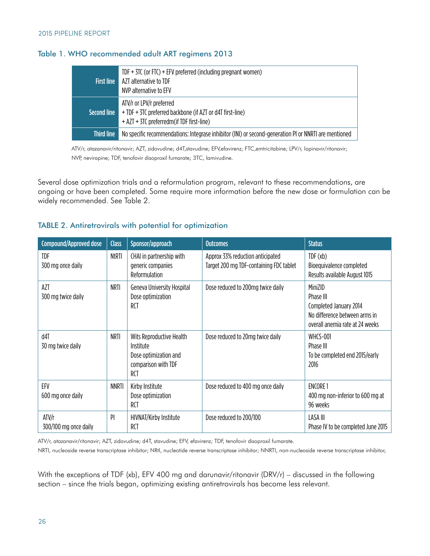### Table 1. WHO recommended adult ART regimens 2013

| <b>First line</b> | TDF $+$ 3TC (or FTC) $+$ EFV preferred (including pregnant women)<br>AZT alternative to TDF<br>NVP alternative to EFV              |
|-------------------|------------------------------------------------------------------------------------------------------------------------------------|
| Second line       | ATV/r or LPV/r preferred<br>+ TDF + 3TC preferred backbone (if AZT or d4T first-line)<br>+ AZT + 3TC preferredm(if TDF first-line) |
| <b>Third line</b> | No specific recommendations: Integrase inhibitor (INI) or second-generation PI or NNRTI are mentioned                              |

ATV/r, atazanavir/ritonavir; AZT, zidovudine; d4T,stavudine; EFV,efavirenz; FTC,emtricitabine; LPV/r, lopinavir/ritonavir; NVP, nevirapine; TDF, tenofovir disoproxil fumarate; 3TC, lamivudine.

Several dose optimization trials and a reformulation program, relevant to these recommendations, are ongoing or have been completed. Some require more information before the new dose or formulation can be widely recommended. See Table 2.

| Compound/Approved dose          | <b>Class</b> | Sponsor/approach                                                                                    | <b>Outcomes</b>                                                             | <b>Status</b>                                                                                                      |
|---------------------------------|--------------|-----------------------------------------------------------------------------------------------------|-----------------------------------------------------------------------------|--------------------------------------------------------------------------------------------------------------------|
| <b>TDF</b><br>300 mg once daily | <b>NtRTI</b> | CHAI in partnership with<br>generic companies<br>Reformulation                                      | Approx 33% reduction anticipated<br>Target 200 mg TDF-containing FDC tablet | IDF(xb)<br>Bioequivalence completed<br>Results available August 1015                                               |
| AZT<br>300 mg twice daily       | <b>NRTI</b>  | Geneva University Hospital<br>Dose optimization<br><b>RCT</b>                                       | Dose reduced to 200mg twice daily                                           | MiniZID<br>Phase III<br>Completed January 2014<br>No difference between arms in<br>overall anemia rate at 24 weeks |
| d4T<br>30 mg twice daily        | <b>NRTI</b>  | Wits Reproductive Health<br>Institute<br>Dose optimization and<br>comparison with TDF<br><b>RCT</b> | Dose reduced to 20mg twice daily                                            | <b>WHCS-001</b><br>Phase III<br>To be completed end 2015/early<br>2016                                             |
| EFV<br>600 mg once daily        | <b>NNRTI</b> | Kirby Institute<br>Dose optimization<br><b>RCT</b>                                                  | Dose reduced to 400 mg once daily                                           | <b>ENCORE 1</b><br>400 mg non-inferior to 600 mg at<br>96 weeks                                                    |
| AY/r<br>300/100 mg once daily   | P            | HIVNAT/Kirby Institute<br>RCT                                                                       | Dose reduced to 200/100                                                     | <b>LASA III</b><br>Phase IV to be completed June 2015                                                              |

### TABLE 2. Antiretrovirals with potential for optimization

ATV/r, atazanavir/ritonavir; AZT, zidovudine; d4T, stavudine; EFV, efavirenz; TDF, tenofovir disoproxil fumarate.

NRTI, nucleoside reverse transcriptase inhibitor; NRtI, nucleotide reverse transcriptase inhibitor; NNRTI, non-nucleoside reverse transcriptase inhibitor,

With the exceptions of TDF (xb), EFV 400 mg and darunavir/ritonavir (DRV/r) – discussed in the following section – since the trials began, optimizing existing antiretrovirals has become less relevant.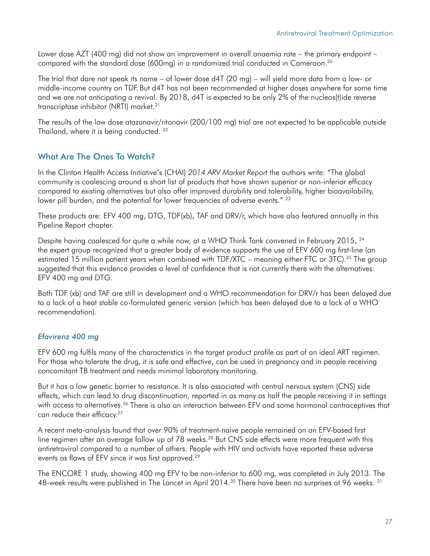Lower dose AZT (400 mg) did not show an improvement in overall anaemia rate – the primary endpoint – compared with the standard dose (600mg) in a randomized trial conducted in Cameroon.20

The trial that dare not speak its name – of lower dose d4T (20 mg) – will yield more data from a low- or middle-income country on TDF. But d4T has not been recommended at higher doses anywhere for some time and we are not anticipating a revival. By 2018, d4T is expected to be only 2% of the nucleos(t)ide reverse transcriptase inhibitor (NRTI) market.21

The results of the low dose atazanavir/ritonavir (200/100 mg) trial are not expected to be applicable outside Thailand, where it is being conducted. 22

## What Are The Ones To Watch?

In the Clinton Health Access Initiative's (CHAI) *2014 ARV Market Report* the authors write: "The global community is coalescing around a short list of products that have shown superior or non-inferior efficacy compared to existing alternatives but also offer improved durability and tolerability, higher bioavailability, lower pill burden, and the potential for lower frequencies of adverse events."<sup>23</sup>

These products are: EFV 400 mg, DTG, TDF(xb), TAF and DRV/r, which have also featured annually in this Pipeline Report chapter.

Despite having coalesced for quite a while now, at a WHO Think Tank convened in February 2015, <sup>24</sup> the expert group recognized that a greater body of evidence supports the use of EFV 600 mg first-line (an estimated 15 million patient years when combined with TDF/XTC – meaning either FTC or 3TC).<sup>25</sup> The group suggested that this evidence provides a level of confidence that is not currently there with the alternatives: EFV 400 mg and DTG.

Both TDF (xb) and TAF are still in development and a WHO recommendation for DRV/r has been delayed due to a lack of a heat stable co-formulated generic version (which has been delayed due to a lack of a WHO recommendation).

## *Efavirenz 400 mg*

EFV 600 mg fulfils many of the characteristics in the target product profile as part of an ideal ART regimen. For those who tolerate the drug, it is safe and effective, can be used in pregnancy and in people receiving concomitant TB treatment and needs minimal laboratory monitoring.

But it has a low genetic barrier to resistance. It is also associated with central nervous system (CNS) side effects, which can lead to drug discontinuation, reported in as many as half the people receiving it in settings with access to alternatives.<sup>26</sup> There is also an interaction between EFV and some hormonal contraceptives that can reduce their efficacy.<sup>27</sup>

A recent meta-analysis found that over 90% of treatment-naive people remained on an EFV-based first line regimen after an average follow up of 78 weeks.<sup>28</sup> But CNS side effects were more frequent with this antiretroviral compared to a number of others. People with HIV and activists have reported these adverse events as flaws of EFV since it was first approved.29

The ENCORE 1 study, showing 400 mg EFV to be non-inferior to 600 mg, was completed in July 2013. The 48-week results were published in The Lancet in April 2014.<sup>30</sup> There have been no surprises at 96 weeks. <sup>31</sup>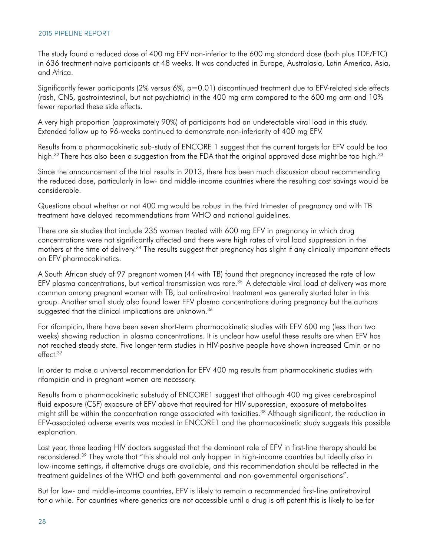The study found a reduced dose of 400 mg EFV non-inferior to the 600 mg standard dose (both plus TDF/FTC) in 636 treatment-naive participants at 48 weeks. It was conducted in Europe, Australasia, Latin America, Asia, and Africa.

Significantly fewer participants (2% versus 6%, p=0.01) discontinued treatment due to EFV-related side effects (rash, CNS, gastrointestinal, but not psychiatric) in the 400 mg arm compared to the 600 mg arm and 10% fewer reported these side effects.

A very high proportion (approximately 90%) of participants had an undetectable viral load in this study. Extended follow up to 96-weeks continued to demonstrate non-inferiority of 400 mg EFV.

Results from a pharmacokinetic sub-study of ENCORE 1 suggest that the current targets for EFV could be too high.<sup>32</sup> There has also been a suggestion from the FDA that the original approved dose might be too high.<sup>33</sup>

Since the announcement of the trial results in 2013, there has been much discussion about recommending the reduced dose, particularly in low- and middle-income countries where the resulting cost savings would be considerable.

Questions about whether or not 400 mg would be robust in the third trimester of pregnancy and with TB treatment have delayed recommendations from WHO and national guidelines.

There are six studies that include 235 women treated with 600 mg EFV in pregnancy in which drug concentrations were not significantly affected and there were high rates of viral load suppression in the mothers at the time of delivery.34 The results suggest that pregnancy has slight if any clinically important effects on EFV pharmacokinetics.

A South African study of 97 pregnant women (44 with TB) found that pregnancy increased the rate of low EFV plasma concentrations, but vertical transmission was rare.<sup>35</sup> A detectable viral load at delivery was more common among pregnant women with TB, but antiretroviral treatment was generally started later in this group. Another small study also found lower EFV plasma concentrations during pregnancy but the authors suggested that the clinical implications are unknown.<sup>36</sup>

For rifampicin, there have been seven short-term pharmacokinetic studies with EFV 600 mg (less than two weeks) showing reduction in plasma concentrations. It is unclear how useful these results are when EFV has not reached steady state. Five longer-term studies in HIV-positive people have shown increased Cmin or no effect.37

In order to make a universal recommendation for EFV 400 mg results from pharmacokinetic studies with rifampicin and in pregnant women are necessary.

Results from a pharmacokinetic substudy of ENCORE1 suggest that although 400 mg gives cerebrospinal fluid exposure (CSF) exposure of EFV above that required for HIV suppression, exposure of metabolites might still be within the concentration range associated with toxicities.38 Although significant, the reduction in EFV-associated adverse events was modest in ENCORE1 and the pharmacokinetic study suggests this possible explanation.

Last year, three leading HIV doctors suggested that the dominant role of EFV in first-line therapy should be reconsidered.39 They wrote that "this should not only happen in high-income countries but ideally also in low-income settings, if alternative drugs are available, and this recommendation should be reflected in the treatment guidelines of the WHO and both governmental and non-governmental organisations".

But for low- and middle-income countries, EFV is likely to remain a recommended first-line antiretroviral for a while. For countries where generics are not accessible until a drug is off patent this is likely to be for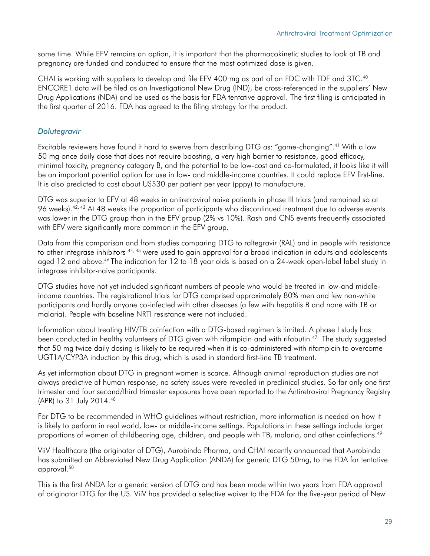some time. While EFV remains an option, it is important that the pharmacokinetic studies to look at TB and pregnancy are funded and conducted to ensure that the most optimized dose is given.

CHAI is working with suppliers to develop and file EFV 400 mg as part of an FDC with TDF and 3TC.<sup>40</sup> ENCORE1 data will be filed as an Investigational New Drug (IND), be cross-referenced in the suppliers' New Drug Applications (NDA) and be used as the basis for FDA tentative approval. The first filing is anticipated in the first quarter of 2016. FDA has agreed to the filing strategy for the product.

## *Dolutegravir*

Excitable reviewers have found it hard to swerve from describing DTG as: "game-changing".<sup>41</sup> With a low 50 mg once daily dose that does not require boosting, a very high barrier to resistance, good efficacy, minimal toxicity, pregnancy category B, and the potential to be low-cost and co-formulated, it looks like it will be an important potential option for use in low- and middle-income countries. It could replace EFV first-line. It is also predicted to cost about US\$30 per patient per year (pppy) to manufacture.

DTG was superior to EFV at 48 weeks in antiretroviral naive patients in phase III trials (and remained so at 96 weeks).<sup>42, 43</sup> At 48 weeks the proportion of participants who discontinued treatment due to adverse events was lower in the DTG group than in the EFV group (2% vs 10%). Rash and CNS events frequently associated with EFV were significantly more common in the EFV group.

Data from this comparison and from studies comparing DTG to raltegravir (RAL) and in people with resistance to other integrase inhibitors 44, 45 were used to gain approval for a broad indication in adults and adolescents aged 12 and above.46 The indication for 12 to 18 year olds is based on a 24-week open-label label study in integrase inhibitor-naive participants.

DTG studies have not yet included significant numbers of people who would be treated in low-and middleincome countries. The registrational trials for DTG comprised approximately 80% men and few non-white participants and hardly anyone co-infected with other diseases (a few with hepatitis B and none with TB or malaria). People with baseline NRTI resistance were not included.

Information about treating HIV/TB coinfection with a DTG-based regimen is limited. A phase I study has been conducted in healthy volunteers of DTG given with rifampicin and with rifabutin.<sup>47</sup> The study suggested that 50 mg twice daily dosing is likely to be required when it is co-administered with rifampicin to overcome UGT1A/CYP3A induction by this drug, which is used in standard first-line TB treatment.

As yet information about DTG in pregnant women is scarce. Although animal reproduction studies are not always predictive of human response, no safety issues were revealed in preclinical studies. So far only one first trimester and four second/third trimester exposures have been reported to the Antiretroviral Pregnancy Registry (APR) to 31 July 2014.48

For DTG to be recommended in WHO guidelines without restriction, more information is needed on how it is likely to perform in real world, low- or middle-income settings. Populations in these settings include larger proportions of women of childbearing age, children, and people with TB, malaria, and other coinfections.49

ViiV Healthcare (the originator of DTG), Aurobindo Pharma, and CHAI recently announced that Aurobindo has submitted an Abbreviated New Drug Application (ANDA) for generic DTG 50mg, to the FDA for tentative approval.50

This is the first ANDA for a generic version of DTG and has been made within two years from FDA approval of originator DTG for the US. ViiV has provided a selective waiver to the FDA for the five-year period of New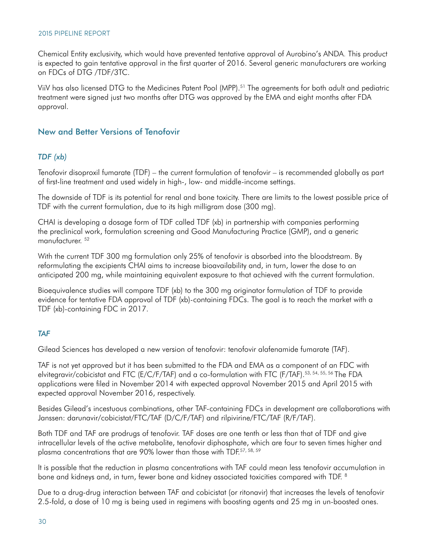Chemical Entity exclusivity, which would have prevented tentative approval of Aurobino's ANDA. This product is expected to gain tentative approval in the first quarter of 2016. Several generic manufacturers are working on FDCs of DTG /TDF/3TC.

ViiV has also licensed DTG to the Medicines Patent Pool (MPP).<sup>51</sup> The agreements for both adult and pediatric treatment were signed just two months after DTG was approved by the EMA and eight months after FDA approval.

### New and Better Versions of Tenofovir

#### *TDF (xb)*

Tenofovir disoproxil fumarate (TDF) – the current formulation of tenofovir – is recommended globally as part of first-line treatment and used widely in high-, low- and middle-income settings.

The downside of TDF is its potential for renal and bone toxicity. There are limits to the lowest possible price of TDF with the current formulation, due to its high milligram dose (300 mg).

CHAI is developing a dosage form of TDF called TDF (xb) in partnership with companies performing the preclinical work, formulation screening and Good Manufacturing Practice (GMP), and a generic manufacturer.<sup>52</sup>

With the current TDF 300 mg formulation only 25% of tenofovir is absorbed into the bloodstream. By reformulating the excipients CHAI aims to increase bioavailability and, in turn, lower the dose to an anticipated 200 mg, while maintaining equivalent exposure to that achieved with the current formulation.

Bioequivalence studies will compare TDF (xb) to the 300 mg originator formulation of TDF to provide evidence for tentative FDA approval of TDF (xb)-containing FDCs. The goal is to reach the market with a TDF (xb)-containing FDC in 2017.

#### *TAF*

Gilead Sciences has developed a new version of tenofovir: tenofovir alafenamide fumarate (TAF).

TAF is not yet approved but it has been submitted to the FDA and EMA as a component of an FDC with elvitegravir/cobicistat and FTC (E/C/F/TAF) and a co-formulation with FTC (F/TAF).<sup>53, 54, 55, 56</sup> The FDA applications were filed in November 2014 with expected approval November 2015 and April 2015 with expected approval November 2016, respectively.

Besides Gilead's incestuous combinations, other TAF-containing FDCs in development are collaborations with Janssen: darunavir/cobicistat/FTC/TAF (D/C/F/TAF) and rilpivirine/FTC/TAF (R/F/TAF).

Both TDF and TAF are prodrugs of tenofovir. TAF doses are one tenth or less than that of TDF and give intracellular levels of the active metabolite, tenofovir diphosphate, which are four to seven times higher and plasma concentrations that are 90% lower than those with TDF.57, 58, 59

It is possible that the reduction in plasma concentrations with TAF could mean less tenofovir accumulation in bone and kidneys and, in turn, fewer bone and kidney associated toxicities compared with TDF. 8

Due to a drug-drug interaction between TAF and cobicistat (or ritonavir) that increases the levels of tenofovir 2.5-fold, a dose of 10 mg is being used in regimens with boosting agents and 25 mg in un-boosted ones.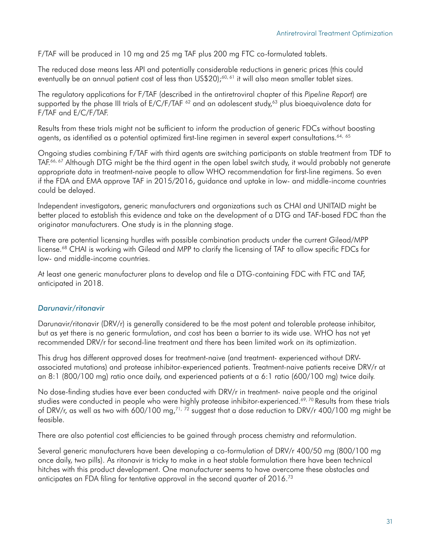F/TAF will be produced in 10 mg and 25 mg TAF plus 200 mg FTC co-formulated tablets.

The reduced dose means less API and potentially considerable reductions in generic prices (this could eventually be an annual patient cost of less than US\$20);<sup>60, 61</sup> it will also mean smaller tablet sizes.

The regulatory applications for F/TAF (described in the antiretroviral chapter of this *Pipeline Report*) are supported by the phase III trials of E/C/F/TAF <sup>62</sup> and an adolescent study,<sup>63</sup> plus bioequivalence data for F/TAF and E/C/F/TAF.

Results from these trials might not be sufficient to inform the production of generic FDCs without boosting agents, as identified as a potential optimized first-line regimen in several expert consultations.<sup>64, 65</sup>

Ongoing studies combining F/TAF with third agents are switching participants on stable treatment from TDF to TAF.66, 67 Although DTG might be the third agent in the open label switch study, it would probably not generate appropriate data in treatment-naive people to allow WHO recommendation for first-line regimens. So even if the FDA and EMA approve TAF in 2015/2016, guidance and uptake in low- and middle-income countries could be delayed.

Independent investigators, generic manufacturers and organizations such as CHAI and UNITAID might be better placed to establish this evidence and take on the development of a DTG and TAF-based FDC than the originator manufacturers. One study is in the planning stage.

There are potential licensing hurdles with possible combination products under the current Gilead/MPP license.<sup>68</sup> CHAI is working with Gilead and MPP to clarify the licensing of TAF to allow specific FDCs for low- and middle-income countries.

At least one generic manufacturer plans to develop and file a DTG-containing FDC with FTC and TAF, anticipated in 2018.

#### *Darunavir/ritonavir*

Darunavir/ritonavir (DRV/r) is generally considered to be the most potent and tolerable protease inhibitor, but as yet there is no generic formulation, and cost has been a barrier to its wide use. WHO has not yet recommended DRV/r for second-line treatment and there has been limited work on its optimization.

This drug has different approved doses for treatment-naive (and treatment- experienced without DRVassociated mutations) and protease inhibitor-experienced patients. Treatment-naive patients receive DRV/r at an 8:1 (800/100 mg) ratio once daily, and experienced patients at a 6:1 ratio (600/100 mg) twice daily.

No dose-finding studies have ever been conducted with DRV/r in treatment- naive people and the original studies were conducted in people who were highly protease inhibitor-experienced.<sup>69, 70</sup> Results from these trials of DRV/r, as well as two with 600/100 mg,<sup>71, 72</sup> suggest that a dose reduction to DRV/r 400/100 mg might be feasible.

There are also potential cost efficiencies to be gained through process chemistry and reformulation.

Several generic manufacturers have been developing a co-formulation of DRV/r 400/50 mg (800/100 mg once daily, two pills). As ritonavir is tricky to make in a heat stable formulation there have been technical hitches with this product development. One manufacturer seems to have overcome these obstacles and anticipates an FDA filing for tentative approval in the second quarter of 2016.<sup>73</sup>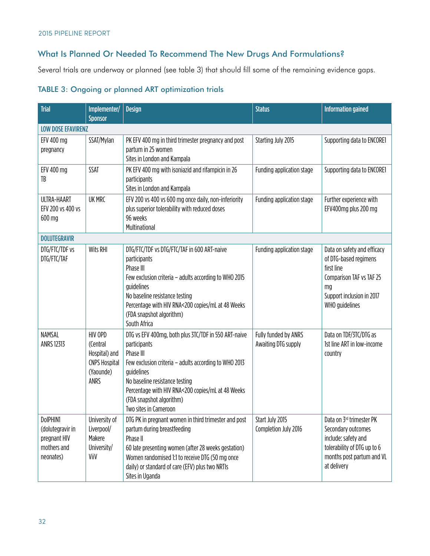# What Is Planned Or Needed To Recommend The New Drugs And Formulations?

Several trials are underway or planned (see table 3) that should fill some of the remaining evidence gaps.

# TABLE 3: Ongoing or planned ART optimization trials

| <b>Trial</b>                                                             | Implementer/                                                                      | <b>Design</b>                                                                                                                                                                                                                                                                                        | <b>Status</b>                               | <b>Information gained</b>                                                                                                                                    |  |
|--------------------------------------------------------------------------|-----------------------------------------------------------------------------------|------------------------------------------------------------------------------------------------------------------------------------------------------------------------------------------------------------------------------------------------------------------------------------------------------|---------------------------------------------|--------------------------------------------------------------------------------------------------------------------------------------------------------------|--|
|                                                                          | <b>Sponsor</b>                                                                    |                                                                                                                                                                                                                                                                                                      |                                             |                                                                                                                                                              |  |
| <b>LOW DOSE EFAVIRENZ</b>                                                |                                                                                   |                                                                                                                                                                                                                                                                                                      |                                             |                                                                                                                                                              |  |
| <b>EFV 400 mg</b><br>pregnancy                                           | SSAT/Mylan                                                                        | Starting July 2015<br>PK EFV 400 mg in third trimester pregnancy and post<br>partum in 25 women<br>Sites in London and Kampala                                                                                                                                                                       |                                             | Supporting data to ENCORE1                                                                                                                                   |  |
| EFV 400 mg<br>TB                                                         | SSAT                                                                              | PK EFV 400 mg with isoniazid and rifampicin in 26<br>participants<br>Sites in London and Kampala                                                                                                                                                                                                     | Funding application stage                   | Supporting data to ENCORE1                                                                                                                                   |  |
| ULTRA-HAART<br>EFV 200 vs 400 vs<br>600 mg                               | UK MRC                                                                            | EFV 200 vs 400 vs 600 mg once daily, non-inferiority<br>Funding application stage<br>plus superior tolerability with reduced doses<br>96 weeks<br>Multinational                                                                                                                                      |                                             | Further experience with<br>EFV400mg plus 200 mg                                                                                                              |  |
| <b>DOLUTEGRAVIR</b>                                                      |                                                                                   |                                                                                                                                                                                                                                                                                                      |                                             |                                                                                                                                                              |  |
| DTG/FTC/TDF vs<br>DTG/FTC/TAF                                            | <b>Wits RHI</b>                                                                   | DTG/FTC/TDF vs DTG/FTC/TAF in 600 ART-naive<br>participants<br>Phase III<br>Few exclusion criteria - adults according to WHO 2015<br>guidelines<br>No baseline resistance testing<br>Percentage with HIV RNA<200 copies/mL at 48 Weeks<br>(FDA snapshot algorithm)<br>South Africa                   | Funding application stage                   | Data on safety and efficacy<br>of DTG-based regimens<br>first line<br>Comparison TAF vs TAF 25<br>mg<br>Support inclusion in 2017<br>WHO guidelines          |  |
| NAMSAL<br><b>ANRS 12313</b>                                              | HIV OPD<br>(Central<br>Hospital) and<br><b>CNPS Hospital</b><br>(Yaounde)<br>ANRS | DTG vs EFV 400mg, both plus 3TC/TDF in 550 ART-naive<br>participants<br>Phase III<br>Few exclusion criteria - adults according to WHO 2013<br>guidelines<br>No baseline resistance testing<br>Percentage with HIV RNA<200 copies/mL at 48 Weeks<br>(FDA snapshot algorithm)<br>Two sites in Cameroon | Fully funded by ANRS<br>Awaiting DTG supply | Data on TDF/3TC/DTG as<br>1st line ART in low-income<br>country                                                                                              |  |
| DoIPHIN1<br>(dolutegravir in<br>pregnant HIV<br>mothers and<br>neonates) | University of<br>Liverpool/<br>Makere<br>University/<br>ViiV                      | DTG PK in pregnant women in third trimester and post<br>partum during breastfeeding<br>Phase II<br>60 late presenting women (after 28 weeks gestation)<br>Women randomised 1:1 to receive DTG (50 mg once<br>daily) or standard of care (EFV) plus two NRTIs<br>Sites in Uganda                      | Start July 2015<br>Completion July 2016     | Data on 3 <sup>rd</sup> trimester PK<br>Secondary outcomes<br>include: safety and<br>tolerability of DTG up to 6<br>months post partum and VL<br>at delivery |  |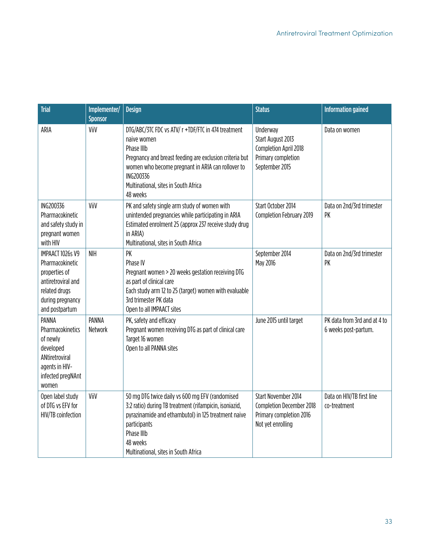| <b>Trial</b>                                                                                                                      | Implementer/<br><b>Sponsor</b> | <b>Design</b>                                                                                                                                                                                                                                                     | <b>Status</b>                                                                                   | <b>Information gained</b>                            |
|-----------------------------------------------------------------------------------------------------------------------------------|--------------------------------|-------------------------------------------------------------------------------------------------------------------------------------------------------------------------------------------------------------------------------------------------------------------|-------------------------------------------------------------------------------------------------|------------------------------------------------------|
| ARIA                                                                                                                              | ViiV                           | DTG/ABC/3TC FDC vs ATV/ r +TDF/FTC in 474 treatment<br>naive women<br>Phase IIIb<br>Pregnancy and breast feeding are exclusion criteria but<br>women who become pregnant in ARIA can rollover to<br>ING200336<br>Multinational, sites in South Africa<br>48 weeks | Underway<br>Start August 2013<br>Completion April 2018<br>Primary completion<br>September 2015  | Data on women                                        |
| ING200336<br>Pharmacokinetic<br>and safety study in<br>pregnant women<br>with HIV                                                 | ViiV                           | PK and safety single arm study of women with<br>unintended pregnancies while participating in ARIA<br>Estimated enrolment 25 (approx 237 receive study drug<br>in ARIA)<br>Multinational, sites in South Africa                                                   | Start October 2014<br>Completion February 2019                                                  | Data on 2nd/3rd trimester<br>PK                      |
| IMPAACT 1026s V9<br>Pharmacokinetic<br>properties of<br>antiretroviral and<br>related drugs<br>during pregnancy<br>and postpartum | <b>NIH</b>                     | PK<br>Phase IV<br>Pregnant women > 20 weeks gestation receiving DTG<br>as part of clinical care<br>Each study arm 12 to 25 (target) women with evaluable<br>3rd trimester PK data<br>Open to all IMPAACT sites                                                    | September 2014<br>May 2016                                                                      | Data on 2nd/3rd trimester<br>PK                      |
| PANNA<br>Pharmacokinetics<br>of newly<br>developed<br>ANtiretroviral<br>agents in HIV-<br>infected pregNAnt<br>women              | <b>PANNA</b><br>Network        | PK, safety and efficacy<br>Pregnant women receiving DTG as part of clinical care<br>Target 16 women<br>Open to all PANNA sites                                                                                                                                    | June 2015 until target                                                                          | PK data from 3rd and at 4 to<br>6 weeks post-partum. |
| Open label study<br>of DTG vs EFV for<br>HIV/TB coinfection                                                                       | ViiV                           | 50 mg DTG twice daily vs 600 mg EFV (randomised<br>3:2 ratio) during TB treatment (rifampicin, isoniazid,<br>pyrazinamide and ethambutol) in 125 treatment naive<br>participants<br>Phase IIIb<br>48 weeks<br>Multinational, sites in South Africa                | Start November 2014<br>Completion December 2018<br>Primary completion 2016<br>Not yet enrolling | Data on HIV/TB first line<br>co-treatment            |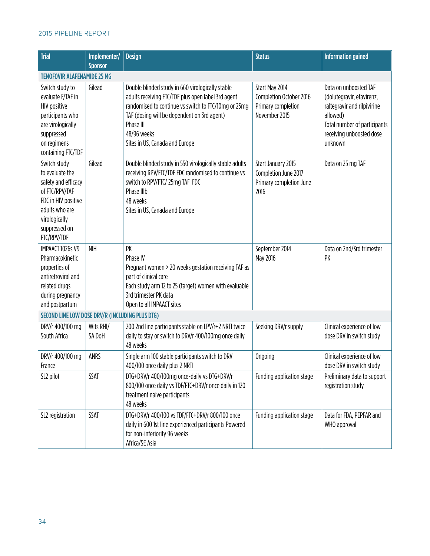| <b>Trial</b>                                                                                                                                                       | Implementer/<br><b>Sponsor</b> | <b>Design</b>                                                                                                                                                                                                                                                               | <b>Status</b>                                                                    | <b>Information gained</b>                                                                                                                                            |  |  |  |
|--------------------------------------------------------------------------------------------------------------------------------------------------------------------|--------------------------------|-----------------------------------------------------------------------------------------------------------------------------------------------------------------------------------------------------------------------------------------------------------------------------|----------------------------------------------------------------------------------|----------------------------------------------------------------------------------------------------------------------------------------------------------------------|--|--|--|
| <b>TENOFOVIR ALAFENAMIDE 25 MG</b>                                                                                                                                 |                                |                                                                                                                                                                                                                                                                             |                                                                                  |                                                                                                                                                                      |  |  |  |
| Switch study to<br>evaluate F/TAF in<br><b>HIV positive</b><br>participants who<br>are virologically<br>suppressed<br>on regimens<br>containing FTC/TDF            | Gilead                         | Double blinded study in 660 virologically stable<br>adults receiving FTC/TDF plus open label 3rd agent<br>randomised to continue vs switch to FTC/10mg or 25mg<br>TAF (dosing will be dependent on 3rd agent)<br>Phase III<br>48/96 weeks<br>Sites in US, Canada and Europe | Start May 2014<br>Completion October 2016<br>Primary completion<br>November 2015 | Data on unboosted TAF<br>(dolutegravir, efavirenz,<br>raltegravir and rilpivirine<br>allowed)<br>Total number of participants<br>receiving unboosted dose<br>unknown |  |  |  |
| Switch study<br>to evaluate the<br>safety and efficacy<br>of FTC/RPV/TAF<br>FDC in HIV positive<br>adults who are<br>virologically<br>suppressed on<br>FTC/RPV/TDF | Gilead                         | Double blinded study in 550 virologically stable adults<br>receiving RPV/FTC/TDF FDC randomised to continue vs<br>switch to RPV/FTC/25mg TAF FDC<br>Phase IIIb<br>48 weeks<br>Sites in US, Canada and Europe                                                                | Start January 2015<br>Completion June 2017<br>Primary completion June<br>2016    | Data on 25 mg TAF                                                                                                                                                    |  |  |  |
| IMPAACT 1026s V9<br>Pharmacokinetic<br>properties of<br>antiretroviral and<br>related drugs<br>during pregnancy<br>and postpartum                                  | <b>NIH</b>                     | PK<br>Phase IV<br>Pregnant women > 20 weeks gestation receiving TAF as<br>part of clinical care<br>Each study arm 12 to 25 (target) women with evaluable<br>3rd trimester PK data<br>Open to all IMPAACT sites                                                              | September 2014<br>May 2016                                                       | Data on 2nd/3rd trimester<br>PK                                                                                                                                      |  |  |  |
| SECOND LINE LOW DOSE DRV/R (INCLUDING PLUS DTG)                                                                                                                    |                                |                                                                                                                                                                                                                                                                             |                                                                                  |                                                                                                                                                                      |  |  |  |
| DRV/r 400/100 mg<br>South Africa                                                                                                                                   | Wits RHI/<br>SA DoH            | 200 2nd line participants stable on LPV/r+2 NRTI twice<br>daily to stay or switch to DRV/r 400/100mg once daily<br>48 weeks                                                                                                                                                 | Seeking DRV/r supply                                                             | Clinical experience of low<br>dose DRV in switch study                                                                                                               |  |  |  |
| DRV/r 400/100 mg<br>France                                                                                                                                         | ANRS                           | Single arm 100 stable participants switch to DRV<br>400/100 once daily plus 2 NRTI                                                                                                                                                                                          | Ongoing                                                                          | Clinical experience of low<br>dose DRV in switch study                                                                                                               |  |  |  |
| SL2 pilot                                                                                                                                                          | SSAT                           | DTG+DRV/r 400/100mg once-daily vs DTG+DRV/r<br>800/100 once daily vs TDF/FTC+DRV/r once daily in 120<br>treatment naive participants<br>48 weeks                                                                                                                            | Funding application stage                                                        | Preliminary data to support<br>registration study                                                                                                                    |  |  |  |
| SL2 registration                                                                                                                                                   | SSAT                           | DTG+DRV/r 400/100 vs TDF/FTC+DRV/r 800/100 once<br>daily in 600 1st line experienced participants Powered<br>for non-inferiority 96 weeks<br>Africa/SE Asia                                                                                                                 | Funding application stage                                                        | Data for FDA, PEPFAR and<br>WHO approval                                                                                                                             |  |  |  |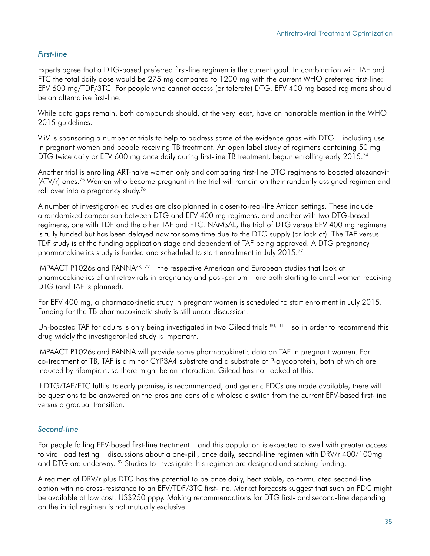# *First-line*

Experts agree that a DTG-based preferred first-line regimen is the current goal. In combination with TAF and FTC the total daily dose would be 275 mg compared to 1200 mg with the current WHO preferred first-line: EFV 600 mg/TDF/3TC. For people who cannot access (or tolerate) DTG, EFV 400 mg based regimens should be an alternative first-line.

While data gaps remain, both compounds should, at the very least, have an honorable mention in the WHO 2015 quidelines.

ViiV is sponsoring a number of trials to help to address some of the evidence gaps with DTG – including use in pregnant women and people receiving TB treatment. An open label study of regimens containing 50 mg DTG twice daily or EFV 600 mg once daily during first-line TB treatment, begun enrolling early 2015.<sup>74</sup>

Another trial is enrolling ART-naive women only and comparing first-line DTG regimens to boosted atazanavir (ATV/r) ones.<sup>75</sup> Women who become pregnant in the trial will remain on their randomly assigned regimen and roll over into a pregnancy study.76

A number of investigator-led studies are also planned in closer-to-real-life African settings. These include a randomized comparison between DTG and EFV 400 mg regimens, and another with two DTG-based regimens, one with TDF and the other TAF and FTC. NAMSAL, the trial of DTG versus EFV 400 mg regimens is fully funded but has been delayed now for some time due to the DTG supply (or lack of). The TAF versus TDF study is at the funding application stage and dependent of TAF being approved. A DTG pregnancy pharmacokinetics study is funded and scheduled to start enrollment in July 2015.77

IMPAACT P1026s and PANNA78, 79 – the respective American and European studies that look at pharmacokinetics of antiretrovirals in pregnancy and post-partum – are both starting to enrol women receiving DTG (and TAF is planned).

For EFV 400 mg, a pharmacokinetic study in pregnant women is scheduled to start enrolment in July 2015. Funding for the TB pharmacokinetic study is still under discussion.

Un-boosted TAF for adults is only being investigated in two Gilead trials 80, 81 – so in order to recommend this drug widely the investigator-led study is important.

IMPAACT P1026s and PANNA will provide some pharmacokinetic data on TAF in pregnant women. For co-treatment of TB, TAF is a minor CYP3A4 substrate and a substrate of P-glycoprotein, both of which are induced by rifampicin, so there might be an interaction. Gilead has not looked at this.

If DTG/TAF/FTC fulfils its early promise, is recommended, and generic FDCs are made available, there will be questions to be answered on the pros and cons of a wholesale switch from the current EFV-based first-line versus a gradual transition.

# *Second-line*

For people failing EFV-based first-line treatment – and this population is expected to swell with greater access to viral load testing – discussions about a one-pill, once daily, second-line regimen with DRV/r 400/100mg and DTG are underway. <sup>82</sup> Studies to investigate this regimen are designed and seeking funding.

A regimen of DRV/r plus DTG has the potential to be once daily, heat stable, co-formulated second-line option with no cross-resistance to an EFV/TDF/3TC first-line. Market forecasts suggest that such an FDC might be available at low cost: US\$250 pppy. Making recommendations for DTG first- and second-line depending on the initial regimen is not mutually exclusive.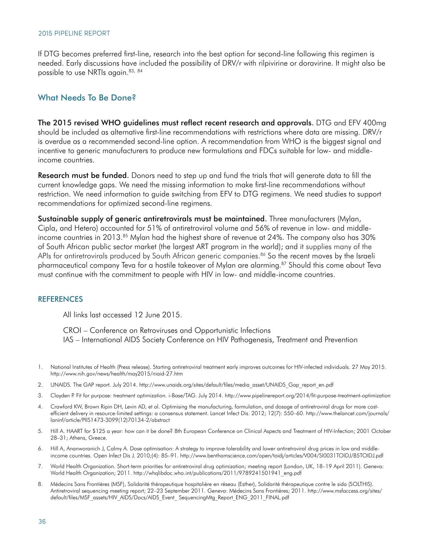If DTG becomes preferred first-line, research into the best option for second-line following this regimen is needed. Early discussions have included the possibility of DRV/r with rilpivirine or doravirine. It might also be possible to use NRTIs again.<sup>83, 84</sup>

#### What Needs To Be Done?

The 2015 revised WHO guidelines must reflect recent research and approvals. DTG and EFV 400mg should be included as alternative first-line recommendations with restrictions where data are missing. DRV/r is overdue as a recommended second-line option. A recommendation from WHO is the biggest signal and incentive to generic manufacturers to produce new formulations and FDCs suitable for low- and middleincome countries.

Research must be funded. Donors need to step up and fund the trials that will generate data to fill the current knowledge gaps. We need the missing information to make first-line recommendations without restriction. We need information to guide switching from EFV to DTG regimens. We need studies to support recommendations for optimized second-line regimens.

Sustainable supply of generic antiretrovirals must be maintained. Three manufacturers (Mylan, Cipla, and Hetero) accounted for 51% of antiretroviral volume and 56% of revenue in low- and middleincome countries in 2013.<sup>85</sup> Mylan had the highest share of revenue at 24%. The company also has 30% of South African public sector market (the largest ART program in the world); and it supplies many of the APIs for antiretrovirals produced by South African generic companies.<sup>86</sup> So the recent moves by the Israeli pharmaceutical company Teva for a hostile takeover of Mylan are alarming.<sup>87</sup> Should this come about Teva must continue with the commitment to people with HIV in low- and middle-income countries.

#### **REFERENCES**

All links last accessed 12 June 2015.

CROI – Conference on Retroviruses and Opportunistic Infections IAS – International AIDS Society Conference on HIV Pathogenesis, Treatment and Prevention

- 1. National Institutes of Health (Press release). Starting antiretroviral treatment early improves outcomes for HIV-infected individuals. 27 May 2015. <http://www.nih.gov/news/health/may2015/niaid-27.htm>
- 2. UNAIDS. The GAP report. July 2014. [http://www.unaids.org/sites/default/files/media\\_asset/UNAIDS\\_Gap\\_report\\_en.pdf](http://www.unaids.org/sites/default/files/media_asset/UNAIDS_Gap_report_en.pdf)
- 3. Clayden P. Fit for purpose: treatment optimization. i-Base/TAG. July 2014.<http://www.pipelinereport.org/2014/fit-purpose-treatment-optimization>
- 4. Crawford KW, Brown Ripin DH, Levin AD, et al. Optimising the manufacturing, formulation, and dosage of antiretroviral drugs for more costefficient delivery in resource-limited settings: a consensus statement. Lancet Infect Dis. 2012; 12(7): 550–60. [http://www.thelancet.com/journals/](http://www.thelancet.com/journals/laninf/article/PIIS1473-3099(12)70134-2/abstract) [laninf/article/PIIS1473-3099\(12\)70134-2/abstract](http://www.thelancet.com/journals/laninf/article/PIIS1473-3099(12)70134-2/abstract)
- 5. Hill A. HAART for \$125 a year: how can it be done? 8th European Conference on Clinical Aspects and Treatment of HIV-Infection; 2001 October 28–31; Athens, Greece.
- 6. Hill A, Ananworanich J, Calmy A. Dose optimisation: A strategy to improve tolerability and lower antiretroviral drug prices in low and middleincome countries. Open Infect Dis J. 2010;(4): 85–91. <http://www.benthamscience.com/open/toidj/articles/V004/SI0031TOIDJ/85TOIDJ.pdf>
- 7. World Health Organization. Short-term priorities for antiretroviral drug optimization; meeting report (London, UK, 18–19 April 2011). Geneva: World Health Organization; 2011. http://whalibdoc.who.int/publications/2011/9789241501941\_eng.pdf
- 8. Médecins Sans Frontières (MSF), Solidarité thérapeutique hospitalière en réseau (Esther), Solidarité thérapeutique contre le sida (SOLTHIS). Antiretroviral sequencing meeting report; 22–23 September 2011. Geneva: Médecins Sans Frontières; 2011. [http://www.msfaccess.org/sites/](http://www.msfaccess.org/sites/default/files/MSF_assets/HIV_AIDS/Docs/AIDS_Event_ SequencingMtg_Report_ENG_2011_FINAL.pdf) default/files/MSF\_assets/HIV\_AIDS/Docs/AIDS\_Event\_SequencingMtg\_Report\_ENG\_2011\_FINAL.pdf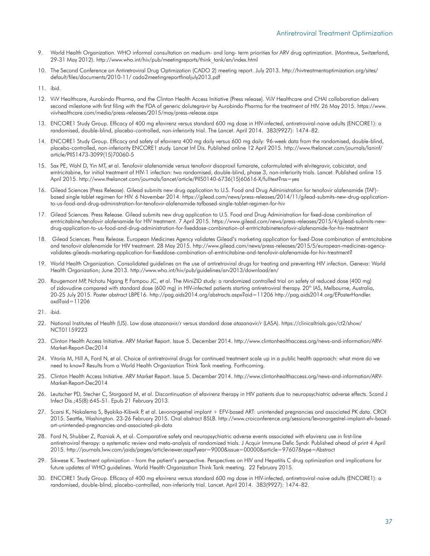- 9. World Health Organization. WHO informal consultation on medium- and long- term priorities for ARV drug optimization. (Montreux, Switzerland, 29-31 May 2012). [http://www.who.int/hiv/pub/meetingreports/think\\_tank/en/index.html](http://www.who.int/hiv/pub/meetingreports/think_tank/en/index.html)
- 10. The Second Conference on Antiretroviral Drug Optimization (CADO 2) meeting report. July 2013. [http://hivtreatmentoptimization.org/sites/](http://hivtreatmentoptimization.org/sites/default/files/documents/2010-11/ cado2meetingreportfinaljuly2013.pdf) [default/files/documents/2010-11/ cado2meetingreportfinaljuly2013.pdf](http://hivtreatmentoptimization.org/sites/default/files/documents/2010-11/ cado2meetingreportfinaljuly2013.pdf)
- 11. ibid.
- 12. ViiV Healthcare, Aurobindo Pharma, and the Clinton Health Access Initiative (Press release). ViiV Healthcare and CHAI collaboration delivers second milestone with first filing with the FDA of generic dolutegravir by Aurobindo Pharma for the treatment of HIV. 26 May 2015. [https://www.](https://www.viivhealthcare.com/media/press-releases/2015/may/press-release.aspx) [viivhealthcare.com/media/press-releases/2015/may/press-release.aspx](https://www.viivhealthcare.com/media/press-releases/2015/may/press-release.aspx)
- 13. ENCORE1 Study Group. Efficacy of 400 mg efavirenz versus standard 600 mg dose in HIV-infected, antiretroviral-naive adults (ENCORE1): a randomised, double-blind, placebo-controlled, non-inferiority trial. The Lancet. April 2014. [383\(9927](http://www.thelancet.com/journals/lancet/issue/vol383no9927/PIIS0140-6736(14)X6081-2)): 1474–82.
- 14. ENCORE1 Study Group. Efficacy and safety of efavirenz 400 mg daily versus 600 mg daily: 96-week data from the randomised, double-blind, placebo-controlled, non-inferiority ENCORE1 study. Lancet Inf Dis. Published online 12 April 2015. [http://www.thelancet.com/journals/laninf/](http://www.thelancet.com/journals/laninf/article/PIIS1473-3099(15)70060-5) [article/PIIS1473-3099\(15\)70060-5](http://www.thelancet.com/journals/laninf/article/PIIS1473-3099(15)70060-5)
- 15. Sax PE, [Wohl](file:///Users/leichou/Desktop/TAG%20Reports/Pipeline%202015/final%20text/javascript:void(0);) D, [Yin](file:///Users/leichou/Desktop/TAG%20Reports/Pipeline%202015/final%20text/javascript:void(0);) MT, et al. Tenofovir alafenamide versus tenofovir disoproxil fumarate, coformulated with elvitegravir, cobicistat, and emtricitabine, for initial treatment of HIV-1 infection: two randomised, double-blind, phase 3, non-inferiority trials. Lancet. Published online 15 April 2015. [http://www.thelancet.com/journals/lancet/article/PIIS0140-6736\(15\)60616-X/fulltext?rss=yes](http://www.thelancet.com/journals/lancet/article/PIIS0140-6736(15)60616-X/fulltext?rss=yes)
- 16. Gilead Sciences (Press Release). Gilead submits new drug application to U.S. Food and Drug Administration for tenofovir alafenamide (TAF) based single tablet regimen for HIV. 6 November 2014. [https://gilead.com/news/press-releases/2014/11/gilead-submits-new-drug-application](https://gilead.com/news/press-releases/2014/11/gilead-submits-new-drug-application-to-us-food-and-drug-administration-for-tenofovir-alafenamide-tafbased-single-tablet-regimen-for-hiv)[to-us-food-and-drug-administration-for-tenofovir-alafenamide-tafbased-single-tablet-regimen-for-hiv](https://gilead.com/news/press-releases/2014/11/gilead-submits-new-drug-application-to-us-food-and-drug-administration-for-tenofovir-alafenamide-tafbased-single-tablet-regimen-for-hiv)
- 17. Gilead Sciences. Press Release. Gilead submits new drug application to U.S. Food and Drug Administration for fixed-dose combination of emtricitabine/tenofovir alafenamide for HIV treatment. 7 April 2015. [https://www.gilead.com/news/press-releases/2015/4/gilead-submits-new](https://www.gilead.com/news/press-releases/2015/4/gilead-submits-new-drug-application-to-us-food-and-drug-administration-for-fixeddose-combination-of-emtricitabinetenofovir-alafenamide-for-hiv-treatment)[drug-application-to-us-food-and-drug-administration-for-fixeddose-combination-of-emtricitabinetenofovir-alafenamide-for-hiv-treatment](https://www.gilead.com/news/press-releases/2015/4/gilead-submits-new-drug-application-to-us-food-and-drug-administration-for-fixeddose-combination-of-emtricitabinetenofovir-alafenamide-for-hiv-treatment)
- 18. Gilead Sciences. Press Release. European Medicines Agency validates Gilead's marketing application for fixed-Dose combination of emtricitabine and tenofovir alafenamide for HIV treatment. 28 May 2015. [http://www.gilead.com/news/press-releases/2015/5/european-medicines-agency](http://www.gilead.com/news/press-releases/2015/5/european-medicines-agency-validates-gileads-marketing-application-for-fixeddose-combination-of-emtricitabine-and-tenofovir-alafenamide-for-hiv-treatment)[validates-gileads-marketing-application-for-fixeddose-combination-of-emtricitabine-and-tenofovir-alafenamide-for-hiv-treatment?](http://www.gilead.com/news/press-releases/2015/5/european-medicines-agency-validates-gileads-marketing-application-for-fixeddose-combination-of-emtricitabine-and-tenofovir-alafenamide-for-hiv-treatment)
- 19. World Health Organization. Consolidated guidelines on the use of antiretroviral drugs for treating and preventing HIV infection. Geneva: World Health Organization; June 2013. <http://www.who.int/hiv/pub/guidelines/arv2013/download/en/>
- 20. Rougemont MP, Nchotu Ngang P, Fampou JC, et al. The MiniZID study: a randomized controlled trial on safety of reduced dose (400 mg) of zidovudine compared with standard dose (600 mg) in HIV-infected patients starting antiretroviral therapy. 20<sup>th</sup> IAS, Melbourne, Australia, 20-25 July 2015. Poster abstract LBPE16.<http://pag.aids2014.org/abstracts.aspx?aid=11206> [http://pag.aids2014.org/EPosterHandler.](http://pag.aids2014.org/EPosterHandler.axd?aid=11206) [axd?aid=11206](http://pag.aids2014.org/EPosterHandler.axd?aid=11206)
- 21. ibid.
- 22. National Institutes of Health (US). Low dose atazanavir/r versus standard dose atazanavir/r (LASA). [https://clinicaltrials.gov/ct2/show/](https://clinicaltrials.gov/ct2/show/NCT01159223) [NCT01159223](https://clinicaltrials.gov/ct2/show/NCT01159223)
- 23. Clinton Health Access Initiative. ARV Market Report. Issue 5. December 2014. [http://www.clintonhealthaccess.org/news-and-information/ARV-](http://www.clintonhealthaccess.org/news-and-information/ARV-Market-Report-Dec2014)[Market-Report-Dec2014](http://www.clintonhealthaccess.org/news-and-information/ARV-Market-Report-Dec2014)
- 24. Vitoria M, Hill A, Ford N, et al. Choice of antiretroviral drugs for continued treatment scale up in a public health approach: what more do we need to know? Results from a World Health Organization Think Tank meeting. Forthcoming.
- 25. Clinton Health Access Initiative. ARV Market Report. Issue 5. December 2014. [http://www.clintonhealthaccess.org/news-and-information/ARV-](http://www.clintonhealthaccess.org/news-and-information/ARV-Market-Report-Dec2014)[Market-Report-Dec2014](http://www.clintonhealthaccess.org/news-and-information/ARV-Market-Report-Dec2014)
- 26. [Leutscher PD](http://www.ncbi.nlm.nih.gov/pubmed?term=Leutscher PD%5BAuthor%5D&cauthor=true&cauthor_uid=23427878), [Stecher C,](http://www.ncbi.nlm.nih.gov/pubmed/?term=Stecher C%5BAuthor%5D&cauthor=true&cauthor_uid=23427878) [Storgaard M](http://www.ncbi.nlm.nih.gov/pubmed/?term=Storgaard M%5BAuthor%5D&cauthor=true&cauthor_uid=23427878), et al. Discontinuation of efavirenz therapy in HIV patients due to neuropsychiatric adverse effects. Scand J Infect Dis.;45(8):645-51. Epub 21 February 2013.
- 27. Scarsi K, Nakalema S, Byakika-Kibwik P, et al. Levonorgestrel implant + EFV-based ART: unintended pregnancies and associated PK data. CROI 2015. Seattle, Washington. 23-26 February 2015. Oral abstract 85LB. [http://www.croiconference.org/sessions/levonorgestrel-implant-efv-based](http://www.croiconference.org/sessions/levonorgestrel-implant-efv-based-art-unintended-pregnancies-and-associated-pk-data)[art-unintended-pregnancies-and-associated-pk-data](http://www.croiconference.org/sessions/levonorgestrel-implant-efv-based-art-unintended-pregnancies-and-associated-pk-data)
- 28. Ford N, Shubber Z, Pozniak A, et al. Comparative safety and neuropsychiatric adverse events associated with efavirenz use in first-line antiretroviral therapy: a systematic review and meta-analysis of randomized trials. J Acquir Immune Defic Syndr. Published ahead of print 4 April 2015. <http://journals.lww.com/jaids/pages/articleviewer.aspx?year=9000&issue=00000&article=97607&type=Abstract>
- 29. Sikwese K. Treatment optimization from the patient's perspective. Perspectives on HIV and Hepatitis C drug optimization and implications for future updates of WHO guidelines. World Health Organization Think Tank meeting. 22 February 2015.
- 30. ENCORE1 Study Group. Efficacy of 400 mg efavirenz versus standard 600 mg dose in HIV-infected, antiretroviral-naive adults (ENCORE1): a randomised, double-blind, placebo-controlled, non-inferiority trial. Lancet. April 2014. [383\(9927\)](http://www.thelancet.com/journals/lancet/issue/vol383no9927/PIIS0140-6736(14)X6081-2): 1474–82.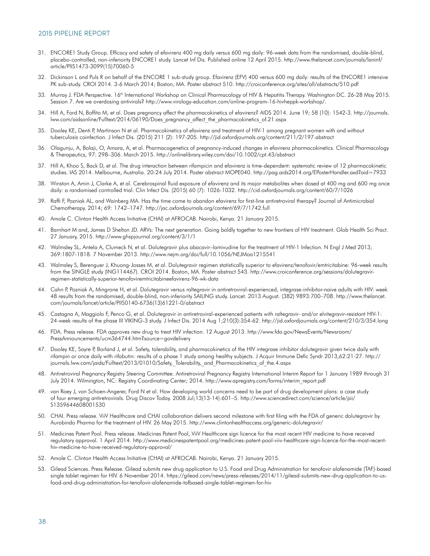- 31. ENCORE1 Study Group. Efficacy and safety of efavirenz 400 mg daily versus 600 mg daily: 96-week data from the randomised, double-blind, placebo-controlled, non-inferiority ENCORE1 study. Lancet Inf Dis. Published online 12 April 2015. [http://www.thelancet.com/journals/laninf/](http://www.thelancet.com/journals/laninf/article/PIIS1473-3099(15)70060-5) [article/PIIS1473-3099\(15\)70060-5](http://www.thelancet.com/journals/laninf/article/PIIS1473-3099(15)70060-5)
- 32. Dickinson L and Puls R on behalf of the ENCORE 1 sub-study group. Efavirenz (EFV) 400 versus 600 mg daily: results of the ENCORE1 intensive PK sub-study. CROI 2014. 3-6 March 2014; Boston, MA. Poster abstract 510. <http://croiconference.org/sites/all/abstracts/510.pdf>
- 33. Murray J. FDA Perspective. 16<sup>th</sup> International Workshop on Clinical Pharmacology of HIV & Hepatitis Therapy. Washington DC. 26-28 May 2015. Session 7. Are we overdosing antivirals? <http://www.virology-education.com/online-program-16-hivheppk-workshop/>.
- 34. Hill A, Ford N, Boffito M, et al. Does pregnancy affect the pharmacokinetics of efavirenz? AIDS 2014. June 19; 58 (10): 1542-3. [http://journals.](http://journals.lww.com/aidsonline/Fulltext/2014/06190/Does_pregnancy_affect_the_pharmacokinetics_of.21.aspx) [lww.com/aidsonline/Fulltext/2014/06190/Does\\_pregnancy\\_affect\\_the\\_pharmacokinetics\\_of.21.aspx](http://journals.lww.com/aidsonline/Fulltext/2014/06190/Does_pregnancy_affect_the_pharmacokinetics_of.21.aspx)
- 35. Dooley KE, Denti P, Martinson N et al. Pharmacokinetics of efavirenz and treatment of HIV-1 among pregnant women with and without tuberculosis coinfection. J Infect Dis. (2015) 211 (2): 197-205. <http://jid.oxfordjournals.org/content/211/2/197.abstract>
- 36. Olagunju, A, Bolaji, O, Amara, A, et al. Pharmacogenetics of pregnancy-induced changes in efavirenz pharmacokinetics. Clinical Pharmacology & Therapeutics, 97: 298–306. March 2015. <http://onlinelibrary.wiley.com/doi/10.1002/cpt.43/abstract>
- 37. Hill A, Khoo S, Back D, et al. The drug interaction between rifampicin and efavirenz is time-dependent: systematic review of 12 pharmacokinetic studies. IAS 2014. Melbourne, Australia. 20-24 July 2014. Poster abstract MOPE040. http://pag.aids2014.org/EPosterHandler.axd?aid=7933
- 38. Winston A, Amin J, Clarke A, et al. Cerebrospinal fluid exposure of efavirenz and its major metabolites when dosed at 400 mg and 600 mg once daily: a randomised controlled trial. Clin Infect Dis. (2015) 60 (7): 1026-1032. http://cid.oxfordjournals.org/content/60/7/1026
- 39. Raffi F, Pozniak AL, and Wainberg MA. Has the time come to abandon efavirenz for first-line antiretroviral therapy? Journal of Antimicrobial Chemotherapy. 2014; 69: 1742–1747. <http://jac.oxfordjournals.org/content/69/7/1742.full>
- 40. Amole C. Clinton Health Access Initiative (CHAI) at AFROCAB. Nairobi, Kenya. 21 January 2015.
- 41. Barnhart M and, James D Shelton JD. ARVs: The next generation. Going boldly together to new frontiers of HIV treatment. Glob Health Sci Pract. 27 January, 2015.<http://www.ghspjournal.org/content/3/1/1>
- 42. Walmsley SL, Antela A, Clumeck N, et al. Dolutegravir plus abacavir–lamivudine for the treatment of HIV-1 Infection. N Engl J Med 2013; 369:1807-1818. 7 November 2013. <http://www.nejm.org/doi/full/10.1056/NEJMoa1215541>
- 43. Walmsley S, Berenguer J, Khuong-Josses M, et al. Dolutegravir regimen statistically superior to efavirenz/tenofovir/emtricitabine: 96-week results from the SINGLE study (ING114467). CROI 2014. Boston, MA. Poster abstract 543. [http://www.croiconference.org/sessions/dolutegravir](http://www.croiconference.org/sessions/dolutegravir-regimen-statistically-superior-tenofoviremtricitabineefavirenz-96-wk-data)[regimen-statistically-superior-tenofoviremtricitabineefavirenz-96-wk-data](http://www.croiconference.org/sessions/dolutegravir-regimen-statistically-superior-tenofoviremtricitabineefavirenz-96-wk-data)
- 44. Cahn P, [Pozniak](file:///Users/leichou/Desktop/TAG%20Reports/Pipeline%202015/final%20text/javascript:void(0);) A, [Mingrone](file:///Users/leichou/Desktop/TAG%20Reports/Pipeline%202015/final%20text/javascript:void(0);) H, et al. Dolutegravir versus raltegravir in antiretroviral-experienced, integrase-inhibitor-naive adults with HIV: week 48 results from the randomised, double-blind, non-inferiority SAILING study. Lancet. 2013 August. [\(382\) 9893](http://www.thelancet.com/journals/lancet/issue/vol382no9893/PIIS0140-6736(13)X6040-4):700–708. [http://www.thelancet.](http://www.thelancet.com/journals/lancet/article/PIIS0140-6736(13)61221-0/abstract) [com/journals/lancet/article/PIIS0140-6736\(13\)61221-0/abstract](http://www.thelancet.com/journals/lancet/article/PIIS0140-6736(13)61221-0/abstract)
- 45. [Castagna A](http://www.ncbi.nlm.nih.gov/pubmed/?term=Castagna A%5BAuthor%5D&cauthor=true&cauthor_uid=24446523), [Maggiolo F,](http://www.ncbi.nlm.nih.gov/pubmed/?term=Maggiolo F%5BAuthor%5D&cauthor=true&cauthor_uid=24446523) [Penco G,](http://www.ncbi.nlm.nih.gov/pubmed/?term=Penco G%5BAuthor%5D&cauthor=true&cauthor_uid=24446523) et al. Dolutegravir in antiretroviral-experienced patients with raltegravir- and/or elvitegravir-resistant HIV-1: 24-week results of the phase III VIKING-3 study. J Infect Dis. 2014 Aug 1;210(3):354-62.<http://jid.oxfordjournals.org/content/210/3/354.long>
- 46. FDA. Press release. FDA approves new drug to treat HIV infection. 12 August 2013. [http://www.fda.gov/NewsEvents/Newsroom/](http://www.fda.gov/NewsEvents/Newsroom/PressAnnouncements/ucm364744.htm?source=govdelivery) [PressAnnouncements/ucm364744.htm?source=govdelivery](http://www.fda.gov/NewsEvents/Newsroom/PressAnnouncements/ucm364744.htm?source=govdelivery)
- 47. Dooley KE, [Sayre P,](http://www.ncbi.nlm.nih.gov/pubmed/?term=Sayre P%5BAuthor%5D&cauthor=true&cauthor_uid=23075918) [Borland J](http://www.ncbi.nlm.nih.gov/pubmed/?term=Borland J%5BAuthor%5D&cauthor=true&cauthor_uid=23075918), et al. Safety, tolerability, and pharmacokinetics of the HIV integrase inhibitor dolutegravir given twice daily with rifampin or once daily with rifabutin: results of a phase 1 study among healthy subjects. J Acquir Immune Defic Syndr 2013,62:21-27. [http://](http://journals.lww.com/jaids/Fulltext/2013/01010/Safety,_Tolerability,_and_Pharmacokinetics_of_the.4.aspx) journals.lww.com/jaids/Fulltext/2013/01010/Safety, Tolerability, and Pharmacokinetics of the.4.aspx
- 48. Antiretroviral Pregnancy Registry Steering Committee. Antiretroviral Pregnancy Registry International Interim Report for 1 January 1989 through 31 July 2014. Wilmington, NC: Registry Coordinating Center; 2014. [http://www.apregistry.com/forms/interim\\_report.pdf](http://www.apregistry.com/forms/interim_report.pdf)
- 49. van Roey J, von Schoen-Angerer, Ford N et al. How developing world concerns need to be part of drug development plans: a case study of four emerging antiretrovirals. Drug Discov Today. 2008 Jul;13(13-14):601–5. [http://www.sciencedirect.com/science/article/pii/](http://www.sciencedirect.com/science/article/pii/S1359644608001530) [S1359644608001530](http://www.sciencedirect.com/science/article/pii/S1359644608001530)
- 50. CHAI. Press release. ViiV Healthcare and CHAI collaboration delivers second milestone with first filing with the FDA of generic dolutegravir by Aurobindo Pharma for the treatment of HIV. 26 May 2015. <http://www.clintonhealthaccess.org/generic-dolutegravir/>
- 51. Medicines Patent Pool. Press release. [Medicines Patent Pool, ViiV Healthcare sign licence for the most recent HIV medicine to have received](http://www.medicinespatentpool.org/medicines-patent-pool-viiv-healthcare-sign-licence-for-the-most-recent-hiv-medicine-to-have-received-regulatory-approval/)  [regulatory approval](http://www.medicinespatentpool.org/medicines-patent-pool-viiv-healthcare-sign-licence-for-the-most-recent-hiv-medicine-to-have-received-regulatory-approval/). 1 April 2014. [http://www.medicinespatentpool.org/medicines-patent-pool-viiv-healthcare-sign-licence-for-the-most-recent](http://www.medicinespatentpool.org/medicines-patent-pool-viiv-healthcare-sign-licence-for-the-most-recent-hiv-medicine-to-have-received-regulatory-approval/)[hiv-medicine-to-have-received-regulatory-approval/](http://www.medicinespatentpool.org/medicines-patent-pool-viiv-healthcare-sign-licence-for-the-most-recent-hiv-medicine-to-have-received-regulatory-approval/)
- 52. Amole C. Clinton Health Access Initiative (CHAI) at AFROCAB. Nairobi, Kenya. 21 January 2015.
- 53. Gilead Sciences. Press Release. Gilead submits new drug application to U.S. Food and Drug Administration for tenofovir alafenamide (TAF)-based single tablet regimen for HIV. 6 November 2014. [https://gilead.com/news/press-releases/2014/11/gilead-submits-new-drug-application-to-us](https://gilead.com/news/press-releases/2014/11/gilead-submits-new-drug-application-to-us-food-and-drug-administration-for-tenofovir-alafenamide-tafbased-single-tablet-regimen-for-hiv)[food-and-drug-administration-for-tenofovir-alafenamide-tafbased-single-tablet-regimen-for-hiv](https://gilead.com/news/press-releases/2014/11/gilead-submits-new-drug-application-to-us-food-and-drug-administration-for-tenofovir-alafenamide-tafbased-single-tablet-regimen-for-hiv)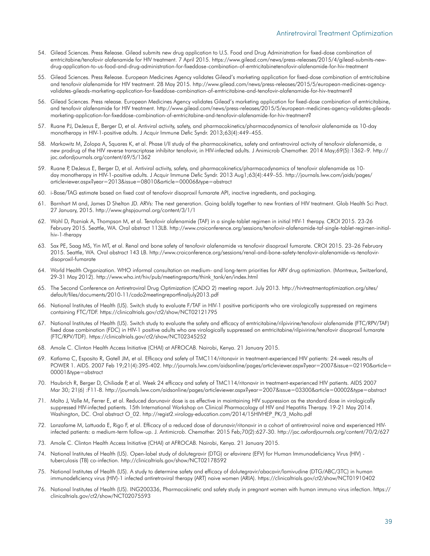- 54. Gilead Sciences. Press Release. Gilead submits new drug application to U.S. Food and Drug Administration for fixed-dose combination of emtricitabine/tenofovir alafenamide for HIV treatment. 7 April 2015. [https://www.gilead.com/news/press-releases/2015/4/gilead-submits-new](https://www.gilead.com/news/press-releases/2015/4/gilead-submits-new-drug-application-to-us-food-and-drug-administration-for-fixeddose-combination-of-emtricitabinetenofovir-alafenamide-for-hiv-treatment)[drug-application-to-us-food-and-drug-administration-for-fixeddose-combination-of-emtricitabinetenofovir-alafenamide-for-hiv-treatment](https://www.gilead.com/news/press-releases/2015/4/gilead-submits-new-drug-application-to-us-food-and-drug-administration-for-fixeddose-combination-of-emtricitabinetenofovir-alafenamide-for-hiv-treatment)
- 55. Gilead Sciences. Press Release. European Medicines Agency validates Gilead's marketing application for fixed-dose combination of emtricitabine and tenofovir alafenamide for HIV treatment. 28 May 2015. [http://www.gilead.com/news/press-releases/2015/5/european-medicines-agency](http://www.gilead.com/news/press-releases/2015/5/european-medicines-agency-validates-gileads-marketing-application-for-fixeddose-combination-of-emtricitabine-and-tenofovir-alafenamide-for-hiv-treatment)[validates-gileads-marketing-application-for-fixeddose-combination-of-emtricitabine-and-tenofovir-alafenamide-for-hiv-treatment?](http://www.gilead.com/news/press-releases/2015/5/european-medicines-agency-validates-gileads-marketing-application-for-fixeddose-combination-of-emtricitabine-and-tenofovir-alafenamide-for-hiv-treatment)
- 56. Gilead Sciences. Press release. European Medicines Agency validates Gilead's marketing application for fixed-dose combination of emtricitabine, and tenofovir alafenamide for HIV treatment. [http://www.gilead.com/news/press-releases/2015/5/european-medicines-agency-validates-gileads](http://www.gilead.com/news/press-releases/2015/5/european-medicines-agency-validates-gileads-marketing-application-for-fixeddose-combination-of-emtricitabine-and-tenofovir-alafenamide-for-hiv-treatment?)[marketing-application-for-fixeddose-combination-of-emtricitabine-and-tenofovir-alafenamide-for-hiv-treatment?](http://www.gilead.com/news/press-releases/2015/5/european-medicines-agency-validates-gileads-marketing-application-for-fixeddose-combination-of-emtricitabine-and-tenofovir-alafenamide-for-hiv-treatment?)
- 57. Ruane PJ, DeJesus E, Berger D, et al. Antiviral activity, safety, and pharmacokinetics/pharmacodynamics of tenofovir alafenamide as 10-day monotherapy in HIV-1-positive adults. J Acquir Immune Defic Syndr. 2013;63(4):449–455.
- 58. Markowitz M, Zolopa A, Squares K, et al. Phase I/II study of the pharmacokinetics, safety and antiretroviral activity of tenofovir alafenamide, a new prodrug of the HIV reverse transcriptase inhibitor tenofovir, in HIV-infected adults. J Animicrob Chemother. 2014 May;69(5):1362–9. [http://](http://jac.oxfordjournals.org/content/69/5/1362) [jac.oxfordjournals.org/content/69/5/1362](http://jac.oxfordjournals.org/content/69/5/1362)
- 59. Ruane P, DeJesus E, Berger D, et al. Antiviral activity, safety, and pharmacokinetics/pharmacodynamics of tenofovir alafenamide as 10 day monotherapy in HIV-1-positive adults. J Acquir Immune Defic Syndr. 2013 Aug1;63(4):449–55. [http://journals.lww.com/jaids/pages/](http://journals.lww.com/jaids/pages/articleviewer.aspx?year=2013&issue=08010&article=00006&type=abstract) [articleviewer.aspx?year=2013&issue=08010&article=00006&type=abstract](http://journals.lww.com/jaids/pages/articleviewer.aspx?year=2013&issue=08010&article=00006&type=abstract)
- 60. i-Base/TAG estimate based on fixed cost of tenofovir disoproxil fumarate API, inactive ingredients, and packaging.
- 61. Barnhart M and, James D Shelton JD. ARVs: The next generation. Going boldly together to new frontiers of HIV treatment. Glob Health Sci Pract. 27 January, 2015.<http://www.ghspjournal.org/content/3/1/1>
- 62. Wohl D, Pozniak A, Thompson M, et al. Tenofovir alafenamide (TAF) in a single-tablet regimen in initial HIV-1 therapy. CROI 2015. 23-26 February 2015. Seattle, WA. Oral abstract 113LB. [http://www.croiconference.org/sessions/tenofovir-alafenamide-taf-single-tablet-regimen-initial](http://www.croiconference.org/sessions/tenofovir-alafenamide-taf-single-tablet-regimen-initial-hiv-1-therapy)[hiv-1-therapy](http://www.croiconference.org/sessions/tenofovir-alafenamide-taf-single-tablet-regimen-initial-hiv-1-therapy)
- 63. Sax PE, Saag MS, Yin MT, et al. Renal and bone safety of tenofovir alafenamide vs tenofovir disoproxil fumarate. CROI 2015. 23–26 February 2015. Seattle, WA. Oral abstract 143 LB. [http://www.croiconference.org/sessions/renal-and-bone-safety-tenofovir-alafenamide-vs-tenofovir](http://www.croiconference.org/sessions/renal-and-bone-safety-tenofovir-alafenamide-vs-tenofovir-disoproxil-fumarate)[disoproxil-fumarate](http://www.croiconference.org/sessions/renal-and-bone-safety-tenofovir-alafenamide-vs-tenofovir-disoproxil-fumarate)
- 64. World Health Organization. WHO informal consultation on medium- and long-term priorities for ARV drug optimization. (Montreux, Switzerland, 29-31 May 2012). [http://www.who.int/hiv/pub/meetingreports/think\\_tank/en/index.html](http://www.who.int/hiv/pub/meetingreports/think_tank/en/index.html)
- 65. The Second Conference on Antiretroviral Drug Optimization (CADO 2) meeting report. July 2013. [http://hivtreatmentoptimization.org/sites/](http://hivtreatmentoptimization.org/sites/default/files/documents/2010-11/cado2meetingreportfinaljuly2013.pdf) [default/files/documents/2010-11/cado2meetingreportfinaljuly2013.pdf](http://hivtreatmentoptimization.org/sites/default/files/documents/2010-11/cado2meetingreportfinaljuly2013.pdf)
- 66. National Institutes of Health (US). Switch study to evaluate F/TAF in HIV-1 positive participants who are virologically suppressed on regimens containing FTC/TDF.<https://clinicaltrials.gov/ct2/show/NCT02121795>
- 67. National Institutes of Health (US). Switch study to evaluate the safety and efficacy of emtricitabine/rilpivirine/tenofovir alafenamide (FTC/RPV/TAF) fixed dose combination (FDC) in HIV-1 positive adults who are virologically suppressed on emtricitabine/rilpivirine/tenofovir disoproxil fumarate (FTC/RPV/TDF).<https://clinicaltrials.gov/ct2/show/NCT02345252>
- 68. Amole C. Clinton Health Access Initiative (CHAI) at AFROCAB. Nairobi, Kenya. 21 January 2015.
- 69. Katlama C, [Esposito R](http://www.ncbi.nlm.nih.gov/pubmed?term=Esposito R%5BAuthor%5D&cauthor=true&cauthor_uid=17301557), [Gatell JM](http://www.ncbi.nlm.nih.gov/pubmed?term=Gatell JM%5BAuthor%5D&cauthor=true&cauthor_uid=17301557), et al. Efficacy and safety of TMC114/ritonavir in treatment-experienced HIV patients: 24-week results of POWER 1. AIDS. 2007 Feb 19;21(4):395-402. [http://journals.lww.com/aidsonline/pages/articleviewer.aspx?year=2007&issue=02190&article=](http://journals.lww.com/aidsonline/pages/articleviewer.aspx?year=2007&issue=02190&article=00001&type=abstract) [00001&type=abstract](http://journals.lww.com/aidsonline/pages/articleviewer.aspx?year=2007&issue=02190&article=00001&type=abstract)
- 70. Haubrich R, Berger D, Chiliade P, et al. Week 24 efficacy and safety of TMC114/ritonavir in treatment-experienced HIV patients. AIDS 2007 Mar 30; 21(6) :F11-8.<http://journals.lww.com/aidsonline/pages/articleviewer.aspx?year=2007&issue=03300&article=00002&type=abstract>
- 71. Molto J, Valle M, Ferrer E, et al. Reduced darunavir dose is as effective in maintaining HIV suppression as the standard dose in virologically suppressed HIV-infected patients. 15th International Workshop on Clinical Pharmacology of HIV and Hepatitis Therapy. 19-21 May 2014. Washington, DC. Oral abstract O\_02. [http://regist2.virology-education.com/2014/15HIVHEP\\_PK/3\\_Molto.pdf](http://regist2.virology-education.com/2014/15HIVHEP_PK/3_Molto.pdf)
- 72. Lanzafame M, Lattuada E, Rigo F, et al. Efficacy of a reduced dose of darunavir/ritonavir in a cohort of antiretroviral naive and experienced HIVinfected patients: a medium-term follow-up. J. Antimicrob. Chemother. 2015 Feb;70(2):627-30.<http://jac.oxfordjournals.org/content/70/2/627>
- 73. Amole C. Clinton Health Access Initiative (CHAI) at AFROCAB. Nairobi, Kenya. 21 January 2015.
- 74. National Institutes of Health (US). Open-label study of dolutegravir (DTG) or efavirenz (EFV) for Human Immunodeficiency Virus (HIV) tuberculosis (TB) co-infection.<http://clinicaltrials.gov/show/NCT02178592>
- 75. National Institutes of Health (US). A study to determine safety and efficacy of dolutegravir/abacavir/lamivudine (DTG/ABC/3TC) in human immunodeficiency virus (HIV)-1 infected antiretroviral therapy (ART) naive women (ARIA).<https://clinicaltrials.gov/ct2/show/NCT01910402>
- 76. National Institutes of Health (US). ING200336, Pharmacokinetic and safety study in pregnant women with human immuno virus infection. [https://](https://clinicaltrials.gov/ct2/show/NCT02075593) [clinicaltrials.gov/ct2/show/NCT02075593](https://clinicaltrials.gov/ct2/show/NCT02075593)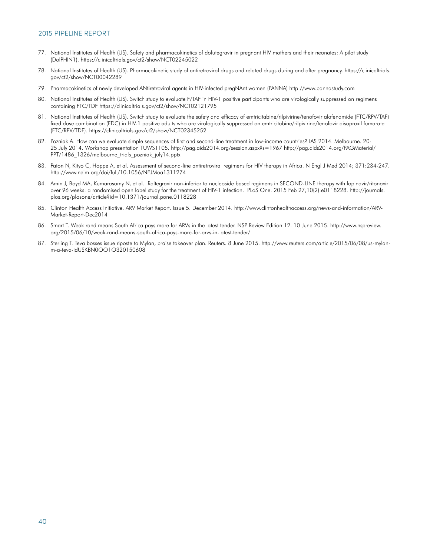- 77. National Institutes of Health (US). Safety and pharmacokinetics of dolutegravir in pregnant HIV mothers and their neonates: A pilot study (DolPHIN1). <https://clinicaltrials.gov/ct2/show/NCT02245022>
- 78. National Institutes of Health (US). Pharmacokinetic study of antiretroviral drugs and related drugs during and after pregnancy. [https://clinicaltrials.](https://clinicaltrials.gov/ct2/show/NCT00042289) [gov/ct2/show/NCT00042289](https://clinicaltrials.gov/ct2/show/NCT00042289)
- 79. Pharmacokinetics of newly developed ANtiretroviral agents in HIV-infected pregNAnt women (PANNA)<http://www.pannastudy.com>
- 80. National Institutes of Health (US). Switch study to evaluate F/TAF in HIV-1 positive participants who are virologically suppressed on regimens containing FTC/TDF <https://clinicaltrials.gov/ct2/show/NCT02121795>
- 81. National Institutes of Health (US). Switch study to evaluate the safety and efficacy of emtricitabine/rilpivirine/tenofovir alafenamide (FTC/RPV/TAF) fixed dose combination (FDC) in HIV-1 positive adults who are virologically suppressed on emtricitabine/rilpivirine/tenofovir disoproxil fumarate (FTC/RPV/TDF).<https://clinicaltrials.gov/ct2/show/NCT02345252>
- 82. Pozniak A. How can we evaluate simple sequences of first and second-line treatment in low-income countries? IAS 2014. Melbourne. 20- 25 July 2014. Workshop presentation TUWS1105. <http://pag.aids2014.org/session.aspx?s=1967> [http://pag.aids2014.org/PAGMaterial/](http://pag.aids2014.org/PAGMaterial/PPT/1486_1326/melbourne_trials_pozniak_july14.pptx) [PPT/1486\\_1326/melbourne\\_trials\\_pozniak\\_july14.pptx](http://pag.aids2014.org/PAGMaterial/PPT/1486_1326/melbourne_trials_pozniak_july14.pptx)
- 83. Paton N, Kityo C, Hoppe A, et al. Assessment of second-line antiretroviral regimens for HIV therapy in Africa. N Engl J Med 2014; 371:234-247. http://www.nejm.org/doi/full/10.1056/NEJMoa1311274
- 84. [Amin J,](http://www.ncbi.nlm.nih.gov/pubmed/?term=Amin J%5BAuthor%5D&cauthor=true&cauthor_uid=25723472) [Boyd MA,](http://www.ncbi.nlm.nih.gov/pubmed/?term=Boyd MA%5BAuthor%5D&cauthor=true&cauthor_uid=25723472) [Kumarasamy N](http://www.ncbi.nlm.nih.gov/pubmed/?term=Kumarasamy N%5BAuthor%5D&cauthor=true&cauthor_uid=25723472), et al. Raltegravir non-inferior to nucleoside based regimens in SECOND-LINE therapy with lopinavir/ritonavir over 96 weeks: a randomised open label study for the treatment of HIV-1 infection. [PLoS One.](http://www.ncbi.nlm.nih.gov/pubmed/25723472) 2015 Feb 27;10(2):e0118228. [http://journals.](http://journals.plos.org/plosone/article?id=10.1371/journal.pone.0118228) [plos.org/plosone/article?id=10.1371/journal.pone.0118228](http://journals.plos.org/plosone/article?id=10.1371/journal.pone.0118228)
- 85. Clinton Health Access Initiative. ARV Market Report. Issue 5. December 2014. [http://www.clintonhealthaccess.org/news-and-information/ARV-](http://www.clintonhealthaccess.org/news-and-information/ARV-Market-Report-Dec2014)[Market-Report-Dec2014](http://www.clintonhealthaccess.org/news-and-information/ARV-Market-Report-Dec2014)
- 86. Smart T. Weak rand means South Africa pays more for ARVs in the latest tender. NSP Review Edition 12. 10 June 2015. [http://www.nspreview.](http://www.nspreview.org/2015/06/10/weak-rand-means-south-africa-pays-more-for-arvs-in-latest-tender/) [org/2015/06/10/weak-rand-means-south-africa-pays-more-for-arvs-in-latest-tender/](http://www.nspreview.org/2015/06/10/weak-rand-means-south-africa-pays-more-for-arvs-in-latest-tender/)
- 87. Sterling T. Teva bosses issue riposte to Mylan, praise takeover plan. Reuters. 8 June 2015. [http://www.reuters.com/article/2015/06/08/us-mylan](http://www.reuters.com/article/2015/06/08/us-mylan-m-a-teva-idUSKBN0OO1O320150608)[m-a-teva-idUSKBN0OO1O320150608](http://www.reuters.com/article/2015/06/08/us-mylan-m-a-teva-idUSKBN0OO1O320150608)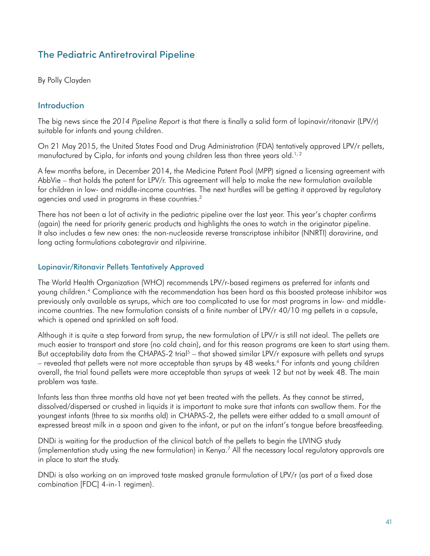# The Pediatric Antiretroviral Pipeline

By Polly Clayden

# Introduction

The big news since the *2014 Pipeline Report* is that there is finally a solid form of lopinavir/ritonavir (LPV/r) suitable for infants and young children.

On 21 May 2015, the United States Food and Drug Administration (FDA) tentatively approved LPV/r pellets, manufactured by Cipla, for infants and young children less than three years old.<sup>1,2</sup>

A few months before, in December 2014, the Medicine Patent Pool (MPP) signed a licensing agreement with AbbVie – that holds the patent for LPV/r. This agreement will help to make the new formulation available for children in low- and middle-income countries. The next hurdles will be getting it approved by regulatory agencies and used in programs in these countries.3

There has not been a lot of activity in the pediatric pipeline over the last year. This year's chapter confirms (again) the need for priority generic products and highlights the ones to watch in the originator pipeline. It also includes a few new ones: the non-nucleoside reverse transcriptase inhibitor (NNRTI) doravirine, and long acting formulations cabotegravir and rilpivirine.

#### Lopinavir/Ritonavir Pellets Tentatively Approved

The World Health Organization (WHO) recommends LPV/r-based regimens as preferred for infants and young children.4 Compliance with the recommendation has been hard as this boosted protease inhibitor was previously only available as syrups, which are too complicated to use for most programs in low- and middleincome countries. The new formulation consists of a finite number of LPV/r 40/10 mg pellets in a capsule, which is opened and sprinkled on soft food.

Although it is quite a step forward from syrup, the new formulation of LPV/r is still not ideal. The pellets are much easier to transport and store (no cold chain), and for this reason programs are keen to start using them. But acceptability data from the CHAPAS-2 trial<sup>5</sup> – that showed similar LPV/r exposure with pellets and syrups – revealed that pellets were not more acceptable than syrups by 48 weeks.6 For infants and young children overall, the trial found pellets were more acceptable than syrups at week 12 but not by week 48. The main problem was taste.

Infants less than three months old have not yet been treated with the pellets. As they cannot be stirred, dissolved/dispersed or crushed in liquids it is important to make sure that infants can swallow them. For the youngest infants (three to six months old) in CHAPAS-2, the pellets were either added to a small amount of expressed breast milk in a spoon and given to the infant, or put on the infant's tongue before breastfeeding.

DND*i* is waiting for the production of the clinical batch of the pellets to begin the LIVING study (implementation study using the new formulation) in Kenya.7 All the necessary local regulatory approvals are in place to start the study.

DND*i* is also working on an improved taste masked granule formulation of LPV/r (as part of a fixed dose combination [FDC] 4-in-1 regimen).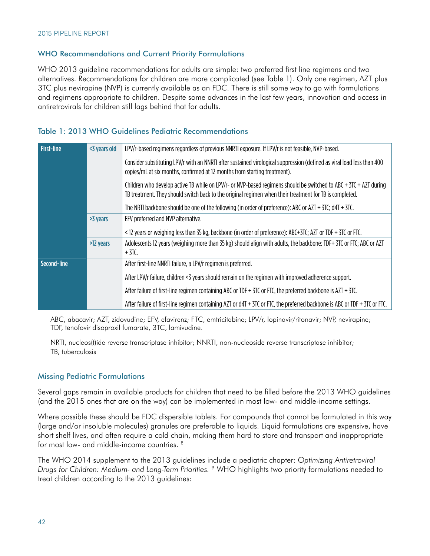#### WHO Recommendations and Current Priority Formulations

WHO 2013 guideline recommendations for adults are simple: two preferred first line regimens and two alternatives. Recommendations for children are more complicated (see Table 1). Only one regimen, AZT plus 3TC plus nevirapine (NVP) is currently available as an FDC. There is still some way to go with formulations and regimens appropriate to children. Despite some advances in the last few years, innovation and access in antiretrovirals for children still lags behind that for adults.

## Table 1: 2013 WHO Guidelines Pediatric Recommendations

| <b>First-line</b> | <3 years old | LPV/r-based regimens regardless of previous NNRTI exposure. If LPV/r is not feasible, NVP-based.                                                                                                                             |
|-------------------|--------------|------------------------------------------------------------------------------------------------------------------------------------------------------------------------------------------------------------------------------|
|                   |              | Consider substituting LPV/r with an NNRTI after sustained virological suppression (defined as viral load less than 400<br>copies/mL at six months, confirmed at 12 months from starting treatment).                          |
|                   |              | Children who develop active TB while on LPV/r- or NVP-based regimens should be switched to ABC + 3TC + AZT during<br>TB treatment. They should switch back to the original regimen when their treatment for TB is completed. |
|                   |              | The NRTI backbone should be one of the following (in order of preference): ABC or AZT + 3TC; $dAT + 3TC$ .                                                                                                                   |
|                   | >3 years     | EFV preferred and NVP alternative.                                                                                                                                                                                           |
|                   |              | <12 years or weighing less than 35 kg, backbone (in order of preference): ABC+3TC; AZT or TDF + 3TC or FTC.                                                                                                                  |
|                   | >12 years    | Adolescents 12 years (weighing more than 35 kg) should align with adults, the backbone: TDF+3TC or FTC; ABC or AZT<br>$+3$ TC.                                                                                               |
| Second-line       |              | After first-line NNRTI failure, a LPV/r regimen is preferred.                                                                                                                                                                |
|                   |              | After LPV/r failure, children <3 years should remain on the regimen with improved adherence support.                                                                                                                         |
|                   |              | After failure of first-line regimen containing ABC or TDF + 3TC or FTC, the preferred backbone is $AZT + 3TC$ .                                                                                                              |
|                   |              | After failure of first-line regimen containing AZT or d4T + 3TC or FTC, the preferred backbone is ABC or TDF + 3TC or FTC.                                                                                                   |

ABC, abacavir; AZT, zidovudine; EFV, efavirenz; FTC, emtricitabine; LPV/r, lopinavir/ritonavir; NVP, nevirapine; TDF, tenofovir disoproxil fumarate, 3TC, lamivudine.

NRTI, nucleos(t)ide reverse transcriptase inhibitor; NNRTI, non-nucleoside reverse transcriptase inhibitor; TB, tuberculosis

#### Missing Pediatric Formulations

Several gaps remain in available products for children that need to be filled before the 2013 WHO guidelines (and the 2015 ones that are on the way) can be implemented in most low- and middle-income settings.

Where possible these should be FDC dispersible tablets. For compounds that cannot be formulated in this way (large and/or insoluble molecules) granules are preferable to liquids. Liquid formulations are expensive, have short shelf lives, and often require a cold chain, making them hard to store and transport and inappropriate for most low- and middle-income countries. <sup>8</sup>

The WHO 2014 supplement to the 2013 guidelines include a pediatric chapter: *Optimizing Antiretroviral Drugs for Children: Medium- and Long-Term Priorities.* 9 WHO highlights two priority formulations needed to treat children according to the 2013 guidelines: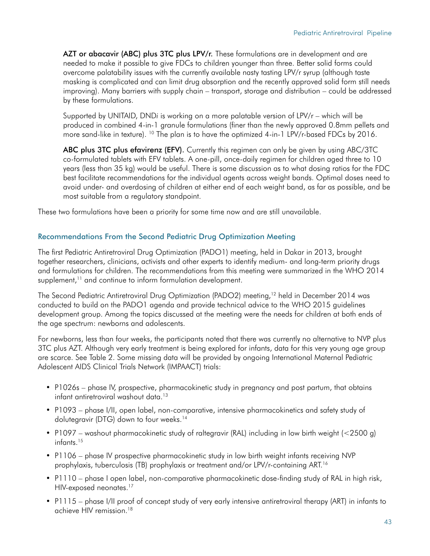AZT or abacavir (ABC) plus 3TC plus LPV/r. These formulations are in development and are needed to make it possible to give FDCs to children younger than three. Better solid forms could overcome palatability issues with the currently available nasty tasting LPV/r syrup (although taste masking is complicated and can limit drug absorption and the recently approved solid form still needs improving). Many barriers with supply chain – transport, storage and distribution – could be addressed by these formulations.

Supported by UNITAID, DND*i* is working on a more palatable version of LPV/r – which will be produced in combined 4-in-1 granule formulations (finer than the newly approved 0.8mm pellets and more sand-like in texture). <sup>10</sup> The plan is to have the optimized  $4$ -in-1 LPV/r-based FDCs by 2016.

ABC plus 3TC plus efavirenz (EFV). Currently this regimen can only be given by using ABC/3TC co-formulated tablets with EFV tablets. A one-pill, once-daily regimen for children aged three to 10 years (less than 35 kg) would be useful. There is some discussion as to what dosing ratios for the FDC best facilitate recommendations for the individual agents across weight bands. Optimal doses need to avoid under- and overdosing of children at either end of each weight band, as far as possible, and be most suitable from a regulatory standpoint.

These two formulations have been a priority for some time now and are still unavailable.

## Recommendations From the Second Pediatric Drug Optimization Meeting

The first Pediatric Antiretroviral Drug Optimization (PADO1) meeting, held in Dakar in 2013, brought together researchers, clinicians, activists and other experts to identify medium- and long-term priority drugs and formulations for children. The recommendations from this meeting were summarized in the WHO 2014 supplement,<sup>11</sup> and continue to inform formulation development.

The Second Pediatric Antiretroviral Drug Optimization (PADO2) meeting,<sup>12</sup> held in December 2014 was conducted to build on the PADO1 agenda and provide technical advice to the WHO 2015 guidelines development group. Among the topics discussed at the meeting were the needs for children at both ends of the age spectrum: newborns and adolescents.

For newborns, less than four weeks, the participants noted that there was currently no alternative to NVP plus 3TC plus AZT. Although very early treatment is being explored for infants, data for this very young age group are scarce. See Table 2. Some missing data will be provided by ongoing International Maternal Pediatric Adolescent AIDS Clinical Trials Network (IMPAACT) trials:

- P1026s phase IV, prospective, pharmacokinetic study in pregnancy and post partum, that obtains infant antiretroviral washout data.13
- P1093 phase I/II, open label, non-comparative, intensive pharmacokinetics and safety study of dolutegravir (DTG) down to four weeks.<sup>14</sup>
- • P1097 washout pharmacokinetic study of raltegravir (RAL) including in low birth weight (<2500 g) infants.15
- P1106 phase IV prospective pharmacokinetic study in low birth weight infants receiving NVP prophylaxis, tuberculosis (TB) prophylaxis or treatment and/or LPV/r-containing ART.16
- P1110 phase I open label, non-comparative pharmacokinetic dose-finding study of RAL in high risk, HIV-exposed neonates.<sup>17</sup>
- P1115 phase I/II proof of concept study of very early intensive antiretroviral therapy (ART) in infants to achieve HIV remission.<sup>18</sup>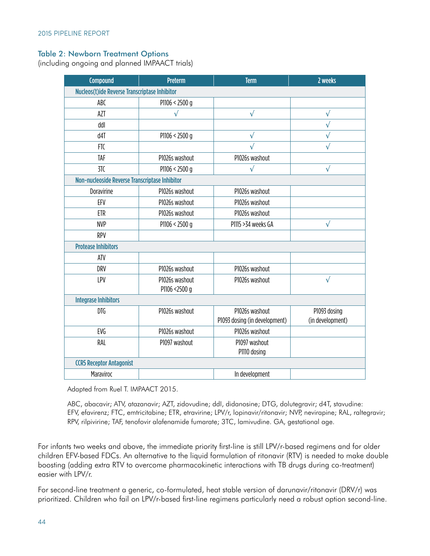## Table 2: Newborn Treatment Options

(including ongoing and planned IMPAACT trials)

| Compound                                       | <b>Preterm</b>                  | <b>Term</b>                                     | 2 weeks                          |
|------------------------------------------------|---------------------------------|-------------------------------------------------|----------------------------------|
| Nucleos(t)ide Reverse Transcriptase Inhibitor  |                                 |                                                 |                                  |
| ABC                                            | PI106 < 2500 g                  |                                                 |                                  |
| <b>AZT</b>                                     | $\sqrt{}$                       | $\sqrt{ }$                                      | $\sqrt{}$                        |
| ddl                                            |                                 |                                                 | $\sqrt{}$                        |
| d4T                                            | P1106 < 2500 g                  | $\sqrt{}$                                       | $\sqrt{}$                        |
| FTC                                            |                                 | $\sqrt{}$                                       | $\sqrt{}$                        |
| TAF                                            | P1026s washout                  | P1026s washout                                  |                                  |
| 3TC                                            | P1106 < 2500 g                  | $\sqrt{ }$                                      | $\sqrt{}$                        |
| Non-nucleoside Reverse Transcriptase Inhibitor |                                 |                                                 |                                  |
| Doravirine                                     | P1026s washout                  | P1026s washout                                  |                                  |
| EFV                                            | P1026s washout                  | P1026s washout                                  |                                  |
| <b>ETR</b>                                     | P1026s washout                  | P1026s washout                                  |                                  |
| <b>NVP</b>                                     | P1106 < 2500 g                  | P1115 > 34 weeks GA                             | $\sqrt{}$                        |
| <b>RPV</b>                                     |                                 |                                                 |                                  |
| <b>Protease Inhibitors</b>                     |                                 |                                                 |                                  |
| <b>ATV</b>                                     |                                 |                                                 |                                  |
| <b>DRV</b>                                     | P1026s washout                  | P1026s washout                                  |                                  |
| LPV                                            | P1026s washout<br>P1106 <2500 g | P1026s washout                                  | $\sqrt{}$                        |
| <b>Integrase Inhibitors</b>                    |                                 |                                                 |                                  |
| DTG                                            | P1026s washout                  | P1026s washout<br>P1093 dosing (in development) | P1093 dosing<br>(in development) |
| EVG                                            | P1026s washout                  | P1026s washout                                  |                                  |
| RAL                                            | P1097 washout                   | P1097 washout<br>P1110 dosing                   |                                  |
| <b>CCR5 Receptor Antagonist</b>                |                                 |                                                 |                                  |
| Maraviroc                                      |                                 | In development                                  |                                  |

Adapted from Ruel T. IMPAACT 2015.

ABC, abacavir; ATV, atazanavir; AZT, zidovudine; ddI, didanosine; DTG, dolutegravir; d4T, stavudine: EFV, efavirenz; FTC, emtricitabine; ETR, etravirine; LPV/r, lopinavir/ritonavir; NVP, nevirapine; RAL, raltegravir; RPV, rilpivirine; TAF, tenofovir alafenamide fumarate; 3TC, lamivudine. GA, gestational age.

For infants two weeks and above, the immediate priority first-line is still LPV/r-based regimens and for older children EFV-based FDCs. An alternative to the liquid formulation of ritonavir (RTV) is needed to make double boosting (adding extra RTV to overcome pharmacokinetic interactions with TB drugs during co-treatment) easier with LPV/r.

For second-line treatment a generic, co-formulated, heat stable version of darunavir/ritonavir (DRV/r) was prioritized. Children who fail on LPV/r-based first-line regimens particularly need a robust option second-line.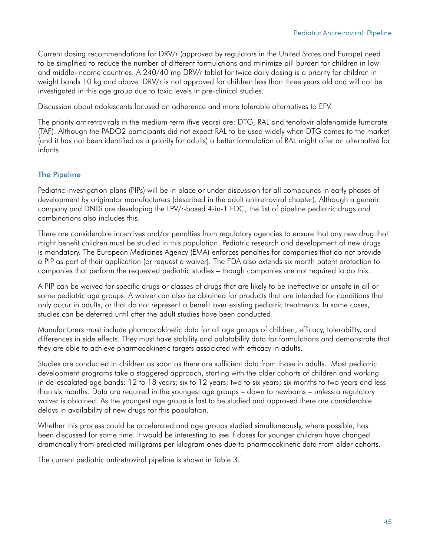Current dosing recommendations for DRV/r (approved by regulators in the United States and Europe) need to be simplified to reduce the number of different formulations and minimize pill burden for children in lowand middle-income countries. A 240/40 mg DRV/r tablet for twice daily dosing is a priority for children in weight bands 10 kg and above. DRV/r is not approved for children less than three years old and will not be investigated in this age group due to toxic levels in pre-clinical studies.

Discussion about adolescents focused on adherence and more tolerable alternatives to EFV.

The priority antiretrovirals in the medium-term (five years) are: DTG, RAL and tenofovir alafenamide fumarate (TAF). Although the PADO2 participants did not expect RAL to be used widely when DTG comes to the market (and it has not been identified as a priority for adults) a better formulation of RAL might offer an alternative for infants.

## The Pipeline

Pediatric investigation plans (PIPs) will be in place or under discussion for all compounds in early phases of development by originator manufacturers (described in the adult antiretroviral chapter). Although a generic company and DND*i* are developing the LPV/r-based 4-in-1 FDC, the list of pipeline pediatric drugs and combinations also includes this.

There are considerable incentives and/or penalties from regulatory agencies to ensure that any new drug that might benefit children must be studied in this population. Pediatric research and development of new drugs is mandatory. The European Medicines Agency (EMA) enforces penalties for companies that do not provide a PIP as part of their application (or request a waiver). The FDA also extends six month patent protection to companies that perform the requested pediatric studies – though companies are not required to do this.

A PIP can be waived for specific drugs or classes of drugs that are likely to be ineffective or unsafe in all or some pediatric age groups. A waiver can also be obtained for products that are intended for conditions that only occur in adults, or that do not represent a benefit over existing pediatric treatments. In some cases, studies can be deferred until after the adult studies have been conducted.

Manufacturers must include pharmacokinetic data for all age groups of children, efficacy, tolerability, and differences in side effects. They must have stability and palatability data for formulations and demonstrate that they are able to achieve pharmacokinetic targets associated with efficacy in adults.

Studies are conducted in children as soon as there are sufficient data from those in adults. Most pediatric development programs take a staggered approach, starting with the older cohorts of children and working in de-escalated age bands: 12 to 18 years; six to 12 years; two to six years; six months to two years and less than six months. Data are required in the youngest age groups – down to newborns – unless a regulatory waiver is obtained. As the youngest age group is last to be studied and approved there are considerable delays in availability of new drugs for this population.

Whether this process could be accelerated and age groups studied simultaneously, where possible, has been discussed for some time. It would be interesting to see if doses for younger children have changed dramatically from predicted milligrams per kilogram ones due to pharmacokinetic data from older cohorts.

The current pediatric antiretroviral pipeline is shown in Table 3.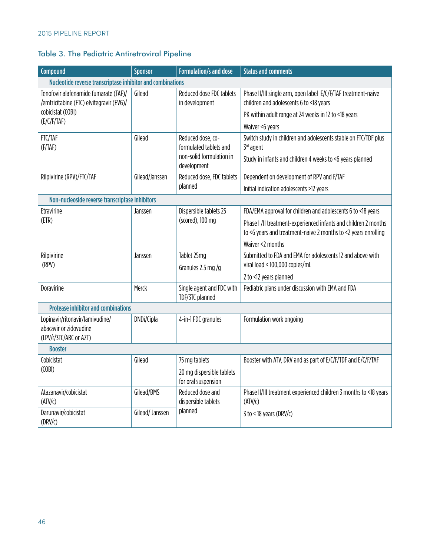# Table 3. The Pediatric Antiretroviral Pipeline

| Compound                                                                            | <b>Sponsor</b>  | Formulation/s and dose                           | <b>Status and comments</b>                                                                                                        |
|-------------------------------------------------------------------------------------|-----------------|--------------------------------------------------|-----------------------------------------------------------------------------------------------------------------------------------|
| Nucleotide reverse transcriptase inhibitor and combinations                         |                 |                                                  |                                                                                                                                   |
| Tenofovir alafenamide fumarate (TAF)/<br>/emtricitabine (FTC) elvitegravir (EVG)/   | Gilead          | Reduced dose FDC tablets<br>in development       | Phase II/III single arm, open label E/C/F/TAF treatment-naive<br>children and adolescents 6 to <18 years                          |
| cobicistat (COBI)                                                                   |                 |                                                  | PK within adult range at 24 weeks in 12 to <18 years                                                                              |
| (E/C/F/TAF)                                                                         |                 |                                                  | Waiver <6 years                                                                                                                   |
| FTC/TAF<br>(F/TAF)                                                                  | Gilead          | Reduced dose, co-<br>formulated tablets and      | Switch study in children and adolescents stable on FTC/TDF plus<br>3rd agent                                                      |
|                                                                                     |                 | non-solid formulation in<br>development          | Study in infants and children 4 weeks to <6 years planned                                                                         |
| Rilpivirine (RPV)/FTC/TAF                                                           | Gilead/Janssen  | Reduced dose, FDC tablets                        | Dependent on development of RPV and F/TAF                                                                                         |
|                                                                                     |                 | planned                                          | Initial indication adolescents >12 years                                                                                          |
| Non-nucleoside reverse transcriptase inhibitors                                     |                 |                                                  |                                                                                                                                   |
| Etravirine                                                                          | Janssen         | Dispersible tablets 25                           | FDA/EMA approval for children and adolescents 6 to <18 years                                                                      |
| (ETR)                                                                               |                 | (scored), 100 mg                                 | Phase I /II treatment-experienced infants and children 2 months<br>to <6 years and treatment-naive 2 months to <2 years enrolling |
|                                                                                     |                 |                                                  | Waiver <2 months                                                                                                                  |
| Rilpivirine<br>(RPV)                                                                | Janssen         | Tablet 25mg<br>Granules 2.5 mg /g                | Submitted to FDA and EMA for adolescents 12 and above with<br>viral load < 100,000 copies/mL                                      |
|                                                                                     |                 |                                                  | 2 to <12 years planned                                                                                                            |
| Doravirine                                                                          | Merck           | Single agent and FDC with<br>TDF/3TC planned     | Pediatric plans under discussion with EMA and FDA                                                                                 |
| <b>Protease inhibitor and combinations</b>                                          |                 |                                                  |                                                                                                                                   |
| Lopinavir/ritonavir/lamivudine/<br>abacavir or zidovudine<br>(LPV/r/3TC/ABC or AZT) | DNDi/Cipla      | 4-in-1 FDC granules                              | Formulation work ongoing                                                                                                          |
| <b>Booster</b>                                                                      |                 |                                                  |                                                                                                                                   |
| Cobicistat                                                                          | Gilead          | 75 mg tablets                                    | Booster with ATV, DRV and as part of E/C/F/TDF and E/C/F/TAF                                                                      |
| (COBI)                                                                              |                 | 20 mg dispersible tablets<br>for oral suspension |                                                                                                                                   |
| Atazanavir/cobicistat<br>(ATV/c)                                                    | Gilead/BMS      | Reduced dose and<br>dispersible tablets          | Phase II/III treatment experienced children 3 months to <18 years<br>(ATV/c)                                                      |
| Darunavir/cobicistat<br>(DRV/c)                                                     | Gilead/ Janssen | planned                                          | $3$ to < 18 years (DRV/c)                                                                                                         |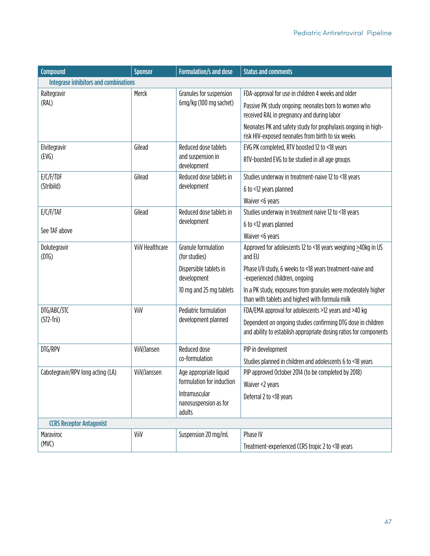| Compound                                     | <b>Sponsor</b>  | <b>Formulation/s and dose</b>                     | <b>Status and comments</b>                                                                                                        |
|----------------------------------------------|-----------------|---------------------------------------------------|-----------------------------------------------------------------------------------------------------------------------------------|
| <b>Integrase inhibitors and combinations</b> |                 |                                                   |                                                                                                                                   |
| Raltegravir                                  | Merck           | Granules for suspension<br>6mg/kg (100 mg sachet) | FDA-approval for use in children 4 weeks and older                                                                                |
| (RAL)                                        |                 |                                                   | Passive PK study ongoing: neonates born to women who<br>received RAL in pregnancy and during labor                                |
|                                              |                 |                                                   | Neonates PK and safety study for prophylaxis ongoing in high-<br>risk HIV-exposed neonates from birth to six weeks                |
| Elvitegravir                                 | Gilead          | Reduced dose tablets                              | EVG PK completed, RTV boosted 12 to <18 years                                                                                     |
| (EVG)                                        |                 | and suspension in<br>development                  | RTV-boosted EVG to be studied in all age groups                                                                                   |
| E/C/F/TDF                                    | Gilead          | Reduced dose tablets in                           | Studies underway in treatment-naive 12 to <18 years                                                                               |
| (Stribild)                                   |                 | development                                       | 6 to <12 years planned                                                                                                            |
|                                              |                 |                                                   | Waiver <6 years                                                                                                                   |
| E/C/F/TAF                                    | Gilead          | Reduced dose tablets in                           | Studies underway in treatment naive 12 to <18 years                                                                               |
|                                              |                 | development                                       | 6 to <12 years planned                                                                                                            |
| See TAF above                                |                 |                                                   | Waiver <6 years                                                                                                                   |
| Dolutegravir<br>(DTG)                        | ViiV Healthcare | Granule formulation<br>(for studies)              | Approved for adolescents 12 to <18 years weighing >40kg in US<br>and EU                                                           |
|                                              |                 | Dispersible tablets in<br>development             | Phase I/II study, 6 weeks to <18 years treatment-naive and<br>-experienced children, ongoing                                      |
|                                              |                 | 10 mg and 25 mg tablets                           | In a PK study, exposures from granules were moderately higher<br>than with tablets and highest with formula milk                  |
| DTG/ABC/3TC                                  | ViiV            | Pediatric formulation                             | FDA/EMA approval for adolescents >12 years and >40 kg                                                                             |
| $(572-Trii)$                                 |                 | development planned                               | Dependent on ongoing studies confirming DTG dose in children<br>and ability to establish appropriate dosing ratios for components |
| DTG/RPV                                      | ViiV/Jansen     | Reduced dose                                      | PIP in development                                                                                                                |
|                                              |                 | co-formulation                                    | Studies planned in children and adolescents 6 to <18 years                                                                        |
| Cabotegravir/RPV long acting (LA)            | ViiV/Janssen    | Age appropriate liquid                            | PIP approved October 2014 (to be completed by 2018)                                                                               |
|                                              |                 | formulation for induction                         | Waiver <2 years                                                                                                                   |
|                                              |                 | Intramuscular<br>nanosuspension as for<br>adults  | Deferral 2 to <18 years                                                                                                           |
| <b>CCR5 Receptor Antagonist</b>              |                 |                                                   |                                                                                                                                   |
| Maraviroc                                    | ViiV            | Suspension 20 mg/mL                               | Phase IV                                                                                                                          |
| (MVC)                                        |                 |                                                   | Treatment-experienced CCR5 tropic 2 to <18 years                                                                                  |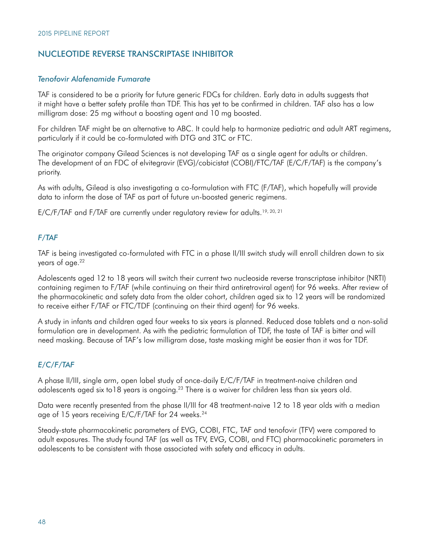# NUCLEOTIDE REVERSE TRANSCRIPTASE INHIBITOR

#### *Tenofovir Alafenamide Fumarate*

TAF is considered to be a priority for future generic FDCs for children. Early data in adults suggests that it might have a better safety profile than TDF. This has yet to be confirmed in children. TAF also has a low milligram dose: 25 mg without a boosting agent and 10 mg boosted.

For children TAF might be an alternative to ABC. It could help to harmonize pediatric and adult ART regimens, particularly if it could be co-formulated with DTG and 3TC or FTC.

The originator company Gilead Sciences is not developing TAF as a single agent for adults or children. The development of an FDC of elvitegravir (EVG)/cobicistat (COBI)/FTC/TAF (E/C/F/TAF) is the company's priority.

As with adults, Gilead is also investigating a co-formulation with FTC (F/TAF), which hopefully will provide data to inform the dose of TAF as part of future un-boosted generic regimens.

E/C/F/TAF and F/TAF are currently under regulatory review for adults.<sup>19, 20, 21</sup>

#### *F/TAF*

TAF is being investigated co-formulated with FTC in a phase II/III switch study will enroll children down to six years of age.<sup>22</sup>

Adolescents aged 12 to 18 years will switch their current two nucleoside reverse transcriptase inhibitor (NRTI) containing regimen to F/TAF (while continuing on their third antiretroviral agent) for 96 weeks. After review of the pharmacokinetic and safety data from the older cohort, children aged six to 12 years will be randomized to receive either F/TAF or FTC/TDF (continuing on their third agent) for 96 weeks.

A study in infants and children aged four weeks to six years is planned. Reduced dose tablets and a non-solid formulation are in development. As with the pediatric formulation of TDF, the taste of TAF is bitter and will need masking. Because of TAF's low milligram dose, taste masking might be easier than it was for TDF.

#### *E/C/F/TAF*

A phase II/III, single arm, open label study of once-daily E/C/F/TAF in treatment-naive children and adolescents aged six to18 years is ongoing.<sup>23</sup> There is a waiver for children less than six years old.

Data were recently presented from the phase II/III for 48 treatment-naive 12 to 18 year olds with a median age of 15 years receiving E/C/F/TAF for 24 weeks.<sup>24</sup>

Steady-state pharmacokinetic parameters of EVG, COBI, FTC, TAF and tenofovir (TFV) were compared to adult exposures. The study found TAF (as well as TFV, EVG, COBI, and FTC) pharmacokinetic parameters in adolescents to be consistent with those associated with safety and efficacy in adults.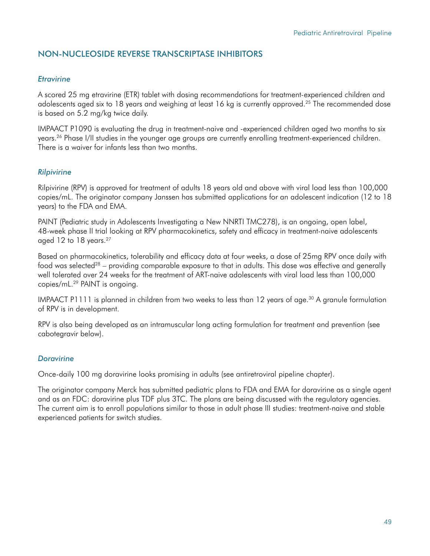# NON-NUCLEOSIDE REVERSE TRANSCRIPTASE INHIBITORS

#### *Etravirine*

A scored 25 mg etravirine (ETR) tablet with dosing recommendations for treatment-experienced children and adolescents aged six to 18 years and weighing at least 16 kg is currently approved.<sup>25</sup> The recommended dose is based on 5.2 mg/kg twice daily.

IMPAACT P1090 is evaluating the drug in treatment-naive and -experienced children aged two months to six years.<sup>26</sup> Phase I/II studies in the younger age groups are currently enrolling treatment-experienced children. There is a waiver for infants less than two months.

#### *Rilpivirine*

Rilpivirine (RPV) is approved for treatment of adults 18 years old and above with viral load less than 100,000 copies/mL. The originator company Janssen has submitted applications for an adolescent indication (12 to 18 years) to the FDA and EMA.

PAINT (Pediatric study in Adolescents Investigating a New NNRTI TMC278), is an ongoing, open label, 48-week phase II trial looking at RPV pharmacokinetics, safety and efficacy in treatment-naive adolescents aged 12 to 18 years.27

Based on pharmacokinetics, tolerability and efficacy data at four weeks, a dose of 25mg RPV once daily with food was selected<sup>28</sup> – providing comparable exposure to that in adults. This dose was effective and generally well tolerated over 24 weeks for the treatment of ART-naive adolescents with viral load less than 100,000 copies/mL.29 PAINT is ongoing.

IMPAACT P1111 is planned in children from two weeks to less than 12 years of age.<sup>30</sup> A granule formulation of RPV is in development.

RPV is also being developed as an intramuscular long acting formulation for treatment and prevention (see cabotegravir below).

#### *Doravirine*

Once-daily 100 mg doravirine looks promising in adults (see antiretroviral pipeline chapter).

The originator company Merck has submitted pediatric plans to FDA and EMA for doravirine as a single agent and as an FDC: doravirine plus TDF plus 3TC. The plans are being discussed with the regulatory agencies. The current aim is to enroll populations similar to those in adult phase III studies: treatment-naive and stable experienced patients for switch studies.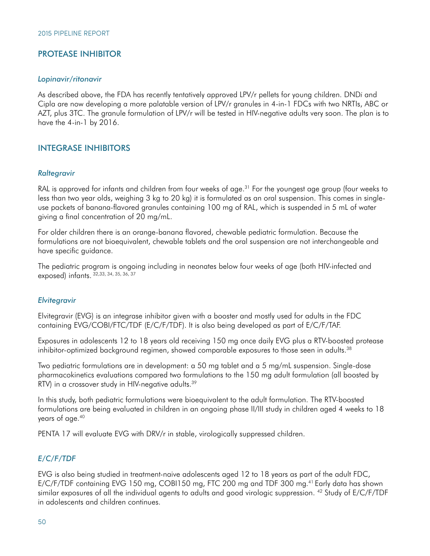# PROTEASE INHIBITOR

#### *Lopinavir/ritonavir*

As described above, the FDA has recently tentatively approved LPV/r pellets for young children. DND*i* and Cipla are now developing a more palatable version of LPV/r granules in 4-in-1 FDCs with two NRTIs, ABC or AZT, plus 3TC. The granule formulation of LPV/r will be tested in HIV-negative adults very soon. The plan is to have the 4-in-1 by 2016.

## INTEGRASE INHIBITORS

#### *Raltegravir*

RAL is approved for infants and children from four weeks of age.<sup>31</sup> For the youngest age group (four weeks to less than two year olds, weighing 3 kg to 20 kg) it is formulated as an oral suspension. This comes in singleuse packets of banana-flavored granules containing 100 mg of RAL, which is suspended in 5 mL of water giving a final concentration of 20 mg/mL.

For older children there is an orange-banana flavored, chewable pediatric formulation. Because the formulations are not bioequivalent, chewable tablets and the oral suspension are not interchangeable and have specific guidance.

The pediatric program is ongoing including in neonates below four weeks of age (both HIV-infected and exposed) infants. 32,33, 34, 35, 36, 37

#### *Elvitegravir*

Elvitegravir (EVG) is an integrase inhibitor given with a booster and mostly used for adults in the FDC containing EVG/COBI/FTC/TDF (E/C/F/TDF). It is also being developed as part of E/C/F/TAF.

Exposures in adolescents 12 to 18 years old receiving 150 mg once daily EVG plus a RTV-boosted protease inhibitor-optimized background regimen, showed comparable exposures to those seen in adults.<sup>38</sup>

Two pediatric formulations are in development: a 50 mg tablet and a 5 mg/mL suspension. Single-dose pharmacokinetics evaluations compared two formulations to the 150 mg adult formulation (all boosted by RTV) in a crossover study in HIV-negative adults.<sup>39</sup>

In this study, both pediatric formulations were bioequivalent to the adult formulation. The RTV-boosted formulations are being evaluated in children in an ongoing phase II/III study in children aged 4 weeks to 18 years of age.40

PENTA 17 will evaluate EVG with DRV/r in stable, virologically suppressed children.

#### *E/C/F/TDF*

EVG is also being studied in treatment-naive adolescents aged 12 to 18 years as part of the adult FDC, E/C/F/TDF containing EVG 150 mg, COBI150 mg, FTC 200 mg and TDF 300 mg.41 Early data has shown similar exposures of all the individual agents to adults and good virologic suppression. 42 Study of E/C/F/TDF in adolescents and children continues.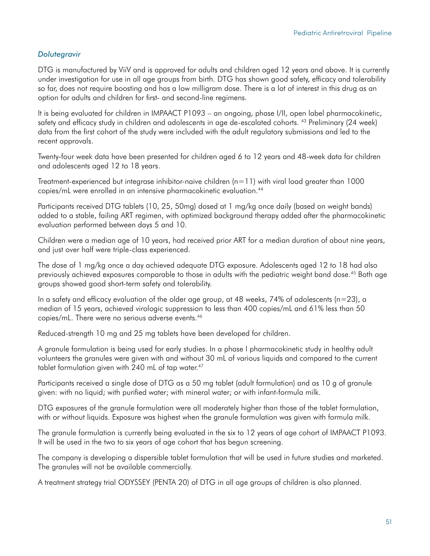# *Dolutegravir*

DTG is manufactured by ViiV and is approved for adults and children aged 12 years and above. It is currently under investigation for use in all age groups from birth. DTG has shown good safety, efficacy and tolerability so far, does not require boosting and has a low milligram dose. There is a lot of interest in this drug as an option for adults and children for first- and second-line regimens.

It is being evaluated for children in IMPAACT P1093 – an ongoing, phase I/II, open label pharmacokinetic, safety and efficacy study in children and adolescents in age de-escalated cohorts. <sup>43</sup> Preliminary (24 week) data from the first cohort of the study were included with the adult regulatory submissions and led to the recent approvals.

Twenty-four week data have been presented for children aged 6 to 12 years and 48-week data for children and adolescents aged 12 to 18 years.

Treatment-experienced but integrase inhibitor-naive children  $(n=11)$  with viral load greater than 1000 copies/mL were enrolled in an intensive pharmacokinetic evaluation.44

Participants received DTG tablets (10, 25, 50mg) dosed at 1 mg/kg once daily (based on weight bands) added to a stable, failing ART regimen, with optimized background therapy added after the pharmacokinetic evaluation performed between days 5 and 10.

Children were a median age of 10 years, had received prior ART for a median duration of about nine years, and just over half were triple-class experienced.

The dose of 1 mg/kg once a day achieved adequate DTG exposure. Adolescents aged 12 to 18 had also previously achieved exposures comparable to those in adults with the pediatric weight band dose.45 Both age groups showed good short-term safety and tolerability.

In a safety and efficacy evaluation of the older age group, at 48 weeks, 74% of adolescents ( $n=23$ ), a median of 15 years, achieved virologic suppression to less than 400 copies/mL and 61% less than 50 copies/mL. There were no serious adverse events.46

Reduced-strength 10 mg and 25 mg tablets have been developed for children.

A granule formulation is being used for early studies. In a phase I pharmacokinetic study in healthy adult volunteers the granules were given with and without 30 mL of various liquids and compared to the current tablet formulation given with 240 mL of tap water.<sup>47</sup>

Participants received a single dose of DTG as a 50 mg tablet (adult formulation) and as 10 g of granule given: with no liquid; with purified water; with mineral water; or with infant-formula milk.

DTG exposures of the granule formulation were all moderately higher than those of the tablet formulation, with or without liquids. Exposure was highest when the granule formulation was given with formula milk.

The granule formulation is currently being evaluated in the six to 12 years of age cohort of IMPAACT P1093. It will be used in the two to six years of age cohort that has begun screening.

The company is developing a dispersible tablet formulation that will be used in future studies and marketed. The granules will not be available commercially.

A treatment strategy trial ODYSSEY (PENTA 20) of DTG in all age groups of children is also planned.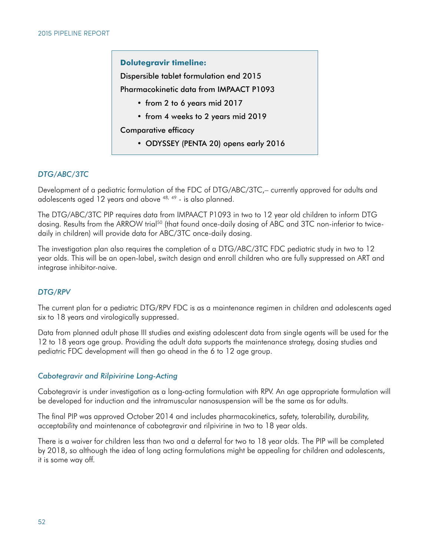#### **Dolutegravir timeline:**

Dispersible tablet formulation end 2015

Pharmacokinetic data from IMPAACT P1093

- from 2 to 6 years mid 2017
- from 4 weeks to 2 years mid 2019

Comparative efficacy

• ODYSSEY (PENTA 20) opens early 2016

## *DTG/ABC/3TC*

Development of a pediatric formulation of the FDC of DTG/ABC/3TC,– currently approved for adults and adolescents aged 12 years and above 48, 49 - is also planned.

The DTG/ABC/3TC PIP requires data from IMPAACT P1093 in two to 12 year old children to inform DTG dosing. Results from the ARROW trial<sup>50</sup> (that found once-daily dosing of ABC and 3TC non-inferior to twicedaily in children) will provide data for ABC/3TC once-daily dosing.

The investigation plan also requires the completion of a DTG/ABC/3TC FDC pediatric study in two to 12 year olds. This will be an open-label, switch design and enroll children who are fully suppressed on ART and integrase inhibitor-naive.

## *DTG/RPV*

The current plan for a pediatric DTG/RPV FDC is as a maintenance regimen in children and adolescents aged six to 18 years and virologically suppressed.

Data from planned adult phase III studies and existing adolescent data from single agents will be used for the 12 to 18 years age group. Providing the adult data supports the maintenance strategy, dosing studies and pediatric FDC development will then go ahead in the 6 to 12 age group.

#### *Cabotegravir and Rilpivirine Long-Acting*

Cabotegravir is under investigation as a long-acting formulation with RPV. An age appropriate formulation will be developed for induction and the intramuscular nanosuspension will be the same as for adults.

The final PIP was approved October 2014 and includes pharmacokinetics, safety, tolerability, durability, acceptability and maintenance of cabotegravir and rilpivirine in two to 18 year olds.

There is a waiver for children less than two and a deferral for two to 18 year olds. The PIP will be completed by 2018, so although the idea of long acting formulations might be appealing for children and adolescents, it is some way off.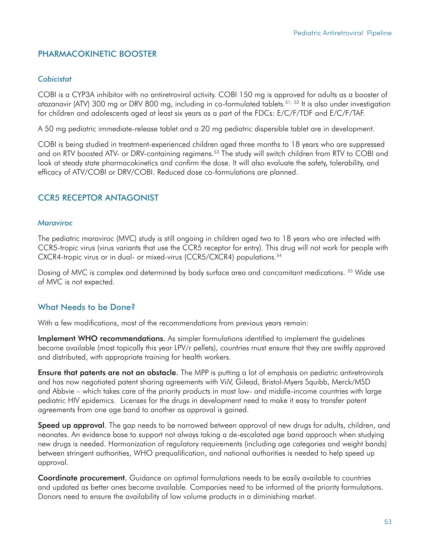# PHARMACOKINETIC BOOSTER

#### *Cobicistat*

COBI is a CYP3A inhibitor with no antiretroviral activity. COBI 150 mg is approved for adults as a booster of atazanavir (ATV) 300 mg or DRV 800 mg, including in co-formulated tablets.<sup>51, 52</sup> It is also under investigation for children and adolescents aged at least six years as a part of the FDCs: E/C/F/TDF and E/C/F/TAF.

A 50 mg pediatric immediate-release tablet and a 20 mg pediatric dispersible tablet are in development.

COBI is being studied in treatment-experienced children aged three months to 18 years who are suppressed and on RTV boosted ATV- or DRV-containing regimens.<sup>53</sup> The study will switch children from RTV to COBI and look at steady state pharmacokinetics and confirm the dose. It will also evaluate the safety, tolerability, and efficacy of ATV/COBI or DRV/COBI. Reduced dose co-formulations are planned.

# CCR5 RECEPTOR ANTAGONIST

#### *Maraviroc*

The pediatric maraviroc (MVC) study is still ongoing in children aged two to 18 years who are infected with CCR5-tropic virus (virus variants that use the CCR5 receptor for entry). This drug will not work for people with CXCR4-tropic virus or in dual- or mixed-virus (CCR5/CXCR4) populations.<sup>54</sup>

Dosing of MVC is complex and determined by body surface area and concomitant medications. 55 Wide use of MVC is not expected.

## What Needs to be Done?

With a few modifications, most of the recommendations from previous years remain:

Implement WHO recommendations. As simpler formulations identified to implement the guidelines become available (most topically this year LPV/r pellets), countries must ensure that they are swiftly approved and distributed, with appropriate training for health workers.

Ensure that patents are not an obstacle. The MPP is putting a lot of emphasis on pediatric antiretrovirals and has now negotiated patent sharing agreements with ViiV, Gilead, Bristol-Myers Squibb, Merck/MSD and Abbvie – which takes care of the priority products in most low- and middle-income countries with large pediatric HIV epidemics. Licenses for the drugs in development need to make it easy to transfer patent agreements from one age band to another as approval is gained.

Speed up approval. The gap needs to be narrowed between approval of new drugs for adults, children, and neonates. An evidence base to support not always taking a de-escalated age band approach when studying new drugs is needed. Harmonization of regulatory requirements (including age categories and weight bands) between stringent authorities, WHO prequalification, and national authorities is needed to help speed up approval.

Coordinate procurement. Guidance on optimal formulations needs to be easily available to countries and updated as better ones become available. Companies need to be informed of the priority formulations. Donors need to ensure the availability of low volume products in a diminishing market.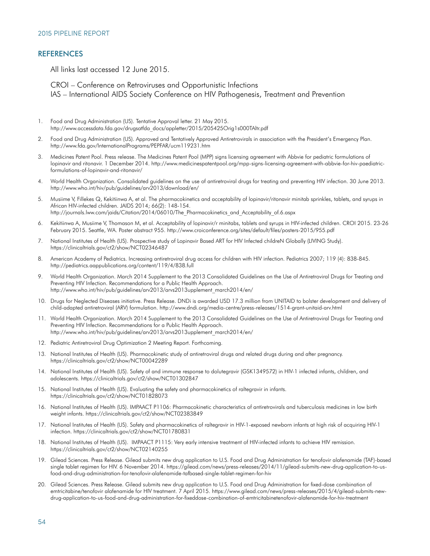#### **REFERENCES**

All links last accessed 12 June 2015.

CROI – Conference on Retroviruses and Opportunistic Infections IAS – International AIDS Society Conference on HIV Pathogenesis, Treatment and Prevention

- 1. Food and Drug Administration (US). Tentative Approval letter. 21 May 2015. [http://www.accessdata.fda.gov/drugsatfda\\_docs/appletter/2015/205425Orig1s000TAltr.pdf](http://www.accessdata.fda.gov/drugsatfda_docs/appletter/2015/205425Orig1s000TAltr.pdf)
- 2. Food and Drug Administration (US). Approved and Tentatively Approved Antiretrovirals in association with the President's Emergency Plan. <http://www.fda.gov/InternationalPrograms/PEPFAR/ucm119231.htm>
- 3. Medicines Patent Pool. Press release. The Medicines Patent Pool (MPP) signs licensing agreement with Abbvie for pediatric formulations of lopinavir and ritonavir. 1 December 2014. [http://www.medicinespatentpool.org/mpp-signs-licensing-agreement-with-abbvie-for-hiv-paediatric](http://www.medicinespatentpool.org/mpp-signs-licensing-agreement-with-abbvie-for-hiv-paediatric-formulations-of-lopinavir-and-ritonavir/)[formulations-of-lopinavir-and-ritonavir/](http://www.medicinespatentpool.org/mpp-signs-licensing-agreement-with-abbvie-for-hiv-paediatric-formulations-of-lopinavir-and-ritonavir/)
- 4. World Health Organization. [Consolidated guidelines on the use of antiretroviral drugs for treating and preventing HIV infection.](http://www.who.int/entity/hiv/pub/guidelines/arv2013/download/en/index.html) 30 June 2013. <http://www.who.int/hiv/pub/guidelines/arv2013/download/en/>
- 5. Musiime V, Fillekes Q, Kekitiinwa A, et al. The pharmacokinetics and acceptability of lopinavir/ritonavir minitab sprinkles, tablets, and syrups in African HIV-infected children. JAIDS 2014; 66(2): 148-154. [http://journals.lww.com/jaids/Citation/2014/06010/The\\_Pharmacokinetics\\_and\\_Acceptability\\_of.6.aspx](http://journals.lww.com/jaids/Citation/2014/06010/The_Pharmacokinetics_and_Acceptability_of.6.aspx)
- 6. Kekitiinwa A, Musiime V, Thomason M, et al. Acceptability of lopinavir/r minitabs, tablets and syrups in HIV-infected children. CROI 2015. 23-26 February 2015. Seattle, WA. Poster abstract 955.<http://www.croiconference.org/sites/default/files/posters-2015/955.pdf>
- 7. National Institutes of Health (US). Prospective study of Lopinavir Based ART for HIV Infected childreN Globally (LIVING Study). <https://clinicaltrials.gov/ct2/show/NCT02346487>
- 8. American Academy of Pediatrics. Increasing antiretroviral drug access for children with HIV infection. Pediatrics 2007; 119 (4): 838-845. <http://pediatrics.aappublications.org/content/119/4/838.full>
- 9. World Health Organization. March 2014 Supplement to the 2013 Consolidated Guidelines on the Use of Antiretroviral Drugs for Treating and Preventing HIV Infection. Recommendations for a Public Health Approach. [http://www.who.int/hiv/pub/guidelines/arv2013/arvs2013upplement\\_march2014/en/](http://www.who.int/hiv/pub/guidelines/arv2013/arvs2013upplement_march2014/en/)
- 10. Drugs for Neglected Diseases initiative. Press Release. DNDi is awarded USD 17.3 million from UNITAID to bolster development and delivery of child-adapted antiretroviral (ARV) formulation.<http://www.dndi.org/media-centre/press-releases/1514-grant-unitaid-arv.html>
- 11. World Health Organization. March 2014 Supplement to the 2013 Consolidated Guidelines on the Use of Antiretroviral Drugs for Treating and Preventing HIV Infection. Recommendations for a Public Health Approach. [http://www.who.int/hiv/pub/guidelines/arv2013/arvs2013upplement\\_march2014/en/](http://www.who.int/hiv/pub/guidelines/arv2013/arvs2013upplement_march2014/en/)
- 12. Pediatric Antiretroviral Drug Optimization 2 Meeting Report. Forthcoming.
- 13. National Institutes of Health (US). Pharmacokinetic study of antiretroviral drugs and related drugs during and after pregnancy. <https://clinicaltrials.gov/ct2/show/NCT00042289>
- 14. National Institutes of Health (US). Safety of and immune response to dolutegravir (GSK1349572) in HIV-1 infected infants, children, and adolescents.<https://clinicaltrials.gov/ct2/show/NCT01302847>
- 15. National Institutes of Health (US). Evaluating the safety and pharmacokinetics of raltegravir in infants. <https://clinicaltrials.gov/ct2/show/NCT01828073>
- 16. National Institutes of Health (US). IMPAACT P1106: Pharmacokinetic characteristics of antiretrovirals and tuberculosis medicines in low birth weight infants.<https://clinicaltrials.gov/ct2/show/NCT02383849>
- 17. National Institutes of Health (US). Safety and pharmacokinetics of raltegravir in HIV-1-exposed newborn infants at high risk of acquiring HIV-1 infection. <https://clinicaltrials.gov/ct2/show/NCT01780831>
- 18. National Institutes of Health (US). IMPAACT P1115: Very early intensive treatment of HIV-infected infants to achieve HIV remission. <https://clinicaltrials.gov/ct2/show/NCT02140255>
- 19. Gilead Sciences. Press Release. Gilead submits new drug application to U.S. Food and Drug Administration for tenofovir alafenamide (TAF)-based single tablet regimen for HIV. 6 November 2014. [https://gilead.com/news/press-releases/2014/11/gilead-submits-new-drug-application-to-us](https://gilead.com/news/press-releases/2014/11/gilead-submits-new-drug-application-to-us-food-and-drug-administration-for-tenofovir-alafenamide-tafbased-single-tablet-regimen-for-hiv)[food-and-drug-administration-for-tenofovir-alafenamide-tafbased-single-tablet-regimen-for-hiv](https://gilead.com/news/press-releases/2014/11/gilead-submits-new-drug-application-to-us-food-and-drug-administration-for-tenofovir-alafenamide-tafbased-single-tablet-regimen-for-hiv)
- 20. Gilead Sciences. Press Release. Gilead submits new drug application to U.S. Food and Drug Administration for fixed-dose combination of emtricitabine/tenofovir alafenamide for HIV treatment. 7 April 2015. [https://www.gilead.com/news/press-releases/2015/4/gilead-submits-new](https://www.gilead.com/news/press-releases/2015/4/gilead-submits-new-drug-application-to-us-food-and-drug-administration-for-fixeddose-combination-of-emtricitabinetenofovir-alafenamide-for-hiv-treatment)[drug-application-to-us-food-and-drug-administration-for-fixeddose-combination-of-emtricitabinetenofovir-alafenamide-for-hiv-treatment](https://www.gilead.com/news/press-releases/2015/4/gilead-submits-new-drug-application-to-us-food-and-drug-administration-for-fixeddose-combination-of-emtricitabinetenofovir-alafenamide-for-hiv-treatment)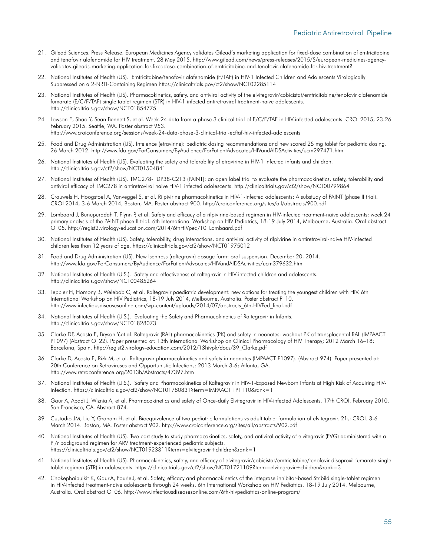- 21. Gilead Sciences. Press Release. European Medicines Agency validates Gilead's marketing application for fixed-dose combination of emtricitabine and tenofovir alafenamide for HIV treatment. 28 May 2015. [http://www.gilead.com/news/press-releases/2015/5/european-medicines-agency](http://www.gilead.com/news/press-releases/2015/5/european-medicines-agency-validates-gileads-marketing-application-for-fixeddose-combination-of-emtricitabine-and-tenofovir-alafenamide-for-hiv-treatment)[validates-gileads-marketing-application-for-fixeddose-combination-of-emtricitabine-and-tenofovir-alafenamide-for-hiv-treatment?](http://www.gilead.com/news/press-releases/2015/5/european-medicines-agency-validates-gileads-marketing-application-for-fixeddose-combination-of-emtricitabine-and-tenofovir-alafenamide-for-hiv-treatment)
- 22. National Institutes of Health (US). Emtricitabine/tenofovir alafenamide (F/TAF) in HIV-1 Infected Children and Adolescents Virologically Suppressed on a 2-NRTI-Containing Regimen<https://clinicaltrials.gov/ct2/show/NCT02285114>
- 23. National Institutes of Health (US). Pharmacokinetics, safety, and antiviral activity of the elvitegravir/cobicistat/emtricitabine/tenofovir alafenamide fumarate (E/C/F/TAF) single tablet regimen (STR) in HIV-1 infected antiretroviral treatment-naive adolescents. <http://clinicaltrials.gov/show/NCT01854775>
- 24. Lawson E, Shao Y, Sean Bennett S, et al. Week-24 data from a phase 3 clinical trial of E/C/F/TAF in HIV-infected adolescents. CROI 2015, 23-26 February 2015. Seattle, WA. Poster abstract 953. <http://www.croiconference.org/sessions/week-24-data-phase-3-clinical-trial-ecftaf-hiv-infected-adolescents>
- 25. Food and Drug Administration (US). Intelence (etravirine): pediatric dosing recommendations and new scored 25 mg tablet for pediatric dosing. 26 March 2012. <http://www.fda.gov/ForConsumers/ByAudience/ForPatientAdvocates/HIVandAIDSActivities/ucm297471.htm>
- 26. National Institutes of Health (US). Evaluating the safety and tolerability of etravirine in HIV-1 infected infants and children. <http://clinicaltrials.gov/ct2/show/NCT01504841>
- 27. National Institutes of Health (US). TMC278-TiDP38-C213 (PAINT): an open label trial to evaluate the pharmacokinetics, safety, tolerability and antiviral efficacy of TMC278 in antiretroviral naive HIV-1 infected adolescents. <http://clinicaltrials.gov/ct2/show/NCT00799864>
- 28. Crauwels H, Hoogstoel A, Vanveggel S, et al. Rilpivirine pharmacokinetics in HIV-1-infected adolescents: A substudy of PAINT (phase II trial). CROI 2014, 3-6 March 2014, Boston, MA. Poster abstract 900.<http://croiconference.org/sites/all/abstracts/900.pdf>
- 29. Lombaard J, Bunupuradah T, Flynn P, et al. Safety and efficacy of a rilpivirine-based regimen in HIV-infected treatment-naive adolescents: week 24 primary analysis of the PAINT phase II trial. 6th International Workshop on HIV Pediatrics, 18-19 July 2014, Melbourne, Australia. Oral abstract O\_05. [http://regist2.virology-education.com/2014/6thHIVped/10\\_Lombaard.pdf](http://regist2.virology-education.com/2014/6thHIVped/10_Lombaard.pdf)
- 30. National Institutes of Health (US). Safety, tolerability, drug Interactions, and antiviral activity of rilpivirine in antiretroviral-naive HIV-infected children less than 12 years of age. https://clinicaltrials.gov/ct2/show/NCT01975012
- 31. Food and Drug Administration (US). New Isentress (raltegravir) dosage form: oral suspension. December 20, 2014. <http://www.fda.gov/ForConsumers/ByAudience/ForPatientAdvocates/HIVandAIDSActivities/ucm379632.htm>
- 32. National Institutes of Health (U.S.). Safety and effectiveness of raltegravir in HIV-infected children and adolescents. <http://clinicaltrials.gov/show/NCT00485264>
- 33. Teppler H, Homony B, Welebob C, et al. Raltegravir paediatric development: new options for treating the youngest children with HIV. 6th International Workshop on HIV Pediatrics, 18-19 July 2014, Melbourne, Australia. Poster abstract P\_10. [http://www.infectiousdiseasesonline.com/wp-content/uploads/2014/07/abstracts\\_6th-HIVPed\\_final.pdf](http://www.infectiousdiseasesonline.com/wp-content/uploads/2014/07/abstracts_6th-HIVPed_final.pdf)
- 34. National Institutes of Health (U.S.). Evaluating the Safety and Pharmacokinetics of Raltegravir in Infants. <http://clinicaltrials.gov/show/NCT01828073>
- 35. Clarke DF, Acosta E, Bryson Y,et al. Raltegravir (RAL) pharmacokinetics (PK) and safety in neonates: washout PK of transplacental RAL (IMPAACT P1097) (Abstract O\_22). Paper presented at: 13th International Workshop on Clinical Pharmacology of HIV Therapy; 2012 March 16–18; Barcelona, Spain. [http://regist2.virology-education.com/2012/13hivpk/docs/39\\_Clarke.pdf](http://regist2.virology-education.com/2012/13hivpk/docs/39_Clarke.pdf)
- 36. Clarke D, Acosta E, Rizk M, et al. Raltegravir pharmacokinetics and safety in neonates (IMPAACT P1097). (Abstract 974). Paper presented at: 20th Conference on Retroviruses and Opportunistic Infections: 2013 March 3-6; Atlanta, GA. <http://www.retroconference.org/2013b/Abstracts/47397.htm>
- 37. National Institutes of Health (U.S.). Safety and Pharmacokinetics of Raltegravir in HIV-1-Exposed Newborn Infants at High Risk of Acquiring HIV-1 Infection. <https://clinicaltrials.gov/ct2/show/NCT01780831?term=IMPAACT+P1110&rank=1>
- 38. Gaur A, Abadi J, Wiznia A, et al. Pharmacokinetics and safety of Once-daily Elvitegravir in HIV-infected Adolescents. 17th CROI. February 2010. San Francisco, CA. Abstract 874.
- 39. Custodio JM, Liu Y, Graham H, et al. Bioequivalence of two pediatric formulations vs adult tablet formulation of elvitegravir. 21st CROI. 3-6 March 2014. Boston, MA. Poster abstract 902. <http://www.croiconference.org/sites/all/abstracts/902.pdf>
- 40. National Institutes of Health (US). Two part study to study pharmacokinetics, safety, and antiviral activity of elvitegravir (EVG) administered with a PI/r background regimen for ARV treatment-experienced pediatric subjects. <https://clinicaltrials.gov/ct2/show/NCT01923311?term=elvitegravir+children&rank=1>
- 41. National Institutes of Health (US). Pharmacokinetics, safety, and efficacy of elvitegravir/cobicistat/emtricitabine/tenofovir disoproxil fumarate single tablet regimen (STR) in adolescents. <https://clinicaltrials.gov/ct2/show/NCT01721109?term=elvitegravir+children&rank=3>
- 42. Chokephaibulkit K, Gaur A, Fourie J, et al. Safety, efficacy and pharmacokinetics of the integrase inhibitor-based Stribild single-tablet regimen in HIV-infected treatment-naïve adolescents through 24 weeks. 6th International Workshop on HIV Pediatrics. 18-19 July 2014. Melbourne, Australia. Oral abstract O\_06. <http://www.infectiousdiseasesonline.com/6th-hivpediatrics-online-program/>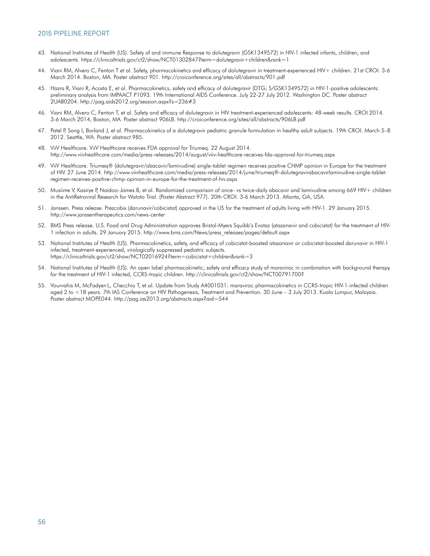- 43. National Institutes of Health (US). Safety of and immune Response to dolutegravir (GSK1349572) in HIV-1 infected infants, children, and adolescents.<https://clinicaltrials.gov/ct2/show/NCT01302847?term=dolutegravir+children&rank=1>
- 44. Viani RM, Alvero C, Fenton T et al. Safety, pharmacokinetics and efficacy of dolutegravir in treatment-experienced HIV+ children. 21st CROI. 3-6 March 2014. Boston, MA. Poster abstract 901. <http://croiconference.org/sites/all/abstracts/901.pdf>
- 45. Hazra R, Viani R, Acosta E, et al. Pharmacokinetics, safety and efficacy of dolutegravir (DTG; S/GSK1349572) in HIV-1-positive adolescents: preliminary analysis from IMPAACT P1093. 19th International AIDS Conference. July 22-27 July 2012. Washington DC. Poster abstract 2UAB0204. http://pag.aids2012.org/session.aspx?s=236#3
- 46. Viani RM, Alvero C, Fenton T, et al. Safety and efficacy of dolutegravir in HIV treatment-experienced adolescents: 48-week results. CROI 2014. 3-6 March 2014, Boston, MA. Poster abstract 906LB. <http://croiconference.org/sites/all/abstracts/906LB.pdf>
- 47. Patel P, Song I, Borland J, et al. Pharmacokinetics of a dolutegravir pediatric granule formulation in healthy adult subjects. 19th CROI. March 5–8 2012. Seattle, WA. Poster abstract 985.
- 48. ViiV Healthcare. ViiV Healthcare receives FDA approval for Triumeq. 22 August 2014. <http://www.viivhealthcare.com/media/press-releases/2014/august/viiv-healthcare-receives-fda-approval-for-triumeq.aspx>
- 49. ViiV Healthcare. Triumeq® (dolutegravir/abacavir/lamivudine) single-tablet regimen receives positive CHMP opinion in Europe for the treatment of HIV. 27 June 2014. http://www.viivhealthcare.com/media/press-releases/2014/june/triumeq®-dolutegravirabacavirlamivudine-single-tabletregimen-receives-positive-chmp-opinion-in-europe-for-the-treatment-of-hiv.aspx
- 50. Musiime V, Kasirye P, Naidoo-James B, et al. Randomized comparison of once- vs twice-daily abacavir and lamivudine among 669 HIV+ children in the AntiRetroviral Research for Watoto Trial. (Poster Abstract 977). 20th CROI. 3-6 March 2013. Atlanta, GA, USA.
- 51. Janssen. Press release. Prezcobix (darunavir/cobicistat) approved in the US for the treatment of adults living with HIV-1. 29 January 2015. <http://www.janssentherapeutics.com/news-center>
- 52. BMS Press release. U.S. Food and Drug Administration approves Bristol-Myers Squibb's Evotaz (atazanavir and cobicistat) for the treatment of HIV-1 infection in adults. 29 January 2015. [http://www.bms.com/News/press\\_releases/pages/default.aspx](http://www.bms.com/News/press_releases/pages/default.aspx)
- 53. National Institutes of Health (US). Pharmacokinetics, safety, and efficacy of cobicistat-boosted atazanavir or cobicistat-boosted darunavir in HIV-1 infected, treatment-experienced, virologically suppressed pediatric subjects. <https://clinicaltrials.gov/ct2/show/NCT02016924?term=cobicistat+children&rank=3>
- 54. National Institutes of Health (US). An open label pharmacokinetic, safety and efficacy study of maraviroc in combination with background therapy for the treatment of HIV-1 infected, CCR5-tropic children. <http://clinicaltrials.gov/ct2/show/NCT00791700?>
- 55. Vourvahis M, McFadyen L, Checchio T, et al. Update from Study A4001031: maraviroc pharmacokinetics in CCR5-tropic HIV-1-infected children aged 2 to <18 years. 7th IAS Conference on HIV Pathogenesis, Treatment and Prevention. 30 June – 3 July 2013. Kuala Lumpur, Malaysia. Poster abstract MOPE044. <http://pag.ias2013.org/abstracts.aspx?aid=544>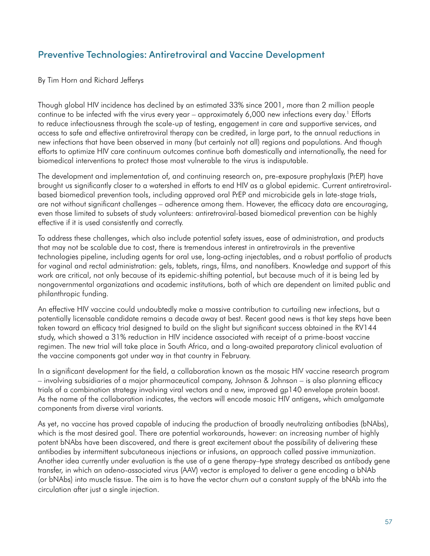# Preventive Technologies: Antiretroviral and Vaccine Development

By Tim Horn and Richard Jefferys

Though global HIV incidence has declined by an estimated 33% since 2001, more than 2 million people continue to be infected with the virus every year – approximately 6,000 new infections every day.<sup>1</sup> Efforts to reduce infectiousness through the scale-up of testing, engagement in care and supportive services, and access to safe and effective antiretroviral therapy can be credited, in large part, to the annual reductions in new infections that have been observed in many (but certainly not all) regions and populations. And though efforts to optimize HIV care continuum outcomes continue both domestically and internationally, the need for biomedical interventions to protect those most vulnerable to the virus is indisputable.

The development and implementation of, and continuing research on, pre-exposure prophylaxis (PrEP) have brought us significantly closer to a watershed in efforts to end HIV as a global epidemic. Current antiretroviralbased biomedical prevention tools, including approved oral PrEP and microbicide gels in late-stage trials, are not without significant challenges – adherence among them. However, the efficacy data are encouraging, even those limited to subsets of study volunteers: antiretroviral-based biomedical prevention can be highly effective if it is used consistently and correctly.

To address these challenges, which also include potential safety issues, ease of administration, and products that may not be scalable due to cost, there is tremendous interest in antiretrovirals in the preventive technologies pipeline, including agents for oral use, long-acting injectables, and a robust portfolio of products for vaginal and rectal administration: gels, tablets, rings, films, and nanofibers. Knowledge and support of this work are critical, not only because of its epidemic-shifting potential, but because much of it is being led by nongovernmental organizations and academic institutions, both of which are dependent on limited public and philanthropic funding.

An effective HIV vaccine could undoubtedly make a massive contribution to curtailing new infections, but a potentially licensable candidate remains a decade away at best. Recent good news is that key steps have been taken toward an efficacy trial designed to build on the slight but significant success obtained in the RV144 study, which showed a 31% reduction in HIV incidence associated with receipt of a prime-boost vaccine regimen. The new trial will take place in South Africa, and a long-awaited preparatory clinical evaluation of the vaccine components got under way in that country in February.

In a significant development for the field, a collaboration known as the mosaic HIV vaccine research program – involving subsidiaries of a major pharmaceutical company, Johnson & Johnson – is also planning efficacy trials of a combination strategy involving viral vectors and a new, improved gp140 envelope protein boost. As the name of the collaboration indicates, the vectors will encode mosaic HIV antigens, which amalgamate components from diverse viral variants.

As yet, no vaccine has proved capable of inducing the production of broadly neutralizing antibodies (bNAbs), which is the most desired goal. There are potential workarounds, however: an increasing number of highly potent bNAbs have been discovered, and there is great excitement about the possibility of delivering these antibodies by intermittent subcutaneous injections or infusions, an approach called passive immunization. Another idea currently under evaluation is the use of a gene therapy–type strategy described as antibody gene transfer, in which an adeno-associated virus (AAV) vector is employed to deliver a gene encoding a bNAb (or bNAbs) into muscle tissue. The aim is to have the vector churn out a constant supply of the bNAb into the circulation after just a single injection.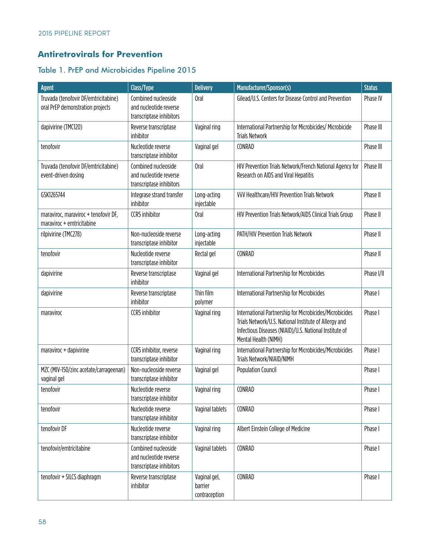# **Antiretrovirals for Prevention**

# Table 1. PrEP and Microbicides Pipeline 2015

| <b>Agent</b>                                                             | Class/Type                                                                | <b>Delivery</b>                          | Manufacturer/Sponsor(s)                                                                                                                                                                            | <b>Status</b> |
|--------------------------------------------------------------------------|---------------------------------------------------------------------------|------------------------------------------|----------------------------------------------------------------------------------------------------------------------------------------------------------------------------------------------------|---------------|
| Truvada (tenofovir DF/emtricitabine)<br>oral PrEP demonstration projects | Combined nucleoside<br>and nucleotide reverse<br>transcriptase inhibitors | Oral                                     | Gilead/U.S. Centers for Disease Control and Prevention                                                                                                                                             | Phase IV      |
| dapivirine (TMC120)                                                      | Reverse transcriptase<br>inhibitor                                        | Vaginal ring                             | International Partnership for Microbicides/ Microbicide<br><b>Trials Network</b>                                                                                                                   | Phase III     |
| tenofovir                                                                | Nucleotide reverse<br>transcriptase inhibitor                             | Vaginal gel                              | CONRAD                                                                                                                                                                                             | Phase III     |
| Truvada (tenofovir DF/emtricitabine)<br>event-driven dosing              | Combined nucleoside<br>and nucleotide reverse<br>transcriptase inhibitors | Oral                                     | HIV Prevention Trials Network/French National Agency for<br>Research on AIDS and Viral Hepatitis                                                                                                   | Phase III     |
| GSK1265744                                                               | Integrase strand transfer<br>inhibitor                                    | Long-acting<br>injectable                | ViiV Healthcare/HIV Prevention Trials Network                                                                                                                                                      | Phase II      |
| maraviroc, maraviroc + tenofovir DF,<br>maraviroc + emtricitabine        | <b>CCR5</b> inhibitor                                                     | Oral                                     | HIV Prevention Trials Network/AIDS Clinical Trials Group                                                                                                                                           | Phase II      |
| rilpivirine (TMC278)                                                     | Non-nucleoside reverse<br>transcriptase inhibitor                         | Long-acting<br>injectable                | PATH/HIV Prevention Trials Network                                                                                                                                                                 | Phase II      |
| tenofovir                                                                | Nucleotide reverse<br>transcriptase inhibitor                             | Rectal gel                               | CONRAD                                                                                                                                                                                             | Phase II      |
| dapivirine                                                               | Reverse transcriptase<br>inhibitor                                        | Vaginal gel                              | International Partnership for Microbicides                                                                                                                                                         | Phase I/II    |
| dapivirine                                                               | Reverse transcriptase<br>inhibitor                                        | Thin film<br>polymer                     | International Partnership for Microbicides                                                                                                                                                         | Phase I       |
| maraviroc                                                                | <b>CCR5</b> inhibitor                                                     | Vaginal ring                             | International Partnership for Microbicides/Microbicides<br>Trials Network/U.S. National Institute of Allergy and<br>Infectious Diseases (NIAID)/U.S. National Institute of<br>Mental Health (NIMH) | Phase I       |
| maraviroc + dapivirine                                                   | CCR5 inhibitor, reverse<br>transcriptase inhibitor                        | Vaginal ring                             | International Partnership for Microbicides/Microbicides<br>Trials Network/NIAID/NIMH                                                                                                               | Phase I       |
| MZC (MIV-150/zinc acetate/carrageenan)<br>vaginal gel                    | Non-nucleoside reverse<br>transcriptase inhibitor                         | Vaginal gel                              | <b>Population Council</b>                                                                                                                                                                          | Phase I       |
| tenofovir                                                                | Nucleotide reverse<br>transcriptase inhibitor                             | Vaginal ring                             | CONRAD                                                                                                                                                                                             | Phase I       |
| tenofovir                                                                | Nucleotide reverse<br>transcriptase inhibitor                             | Vaginal tablets                          | CONRAD                                                                                                                                                                                             | Phase I       |
| tenofovir DF                                                             | Nucleotide reverse<br>transcriptase inhibitor                             | Vaginal ring                             | Albert Einstein College of Medicine                                                                                                                                                                | Phase I       |
| tenofovir/emtricitabine                                                  | Combined nucleoside<br>and nucleotide reverse<br>transcriptase inhibitors | Vaginal tablets                          | CONRAD                                                                                                                                                                                             | Phase I       |
| tenofovir + SILCS diaphragm                                              | Reverse transcriptase<br>inhibitor                                        | Vaginal gel,<br>barrier<br>contraception | CONRAD                                                                                                                                                                                             | Phase I       |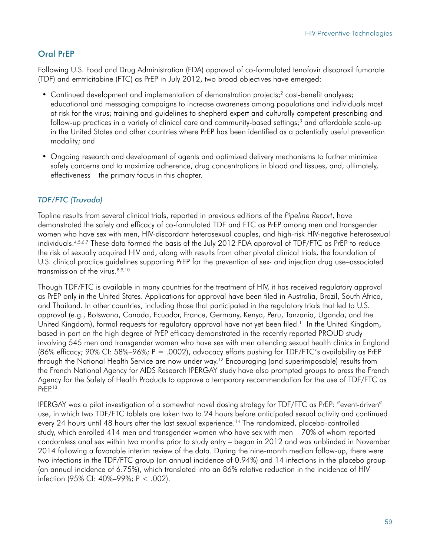# Oral PrEP

Following U.S. Food and Drug Administration (FDA) approval of co-formulated tenofovir disoproxil fumarate (TDF) and emtricitabine (FTC) as PrEP in July 2012, two broad objectives have emerged:

- Continued development and implementation of demonstration projects;<sup>2</sup> cost-benefit analyses; educational and messaging campaigns to increase awareness among populations and individuals most at risk for the virus; training and guidelines to shepherd expert and culturally competent prescribing and follow-up practices in a variety of clinical care and community-based settings;<sup>3</sup> and affordable scale-up in the United States and other countries where PrEP has been identified as a potentially useful prevention modality; and
- Ongoing research and development of agents and optimized delivery mechanisms to further minimize safety concerns and to maximize adherence, drug concentrations in blood and tissues, and, ultimately, effectiveness – the primary focus in this chapter.

# *TDF/FTC (Truvada)*

Topline results from several clinical trials, reported in previous editions of the *Pipeline Report*, have demonstrated the safety and efficacy of co-formulated TDF and FTC as PrEP among men and transgender women who have sex with men, HIV-discordant heterosexual couples, and high-risk HIV-negative heterosexual individuals.4,5,6,7 These data formed the basis of the July 2012 FDA approval of TDF/FTC as PrEP to reduce the risk of sexually acquired HIV and, along with results from other pivotal clinical trials, the foundation of U.S. clinical practice guidelines supporting PrEP for the prevention of sex- and injection drug use–associated transmission of the virus.8,9,10

Though TDF/FTC is available in many countries for the treatment of HIV, it has received regulatory approval as PrEP only in the United States. Applications for approval have been filed in Australia, Brazil, South Africa, and Thailand. In other countries, including those that participated in the regulatory trials that led to U.S. approval (e.g., Botswana, Canada, Ecuador, France, Germany, Kenya, Peru, Tanzania, Uganda, and the United Kingdom), formal requests for regulatory approval have not yet been filed.<sup>11</sup> In the United Kingdom, based in part on the high degree of PrEP efficacy demonstrated in the recently reported PROUD study involving 545 men and transgender women who have sex with men attending sexual health clinics in England (86% efficacy; 90% CI: 58%–96%;  $P = .0002$ ), advocacy efforts pushing for TDF/FTC's availability as PrEP through the National Health Service are now under way.12 Encouraging (and superimposable) results from the French National Agency for AIDS Research IPERGAY study have also prompted groups to press the French Agency for the Safety of Health Products to approve a temporary recommendation for the use of TDF/FTC as PrEP.<sup>13</sup>

IPERGAY was a pilot investigation of a somewhat novel dosing strategy for TDF/FTC as PrEP: "event-driven" use, in which two TDF/FTC tablets are taken two to 24 hours before anticipated sexual activity and continued every 24 hours until 48 hours after the last sexual experience.<sup>14</sup> The randomized, placebo-controlled study, which enrolled 414 men and transgender women who have sex with men – 70% of whom reported condomless anal sex within two months prior to study entry – began in 2012 and was unblinded in November 2014 following a favorable interim review of the data. During the nine-month median follow-up, there were two infections in the TDF/FTC group (an annual incidence of 0.94%) and 14 infections in the placebo group (an annual incidence of 6.75%), which translated into an 86% relative reduction in the incidence of HIV infection (95% CI: 40%–99%; P < .002).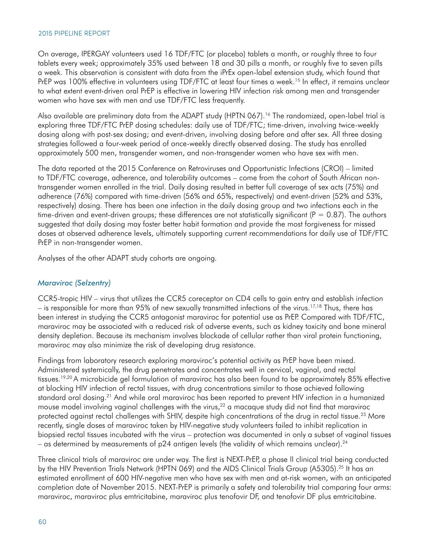On average, IPERGAY volunteers used 16 TDF/FTC (or placebo) tablets a month, or roughly three to four tablets every week; approximately 35% used between 18 and 30 pills a month, or roughly five to seven pills a week. This observation is consistent with data from the iPrEx open-label extension study, which found that PrEP was 100% effective in volunteers using TDF/FTC at least four times a week.<sup>15</sup> In effect, it remains unclear to what extent event-driven oral PrEP is effective in lowering HIV infection risk among men and transgender women who have sex with men and use TDF/FTC less frequently.

Also available are preliminary data from the ADAPT study (HPTN 067).<sup>16</sup> The randomized, open-label trial is exploring three TDF/FTC PrEP dosing schedules: daily use of TDF/FTC; time-driven, involving twice-weekly dosing along with post-sex dosing; and event-driven, involving dosing before and after sex. All three dosing strategies followed a four-week period of once-weekly directly observed dosing. The study has enrolled approximately 500 men, transgender women, and non-transgender women who have sex with men.

The data reported at the 2015 Conference on Retroviruses and Opportunistic Infections (CROI) – limited to TDF/FTC coverage, adherence, and tolerability outcomes – come from the cohort of South African nontransgender women enrolled in the trial. Daily dosing resulted in better full coverage of sex acts (75%) and adherence (76%) compared with time-driven (56% and 65%, respectively) and event-driven (52% and 53%, respectively) dosing. There has been one infection in the daily dosing group and two infections each in the time-driven and event-driven groups; these differences are not statistically significant ( $P = 0.87$ ). The authors suggested that daily dosing may foster better habit formation and provide the most forgiveness for missed doses at observed adherence levels, ultimately supporting current recommendations for daily use of TDF/FTC PrEP in non-transgender women.

Analyses of the other ADAPT study cohorts are ongoing.

#### *Maraviroc (Selzentry)*

CCR5-tropic HIV – virus that utilizes the CCR5 coreceptor on CD4 cells to gain entry and establish infection – is responsible for more than 95% of new sexually transmitted infections of the virus.17,18 Thus, there has been interest in studying the CCR5 antagonist maraviroc for potential use as PrEP. Compared with TDF/FTC, maraviroc may be associated with a reduced risk of adverse events, such as kidney toxicity and bone mineral density depletion. Because its mechanism involves blockade of cellular rather than viral protein functioning, maraviroc may also minimize the risk of developing drug resistance.

Findings from laboratory research exploring maraviroc's potential activity as PrEP have been mixed. Administered systemically, the drug penetrates and concentrates well in cervical, vaginal, and rectal tissues.19,20 A microbicide gel formulation of maraviroc has also been found to be approximately 85% effective at blocking HIV infection of rectal tissues, with drug concentrations similar to those achieved following standard oral dosing.<sup>21</sup> And while oral maraviroc has been reported to prevent HIV infection in a humanized mouse model involving vaginal challenges with the virus,<sup>22</sup> a macaque study did not find that maraviroc protected against rectal challenges with SHIV, despite high concentrations of the drug in rectal tissue.23 More recently, single doses of maraviroc taken by HIV-negative study volunteers failed to inhibit replication in biopsied rectal tissues incubated with the virus – protection was documented in only a subset of vaginal tissues – as determined by measurements of  $p24$  antigen levels (the validity of which remains unclear).<sup>24</sup>

Three clinical trials of maraviroc are under way. The first is NEXT-PrEP, a phase II clinical trial being conducted by the HIV Prevention Trials Network (HPTN 069) and the AIDS Clinical Trials Group (A5305).<sup>25</sup> It has an estimated enrollment of 600 HIV-negative men who have sex with men and at-risk women, with an anticipated completion date of November 2015. NEXT-PrEP is primarily a safety and tolerability trial comparing four arms: maraviroc, maraviroc plus emtricitabine, maraviroc plus tenofovir DF, and tenofovir DF plus emtricitabine.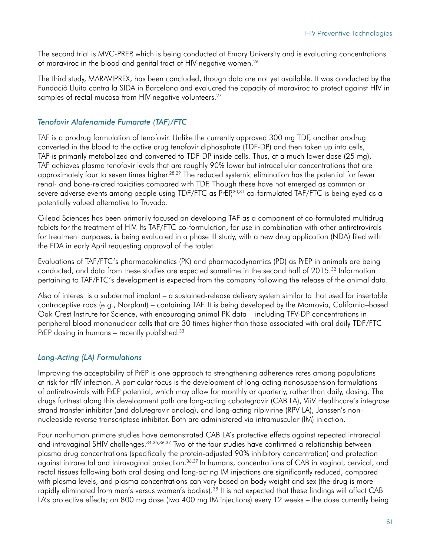The second trial is MVC-PREP, which is being conducted at Emory University and is evaluating concentrations of maraviroc in the blood and genital tract of HIV-negative women.<sup>26</sup>

The third study, MARAVIPREX, has been concluded, though data are not yet available. It was conducted by the Fundació Lluita contra la SIDA in Barcelona and evaluated the capacity of maraviroc to protect against HIV in samples of rectal mucosa from HIV-negative volunteers.<sup>27</sup>

#### *Tenofovir Alafenamide Fumarate (TAF)/FTC*

TAF is a prodrug formulation of tenofovir. Unlike the currently approved 300 mg TDF, another prodrug converted in the blood to the active drug tenofovir diphosphate (TDF-DP) and then taken up into cells, TAF is primarily metabolized and converted to TDF-DP inside cells. Thus, at a much lower dose (25 mg), TAF achieves plasma tenofovir levels that are roughly 90% lower but intracellular concentrations that are approximately four to seven times higher.28,29 The reduced systemic elimination has the potential for fewer renal- and bone-related toxicities compared with TDF. Though these have not emerged as common or severe adverse events among people using TDF/FTC as PrEP,<sup>30,31</sup> co-formulated TAF/FTC is being eyed as a potentially valued alternative to Truvada.

Gilead Sciences has been primarily focused on developing TAF as a component of co-formulated multidrug tablets for the treatment of HIV. Its TAF/FTC co-formulation, for use in combination with other antiretrovirals for treatment purposes, is being evaluated in a phase III study, with a new drug application (NDA) filed with the FDA in early April requesting approval of the tablet.

Evaluations of TAF/FTC's pharmacokinetics (PK) and pharmacodynamics (PD) as PrEP in animals are being conducted, and data from these studies are expected sometime in the second half of 2015.32 Information pertaining to TAF/FTC's development is expected from the company following the release of the animal data.

Also of interest is a subdermal implant – a sustained-release delivery system similar to that used for insertable contraceptive rods (e.g., Norplant) – containing TAF. It is being developed by the Monrovia, California–based Oak Crest Institute for Science, with encouraging animal PK data – including TFV-DP concentrations in peripheral blood mononuclear cells that are 30 times higher than those associated with oral daily TDF/FTC PrEP dosing in humans – recently published.<sup>33</sup>

## *Long-Acting (LA) Formulations*

Improving the acceptability of PrEP is one approach to strengthening adherence rates among populations at risk for HIV infection. A particular focus is the development of long-acting nanosuspension formulations of antiretrovirals with PrEP potential, which may allow for monthly or quarterly, rather than daily, dosing. The drugs furthest along this development path are long-acting cabotegravir (CAB LA), ViiV Healthcare's integrase strand transfer inhibitor (and dolutegravir analog), and long-acting rilpivirine (RPV LA), Janssen's nonnucleoside reverse transcriptase inhibitor. Both are administered via intramuscular (IM) injection.

Four nonhuman primate studies have demonstrated CAB LA's protective effects against repeated intrarectal and intravaginal SHIV challenges.<sup>34,35,36,37</sup> Two of the four studies have confirmed a relationship between plasma drug concentrations (specifically the protein-adjusted 90% inhibitory concentration) and protection against intrarectal and intravaginal protection.<sup>36,37</sup> In humans, concentrations of CAB in vaginal, cervical, and rectal tissues following both oral dosing and long-acting IM injections are significantly reduced, compared with plasma levels, and plasma concentrations can vary based on body weight and sex (the drug is more rapidly eliminated from men's versus women's bodies).<sup>38</sup> It is not expected that these findings will affect CAB LA's protective effects; an 800 mg dose (two 400 mg IM injections) every 12 weeks – the dose currently being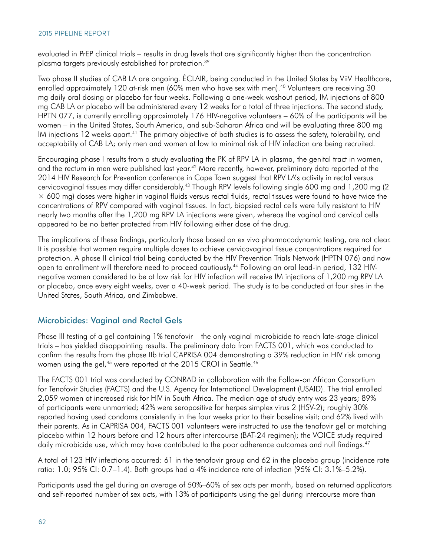evaluated in PrEP clinical trials – results in drug levels that are significantly higher than the concentration plasma targets previously established for protection.<sup>39</sup>

Two phase II studies of CAB LA are ongoing. ÉCLAIR, being conducted in the United States by ViiV Healthcare, enrolled approximately 120 at-risk men (60% men who have sex with men).<sup>40</sup> Volunteers are receiving 30 mg daily oral dosing or placebo for four weeks. Following a one-week washout period, IM injections of 800 mg CAB LA or placebo will be administered every 12 weeks for a total of three injections. The second study, HPTN 077, is currently enrolling approximately 176 HIV-negative volunteers – 60% of the participants will be women – in the United States, South America, and sub-Saharan Africa and will be evaluating three 800 mg IM injections 12 weeks apart.<sup>41</sup> The primary objective of both studies is to assess the safety, tolerability, and acceptability of CAB LA; only men and women at low to minimal risk of HIV infection are being recruited.

Encouraging phase I results from a study evaluating the PK of RPV LA in plasma, the genital tract in women, and the rectum in men were published last year.<sup>42</sup> More recently, however, preliminary data reported at the 2014 HIV Research for Prevention conference in Cape Town suggest that RPV LA's activity in rectal versus cervicovaginal tissues may differ considerably.43 Though RPV levels following single 600 mg and 1,200 mg (2  $\times$  600 mg) doses were higher in vaginal fluids versus rectal fluids, rectal tissues were found to have twice the concentrations of RPV compared with vaginal tissues. In fact, biopsied rectal cells were fully resistant to HIV nearly two months after the 1,200 mg RPV LA injections were given, whereas the vaginal and cervical cells appeared to be no better protected from HIV following either dose of the drug.

The implications of these findings, particularly those based on ex vivo pharmacodynamic testing, are not clear. It is possible that women require multiple doses to achieve cervicovaginal tissue concentrations required for protection. A phase II clinical trial being conducted by the HIV Prevention Trials Network (HPTN 076) and now open to enrollment will therefore need to proceed cautiously.<sup>44</sup> Following an oral lead-in period, 132 HIVnegative women considered to be at low risk for HIV infection will receive IM injections of 1,200 mg RPV LA or placebo, once every eight weeks, over a 40-week period. The study is to be conducted at four sites in the United States, South Africa, and Zimbabwe.

## Microbicides: Vaginal and Rectal Gels

Phase III testing of a gel containing 1% tenofovir – the only vaginal microbicide to reach late-stage clinical trials – has yielded disappointing results. The preliminary data from FACTS 001, which was conducted to confirm the results from the phase IIb trial CAPRISA 004 demonstrating a 39% reduction in HIV risk among women using the gel,<sup>45</sup> were reported at the 2015 CROI in Seattle.<sup>46</sup>

The FACTS 001 trial was conducted by CONRAD in collaboration with the Follow-on African Consortium for Tenofovir Studies (FACTS) and the U.S. Agency for International Development (USAID). The trial enrolled 2,059 women at increased risk for HIV in South Africa. The median age at study entry was 23 years; 89% of participants were unmarried; 42% were seropositive for herpes simplex virus 2 (HSV-2); roughly 30% reported having used condoms consistently in the four weeks prior to their baseline visit; and 62% lived with their parents. As in CAPRISA 004, FACTS 001 volunteers were instructed to use the tenofovir gel or matching placebo within 12 hours before and 12 hours after intercourse (BAT-24 regimen); the VOICE study required daily microbicide use, which may have contributed to the poor adherence outcomes and null findings.<sup>47</sup>

A total of 123 HIV infections occurred: 61 in the tenofovir group and 62 in the placebo group (incidence rate ratio: 1.0; 95% CI: 0.7–1.4). Both groups had a 4% incidence rate of infection (95% CI: 3.1%–5.2%).

Participants used the gel during an average of 50%–60% of sex acts per month, based on returned applicators and self-reported number of sex acts, with 13% of participants using the gel during intercourse more than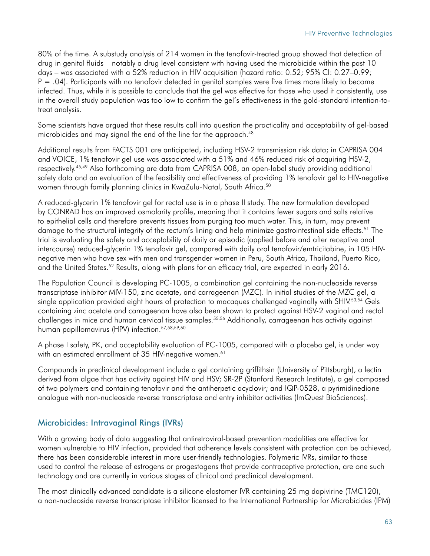80% of the time. A substudy analysis of 214 women in the tenofovir-treated group showed that detection of drug in genital fluids – notably a drug level consistent with having used the microbicide within the past 10 days – was associated with a 52% reduction in HIV acquisition (hazard ratio: 0.52; 95% CI: 0.27–0.99; P = .04). Participants with no tenofovir detected in genital samples were five times more likely to become infected. Thus, while it is possible to conclude that the gel was effective for those who used it consistently, use in the overall study population was too low to confirm the gel's effectiveness in the gold-standard intention-totreat analysis.

Some scientists have argued that these results call into question the practicality and acceptability of gel-based microbicides and may signal the end of the line for the approach.<sup>48</sup>

Additional results from FACTS 001 are anticipated, including HSV-2 transmission risk data; in CAPRISA 004 and VOICE, 1% tenofovir gel use was associated with a 51% and 46% reduced risk of acquiring HSV-2, respectively.45,49 Also forthcoming are data from CAPRISA 008, an open-label study providing additional safety data and an evaluation of the feasibility and effectiveness of providing 1% tenofovir gel to HIV-negative women through family planning clinics in KwaZulu-Natal, South Africa.<sup>50</sup>

A reduced-glycerin 1% tenofovir gel for rectal use is in a phase II study. The new formulation developed by CONRAD has an improved osmolarity profile, meaning that it contains fewer sugars and salts relative to epithelial cells and therefore prevents tissues from purging too much water. This, in turn, may prevent damage to the structural integrity of the rectum's lining and help minimize gastrointestinal side effects.<sup>51</sup> The trial is evaluating the safety and acceptability of daily or episodic (applied before and after receptive anal intercourse) reduced-glycerin 1% tenofovir gel, compared with daily oral tenofovir/emtricitabine, in 105 HIVnegative men who have sex with men and transgender women in Peru, South Africa, Thailand, Puerto Rico, and the United States.52 Results, along with plans for an efficacy trial, are expected in early 2016.

The Population Council is developing PC-1005, a combination gel containing the non-nucleoside reverse transcriptase inhibitor MIV-150, zinc acetate, and carrageenan (MZC). In initial studies of the MZC gel, a single application provided eight hours of protection to macaques challenged vaginally with SHIV.<sup>53,54</sup> Gels containing zinc acetate and carrageenan have also been shown to protect against HSV-2 vaginal and rectal challenges in mice and human cervical tissue samples.<sup>55,56</sup> Additionally, carrageenan has activity against human papillomavirus (HPV) infection.57,58,59,60

A phase I safety, PK, and acceptability evaluation of PC-1005, compared with a placebo gel, is under way with an estimated enrollment of 35 HIV-negative women.<sup>61</sup>

Compounds in preclinical development include a gel containing griffithsin (University of Pittsburgh), a lectin derived from algae that has activity against HIV and HSV; SR-2P (Stanford Research Institute), a gel composed of two polymers and containing tenofovir and the antiherpetic acyclovir; and IQP-0528, a pyrimidinedione analogue with non-nucleoside reverse transcriptase and entry inhibitor activities (ImQuest BioSciences).

## Microbicides: Intravaginal Rings (IVRs)

With a growing body of data suggesting that antiretroviral-based prevention modalities are effective for women vulnerable to HIV infection, provided that adherence levels consistent with protection can be achieved, there has been considerable interest in more user-friendly technologies. Polymeric IVRs, similar to those used to control the release of estrogens or progestogens that provide contraceptive protection, are one such technology and are currently in various stages of clinical and preclinical development.

The most clinically advanced candidate is a silicone elastomer IVR containing 25 mg dapivirine (TMC120), a non-nucleoside reverse transcriptase inhibitor licensed to the International Partnership for Microbicides (IPM)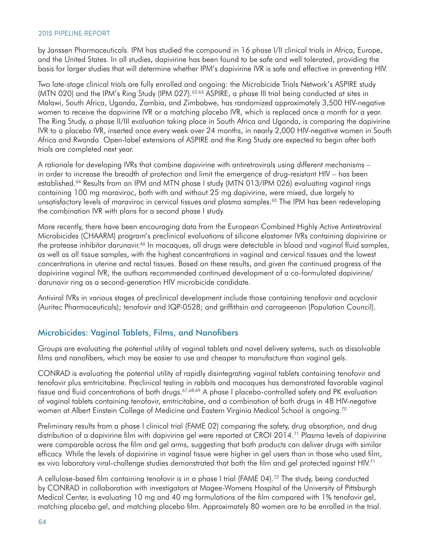by Janssen Pharmaceuticals. IPM has studied the compound in 16 phase I/II clinical trials in Africa, Europe, and the United States. In all studies, dapivirine has been found to be safe and well tolerated, providing the basis for larger studies that will determine whether IPM's dapivirine IVR is safe and effective in preventing HIV.

Two late-stage clinical trials are fully enrolled and ongoing: the Microbicide Trials Network's ASPIRE study (MTN 020) and the IPM's Ring Study (IPM 027).<sup>62,63</sup> ASPIRE, a phase III trial being conducted at sites in Malawi, South Africa, Uganda, Zambia, and Zimbabwe, has randomized approximately 3,500 HIV-negative women to receive the dapivirine IVR or a matching placebo IVR, which is replaced once a month for a year. The Ring Study, a phase II/III evaluation taking place in South Africa and Uganda, is comparing the dapivirine IVR to a placebo IVR, inserted once every week over 24 months, in nearly 2,000 HIV-negative women in South Africa and Rwanda. Open-label extensions of ASPIRE and the Ring Study are expected to begin after both trials are completed next year.

A rationale for developing IVRs that combine dapivirine with antiretrovirals using different mechanisms – in order to increase the breadth of protection and limit the emergence of drug-resistant HIV – has been established.<sup>64</sup> Results from an IPM and MTN phase I study (MTN 013/IPM 026) evaluating vaginal rings containing 100 mg maraviroc, both with and without 25 mg dapivirine, were mixed, due largely to unsatisfactory levels of maraviroc in cervical tissues and plasma samples.<sup>65</sup> The IPM has been redeveloping the combination IVR with plans for a second phase I study.

More recently, there have been encouraging data from the European Combined Highly Active Antiretroviral Microbicides (CHAARM) program's preclinical evaluations of silicone elastomer IVRs containing dapivirine or the protease inhibitor darunavir.<sup>66</sup> In macaques, all drugs were detectable in blood and vaginal fluid samples, as well as all tissue samples, with the highest concentrations in vaginal and cervical tissues and the lowest concentrations in uterine and rectal tissues. Based on these results, and given the continued progress of the dapivirine vaginal IVR, the authors recommended continued development of a co-formulated dapivirine/ darunavir ring as a second-generation HIV microbicide candidate.

Antiviral IVRs in various stages of preclinical development include those containing tenofovir and acyclovir (Auritec Pharmaceuticals); tenofovir and IQP-0528; and griffithsin and carrageenan (Population Council).

## Microbicides: Vaginal Tablets, Films, and Nanofibers

Groups are evaluating the potential utility of vaginal tablets and novel delivery systems, such as dissolvable films and nanofibers, which may be easier to use and cheaper to manufacture than vaginal gels.

CONRAD is evaluating the potential utility of rapidly disintegrating vaginal tablets containing tenofovir and tenofovir plus emtricitabine. Preclinical testing in rabbits and macaques has demonstrated favorable vaginal tissue and fluid concentrations of both drugs.<sup>67,68,69</sup> A phase I placebo-controlled safety and PK evaluation of vaginal tablets containing tenofovir, emtricitabine, and a combination of both drugs in 48 HIV-negative women at Albert Einstein College of Medicine and Eastern Virginia Medical School is ongoing.<sup>70</sup>

Preliminary results from a phase I clinical trial (FAME 02) comparing the safety, drug absorption, and drug distribution of a dapivirine film with dapivirine gel were reported at CROI 2014.71 Plasma levels of dapivirine were comparable across the film and gel arms, suggesting that both products can deliver drugs with similar efficacy. While the levels of dapivirine in vaginal tissue were higher in gel users than in those who used film, ex vivo laboratory viral-challenge studies demonstrated that both the film and gel protected against HIV.<sup>71</sup>

A cellulose-based film containing tenofovir is in a phase I trial (FAME 04).<sup>72</sup> The study, being conducted by CONRAD in collaboration with investigators at Magee-Womens Hospital of the University of Pittsburgh Medical Center, is evaluating 10 mg and 40 mg formulations of the film compared with 1% tenofovir gel, matching placebo gel, and matching placebo film. Approximately 80 women are to be enrolled in the trial.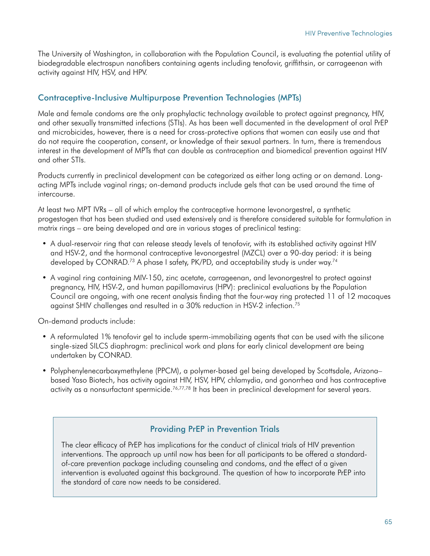The University of Washington, in collaboration with the Population Council, is evaluating the potential utility of biodegradable electrospun nanofibers containing agents including tenofovir, griffithsin, or carrageenan with activity against HIV, HSV, and HPV.

# Contraceptive-Inclusive Multipurpose Prevention Technologies (MPTs)

Male and female condoms are the only prophylactic technology available to protect against pregnancy, HIV, and other sexually transmitted infections (STIs). As has been well documented in the development of oral PrEP and microbicides, however, there is a need for cross-protective options that women can easily use and that do not require the cooperation, consent, or knowledge of their sexual partners. In turn, there is tremendous interest in the development of MPTs that can double as contraception and biomedical prevention against HIV and other STIs.

Products currently in preclinical development can be categorized as either long acting or on demand. Longacting MPTs include vaginal rings; on-demand products include gels that can be used around the time of intercourse.

At least two MPT IVRs – all of which employ the contraceptive hormone levonorgestrel, a synthetic progestogen that has been studied and used extensively and is therefore considered suitable for formulation in matrix rings – are being developed and are in various stages of preclinical testing:

- A dual-reservoir ring that can release steady levels of tenofovir, with its established activity against HIV and HSV-2, and the hormonal contraceptive levonorgestrel (MZCL) over a 90-day period: it is being developed by CONRAD.<sup>73</sup> A phase I safety, PK/PD, and acceptability study is under way.<sup>74</sup>
- A vaginal ring containing MIV-150, zinc acetate, carrageenan, and levonorgestrel to protect against pregnancy, HIV, HSV-2, and human papillomavirus (HPV): preclinical evaluations by the Population Council are ongoing, with one recent analysis finding that the four-way ring protected 11 of 12 macaques against SHIV challenges and resulted in a 30% reduction in HSV-2 infection.75

On-demand products include:

- A reformulated 1% tenofovir gel to include sperm-immobilizing agents that can be used with the silicone single-sized SILCS diaphragm: preclinical work and plans for early clinical development are being undertaken by CONRAD.
- Polyphenylenecarboxymethylene (PPCM), a polymer-based gel being developed by Scottsdale, Arizona– based Yaso Biotech, has activity against HIV, HSV, HPV, chlamydia, and gonorrhea and has contraceptive activity as a nonsurfactant spermicide.<sup>76,77,78</sup> It has been in preclinical development for several years.

# Providing PrEP in Prevention Trials

The clear efficacy of PrEP has implications for the conduct of clinical trials of HIV prevention interventions. The approach up until now has been for all participants to be offered a standardof-care prevention package including counseling and condoms, and the effect of a given intervention is evaluated against this background. The question of how to incorporate PrEP into the standard of care now needs to be considered.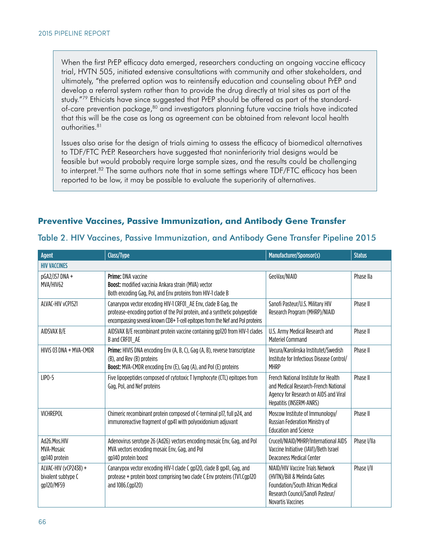When the first PrEP efficacy data emerged, researchers conducting an ongoing vaccine efficacy trial, HVTN 505, initiated extensive consultations with community and other stakeholders, and ultimately, "the preferred option was to reintensify education and counseling about PrEP and develop a referral system rather than to provide the drug directly at trial sites as part of the study."<sup>79</sup> Ethicists have since suggested that PrEP should be offered as part of the standardof-care prevention package,<sup>80</sup> and investigators planning future vaccine trials have indicated that this will be the case as long as agreement can be obtained from relevant local health authorities.81

Issues also arise for the design of trials aiming to assess the efficacy of biomedical alternatives to TDF/FTC PrEP. Researchers have suggested that noninferiority trial designs would be feasible but would probably require large sample sizes, and the results could be challenging to interpret.<sup>82</sup> The same authors note that in some settings where TDF/FTC efficacy has been reported to be low, it may be possible to evaluate the superiority of alternatives.

# **Preventive Vaccines, Passive Immunization, and Antibody Gene Transfer**

| Agent                                                     | Class/Type                                                                                                                                                                                                                  | Manufacturer/Sponsor(s)                                                                                                                                                    | <b>Status</b> |
|-----------------------------------------------------------|-----------------------------------------------------------------------------------------------------------------------------------------------------------------------------------------------------------------------------|----------------------------------------------------------------------------------------------------------------------------------------------------------------------------|---------------|
| <b>HIV VACCINES</b>                                       |                                                                                                                                                                                                                             |                                                                                                                                                                            |               |
| pGA2/JS7 DNA +<br>MVA/HIV62                               | <b>Prime: DNA vaccine</b><br><b>Boost:</b> modified vaccinia Ankara strain (MVA) vector<br>Both encoding Gag, Pol, and Env proteins from HIV-1 clade B                                                                      | GeoVax/NIAID                                                                                                                                                               | Phase IIa     |
| ALVAC-HIV vCP1521                                         | Canarypox vector encoding HIV-1 CRF01_AE Env, clade B Gag, the<br>protease-encoding portion of the Pol protein, and a synthetic polypeptide<br>encompassing several known CD8+T-cell epitopes from the Nef and Pol proteins | Sanofi Pasteur/U.S. Military HIV<br>Research Program (MHRP)/NIAID                                                                                                          | Phase II      |
| AIDSVAX B/E                                               | AIDSVAX B/E recombinant protein vaccine containing gp120 from HIV-1 clades<br>B and CRF01 AE                                                                                                                                | U.S. Army Medical Research and<br>Materiel Command                                                                                                                         | Phase II      |
| HIVIS 03 DNA + MVA-CMDR                                   | Prime: HIVIS DNA encoding Env (A, B, C), Gag (A, B), reverse transcriptase<br>(B), and Rev (B) proteins<br><b>Boost:</b> MVA-CMDR encoding Env (E), Gag (A), and Pol (E) proteins                                           | Vecura/Karolinska Institutet/Swedish<br>Institute for Infectious Disease Control/<br><b>MHRP</b>                                                                           | Phase II      |
| <b>LIPO-5</b>                                             | Five lipopeptides composed of cytotoxic T lymphocyte (CTL) epitopes from<br>Gag, Pol, and Nef proteins                                                                                                                      | French National Institute for Health<br>and Medical Research-French National<br>Agency for Research on AIDS and Viral<br>Hepatitis (INSERM-ANRS)                           | Phase II      |
| <b>VICHREPOL</b>                                          | Chimeric recombinant protein composed of C-terminal p17, full p24, and<br>immunoreactive fragment of gp41 with polyoxidonium adjuvant                                                                                       | Moscow Institute of Immunology/<br><b>Russian Federation Ministry of</b><br><b>Education and Science</b>                                                                   | Phase II      |
| Ad26.Mos.HIV<br>MVA-Mosaic<br>gp140 protein               | Adenovirus serotype 26 (Ad26) vectors encoding mosaic Env, Gag, and Pol<br>MVA vectors encoding mosaic Env, Gag, and Pol<br>gp140 protein boost                                                                             | Crucell/NIAID/MHRP/International AIDS<br>Vaccine Initiative (IAVI)/Beth Israel<br>Deaconess Medical Center                                                                 | Phase I/IIa   |
| ALVAC-HIV (vCP2438) +<br>bivalent subtype C<br>gp120/MF59 | Canarypox vector encoding HIV-1 clade C gp120, clade B gp41, Gag, and<br>protease + protein boost comprising two clade C Env proteins (TV1.Cgp120<br>and 1086. (gp120)                                                      | NIAID/HIV Vaccine Trials Network<br>(HVTN)/Bill & Melinda Gates<br><b>Foundation/South African Medical</b><br>Research Council/Sanofi Pasteur/<br><b>Novartis Vaccines</b> | Phase I/II    |

#### Table 2. HIV Vaccines, Passive Immunization, and Antibody Gene Transfer Pipeline 2015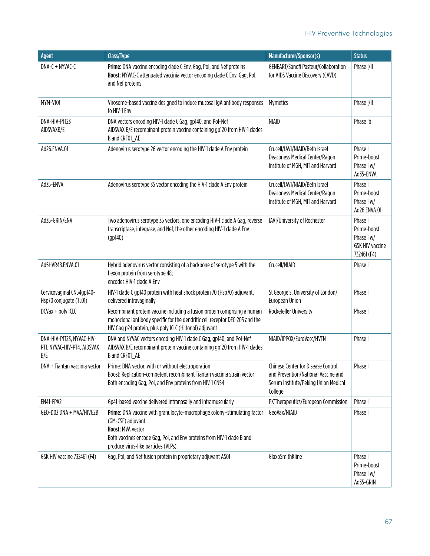| Agent                                                           | <b>Class/Type</b>                                                                                                                                                                                                                          | Manufacturer/Sponsor(s)                                                                                                      | <b>Status</b>                                                                 |
|-----------------------------------------------------------------|--------------------------------------------------------------------------------------------------------------------------------------------------------------------------------------------------------------------------------------------|------------------------------------------------------------------------------------------------------------------------------|-------------------------------------------------------------------------------|
| DNA-C + NYVAC-C                                                 | Prime: DNA vaccine encoding clade C Env, Gag, Pol, and Nef proteins<br>Boost: NYVAC-C attenuated vaccinia vector encoding clade C Env, Gag, Pol,<br>and Nef proteins                                                                       | GENEART/Sanofi Pasteur/Collaboration<br>for AIDS Vaccine Discovery (CAVD)                                                    | Phase I/II                                                                    |
| MYM-V101                                                        | Virosome-based vaccine designed to induce mucosal IgA antibody responses<br>to HIV-1 Env                                                                                                                                                   | Mymetics                                                                                                                     | Phase I/II                                                                    |
| DNA-HIV-PT123<br>AIDSVAXB/E                                     | DNA vectors encoding HIV-1 clade C Gag, gp140, and Pol-Nef<br>AIDSVAX B/E recombinant protein vaccine containing gp120 from HIV-1 clades<br>B and CRF01_AE                                                                                 | <b>NIAID</b>                                                                                                                 | Phase Ib                                                                      |
| Ad26.ENVA.01                                                    | Adenovirus serotype 26 vector encoding the HIV-1 clade A Env protein                                                                                                                                                                       | Crucell/IAVI/NIAID/Beth Israel<br>Deaconess Medical Center/Ragon<br>Institute of MGH, MIT and Harvard                        | Phase I<br>Prime-boost<br>Phase I w/<br>Ad35-ENVA                             |
| Ad35-ENVA                                                       | Adenovirus serotype 35 vector encoding the HIV-1 clade A Env protein                                                                                                                                                                       | Crucell/IAVI/NIAID/Beth Israel<br>Deaconess Medical Center/Ragon<br>Institute of MGH, MIT and Harvard                        | Phase I<br>Prime-boost<br>Phase I w/<br>Ad26.ENVA.01                          |
| Ad35-GRIN/ENV                                                   | Two adenovirus serotype 35 vectors, one encoding HIV-1 clade A Gag, reverse<br>transcriptase, integrase, and Nef, the other encoding HIV-1 clade A Env<br>(gp140)                                                                          | IAVI/University of Rochester                                                                                                 | Phase I<br>Prime-boost<br>Phase I w/<br><b>GSK HIV vaccine</b><br>732461 (F4) |
| Ad5HVR48.ENVA.01                                                | Hybrid adenovirus vector consisting of a backbone of serotype 5 with the<br>hexon protein from serotype 48;<br>encodes HIV-1 clade A Env                                                                                                   | Crucell/NIAID                                                                                                                | Phase I                                                                       |
| Cervicovaginal CN54gp140-<br>Hsp70 conjugate (TL01)             | HIV-1 clade C gp140 protein with heat shock protein 70 (Hsp70) adjuvant,<br>delivered intravaginally                                                                                                                                       | St George's, University of London/<br>European Union                                                                         | Phase I                                                                       |
| DCVax + poly ICLC                                               | Recombinant protein vaccine including a fusion protein comprising a human<br>monoclonal antibody specific for the dendritic cell receptor DEC-205 and the<br>HIV Gag p24 protein, plus poly ICLC (Hiltonol) adjuvant                       | Rockefeller University                                                                                                       | Phase I                                                                       |
| DNA-HIV-PT123, NYVAC-HIV-<br>PT1, NYVAC-HIV-PT4, AIDSVAX<br>B/E | DNA and NYVAC vectors encoding HIV-1 clade C Gag, gp140, and Pol-Nef<br>AIDSVAX B/E recombinant protein vaccine containing gp120 from HIV-1 clades<br>B and CRF01_AE                                                                       | NIAID/IPPOX/EuroVacc/HVTN                                                                                                    | Phase I                                                                       |
| DNA + Tiantan vaccinia vector                                   | Prime: DNA vector, with or without electroporation<br>Boost: Replication-competent recombinant Tiantan vaccinia strain vector<br>Both encoding Gag, Pol, and Env proteins from HIV-1 CN54                                                  | Chinese Center for Disease Control<br>and Prevention/National Vaccine and<br>Serum Institute/Peking Union Medical<br>College | Phase I                                                                       |
| EN41-FPA2                                                       | Gp41-based vaccine delivered intranasally and intramuscularly                                                                                                                                                                              | PX'Therapeutics/European Commission                                                                                          | Phase I                                                                       |
| GEO-D03 DNA + MVA/HIV62B                                        | Prime: DNA vaccine with granulocyte-macrophage colony-stimulating factor<br>(GM-CSF) adjuvant<br><b>Boost: MVA vector</b><br>Both vaccines encode Gag, Pol, and Env proteins from HIV-1 clade B and<br>produce virus-like particles (VLPs) | GeoVax/NIAID                                                                                                                 | Phase I                                                                       |
| GSK HIV vaccine 732461 (F4)                                     | Gag, Pol, and Nef fusion protein in proprietary adjuvant AS01                                                                                                                                                                              | GlaxoSmithKline                                                                                                              | Phase I<br>Prime-boost<br>Phase I w/<br>Ad35-GRIN                             |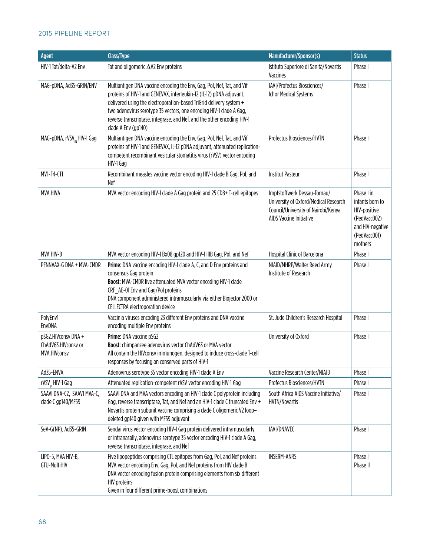| <b>Agent</b>                                               | Class/Type                                                                                                                                                                                                                                                                                                                                                                                     | Manufacturer/Sponsor(s)                                                                                                                 | <b>Status</b>                                                                                                |
|------------------------------------------------------------|------------------------------------------------------------------------------------------------------------------------------------------------------------------------------------------------------------------------------------------------------------------------------------------------------------------------------------------------------------------------------------------------|-----------------------------------------------------------------------------------------------------------------------------------------|--------------------------------------------------------------------------------------------------------------|
| HIV-1 Tat/delta-V2 Env                                     | Tat and oligomeric $\Delta$ V2 Env proteins                                                                                                                                                                                                                                                                                                                                                    | Istituto Superiore di Sanità/Novartis<br>Vaccines                                                                                       | Phase I                                                                                                      |
| MAG-pDNA, Ad35-GRIN/ENV                                    | Multiantigen DNA vaccine encoding the Env, Gag, Pol, Nef, Tat, and Vif<br>proteins of HIV-1 and GENEVAX, interleukin-12 (IL-12) pDNA adjuvant,<br>delivered using the electroporation-based TriGrid delivery system +<br>two adenovirus serotype 35 vectors, one encoding HIV-1 clade A Gag,<br>reverse transcriptase, integrase, and Nef, and the other encoding HIV-1<br>clade A Env (gp140) | IAVI/Profectus Biosciences/<br>Ichor Medical Systems                                                                                    | Phase I                                                                                                      |
| MAG-pDNA, rVSV <sub>IN</sub> HIV-1 Gag                     | Multiantigen DNA vaccine encoding the Env, Gag, Pol, Nef, Tat, and Vif<br>proteins of HIV-1 and GENEVAX, IL-12 pDNA adjuvant, attenuated replication-<br>competent recombinant vesicular stomatitis virus (rVSV) vector encoding<br>HIV-1 Gag                                                                                                                                                  | Profectus Biosciences/HVTN                                                                                                              | Phase I                                                                                                      |
| <b>MV1-F4-CT1</b>                                          | Recombinant measles vaccine vector encoding HIV-1 clade B Gag, Pol, and<br>Nef                                                                                                                                                                                                                                                                                                                 | <b>Institut Pasteur</b>                                                                                                                 | Phase I                                                                                                      |
| MVA.HIVA                                                   | MVA vector encoding HIV-1 clade A Gag protein and 25 CD8+ T-cell epitopes                                                                                                                                                                                                                                                                                                                      | Impfstoffwerk Dessau-Tornau/<br>University of Oxford/Medical Research<br>Council/University of Nairobi/Kenya<br>AIDS Vaccine Initiative | Phase I in<br>infants born to<br>HIV-positive<br>(PedVacc002)<br>and HIV-negative<br>(PedVacc001)<br>mothers |
| MVA HIV-B                                                  | MVA vector encoding HIV-1 Bx08 gp120 and HIV-1 IIIB Gag, Pol, and Nef                                                                                                                                                                                                                                                                                                                          | Hospital Clinic of Barcelona                                                                                                            | Phase I                                                                                                      |
| PENNVAX-G DNA + MVA-CMDR                                   | Prime: DNA vaccine encoding HIV-1 clade A, C, and D Env proteins and<br>consensus Gag protein<br>Boost: MVA-CMDR live attenuated MVA vector encoding HIV-1 clade<br>CRF_AE-01 Env and Gag/Pol proteins<br>DNA component administered intramuscularly via either Biojector 2000 or<br><b>CELLECTRA electroporation device</b>                                                                   | NIAID/MHRP/Walter Reed Army<br>Institute of Research                                                                                    | Phase I                                                                                                      |
| PolyEnv1<br>EnvDNA                                         | Vaccinia viruses encoding 23 different Env proteins and DNA vaccine<br>encoding multiple Env proteins                                                                                                                                                                                                                                                                                          | St. Jude Children's Research Hospital                                                                                                   | Phase I                                                                                                      |
| pSG2.HIVconsv DNA +<br>ChAdV63.HIVconsv or<br>MVA.HIVconsv | Prime: DNA vaccine pSG2<br>Boost: chimpanzee adenovirus vector ChAdV63 or MVA vector<br>All contain the HIVconsv immunogen, designed to induce cross-clade T-cell<br>responses by focusing on conserved parts of HIV-1                                                                                                                                                                         | University of Oxford                                                                                                                    | Phase I                                                                                                      |
| Ad35-ENVA                                                  | Adenovirus serotype 35 vector encoding HIV-1 clade A Env                                                                                                                                                                                                                                                                                                                                       | Vaccine Research Center/NIAID                                                                                                           | Phase I                                                                                                      |
| rVSV <sub>IN</sub> HIV-1 Gag                               | Attenuated replication-competent rVSV vector encoding HIV-1 Gag                                                                                                                                                                                                                                                                                                                                | Profectus Biosciences/HVTN                                                                                                              | Phase I                                                                                                      |
| SAAVI DNA-C2, SAAVI MVA-C,<br>clade C gp140/MF59           | SAAVI DNA and MVA vectors encoding an HIV-1 clade C polyprotein including<br>Gag, reverse transcriptase, Tat, and Nef and an HIV-1 clade C truncated Env +<br>Novartis protein subunit vaccine comprising a clade C oligomeric V2 loop-<br>deleted gp140 given with MF59 adjuvant                                                                                                              | South Africa AIDS Vaccine Initiative/<br><b>HVTN/Novartis</b>                                                                           | Phase I                                                                                                      |
| SeV-G(NP), Ad35-GRIN                                       | Sendai virus vector encoding HIV-1 Gag protein delivered intramuscularly<br>or intranasally, adenovirus serotype 35 vector encoding HIV-1 clade A Gag,<br>reverse transcriptase, integrase, and Nef                                                                                                                                                                                            | IAVI/DNAVEC                                                                                                                             | Phase I                                                                                                      |
| LIPO-5, MVA HIV-B,<br>GTU-MultiHIV                         | Five lipopeptides comprising CTL epitopes from Gag, Pol, and Nef proteins<br>MVA vector encoding Env, Gag, Pol, and Nef proteins from HIV clade B<br>DNA vector encoding fusion protein comprising elements from six different<br><b>HIV proteins</b><br>Given in four different prime-boost combinations                                                                                      | <b>INSERM-ANRS</b>                                                                                                                      | Phase I<br>Phase II                                                                                          |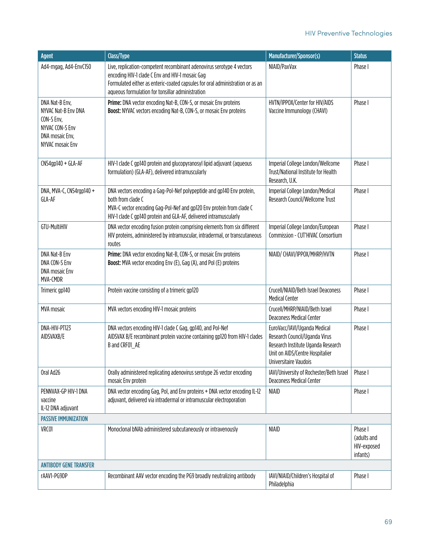| Agent                                                                                                         | Class/Type                                                                                                                                                                                                                                                    | Manufacturer/Sponsor(s)                                                                                                                                         | <b>Status</b>                                     |
|---------------------------------------------------------------------------------------------------------------|---------------------------------------------------------------------------------------------------------------------------------------------------------------------------------------------------------------------------------------------------------------|-----------------------------------------------------------------------------------------------------------------------------------------------------------------|---------------------------------------------------|
| Ad4-mgag, Ad4-EnvC150                                                                                         | Live, replication-competent recombinant adenovirus serotype 4 vectors<br>encoding HIV-1 clade C Env and HIV-1 mosaic Gag<br>Formulated either as enteric-coated capsules for oral administration or as an<br>aqueous formulation for tonsillar administration | NIAID/PaxVax                                                                                                                                                    | Phase I                                           |
| DNA Nat-B Env,<br>NYVAC Nat-B Env DNA<br>CON-S Env,<br>NYVAC CON-S Env<br>DNA mosaic Env,<br>NYVAC mosaic Env | Prime: DNA vector encoding Nat-B, CON-S, or mosaic Env proteins<br>Boost: NYVAC vectors encoding Nat-B, CON-S, or mosaic Env proteins                                                                                                                         | HVTN/IPPOX/Center for HIV/AIDS<br>Vaccine Immunology (CHAVI)                                                                                                    | Phase I                                           |
| CN54gp140 + GLA-AF                                                                                            | HIV-1 clade C gp140 protein and glucopyranosyl lipid adjuvant (aqueous<br>formulation) (GLA-AF), delivered intramuscularly                                                                                                                                    | Imperial College London/Wellcome<br>Trust/National Institute for Health<br>Research, U.K.                                                                       | Phase I                                           |
| DNA, MVA-C, CN54rgp140 +<br>GLA-AF                                                                            | DNA vectors encoding a Gag-Pol-Nef polypeptide and gp140 Env protein,<br>both from clade C<br>MVA-C vector encoding Gag-Pol-Nef and gp120 Env protein from clade C<br>HIV-1 clade C gp140 protein and GLA-AF, delivered intramuscularly                       | Imperial College London/Medical<br>Research Council/Wellcome Trust                                                                                              | Phase I                                           |
| GTU-MultiHIV                                                                                                  | DNA vector encoding fusion protein comprising elements from six different<br>HIV proteins, administered by intramuscular, intradermal, or transcutaneous<br>routes                                                                                            | Imperial College London/European<br>Commission - CUT'HIVAC Consortium                                                                                           | Phase I                                           |
| DNA Nat-B Env<br>DNA CON-S Env<br>DNA mosaic Env<br>MVA-CMDR                                                  | Prime: DNA vector encoding Nat-B, CON-S, or mosaic Env proteins<br>Boost: MVA vector encoding Env (E), Gag (A), and Pol (E) proteins                                                                                                                          | NIAID/ CHAVI/IPPOX/MHRP/HVTN                                                                                                                                    | Phase I                                           |
| Trimeric gp140                                                                                                | Protein vaccine consisting of a trimeric gp120                                                                                                                                                                                                                | Crucell/NIAID/Beth Israel Deaconess<br><b>Medical Center</b>                                                                                                    | Phase I                                           |
| MVA mosaic                                                                                                    | MVA vectors encoding HIV-1 mosaic proteins                                                                                                                                                                                                                    | Crucell/MHRP/NIAID/Beth Israel<br><b>Deaconess Medical Center</b>                                                                                               | Phase I                                           |
| DNA-HIV-PT123<br>AIDSVAXB/E                                                                                   | DNA vectors encoding HIV-1 clade C Gag, gp140, and Pol-Nef<br>AIDSVAX B/E recombinant protein vaccine containing gp120 from HIV-1 clades<br>B and CRF01_AE                                                                                                    | EuroVacc/IAVI/Uganda Medical<br>Research Council/Uganda Virus<br>Research Institute Uganda Research<br>Unit on AIDS/Centre Hospitalier<br>Universitaire Vaudois | Phase I                                           |
| Oral Ad26                                                                                                     | Orally administered replicating adenovirus serotype 26 vector encoding<br>mosaic Env protein                                                                                                                                                                  | IAVI/University of Rochester/Beth Israel<br><b>Deaconess Medical Center</b>                                                                                     | Phase I                                           |
| PENNVAX-GP HIV-1 DNA<br>vaccine<br>IL-12 DNA adjuvant                                                         | DNA vector encoding Gag, Pol, and Env proteins + DNA vector encoding IL-12<br>adjuvant, delivered via intradermal or intramuscular electroporation                                                                                                            | <b>NIAID</b>                                                                                                                                                    | Phase I                                           |
| <b>PASSIVE IMMUNIZATION</b>                                                                                   |                                                                                                                                                                                                                                                               |                                                                                                                                                                 |                                                   |
| VRC01                                                                                                         | Monoclonal bNAb administered subcutaneously or intravenously                                                                                                                                                                                                  | <b>NIAID</b>                                                                                                                                                    | Phase I<br>(adults and<br>HIV-exposed<br>infants) |
| <b>ANTIBODY GENE TRANSFER</b>                                                                                 |                                                                                                                                                                                                                                                               |                                                                                                                                                                 |                                                   |
| rAAV1-PG9DP                                                                                                   | Recombinant AAV vector encoding the PG9 broadly neutralizing antibody                                                                                                                                                                                         | IAVI/NIAID/Children's Hospital of<br>Philadelphia                                                                                                               | Phase I                                           |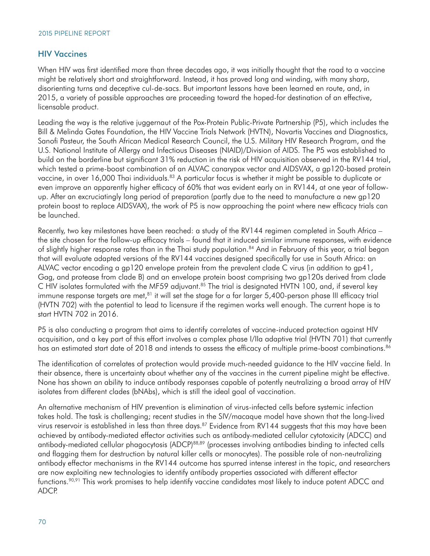## **HIV Vaccines**

When HIV was first identified more than three decades ago, it was initially thought that the road to a vaccine might be relatively short and straightforward. Instead, it has proved long and winding, with many sharp, disorienting turns and deceptive cul-de-sacs. But important lessons have been learned en route, and, in 2015, a variety of possible approaches are proceeding toward the hoped-for destination of an effective, licensable product.

Leading the way is the relative juggernaut of the Pox-Protein Public-Private Partnership (P5), which includes the Bill & Melinda Gates Foundation, the HIV Vaccine Trials Network (HVTN), Novartis Vaccines and Diagnostics, Sanofi Pasteur, the South African Medical Research Council, the U.S. Military HIV Research Program, and the U.S. National Institute of Allergy and Infectious Diseases (NIAID)/Division of AIDS. The P5 was established to build on the borderline but significant 31% reduction in the risk of HIV acquisition observed in the RV144 trial, which tested a prime-boost combination of an ALVAC canarypox vector and AIDSVAX, a gp120-based protein vaccine, in over 16,000 Thai individuals.<sup>83</sup> A particular focus is whether it might be possible to duplicate or even improve an apparently higher efficacy of 60% that was evident early on in RV144, at one year of followup. After an excruciatingly long period of preparation (partly due to the need to manufacture a new gp120 protein boost to replace AIDSVAX), the work of P5 is now approaching the point where new efficacy trials can be launched.

Recently, two key milestones have been reached: a study of the RV144 regimen completed in South Africa – the site chosen for the follow-up efficacy trials – found that it induced similar immune responses, with evidence of slightly higher response rates than in the Thai study population.84 And in February of this year, a trial began that will evaluate adapted versions of the RV144 vaccines designed specifically for use in South Africa: an ALVAC vector encoding a gp120 envelope protein from the prevalent clade C virus (in addition to gp41, Gag, and protease from clade B) and an envelope protein boost comprising two gp120s derived from clade C HIV isolates formulated with the MF59 adjuvant.<sup>85</sup> The trial is designated HVTN 100, and, if several key immune response targets are met,<sup>81</sup> it will set the stage for a far larger 5,400-person phase III efficacy trial (HVTN 702) with the potential to lead to licensure if the regimen works well enough. The current hope is to start HVTN 702 in 2016.

P5 is also conducting a program that aims to identify correlates of vaccine-induced protection against HIV acquisition, and a key part of this effort involves a complex phase I/IIa adaptive trial (HVTN 701) that currently has an estimated start date of 2018 and intends to assess the efficacy of multiple prime-boost combinations.<sup>86</sup>

The identification of correlates of protection would provide much-needed guidance to the HIV vaccine field. In their absence, there is uncertainty about whether any of the vaccines in the current pipeline might be effective. None has shown an ability to induce antibody responses capable of potently neutralizing a broad array of HIV isolates from different clades (bNAbs), which is still the ideal goal of vaccination.

An alternative mechanism of HIV prevention is elimination of virus-infected cells before systemic infection takes hold. The task is challenging; recent studies in the SIV/macaque model have shown that the long-lived virus reservoir is established in less than three days.<sup>87</sup> Evidence from RV144 suggests that this may have been achieved by antibody-mediated effector activities such as antibody-mediated cellular cytotoxicity (ADCC) and antibody-mediated cellular phagocytosis (ADCP)<sup>88,89</sup> (processes involving antibodies binding to infected cells and flagging them for destruction by natural killer cells or monocytes). The possible role of non-neutralizing antibody effector mechanisms in the RV144 outcome has spurred intense interest in the topic, and researchers are now exploiting new technologies to identify antibody properties associated with different effector functions.90,91 This work promises to help identify vaccine candidates most likely to induce potent ADCC and ADCP.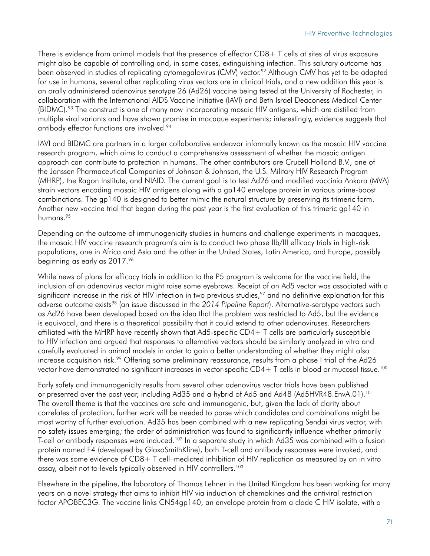There is evidence from animal models that the presence of effector CD8+ T cells at sites of virus exposure might also be capable of controlling and, in some cases, extinguishing infection. This salutary outcome has been observed in studies of replicating cytomegalovirus (CMV) vector.<sup>92</sup> Although CMV has yet to be adapted for use in humans, several other replicating virus vectors are in clinical trials, and a new addition this year is an orally administered adenovirus serotype 26 (Ad26) vaccine being tested at the University of Rochester, in collaboration with the International AIDS Vaccine Initiative (IAVI) and Beth Israel Deaconess Medical Center (BIDMC).<sup>93</sup> The construct is one of many now incorporating mosaic HIV antigens, which are distilled from multiple viral variants and have shown promise in macaque experiments; interestingly, evidence suggests that antibody effector functions are involved.<sup>94</sup>

IAVI and BIDMC are partners in a larger collaborative endeavor informally known as the mosaic HIV vaccine research program, which aims to conduct a comprehensive assessment of whether the mosaic antigen approach can contribute to protection in humans. The other contributors are Crucell Holland B.V., one of the Janssen Pharmaceutical Companies of Johnson & Johnson, the U.S. Military HIV Research Program (MHRP), the Ragon Institute, and NIAID. The current goal is to test Ad26 and modified vaccinia Ankara (MVA) strain vectors encoding mosaic HIV antigens along with a gp140 envelope protein in various prime-boost combinations. The gp140 is designed to better mimic the natural structure by preserving its trimeric form. Another new vaccine trial that began during the past year is the first evaluation of this trimeric gp140 in humans.95

Depending on the outcome of immunogenicity studies in humans and challenge experiments in macaques, the mosaic HIV vaccine research program's aim is to conduct two phase IIb/III efficacy trials in high-risk populations, one in Africa and Asia and the other in the United States, Latin America, and Europe, possibly beginning as early as 2017.96

While news of plans for efficacy trials in addition to the P5 program is welcome for the vaccine field, the inclusion of an adenovirus vector might raise some eyebrows. Receipt of an Ad5 vector was associated with a significant increase in the risk of HIV infection in two previous studies,<sup>97</sup> and no definitive explanation for this adverse outcome exists98 (an issue discussed in the *2014 Pipeline Report*). Alternative-serotype vectors such as Ad26 have been developed based on the idea that the problem was restricted to Ad5, but the evidence is equivocal, and there is a theoretical possibility that it could extend to other adenoviruses. Researchers affiliated with the MHRP have recently shown that Ad5-specific CD4+ T cells are particularly susceptible to HIV infection and argued that responses to alternative vectors should be similarly analyzed in vitro and carefully evaluated in animal models in order to gain a better understanding of whether they might also increase acquisition risk.<sup>99</sup> Offering some preliminary reassurance, results from a phase I trial of the Ad26 vector have demonstrated no significant increases in vector-specific CD4 + T cells in blood or mucosal tissue.<sup>100</sup>

Early safety and immunogenicity results from several other adenovirus vector trials have been published or presented over the past year, including Ad35 and a hybrid of Ad5 and Ad48 (Ad5HVR48.EnvA.01).<sup>101</sup> The overall theme is that the vaccines are safe and immunogenic, but, given the lack of clarity about correlates of protection, further work will be needed to parse which candidates and combinations might be most worthy of further evaluation. Ad35 has been combined with a new replicating Sendai virus vector, with no safety issues emerging; the order of administration was found to significantly influence whether primarily T-cell or antibody responses were induced.<sup>102</sup> In a separate study in which Ad35 was combined with a fusion protein named F4 (developed by GlaxoSmithKline), both T-cell and antibody responses were invoked, and there was some evidence of CD8+ T cell–mediated inhibition of HIV replication as measured by an in vitro assay, albeit not to levels typically observed in HIV controllers.<sup>103</sup>

Elsewhere in the pipeline, the laboratory of Thomas Lehner in the United Kingdom has been working for many years on a novel strategy that aims to inhibit HIV via induction of chemokines and the antiviral restriction factor APOBEC3G. The vaccine links CN54gp140, an envelope protein from a clade C HIV isolate, with a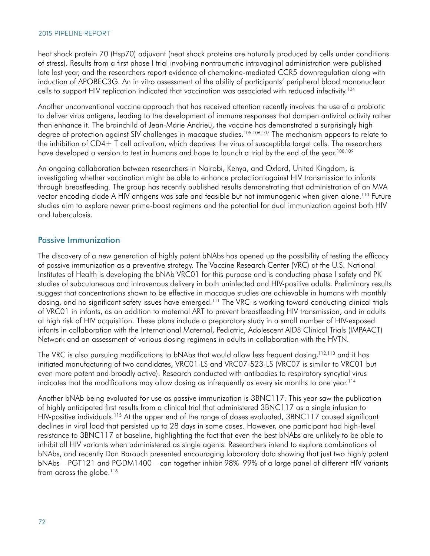heat shock protein 70 (Hsp70) adjuvant (heat shock proteins are naturally produced by cells under conditions of stress). Results from a first phase I trial involving nontraumatic intravaginal administration were published late last year, and the researchers report evidence of chemokine-mediated CCR5 downregulation along with induction of APOBEC3G. An in vitro assessment of the ability of participants' peripheral blood mononuclear cells to support HIV replication indicated that vaccination was associated with reduced infectivity.104

Another unconventional vaccine approach that has received attention recently involves the use of a probiotic to deliver virus antigens, leading to the development of immune responses that dampen antiviral activity rather than enhance it. The brainchild of Jean-Marie Andrieu, the vaccine has demonstrated a surprisingly high degree of protection against SIV challenges in macaque studies.<sup>105,106,107</sup> The mechanism appears to relate to the inhibition of CD4+ T cell activation, which deprives the virus of susceptible target cells. The researchers have developed a version to test in humans and hope to launch a trial by the end of the year.<sup>108,109</sup>

An ongoing collaboration between researchers in Nairobi, Kenya, and Oxford, United Kingdom, is investigating whether vaccination might be able to enhance protection against HIV transmission to infants through breastfeeding. The group has recently published results demonstrating that administration of an MVA vector encoding clade A HIV antigens was safe and feasible but not immunogenic when given alone.110 Future studies aim to explore newer prime-boost regimens and the potential for dual immunization against both HIV and tuberculosis.

### Passive Immunization

The discovery of a new generation of highly potent bNAbs has opened up the possibility of testing the efficacy of passive immunization as a preventive strategy. The Vaccine Research Center (VRC) at the U.S. National Institutes of Health is developing the bNAb VRC01 for this purpose and is conducting phase I safety and PK studies of subcutaneous and intravenous delivery in both uninfected and HIV-positive adults. Preliminary results suggest that concentrations shown to be effective in macaque studies are achievable in humans with monthly dosing, and no significant safety issues have emerged.111 The VRC is working toward conducting clinical trials of VRC01 in infants, as an addition to maternal ART to prevent breastfeeding HIV transmission, and in adults at high risk of HIV acquisition. These plans include a preparatory study in a small number of HIV-exposed infants in collaboration with the International Maternal, Pediatric, Adolescent AIDS Clinical Trials (IMPAACT) Network and an assessment of various dosing regimens in adults in collaboration with the HVTN.

The VRC is also pursuing modifications to bNAbs that would allow less frequent dosing,<sup>112,113</sup> and it has initiated manufacturing of two candidates, VRC01-LS and VRC07-523-LS (VRC07 is similar to VRC01 but even more potent and broadly active). Research conducted with antibodies to respiratory syncytial virus indicates that the modifications may allow dosing as infrequently as every six months to one year.<sup>114</sup>

Another bNAb being evaluated for use as passive immunization is 3BNC117. This year saw the publication of highly anticipated first results from a clinical trial that administered 3BNC117 as a single infusion to HIV-positive individuals.<sup>115</sup> At the upper end of the range of doses evaluated, 3BNC117 caused significant declines in viral load that persisted up to 28 days in some cases. However, one participant had high-level resistance to 3BNC117 at baseline, highlighting the fact that even the best bNAbs are unlikely to be able to inhibit all HIV variants when administered as single agents. Researchers intend to explore combinations of bNAbs, and recently Dan Barouch presented encouraging laboratory data showing that just two highly potent bNAbs – PGT121 and PGDM1400 – can together inhibit 98%–99% of a large panel of different HIV variants from across the globe.<sup>116</sup>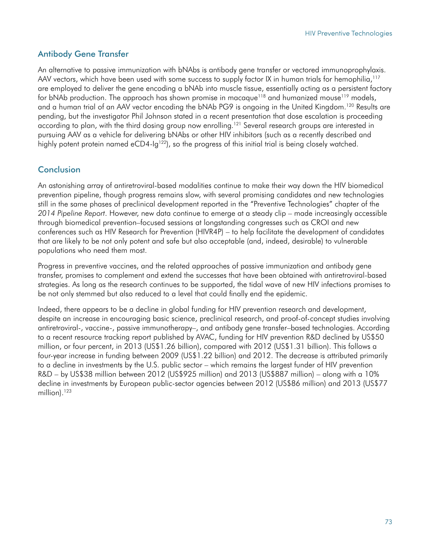## Antibody Gene Transfer

An alternative to passive immunization with bNAbs is antibody gene transfer or vectored immunoprophylaxis. AAV vectors, which have been used with some success to supply factor IX in human trials for hemophilia,<sup>117</sup> are employed to deliver the gene encoding a bNAb into muscle tissue, essentially acting as a persistent factory for bNAb production. The approach has shown promise in macaque<sup>118</sup> and humanized mouse<sup>119</sup> models, and a human trial of an AAV vector encoding the bNAb PG9 is ongoing in the United Kingdom.<sup>120</sup> Results are pending, but the investigator Phil Johnson stated in a recent presentation that dose escalation is proceeding according to plan, with the third dosing group now enrolling.<sup>121</sup> Several research groups are interested in pursuing AAV as a vehicle for delivering bNAbs or other HIV inhibitors (such as a recently described and highly potent protein named eCD4-Ig<sup>122</sup>), so the progress of this initial trial is being closely watched.

## **Conclusion**

An astonishing array of antiretroviral-based modalities continue to make their way down the HIV biomedical prevention pipeline, though progress remains slow, with several promising candidates and new technologies still in the same phases of preclinical development reported in the "Preventive Technologies" chapter of the *2014 Pipeline Report*. However, new data continue to emerge at a steady clip – made increasingly accessible through biomedical prevention–focused sessions at longstanding congresses such as CROI and new conferences such as HIV Research for Prevention (HIVR4P) – to help facilitate the development of candidates that are likely to be not only potent and safe but also acceptable (and, indeed, desirable) to vulnerable populations who need them most.

Progress in preventive vaccines, and the related approaches of passive immunization and antibody gene transfer, promises to complement and extend the successes that have been obtained with antiretroviral-based strategies. As long as the research continues to be supported, the tidal wave of new HIV infections promises to be not only stemmed but also reduced to a level that could finally end the epidemic.

Indeed, there appears to be a decline in global funding for HIV prevention research and development, despite an increase in encouraging basic science, preclinical research, and proof-of-concept studies involving antiretroviral-, vaccine-, passive immunotherapy–, and antibody gene transfer–based technologies. According to a recent resource tracking report published by AVAC, funding for HIV prevention R&D declined by US\$50 million, or four percent, in 2013 (US\$1.26 billion), compared with 2012 (US\$1.31 billion). This follows a four-year increase in funding between 2009 (US\$1.22 billion) and 2012. The decrease is attributed primarily to a decline in investments by the U.S. public sector – which remains the largest funder of HIV prevention R&D – by US\$38 million between 2012 (US\$925 million) and 2013 (US\$887 million) – along with a 10% decline in investments by European public-sector agencies between 2012 (US\$86 million) and 2013 (US\$77 million). $123$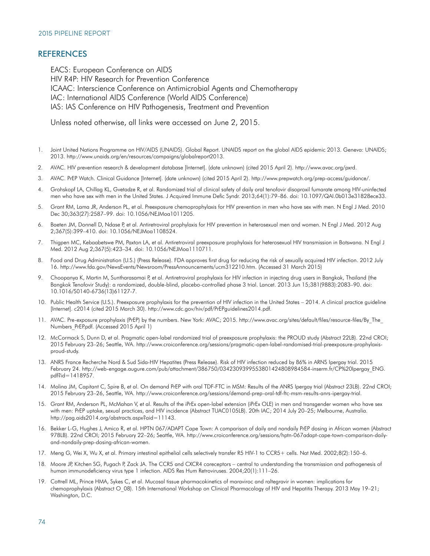### REFERENCES

EACS: European Conference on AIDS HIV R4P: HIV Research for Prevention Conference ICAAC: Interscience Conference on Antimicrobial Agents and Chemotherapy IAC: International AIDS Conference (World AIDS Conference) IAS: IAS Conference on HIV Pathogenesis, Treatment and Prevention

Unless noted otherwise, all links were accessed on June 2, 2015.

- 1. Joint United Nations Programme on HIV/AIDS (UNAIDS). Global Report. UNAIDS report on the global AIDS epidemic 2013. Geneva: UNAIDS; 2013.<http://www.unaids.org/en/resources/campaigns/globalreport2013>.
- 2. AVAC. HIV prevention research & development database [Internet]. (date unknown) (cited 2015 April 2).<http://www.avac.org/pxrd>.
- 3. AVAC. PrEP Watch. Clinical Guidance [Internet]. (date unknown) (cited 2015 April 2).<http://www.prepwatch.org/prep-access/guidance/>.
- 4. Grohskopf LA, Chillag KL, Gvetadze R, et al. Randomized trial of clinical safety of daily oral tenofovir disoproxil fumarate among HIV-uninfected men who have sex with men in the United States. J Acquired Immune Defic Syndr. 2013;64(1):79–86. doi: 10.1097/QAI.0b013e31828ece33.
- 5. Grant RM, Lama JR, Anderson PL, et al. Preexposure chemoprophylaxis for HIV prevention in men who have sex with men. N Engl J Med. 2010 Dec 30;363(27):2587–99. doi: 10.1056/NEJMoa1011205.
- 6. Baeten JM, Donnell D, Ndase P, et al. Antiretroviral prophylaxis for HIV prevention in heterosexual men and women. N Engl J Med. 2012 Aug 2;367(5):399–410. doi: 10.1056/NEJMoa1108524.
- 7. Thigpen MC, Kebaabetswe PM, Paxton LA, et al. Antiretroviral preexposure prophylaxis for heterosexual HIV transmission in Botswana. N Engl J Med. 2012 Aug 2;367(5):423–34. doi: 10.1056/NEJMoa1110711.
- 8. Food and Drug Administration (U.S.) (Press Release). FDA approves first drug for reducing the risk of sexually acquired HIV infection. 2012 July 16. <http://www.fda.gov/NewsEvents/Newsroom/PressAnnouncements/ucm312210.htm>. (Accessed 31 March 2015)
- 9. Choopanya K, Martin M, Suntharasamai P, et al. Antiretroviral prophylaxis for HIV infection in injecting drug users in Bangkok, Thailand (the Bangkok Tenofovir Study): a randomized, double-blind, placebo-controlled phase 3 trial. Lancet. 2013 Jun 15;381(9883):2083–90. doi: 10.1016/S0140-6736(13)61127-7.
- 10. Public Health Service (U.S.). Preexposure prophylaxis for the prevention of HIV infection in the United States 2014. A clinical practice guideline [Internet]. c2014 (cited 2015 March 30). <http://www.cdc.gov/hiv/pdf/PrEPguidelines2014.pdf>.
- 11. AVAC. Pre-exposure prophylaxis (PrEP) by the numbers. New York: AVAC; 2015. http://www.avac.org/sites/default/files/resource-files/By\_The [Numbers\\_PrEP.pdf.](http://www.avac.org/sites/default/files/resource-files/By_The_Numbers_PrEP.pdf) (Accessed 2015 April 1)
- 12. McCormack S, Dunn D, et al. Pragmatic open-label randomized trial of preexposure prophylaxis: the PROUD study (Abstract 22LB). 22nd CROI; 2015 February 23–26; Seattle, WA. [http://www.croiconference.org/sessions/pragmatic-open-label-randomised-trial-preexposure-prophylaxis](http://www.croiconference.org/sessions/pragmatic-open-label-randomised-trial-preexposure-prophylaxis-proud-study)[proud-study.](http://www.croiconference.org/sessions/pragmatic-open-label-randomised-trial-preexposure-prophylaxis-proud-study)
- 13. ANRS France Recherche Nord & Sud Sida-HIV Hepatites (Press Release). Risk of HIV infection reduced by 86% in ARNS Ipergay trial. 2015 February 24. [http://web-engage.augure.com/pub/attachment/386750/0342309399553801424808984584-inserm.fr/CP%20Ipergay\\_ENG.](http://web-engage.augure.com/pub/attachment/386750/0342309399553801424808984584-inserm.fr/CP%20Ipergay_ENG.pdf?id=1418957) [pdf?id=1418957.](http://web-engage.augure.com/pub/attachment/386750/0342309399553801424808984584-inserm.fr/CP%20Ipergay_ENG.pdf?id=1418957)
- 14. Molina JM, Capitant C, Spire B, et al. On demand PrEP with oral TDF-FTC in MSM: Results of the ANRS Ipergay trial (Abstract 23LB). 22nd CROI; 2015 February 23–26, Seattle, WA.<http://www.croiconference.org/sessions/demand-prep-oral-tdf-ftc-msm-results-anrs-ipergay-trial>.
- 15. Grant RM, Anderson PL, McMahan V, et al. Results of the iPrEx open-label extension (iPrEx OLE) in men and transgender women who have sex with men: PrEP uptake, sexual practices, and HIV incidence (Abstract TUAC0105LB). 20th IAC; 2014 July 20–25; Melbourne, Australia. [http://pag.aids2014.org/abstracts.aspx?aid=11143](http://www.croiconference.org/sessions/demand-prep-oral-tdf-ftc-msm-results-anrs-ipergay-trial).
- 16. Bekker L-G, Hughes J, Amico R, et al. HPTN 067/ADAPT Cape Town: A comparison of daily and nondaily PrEP dosing in African women (Abstract 978LB). 22nd CROI; 2015 February 22–26; Seattle, WA. [http://www.croiconference.org/sessions/hptn-067adapt-cape-town-comparison-daily](http://www.croiconference.org/sessions/hptn-067adapt-cape-town-comparison-daily-and-nondaily-prep-dosing-african-women)[and-nondaily-prep-dosing-african-women](http://www.croiconference.org/sessions/hptn-067adapt-cape-town-comparison-daily-and-nondaily-prep-dosing-african-women).
- 17. Meng G, Wei X, Wu X, et al. Primary intestinal epithelial cells selectively transfer R5 HIV-1 to CCR5+ cells. Nat Med. 2002;8(2):150-6.
- 18. Moore JP, Kitchen SG, Pugach P, Zack JA. The CCR5 and CXCR4 coreceptors central to understanding the transmission and pathogenesis of human immunodeficiency virus type 1 infection. AIDS Res Hum Retroviruses. 2004;20(1):111–26.
- 19. Cottrell ML, Prince HMA, Sykes C, et al. Mucosal tissue pharmacokinetics of maraviroc and raltegravir in women: implications for chemoprophylaxis (Abstract O\_08). 15th International Workshop on Clinical Pharmacology of HIV and Hepatitis Therapy. 2013 May 19–21; Washington, D.C.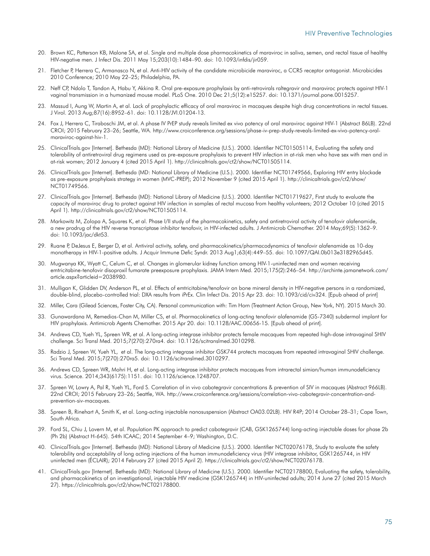- 20. Brown KC, Patterson KB, Malone SA, et al. Single and multiple dose pharmacokinetics of maraviroc in saliva, semen, and rectal tissue of healthy HIV-negative men. J Infect Dis. 2011 May 15;203(10):1484–90. doi: 10.1093/infdis/jir059.
- 21. Fletcher P, Herrera C, Armanasco N, et al. Anti-HIV activity of the candidate microbicide maraviroc, a CCR5 receptor antagonist. Microbicides 2010 Conference; 2010 May 22–25; Philadelphia, PA.
- 22. Neff CP, Ndolo T, Tandon A, Habu Y, Akkina R. Oral pre-exposure prophylaxis by anti-retrovirals raltegravir and maraviroc protects against HIV-1 vaginal transmission in a humanized mouse model. PLoS One. 2010 Dec 21;5(12):e15257. doi: 10.1371/journal.pone.0015257.
- 23. Massud I, Aung W, Martin A, et al. Lack of prophylactic efficacy of oral maraviroc in macaques despite high drug concentrations in rectal tissues. J Virol. 2013 Aug;87(16):8952–61. doi: 10.1128/JVI.01204-13.
- 24. Fox J, Herrera C, Tiraboschi JM, et al. A phase IV PrEP study reveals limited ex vivo potency of oral maraviroc against HIV-1 (Abstract 86LB). 22nd CROI; 2015 February 23–26; Seattle, WA. [http://www.croiconference.org/sessions/phase-iv-prep-study-reveals-limited-ex-vivo-potency-oral](http://www.croiconference.org/sessions/phase-iv-prep-study-reveals-limited-ex-vivo-potency-oral-maraviroc-against-hiv-1)[maraviroc-against-hiv-1.](http://www.croiconference.org/sessions/phase-iv-prep-study-reveals-limited-ex-vivo-potency-oral-maraviroc-against-hiv-1)
- 25. ClinicalTrials.gov [Internet]. Bethesda (MD): National Library of Medicine (U.S.). 2000. Identifier NCT01505114, Evaluating the safety and tolerability of antiretroviral drug regimens used as pre-exposure prophylaxis to prevent HIV infection in at-risk men who have sex with men and in at-risk women; 2012 January 4 (cited 2015 April 1). [http://clinicaltrials.gov/ct2/show/NCT01505114.](http://clinicaltrials.gov/ct2/show/NCT01505114)
- 26. ClinicalTrials.gov [Internet]. Bethesda (MD: National Library of Medicine (U.S.). 2000. Identifier NCT01749566, Exploring HIV entry blockade as pre-exposure prophylaxis strategy in women (MVC-PREP); 2012 November 9 (cited 2015 April 1). [http://clinicaltrials.gov/ct2/show/](http://clinicaltrials.gov/ct2/show/NCT01749566) [NCT01749566.](http://clinicaltrials.gov/ct2/show/NCT01749566)
- 27. ClinicalTrials.gov [Internet]. Bethesda (MD): National Library of Medicine (U.S.). 2000. Identifier NCT01719627, First study to evaluate the capacity of maraviroc drug to protect against HIV infection in samples of rectal mucosa from healthy volunteers; 2012 October 10 (cited 2015 April 1). [http://clinicaltrials.gov/ct2/show/NCT01505114.](http://clinicaltrials.gov/ct2/show/NCT01505114)
- 28. Markowitz M, Zolopa A, Squares K, et al. Phase I/II study of the pharmacokinetics, safety and antiretroviral activity of tenofovir alafenamide, a new prodrug of the HIV reverse transcriptase inhibitor tenofovir, in HIV-infected adults. J Antimicrob Chemother. 2014 May;69(5):1362–9. doi: 10.1093/jac/dkt53.
- 29. Ruane P, DeJesus E, Berger D, et al. Antiviral activity, safety, and pharmacokinetics/pharmacodynamics of tenofovir alafenamide as 10-day monotherapy in HIV-1-positive adults. J Acquir Immune Defic Syndr. 2013 Aug1;63(4):449–55. doi: 10.1097/QAI.0b013e3182965d45.
- 30. Mugwanya KK, Wyatt C, Celum C, et al. Changes in glomerular kidney function among HIV-1-uninfected men and women receiving emtricitabine-tenofovir disoproxil fumarate preexposure prophylaxis. JAMA Intern Med. 2015;175(2):246–54. [http://archinte.jamanetwork.com/](http://archinte.jamanetwork.com/article.aspx?articleid=2038980) [article.aspx?articleid=2038980.](http://archinte.jamanetwork.com/article.aspx?articleid=2038980)
- 31. Mulligan K, Glidden DV, Anderson PL, et al. Effects of emtricitabine/tenofovir on bone mineral density in HIV-negative persons in a randomized, double-blind, placebo-controlled trial: DXA results from iPrEx. Clin Infect Dis. 2015 Apr 23. doi: 10.1093/cid/civ324. [Epub ahead of print]
- 32. Miller, Cara (Gilead Sciences, Foster City, CA). Personal communication with: Tim Horn (Treatment Action Group, New York, NY). 2015 March 30.
- 33. Gunawardana M, Remedios-Chan M, Miller CS, et al. Pharmacokinetics of long-acting tenofovir alafenamide (GS-7340) subdermal implant for HIV prophylaxis. Antimicrob Agents Chemother. 2015 Apr 20. doi: 10.1128/AAC.00656-15. [Epub ahead of print].
- 34. Andrews CD, Yueh YL, Spreen WR, et al. A long-acting integrase inhibitor protects female macaques from repeated high-dose intravaginal SHIV challenge. Sci Transl Med. 2015;7(270):270ra4. doi: 10.1126/scitranslmed.3010298.
- 35. Radzio J, Spreen W, Yueh YL, et al. The long-acting integrase inhibitor GSK744 protects macaques from repeated intravaginal SHIV challenge. Sci Transl Med. 2015;7(270):270ra5. doi: 10.1126/scitranslmed.3010297.
- 36. Andrews CD, Spreen WR, Mohri H, et al. Long-acting integrase inhibitor protects macaques from intrarectal simian/human immunodeficiency virus. Science. 2014;343(6175):1151. doi: 10.1126/science.1248707.
- 37. Spreen W, Lowry A, Pal R, Yueh YL, Ford S. Correlation of in vivo cabotegravir concentrations & prevention of SIV in macaques (Abstract 966LB). 22nd CROI; 2015 February 23–26; Seattle, WA. [http://www.croiconference.org/sessions/correlation-vivo-cabotegravir-concentration-and](http://www.croiconference.org/sessions/correlation-vivo-cabotegravir-concentration-and-prevention-siv-macaques)[prevention-siv-macaques](http://www.croiconference.org/sessions/correlation-vivo-cabotegravir-concentration-and-prevention-siv-macaques).
- 38. Spreen B, Rinehart A, Smith K, et al. Long-acting injectable nanosuspension (Abstract OA03.02LB). HIV R4P; 2014 October 28–31; Cape Town, South Africa.
- 39. Ford SL, Chiu J, Lovern M, et al. Population PK approach to predict cabotegravir (CAB, GSK1265744) long-acting injectable doses for phase 2b (Ph 2b) (Abstract H-645). 54th ICAAC; 2014 September 4–9; Washington, D.C.
- 40. ClinicalTrials.gov [Internet]. Bethesda (MD): National Library of Medicine (U.S.). 2000. Identifier NCT02076178, Study to evaluate the safety tolerability and acceptability of long acting injections of the human immunodeficiency virus (HIV integrase inhibitor, GSK1265744, in HIV uninfected men (ECLAIR); 2014 February 27 (cited 2015 April 2).<https://clinicaltrials.gov/ct2/show/NCT02076178>.
- 41. ClinicalTrials.gov [Internet]. Bethesda (MD): National Library of Medicine (U.S.). 2000. Identifier NCT02178800, Evaluating the safety, tolerability, and pharmacokinetics of an investigational, injectable HIV medicine (GSK1265744) in HIV-uninfected adults; 2014 June 27 (cited 2015 March 27). [https://clinicaltrials.gov/ct2/show/NCT02178800.](https://clinicaltrials.gov/ct2/show/NCT02178800)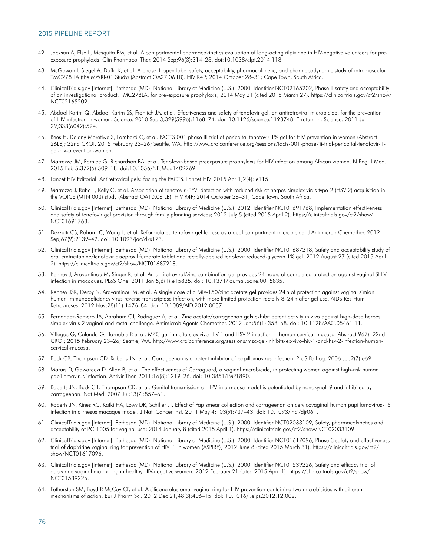- 42. Jackson A, Else L, Mesquita PM, et al. A compartmental pharmacokinetics evaluation of long-acting rilpivirine in HIV-negative volunteers for preexposure prophylaxis. Clin Pharmacol Ther. 2014 Sep;96(3):314–23. doi:10.1038/clpt.2014.118.
- 43. McGowan I, Siegel A, Duffil K, et al. A phase 1 open label safety, acceptability, pharmacokinetic, and pharmacodynamic study of intramuscular TMC278 LA (the MWRI-01 Study) (Abstract OA27.06 LB). HIV R4P; 2014 October 28–31; Cape Town, South Africa.
- 44. ClinicalTrials.gov [Internet]. Bethesda (MD): National Library of Medicine (U.S.). 2000. Identifier NCT02165202, Phase II safety and acceptability of an investigational product, TMC278LA, for pre-exposure prophylaxis; 2014 May 21 (cited 2015 March 27). [https://clinicaltrials.gov/ct2/show/](https://clinicaltrials.gov/ct2/show/NCT02165202) [NCT02165202.](https://clinicaltrials.gov/ct2/show/NCT02165202)
- 45. Abdool Karim Q, Abdool Karim SS, Frohlich JA, et al. Effectiveness and safety of tenofovir gel, an antiretroviral microbicide, for the prevention of HIV infection in women. Science. 2010 Sep 3;329(5996):1168–74. doi: 10.1126/science.1193748. Erratum in: Science. 2011 Jul 29;333(6042):524.
- 46. Rees H, Delany-Moretlwe S, Lombard C, et al. FACTS 001 phase III trial of pericoital tenofovir 1% gel for HIV prevention in women (Abstract 26LB); 22nd CROI. 2015 February 23–26; Seattle, WA. [http://www.croiconference.org/sessions/facts-001-phase-iii-trial-pericoital-tenofovir-1](http://www.croiconference.org/sessions/facts-001-phase-iii-trial-pericoital-tenofovir-1-gel-hiv-prevention-women) [gel-hiv-prevention-women.](http://www.croiconference.org/sessions/facts-001-phase-iii-trial-pericoital-tenofovir-1-gel-hiv-prevention-women)
- 47. Marrazzo JM, Ramjee G, Richardson BA, et al. Tenofovir-based preexposure prophylaxis for HIV infection among African women. N Engl J Med. 2015 Feb 5;372(6):509–18. doi:10.1056/NEJMoa1402269.
- 48. Lancet HIV Editorial. Antiretroviral gels: facing the FACTS. Lancet HIV. 2015 Apr 1;2(4): e115.
- 49. Marrazzo J, Rabe L, Kelly C, et al. Association of tenofovir (TFV) detection with reduced risk of herpes simplex virus type-2 (HSV-2) acquisition in the VOICE (MTN 003) study (Abstract OA10.06 LB). HIV R4P; 2014 October 28–31; Cape Town, South Africa.
- 50. ClinicalTrials.gov [Internet]. Bethesda (MD): National Library of Medicine (U.S.). 2012. Identifier NCT01691768, Implementation effectiveness and safety of tenofovir gel provision through family planning services; 2012 July 5 (cited 2015 April 2). [https://clinicaltrials.gov/ct2/show/](https://clinicaltrials.gov/ct2/show/NCT01691768) [NCT01691768.](https://clinicaltrials.gov/ct2/show/NCT01691768)
- 51. Dezzutti CS, Rohan LC, Wang L, et al. Reformulated tenofovir gel for use as a dual compartment microbicide. J Antimicrob Chemother. 2012 Sep;67(9):2139–42. doi: 10.1093/jac/dks173.
- 52. ClinicalTrials.gov [Internet]. Bethesda (MD): National Library of Medicine (U.S.). 2000. Identifier NCT01687218, Safety and acceptability study of oral emtricitabine/tenofovir disoproxil fumarate tablet and rectally-applied tenofovir reduced-glycerin 1% gel. 2012 August 27 (cited 2015 April 2).<https://clinicaltrials.gov/ct2/show/NCT01687218>.
- 53. Kenney J, Aravantinou M, Singer R, et al. An antiretroviral/zinc combination gel provides 24 hours of completed protection against vaginal SHIV infection in macaques. PLoS One. 2011 Jan 5;6(1):e15835. doi: 10.1371/journal.pone.0015835.
- 54. Kenney JSR, Derby N, Aravantinou M, et al. A single dose of a MIV-150/zinc acetate gel provides 24h of protection against vaginal simian human immunodeficiency virus reverse transcriptase infection, with more limited protection rectally 8–24h after gel use. AIDS Res Hum Retroviruses. 2012 Nov;28(11):1476–84. doi: 10.1089/AID.2012.0087
- 55. Fernandez-Romero JA, Abraham CJ, Rodriguez A, et al. Zinc acetate/carrageenan gels exhibit potent activity in vivo against high-dose herpes simplex virus 2 vaginal and rectal challenge. Antimicrob Agents Chemother. 2012 Jan;56(1):358–68. doi: 10.1128/AAC.05461-11.
- 56. Villegas G, Calenda G, Barnable P, et al. MZC gel inhibitors ex vivo HIV-1 and HSV-2 infection in human cervical mucosa (Abstract 967). 22nd CROI; 2015 February 23–26; Seattle, WA. [http://www.croiconference.org/sessions/mzc-gel-inhibits-ex-vivo-hiv-1-and-hsv-2-infection-human](http://www.croiconference.org/sessions/mzc-gel-inhibits-ex-vivo-hiv-1-and-hsv-2-infection-human-cervical-mucosa)[cervical-mucosa](http://www.croiconference.org/sessions/mzc-gel-inhibits-ex-vivo-hiv-1-and-hsv-2-infection-human-cervical-mucosa).
- 57. Buck CB, Thompson CD, Roberts JN, et al. Carrageenan is a potent inhibitor of papillomavirus infection. PLoS Pathog. 2006 Jul;2(7):e69.
- 58. Marais D, Gawarecki D, Allan B, et al. The effectiveness of Carraguard, a vaginal microbicide, in protecting women against high-risk human papillomavirus infection. Antivir Ther. 2011;16(8):1219–26. doi: 10.3851/IMP1890.
- 59. Roberts JN, Buck CB, Thompson CD, et al. Genital transmission of HPV in a mouse model is potentiated by nonoxynol–9 and inhibited by carrageenan. Nat Med. 2007 Jul;13(7):857–61.
- 60. Roberts JN, Kines RC, Katki HA, Lowy DR, Schiller JT. Effect of Pap smear collection and carrageenan on cervicovaginal human papillomavirus-16 infection in a rhesus macaque model. J Natl Cancer Inst. 2011 May 4;103(9):737–43. doi: 10.1093/jnci/djr061.
- 61. ClinicalTrials.gov [Internet]. Bethesda (MD): National Library of Medicine (U.S.). 2000. Identifier NCT02033109, Safety, pharmacokinetics and acceptability of PC-1005 for vaginal use; 2014 January 8 (cited 2015 April 1). [https://clinicaltrials.gov/ct2/show/NCT02033109.](https://clinicaltrials.gov/ct2/show/NCT02033109)
- 62. ClinicalTrials.gov [Internet]. Bethesda (MD): National Library of Medicine (U.S.). 2000. Identifier NCT01617096, Phase 3 safety and effectiveness trial of dapivirine vaginal ring for prevention of HIV 1 in women (ASPIRE); 2012 June 8 (cited 2015 March 31). [https://clinicaltrials.gov/ct2/](https://clinicaltrials.gov/ct2/show/NCT01617096) [show/NCT01617096.](https://clinicaltrials.gov/ct2/show/NCT01617096)
- 63. ClinicalTrials.gov [Internet]. Bethesda (MD): National Library of Medicine (U.S.). 2000. Identifier NCT01539226, Safety and efficacy trial of dapivirine vaginal matrix ring in healthy HIV-negative women; 2012 February 21 (cited 2015 April 1). [https://clinicaltrials.gov/ct2/show/](https://clinicaltrials.gov/ct2/show/NCT01539226) [NCT01539226.](https://clinicaltrials.gov/ct2/show/NCT01539226)
- 64. Fetherston SM, Boyd P, McCoy CF, et al. A silicone elastomer vaginal ring for HIV prevention containing two microbicides with different mechanisms of action. Eur J Pharm Sci. 2012 Dec 21;48(3):406–15. doi: 10.1016/j.ejps.2012.12.002.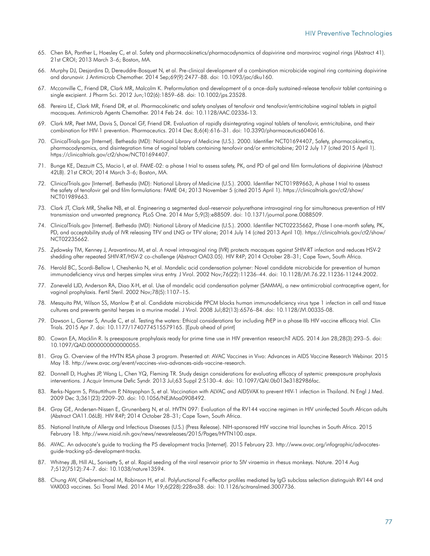- 65. Chen BA, Panther L, Hoesley C, et al. Safety and pharmacokinetics/pharmacodynamics of dapivirine and maraviroc vaginal rings (Abstract 41). 21st CROI; 2013 March 3–6; Boston, MA.
- 66. Murphy DJ, Desjardins D, Dereuddre-Bosquet N, et al. Pre-clinical development of a combination microbicide vaginal ring containing dapivirine and darunavir. J Antimicrob Chemother. 2014 Sep;69(9):2477–88. doi: 10.1093/jac/dku160.
- 67. Mcconville C, Friend DR, Clark MR, Malcolm K. Preformulation and development of a once-daily sustained-release tenofovir tablet containing a single excipient. J Pharm Sci. 2012 Jun;102(6):1859–68. doi: 10.1002/jps.23528.
- 68. Pereira LE, Clark MR, Friend DR, et al. Pharmacokinetic and safety analyses of tenofovir and tenofovir/emtricitabine vaginal tablets in pigtail macaques. Antimicrob Agents Chemother. 2014 Feb 24. doi: 10.1128/AAC.02336-13.
- 69. Clark MR, Peet MM, Davis S, Doncel GF, Friend DR. Evaluation of rapidly disintegrating vaginal tablets of tenofovir, emtricitabine, and their combination for HIV-1 prevention. Pharmaceutics. 2014 Dec 8;6(4):616-31. doi: 10.3390/pharmaceutics6040616.
- 70. ClinicalTrials.gov [Internet]. Bethesda (MD): National Library of Medicine (U.S.). 2000. Identifier NCT01694407, Safety, pharmacokinetics, pharmacodynamics, and disintegration time of vaginal tablets containing tenofovir and/or emtricitabine; 2012 July 17 (cited 2015 April 1). [https://clinicaltrials.gov/ct2/show/NCT01694407.](https://clinicaltrials.gov/ct2/show/NCT01694407)
- 71. Bunge KE, Dezzuitt CS, Macio I, et al. FAME-02: a phase I trial to assess safety, PK, and PD of gel and film formulations of dapivirine (Abstract 42LB). 21st CROI; 2014 March 3–6; Boston, MA.
- 72. ClinicalTrials.gov [Internet]. Bethesda (MD): National Library of Medicine (U.S.). 2000. Identifier NCT01989663, A phase I trial to assess the safety of tenofovir gel and film formulations: FAME 04; 2013 November 5 (cited 2015 April 1). [https://clinicaltrials.gov/ct2/show/](https://clinicaltrials.gov/ct2/show/NCT01989663) [NCT01989663.](https://clinicaltrials.gov/ct2/show/NCT01989663)
- 73. Clark JT, Clark MR, Shelke NB, et al. Engineering a segmented dual-reservoir polyurethane intravaginal ring for simultaneous prevention of HIV transmission and unwanted pregnancy. PLoS One. 2014 Mar 5;9(3):e88509. doi: 10.1371/journal.pone.0088509.
- 74. ClinicalTrials.gov [Internet]. Bethesda (MD): National Library of Medicine (U.S.). 2000. Identifier NCT02235662, Phase I one-month safety, PK, PD, and acceptability study of IVR releasing TFV and LNG or TFV alone; 2014 July 14 (cited 2013 April 10). [https://clinicaltrials.gov/ct2/show/](https://clinicaltrials.gov/ct2/show/NCT02235662) [NCT02235662.](https://clinicaltrials.gov/ct2/show/NCT02235662)
- 75. Zydowsky TM, Kenney J, Aravantinou M, et al. A novel intravaginal ring (IVR) protects macaques against SHIV-RT infection and reduces HSV-2 shedding after repeated SHIV-RT/HSV-2 co-challenge (Abstract OA03.05). HIV R4P; 2014 October 28–31; Cape Town, South Africa.
- 76. Herold BC, Scordi-Bellow I, Cheshenko N, et al. Mandelic acid condensation polymer: Novel candidate microbicide for prevention of human immunodeficiency virus and herpes simplex virus entry. J Virol. 2002 Nov;76(22):11236–44. doi: 10.1128/JVI.76.22.11236-11244.2002.
- 77. Zaneveld LJD, Anderson RA, Diao X-H, et al. Use of mandelic acid condensation polymer (SAMMA), a new antimicrobial contraceptive agent, for vaginal prophylaxis. Fertil Steril. 2002 Nov;78(5):1107–15.
- 78. Mesquita PM, Wilson SS, Manlow P, et al. Candidate microbicide PPCM blocks human immunodeficiency virus type 1 infection in cell and tissue cultures and prevents genital herpes in a murine model. J Virol. 2008 Jul;82(13):6576–84. doi: 10.1128/JVI.00335-08.
- 79. Dawson L, Garner S, Anude C, et al. Testing the waters: Ethical considerations for including PrEP in a phase IIb HIV vaccine efficacy trial. Clin Trials. 2015 Apr 7. doi: 10.1177/1740774515579165. [Epub ahead of print]
- 80. Cowan EA, Macklin R. Is preexposure prophylaxis ready for prime time use in HIV prevention research? AIDS. 2014 Jan 28;28(3):293–5. doi: 10.1097/QAD.0000000000000055.
- 81. Gray G. Overview of the HVTN RSA phase 3 program. Presented at: AVAC Vaccines in Vivo: Advances in AIDS Vaccine Research Webinar. 2015 May 18.<http://www.avac.org/event/vaccines-vivo-advances-aids-vaccine-research>.
- 82. Donnell D, Hughes JP, Wang L, Chen YQ, Fleming TR. Study design considerations for evaluating efficacy of systemic preexposure prophylaxis interventions. J Acquir Immune Defic Syndr. 2013 Jul;63 Suppl 2:S130–4. doi: 10.1097/QAI.0b013e3182986fac.
- 83. Rerks-Ngarm S, Pitisuttithum P, Nitayaphan S, et al. Vaccination with ALVAC and AIDSVAX to prevent HIV-1 infection in Thailand. N Engl J Med. 2009 Dec 3;361(23):2209–20. doi: 10.1056/NEJMoa0908492.
- 84. Gray GE, Andersen-Nissen E, Grunenberg N, et al. HVTN 097: Evaluation of the RV144 vaccine regimen in HIV uninfected South African adults (Abstract OA11.06LB). HIV R4P; 2014 October 28–31; Cape Town, South Africa.
- 85. National Institute of Allergy and Infectious Diseases (U.S.) (Press Release). NIH-sponsored HIV vaccine trial launches in South Africa. 2015 February 18. <http://www.niaid.nih.gov/news/newsreleases/2015/Pages/HVTN100.aspx>.
- 86. AVAC. An advocate's guide to tracking the P5 development tracks [Internet]. 2015 February 23. [http://www.avac.org/infographic/advocates](http://www.avac.org/infographic/advocates-guide-tracking-p5-development-tracks)[guide-tracking-p5-development-tracks](http://www.avac.org/infographic/advocates-guide-tracking-p5-development-tracks).
- 87. Whitney JB, Hill AL, Sanisetty S, et al. Rapid seeding of the viral reservoir prior to SIV viraemia in rhesus monkeys. Nature. 2014 Aug 7;512(7512):74–7. doi: 10.1038/nature13594.
- 88. Chung AW, Ghebremichael M, Robinson H, et al. Polyfunctional Fc-effector profiles mediated by IgG subclass selection distinguish RV144 and VAX003 vaccines. Sci Transl Med. 2014 Mar 19;6(228):228ra38. doi: 10.1126/scitranslmed.3007736.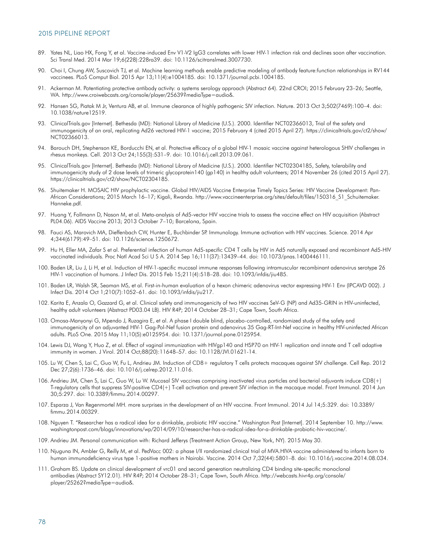- 89. Yates NL, Liao HX, Fong Y, et al. Vaccine-induced Env V1-V2 IgG3 correlates with lower HIV-1 infection risk and declines soon after vaccination. Sci Transl Med. 2014 Mar 19;6(228):228ra39. doi: 10.1126/scitranslmed.3007730.
- 90. Choi I, Chung AW, Suscovich TJ, et al. Machine learning methods enable predictive modeling of antibody feature:function relationships in RV144 vaccinees. PLoS Comput Biol. 2015 Apr 13;11(4):e1004185. doi: 10.1371/journal.pcbi.1004185.
- 91. Ackerman M. Potentiating protective antibody activity: a systems serology approach (Abstract 64). 22nd CROI; 2015 February 23-26; Seattle, WA. [http://www.croiwebcasts.org/console/player/25639?mediaType=audio&.](http://www.croiwebcasts.org/console/player/25639?mediaType=audio&)
- 92. Hansen SG, Piatak M Jr, Ventura AB, et al. Immune clearance of highly pathogenic SIV infection. Nature. 2013 Oct 3;502(7469):100–4. doi: 10.1038/nature12519.
- 93. ClinicalTrials.gov [Internet]. Bethesda (MD): National Library of Medicine (U.S.). 2000. Identifier NCT02366013, Trial of the safety and immunogenicity of an oral, replicating Ad26 vectored HIV-1 vaccine; 2015 February 4 (cited 2015 April 27). [https://clinicaltrials.gov/ct2/show/](https://clinicaltrials.gov/ct2/show/NCT02366013) [NCT02366013.](https://clinicaltrials.gov/ct2/show/NCT02366013)
- 94. Barouch DH, Stephenson KE, Borducchi EN, et al. Protective efficacy of a global HIV-1 mosaic vaccine against heterologous SHIV challenges in rhesus monkeys. Cell. 2013 Oct 24;155(3):531–9. doi: 10.1016/j.cell.2013.09.061.
- 95. ClinicalTrials.gov [Internet]. Bethesda (MD): National Library of Medicine (U.S.). 2000. Identifier NCT02304185, Safety, tolerability and immunogenicity study of 2 dose levels of trimeric glycoprotein140 (gp140) in healthy adult volunteers; 2014 November 26 (cited 2015 April 27). [https://clinicaltrials.gov/ct2/show/NCT02304185.](https://clinicaltrials.gov/ct2/show/NCT02304185)
- 96. Shuitemaker H. MOSAIC HIV prophylactic vaccine. Global HIV/AIDS Vaccine Enterprise Timely Topics Series: HIV Vaccine Development: PanAfrican Considerations; 2015 March 16–17; Kigali, Rwanda. [http://www.vaccineenterprise.org/sites/default/files/150316\\_S1\\_Schuitemaker.](http://www.vaccineenterprise.org/sites/default/files/150316_S1_Schuitemaker.Hanneke.pdf) [Hanneke.pdf.](http://www.vaccineenterprise.org/sites/default/files/150316_S1_Schuitemaker.Hanneke.pdf)
- 97. Huang Y, Follmann D, Nason M, et al. Meta-analysis of Ad5-vector HIV vaccine trials to assess the vaccine effect on HIV acquisition (Abstract PL04.06). AIDS Vaccine 2013; 2013 October 7–10; Barcelona, Spain.
- 98. Fauci AS, Marovich MA, Dieffenbach CW, Hunter E, Buchbinder SP. Immunology. Immune activation with HIV vaccines. Science. 2014 Apr 4;344(6179):49–51. doi: 10.1126/science.1250672.
- 99. Hu H, Eller MA, Zafar S et al. Preferential infection of human Ad5-specific CD4 T cells by HIV in Ad5 naturally exposed and recombinant Ad5-HIV vaccinated individuals. Proc Natl Acad Sci U S A. 2014 Sep 16;111(37):13439–44. doi: 10.1073/pnas.1400446111.
- 100. Baden LR, Liu J, Li H, et al. Induction of HIV-1-specific mucosal immune responses following intramuscular recombinant adenovirus serotype 26 HIV-1 vaccination of humans. J Infect Dis. 2015 Feb 15;211(4):518–28. doi: 10.1093/infdis/jiu485.
- 101. Baden LR, Walsh SR, Seaman MS, et al. First-in-human evaluation of a hexon chimeric adenovirus vector expressing HIV-1 Env (IPCAVD 002). J Infect Dis. 2014 Oct 1;210(7):1052–61. doi: 10.1093/infdis/jiu217.
- 102. Karita E, Anzala O, Gazzard G, et al. Clinical safety and immunogenicity of two HIV vaccines SeV-G (NP) and Ad35-GRIN in HIV-uninfected, healthy adult volunteers (Abstract PD03.04 LB). HIV R4P; 2014 October 28–31; Cape Town, South Africa.
- 103. Omosa-Manyonyi G, Mpendo J, Ruzagira E, et al. A phase I double blind, placebo-controlled, randomized study of the safety and immunogenicity of an adjuvanted HIV-1 Gag-Pol-Nef fusion protein and adenovirus 35 Gag-RT-Int-Nef vaccine in healthy HIV-uninfected African adults. PLoS One. 2015 May 11;10(5):e0125954. doi: 10.1371/journal.pone.0125954.
- 104. Lewis DJ, Wang Y, Huo Z, et al. Effect of vaginal immunization with HIVgp140 and HSP70 on HIV-1 replication and innate and T cell adaptive immunity in women. J Virol. 2014 Oct;88(20):11648–57. doi: 10.1128/JVI.01621-14.
- 105. Lu W, Chen S, Lai C, Guo W, Fu L, Andrieu JM. Induction of CD8+ regulatory T cells protects macaques against SIV challenge. Cell Rep. 2012 Dec 27;2(6):1736–46. doi: 10.1016/j.celrep.2012.11.016.
- 106. Andrieu JM, Chen S, Lai C, Guo W, Lu W. Mucosal SIV vaccines comprising inactivated virus particles and bacterial adjuvants induce CD8(+) T-regulatory cells that suppress SIV-positive CD4(+) T-cell activation and prevent SIV infection in the macaque model. Front Immunol. 2014 Jun 30;5:297. doi: 10.3389/fimmu.2014.00297.
- 107. Esparza J, Van Regenmortel MH. more surprises in the development of an HIV vaccine. Front Immunol. 2014 Jul 14;5:329. doi: 10.3389/ fimmu.2014.00329.
- 108. Nguyen T. "Researcher has a radical idea for a drinkable, probiotic HIV vaccine." Washington Post [Internet]. 2014 September 10. [http://www.](http://www.washingtonpost.com/blogs/innovations/wp/2014/09/10/researcher-has-a-radical-idea-for-a-drinkable-probiotic-hiv-vaccine/) [washingtonpost.com/blogs/innovations/wp/2014/09/10/researcher-has-a-radical-idea-for-a-drinkable-probiotic-hiv-vaccine/](http://www.washingtonpost.com/blogs/innovations/wp/2014/09/10/researcher-has-a-radical-idea-for-a-drinkable-probiotic-hiv-vaccine/).
- 109. Andrieu JM. Personal communication with: Richard Jefferys (Treatment Action Group, New York, NY). 2015 May 30.
- 110. Njuguna IN, Ambler G, Reilly M, et al. PedVacc 002: a phase I/II randomized clinical trial of MVA.HIVA vaccine administered to infants born to human immunodeficiency virus type 1-positive mothers in Nairobi. Vaccine. 2014 Oct 7;32(44):5801–8. doi: 10.1016/j.vaccine.2014.08.034.
- 111. Graham BS. Update on clinical development of vrc01 and second generation neutralizing CD4 binding site-specific monoclonal antibodies (Abstract SY12.01). HIV R4P; 2014 October 28–31; Cape Town, South Africa. [http://webcasts.hivr4p.org/console/](http://webcasts.hivr4p.org/console/player/25262?mediaType=audio&) [player/25262?mediaType=audio&.](http://webcasts.hivr4p.org/console/player/25262?mediaType=audio&)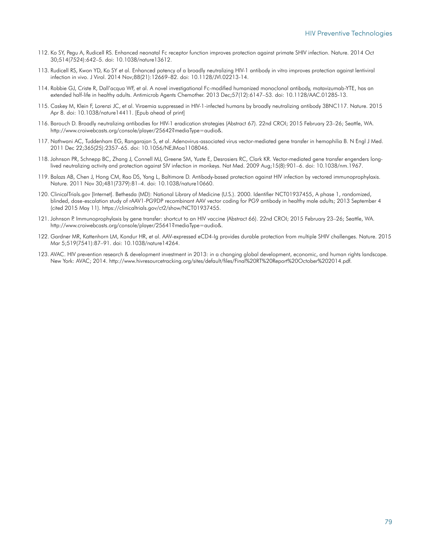- 112. Ko SY, Pegu A, Rudicell RS. Enhanced neonatal Fc receptor function improves protection against primate SHIV infection. Nature. 2014 Oct 30;514(7524):642–5. doi: 10.1038/nature13612.
- 113. Rudicell RS, Kwon YD, Ko SY et al. Enhanced potency of a broadly neutralizing HIV-1 antibody in vitro improves protection against lentiviral infection in vivo. J Virol. 2014 Nov;88(21):12669–82. doi: 10.1128/JVI.02213-14.
- 114. Robbie GJ, Criste R, Dall'acqua WF, et al. A novel investigational Fc-modified humanized monoclonal antibody, motavizumab-YTE, has an extended half-life in healthy adults. Antimicrob Agents Chemother. 2013 Dec;57(12):6147–53. doi: 10.1128/AAC.01285-13.
- 115. Caskey M, Klein F, Lorenzi JC, et al. Viraemia suppressed in HIV-1-infected humans by broadly neutralizing antibody 3BNC117. Nature. 2015 Apr 8. doi: 10.1038/nature14411. [Epub ahead of print]
- 116. Barouch D. Broadly neutralizing antibodies for HIV-1 eradication strategies (Abstract 67). 22nd CROI; 2015 February 23–26; Seattle, WA. <http://www.croiwebcasts.org/console/player/25642?mediaType=audio&>.
- 117. Nathwani AC, Tuddenham EG, Rangarajan S, et al. Adenovirus-associated virus vector-mediated gene transfer in hemophilia B. N Engl J Med. 2011 Dec 22;365(25):2357–65. doi: 10.1056/NEJMoa1108046.
- 118. Johnson PR, Schnepp BC, Zhang J, Connell MJ, Greene SM, Yuste E, Desrosiers RC, Clark KR. Vector-mediated gene transfer engenders longlived neutralizing activity and protection against SIV infection in monkeys. Nat Med. 2009 Aug;15(8):901–6. doi: 10.1038/nm.1967.
- 119. Balazs AB, Chen J, Hong CM, Rao DS, Yang L, Baltimore D. Antibody-based protection against HIV infection by vectored immunoprophylaxis. Nature. 2011 Nov 30;481(7379):81–4. doi: 10.1038/nature10660.
- 120. ClinicalTrials.gov [Internet]. Bethesda (MD): National Library of Medicine (U.S.). 2000. Identifier NCT01937455, A phase 1, randomized, blinded, dose-escalation study of rAAV1-PG9DP recombinant AAV vector coding for PG9 antibody in healthy male adults; 2013 September 4 (cited 2015 May 11). [https://clinicaltrials.gov/ct2/show/NCT01937455.](https://clinicaltrials.gov/ct2/show/NCT01937455)
- 121. Johnson P. Immunoprophylaxis by gene transfer: shortcut to an HIV vaccine (Abstract 66). 22nd CROI; 2015 February 23–26; Seattle, WA. <http://www.croiwebcasts.org/console/player/25641?mediaType=audio&>.
- 122. Gardner MR, Kattenhorn LM, Kondur HR, et al. AAV-expressed eCD4-Ig provides durable protection from multiple SHIV challenges. Nature. 2015 Mar 5;519(7541):87–91. doi: 10.1038/nature14264.
- 123. AVAC. HIV prevention research & development investment in 2013: in a changing global development, economic, and human rights landscape. New York: AVAC; 2014. [http://www.hivresourcetracking.org/sites/default/files/Final%20RT%20Report%20October%202014.pdf.](http://www.hivresourcetracking.org/sites/default/files/Final%20RT%20Report%20October%202014.pdf)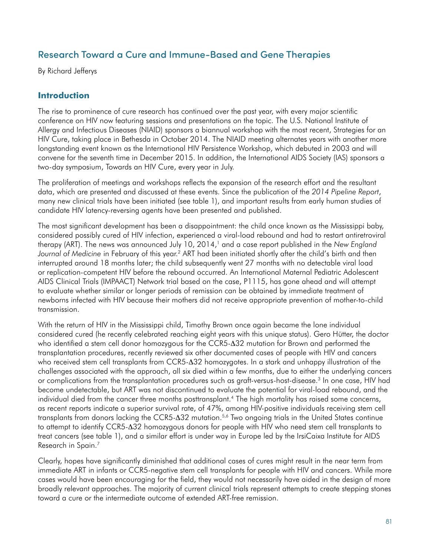# Research Toward a Cure and Immune-Based and Gene Therapies

By Richard Jefferys

## **Introduction**

The rise to prominence of cure research has continued over the past year, with every major scientific conference on HIV now featuring sessions and presentations on the topic. The U.S. National Institute of Allergy and Infectious Diseases (NIAID) sponsors a biannual workshop with the most recent, Strategies for an HIV Cure, taking place in Bethesda in October 2014. The NIAID meeting alternates years with another more longstanding event known as the International HIV Persistence Workshop, which debuted in 2003 and will convene for the seventh time in December 2015. In addition, the International AIDS Society (IAS) sponsors a two-day symposium, Towards an HIV Cure, every year in July.

The proliferation of meetings and workshops reflects the expansion of the research effort and the resultant data, which are presented and discussed at these events. Since the publication of the *2014 Pipeline Report*, many new clinical trials have been initiated (see table 1), and important results from early human studies of candidate HIV latency-reversing agents have been presented and published.

The most significant development has been a disappointment: the child once known as the Mississippi baby, considered possibly cured of HIV infection, experienced a viral-load rebound and had to restart antiretroviral therapy (ART). The news was announced July 10, 2014,<sup>1</sup> and a case report published in the *New England Journal of Medicine* in February of this year.2 ART had been initiated shortly after the child's birth and then interrupted around 18 months later; the child subsequently went 27 months with no detectable viral load or replication-competent HIV before the rebound occurred. An International Maternal Pediatric Adolescent AIDS Clinical Trials (IMPAACT) Network trial based on the case, P1115, has gone ahead and will attempt to evaluate whether similar or longer periods of remission can be obtained by immediate treatment of newborns infected with HIV because their mothers did not receive appropriate prevention of mother-to-child transmission.

With the return of HIV in the Mississippi child, Timothy Brown once again became the lone individual considered cured (he recently celebrated reaching eight years with this unique status). Gero Hütter, the doctor who identified a stem cell donor homozygous for the CCR5-Δ32 mutation for Brown and performed the transplantation procedures, recently reviewed six other documented cases of people with HIV and cancers who received stem cell transplants from CCR5-Δ32 homozygotes. In a stark and unhappy illustration of the challenges associated with the approach, all six died within a few months, due to either the underlying cancers or complications from the transplantation procedures such as graft-versus-host-disease.3 In one case, HIV had become undetectable, but ART was not discontinued to evaluate the potential for viral-load rebound, and the individual died from the cancer three months posttransplant.<sup>4</sup> The high mortality has raised some concerns, as recent reports indicate a superior survival rate, of 47%, among HIV-positive individuals receiving stem cell transplants from donors lacking the CCR5-Δ32 mutation.5,6 Two ongoing trials in the United States continue to attempt to identify CCR5-Δ32 homozygous donors for people with HIV who need stem cell transplants to treat cancers (see table 1), and a similar effort is under way in Europe led by the IrsiCaixa Institute for AIDS Research in Spain.<sup>7</sup>

Clearly, hopes have significantly diminished that additional cases of cures might result in the near term from immediate ART in infants or CCR5-negative stem cell transplants for people with HIV and cancers. While more cases would have been encouraging for the field, they would not necessarily have aided in the design of more broadly relevant approaches. The majority of current clinical trials represent attempts to create stepping stones toward a cure or the intermediate outcome of extended ART-free remission.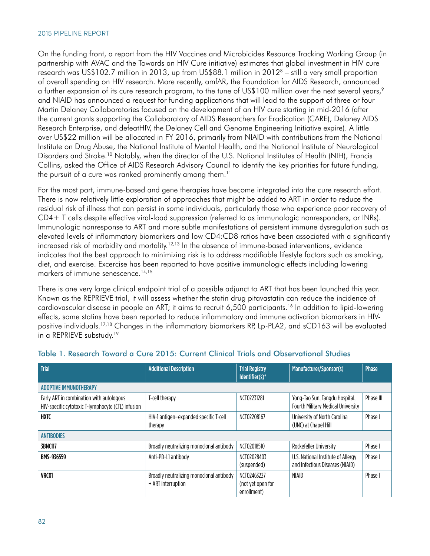On the funding front, a report from the HIV Vaccines and Microbicides Resource Tracking Working Group (in partnership with AVAC and the Towards an HIV Cure initiative) estimates that global investment in HIV cure research was US\$102.7 million in 2013, up from US\$88.1 million in  $2012^8$  – still a very small proportion of overall spending on HIV research. More recently, amfAR, the Foundation for AIDS Research, announced a further expansion of its cure research program, to the tune of US\$100 million over the next several years,<sup>9</sup> and NIAID has announced a request for funding applications that will lead to the support of three or four Martin Delaney Collaboratories focused on the development of an HIV cure starting in mid-2016 (after the current grants supporting the Collaboratory of AIDS Researchers for Eradication (CARE), Delaney AIDS Research Enterprise, and defeatHIV, the Delaney Cell and Genome Engineering Initiative expire). A little over US\$22 million will be allocated in FY 2016, primarily from NIAID with contributions from the National Institute on Drug Abuse, the National Institute of Mental Health, and the National Institute of Neurological Disorders and Stroke.<sup>10</sup> Notably, when the director of the U.S. National Institutes of Health (NIH), Francis Collins, asked the Office of AIDS Research Advisory Council to identify the key priorities for future funding, the pursuit of a cure was ranked prominently among them.<sup>11</sup>

For the most part, immune-based and gene therapies have become integrated into the cure research effort. There is now relatively little exploration of approaches that might be added to ART in order to reduce the residual risk of illness that can persist in some individuals, particularly those who experience poor recovery of CD4+ T cells despite effective viral-load suppression (referred to as immunologic nonresponders, or INRs). Immunologic nonresponse to ART and more subtle manifestations of persistent immune dysregulation such as elevated levels of inflammatory biomarkers and low CD4:CD8 ratios have been associated with a significantly increased risk of morbidity and mortality.<sup>12,13</sup> In the absence of immune-based interventions, evidence indicates that the best approach to minimizing risk is to address modifiable lifestyle factors such as smoking, diet, and exercise. Excercise has been reported to have positive immunologic effects including lowering markers of immune senescence.<sup>14,15</sup>

There is one very large clinical endpoint trial of a possible adjunct to ART that has been launched this year. Known as the REPRIEVE trial, it will assess whether the statin drug pitavastatin can reduce the incidence of cardiovascular disease in people on ART; it aims to recruit 6,500 participants.16 In addition to lipid-lowering effects, some statins have been reported to reduce inflammatory and immune activation biomarkers in HIVpositive individuals.17,18 Changes in the inflammatory biomarkers RP, Lp-PLA2, and sCD163 will be evaluated in a REPRIEVE substudy.<sup>19</sup>

| <b>Trial</b>                                                                                   | <b>Additional Description</b>                                  | <b>Trial Registry</b><br>$Identifier(s)^*$      | Manufacturer/Sponsor(s)                                                     | <b>Phase</b> |
|------------------------------------------------------------------------------------------------|----------------------------------------------------------------|-------------------------------------------------|-----------------------------------------------------------------------------|--------------|
| <b>ADOPTIVE IMMUNOTHERAPY</b>                                                                  |                                                                |                                                 |                                                                             |              |
| Early ART in combination with autologous<br>HIV-specific cytotoxic T-lymphocyte (CTL) infusion | T-cell therapy                                                 | NCT02231281                                     | Yong-Tao Sun, Tangdu Hospital,<br><b>Fourth Military Medical University</b> | Phase III    |
| <b>HXTC</b>                                                                                    | HIV-1 antigen-expanded specific T-cell<br>therapy              | NCT02208167                                     | University of North Carolina<br>(UNC) at Chapel Hill                        | Phase I      |
| <b>ANTIBODIES</b>                                                                              |                                                                |                                                 |                                                                             |              |
| <b>3BNC117</b>                                                                                 | Broadly neutralizing monoclonal antibody                       | NCT02018510                                     | Rockefeller University                                                      | Phase I      |
| BMS-936559                                                                                     | Anti-PD-L1 antibody                                            | NCT02028403<br>(suspended)                      | U.S. National Institute of Allergy<br>and Infectious Diseases (NIAID)       | Phase I      |
| VRC01                                                                                          | Broadly neutralizing monoclonal antibody<br>+ ART interruption | NCT02463227<br>(not yet open for<br>enrollment) | <b>NIAID</b>                                                                | Phase I      |

## Table 1. Research Toward a Cure 2015: Current Clinical Trials and Observational Studies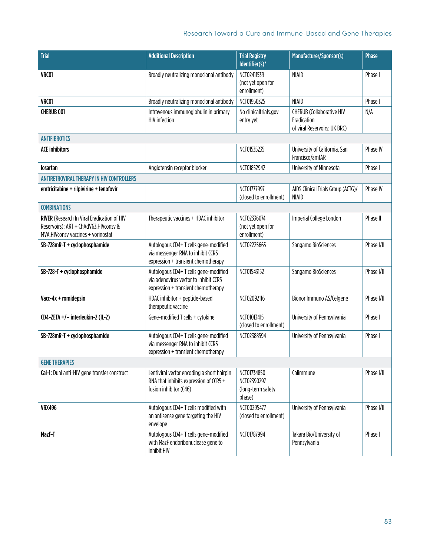## Research Toward a Cure and Immune-Based and Gene Therapies

| <b>Trial</b>                                                                                                                      | <b>Additional Description</b>                                                                                         | <b>Trial Registry</b><br>ldentifier(s)*                   | Manufacturer/Sponsor(s)                                                  | <b>Phase</b> |
|-----------------------------------------------------------------------------------------------------------------------------------|-----------------------------------------------------------------------------------------------------------------------|-----------------------------------------------------------|--------------------------------------------------------------------------|--------------|
| VRC01                                                                                                                             | Broadly neutralizing monoclonal antibody                                                                              | NCT02411539<br>(not yet open for<br>enrollment)           | <b>NIAID</b>                                                             | Phase I      |
| VRC01                                                                                                                             | Broadly neutralizing monoclonal antibody                                                                              | NCT01950325                                               | <b>NIAID</b>                                                             | Phase I      |
| <b>CHERUB 001</b>                                                                                                                 | Intravenous immunoglobulin in primary<br><b>HIV</b> infection                                                         | No clinicaltrials.gov<br>entry yet                        | CHERUB (Collaborative HIV<br>Eradication<br>of viral Reservoirs: UK BRC) | N/A          |
| <b>ANTIFIBROTICS</b>                                                                                                              |                                                                                                                       |                                                           |                                                                          |              |
| <b>ACE inhibitors</b>                                                                                                             |                                                                                                                       | NCT01535235                                               | University of California, San<br>Francisco/amfAR                         | Phase IV     |
| <b>losartan</b>                                                                                                                   | Angiotensin receptor blocker                                                                                          | NCT01852942                                               | University of Minnesota                                                  | Phase I      |
| <b>ANTIRETROVIRAL THERAPY IN HIV CONTROLLERS</b>                                                                                  |                                                                                                                       |                                                           |                                                                          |              |
| emtricitabine + rilpivirine + tenofovir                                                                                           |                                                                                                                       | NCT01777997<br>(closed to enrollment)                     | AIDS Clinical Trials Group (ACTG)/<br>NIAID                              | Phase IV     |
| <b>COMBINATIONS</b>                                                                                                               |                                                                                                                       |                                                           |                                                                          |              |
| <b>RIVER</b> (Research In Viral Eradication of HIV<br>Reservoirs): ART + ChAdV63.HIVconsv &<br>MVA.HIVconsv vaccines + vorinostat | Therapeutic vaccines + HDAC inhibitor                                                                                 | NCT02336074<br>(not yet open for<br>enrollment)           | Imperial College London                                                  | Phase II     |
| SB-728mR-T + cyclophosphamide                                                                                                     | Autologous CD4+ T cells gene-modified<br>via messenger RNA to inhibit CCR5<br>expression + transient chemotherapy     | NCT02225665                                               | Sangamo BioSciences                                                      | Phase I/II   |
| SB-728-T + cyclophosphamide                                                                                                       | Autologous CD4+ T cells gene-modified<br>via adenovirus vector to inhibit CCR5<br>expression + transient chemotherapy | NCT01543152                                               | Sangamo BioSciences                                                      | Phase I/II   |
| Vacc-4x + romidepsin                                                                                                              | HDAC inhibitor + peptide-based<br>therapeutic vaccine                                                                 | NCT02092116                                               | Bionor Immuno AS/Celgene                                                 | Phase I/II   |
| CD4-ZETA +/- interleukin-2 (IL-2)                                                                                                 | Gene-modified T cells + cytokine                                                                                      | NCT01013415<br>(closed to enrollment)                     | University of Pennsylvania                                               | Phase I      |
| SB-728mR-T + cyclophosphamide                                                                                                     | Autologous CD4+ T cells gene-modified<br>via messenger RNA to inhibit CCR5<br>expression + transient chemotherapy     | NCT02388594                                               | University of Pennsylvania                                               | Phase I      |
| <b>GENE THERAPIES</b>                                                                                                             |                                                                                                                       |                                                           |                                                                          |              |
| Cal-1: Dual anti-HIV gene transfer construct                                                                                      | Lentiviral vector encoding a short hairpin<br>RNA that inhibits expression of CCR5 +<br>fusion inhibitor (C46)        | NCT01734850<br>NCT02390297<br>(long-term safety<br>phase) | Calimmune                                                                | Phase I/II   |
| <b>VRX496</b>                                                                                                                     | Autologous CD4+ T cells modified with<br>an antisense gene targeting the HIV<br>envelope                              | NCT00295477<br>(closed to enrollment)                     | University of Pennsylvania                                               | Phase I/II   |
| MazF-T                                                                                                                            | Autologous CD4+ T cells gene-modified<br>with MazF endoribonuclease gene to<br>inhibit HIV                            | NCT01787994                                               | Takara Bio/University of<br>Pennsylvania                                 | Phase I      |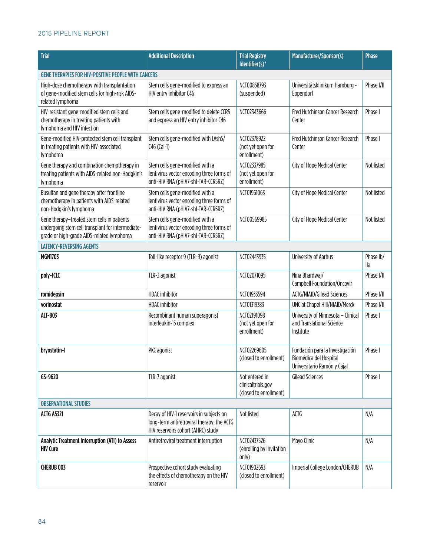| <b>Trial</b>                                                                                                                                  | <b>Additional Description</b>                                                                                                | <b>Trial Registry</b><br>Identifier(s)*                        | Manufacturer/Sponsor(s)                                                                  | <b>Phase</b>     |  |
|-----------------------------------------------------------------------------------------------------------------------------------------------|------------------------------------------------------------------------------------------------------------------------------|----------------------------------------------------------------|------------------------------------------------------------------------------------------|------------------|--|
| <b>GENE THERAPIES FOR HIV-POSITIVE PEOPLE WITH CANCERS</b>                                                                                    |                                                                                                                              |                                                                |                                                                                          |                  |  |
| High-dose chemotherapy with transplantation<br>of gene-modified stem cells for high-risk AIDS-<br>related lymphoma                            | Stem cells gene-modified to express an<br>HIV entry inhibitor C46                                                            | NCT00858793<br>(suspended)                                     | Universitätsklinikum Hamburg -<br>Eppendorf                                              | Phase I/II       |  |
| HIV-resistant gene-modified stem cells and<br>chemotherapy in treating patients with<br>lymphoma and HIV infection                            | Stem cells gene-modified to delete CCR5<br>and express an HIV entry inhibitor C46                                            | NCT02343666                                                    | Fred Hutchinson Cancer Research<br>Center                                                | Phase I          |  |
| Gene-modified HIV-protected stem cell transplant<br>in treating patients with HIV-associated<br>lymphoma                                      | Stem cells gene-modified with LVsh5/<br>$(46 (Cal-1))$                                                                       | NCT02378922<br>(not yet open for<br>enrollment)                | <b>Fred Hutchinson Cancer Research</b><br>Center                                         | Phase I          |  |
| Gene therapy and combination chemotherapy in<br>treating patients with AIDS-related non-Hodgkin's<br>lymphoma                                 | Stem cells gene-modified with a<br>lentivirus vector encoding three forms of<br>anti-HIV RNA (pHIV7-shl-TAR-CCR5RZ)          | NCT02337985<br>(not yet open for<br>enrollment)                | City of Hope Medical Center                                                              | Not listed       |  |
| Busulfan and gene therapy after frontline<br>chemotherapy in patients with AIDS-related<br>non-Hodgkin's lymphoma                             | Stem cells gene-modified with a<br>lentivirus vector encoding three forms of<br>anti-HIV RNA (pHIV7-shl-TAR-CCR5RZ)          | NCT01961063                                                    | City of Hope Medical Center                                                              | Not listed       |  |
| Gene therapy-treated stem cells in patients<br>undergoing stem cell transplant for intermediate-<br>grade or high-grade AIDS-related lymphoma | Stem cells gene-modified with a<br>lentivirus vector encoding three forms of<br>anti-HIV RNA (pHIV7-shl-TAR-CCR5RZ)          | NCT00569985                                                    | City of Hope Medical Center                                                              | Not listed       |  |
| <b>LATENCY-REVERSING AGENTS</b>                                                                                                               |                                                                                                                              |                                                                |                                                                                          |                  |  |
| <b>MGN1703</b>                                                                                                                                | Toll-like receptor 9 (TLR-9) agonist                                                                                         | NCT02443935                                                    | University of Aarhus                                                                     | Phase lb/<br>lla |  |
| poly-ICLC                                                                                                                                     | TLR-3 agonist                                                                                                                | NCT02071095                                                    | Nina Bhardwaj/<br>Campbell Foundation/Oncovir                                            | Phase I/II       |  |
| romidepsin                                                                                                                                    | <b>HDAC</b> inhibitor                                                                                                        | NCT01933594                                                    | ACTG/NIAID/Gilead Sciences                                                               | Phase I/II       |  |
| vorinostat                                                                                                                                    | <b>HDAC</b> inhibitor                                                                                                        | NCT01319383                                                    | UNC at Chapel Hill/NIAID/Merck                                                           | Phase I/II       |  |
| ALT-803                                                                                                                                       | Recombinant human superagonist<br>interleukin-15 complex                                                                     | NCT02191098<br>(not yet open for<br>enrollment)                | University of Minnesota - Clinical<br>and Translational Science<br>Institute             | Phase I          |  |
| bryostatin-1                                                                                                                                  | PKC agonist                                                                                                                  | NCT02269605<br>(closed to enrollment)                          | Fundación para la Investigación<br>Biomédica del Hospital<br>Universitario Ramón y Cajal | Phase I          |  |
| GS-9620                                                                                                                                       | TLR-7 agonist                                                                                                                | Not entered in<br>clinicaltrials.gov<br>(closed to enrollment) | Gilead Sciences                                                                          | Phase I          |  |
| <b>OBSERVATIONAL STUDIES</b>                                                                                                                  |                                                                                                                              |                                                                |                                                                                          |                  |  |
| <b>ACTG A5321</b>                                                                                                                             | Decay of HIV-1 reservoirs in subjects on<br>long-term antiretroviral therapy: the ACTG<br>HIV reservoirs cohort (AHRC) study | Not listed                                                     | ACTG                                                                                     | N/A              |  |
| Analytic Treatment Interruption (ATI) to Assess<br><b>HIV Cure</b>                                                                            | Antiretroviral treatment interruption                                                                                        | NCT02437526<br>(enrolling by invitation<br>only)               | Mayo Clinic                                                                              | N/A              |  |
| <b>CHERUB 003</b>                                                                                                                             | Prospective cohort study evaluating<br>the effects of chemotherapy on the HIV<br>reservoir                                   | NCT01902693<br>(closed to enrollment)                          | Imperial College London/CHERUB                                                           | N/A              |  |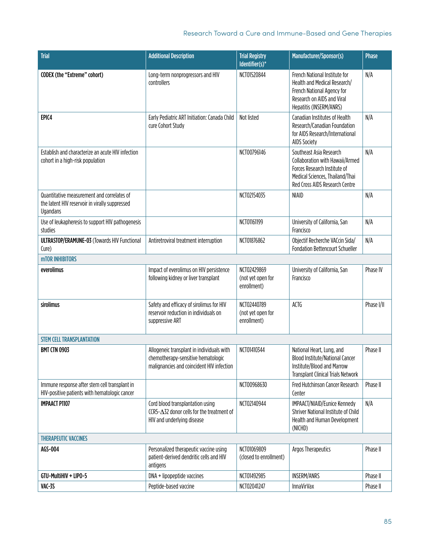## Research Toward a Cure and Immune-Based and Gene Therapies

| <b>Trial</b>                                                                                                    | <b>Additional Description</b>                                                                                                | <b>Trial Registry</b><br>ldentifier(s)*         | Manufacturer/Sponsor(s)                                                                                                                                         | <b>Phase</b> |
|-----------------------------------------------------------------------------------------------------------------|------------------------------------------------------------------------------------------------------------------------------|-------------------------------------------------|-----------------------------------------------------------------------------------------------------------------------------------------------------------------|--------------|
| <b>CODEX (the "Extreme" cohort)</b>                                                                             | Long-term nonprogressors and HIV<br>controllers                                                                              | NCT01520844                                     | French National Institute for<br>Health and Medical Research/<br>French National Agency for<br>Research on AIDS and Viral<br>Hepatitis (INSERM/ANRS)            | N/A          |
| EPIC4                                                                                                           | Early Pediatric ART Initiation: Canada Child<br>cure Cohort Study                                                            | Not listed                                      | Canadian Institutes of Health<br>Research/Canadian Foundation<br>for AIDS Research/International<br><b>AIDS Society</b>                                         | N/A          |
| Establish and characterize an acute HIV infection<br>cohort in a high-risk population                           |                                                                                                                              | NCT00796146                                     | Southeast Asia Research<br>Collaboration with Hawaii/Armed<br>Forces Research Institute of<br>Medical Sciences, Thailand/Thai<br>Red Cross AIDS Research Centre | N/A          |
| Quantitative measurement and correlates of<br>the latent HIV reservoir in virally suppressed<br><b>Ugandans</b> |                                                                                                                              | NCT02154035                                     | <b>NIAID</b>                                                                                                                                                    | N/A          |
| Use of leukapheresis to support HIV pathogenesis<br>studies                                                     |                                                                                                                              | NCT01161199                                     | University of California, San<br>Francisco                                                                                                                      | N/A          |
| <b>ULTRASTOP/ERAMUNE-03 (Towards HIV Functional</b><br>(ure)                                                    | Antiretroviral treatment interruption                                                                                        | NCT01876862                                     | Objectif Recherche VACcin Sida/<br><b>Fondation Bettencourt Schueller</b>                                                                                       | N/A          |
| <b>mTOR INHIBITORS</b>                                                                                          |                                                                                                                              |                                                 |                                                                                                                                                                 |              |
| everolimus                                                                                                      | Impact of everolimus on HIV persistence<br>following kidney or liver transplant                                              | NCT02429869<br>(not yet open for<br>enrollment) | University of California, San<br>Francisco                                                                                                                      | Phase IV     |
| sirolimus                                                                                                       | Safety and efficacy of sirolimus for HIV<br>reservoir reduction in individuals on<br>suppressive ART                         | NCT02440789<br>(not yet open for<br>enrollment) | ACTG                                                                                                                                                            | Phase I/II   |
| <b>STEM CELL TRANSPLANTATION</b>                                                                                |                                                                                                                              |                                                 |                                                                                                                                                                 |              |
| <b>BMT CTN 0903</b>                                                                                             | Allogeneic transplant in individuals with<br>chemotherapy-sensitive hematologic<br>malignancies and coincident HIV infection | NCT01410344                                     | National Heart, Lung, and<br><b>Blood Institute/National Cancer</b><br>Institute/Blood and Marrow<br><b>Transplant Clinical Trials Network</b>                  | Phase II     |
| Immune response after stem cell transplant in<br>HIV-positive patients with hematologic cancer                  |                                                                                                                              | NCT00968630                                     | Fred Hutchinson Cancer Research<br>Center                                                                                                                       | Phase II     |
| <b>IMPAACT P1107</b>                                                                                            | Cord blood transplantation using<br>CCR5-△32 donor cells for the treatment of<br>HIV and underlying disease                  | NCT02140944                                     | IMPAACT/NIAID/Eunice Kennedy<br>Shriver National Institute of Child<br>Health and Human Development<br>(NICHD)                                                  | N/A          |
| <b>THERAPEUTIC VACCINES</b>                                                                                     |                                                                                                                              |                                                 |                                                                                                                                                                 |              |
| AGS-004                                                                                                         | Personalized therapeutic vaccine using<br>patient-derived dendritic cells and HIV<br>antigens                                | NCT01069809<br>(closed to enrollment)           | Argos Therapeutics                                                                                                                                              | Phase II     |
| GTU-MultiHIV + LIPO-5                                                                                           | DNA + lipopeptide vaccines                                                                                                   | NCT01492985                                     | <b>INSERM/ANRS</b>                                                                                                                                              | Phase II     |
| VAC-3S                                                                                                          | Peptide-based vaccine                                                                                                        | NCT02041247                                     | <b>InnaVirVax</b>                                                                                                                                               | Phase II     |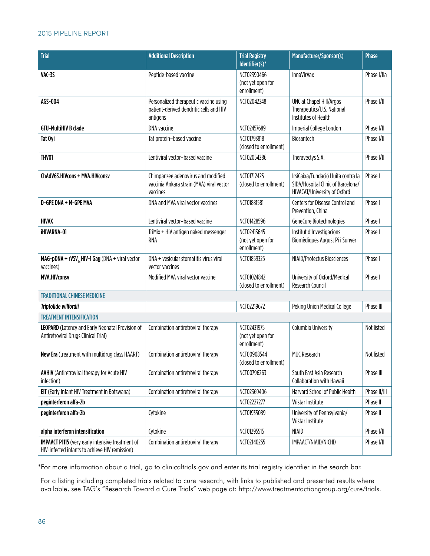| <b>Trial</b>                                                                                              | <b>Additional Description</b>                                                                 | <b>Trial Registry</b><br>ldentifier(s)*         | Manufacturer/Sponsor(s)                                                                                   | <b>Phase</b> |
|-----------------------------------------------------------------------------------------------------------|-----------------------------------------------------------------------------------------------|-------------------------------------------------|-----------------------------------------------------------------------------------------------------------|--------------|
| VAC-3S                                                                                                    | Peptide-based vaccine                                                                         | NCT02390466<br>(not yet open for<br>enrollment) | <b>InnaVirVax</b>                                                                                         | Phase I/IIa  |
| AGS-004                                                                                                   | Personalized therapeutic vaccine using<br>patient-derived dendritic cells and HIV<br>antigens | NCT02042248                                     | UNC at Chapel Hill/Argos<br>Therapeutics/U.S. National<br>Institutes of Health                            | Phase I/II   |
| <b>GTU-MultiHIV B clade</b>                                                                               | <b>DNA</b> vaccine                                                                            | NCT02457689                                     | Imperial College London                                                                                   | Phase I/II   |
| Tat Oyi                                                                                                   | Tat protein-based vaccine                                                                     | NCT01793818<br>(closed to enrollment)           | Biosantech                                                                                                | Phase I/II   |
| THV01                                                                                                     | Lentiviral vector-based vaccine                                                               | NCT02054286                                     | Theravectys S.A.                                                                                          | Phase I/II   |
| ChAdV63.HIVcons + MVA.HIVconsv                                                                            | Chimpanzee adenovirus and modified<br>vaccinia Ankara strain (MVA) viral vector<br>vaccines   | NCT01712425<br>(closed to enrollment)           | IrsiCaixa/Fundació Lluita contra la<br>SIDA/Hospital Clinic of Barcelona/<br>HIVACAT/University of Oxford | Phase I      |
| D-GPE DNA + M-GPE MVA                                                                                     | DNA and MVA viral vector vaccines                                                             | NCT01881581                                     | Centers for Disease Control and<br>Prevention, China                                                      | Phase I      |
| <b>HIVAX</b>                                                                                              | Lentiviral vector-based vaccine                                                               | NCT01428596                                     | GeneCure Biotechnologies                                                                                  | Phase I      |
| iHIVARNA-01                                                                                               | TriMix + HIV antigen naked messenger<br><b>RNA</b>                                            | NCT02413645<br>(not yet open for<br>enrollment) | Institut d'Investigacions<br>Biomèdiques August Pi i Sunyer                                               | Phase I      |
| MAG-pDNA + rVSV <sub>IN</sub> HIV-1 Gag (DNA + viral vector<br>vaccines)                                  | DNA + vesicular stomatitis virus viral<br>vector vaccines                                     | NCT01859325                                     | NIAID/Profectus Biosciences                                                                               | Phase I      |
| <b>MVA.HIVconsv</b>                                                                                       | Modified MVA viral vector vaccine                                                             | NCT01024842<br>(closed to enrollment)           | University of Oxford/Medical<br>Research Council                                                          | Phase I      |
| <b>TRADITIONAL CHINESE MEDICINE</b>                                                                       |                                                                                               |                                                 |                                                                                                           |              |
| Triptolide wilfordii                                                                                      |                                                                                               | NCT02219672                                     | Peking Union Medical College                                                                              | Phase III    |
| <b>TREATMENT INTENSIFICATION</b>                                                                          |                                                                                               |                                                 |                                                                                                           |              |
| LEOPARD (Latency and Early Neonatal Provision of<br>Antiretroviral Drugs Clinical Trial)                  | Combination antiretroviral therapy                                                            | NCT02431975<br>(not yet open for<br>enrollment) | Columbia University                                                                                       | Not listed   |
| New Era (treatment with multidrug class HAART)                                                            | Combination antiretroviral therapy                                                            | NCT00908544<br>(closed to enrollment)           | <b>MUC Research</b>                                                                                       | Not listed   |
| AAHIV (Antiretroviral therapy for Acute HIV<br>infection)                                                 | Combination antiretroviral therapy                                                            | NCT00796263                                     | South East Asia Research<br>Collaboration with Hawaii                                                     | Phase III    |
| EIT (Early Infant HIV Treatment in Botswana)                                                              | Combination antiretroviral therapy                                                            | NCT02369406                                     | Harvard School of Public Health                                                                           | Phase II/III |
| peginterferon alfa-2b                                                                                     |                                                                                               | NCT02227277                                     | Wistar Institute                                                                                          | Phase II     |
| peginterferon alfa-2b                                                                                     | Cytokine                                                                                      | NCT01935089                                     | University of Pennsylvania/<br>Wistar Institute                                                           | Phase II     |
| alpha interferon intensification                                                                          | Cytokine                                                                                      | NCT01295515                                     | <b>NIAID</b>                                                                                              | Phase I/II   |
| <b>IMPAACT P1115</b> (very early intensive treatment of<br>HIV-infected infants to achieve HIV remission) | Combination antiretroviral therapy                                                            | NCT02140255                                     | IMPAACT/NIAID/NICHD                                                                                       | Phase I/II   |

\*For more information about a trial, go to clinicaltrials.gov and enter its trial registry identifier in the search bar.

For a listing including completed trials related to cure research, with links to published and presented results where available, see TAG's "Research Toward a Cure Trials" web page at: <http://www.treatmentactiongroup.org/cure/trials>.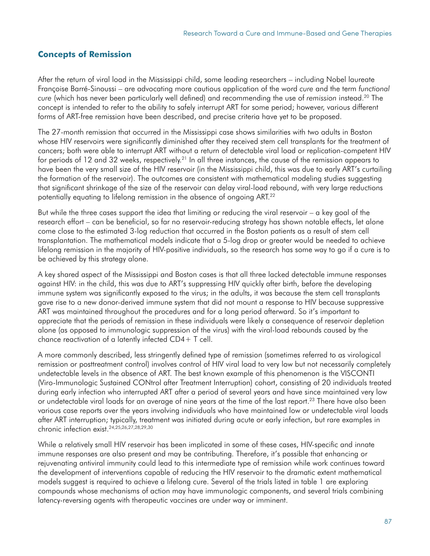## **Concepts of Remission**

After the return of viral load in the Mississippi child, some leading researchers – including Nobel laureate Françoise Barré-Sinoussi – are advocating more cautious application of the word *cure* and the term *functional cure* (which has never been particularly well defined) and recommending the use of *remission* instead.20 The concept is intended to refer to the ability to safely interrupt ART for some period; however, various different forms of ART-free remission have been described, and precise criteria have yet to be proposed.

The 27-month remission that occurred in the Mississippi case shows similarities with two adults in Boston whose HIV reservoirs were significantly diminished after they received stem cell transplants for the treatment of cancers; both were able to interrupt ART without a return of detectable viral load or replication-competent HIV for periods of 12 and 32 weeks, respectively.<sup>21</sup> In all three instances, the cause of the remission appears to have been the very small size of the HIV reservoir (in the Mississippi child, this was due to early ART's curtailing the formation of the reservoir). The outcomes are consistent with mathematical modeling studies suggesting that significant shrinkage of the size of the reservoir can delay viral-load rebound, with very large reductions potentially equating to lifelong remission in the absence of ongoing ART.22

But while the three cases support the idea that limiting or reducing the viral reservoir – a key goal of the research effort – can be beneficial, so far no reservoir-reducing strategy has shown notable effects, let alone come close to the estimated 3-log reduction that occurred in the Boston patients as a result of stem cell transplantation. The mathematical models indicate that a 5-log drop or greater would be needed to achieve lifelong remission in the majority of HIV-positive individuals, so the research has some way to go if a cure is to be achieved by this strategy alone.

A key shared aspect of the Mississippi and Boston cases is that all three lacked detectable immune responses against HIV: in the child, this was due to ART's suppressing HIV quickly after birth, before the developing immune system was significantly exposed to the virus; in the adults, it was because the stem cell transplants gave rise to a new donor-derived immune system that did not mount a response to HIV because suppressive ART was maintained throughout the procedures and for a long period afterward. So it's important to appreciate that the periods of remission in these individuals were likely a consequence of reservoir depletion alone (as opposed to immunologic suppression of the virus) with the viral-load rebounds caused by the chance reactivation of a latently infected CD4+ T cell.

A more commonly described, less stringently defined type of remission (sometimes referred to as virological remission or posttreatment control) involves control of HIV viral load to very low but not necessarily completely undetectable levels in the absence of ART. The best known example of this phenomenon is the VISCONTI (Viro-Immunologic Sustained CONtrol after Treatment Interruption) cohort, consisting of 20 individuals treated during early infection who interrupted ART after a period of several years and have since maintained very low or undetectable viral loads for an average of nine years at the time of the last report.<sup>23</sup> There have also been various case reports over the years involving individuals who have maintained low or undetectable viral loads after ART interruption; typically, treatment was initiated during acute or early infection, but rare examples in chronic infection exist.24,25,26,27,28,29,30

While a relatively small HIV reservoir has been implicated in some of these cases, HIV-specific and innate immune responses are also present and may be contributing. Therefore, it's possible that enhancing or rejuvenating antiviral immunity could lead to this intermediate type of remission while work continues toward the development of interventions capable of reducing the HIV reservoir to the dramatic extent mathematical models suggest is required to achieve a lifelong cure. Several of the trials listed in table 1 are exploring compounds whose mechanisms of action may have immunologic components, and several trials combining latency-reversing agents with therapeutic vaccines are under way or imminent.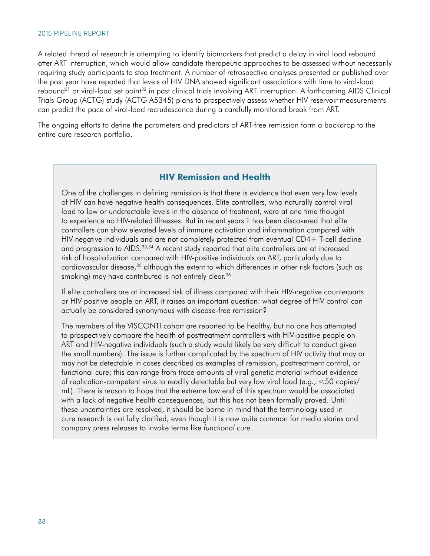A related thread of research is attempting to identify biomarkers that predict a delay in viral load rebound after ART interruption, which would allow candidate therapeutic approaches to be assessed without necessarily requiring study participants to stop treatment. A number of retrospective analyses presented or published over the past year have reported that levels of HIV DNA showed significant associations with time to viral-load rebound<sup>31</sup> or viral-load set point<sup>32</sup> in past clinical trials involving ART interruption. A forthcoming AIDS Clinical Trials Group (ACTG) study (ACTG A5345) plans to prospectively assess whether HIV reservoir measurements can predict the pace of viral-load recrudescence during a carefully monitored break from ART.

The ongoing efforts to define the parameters and predictors of ART-free remission form a backdrop to the entire cure research portfolio.

### **HIV Remission and Health**

One of the challenges in defining remission is that there is evidence that even very low levels of HIV can have negative health consequences. Elite controllers, who naturally control viral load to low or undetectable levels in the absence of treatment, were at one time thought to experience no HIV-related illnesses. But in recent years it has been discovered that elite controllers can show elevated levels of immune activation and inflammation compared with HIV-negative individuals and are not completely protected from eventual CD4+ T-cell decline and progression to AIDS.<sup>33,34</sup> A recent study reported that elite controllers are at increased risk of hospitalization compared with HIV-positive individuals on ART, particularly due to cardiovascular disease,<sup>35</sup> although the extent to which differences in other risk factors (such as smoking) may have contributed is not entirely clear.<sup>36</sup>

If elite controllers are at increased risk of illness compared with their HIV-negative counterparts or HIV-positive people on ART, it raises an important question: what degree of HIV control can actually be considered synonymous with disease-free remission?

The members of the VISCONTI cohort are reported to be healthy, but no one has attempted to prospectively compare the health of posttreatment controllers with HIV-positive people on ART and HIV-negative individuals (such a study would likely be very difficult to conduct given the small numbers). The issue is further complicated by the spectrum of HIV activity that may or may not be detectable in cases described as examples of remission, posttreatment control, or functional cure; this can range from trace amounts of viral genetic material without evidence of replication-competent virus to readily detectable but very low viral load (e.g., <50 copies/ mL). There is reason to hope that the extreme low end of this spectrum would be associated with a lack of negative health consequences, but this has not been formally proved. Until these uncertainties are resolved, it should be borne in mind that the terminology used in cure research is not fully clarified, even though it is now quite common for media stories and company press releases to invoke terms like *functional cure*.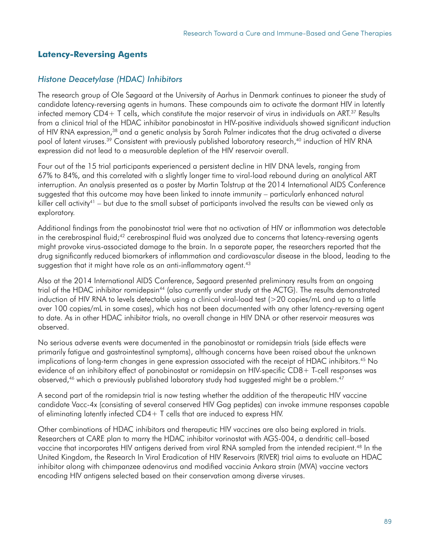## **Latency-Reversing Agents**

## *Histone Deacetylase (HDAC) Inhibitors*

The research group of Ole Søgaard at the University of Aarhus in Denmark continues to pioneer the study of candidate latency-reversing agents in humans. These compounds aim to activate the dormant HIV in latently infected memory  $CD4+T$  cells, which constitute the major reservoir of virus in individuals on ART.<sup>37</sup> Results from a clinical trial of the HDAC inhibitor panobinostat in HIV-positive individuals showed significant induction of HIV RNA expression,<sup>38</sup> and a genetic analysis by Sarah Palmer indicates that the drug activated a diverse pool of latent viruses.<sup>39</sup> Consistent with previously published laboratory research,<sup>40</sup> induction of HIV RNA expression did not lead to a measurable depletion of the HIV reservoir overall.

Four out of the 15 trial participants experienced a persistent decline in HIV DNA levels, ranging from 67% to 84%, and this correlated with a slightly longer time to viral-load rebound during an analytical ART interruption. An analysis presented as a poster by Martin Tolstrup at the 2014 International AIDS Conference suggested that this outcome may have been linked to innate immunity – particularly enhanced natural killer cell activity<sup>41</sup> – but due to the small subset of participants involved the results can be viewed only as exploratory.

Additional findings from the panobinostat trial were that no activation of HIV or inflammation was detectable in the cerebrospinal fluid;<sup>42</sup> cerebrospinal fluid was analyzed due to concerns that latency-reversing agents might provoke virus-associated damage to the brain. In a separate paper, the researchers reported that the drug significantly reduced biomarkers of inflammation and cardiovascular disease in the blood, leading to the suggestion that it might have role as an anti-inflammatory agent.<sup>43</sup>

Also at the 2014 International AIDS Conference, Søgaard presented preliminary results from an ongoing trial of the HDAC inhibitor romidepsin<sup>44</sup> (also currently under study at the ACTG). The results demonstrated induction of HIV RNA to levels detectable using a clinical viral-load test (>20 copies/mL and up to a little over 100 copies/mL in some cases), which has not been documented with any other latency-reversing agent to date. As in other HDAC inhibitor trials, no overall change in HIV DNA or other reservoir measures was observed.

No serious adverse events were documented in the panobinostat or romidepsin trials (side effects were primarily fatigue and gastrointestinal symptoms), although concerns have been raised about the unknown implications of long-term changes in gene expression associated with the receipt of HDAC inhibitors.45 No evidence of an inhibitory effect of panobinostat or romidepsin on HIV-specific CD8+ T-cell responses was observed,<sup>46</sup> which a previously published laboratory study had suggested might be a problem.<sup>47</sup>

A second part of the romidepsin trial is now testing whether the addition of the therapeutic HIV vaccine candidate Vacc-4x (consisting of several conserved HIV Gag peptides) can invoke immune responses capable of eliminating latently infected CD4+ T cells that are induced to express HIV.

Other combinations of HDAC inhibitors and therapeutic HIV vaccines are also being explored in trials. Researchers at CARE plan to marry the HDAC inhibitor vorinostat with AGS-004, a dendritic cell–based vaccine that incorporates HIV antigens derived from viral RNA sampled from the intended recipient.<sup>48</sup> In the United Kingdom, the Research In Viral Eradication of HIV Reservoirs (RIVER) trial aims to evaluate an HDAC inhibitor along with chimpanzee adenovirus and modified vaccinia Ankara strain (MVA) vaccine vectors encoding HIV antigens selected based on their conservation among diverse viruses.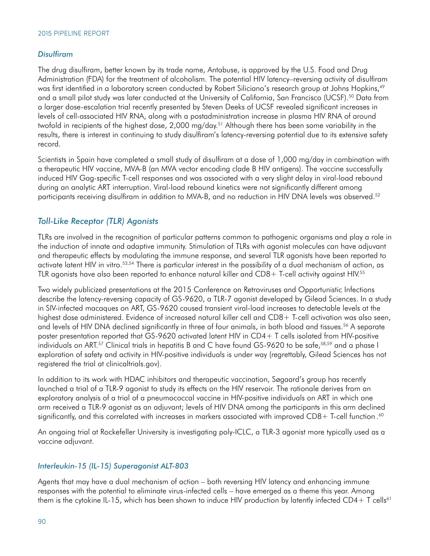### *Disulfiram*

The drug disulfiram, better known by its trade name, Antabuse, is approved by the U.S. Food and Drug Administration (FDA) for the treatment of alcoholism. The potential HIV latency–reversing activity of disulfiram was first identified in a laboratory screen conducted by Robert Siliciano's research group at Johns Hopkins,<sup>49</sup> and a small pilot study was later conducted at the University of California, San Francisco (UCSF).50 Data from a larger dose-escalation trial recently presented by Steven Deeks of UCSF revealed significant increases in levels of cell-associated HIV RNA, along with a postadministration increase in plasma HIV RNA of around twofold in recipients of the highest dose, 2,000 mg/day.<sup>51</sup> Although there has been some variability in the results, there is interest in continuing to study disulfiram's latency-reversing potential due to its extensive safety record.

Scientists in Spain have completed a small study of disulfiram at a dose of 1,000 mg/day in combination with a therapeutic HIV vaccine, MVA-B (an MVA vector encoding clade B HIV antigens). The vaccine successfully induced HIV Gag-specific T-cell responses and was associated with a very slight delay in viral-load rebound during an analytic ART interruption. Viral-load rebound kinetics were not significantly different among participants receiving disulfiram in addition to MVA-B, and no reduction in HIV DNA levels was observed.<sup>52</sup>

## *Toll-Like Receptor (TLR) Agonists*

TLRs are involved in the recognition of particular patterns common to pathogenic organisms and play a role in the induction of innate and adaptive immunity. Stimulation of TLRs with agonist molecules can have adjuvant and therapeutic effects by modulating the immune response, and several TLR agonists have been reported to activate latent HIV in vitro.<sup>53,54</sup> There is particular interest in the possibility of a dual mechanism of action, as TLR agonists have also been reported to enhance natural killer and CD8+ T-cell activity against HIV.<sup>55</sup>

Two widely publicized presentations at the 2015 Conference on Retroviruses and Opportunistic Infections describe the latency-reversing capacity of GS-9620, a TLR-7 agonist developed by Gilead Sciences. In a study in SIV-infected macaques on ART, GS-9620 caused transient viral-load increases to detectable levels at the highest dose administered. Evidence of increased natural killer cell and CD8+ T-cell activation was also seen, and levels of HIV DNA declined significantly in three of four animals, in both blood and tissues.<sup>56</sup> A separate poster presentation reported that GS-9620 activated latent HIV in CD4+ T cells isolated from HIV-positive individuals on ART.57 Clinical trials in hepatitis B and C have found GS-9620 to be safe,58,59 and a phase I exploration of safety and activity in HIV-positive individuals is under way (regrettably, Gilead Sciences has not registered the trial at clinicaltrials.gov).

In addition to its work with HDAC inhibitors and therapeutic vaccination, Søgaard's group has recently launched a trial of a TLR-9 agonist to study its effects on the HIV reservoir. The rationale derives from an exploratory analysis of a trial of a pneumococcal vaccine in HIV-positive individuals on ART in which one arm received a TLR-9 agonist as an adjuvant; levels of HIV DNA among the participants in this arm declined significantly, and this correlated with increases in markers associated with improved CD8+ T-cell function . 60

An ongoing trial at Rockefeller University is investigating poly-ICLC, a TLR-3 agonist more typically used as a vaccine adjuvant.

### *Interleukin-15 (IL-15) Superagonist ALT-803*

Agents that may have a dual mechanism of action – both reversing HIV latency and enhancing immune responses with the potential to eliminate virus-infected cells – have emerged as a theme this year. Among them is the cytokine IL-15, which has been shown to induce HIV production by latently infected  $CD4+T$  cells<sup>61</sup>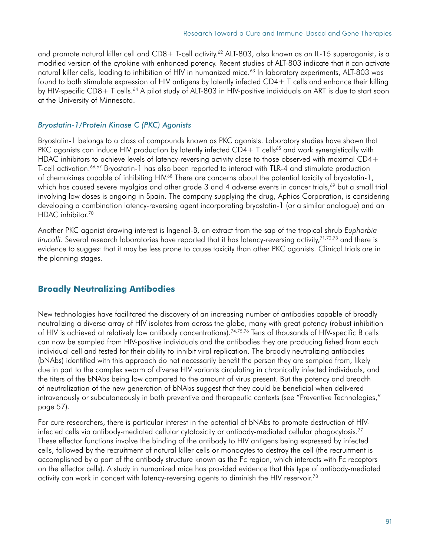and promote natural killer cell and CD8+ T-cell activity.<sup>62</sup> ALT-803, also known as an IL-15 superagonist, is a modified version of the cytokine with enhanced potency. Recent studies of ALT-803 indicate that it can activate natural killer cells, leading to inhibition of HIV in humanized mice.<sup>63</sup> In laboratory experiments, ALT-803 was found to both stimulate expression of HIV antigens by latently infected CD4+ T cells and enhance their killing by HIV-specific CD8+ T cells.<sup>64</sup> A pilot study of ALT-803 in HIV-positive individuals on ART is due to start soon at the University of Minnesota.

### *Bryostatin-1/Protein Kinase C (PKC) Agonists*

Bryostatin-1 belongs to a class of compounds known as PKC agonists. Laboratory studies have shown that PKC agonists can induce HIV production by latently infected  $CD4+T$  cells<sup>65</sup> and work synergistically with HDAC inhibitors to achieve levels of latency-reversing activity close to those observed with maximal CD4+ T-cell activation.<sup>66,67</sup> Bryostatin-1 has also been reported to interact with TLR-4 and stimulate production of chemokines capable of inhibiting HIV.<sup>68</sup> There are concerns about the potential toxicity of bryostatin-1, which has caused severe myalgias and other grade 3 and 4 adverse events in cancer trials,<sup>69</sup> but a small trial involving low doses is ongoing in Spain. The company supplying the drug, Aphios Corporation, is considering developing a combination latency-reversing agent incorporating bryostatin-1 (or a similar analogue) and an HDAC inhibitor.<sup>70</sup>

Another PKC agonist drawing interest is Ingenol-B, an extract from the sap of the tropical shrub *Euphorbia*  tirucalli. Several research laboratories have reported that it has latency-reversing activity,<sup>71,72,73</sup> and there is evidence to suggest that it may be less prone to cause toxicity than other PKC agonists. Clinical trials are in the planning stages.

## **Broadly Neutralizing Antibodies**

New technologies have facilitated the discovery of an increasing number of antibodies capable of broadly neutralizing a diverse array of HIV isolates from across the globe, many with great potency (robust inhibition of HIV is achieved at relatively low antibody concentrations).74,75,76 Tens of thousands of HIV-specific B cells can now be sampled from HIV-positive individuals and the antibodies they are producing fished from each individual cell and tested for their ability to inhibit viral replication. The broadly neutralizing antibodies (bNAbs) identified with this approach do not necessarily benefit the person they are sampled from, likely due in part to the complex swarm of diverse HIV variants circulating in chronically infected individuals, and the titers of the bNAbs being low compared to the amount of virus present. But the potency and breadth of neutralization of the new generation of bNAbs suggest that they could be beneficial when delivered intravenously or subcutaneously in both preventive and therapeutic contexts (see "Preventive Technologies," page 57).

For cure researchers, there is particular interest in the potential of bNAbs to promote destruction of HIVinfected cells via antibody-mediated cellular cytotoxicity or antibody-mediated cellular phagocytosis.77 These effector functions involve the binding of the antibody to HIV antigens being expressed by infected cells, followed by the recruitment of natural killer cells or monocytes to destroy the cell (the recruitment is accomplished by a part of the antibody structure known as the Fc region, which interacts with Fc receptors on the effector cells). A study in humanized mice has provided evidence that this type of antibody-mediated activity can work in concert with latency-reversing agents to diminish the HIV reservoir.<sup>78</sup>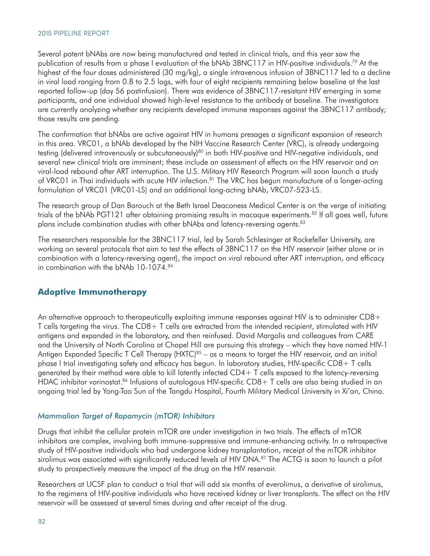Several potent bNAbs are now being manufactured and tested in clinical trials, and this year saw the publication of results from a phase I evaluation of the bNAb 3BNC117 in HIV-positive individuals.<sup>79</sup> At the highest of the four doses administered (30 mg/kg), a single intravenous infusion of 3BNC117 led to a decline in viral load ranging from 0.8 to 2.5 logs, with four of eight recipients remaining below baseline at the last reported follow-up (day 56 postinfusion). There was evidence of 3BNC117-resistant HIV emerging in some participants, and one individual showed high-level resistance to the antibody at baseline. The investigators are currently analyzing whether any recipients developed immune responses against the 3BNC117 antibody; those results are pending.

The confirmation that bNAbs are active against HIV in humans presages a significant expansion of research in this area. VRC01, a bNAb developed by the NIH Vaccine Research Center (VRC), is already undergoing testing (delivered intravenously or subcutaneously)<sup>80</sup> in both HIV-positive and HIV-negative individuals, and several new clinical trials are imminent; these include an assessment of effects on the HIV reservoir and on viral-load rebound after ART interruption. The U.S. Military HIV Research Program will soon launch a study of VRC01 in Thai individuals with acute HIV infection.<sup>81</sup> The VRC has begun manufacture of a longer-acting formulation of VRC01 (VRC01-LS) and an additional long-acting bNAb, VRC07-523-LS.

The research group of Dan Barouch at the Beth Israel Deaconess Medical Center is on the verge of initiating trials of the bNAb PGT121 after obtaining promising results in macaque experiments.82 If all goes well, future plans include combination studies with other bNAbs and latency-reversing agents.83

The researchers responsible for the 3BNC117 trial, led by Sarah Schlesinger at Rockefeller University, are working on several protocols that aim to test the effects of 3BNC117 on the HIV reservoir (either alone or in combination with a latency-reversing agent), the impact on viral rebound after ART interruption, and efficacy in combination with the bNAb 10-1074.<sup>84</sup>

## **Adoptive Immunotherapy**

An alternative approach to therapeutically exploiting immune responses against HIV is to administer CD8+ T cells targeting the virus. The CD8+ T cells are extracted from the intended recipient, stimulated with HIV antigens and expanded in the laboratory, and then reinfused. David Margolis and colleagues from CARE and the University of North Carolina at Chapel Hill are pursuing this strategy – which they have named HIV-1 Antigen Expanded Specific T Cell Therapy (HXTC)<sup>85</sup> – as a means to target the HIV reservoir, and an initial phase I trial investigating safety and efficacy has begun. In laboratory studies, HIV-specific CD8+ T cells generated by their method were able to kill latently infected CD4+ T cells exposed to the latency-reversing HDAC inhibitor vorinostat.<sup>86</sup> Infusions of autologous HIV-specific CD8+ T cells are also being studied in an ongoing trial led by Yong-Tao Sun of the Tangdu Hospital, Fourth Military Medical University in Xi'an, China.

### *Mammalian Target of Rapamycin (mTOR) Inhibitors*

Drugs that inhibit the cellular protein mTOR are under investigation in two trials. The effects of mTOR inhibitors are complex, involving both immune-suppressive and immune-enhancing activity. In a retrospective study of HIV-positive individuals who had undergone kidney transplantation, receipt of the mTOR inhibitor sirolimus was associated with significantly reduced levels of HIV DNA.<sup>87</sup> The ACTG is soon to launch a pilot study to prospectively measure the impact of the drug on the HIV reservoir.

Researchers at UCSF plan to conduct a trial that will add six months of everolimus, a derivative of sirolimus, to the regimens of HIV-positive individuals who have received kidney or liver transplants. The effect on the HIV reservoir will be assessed at several times during and after receipt of the drug.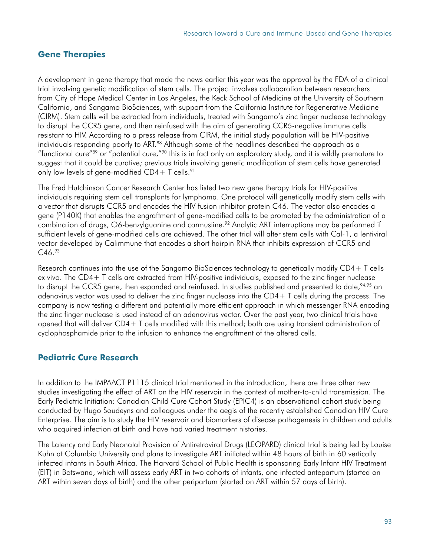## **Gene Therapies**

A development in gene therapy that made the news earlier this year was the approval by the FDA of a clinical trial involving genetic modification of stem cells. The project involves collaboration between researchers from City of Hope Medical Center in Los Angeles, the Keck School of Medicine at the University of Southern California, and Sangamo BioSciences, with support from the California Institute for Regenerative Medicine (CIRM). Stem cells will be extracted from individuals, treated with Sangamo's zinc finger nuclease technology to disrupt the CCR5 gene, and then reinfused with the aim of generating CCR5-negative immune cells resistant to HIV. According to a press release from CIRM, the initial study population will be HIV-positive individuals responding poorly to ART.88 Although some of the headlines described the approach as a "functional cure"89 or "potential cure,"90 this is in fact only an exploratory study, and it is wildly premature to suggest that it could be curative; previous trials involving genetic modification of stem cells have generated only low levels of gene-modified  $CD4+T$  cells.<sup>91</sup>

The Fred Hutchinson Cancer Research Center has listed two new gene therapy trials for HIV-positive individuals requiring stem cell transplants for lymphoma. One protocol will genetically modify stem cells with a vector that disrupts CCR5 and encodes the HIV fusion inhibitor protein C46. The vector also encodes a gene (P140K) that enables the engraftment of gene-modified cells to be promoted by the administration of a combination of drugs, O6-benzylguanine and carmustine.<sup>92</sup> Analytic ART interruptions may be performed if sufficient levels of gene-modified cells are achieved. The other trial will alter stem cells with Cal-1, a lentiviral vector developed by Calimmune that encodes a short hairpin RNA that inhibits expression of CCR5 and C<sub>46.93</sub>

Research continues into the use of the Sangamo BioSciences technology to genetically modify CD4+ T cells ex vivo. The CD4+ T cells are extracted from HIV-positive individuals, exposed to the zinc finger nuclease to disrupt the CCR5 gene, then expanded and reinfused. In studies published and presented to date, 94,95 an adenovirus vector was used to deliver the zinc finger nuclease into the CD4+ T cells during the process. The company is now testing a different and potentially more efficient approach in which messenger RNA encoding the zinc finger nuclease is used instead of an adenovirus vector. Over the past year, two clinical trials have opened that will deliver CD4+ T cells modified with this method; both are using transient administration of cyclophosphamide prior to the infusion to enhance the engraftment of the altered cells.

## **Pediatric Cure Research**

In addition to the IMPAACT P1115 clinical trial mentioned in the introduction, there are three other new studies investigating the effect of ART on the HIV reservoir in the context of mother-to-child transmission. The Early Pediatric Initiation: Canadian Child Cure Cohort Study (EPIC4) is an observational cohort study being conducted by Hugo Soudeyns and colleagues under the aegis of the recently established Canadian HIV Cure Enterprise. The aim is to study the HIV reservoir and biomarkers of disease pathogenesis in children and adults who acquired infection at birth and have had varied treatment histories.

The Latency and Early Neonatal Provision of Antiretroviral Drugs (LEOPARD) clinical trial is being led by Louise Kuhn at Columbia University and plans to investigate ART initiated within 48 hours of birth in 60 vertically infected infants in South Africa. The Harvard School of Public Health is sponsoring Early Infant HIV Treatment (EIT) in Botswana, which will assess early ART in two cohorts of infants, one infected antepartum (started on ART within seven days of birth) and the other peripartum (started on ART within 57 days of birth).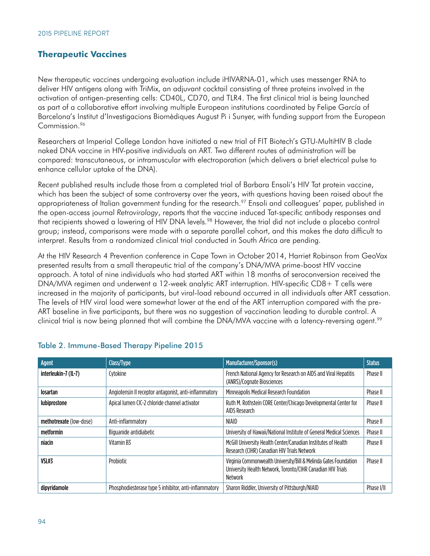## **Therapeutic Vaccines**

New therapeutic vaccines undergoing evaluation include iHIVARNA-01, which uses messenger RNA to deliver HIV antigens along with TriMix, an adjuvant cocktail consisting of three proteins involved in the activation of antigen-presenting cells: CD40L, CD70, and TLR4. The first clinical trial is being launched as part of a collaborative effort involving multiple European institutions coordinated by Felipe García of Barcelona's Institut d'Investigacions Biomèdiques August Pi i Sunyer, with funding support from the European Commission.<sup>96</sup>

Researchers at Imperial College London have initiated a new trial of FIT Biotech's GTU-MultiHIV B clade naked DNA vaccine in HIV-positive individuals on ART. Two different routes of administration will be compared: transcutaneous, or intramuscular with electroporation (which delivers a brief electrical pulse to enhance cellular uptake of the DNA).

Recent published results include those from a completed trial of Barbara Ensoli's HIV Tat protein vaccine, which has been the subject of some controversy over the years, with questions having been raised about the appropriateness of Italian government funding for the research.<sup>97</sup> Ensoli and colleagues' paper, published in the open-access journal *Retrovirology*, reports that the vaccine induced Tat-specific antibody responses and that recipients showed a lowering of HIV DNA levels.<sup>98</sup> However, the trial did not include a placebo control group; instead, comparisons were made with a separate parallel cohort, and this makes the data difficult to interpret. Results from a randomized clinical trial conducted in South Africa are pending.

At the HIV Research 4 Prevention conference in Cape Town in October 2014, Harriet Robinson from GeoVax presented results from a small therapeutic trial of the company's DNA/MVA prime-boost HIV vaccine approach. A total of nine individuals who had started ART within 18 months of seroconversion received the DNA/MVA regimen and underwent a 12-week analytic ART interruption. HIV-specific CD8+ T cells were increased in the majority of participants, but viral-load rebound occurred in all individuals after ART cessation. The levels of HIV viral load were somewhat lower at the end of the ART interruption compared with the pre-ART baseline in five participants, but there was no suggestion of vaccination leading to durable control. A clinical trial is now being planned that will combine the DNA/MVA vaccine with a latency-reversing agent.<sup>99</sup>

| Agent                   | Class/Type                                            | Manufacturer/Sponsor(s)                                                                                                                    | <b>Status</b> |
|-------------------------|-------------------------------------------------------|--------------------------------------------------------------------------------------------------------------------------------------------|---------------|
| interleukin-7 (IL-7)    | Cytokine                                              | French National Agency for Research on AIDS and Viral Hepatitis<br>(ANRS)/Cognate Biosciences                                              | Phase II      |
| losartan                | Angiotensin II receptor antagonist, anti-inflammatory | Minneapolis Medical Research Foundation                                                                                                    | Phase II      |
| lubiprostone            | Apical lumen CIC-2 chloride channel activator         | Ruth M. Rothstein CORE Center/Chicago Developmental Center for<br>AIDS Research                                                            | Phase II      |
| methotrexate (low-dose) | Anti-inflammatory                                     | NIAID                                                                                                                                      | Phase II      |
| metformin               | Biguanide antidiabetic                                | University of Hawaii/National Institute of General Medical Sciences                                                                        | Phase II      |
| niacin                  | Vitamin B3                                            | McGill University Health Center/Canadian Institutes of Health<br>Research (CIHR) Canadian HIV Trials Network                               | Phase II      |
| VSL#3                   | Probiotic                                             | Virginia Commonwealth University/Bill & Melinda Gates Foundation<br>University Health Network, Toronto/CIHR Canadian HIV Trials<br>Network | Phase II      |
| dipyridamole            | Phosphodiesterase type 5 inhibitor, anti-inflammatory | Sharon Riddler, University of Pittsburgh/NIAID                                                                                             | Phase I/II    |

### Table 2. Immune-Based Therapy Pipeline 2015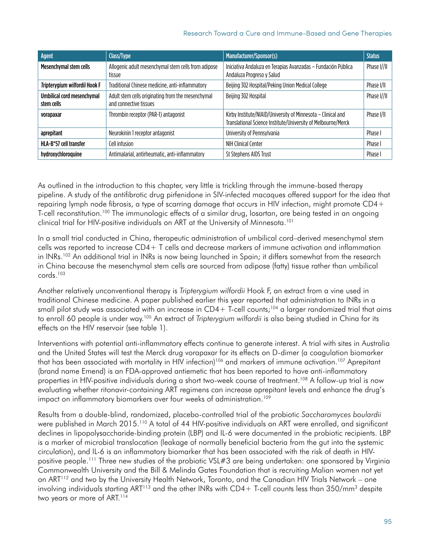#### Research Toward a Cure and Immune-Based and Gene Therapies

| Agent                                           | Class/Type                                                                  | Manufacturer/Sponsor(s)                                                                                                       | <b>Status</b> |
|-------------------------------------------------|-----------------------------------------------------------------------------|-------------------------------------------------------------------------------------------------------------------------------|---------------|
| Mesenchymal stem cells                          | Allogenic adult mesenchymal stem cells from adipose<br>tissue               | Iniciativa Andaluza en Terapias Avanzadas - Fundación Pública<br>Andaluza Progreso y Salud                                    | Phase I//II   |
| Tripterygium wilfordii Hook F                   | Traditional Chinese medicine, anti-inflammatory                             | Beijing 302 Hospital/Peking Union Medical College                                                                             | Phase I/II    |
| <b>Umbilical cord mesenchymal</b><br>stem cells | Adult stem cells originating from the mesenchymal<br>and connective tissues | Beijing 302 Hospital                                                                                                          | Phase I//II   |
| vorapaxar                                       | Thrombin receptor (PAR-1) antagonist                                        | Kirby Institute/NIAID/University of Minnesota - Clinical and<br>Translational Science Institute/University of Melbourne/Merck | Phase I/II    |
| aprepitant                                      | Neurokinin 1 receptor antagonist                                            | University of Pennsylvania                                                                                                    | Phase I       |
| HLA-B*57 cell transfer                          | Cell infusion                                                               | NIH Clinical Center                                                                                                           | Phase I       |
| hydroxychloroquine                              | Antimalarial, antirheumatic, anti-inflammatory                              | St Stephens AIDS Trust                                                                                                        | Phase         |

As outlined in the introduction to this chapter, very little is trickling through the immune-based therapy pipeline. A study of the antifibrotic drug pirfenidone in SIV-infected macaques offered support for the idea that repairing lymph node fibrosis, a type of scarring damage that occurs in HIV infection, might promote CD4+ T-cell reconstitution.<sup>100</sup> The immunologic effects of a similar drug, losartan, are being tested in an ongoing clinical trial for HIV-positive individuals on ART at the University of Minnesota.101

In a small trial conducted in China, therapeutic administration of umbilical cord–derived mesenchymal stem cells was reported to increase CD4+ T cells and decrease markers of immune activation and inflammation in INRs.<sup>102</sup> An additional trial in INRs is now being launched in Spain; it differs somewhat from the research in China because the mesenchymal stem cells are sourced from adipose (fatty) tissue rather than umbilical cords.103

Another relatively unconventional therapy is *Tripterygium wilfordii* Hook F, an extract from a vine used in traditional Chinese medicine. A paper published earlier this year reported that administration to INRs in a small pilot study was associated with an increase in  $CD4+T$ -cell counts;<sup>104</sup> a larger randomized trial that aims to enroll 60 people is under way.105 An extract of *Tripterygium wilfordii* is also being studied in China for its effects on the HIV reservoir (see table 1).

Interventions with potential anti-inflammatory effects continue to generate interest. A trial with sites in Australia and the United States will test the Merck drug vorapaxar for its effects on D-dimer (a coagulation biomarker that has been associated with mortality in HIV infection)<sup>106</sup> and markers of immune activation.<sup>107</sup> Aprepitant (brand name Emend) is an FDA-approved antiemetic that has been reported to have anti-inflammatory properties in HIV-positive individuals during a short two-week course of treatment.108 A follow-up trial is now evaluating whether ritonavir-containing ART regimens can increase aprepitant levels and enhance the drug's impact on inflammatory biomarkers over four weeks of administration.<sup>109</sup>

Results from a double-blind, randomized, placebo-controlled trial of the probiotic *Saccharomyces boulardii*  were published in March 2015.110 A total of 44 HIV-positive individuals on ART were enrolled, and significant declines in lipopolysaccharide-binding protein (LBP) and IL-6 were documented in the probiotic recipients. LBP is a marker of microbial translocation (leakage of normally beneficial bacteria from the gut into the systemic circulation), and IL-6 is an inflammatory biomarker that has been associated with the risk of death in HIVpositive people.111 Three new studies of the probiotic VSL#3 are being undertaken: one sponsored by Virginia Commonwealth University and the Bill & Melinda Gates Foundation that is recruiting Malian women not yet on ART<sup>112</sup> and two by the University Health Network, Toronto, and the Canadian HIV Trials Network – one involving individuals starting ART<sup>113</sup> and the other INRs with  $CD4+$  T-cell counts less than  $350/mm<sup>3</sup>$  despite two years or more of ART.<sup>114</sup>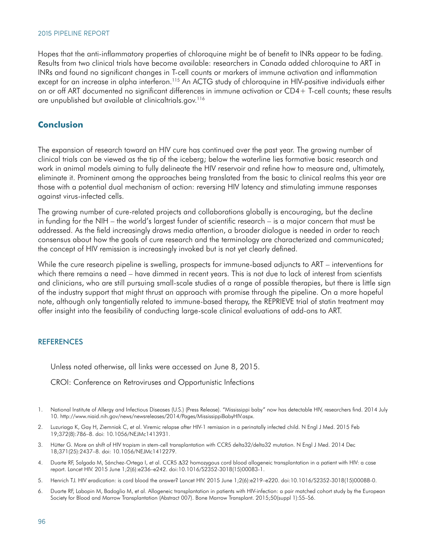Hopes that the anti-inflammatory properties of chloroquine might be of benefit to INRs appear to be fading. Results from two clinical trials have become available: researchers in Canada added chloroquine to ART in INRs and found no significant changes in T-cell counts or markers of immune activation and inflammation except for an increase in alpha interferon.<sup>115</sup> An ACTG study of chloroquine in HIV-positive individuals either on or off ART documented no significant differences in immune activation or CD4+ T-cell counts; these results are unpublished but available at clinicaltrials.gov.<sup>116</sup>

### **Conclusion**

The expansion of research toward an HIV cure has continued over the past year. The growing number of clinical trials can be viewed as the tip of the iceberg; below the waterline lies formative basic research and work in animal models aiming to fully delineate the HIV reservoir and refine how to measure and, ultimately, eliminate it. Prominent among the approaches being translated from the basic to clinical realms this year are those with a potential dual mechanism of action: reversing HIV latency and stimulating immune responses against virus-infected cells.

The growing number of cure-related projects and collaborations globally is encouraging, but the decline in funding for the NIH – the world's largest funder of scientific research – is a major concern that must be addressed. As the field increasingly draws media attention, a broader dialogue is needed in order to reach consensus about how the goals of cure research and the terminology are characterized and communicated; the concept of HIV remission is increasingly invoked but is not yet clearly defined.

While the cure research pipeline is swelling, prospects for immune-based adjuncts to ART – interventions for which there remains a need – have dimmed in recent years. This is not due to lack of interest from scientists and clinicians, who are still pursuing small-scale studies of a range of possible therapies, but there is little sign of the industry support that might thrust an approach with promise through the pipeline. On a more hopeful note, although only tangentially related to immune-based therapy, the REPRIEVE trial of statin treatment may offer insight into the feasibility of conducting large-scale clinical evaluations of add-ons to ART.

#### **REFERENCES**

Unless noted otherwise, all links were accessed on June 8, 2015.

#### CROI: Conference on Retroviruses and Opportunistic Infections

- 1. National Institute of Allergy and Infectious Diseases (U.S.) (Press Release). "Mississippi baby" now has detectable HIV, researchers find. 2014 July 10. <http://www.niaid.nih.gov/news/newsreleases/2014/Pages/MississippiBabyHIV.aspx>.
- 2. Luzuriaga K, Gay H, Ziemniak C, et al. Viremic relapse after HIV-1 remission in a perinatally infected child. N Engl J Med. 2015 Feb 19;372(8):786–8. doi: 10.1056/NEJMc1413931.
- 3. Hütter G. More on shift of HIV tropism in stem-cell transplantation with CCR5 delta32/delta32 mutation. N Engl J Med. 2014 Dec 18;371(25):2437–8. doi: 10.1056/NEJMc1412279.
- 4. Duarte RF, Salgado M, Sánchez-Ortega I, et al. CCR5 Δ32 homozygous cord blood allogeneic transplantation in a patient with HIV: a case report. Lancet HIV. 2015 June 1;2(6):e236–e242. doi:10.1016/S2352-3018(15)00083-1.
- 5. Henrich TJ. HIV eradication: is cord blood the answer? Lancet HIV. 2015 June 1;2(6):e219–e220. doi:10.1016/S2352-3018(15)00088-0.
- 6. Duarte RF, Labopin M, Badoglio M, et al. Allogeneic transplantation in patients with HIV-infection: a pair matched cohort study by the European Society for Blood and Marrow Transplantation (Abstract 007). Bone Marrow Transplant. 2015;50(suppl 1):S5–S6.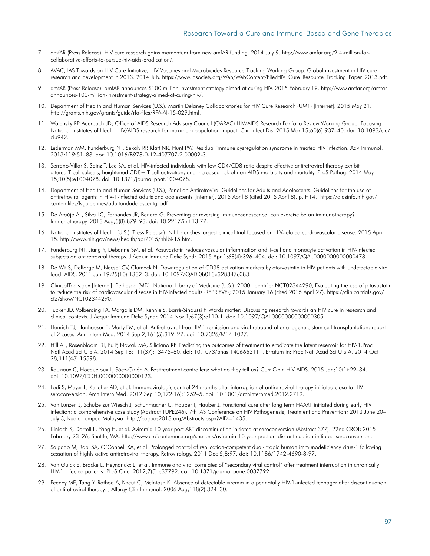#### Research Toward a Cure and Immune-Based and Gene Therapies

- 7. amfAR (Press Release). HIV cure research gains momentum from new amfAR funding. 2014 July 9. [http://www.amfar.org/2.4-million-for](http://www.amfar.org/2.4-million-for-collaborative-efforts-to-pursue-hiv-aids-eradication/)[collaborative-efforts-to-pursue-hiv-aids-eradication/](http://www.amfar.org/2.4-million-for-collaborative-efforts-to-pursue-hiv-aids-eradication/).
- 8. AVAC, IAS Towards an HIV Cure Initiative, HIV Vaccines and Microbicides Resource Tracking Working Group. Global investment in HIV cure research and development in 2013. 2014 July. [https://www.iasociety.org/Web/WebContent/File/HIV\\_Cure\\_Resource\\_Tracking\\_Paper\\_2013.pdf.](https://www.iasociety.org/Web/WebContent/File/HIV_Cure_Resource_Tracking_Paper_2013.pdf)
- 9. amfAR (Press Release). amfAR announces \$100 million investment strategy aimed at curing HIV. 2015 February 19. [http://www.amfar.org/amfar](http://www.amfar.org/amfar-announces-100-million-investment-strategy-aimed-at-curing-hiv/)[announces-100-million-investment-strategy-aimed-at-curing-hiv/](http://www.amfar.org/amfar-announces-100-million-investment-strategy-aimed-at-curing-hiv/).
- 10. Department of Health and Human Services (U.S.). Martin Delaney Collaboratories for HIV Cure Research (UM1) [Internet]. 2015 May 21. [http://grants.nih.gov/grants/guide/rfa-files/RFA-AI-15-029.html.](http://grants.nih.gov/grants/guide/rfa-files/RFA-AI-15-029.html)
- 11. Walensky RP, Auerbach JD; Office of AIDS Research Advisory Council (OARAC) HIV/AIDS Research Portfolio Review Working Group. Focusing National Institutes of Health HIV/AIDS research for maximum population impact. Clin Infect Dis. 2015 Mar 15;60(6):937–40. doi: 10.1093/cid/ ciu942.
- 12. Lederman MM, Funderburg NT, Sekaly RP, Klatt NR, Hunt PW. Residual immune dysregulation syndrome in treated HIV infection. Adv Immunol. 2013;119:51–83. doi: 10.1016/B978-0-12-407707-2.00002-3.
- 13. Serrano-Villar S, Sainz T, Lee SA, et al. HIV-infected individuals with low CD4/CD8 ratio despite effective antiretroviral therapy exhibit altered T cell subsets, heightened CD8+ T cell activation, and increased risk of non-AIDS morbidity and mortality. PLoS Pathog. 2014 May 15;10(5):e1004078. doi: 10.1371/journal.ppat.1004078.
- 14. Department of Health and Human Services (U.S.), Panel on Antiretroviral Guidelines for Adults and Adolescents. Guidelines for the use of antiretroviral agents in HIV-1-infected adults and adolescents [Internet]. 2015 April 8 (cited 2015 April 8). p. H14. [https://aidsinfo.nih.gov/](https://aidsinfo.nih.gov/contentfiles/lvguidelines/adultandadolescentgl.pdf) [contentfiles/lvguidelines/adultandadolescentgl.pdf](https://aidsinfo.nih.gov/contentfiles/lvguidelines/adultandadolescentgl.pdf).
- 15. De Araújo AL, Silva LC, Fernandes JR, Benard G. Preventing or reversing immunosenescence: can exercise be an immunotherapy? Immunotherapy. 2013 Aug;5(8):879–93. doi: 10.2217/imt.13.77.
- 16. National Institutes of Health (U.S.) (Press Release). NIH launches largest clinical trial focused on HIV-related cardiovascular disease. 2015 April 15. [http://www.nih.gov/news/health/apr2015/nhlbi-15.htm.](http://www.nih.gov/news/health/apr2015/nhlbi-15.htm)
- 17. Funderburg NT, Jiang Y, Debanne SM, et al. Rosuvastatin reduces vascular inflammation and T-cell and monocyte activation in HIV-infected subjects on antiretroviral therapy. J Acquir Immune Defic Syndr. 2015 Apr 1;68(4):396–404. doi: 10.1097/QAI.0000000000000478.
- 18. De Wit S, Delforge M, Necsoi CV, Clumeck N. Downregulation of CD38 activation markers by atorvastatin in HIV patients with undetectable viral load. AIDS. 2011 Jun 19;25(10):1332–3. doi: 10.1097/QAD.0b013e328347c083.
- 19. ClinicalTrials.gov [Internet]. Bethesda (MD): National Library of Medicine (U.S.). 2000. Identifier NCT02344290, Evaluating the use of pitavastatin to reduce the risk of cardiovascular disease in HIV-infected adults (REPRIEVE); 2015 January 16 (cited 2015 April 27). [https://clinicaltrials.gov/](https://clinicaltrials.gov/ct2/show/NCT02344290) [ct2/show/NCT02344290](https://clinicaltrials.gov/ct2/show/NCT02344290).
- 20. Tucker JD, Volberding PA, Margolis DM, Rennie S, Barré-Sinoussi F. Words matter: Discussing research towards an HIV cure in research and clinical contexts. J Acquir Immune Defic Syndr. 2014 Nov 1;67(3):e110-1. doi: 10.1097/QAI.0000000000000305.
- 21. Henrich TJ, Hanhauser E, Marty FM, et al. Antiretroviral-free HIV-1 remission and viral rebound after allogeneic stem cell transplantation: report of 2 cases. Ann Intern Med. 2014 Sep 2;161(5):319–27. doi: 10.7326/M14-1027.
- 22. Hill AL, Rosenbloom DI, Fu F, Nowak MA, Siliciano RF. Predicting the outcomes of treatment to eradicate the latent reservoir for HIV-1. Proc Natl Acad Sci U S A. 2014 Sep 16;111(37):13475–80. doi: 10.1073/pnas.1406663111. Erratum in: Proc Natl Acad Sci U S A. 2014 Oct 28;111(43):15598.
- 23. Rouzioux C, Hocqueloux L, Sáez-Cirión A. Posttreatment controllers: what do they tell us? Curr Opin HIV AIDS. 2015 Jan;10(1):29–34. doi: 10.1097/COH.0000000000000123.
- 24. Lodi S, Meyer L, Kelleher AD, et al. Immunovirologic control 24 months after interruption of antiretroviral therapy initiated close to HIV seroconversion. Arch Intern Med. 2012 Sep 10;172(16):1252–5. doi: 10.1001/archinternmed.2012.2719.
- 25. Van Lunzen J, Schulze zur Wiesch J, Schuhmacher U, Hauber I, Hauber J. Functional cure after long term HAART initiated during early HIV infection: a comprehensive case study (Abstract TUPE246). 7th IAS Conference on HIV Pathogenesis, Treatment and Prevention; 2013 June 20– July 3; Kuala Lumpur, Malaysia. [http://pag.ias2013.org/Abstracts.aspx?AID=1435.](http://pag.ias2013.org/Abstracts.aspx?AID=1435)
- 26. Kinloch S, Dorrell L, Yang H, et al. Aviremia 10-year post-ART discontinuation initiated at seroconversion (Abstract 377). 22nd CROI; 2015 February 23–26; Seattle, WA. [http://www.croiconference.org/sessions/aviremia-10-year-post-art-discontinuation-initiated-seroconversion.](http://www.croiconference.org/sessions/aviremia-10-year-post-art-discontinuation-initiated-seroconversion)
- 27. Salgado M, Rabi SA, O'Connell KA, et al. Prolonged control of replication-competent dual- tropic human immunodeficiency virus-1 following cessation of highly active antiretroviral therapy. Retrovirology. 2011 Dec 5;8:97. doi: 10.1186/1742-4690-8-97.
- 28. Van Gulck E, Bracke L, Heyndrickx L, et al. Immune and viral correlates of "secondary viral control" after treatment interruption in chronically HIV-1 infected patients. PLoS One. 2012;7(5):e37792. doi: 10.1371/journal.pone.0037792.
- 29. Feeney ME, Tang Y, Rathod A, Kneut C, McIntosh K. Absence of detectable viremia in a perinatally HIV-1-infected teenager after discontinuation of antiretroviral therapy. J Allergy Clin Immunol. 2006 Aug;118(2):324–30.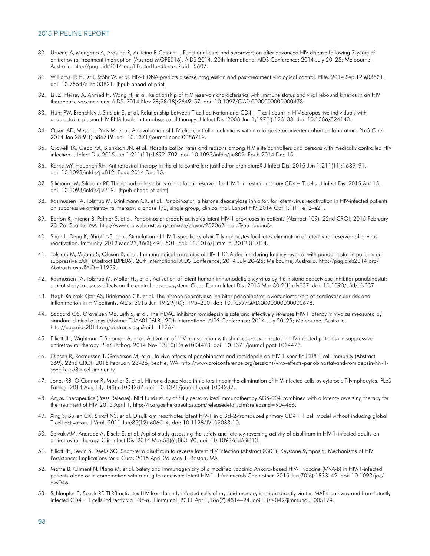- 30. Uruena A, Mangano A, Arduino R, Aulicino P, Cassetti I. Functional cure and seroreversion after advanced HIV disease following 7-years of antiretroviral treatment interruption (Abstract MOPE016). AIDS 2014. 20th International AIDS Conference; 2014 July 20–25; Melbourne, Australia.<http://pag.aids2014.org/EPosterHandler.axd?aid=5607>.
- 31. Williams JP, Hurst J, Stöhr W, et al. HIV-1 DNA predicts disease progression and post-treatment virological control. Elife. 2014 Sep 12:e03821. doi: 10.7554/eLife.03821. [Epub ahead of print]
- 32. Li JZ, Heisey A, Ahmed H, Wang H, et al. Relationship of HIV reservoir characteristics with immune status and viral rebound kinetics in an HIV therapeutic vaccine study. AIDS. 2014 Nov 28;28(18):2649–57. doi: 10.1097/QAD.0000000000000478.
- 33. Hunt PW, Brenchley J, Sinclair E, et al. Relationship between T cell activation and CD4+ T cell count in HIV-seropositive individuals with undetectable plasma HIV RNA levels in the absence of therapy. J Infect Dis. 2008 Jan 1;197(1):126–33. doi: 10.1086/524143.
- 34. Olson AD, Meyer L, Prins M, et al. An evaluation of HIV elite controller definitions within a large seroconverter cohort collaboration. PLoS One. 2014 Jan 28;9(1):e86719. doi: 10.1371/journal.pone.0086719.
- 35. Crowell TA, Gebo KA, Blankson JN, et al. Hospitalization rates and reasons among HIV elite controllers and persons with medically controlled HIV infection. J Infect Dis. 2015 Jun 1;211(11):1692–702. doi: 10.1093/infdis/jiu809. Epub 2014 Dec 15.
- 36. Karris MY, Haubrich RH. Antiretroviral therapy in the elite controller: justified or premature? J Infect Dis. 2015 Jun 1;211(11):1689–91. doi: 10.1093/infdis/jiu812. Epub 2014 Dec 15.
- 37. Siliciano JM, Siliciano RF. The remarkable stability of the latent reservoir for HIV-1 in resting memory CD4+ T cells. J Infect Dis. 2015 Apr 15. doi: 10.1093/infdis/jiv219. [Epub ahead of print]
- 38. Rasmussen TA, Tolstrup M, Brinkmann CR, et al. Panobinostat, a histone deacetylase inhibitor, for latent-virus reactivation in HIV-infected patients on suppressive antiretroviral therapy: a phase 1/2, single group, clinical trial. Lancet HIV. 2014 Oct 1;1(1): e13–e21.
- 39. Barton K, Hiener B, Palmer S, et al. Panobinostat broadly activates latent HIV-1 proviruses in patients (Abstract 109). 22nd CROI; 2015 February 23–26; Seattle, WA. [http://www.croiwebcasts.org/console/player/25706?mediaType=audio&.](http://www.croiwebcasts.org/console/player/25706?mediaType=audio&)
- 40. Shan L, Deng K, Shroff NS, et al. Stimulation of HIV-1-specific cytolytic T lymphocytes facilitates elimination of latent viral reservoir after virus reactivation. Immunity. 2012 Mar 23;36(3):491–501. doi: 10.1016/j.immuni.2012.01.014.
- 41. Tolstrup M, Vigano S, Olesen R, et al. Immunological correlates of HIV-1 DNA decline during latency reversal with panobinostat in patients on suppressive cART (Abstract LBPE06). 20th International AIDS Conference; 2014 July 20–25; Melbourne, Australia. [http://pag.aids2014.org/](http://pag.aids2014.org/Abstracts.aspx?AID=11259) [Abstracts.aspx?AID=11259.](http://pag.aids2014.org/Abstracts.aspx?AID=11259)
- 42. Rasmussen TA, Tolstrup M, Møller HJ, et al. Activation of latent human immunodeficiency virus by the histone deacetylase inhibitor panobinostat: a pilot study to assess effects on the central nervous system. Open Forum Infect Dis. 2015 Mar 30;2(1):ofv037. doi: 10.1093/ofid/ofv037.
- 43. Høgh Kølbæk Kjær AS, Brinkmann CR, et al. The histone deacetylase inhibitor panobinostat lowers biomarkers of cardiovascular risk and inflammation in HIV patients. AIDS. 2015 Jun 19;29(10):1195–200. doi: 10.1097/QAD.0000000000000678.
- 44. Søgaard OS, Graversen ME, Leth S, et al. The HDAC inhibitor romidepsin is safe and effectively reverses HIV-1 latency in vivo as measured by standard clinical assays (Abstract TUAA0106LB). 20th International AIDS Conference; 2014 July 20–25; Melbourne, Australia. <http://pag.aids2014.org/abstracts.aspx?aid=11267>.
- 45. Elliott JH, Wightman F, Solomon A, et al. Activation of HIV transcription with short-course vorinostat in HIV-infected patients on suppressive antiretroviral therapy. PLoS Pathog. 2014 Nov 13;10(10):e1004473. doi: 10.1371/journal.ppat.1004473.
- 46. Olesen R, Rasmussen T, Graversen M, et al. In vivo effects of panobinostat and romidepsin on HIV-1-specific CD8 T cell immunity (Abstract 369). 22nd CROI; 2015 February 23–26; Seattle, WA. [http://www.croiconference.org/sessions/vivo-effects-panobinostat-and-romidepsin-hiv-1](http://www.croiconference.org/sessions/vivo-effects-panobinostat-and-romidepsin-hiv-1-specific-cd8-t-cell-immunity) [specific-cd8-t-cell-immunity.](http://www.croiconference.org/sessions/vivo-effects-panobinostat-and-romidepsin-hiv-1-specific-cd8-t-cell-immunity)
- 47. Jones RB, O'Connor R, Mueller S, et al. Histone deacetylase inhibitors impair the elimination of HIV-infected cells by cytotoxic T-lymphocytes. PLoS Pathog. 2014 Aug 14;10(8):e1004287. doi: 10.1371/journal.ppat.1004287.
- 48. Argos Therapeutics (Press Release). NIH funds study of fully personalized immunotherapy AGS-004 combined with a latency reversing therapy for the treatment of HIV. 2015 April 1. <http://ir.argostherapeutics.com/releasedetail.cfm?releaseid=904466>.
- 49. Xing S, Bullen CK, Shroff NS, et al. Disulfiram reactivates latent HIV-1 in a Bcl-2-transduced primary CD4+ T cell model without inducing global T cell activation. J Virol. 2011 Jun;85(12):6060–4. doi: 10.1128/JVI.02033-10.
- 50. Spivak AM, Andrade A, Eisele E, et al. A pilot study assessing the safety and latency-reversing activity of disulfiram in HIV-1-infected adults on antiretroviral therapy. Clin Infect Dis. 2014 Mar;58(6):883–90. doi: 10.1093/cid/cit813.
- 51. Elliott JH, Lewin S, Deeks SG. Short-term disulfiram to reverse latent HIV infection (Abstract 0301). Keystone Symposia: Mechanisms of HIV Persistence: Implications for a Cure; 2015 April 26–May 1; Boston, MA.
- 52. Mothe B, Climent N, Plana M, et al. Safety and immunogenicity of a modified vaccinia Ankara-based HIV-1 vaccine (MVA-B) in HIV-1-infected patients alone or in combination with a drug to reactivate latent HIV-1. J Antimicrob Chemother. 2015 Jun;70(6):1833-42. doi: 10.1093/jac/ dkv046.
- 53. Schlaepfer E, Speck RF. TLR8 activates HIV from latently infected cells of myeloid-monocytic origin directly via the MAPK pathway and from latently infected CD4+ T cells indirectly via TNF-α. J Immunol. 2011 Apr 1;186(7):4314–24. doi: 10.4049/jimmunol.1003174.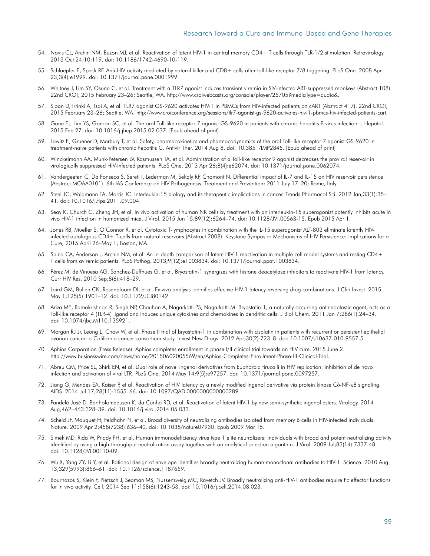- 54. Novis CL, Archin NM, Buzon MJ, et al. Reactivation of latent HIV-1 in central memory CD4+ T cells through TLR-1/2 stimulation. Retrovirology. 2013 Oct 24;10:119. doi: 10.1186/1742-4690-10-119.
- 55. Schlaepfer E, Speck RF. Anti-HIV activity mediated by natural killer and CD8+ cells after toll-like receptor 7/8 triggering. PLoS One. 2008 Apr 23;3(4):e1999. doi: 10.1371/journal.pone.0001999.
- 56. Whitney J, Lim SY, Osuna C, et al. Treatment with a TLR7 agonist induces transient viremia in SIV-infected ART-suppressed monkeys (Abstract 108). 22nd CROI; 2015 February 23–26; Seattle, WA. <http://www.croiwebcasts.org/console/player/25705?mediaType=audio&>.
- 57. Sloan D, Irrinki A, Tsai A, et al. TLR7 agonist GS-9620 activates HIV-1 in PBMCs from HIV-infected patients on cART (Abstract 417). 22nd CROI; 2015 February 23–26; Seattle, WA. [http://www.croiconference.org/sessions/tlr7-agonist-gs-9620-activates-hiv-1-pbmcs-hiv-infected-patients-cart.](http://www.croiconference.org/sessions/tlr7-agonist-gs-9620-activates-hiv-1-pbmcs-hiv-infected-patients-cart)
- 58. Gane EJ, Lim YS, Gordon SC, et al. The oral Toll-like receptor-7 agonist GS-9620 in patients with chronic hepatitis B virus infection. J Hepatol. 2015 Feb 27. doi: 10.1016/j.jhep.2015.02.037. [Epub ahead of print]
- 59. Lawitz E, Gruener D, Marbury T, et al. Safety, pharmacokinetics and pharmacodynamics of the oral Toll-like receptor 7 agonist GS-9620 in treatment-naive patients with chronic hepatitis C. Antivir Ther. 2014 Aug 8. doi: 10.3851/IMP2845. [Epub ahead of print]
- 60. Winckelmann AA, Munk-Petersen LV, Rasmussen TA, et al. Administration of a Toll-like receptor 9 agonist decreases the proviral reservoir in virologically suppressed HIV-infected patients. PLoS One. 2013 Apr 26;8(4):e62074. doi: 10.1371/journal.pone.0062074.
- 61. Vandergeeten C, Da Fonseca S, Sereti I, Lederman M, Sekaly RP, Chomont N. Differential impact of IL-7 and IL-15 on HIV reservoir persistence (Abstract MOAA0101). 6th IAS Conference on HIV Pathogenesis, Treatment and Prevention; 2011 July 17–20; Rome, Italy.
- 62. Steel JC, Waldmann TA, Morris JC. Interleukin-15 biology and its therapeutic implications in cancer. Trends Pharmacol Sci. 2012 Jan;33(1):35– 41. doi: 10.1016/j.tips.2011.09.004.
- 63. Seay K, Church C, Zheng JH, et al. In vivo activation of human NK cells by treatment with an interleukin-15 superagonist potently inhibits acute in vivo HIV-1 infection in humanized mice. J Virol. 2015 Jun 15;89(12):6264–74. doi: 10.1128/JVI.00563-15. Epub 2015 Apr 1.
- 64. Jones RB, Mueller S, O'Connor R, et al. Cytotoxic T-lymphocytes in combination with the IL-15 superagonist ALT-803 eliminate latently HIVinfected autologous CD4+ T-cells from natural reservoirs (Abstract 2008). Keystone Symposia: Mechanisms of HIV Persistence: Implications for a Cure; 2015 April 26–May 1; Boston, MA.
- 65. Spina CA, Anderson J, Archin NM, et al. An in-depth comparison of latent HIV-1 reactivation in multiple cell model systems and resting CD4+ T cells from aviremic patients. PLoS Pathog. 2013;9(12):e1003834. doi: 10.1371/journal.ppat.1003834.
- 66. Pérez M, de Vinuesa AG, Sanchez-Duffhues G, et al. Bryostatin-1 synergizes with histone deacetylase inhibitors to reactivate HIV-1 from latency. Curr HIV Res. 2010 Sep;8(6):418–29.
- 67. Laird GM, Bullen CK, Rosenbloom DI, et al. Ex vivo analysis identifies effective HIV-1 latency-reversing drug combinations. J Clin Invest. 2015 May 1;125(5):1901–12. doi: 10.1172/JCI80142.
- 68. Ariza ME, Ramakrishnan R, Singh NP, Chauhan A, Nagarkatti PS, Nagarkatti M. Bryostatin-1, a naturally occurring antineoplastic agent, acts as a Toll-like receptor 4 (TLR-4) ligand and induces unique cytokines and chemokines in dendritic cells. J Biol Chem. 2011 Jan 7;286(1):24–34. doi: 10.1074/jbc.M110.135921.
- 69. Morgan RJ Jr, Leong L, Chow W, et al. Phase II trial of bryostatin-1 in combination with cisplatin in patients with recurrent or persistent epithelial ovarian cancer: a California cancer consortium study. Invest New Drugs. 2012 Apr;30(2):723–8. doi: 10.1007/s10637-010-9557-5.
- 70. Aphios Corporation (Press Release). Aphios completes enrollment in phase I/II clinical trial towards an HIV cure. 2015 June 2. <http://www.businesswire.com/news/home/20150602005569/en/Aphios-Completes-Enrollment-Phase-III-Clinical-Trial>.
- 71. Abreu CM, Price SL, Shirk EN, et al. Dual role of novel ingenol derivatives from Euphorbia tirucalli in HIV replication: inhibition of de novo infection and activation of viral LTR. PLoS One. 2014 May 14;9(5):e97257. doi: 10.1371/journal.pone.0097257.
- 72. Jiang G, Mendes EA, Kaiser P, et al. Reactivation of HIV latency by a newly modified Ingenol derivative via protein kinase Cδ-NF-κB signaling. AIDS. 2014 Jul 17;28(11):1555–66. doi: 10.1097/QAD.0000000000000289.
- 73. Pandeló José D, Bartholomeeusen K, da Cunha RD, et al. Reactivation of latent HIV-1 by new semi-synthetic ingenol esters. Virology. 2014 Aug;462–463:328–39. doi: 10.1016/j.virol.2014.05.033.
- 74. Scheid JF, Mouquet H, Feldhahn N, et al. Broad diversity of neutralizing antibodies isolated from memory B cells in HIV-infected individuals. Nature. 2009 Apr 2;458(7238):636–40. doi: 10.1038/nature07930. Epub 2009 Mar 15.
- 75. Simek MD, Rida W, Priddy FH, et al. Human immunodeficiency virus type 1 elite neutralizers: individuals with broad and potent neutralizing activity identified by using a high-throughput neutralization assay together with an analytical selection algorithm. J Virol. 2009 Jul;83(14):7337-48. doi: 10.1128/JVI.00110-09.
- 76. Wu X, Yang ZY, Li Y, et al. Rational design of envelope identifies broadly neutralizing human monoclonal antibodies to HIV-1. Science. 2010 Aug 13;329(5993):856–61. doi: 10.1126/science.1187659.
- 77. Bournazos S, Klein F, Pietzsch J, Seaman MS, Nussenzweig MC, Ravetch JV. Broadly neutralizing anti-HIV-1 antibodies require Fc effector functions for in vivo activity. Cell. 2014 Sep 11;158(6):1243-53. doi: 10.1016/j.cell.2014.08.023.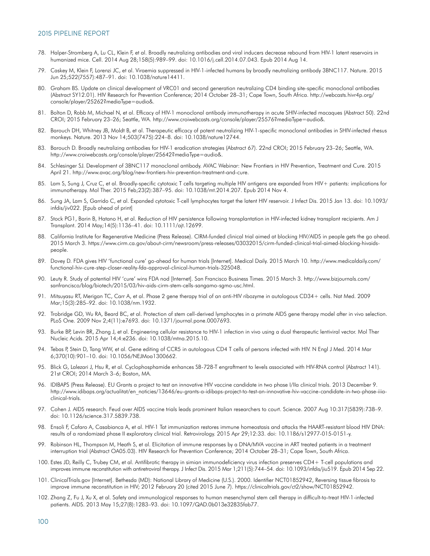- 78. Halper-Stromberg A, Lu CL, Klein F, et al. Broadly neutralizing antibodies and viral inducers decrease rebound from HIV-1 latent reservoirs in humanized mice. Cell. 2014 Aug 28;158(5):989–99. doi: 10.1016/j.cell.2014.07.043. Epub 2014 Aug 14.
- 79. Caskey M, Klein F, Lorenzi JC, et al. Viraemia suppressed in HIV-1-infected humans by broadly neutralizing antibody 3BNC117. Nature. 2015 Jun 25;522(7557):487–91. doi: 10.1038/nature14411.
- 80. Graham BS. Update on clinical development of VRC01 and second generation neutralizing CD4 binding site-specific monoclonal antibodies (Abstract SY12.01). HIV Research for Prevention Conference; 2014 October 28–31; Cape Town, South Africa. [http://webcasts.hivr4p.org/](http://webcasts.hivr4p.org/console/player/25262?mediaType=audio&) [console/player/25262?mediaType=audio&.](http://webcasts.hivr4p.org/console/player/25262?mediaType=audio&)
- 81. Bolton D, Robb M, Michael N, et al. Efficacy of HIV-1 monoclonal antibody immunotherapy in acute SHIV-infected macaques (Abstract 50). 22nd CROI; 2015 February 23–26; Seattle, WA. <http://www.croiwebcasts.org/console/player/25576?mediaType=audio&>.
- 82. Barouch DH, Whitney JB, Moldt B, et al. Therapeutic efficacy of potent neutralizing HIV-1-specific monoclonal antibodies in SHIV-infected rhesus monkeys. Nature. 2013 Nov 14;503(7475):224–8. doi: 10.1038/nature12744.
- 83. Barouch D. Broadly neutralizing antibodies for HIV-1 eradication strategies (Abstract 67). 22nd CROI; 2015 February 23–26; Seattle, WA. <http://www.croiwebcasts.org/console/player/25642?mediaType=audio&>.
- 84. Schlesinger SJ. Development of 3BNC117 monoclonal antibody. AVAC Webinar: New Frontiers in HIV Prevention, Treatment and Cure. 2015 April 21.<http://www.avac.org/blog/new-frontiers-hiv-prevention-treatment-and-cure>.
- 85. Lam S, Sung J, Cruz C, et al. Broadly-specific cytotoxic T cells targeting multiple HIV antigens are expanded from HIV+ patients: implications for immunotherapy. Mol Ther. 2015 Feb;23(2):387–95. doi: 10.1038/mt.2014.207. Epub 2014 Nov 4.
- 86. Sung JA, Lam S, Garrido C, et al. Expanded cytotoxic T-cell lymphocytes target the latent HIV reservoir. J Infect Dis. 2015 Jan 13. doi: 10.1093/ infdis/jiv022. [Epub ahead of print]
- 87. Stock PG1, Barin B, Hatano H, et al. Reduction of HIV persistence following transplantation in HIV-infected kidney transplant recipients. Am J Transplant. 2014 May;14(5):1136–41. doi: 10.1111/ajt.12699.
- 88. California Institute for Regenerative Medicine (Press Release). CIRM-funded clinical trial aimed at blocking HIV/AIDS in people gets the go ahead. 2015 March 3. [https://www.cirm.ca.gov/about-cirm/newsroom/press-releases/03032015/cirm-funded-clinical-trial-aimed-blocking-hivaids](https://www.cirm.ca.gov/about-cirm/newsroom/press-releases/03032015/cirm-funded-clinical-trial-aimed-blocking-hivaids-people)[people.](https://www.cirm.ca.gov/about-cirm/newsroom/press-releases/03032015/cirm-funded-clinical-trial-aimed-blocking-hivaids-people)
- 89. Dovey D. FDA gives HIV 'functional cure' go-ahead for human trials [Internet]. Medical Daily. 2015 March 10. [http://www.medicaldaily.com/](http://www.medicaldaily.com/functional-hiv-cure-step-closer-reality-fda-approval-clinical-human-trials-325048) [functional-hiv-cure-step-closer-reality-fda-approval-clinical-human-trials-325048](http://www.medicaldaily.com/functional-hiv-cure-step-closer-reality-fda-approval-clinical-human-trials-325048).
- 90. Leuty R. Study of potential HIV 'cure' wins FDA nod [Internet]. San Francisco Business Times. 2015 March 3. [http://www.bizjournals.com/](http://www.bizjournals.com/sanfrancisco/blog/biotech/2015/03/hiv-aids-cirm-stem-cells-sangamo-sgmo-usc.html) [sanfrancisco/blog/biotech/2015/03/hiv-aids-cirm-stem-cells-sangamo-sgmo-usc.html.](http://www.bizjournals.com/sanfrancisco/blog/biotech/2015/03/hiv-aids-cirm-stem-cells-sangamo-sgmo-usc.html)
- 91. Mitsuyasu RT, Merigan TC, Carr A, et al. Phase 2 gene therapy trial of an anti-HIV ribozyme in autologous CD34+ cells. Nat Med. 2009 Mar;15(3):285–92. doi: 10.1038/nm.1932.
- 92. Trobridge GD, Wu RA, Beard BC, et al. Protection of stem cell-derived lymphocytes in a primate AIDS gene therapy model after in vivo selection. PLoS One. 2009 Nov 2;4(11):e7693. doi: 10.1371/journal.pone.0007693.
- 93. Burke BP, Levin BR, Zhang J, et al. Engineering cellular resistance to HIV-1 infection in vivo using a dual therapeutic lentiviral vector. Mol Ther Nucleic Acids. 2015 Apr 14;4:e236. doi: 10.1038/mtna.2015.10.
- 94. Tebas P, Stein D, Tang WW, et al. Gene editing of CCR5 in autologous CD4 T cells of persons infected with HIV. N Engl J Med. 2014 Mar 6;370(10):901–10. doi: 10.1056/NEJMoa1300662.
- 95. Blick G, Lalezari J, Hsu R, et al. Cyclophosphamide enhances SB-728-T engraftment to levels associated with HIV-RNA control (Abstract 141). 21st CROI; 2014 March 3–6; Boston, MA.
- 96. IDIBAPS (Press Release). EU Grants a project to test an innovative HIV vaccine candidate in two phase I/IIa clinical trials. 2013 December 9. [http://www.idibaps.org/actualitat/en\\_noticies/13646/eu-grants-a-idibaps-project-to-test-an-innovative-hiv-vaccine-candidate-in-two-phase-iiia](http://www.idibaps.org/actualitat/en_noticies/13646/eu-grants-a-idibaps-project-to-test-an-innovative-hiv-vaccine-candidate-in-two-phase-iiia-clinical-trials)[clinical-trials](http://www.idibaps.org/actualitat/en_noticies/13646/eu-grants-a-idibaps-project-to-test-an-innovative-hiv-vaccine-candidate-in-two-phase-iiia-clinical-trials).
- 97. Cohen J. AIDS research. Feud over AIDS vaccine trials leads prominent Italian researchers to court. Science. 2007 Aug 10:317(5839):738–9. doi: 10.1126/science.317.5839.738.
- 98. Ensoli F, Cafaro A, Casabianca A, et al. HIV-1 Tat immunization restores immune homeostasis and attacks the HAART-resistant blood HIV DNA: results of a randomized phase II exploratory clinical trial. Retrovirology. 2015 Apr 29;12:33. doi: 10.1186/s12977-015-0151-y.
- 99. Robinson HL, Thompson M, Heath S, et al. Elicitation of immune responses by a DNA/MVA vaccine in ART treated patients in a treatment interruption trial (Abstract OA05.03). HIV Research for Prevention Conference; 2014 October 28–31; Cape Town, South Africa.
- 100. Estes JD, Reilly C, Trubey CM, et al. Antifibrotic therapy in simian immunodeficiency virus infection preserves CD4+ T-cell populations and improves immune reconstitution with antiretroviral therapy. J Infect Dis. 2015 Mar 1;211(5):744–54. doi: 10.1093/infdis/jiu519. Epub 2014 Sep 22.
- 101. ClinicalTrials.gov [Internet]. Bethesda (MD): National Library of Medicine (U.S.). 2000. Identifier NCT01852942, Reversing tissue fibrosis to improve immune reconstitution in HIV; 2012 February 20 (cited 2015 June 7). [https://clinicaltrials.gov/ct2/show/NCT01852942.](https://clinicaltrials.gov/ct2/show/NCT01852942)
- 102. Zhang Z, Fu J, Xu X, et al. Safety and immunological responses to human mesenchymal stem cell therapy in difficult-to-treat HIV-1-infected patients. AIDS. 2013 May 15;27(8):1283–93. doi: 10.1097/QAD.0b013e32835fab77.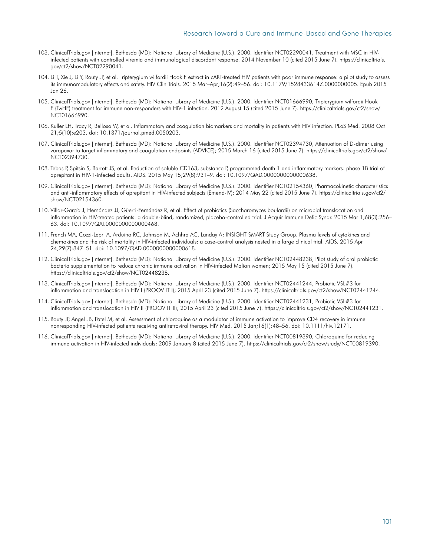#### Research Toward a Cure and Immune-Based and Gene Therapies

- 103. ClinicalTrials.gov [Internet]. Bethesda (MD): National Library of Medicine (U.S.). 2000. Identifier NCT02290041, Treatment with MSC in HIVinfected patients with controlled viremia and immunological discordant response. 2014 November 10 (cited 2015 June 7), [https://clinicaltrials.](https://clinicaltrials.gov/ct2/show/NCT02290041) [gov/ct2/show/NCT02290041.](https://clinicaltrials.gov/ct2/show/NCT02290041)
- 104. Li T, Xie J, Li Y, Routy JP, et al. Tripterygium wilfordii Hook F extract in cART-treated HIV patients with poor immune response: a pilot study to assess its immunomodulatory effects and safety. HIV Clin Trials. 2015 Mar–Apr;16(2):49–56. doi: 10.1179/1528433614Z.0000000005. Epub 2015 Jan 26.
- 105. ClinicalTrials.gov [Internet]. Bethesda (MD): National Library of Medicine (U.S.). 2000. Identifier NCT01666990, Tripterygium wilfordii Hook F (TwHF) treatment for immune non-responders with HIV-1 infection. 2012 August 15 (cited 2015 June 7). [https://clinicaltrials.gov/ct2/show/](https://clinicaltrials.gov/ct2/show/NCT01666990) [NCT01666990.](https://clinicaltrials.gov/ct2/show/NCT01666990)
- 106. Kuller LH, Tracy R, Belloso W, et al. Inflammatory and coagulation biomarkers and mortality in patients with HIV infection. PLoS Med. 2008 Oct 21;5(10):e203. doi: 10.1371/journal.pmed.0050203.
- 107. ClinicalTrials.gov [Internet]. Bethesda (MD): National Library of Medicine (U.S.). 2000. Identifier NCT02394730, Attenuation of D-dimer using vorapaxar to target inflammatory and coagulation endpoints (ADVICE); 2015 March 16 (cited 2015 June 7). [https://clinicaltrials.gov/ct2/show/](https://clinicaltrials.gov/ct2/show/NCT02394730) [NCT02394730.](https://clinicaltrials.gov/ct2/show/NCT02394730)
- 108. Tebas P, Spitsin S, Barrett JS, et al. Reduction of soluble CD163, substance P, programmed death 1 and inflammatory markers: phase 1B trial of aprepitant in HIV-1-infected adults. AIDS. 2015 May 15;29(8):931–9. doi: 10.1097/QAD.0000000000000638.
- 109. ClinicalTrials.gov [Internet]. Bethesda (MD): National Library of Medicine (U.S.). 2000. Identifier NCT02154360, Pharmacokinetic characteristics and anti-inflammatory effects of aprepitant in HIV-infected subjects (Emend-IV); 2014 May 22 (cited 2015 June 7). [https://clinicaltrials.gov/ct2/](https://clinicaltrials.gov/ct2/show/NCT02154360) [show/NCT02154360.](https://clinicaltrials.gov/ct2/show/NCT02154360)
- 110. Villar-García J, Hernández JJ, Güerri-Fernández R, et al. Effect of probiotics (Saccharomyces boulardii) on microbial translocation and inflammation in HIV-treated patients: a double-blind, randomized, placebo-controlled trial. J Acquir Immune Defic Syndr. 2015 Mar 1;68(3):256– 63. doi: 10.1097/QAI.0000000000000468.
- 111. French MA, Cozzi-Lepri A, Arduino RC, Johnson M, Achhra AC, Landay A; INSIGHT SMART Study Group. Plasma levels of cytokines and chemokines and the risk of mortality in HIV-infected individuals: a case-control analysis nested in a large clinical trial. AIDS. 2015 Apr 24;29(7):847–51. doi: 10.1097/QAD.0000000000000618.
- 112. ClinicalTrials.gov [Internet]. Bethesda (MD): National Library of Medicine (U.S.). 2000. Identifier NCT02448238, Pilot study of oral probiotic bacteria supplementation to reduce chronic immune activation in HIV-infected Malian women; 2015 May 15 (cited 2015 June 7). [https://clinicaltrials.gov/ct2/show/NCT02448238.](https://clinicaltrials.gov/ct2/show/NCT02448238)
- 113. ClinicalTrials.gov [Internet]. Bethesda (MD): National Library of Medicine (U.S.). 2000. Identifier NCT02441244, Probiotic VSL#3 for inflammation and translocation in HIV I (PROOV IT I); 2015 April 23 (cited 2015 June 7). [https://clinicaltrials.gov/ct2/show/NCT02441244.](https://clinicaltrials.gov/ct2/show/NCT02441244)
- 114. ClinicalTrials.gov [Internet]. Bethesda (MD): National Library of Medicine (U.S.). 2000. Identifier NCT02441231, Probiotic VSL#3 for inflammation and translocation in HIV II (PROOV IT II); 2015 April 23 (cited 2015 June 7). [https://clinicaltrials.gov/ct2/show/NCT02441231.](https://clinicaltrials.gov/ct2/show/NCT02441231)
- 115. Routy JP, Angel JB, Patel M, et al. Assessment of chloroquine as a modulator of immune activation to improve CD4 recovery in immune nonresponding HIV-infected patients receiving antiretroviral therapy. HIV Med. 2015 Jan;16(1):48–56. doi: 10.1111/hiv.12171.
- 116. ClinicalTrials.gov [Internet]. Bethesda (MD): National Library of Medicine (U.S.). 2000. Identifier NCT00819390, Chloroquine for reducing immune activation in HIV-infected individuals; 2009 January 8 (cited 2015 June 7). [https://clinicaltrials.gov/ct2/show/study/NCT00819390.](https://clinicaltrials.gov/ct2/show/study/NCT00819390)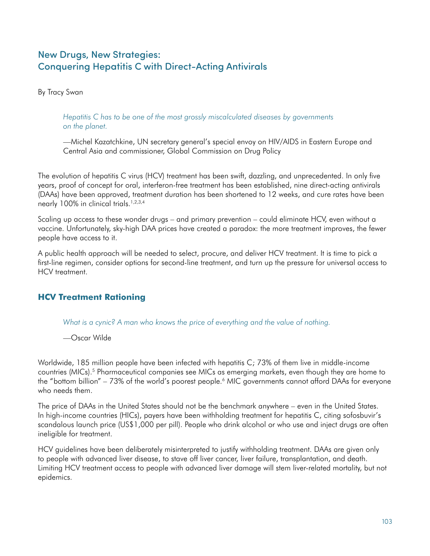# New Drugs, New Strategies: Conquering Hepatitis C with Direct-Acting Antivirals

By Tracy Swan

*Hepatitis C has to be one of the most grossly miscalculated diseases by governments on the planet.* 

—Michel Kazatchkine, UN secretary general's special envoy on HIV/AIDS in Eastern Europe and Central Asia and commissioner, Global Commission on Drug Policy

The evolution of hepatitis C virus (HCV) treatment has been swift, dazzling, and unprecedented. In only five years, proof of concept for oral, interferon-free treatment has been established, nine direct-acting antivirals (DAAs) have been approved, treatment duration has been shortened to 12 weeks, and cure rates have been nearly 100% in clinical trials.<sup>1,2,3,4</sup>

Scaling up access to these wonder drugs – and primary prevention – could eliminate HCV, even without a vaccine. Unfortunately, sky-high DAA prices have created a paradox: the more treatment improves, the fewer people have access to it.

A public health approach will be needed to select, procure, and deliver HCV treatment. It is time to pick a first-line regimen, consider options for second-line treatment, and turn up the pressure for universal access to HCV treatment.

## **HCV Treatment Rationing**

*What is a cynic? A man who knows the price of everything and the value of nothing.*

—Oscar Wilde

Worldwide, 185 million people have been infected with hepatitis C; 73% of them live in middle-income countries (MICs).5 Pharmaceutical companies see MICs as emerging markets, even though they are home to the "bottom billion" – 73% of the world's poorest people.6 MIC governments cannot afford DAAs for everyone who needs them.

The price of DAAs in the United States should not be the benchmark anywhere – even in the United States. In high-income countries (HICs), payers have been withholding treatment for hepatitis C, citing sofosbuvir's scandalous launch price (US\$1,000 per pill). People who drink alcohol or who use and inject drugs are often ineligible for treatment.

HCV guidelines have been deliberately misinterpreted to justify withholding treatment. DAAs are given only to people with advanced liver disease, to stave off liver cancer, liver failure, transplantation, and death. Limiting HCV treatment access to people with advanced liver damage will stem liver-related mortality, but not epidemics.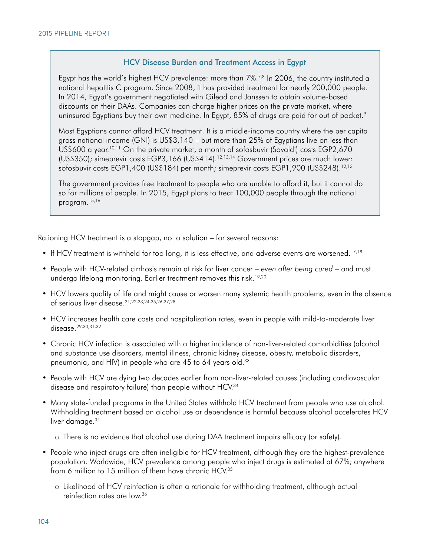#### HCV Disease Burden and Treatment Access in Egypt

Egypt has the world's highest HCV prevalence: more than  $7\%$ <sup>7,8</sup> In 2006, the country instituted a national hepatitis C program. Since 2008, it has provided treatment for nearly 200,000 people. In 2014, Egypt's government negotiated with Gilead and Janssen to obtain volume-based discounts on their DAAs. Companies can charge higher prices on the private market, where uninsured Egyptians buy their own medicine. In Egypt, 85% of drugs are paid for out of pocket.<sup>9</sup>

Most Egyptians cannot afford HCV treatment. It is a middle-income country where the per capita gross national income (GNI) is US\$3,140 – but more than 25% of Egyptians live on less than US\$600 a year.<sup>10,11</sup> On the private market, a month of sofosbuvir (Sovaldi) costs EGP2,670 (US\$350); simeprevir costs EGP3,166 (US\$414).<sup>12,13,14</sup> Government prices are much lower: sofosbuvir costs EGP1,400 (US\$184) per month; simeprevir costs EGP1,900 (US\$248).<sup>12,13</sup>

The government provides free treatment to people who are unable to afford it, but it cannot do so for millions of people. In 2015, Egypt plans to treat 100,000 people through the national program.15,16

Rationing HCV treatment is a stopgap, not a solution – for several reasons:

- If HCV treatment is withheld for too long, it is less effective, and adverse events are worsened.<sup>17,18</sup>
- People with HCV-related cirrhosis remain at risk for liver cancer *even after being cured* and must undergo lifelong monitoring. Earlier treatment removes this risk.<sup>19,20</sup>
- HCV lowers quality of life and might cause or worsen many systemic health problems, even in the absence of serious liver disease.21,22,23,24,25,26,27,28
- HCV increases health care costs and hospitalization rates, even in people with mild-to-moderate liver disease.29,30,31,32
- Chronic HCV infection is associated with a higher incidence of non-liver-related comorbidities (alcohol and substance use disorders, mental illness, chronic kidney disease, obesity, metabolic disorders, pneumonia, and HIV) in people who are 45 to 64 years old.<sup>33</sup>
- People with HCV are dying two decades earlier from non-liver-related causes (including cardiovascular disease and respiratory failure) than people without HCV.34
- Many state-funded programs in the United States withhold HCV treatment from people who use alcohol. Withholding treatment based on alcohol use or dependence is harmful because alcohol accelerates HCV liver damage.<sup>34</sup>
	- o There is no evidence that alcohol use during DAA treatment impairs efficacy (or safety).
- People who inject drugs are often ineligible for HCV treatment, although they are the highest-prevalence population. Worldwide, HCV prevalence among people who inject drugs is estimated at 67%; anywhere from 6 million to 15 million of them have chronic HCV.35
	- o Likelihood of HCV reinfection is often a rationale for withholding treatment, although actual reinfection rates are low.36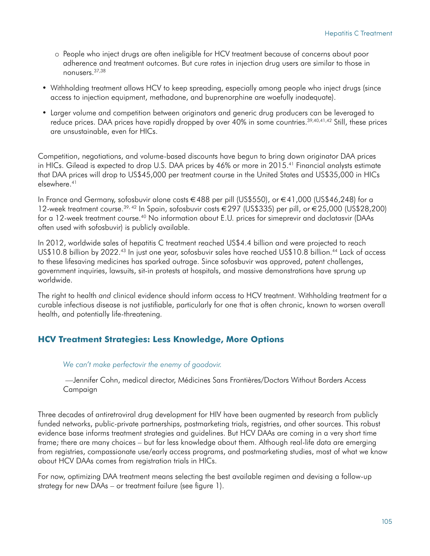- o People who inject drugs are often ineligible for HCV treatment because of concerns about poor adherence and treatment outcomes. But cure rates in injection drug users are similar to those in nonusers.37,38
- Withholding treatment allows HCV to keep spreading, especially among people who inject drugs (since access to injection equipment, methadone, and buprenorphine are woefully inadequate).
- Larger volume and competition between originators and generic drug producers can be leveraged to reduce prices. DAA prices have rapidly dropped by over 40% in some countries.<sup>39,40,41,42</sup> Still, these prices are unsustainable, even for HICs.

Competition, negotiations, and volume-based discounts have begun to bring down originator DAA prices in HICs. Gilead is expected to drop U.S. DAA prices by 46% or more in 2015.<sup>41</sup> Financial analysts estimate that DAA prices will drop to US\$45,000 per treatment course in the United States and US\$35,000 in HICs elsewhere.41

In France and Germany, sofosbuvir alone costs €488 per pill (US\$550), or €41,000 (US\$46,248) for a 12-week treatment course.<sup>39, 42</sup> In Spain, sofosbuvir costs €297 (US\$335) per pill, or €25,000 (US\$28,200) for a 12-week treatment course.<sup>40</sup> No information about E.U. prices for simeprevir and daclatasvir (DAAs often used with sofosbuvir) is publicly available.

In 2012, worldwide sales of hepatitis C treatment reached US\$4.4 billion and were projected to reach US\$10.8 billion by 2022.<sup>43</sup> In just one year, sofosbuvir sales have reached US\$10.8 billion.<sup>44</sup> Lack of access to these lifesaving medicines has sparked outrage. Since sofosbuvir was approved, patent challenges, government inquiries, lawsuits, sit-in protests at hospitals, and massive demonstrations have sprung up worldwide.

The right to health *and* clinical evidence should inform access to HCV treatment. Withholding treatment for a curable infectious disease is not justifiable, particularly for one that is often chronic, known to worsen overall health, and potentially life-threatening.

## **HCV Treatment Strategies: Less Knowledge, More Options**

### *We can't make perfectovir the enemy of goodovir.*

 —Jennifer Cohn, medical director, Médicines Sans Frontières/Doctors Without Borders Access Campaign

Three decades of antiretroviral drug development for HIV have been augmented by research from publicly funded networks, public-private partnerships, postmarketing trials, registries, and other sources. This robust evidence base informs treatment strategies and guidelines. But HCV DAAs are coming in a very short time frame; there are many choices – but far less knowledge about them. Although real-life data are emerging from registries, compassionate use/early access programs, and postmarketing studies, most of what we know about HCV DAAs comes from registration trials in HICs.

For now, optimizing DAA treatment means selecting the best available regimen and devising a follow-up strategy for new DAAs – or treatment failure (see figure 1).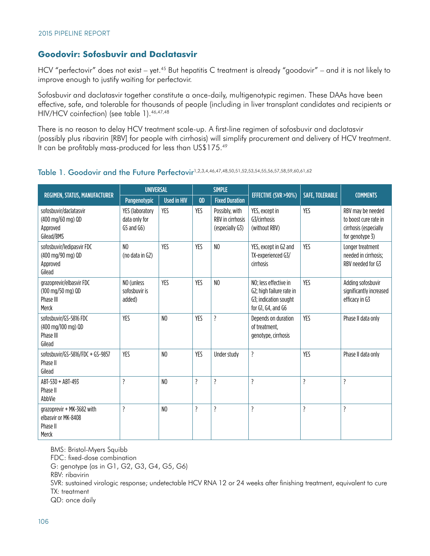## **Goodovir: Sofosbuvir and Daclatasvir**

HCV "perfectovir" does not exist – yet.<sup>45</sup> But hepatitis C treatment is already "goodovir" – and it is not likely to improve enough to justify waiting for perfectovir.

Sofosbuvir and daclatasvir together constitute a once-daily, multigenotypic regimen. These DAAs have been effective, safe, and tolerable for thousands of people (including in liver transplant candidates and recipients or HIV/HCV coinfection) (see table 1).<sup>46,47,48</sup>

There is no reason to delay HCV treatment scale-up. A first-line regimen of sofosbuvir and daclatasvir (possibly plus ribavirin [RBV] for people with cirrhosis) will simplify procurement and delivery of HCV treatment. It can be profitably mass-produced for less than US\$175.49

Table 1. Goodovir and the Future Perfectovir<sup>1,2,3,4,46,47,48,50,51,52,53,54,55,56,57,58,59,60,61,62</sup>

| REGIMEN, STATUS, MANUFACTURER                                          | <b>UNIVERSAL</b>                                      |                    | <b>SIMPLE</b>  |                                                       |                                                                                                  |                        | <b>COMMENTS</b>                                                                        |
|------------------------------------------------------------------------|-------------------------------------------------------|--------------------|----------------|-------------------------------------------------------|--------------------------------------------------------------------------------------------------|------------------------|----------------------------------------------------------------------------------------|
|                                                                        | Pangenotypic                                          | <b>Used in HIV</b> | QD             | <b>Fixed Duration</b>                                 | EFFECTIVE (SVR >90%)                                                                             | <b>SAFE, TOLERABLE</b> |                                                                                        |
| sofosbuvir/daclatasvir<br>(400 mg/60 mg) QD<br>Approved<br>Gilead/BMS  | <b>YES (laboratory</b><br>data only for<br>G5 and G6) | YES                | YES            | Possibly, with<br>RBV in cirrhosis<br>(especially G3) | YES, except in<br>G3/cirrhosis<br>(without RBV)                                                  | YES                    | RBV may be needed<br>to boost cure rate in<br>cirrhosis (especially<br>for genotype 3) |
| sofosbuvir/ledipasvir FDC<br>(400 mg/90 mg) QD<br>Approved<br>Gilead   | N <sub>0</sub><br>(no data in G2)                     | YES                | YES            | N <sub>0</sub>                                        | YES, except in G2 and<br>TX-experienced G3/<br>cirrhosis                                         | YES                    | Longer treatment<br>needed in cirrhosis;<br>RBV needed for G3                          |
| grazoprevir/elbasvir FDC<br>(100 mg/50 mg) QD<br>Phase III<br>Merck    | NO (unless<br>sofosbuvir is<br>added)                 | YES                | YES            | N <sub>0</sub>                                        | NO; less effective in<br>G2; high failure rate in<br>G3; indication sought<br>for G1, G4, and G6 | YES                    | Adding sofosbuvir<br>significantly increased<br>efficacy in G3                         |
| sofosbuvir/GS-5816 FDC<br>(400 mg/100 mg) QD<br>Phase III<br>Gilead    | YES                                                   | N <sub>0</sub>     | YES            | ?                                                     | Depends on duration<br>of treatment.<br>genotype, cirrhosis                                      | YES                    | Phase II data only                                                                     |
| sofosbuvir/GS-5816/FDC + GS-9857<br>Phase II<br>Gilead                 | YES                                                   | N <sub>0</sub>     | YES            | Under study                                           | ?                                                                                                | YES                    | Phase II data only                                                                     |
| ABT-530 + ABT-493<br>Phase II<br>AbbVie                                | ŗ                                                     | N <sub>0</sub>     | $\overline{?}$ | $\overline{?}$                                        | ŗ                                                                                                | $\overline{\cdot}$     | ?                                                                                      |
| grazoprevir + MK-3682 with<br>elbasvir or MK-8408<br>Phase II<br>Merck | ?                                                     | N <sub>0</sub>     | ?              | ?                                                     | $\overline{?}$                                                                                   | ?                      | ?                                                                                      |

BMS: Bristol-Myers Squibb FDC: fixed-dose combination G: genotype (as in G1, G2, G3, G4, G5, G6) RBV: ribavirin SVR: sustained virologic response; undetectable HCV RNA 12 or 24 weeks after finishing treatment, equivalent to cure TX: treatment QD: once daily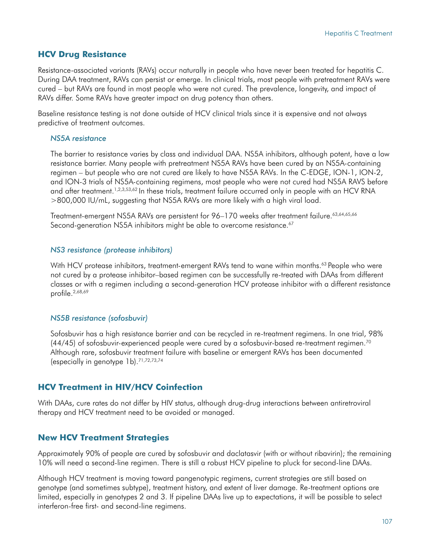## **HCV Drug Resistance**

Resistance-associated variants (RAVs) occur naturally in people who have never been treated for hepatitis C. During DAA treatment, RAVs can persist or emerge. In clinical trials, most people with pretreatment RAVs were cured – but RAVs are found in most people who were not cured. The prevalence, longevity, and impact of RAVs differ. Some RAVs have greater impact on drug potency than others.

Baseline resistance testing is not done outside of HCV clinical trials since it is expensive and not always predictive of treatment outcomes.

#### *NS5A resistance*

The barrier to resistance varies by class and individual DAA. NS5A inhibitors, although potent, have a low resistance barrier. Many people with pretreatment NS5A RAVs have been cured by an NS5A-containing regimen – but people who are not cured are likely to have NS5A RAVs. In the C-EDGE, ION-1, ION-2, and ION-3 trials of NS5A-containing regimens, most people who were not cured had NS5A RAVS before and after treatment.<sup>1,2,3,53,62</sup> In these trials, treatment failure occurred only in people with an HCV RNA >800,000 IU/mL, suggesting that NS5A RAVs are more likely with a high viral load.

Treatment-emergent NS5A RAVs are persistent for 96-170 weeks after treatment failure. 63,64,65,66 Second-generation NS5A inhibitors might be able to overcome resistance.<sup>67</sup>

#### *NS3 resistance (protease inhibitors)*

With HCV protease inhibitors, treatment-emergent RAVs tend to wane within months.<sup>63</sup> People who were not cured by a protease inhibitor–based regimen can be successfully re-treated with DAAs from different classes or with a regimen including a second-generation HCV protease inhibitor with a different resistance profile.2,68,69

### *NS5B resistance (sofosbuvir)*

Sofosbuvir has a high resistance barrier and can be recycled in re-treatment regimens. In one trial, 98%  $(44/45)$  of sofosbuvir-experienced people were cured by a sofosbuvir-based re-treatment regimen.<sup>70</sup> Although rare, sofosbuvir treatment failure with baseline or emergent RAVs has been documented (especially in genotype  $1b$ ).<sup>71,72,73,74</sup>

## **HCV Treatment in HIV/HCV Coinfection**

With DAAs, cure rates do not differ by HIV status, although drug-drug interactions between antiretroviral therapy and HCV treatment need to be avoided or managed.

## **New HCV Treatment Strategies**

Approximately 90% of people are cured by sofosbuvir and daclatasvir (with or without ribavirin); the remaining 10% will need a second-line regimen. There is still a robust HCV pipeline to pluck for second-line DAAs.

Although HCV treatment is moving toward pangenotypic regimens, current strategies are still based on genotype (and sometimes subtype), treatment history, and extent of liver damage. Re-treatment options are limited, especially in genotypes 2 and 3. If pipeline DAAs live up to expectations, it will be possible to select interferon-free first- and second-line regimens.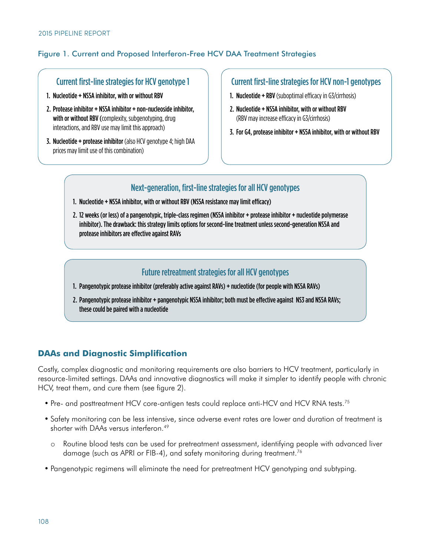## Figure 1. Current and Proposed Interferon-Free HCV DAA Treatment Strategies

### Current first-line strategies for HCV genotype 1

- 1. Nucleotide + NS5A inhibitor, with or without RBV
- 2. Protease inhibitor + NS5A inhibitor + non-nucleoside inhibitor, with or without RBV (complexity, subgenotyping, drug interactions, and RBV use may limit this approach)
- 3. Nucleotide + protease inhibitor (also HCV genotype 4; high DAA prices may limit use of this combination)

## Current first-line strategies for HCV non-1 genotypes

- 1. Nucleotide + RBV (suboptimal efficacy in G3/cirrhosis)
- 2. Nucleotide + NS5A inhibitor, with or without RBV (RBV may increase efficacy in G3/cirrhosis)
- 3. For G4, protease inhibitor + NS5A inhibitor, with or without RBV

## Next-generation, first-line strategies for all HCV genotypes

- 1. Nucleotide + NS5A inhibitor, with or without RBV (NS5A resistance may limit efficacy)
- 2. 12 weeks (or less) of a pangenotypic, triple-class regimen (NS5A inhibitor + protease inhibitor + nucleotide polymerase inhibitor). The drawback: this strategy limits options for second-line treatment unless second-generation NS5A and protease inhibitors are effective against RAVs

## Future retreatment strategies for all HCV genotypes

- 1. Pangenotypic protease inhibitor (preferably active against RAVs) + nucleotide (for people with NS5A RAVs)
- 2. Pangenotypic protease inhibitor + pangenotypic NS5A inhibitor; both must be effective against NS3 and NS5A RAVs; these could be paired with a nucleotide

## **DAAs and Diagnostic Simplification**

Costly, complex diagnostic and monitoring requirements are also barriers to HCV treatment, particularly in resource-limited settings. DAAs and innovative diagnostics will make it simpler to identify people with chronic HCV, treat them, and cure them (see figure 2).

- Pre- and posttreatment HCV core-antigen tests could replace anti-HCV and HCV RNA tests.<sup>75</sup>
- Safety monitoring can be less intensive, since adverse event rates are lower and duration of treatment is shorter with DAAs versus interferon.<sup>49</sup>
	- o Routine blood tests can be used for pretreatment assessment, identifying people with advanced liver damage (such as APRI or FIB-4), and safety monitoring during treatment.<sup>76</sup>
- Pangenotypic regimens will eliminate the need for pretreatment HCV genotyping and subtyping.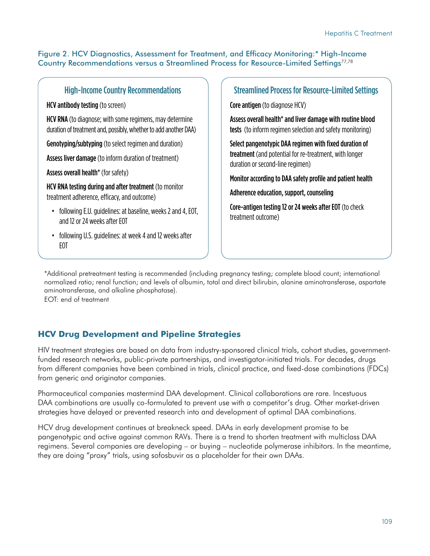### Figure 2. HCV Diagnostics, Assessment for Treatment, and Efficacy Monitoring:\* High-Income Country Recommendations versus a Streamlined Process for Resource-Limited Settings77,78

### High-Income Country Recommendations

HCV antibody testing (to screen)

HCV RNA (to diagnose; with some regimens, may determine duration of treatment and, possibly, whether to add another DAA)

Genotyping/subtyping (to select regimen and duration)

Assess liver damage (to inform duration of treatment)

Assess overall health\* (for safety)

HCV RNA testing during and after treatment (to monitor treatment adherence, efficacy, and outcome)

- following E.U. guidelines: at baseline, weeks 2 and 4, EOT, and 12 or 24 weeks after EOT
- following U.S. guidelines: at week 4 and 12 weeks after EOT

### Streamlined Process for Resource-Limited Settings

Core antigen (to diagnose HCV)

Assess overall health\* and liver damage with routine blood tests (to inform regimen selection and safety monitoring)

Select pangenotypic DAA regimen with fixed duration of treatment (and potential for re-treatment, with longer duration or second-line regimen)

Monitor according to DAA safety profile and patient health

Adherence education, support, counseling

Core-antigen testing 12 or 24 weeks after EOT (to check treatment outcome)

\*Additional pretreatment testing is recommended (including pregnancy testing; complete blood count; international normalized ratio; renal function; and levels of albumin, total and direct bilirubin, alanine aminotransferase, aspartate aminotransferase, and alkaline phosphatase).

EOT: end of treatment

## **HCV Drug Development and Pipeline Strategies**

HIV treatment strategies are based on data from industry-sponsored clinical trials, cohort studies, governmentfunded research networks, public-private partnerships, and investigator-initiated trials. For decades, drugs from different companies have been combined in trials, clinical practice, and fixed-dose combinations (FDCs) from generic and originator companies.

Pharmaceutical companies mastermind DAA development. Clinical collaborations are rare. Incestuous DAA combinations are usually co-formulated to prevent use with a competitor's drug. Other market-driven strategies have delayed or prevented research into and development of optimal DAA combinations.

HCV drug development continues at breakneck speed. DAAs in early development promise to be pangenotypic and active against common RAVs. There is a trend to shorten treatment with multiclass DAA regimens. Several companies are developing – or buying – nucleotide polymerase inhibitors. In the meantime, they are doing "proxy" trials, using sofosbuvir as a placeholder for their own DAAs.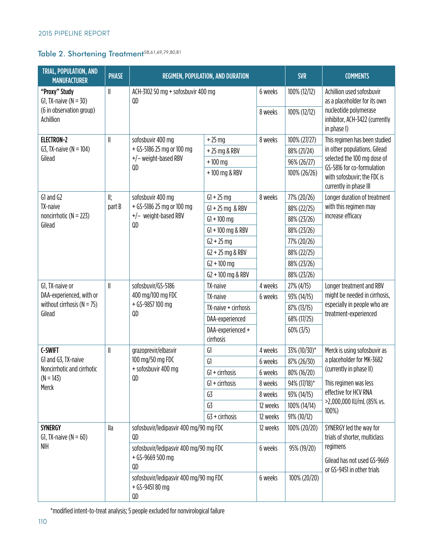# Table 2. Shortening Treatment<sup>58,61,69,79,80,81</sup>

| TRIAL, POPULATION, AND<br><b>MANUFACTURER</b> | <b>PHASE</b>                         | REGIMEN, POPULATION, AND DURATION              |                                                                                                        |          | <b>SVR</b>     | <b>COMMENTS</b>                                                                                                    |  |
|-----------------------------------------------|--------------------------------------|------------------------------------------------|--------------------------------------------------------------------------------------------------------|----------|----------------|--------------------------------------------------------------------------------------------------------------------|--|
| "Proxy" Study<br>G1, TX-naive $(N = 30)$      | $\parallel$                          | QD                                             | ACH-3102 50 mg + sofosbuvir 400 mg                                                                     |          | 100% (12/12)   | Achillion used sofosbuvir<br>as a placeholder for its own                                                          |  |
| (6 in observation group)<br>Achillion         |                                      |                                                |                                                                                                        | 8 weeks  | 100% (12/12)   | nucleotide polymerase<br>inhibitor, ACH-3422 (currently<br>in phase I)                                             |  |
| <b>ELECTRON-2</b>                             | II                                   | sofosbuvir 400 mg<br>+ GS-5186 25 mg or 100 mg | $+25$ mg                                                                                               | 8 weeks  | 100% (27/27)   | This regimen has been studied                                                                                      |  |
| G3, TX-naive $(N = 104)$                      |                                      |                                                | + 25 mg & RBV                                                                                          |          | 88% (21/24)    | in other populations. Gilead                                                                                       |  |
| Gilead                                        |                                      | +/- weight-based RBV<br>QD                     | $+100$ mg                                                                                              |          | 96% (26/27)    | selected the 100 mg dose of<br>GS-5816 for co-formulation                                                          |  |
|                                               |                                      |                                                | +100 mg & RBV                                                                                          |          | 100% (26/26)   | with sofosbuvir; the FDC is<br>currently in phase III                                                              |  |
| G1 and G2                                     | $\parallel$ ;                        | sofosbuvir 400 mg                              | $G1 + 25$ mg                                                                                           | 8 weeks  | 77% (20/26)    | Longer duration of treatment                                                                                       |  |
| TX-naive                                      | part B                               | + GS-5186 25 mg or 100 mg                      | $G1 + 25$ mg & RBV                                                                                     |          | 88% (22/25)    | with this regimen may<br>increase efficacy                                                                         |  |
| noncirrhotic ( $N = 223$ )                    |                                      | +/- weight-based RBV                           | $G1 + 100$ mg                                                                                          |          | 88% (23/26)    |                                                                                                                    |  |
| Gilead                                        |                                      | QD                                             | $G1 + 100$ mg & RBV                                                                                    |          | 88% (23/26)    |                                                                                                                    |  |
|                                               |                                      |                                                | $G2 + 25$ mg                                                                                           |          | 77% (20/26)    |                                                                                                                    |  |
|                                               |                                      |                                                | $G2 + 25$ mg & RBV                                                                                     |          | 88% (22/25)    |                                                                                                                    |  |
|                                               |                                      |                                                | $G2 + 100$ mq                                                                                          |          | 88% (23/26)    |                                                                                                                    |  |
|                                               |                                      |                                                | G2 + 100 mg & RBV                                                                                      |          | 88% (23/26)    |                                                                                                                    |  |
| $\mathop{\parallel}$<br>G1, TX-naive or       |                                      | sofosbuvir/GS-5186                             | TX-naive                                                                                               | 4 weeks  | 27% (4/15)     | Longer treatment and RBV<br>might be needed in cirrhosis,<br>especially in people who are<br>treatment-experienced |  |
| DAA-experienced, with or                      |                                      | 400 mg/100 mg FDC<br>+ GS-9857 100 mg<br>QD    | TX-naive                                                                                               | 6 weeks  | 93% (14/15)    |                                                                                                                    |  |
| without cirrhosis ( $N = 75$ )<br>Gilead      |                                      |                                                | $IX$ -naive + cirrhosis                                                                                |          | 87% (13/15)    |                                                                                                                    |  |
|                                               |                                      |                                                | DAA-experienced                                                                                        |          | 68% (17/25)    |                                                                                                                    |  |
|                                               |                                      |                                                | DAA-experienced +<br>cirrhosis                                                                         |          | $60\% (3/5)$   |                                                                                                                    |  |
| C-SWIFT                                       | $\mathop{\parallel}$                 | grazoprevir/elbasvir                           | G1                                                                                                     | 4 weeks  | 33% (10/30)*   | Merck is using sofosbuvir as                                                                                       |  |
| G1 and G3, TX-naive                           |                                      | 100 mg/50 mg FDC                               | G1                                                                                                     | 6 weeks  | 87% (26/30)    | a placeholder for MK-3682<br>(currently in phase II)                                                               |  |
| Noncirrhotic and cirrhotic<br>$(N = 143)$     |                                      | + sofosbuvir 400 mg<br>QD                      | $G1 +$ cirrhosis                                                                                       | 6 weeks  | 80% (16/20)    |                                                                                                                    |  |
| Merck                                         |                                      |                                                | $G1 + cirrhosis$                                                                                       | 8 weeks  | 94% (17/18)*   | This regimen was less                                                                                              |  |
|                                               |                                      |                                                | G3                                                                                                     | 8 weeks  | 93% (14/15)    | effective for HCV RNA<br>>2,000,000 IU/mL (85% vs.                                                                 |  |
|                                               |                                      |                                                | G3                                                                                                     | 12 weeks | 100% (14/14)   | 100%)                                                                                                              |  |
|                                               |                                      |                                                | $G3 + cirrhosis$                                                                                       | 12 weeks | $91\% (10/12)$ |                                                                                                                    |  |
| <b>SYNERGY</b><br>G1, TX-naive $(N = 60)$     | lla                                  | sofosbuvir/ledipasvir 400 mg/90 mg FDC<br>QD   |                                                                                                        | 12 weeks | 100% (20/20)   | SYNERGY led the way for<br>trials of shorter, multiclass                                                           |  |
|                                               | <b>NIH</b><br>+ GS-9669 500 mg<br>QD |                                                | sofosbuvir/ledipasvir 400 mg/90 mg FDC<br>6 weeks<br>sofosbuvir/ledipasvir 400 mg/90 mg FDC<br>6 weeks |          | 95% (19/20)    | regimens<br>Gilead has not used GS-9669<br>or GS-9451 in other trials                                              |  |
| QD                                            |                                      | $+$ GS-945180 mg                               |                                                                                                        |          | 100% (20/20)   |                                                                                                                    |  |

\*modified intent-to-treat analysis; 5 people excluded for nonvirological failure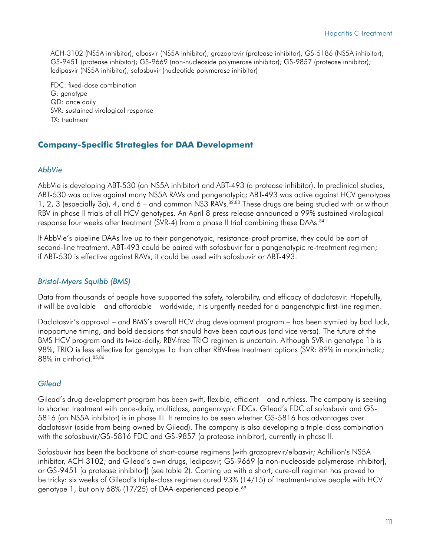ACH-3102 (NS5A inhibitor); elbasvir (NS5A inhibitor); grazoprevir (protease inhibitor); GS-5186 (NS5A inhibitor); GS-9451 (protease inhibitor); GS-9669 (non-nucleoside polymerase inhibitor); GS-9857 (protease inhibitor); ledipasvir (NS5A inhibitor); sofosbuvir (nucleotide polymerase inhibitor)

FDC: fixed-dose combination G: genotype QD: once daily SVR: sustained virological response TX: treatment

## **Company-Specific Strategies for DAA Development**

### *AbbVie*

AbbVie is developing ABT-530 (an NS5A inhibitor) and ABT-493 (a protease inhibitor). In preclinical studies, ABT-530 was active against many NS5A RAVs and pangenotypic; ABT-493 was active against HCV genotypes 1, 2, 3 (especially 3a), 4, and 6 – and common NS3 RAVs.<sup>82,83</sup> These drugs are being studied with or without RBV in phase II trials of all HCV genotypes. An April 8 press release announced a 99% sustained virological response four weeks after treatment (SVR-4) from a phase II trial combining these DAAs.<sup>84</sup>

If AbbVie's pipeline DAAs live up to their pangenotypic, resistance-proof promise, they could be part of second-line treatment. ABT-493 could be paired with sofosbuvir for a pangenotypic re-treatment regimen; if ABT-530 is effective against RAVs, it could be used with sofosbuvir or ABT-493.

### *Bristol-Myers Squibb (BMS)*

Data from thousands of people have supported the safety, tolerability, and efficacy of daclatasvir. Hopefully, it will be available – and affordable – worldwide; it is urgently needed for a pangenotypic first-line regimen.

Daclatasvir's approval – and BMS's overall HCV drug development program – has been stymied by bad luck, inopportune timing, and bold decisions that should have been cautious (and vice versa). The future of the BMS HCV program and its twice-daily, RBV-free TRIO regimen is uncertain. Although SVR in genotype 1b is 98%, TRIO is less effective for genotype 1a than other RBV-free treatment options (SVR: 89% in noncirrhotic; 88% in cirrhotic).85,86

### *Gilead*

Gilead's drug development program has been swift, flexible, efficient – and ruthless. The company is seeking to shorten treatment with once-daily, multiclass, pangenotypic FDCs. Gilead's FDC of sofosbuvir and GS-5816 (an NS5A inhibitor) is in phase III. It remains to be seen whether GS-5816 has advantages over daclatasvir (aside from being owned by Gilead). The company is also developing a triple-class combination with the sofosbuvir/GS-5816 FDC and GS-9857 (a protease inhibitor), currently in phase II.

Sofosbuvir has been the backbone of short-course regimens (with grazoprevir/elbasvir; Achillion's NS5A inhibitor, ACH-3102; and Gilead's own drugs, ledipasvir, GS-9669 [a non-nucleoside polymerase inhibitor], or GS-9451 [a protease inhibitor]) (see table 2). Coming up with a short, cure-all regimen has proved to be tricky: six weeks of Gilead's triple-class regimen cured 93% (14/15) of treatment-naive people with HCV genotype 1, but only 68% (17/25) of DAA-experienced people.<sup>69</sup>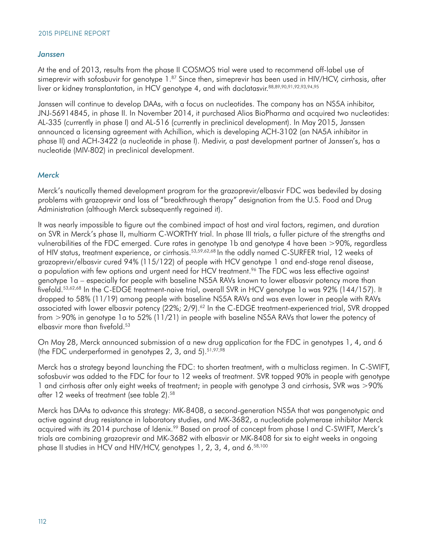#### *Janssen*

At the end of 2013, results from the phase II COSMOS trial were used to recommend off-label use of simeprevir with sofosbuvir for genotype 1.<sup>87</sup> Since then, simeprevir has been used in HIV/HCV, cirrhosis, after liver or kidney transplantation, in HCV genotype 4, and with daclatasvir. 88,89,90,91,92,93,94,95

Janssen will continue to develop DAAs, with a focus on nucleotides. The company has an NS5A inhibitor, JNJ-56914845, in phase II. In November 2014, it purchased Alios BioPharma and acquired two nucleotides: AL-335 (currently in phase I) and AL-516 (currently in preclinical development). In May 2015, Janssen announced a licensing agreement with Achillion, which is developing ACH-3102 (an NA5A inhibitor in phase II) and ACH-3422 (a nucleotide in phase I). Medivir, a past development partner of Janssen's, has a nucleotide (MIV-802) in preclinical development.

#### *Merck*

Merck's nautically themed development program for the grazoprevir/elbasvir FDC was bedeviled by dosing problems with grazoprevir and loss of "breakthrough therapy" designation from the U.S. Food and Drug Administration (although Merck subsequently regained it).

It was nearly impossible to figure out the combined impact of host and viral factors, regimen, and duration on SVR in Merck's phase II, multiarm C-WORTHY trial. In phase III trials, a fuller picture of the strengths and vulnerabilities of the FDC emerged. Cure rates in genotype 1b and genotype 4 have been >90%, regardless of HIV status, treatment experience, or cirrhosis.<sup>53,59,62,68</sup> In the oddly named C-SURFER trial, 12 weeks of grazoprevir/elbasvir cured 94% (115/122) of people with HCV genotype 1 and end-stage renal disease, a population with few options and urgent need for HCV treatment.96 The FDC was less effective against genotype 1a – especially for people with baseline NS5A RAVs known to lower elbasvir potency more than fivefold.53,62,68 In the C-EDGE treatment-naive trial, overall SVR in HCV genotype 1a was 92% (144/157). It dropped to 58% (11/19) among people with baseline NS5A RAVs and was even lower in people with RAVs associated with lower elbasvir potency (22%; 2/9).<sup>62</sup> In the C-EDGE treatment-experienced trial, SVR dropped from >90% in genotype 1a to 52% (11/21) in people with baseline NS5A RAVs that lower the potency of elbasvir more than fivefold.<sup>53</sup>

On May 28, Merck announced submission of a new drug application for the FDC in genotypes 1, 4, and 6 (the FDC underperformed in genotypes 2, 3, and 5). $51,97,98$ 

Merck has a strategy beyond launching the FDC: to shorten treatment, with a multiclass regimen. In C-SWIFT, sofosbuvir was added to the FDC for four to 12 weeks of treatment. SVR topped 90% in people with genotype 1 and cirrhosis after only eight weeks of treatment; in people with genotype 3 and cirrhosis, SVR was >90% after 12 weeks of treatment (see table 2).<sup>58</sup>

Merck has DAAs to advance this strategy: MK-8408, a second-generation NS5A that was pangenotypic and active against drug resistance in laboratory studies, and MK-3682, a nucleotide polymerase inhibitor Merck acquired with its 2014 purchase of Idenix.<sup>99</sup> Based on proof of concept from phase I and C-SWIFT, Merck's trials are combining grazoprevir and MK-3682 with elbasvir or MK-8408 for six to eight weeks in ongoing phase II studies in HCV and HIV/HCV, genotypes 1, 2, 3, 4, and 6.<sup>58,100</sup>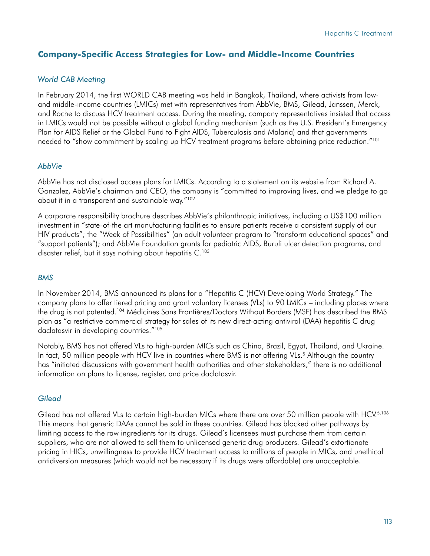## **Company-Specific Access Strategies for Low- and Middle-Income Countries**

### *World CAB Meeting*

In February 2014, the first WORLD CAB meeting was held in Bangkok, Thailand, where activists from lowand middle-income countries (LMICs) met with representatives from AbbVie, BMS, Gilead, Janssen, Merck, and Roche to discuss HCV treatment access. During the meeting, company representatives insisted that access in LMICs would not be possible without a global funding mechanism (such as the U.S. President's Emergency Plan for AIDS Relief or the Global Fund to Fight AIDS, Tuberculosis and Malaria) and that governments needed to "show commitment by scaling up HCV treatment programs before obtaining price reduction."101

### *AbbVie*

AbbVie has not disclosed access plans for LMICs. According to a statement on its website from Richard A. Gonzalez, AbbVie's chairman and CEO, the company is "committed to improving lives, and we pledge to go about it in a transparent and sustainable way."102

A corporate responsibility brochure describes AbbVie's philanthropic initiatives, including a US\$100 million investment in "state-of-the art manufacturing facilities to ensure patients receive a consistent supply of our HIV products"; the "Week of Possibilities" (an adult volunteer program to "transform educational spaces" and "support patients"); and AbbVie Foundation grants for pediatric AIDS, Buruli ulcer detection programs, and disaster relief, but it says nothing about hepatitis C.<sup>103</sup>

### *BMS*

In November 2014, BMS announced its plans for a "Hepatitis C (HCV) Developing World Strategy." The company plans to offer tiered pricing and grant voluntary licenses (VLs) to 90 LMICs – including places where the drug is not patented.<sup>104</sup> Médicines Sans Frontières/Doctors Without Borders (MSF) has described the BMS plan as "a restrictive commercial strategy for sales of its new direct-acting antiviral (DAA) hepatitis C drug daclatasvir in developing countries."<sup>105</sup>

Notably, BMS has not offered VLs to high-burden MICs such as China, Brazil, Egypt, Thailand, and Ukraine. In fact, 50 million people with HCV live in countries where BMS is not offering VLs.<sup>5</sup> Although the country has "initiated discussions with government health authorities and other stakeholders," there is no additional information on plans to license, register, and price daclatasvir.

### *Gilead*

Gilead has not offered VLs to certain high-burden MICs where there are over 50 million people with HCV.<sup>5,106</sup> This means that generic DAAs cannot be sold in these countries. Gilead has blocked other pathways by limiting access to the raw ingredients for its drugs. Gilead's licensees must purchase them from certain suppliers, who are not allowed to sell them to unlicensed generic drug producers. Gilead's extortionate pricing in HICs, unwillingness to provide HCV treatment access to millions of people in MICs, and unethical antidiversion measures (which would not be necessary if its drugs were affordable) are unacceptable.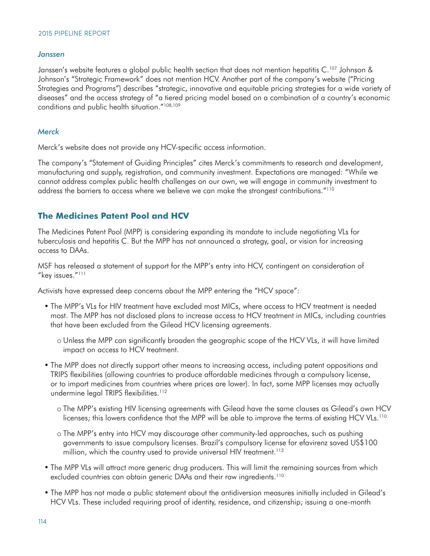#### *Janssen*

Janssen's website features a global public health section that does not mention hepatitis C.<sup>107</sup> Johnson & Johnson's "Strategic Framework" does not mention HCV. Another part of the company's website ("Pricing Strategies and Programs") describes "strategic, innovative and equitable pricing strategies for a wide variety of diseases" and the access strategy of "a tiered pricing model based on a combination of a country's economic conditions and public health situation."108,109

#### *Merck*

Merck's website does not provide any HCV-specific access information.

The company's "Statement of Guiding Principles" cites Merck's commitments to research and development, manufacturing and supply, registration, and community investment. Expectations are managed: "While we cannot address complex public health challenges on our own, we will engage in community investment to address the barriers to access where we believe we can make the strongest contributions."<sup>110</sup>

## **The Medicines Patent Pool and HCV**

The Medicines Patent Pool (MPP) is considering expanding its mandate to include negotiating VLs for tuberculosis and hepatitis C. But the MPP has not announced a strategy, goal, or vision for increasing access to DAAs.

MSF has released a statement of support for the MPP's entry into HCV, contingent on consideration of "key issues."<sup>111</sup>

Activists have expressed deep concerns about the MPP entering the "HCV space":

- The MPP's VLs for HIV treatment have excluded most MICs, where access to HCV treatment is needed most. The MPP has not disclosed plans to increase access to HCV treatment in MICs, including countries that have been excluded from the Gilead HCV licensing agreements.
	- o Unless the MPP can significantly broaden the geographic scope of the HCV VLs, it will have limited impact on access to HCV treatment.
- The MPP does not directly support other means to increasing access, including patent oppositions and TRIPS flexibilities (allowing countries to produce affordable medicines through a compulsory license, or to import medicines from countries where prices are lower). In fact, some MPP licenses may actually undermine legal TRIPS flexibilities.<sup>112</sup>
	- o The MPP's existing HIV licensing agreements with Gilead have the same clauses as Gilead's own HCV licenses; this lowers confidence that the MPP will be able to improve the terms of existing HCV VLs.<sup>110</sup>
	- o The MPP's entry into HCV may discourage other community-led approaches, such as pushing governments to issue compulsory licenses. Brazil's compulsory license for efavirenz saved US\$100 million, which the country used to provide universal HIV treatment.<sup>113</sup>
- The MPP VLs will attract more generic drug producers. This will limit the remaining sources from which excluded countries can obtain generic DAAs and their raw ingredients.<sup>110</sup>
- The MPP has not made a public statement about the antidiversion measures initially included in Gilead's HCV VLs. These included requiring proof of identity, residence, and citizenship; issuing a one-month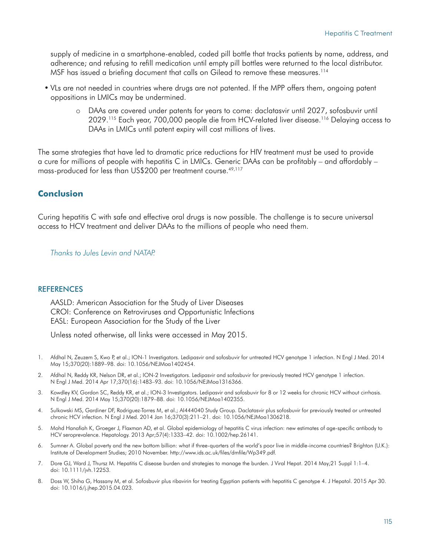supply of medicine in a smartphone-enabled, coded pill bottle that tracks patients by name, address, and adherence; and refusing to refill medication until empty pill bottles were returned to the local distributor. MSF has issued a briefing document that calls on Gilead to remove these measures.<sup>114</sup>

- VLs are not needed in countries where drugs are not patented. If the MPP offers them, ongoing patent oppositions in LMICs may be undermined.
	- o DAAs are covered under patents for years to come: daclatasvir until 2027, sofosbuvir until 2029.115 Each year, 700,000 people die from HCV-related liver disease.116 Delaying access to DAAs in LMICs until patent expiry will cost millions of lives.

The same strategies that have led to dramatic price reductions for HIV treatment must be used to provide a cure for millions of people with hepatitis C in LMICs. Generic DAAs can be profitably – and affordably – mass-produced for less than US\$200 per treatment course.49,117

### **Conclusion**

Curing hepatitis C with safe and effective oral drugs is now possible. The challenge is to secure universal access to HCV treatment and deliver DAAs to the millions of people who need them.

*Thanks to Jules Levin and NATAP.*

#### REFERENCES

AASLD: American Association for the Study of Liver Diseases CROI: Conference on Retroviruses and Opportunistic Infections EASL: European Association for the Study of the Liver

Unless noted otherwise, all links were accessed in May 2015.

- 1. Afdhal N, Zeuzem S, Kwo P, et al.; ION-1 Investigators. Ledipasvir and sofosbuvir for untreated HCV genotype 1 infection. N Engl J Med. 2014 May 15;370(20):1889–98. doi: 10.1056/NEJMoa1402454.
- 2. Afdhal N, Reddy KR, Nelson DR, et al.; ION-2 Investigators. Ledipasvir and sofosbuvir for previously treated HCV genotype 1 infection. N Engl J Med. 2014 Apr 17;370(16):1483–93. doi: 10.1056/NEJMoa1316366.
- 3. Kowdley KV, Gordon SC, Reddy KR, et al.; ION-3 Investigators. Ledipasvir and sofosbuvir for 8 or 12 weeks for chronic HCV without cirrhosis. N Engl J Med. 2014 May 15;370(20):1879–88. doi: 10.1056/NEJMoa1402355.
- 4. Sulkowski MS, Gardiner DF, Rodriguez-Torres M, et al.; AI444040 Study Group. Daclatasvir plus sofosbuvir for previously treated or untreated chronic HCV infection. N Engl J Med. 2014 Jan 16;370(3):211–21. doi: 10.1056/NEJMoa1306218.
- 5. Mohd Hanafiah K, Groeger J, Flaxman AD, et al. Global epidemiology of hepatitis C virus infection: new estimates of age-specific antibody to HCV seroprevalence. Hepatology. 2013 Apr;57(4):1333–42. doi: 10.1002/hep.26141.
- 6. Sumner A. Global poverty and the new bottom billion: what if three-quarters of the world's poor live in middle-income countries? Brighton (U.K.): Institute of Development Studies; 2010 November.<http://www.ids.ac.uk/files/dmfile/Wp349.pdf>.
- 7. Dore GJ, Ward J, Thursz M. Hepatitis C disease burden and strategies to manage the burden. J Viral Hepat. 2014 May;21 Suppl 1:1–4. doi: 10.1111/jvh.12253.
- 8. Doss W, Shiha G, Hassany M, et al. Sofosbuvir plus ribavirin for treating Egyptian patients with hepatitis C genotype 4. J Hepatol. 2015 Apr 30. doi: 10.1016/j.jhep.2015.04.023.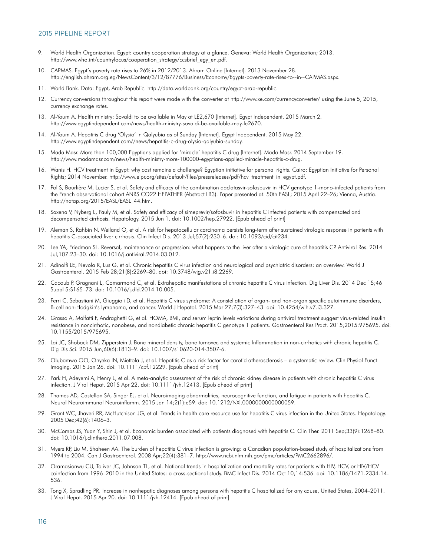- 9. World Health Organization. Egypt: country cooperation strategy at a glance. Geneva: World Health Organization; 2013. [http://www.who.int/countryfocus/cooperation\\_strategy/ccsbrief\\_egy\\_en.pdf](http://www.who.int/countryfocus/cooperation_strategy/ccsbrief_egy_en.pdf).
- 10. CAPMAS. Egypt's poverty rate rises to 26% in 2012/2013. Ahram Online [Internet]. 2013 November 28. <http://english.ahram.org.eg/NewsContent/3/12/87776/Business/Economy/Egypts-poverty-rate-rises-to--in--CAPMAS.aspx>.
- 11. World Bank. Data: Egypt, Arab Republic.<http://data.worldbank.org/country/egypt-arab-republic>.
- 12. Currency conversions throughout this report were made with the converter at<http://www.xe.com/currencyconverter/>using the June 5, 2015, currency exchange rates.
- 13. Al-Youm A. Health ministry: Sovaldi to be available in May at LE2,670 [Internet]. Egypt Independent. 2015 March 2. <http://www.egyptindependent.com/news/health-ministry-sovaldi-be-available-may-le2670>.
- 14. Al-Youm A. Hepatitis C drug 'Olysio' in Qalyubia as of Sunday [Internet]. Egypt Independent. 2015 May 22. [http://www.egyptindependent.com//news/hepatitis-c-drug-olysio-qalyubia-sunday.](http://www.egyptindependent.com//news/hepatitis-c-drug-olysio-qalyubia-sunday)
- 15. Mada Masr. More than 100,000 Egyptians applied for 'miracle' hepatitis C drug [Internet]. Mada Masr. 2014 September 19. <http://www.madamasr.com/news/health-ministry-more-100000-egyptians-applied-miracle-hepatitis-c-drug>.
- 16. Wanis H. HCV treatment in Egypt: why cost remains a challenge? Egyptian initiative for personal rights. Cairo: Egyptian Initiative for Personal Rights; 2014 November. [http://www.eipr.org/sites/default/files/pressreleases/pdf/hcv\\_treatment\\_in\\_egypt.pdf](http://www.eipr.org/sites/default/files/pressreleases/pdf/hcv_treatment_in_egypt.pdf).
- 17. Pol S, Bourlière M, Lucier S, et al. Safety and efficacy of the combination daclatasvir-sofosbuvir in HCV genotype 1-mono-infected patients from the French observational cohort ANRS CO22 HEPATHER (Abstract LB3). Paper presented at: 50th EASL; 2015 April 22–26; Vienna, Austria. [http://natap.org/2015/EASL/EASL\\_44.htm.](http://natap.org/2015/EASL/EASL_44.htm)
- 18. Saxena V, Nyberg L, Pauly M, et al. Safety and efficacy of simeprevir/sofosbuvir in hepatitis C infected patients with compensated and decompensated cirrhosis. Hepatology. 2015 Jun 1. doi: 10.1002/hep.27922. [Epub ahead of print]
- 19. Aleman S, Rahbin N, Weiland O, et al. A risk for hepatocellular carcinoma persists long-term after sustained virologic response in patients with hepatitis C-associated liver cirrhosis. Clin Infect Dis. 2013 Jul;57(2):230–6. doi: 10.1093/cid/cit234.
- 20. Lee YA, Friedman SL. Reversal, maintenance or progression: what happens to the liver after a virologic cure of hepatitis C? Antiviral Res. 2014 Jul;107:23–30. doi: 10.1016/j.antiviral.2014.03.012.
- 21. Adinolfi LE, Nevola R, Lus G, et al. Chronic hepatitis C virus infection and neurological and psychiatric disorders: an overview. World J Gastroenterol. 2015 Feb 28;21(8):2269–80. doi: 10.3748/wjg.v21.i8.2269.
- 22. Cacoub P, Gragnani L, Comarmond C, et al. Extrahepatic manifestations of chronic hepatitis C virus infection. Dig Liver Dis. 2014 Dec 15;46 Suppl 5:S165–73. doi: 10.1016/j.dld.2014.10.005.
- 23. Ferri C, Sebastiani M, Giuggioli D, et al. Hepatitis C virus syndrome: A constellation of organ- and non-organ specific autoimmune disorders, B-cell non-Hodgkin's lymphoma, and cancer. World J Hepatol. 2015 Mar 27;7(3):327–43. doi: 10.4254/wjh.v7.i3.327.
- 24. Grasso A, Malfatti F, Andraghetti G, et al. HOMA, BMI, and serum leptin levels variations during antiviral treatment suggest virus-related insulin resistance in noncirrhotic, nonobese, and nondiabetic chronic hepatitis C genotype 1 patients. Gastroenterol Res Pract. 2015;2015:975695. doi: 10.1155/2015/975695.
- 25. Lai JC, Shoback DM, Zipperstein J. Bone mineral density, bone turnover, and systemic Inflammation in non-cirrhotics with chronic hepatitis C. Dig Dis Sci. 2015 Jun;60(6):1813–9. doi: 10.1007/s10620-014-3507-6.
- 26. Olubamwo OO, Onyeka IN, Miettola J, et al. Hepatitis C as a risk factor for carotid atherosclerosis a systematic review. Clin Physiol Funct Imaging. 2015 Jan 26. doi: 10.1111/cpf.12229. [Epub ahead of print]
- 27. Park H, Adeyemi A, Henry L, et al. A meta-analytic assessment of the risk of chronic kidney disease in patients with chronic hepatitis C virus infection. J Viral Hepat. 2015 Apr 22. doi: 10.1111/jvh.12413. [Epub ahead of print]
- 28. Thames AD, Castellon SA, Singer EJ, et al. Neuroimaging abnormalities, neurocognitive function, and fatigue in patients with hepatitis C. Neurol Neuroimmunol Neuroinflamm. 2015 Jan 14;2(1):e59. doi: 10.1212/NXI.0000000000000059.
- 29. Grant WC, Jhaveri RR, McHutchison JG, et al. Trends in health care resource use for hepatitis C virus infection in the United States. Hepatology. 2005 Dec;42(6):1406–3.
- 30. McCombs JS, Yuan Y, Shin J, et al. Economic burden associated with patients diagnosed with hepatitis C. Clin Ther. 2011 Sep;33(9):1268–80. doi: 10.1016/j.clinthera.2011.07.008.
- 31. Myers RP, Liu M, Shaheen AA. The burden of hepatitis C virus infection is growing: a Canadian population-based study of hospitalizations from 1994 to 2004. Can J Gastroenterol. 2008 Apr;22(4):381–7. [http://www.ncbi.nlm.nih.gov/pmc/articles/PMC2662896/.](http://www.ncbi.nlm.nih.gov/pmc/articles/PMC2662896/)
- 32. Oramasionwu CU, Toliver JC, Johnson TL, et al. National trends in hospitalization and mortality rates for patients with HIV, HCV, or HIV/HCV coinfection from 1996–2010 in the United States: a cross-sectional study. BMC Infect Dis. 2014 Oct 10;14:536. doi: 10.1186/1471-2334-14- 536.
- 33. Tong X, Spradling PR. Increase in nonhepatic diagnoses among persons with hepatitis C hospitalized for any cause, United States, 2004–2011. J Viral Hepat. 2015 Apr 20. doi: 10.1111/jvh.12414. [Epub ahead of print]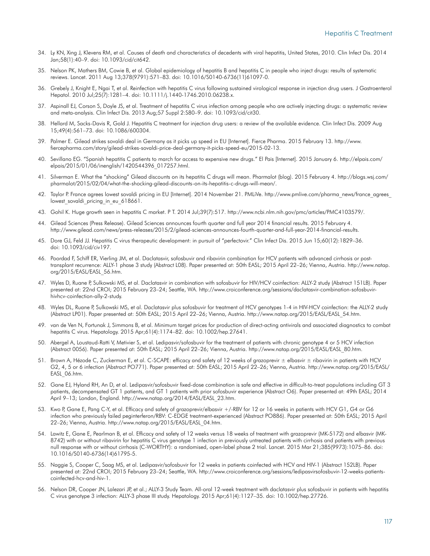- 34. Ly KN, Xing J, Klevens RM, et al. Causes of death and characteristics of decedents with viral hepatitis, United States, 2010. Clin Infect Dis. 2014 Jan;58(1):40–9. doi: 10.1093/cid/cit642.
- 35. Nelson PK, Mathers BM, Cowie B, et al. Global epidemiology of hepatitis B and hepatitis C in people who inject drugs: results of systematic reviews. Lancet. 2011 Aug 13;378(9791):571–83. doi: 10.1016/S0140-6736(11)61097-0.
- 36. Grebely J, Knight E, Ngai T, et al. Reinfection with hepatitis C virus following sustained virological response in injection drug users. J Gastroenterol Hepatol. 2010 Jul;25(7):1281–4. doi: 10.1111/j.1440-1746.2010.06238.x.
- 37. Aspinall EJ, Corson S, Doyle JS, et al. Treatment of hepatitis C virus infection among people who are actively injecting drugs: a systematic review and meta-analysis. Clin Infect Dis. 2013 Aug;57 Suppl 2:S80–9. doi: 10.1093/cid/cit30.
- 38. Hellard M, Sacks-Davis R, Gold J. Hepatitis C treatment for injection drug users: a review of the available evidence. Clin Infect Dis. 2009 Aug 15;49(4):561–73. doi: 10.1086/600304.
- 39. Palmer E. Gilead strikes sovaldi deal in Germany as it picks up speed in EU [Internet]. Fierce Pharma. 2015 February 13. [http://www.](http://www.fiercepharma.com/story/gilead-strikes-sovaldi-price-deal-germany-it-picks-speed-eu/2015-02-13) [fiercepharma.com/story/gilead-strikes-sovaldi-price-deal-germany-it-picks-speed-eu/2015-02-13.](http://www.fiercepharma.com/story/gilead-strikes-sovaldi-price-deal-germany-it-picks-speed-eu/2015-02-13)
- 40. Sevillano EG. "Spanish hepatitis C patients to march for access to expensive new drugs." El Pais [Internet]. 2015 January 6. [http://elpais.com/](http://elpais.com/elpais/2015/01/06/inenglish/1420544396_017257.html) [elpais/2015/01/06/inenglish/1420544396\\_017257.html](http://elpais.com/elpais/2015/01/06/inenglish/1420544396_017257.html).
- 41. Silverman E. What the "shocking" Gilead discounts on its hepatitis C drugs will mean. Pharmalot (blog). 2015 February 4. [http://blogs.wsj.com/](http://blogs.wsj.com/pharmalot/2015/02/04/what-the-shocking-gilead-discounts-on-its-hepatitis-c-drugs-will-mean/) [pharmalot/2015/02/04/what-the-shocking-gilead-discounts-on-its-hepatitis-c-drugs-will-mean/](http://blogs.wsj.com/pharmalot/2015/02/04/what-the-shocking-gilead-discounts-on-its-hepatitis-c-drugs-will-mean/).
- 42. Taylor P. France agrees lowest sovaldi pricing in EU [Internet]. 2014 November 21. PMLiVe. http://www.pmlive.com/pharma\_news/france\_agrees [lowest\\_sovaldi\\_pricing\\_in\\_eu\\_618661](http://www.pmlive.com/pharma_news/france_agrees_lowest_sovaldi_pricing_in_eu_618661).
- 43. Gohil K. Huge growth seen in hepatitis C market. P T. 2014 Jul;39(7):517.<http://www.ncbi.nlm.nih.gov/pmc/articles/PMC4103579/>.
- 44. Gilead Sciences (Press Release). Gilead Sciences announces fourth quarter and full year 2014 financial results. 2015 February 4. <http://www.gilead.com/news/press-releases/2015/2/gilead-sciences-announces-fourth-quarter-and-full-year-2014-financial-results>.
- 45. Dore GJ, Feld JJ. Hepatitis C virus therapeutic development: in pursuit of "perfectovir." Clin Infect Dis. 2015 Jun 15;60(12):1829–36. doi: 10.1093/cid/civ197.
- 46. Poordad F, Schiff ER, Vierling JM, et al. Daclatasvir, sofosbuvir and ribavirin combination for HCV patients with advanced cirrhosis or posttransplant recurrence: ALLY-1 phase 3 study (Abstract L08). Paper presented at: 50th EASL; 2015 April 22–26; Vienna, Austria. [http://www.natap.](http://www.natap.org/2015/EASL/EASL_56.htm) [org/2015/EASL/EASL\\_56.htm.](http://www.natap.org/2015/EASL/EASL_56.htm)
- 47. Wyles D, Ruane P, Sulkowski MS, et al. Daclatasvir in combination with sofosbuvir for HIV/HCV coinfection: ALLY-2 study (Abstract 151LB). Paper presented at: 22nd CROI; 2015 February 23–24; Seattle, WA. [http://www.croiconference.org/sessions/daclatasvir-combination-sofosbuvir](http://www.croiconference.org/sessions/daclatasvir-combination-sofosbuvir-hivhcv-coinfection-ally-2-study)[hivhcv-coinfection-ally-2-study](http://www.croiconference.org/sessions/daclatasvir-combination-sofosbuvir-hivhcv-coinfection-ally-2-study).
- 48. Wyles DL, Ruane P, Sulkowski MS, et al. Daclatasvir plus sofosbuvir for treatment of HCV genotypes 1-4 in HIV-HCV coinfection: the ALLY-2 study (Abstract LP01). Paper presented at: 50th EASL; 2015 April 22–26; Vienna, Austria. [http://www.natap.org/2015/EASL/EASL\\_54.htm](http://www.natap.org/2015/EASL/EASL_54.htm).
- 49. van de Ven N, Fortunak J, Simmons B, et al. Minimum target prices for production of direct-acting antivirals and associated diagnostics to combat hepatitis C virus. Hepatology. 2015 Apr;61(4):1174–82. doi: 10.1002/hep.27641.
- 50. Abergel A, Loustaud-Ratti V, Metivier S, et al. Ledipasvir/sofosbuvir for the treatment of patients with chronic genotype 4 or 5 HCV infection (Abstract 0056). Paper presented at: 50th EASL; 2015 April 22–26; Vienna, Austria. [http://www.natap.org/2015/EASL/EASL\\_80.htm](http://www.natap.org/2015/EASL/EASL_80.htm).
- 51. Brown A, Hézode C, Zuckerman E, et al. C-SCAPE: efficacy and safety of 12 weeks of grazoprevir ± elbasvir ± ribavirin in patients with HCV G2, 4, 5 or 6 infection (Abstract PO771). Paper presented at: 50th EASL; 2015 April 22–26; Vienna, Austria. [http://www.natap.org/2015/EASL/](http://www.natap.org/2015/EASL/EASL_06.htm) [EASL\\_06.htm](http://www.natap.org/2015/EASL/EASL_06.htm).
- 52. Gane EJ, Hyland RH, An D, et al. Ledipasvir/sofosbuvir fixed-dose combination is safe and effective in difficult-to-treat populations including GT 3 patients, decompensated GT 1 patients, and GT 1 patients with prior sofosbuvir experience (Abstract O6). Paper presented at: 49th EASL; 2014 April 9–13; London, England. [http://www.natap.org/2014/EASL/EASL\\_23.htm.](http://www.natap.org/2014/EASL/EASL_23.htm)
- 53. Kwo P, Gane E, Pang C-Y, et al. Efficacy and safety of grazoprevir/elbasvir +/-RBV for 12 or 16 weeks in patients with HCV G1, G4 or G6 infection who previously failed peginterferon/RBV: C-EDGE treatment-experienced (Abstract PO886). Paper presented at: 50th EASL; 2015 April 22–26; Vienna, Austria. [http://www.natap.org/2015/EASL/EASL\\_04.htm.](http://www.natap.org/2015/EASL/EASL_04.htm)
- 54. Lawitz E, Gane E, Pearlman B, et al. Efficacy and safety of 12 weeks versus 18 weeks of treatment with grazoprevir (MK-5172) and elbasvir (MK-8742) with or without ribavirin for hepatitis C virus genotype 1 infection in previously untreated patients with cirrhosis and patients with previous null response with or without cirrhosis (C-WORTHY): a randomised, open-label phase 2 trial. Lancet. 2015 Mar 21;385(9973):1075–86. doi: 10.1016/S0140-6736(14)61795-5.
- 55. Naggie S, Cooper C, Saag MS, et al. Ledipasvir/sofosbuvir for 12 weeks in patients coinfected with HCV and HIV-1 (Abstract 152LB). Paper presented at: 22nd CROI; 2015 February 23–24; Seattle, WA. [http://www.croiconference.org/sessions/ledipasvirsofosbuvir-12-weeks-patients](http://www.croiconference.org/sessions/ledipasvirsofosbuvir-12-weeks-patients-coinfected-hcv-and-hiv-1)[coinfected-hcv-and-hiv-1](http://www.croiconference.org/sessions/ledipasvirsofosbuvir-12-weeks-patients-coinfected-hcv-and-hiv-1).
- 56. Nelson DR, Cooper JN, Lalezari JP, et al.; ALLY-3 Study Team. All-oral 12-week treatment with daclatasvir plus sofosbuvir in patients with hepatitis C virus genotype 3 infection: ALLY-3 phase III study. Hepatology. 2015 Apr;61(4):1127–35. doi: 10.1002/hep.27726.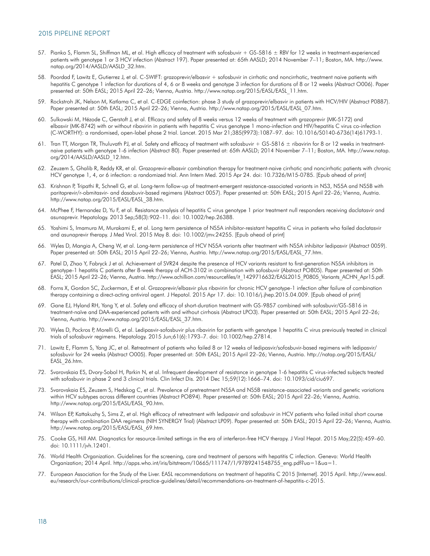- 57. Pianko S, Flamm SL, Shiffman ML, et al. High efficacy of treatment with sofosbuvir + GS-5816  $\pm$  RBV for 12 weeks in treatment-experienced patients with genotype 1 or 3 HCV infection (Abstract 197). Paper presented at: 65th AASLD; 2014 November 7-11; Boston, MA. [http://www.](http://www.natap.org/2014/AASLD/AASLD_32.htm) [natap.org/2014/AASLD/AASLD\\_32.htm.](http://www.natap.org/2014/AASLD/AASLD_32.htm)
- 58. Poordad F, Lawitz E, Gutierrez J, et al. C-SWIFT: grazoprevir/elbasvir + sofosbuvir in cirrhotic and noncirrhotic, treatment naive patients with hepatitis C genotype 1 infection for durations of 4, 6 or 8 weeks and genotype 3 infection for durations of 8 or 12 weeks (Abstract O006). Paper presented at: 50th EASL; 2015 April 22–26; Vienna, Austria. [http://www.natap.org/2015/EASL/EASL\\_11.htm.](http://www.natap.org/2015/EASL/EASL_11.htm)
- 59. Rockstroh JK, Nelson M, Katlama C, et al. C-EDGE coinfection: phase 3 study of grazoprevir/elbasvir in patients with HCV/HIV (Abstract P0887). Paper presented at: 50th EASL; 2015 April 22–26; Vienna, Austria. [http://www.natap.org/2015/EASL/EASL\\_07.htm.](http://www.natap.org/2015/EASL/EASL_07.htm)
- 60. Sulkowski M, Hézode C, Gerstoft J, et al. Efficacy and safety of 8 weeks versus 12 weeks of treatment with grazoprevir (MK-5172) and elbasvir (MK-8742) with or without ribavirin in patients with hepatitis C virus genotype 1 mono-infection and HIV/hepatitis C virus co-infection (C-WORTHY): a randomised, open-label phase 2 trial. Lancet. 2015 Mar 21;385(9973):1087–97. doi: 10.1016/S0140-6736(14)61793-1.
- 61. Tran TT, Morgan TR, Thuluvath PJ, et al. Safety and efficacy of treatment with sofosbuvir + GS-5816  $\pm$  ribavirin for 8 or 12 weeks in treatmentnaive patients with genotype 1-6 infection (Abstract 80). Paper presented at: 65th AASLD; 2014 November 7–11; Boston, MA. [http://www.natap.](http://www.natap.org/2014/AASLD/AASLD_12.htm) [org/2014/AASLD/AASLD\\_12.htm](http://www.natap.org/2014/AASLD/AASLD_12.htm).
- 62. Zeuzem S, Ghalib R, Reddy KR, et al. Grazoprevir-elbasvir combination therapy for treatment-naive cirrhotic and noncirrhotic patients with chronic HCV genotype 1, 4, or 6 infection: a randomized trial. Ann Intern Med. 2015 Apr 24. doi: 10.7326/M15-0785. [Epub ahead of print]
- 63. Krishnan P, Tripathi R, Schnell G, et al. Long-term follow-up of treatment-emergent resistance-associated variants in NS3, NS5A and NS5B with paritaprevir/r-obmitasvir- and dasabuvir-based regimens (Abstract 0057). Paper presented at: 50th EASL; 2015 April 22–26; Vienna, Austria. [http://www.natap.org/2015/EASL/EASL\\_38.htm.](http://www.natap.org/2015/EASL/EASL_38.htm)
- 64. McPhee F, Hernandez D, Yu F, et al. Resistance analysis of hepatitis C virus genotype 1 prior treatment null responders receiving daclatasvir and asunaprevir. Hepatology. 2013 Sep;58(3):902–11. doi: 10.1002/hep.26388.
- 65. Yoshimi S, Imamura M, Murakami E, et al. Long term persistence of NS5A inhibitor-resistant hepatitis C virus in patients who failed daclatasvir and asunaprevir therapy. J Med Virol. 2015 May 8. doi: 10.1002/jmv.24255. [Epub ahead of print]
- 66. Wyles D, Mangia A, Cheng W, et al. Long-term persistence of HCV NS5A variants after treatment with NS5A inhibitor ledipasvir (Abstract 0059). Paper presented at: 50th EASL; 2015 April 22–26; Vienna, Austria. [http://www.natap.org/2015/EASL/EASL\\_77.htm.](http://www.natap.org/2015/EASL/EASL_77.htm)
- 67. Patel D, Zhao Y, Fabryck J et al. Achievement of SVR24 despite the presence of HCV variants resistant to first-generation NS5A inhibitors in genotype-1 hepatitis C patients after 8-week therapy of ACH-3102 in combination with sofosbuvir (Abstract PO805). Paper presented at: 50th EASL; 2015 April 22–26; Vienna, Austria. [http://www.achillion.com/resourcefiles/it\\_1429716632/EASL2015\\_P0805\\_Variants\\_ACHN\\_Apr15.pdf.](http://www.achillion.com/resourcefiles/it_1429716632/EASL2015_P0805_Variants_ACHN_Apr15.pdf)
- 68. Forns X, Gordon SC, Zuckerman, E et al. Grazoprevir/elbasvir plus ribavirin for chronic HCV genotype-1 infection after failure of combination therapy containing a direct-acting antiviral agent. J Hepatol. 2015 Apr 17. doi: 10.1016/j.jhep.2015.04.009. [Epub ahead of print]
- 69. Gane EJ, Hyland RH, Yang Y, et al. Safety and efficacy of short-duration treatment with GS-9857 combined with sofosbuvir/GS-5816 in treatment-naïve and DAA-experienced patients with and without cirrhosis (Abstract LPO3). Paper presented at: 50th EASL; 2015 April 22–26; Vienna, Austria. [http://www.natap.org/2015/EASL/EASL\\_37.htm.](http://www.natap.org/2015/EASL/EASL_37.htm)
- 70. Wyles D, Pockros P, Morelli G, et al. Ledipasvir-sofosbuvir plus ribavirin for patients with genotype 1 hepatitis C virus previously treated in clinical trials of sofosbuvir regimens. Hepatology. 2015 Jun;61(6):1793–7. doi: 10.1002/hep.27814.
- 71. Lawitz E, Flamm S, Yang JC, et al. Retreatment of patients who failed 8 or 12 weeks of ledipasvir/sofosbuvir-based regimens with ledipasvir/ sofosbuvir for 24 weeks (Abstract O005). Paper presented at: 50th EASL; 2015 April 22–26; Vienna, Austria. [http://natap.org/2015/EASL/](http://natap.org/2015/EASL/EASL_26.htm) [EASL\\_26.htm](http://natap.org/2015/EASL/EASL_26.htm).
- 72. Svarovskaia ES, Dvory-Sobol H, Parkin N, et al. Infrequent development of resistance in genotype 1-6 hepatitis C virus-infected subjects treated with sofosbuvir in phase 2 and 3 clinical trials. Clin Infect Dis. 2014 Dec 15;59(12):1666–74. doi: 10.1093/cid/ciu697.
- 73. Svarovskaia ES, Zeuzem S, Hedskog C, et al. Prevalence of pretreatment NS5A and NS5B resistance-associated variants and genetic variations within HCV subtypes across different countries (Abstract PO894). Paper presented at: 50th EASL; 2015 April 22–26; Vienna, Austria. [http://www.natap.org/2015/EASL/EASL\\_90.htm.](http://www.natap.org/2015/EASL/EASL_90.htm)
- 74. Wilson EP, Kattakuzhy S, Sims Z, et al. High efficacy of retreatment with ledipasvir and sofosbuvir in HCV patients who failed initial short course therapy with combination DAA regimens (NIH SYNERGY Trial) (Abstract LP09). Paper presented at: 50th EASL; 2015 April 22–26; Vienna, Austria. [http://www.natap.org/2015/EASL/EASL\\_69.htm.](http://www.natap.org/2015/EASL/EASL_69.htm)
- 75. Cooke GS, Hill AM. Diagnostics for resource-limited settings in the era of interferon-free HCV therapy. J Viral Hepat. 2015 May;22(5):459–60. doi: 10.1111/jvh.12401.
- 76. World Health Organization. Guidelines for the screening, care and treatment of persons with hepatitis C infection. Geneva: World Health Organization; 2014 April. [http://apps.who.int/iris/bitstream/10665/111747/1/9789241548755\\_eng.pdf?ua=1&ua=1.](http://apps.who.int/iris/bitstream/10665/111747/1/9789241548755_eng.pdf?ua=1&ua=1)
- 77. European Association for the Study of the Liver. EASL recommendations on treatment of hepatitis C 2015 [Internet]. 2015 April. [http://www.easl.](http://www.easl.eu/research/our-contributions/clinical-practice-guidelines/detail/recommendations-on-treatment-of-hepatitis-c-2015) [eu/research/our-contributions/clinical-practice-guidelines/detail/recommendations-on-treatment-of-hepatitis-c-2015.](http://www.easl.eu/research/our-contributions/clinical-practice-guidelines/detail/recommendations-on-treatment-of-hepatitis-c-2015)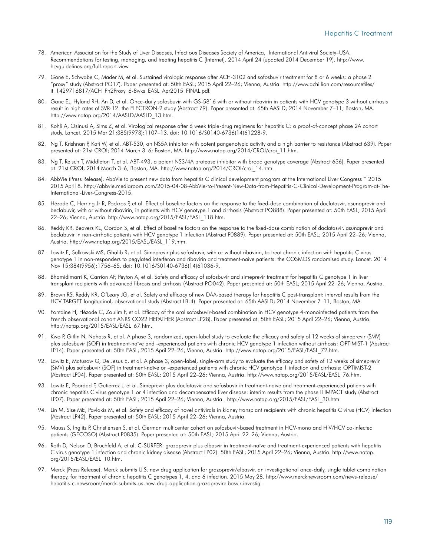- 78. American Association for the Study of Liver Diseases, Infectious Diseases Society of America, International Antiviral Society–USA. Recommendations for testing, managing, and treating hepatitis C [Internet]. 2014 April 24 (updated 2014 December 19). [http://www.](http://www.hcvguidelines.org/full-report-view) [hcvguidelines.org/full-report-view.](http://www.hcvguidelines.org/full-report-view)
- 79. Gane E, Schwabe C, Mader M, et al. Sustained virologic response after ACH-3102 and sofosbuvir treatment for 8 or 6 weeks: a phase 2 "proxy" study (Abstract PO17). Paper presented at: 50th EASL; 2015 April 22–26; Vienna, Austria. [http://www.achillion.com/resourcefiles/](http://www.achillion.com/resourcefiles/it_1429716817/ACH_Ph2Proxy_6-8wks_EASL_Apr2015_FINAL.pdf) [it\\_1429716817/ACH\\_Ph2Proxy\\_6-8wks\\_EASL\\_Apr2015\\_FINAL.pdf.](http://www.achillion.com/resourcefiles/it_1429716817/ACH_Ph2Proxy_6-8wks_EASL_Apr2015_FINAL.pdf)
- 80. Gane EJ, Hyland RH, An D, et al. Once-daily sofosbuvir with GS-5816 with or without ribavirin in patients with HCV genotype 3 without cirrhosis result in high rates of SVR-12: the ELECTRON-2 study (Abstract 79). Paper presented at: 65th AASLD; 2014 November 7–11; Boston, MA. [http://www.natap.org/2014/AASLD/AASLD\\_13.htm](http://www.natap.org/2014/AASLD/AASLD_13.htm).
- 81. Kohli A, Osinusi A, Sims Z, et al. Virological response after 6 week triple-drug regimens for hepatitis C: a proof-of-concept phase 2A cohort study. Lancet. 2015 Mar 21;385(9973):1107–13. doi: 10.1016/S0140-6736(14)61228-9.
- 82. Ng T, Krishnan P, Kati W, et al. ABT-530, an NS5A inhibitor with potent pangenotypic activity and a high barrier to resistance (Abstract 639). Paper presented at: 21st CROI; 2014 March 3–6; Boston, MA. [http://www.natap.org/2014/CROI/croi\\_11.htm](http://www.natap.org/2014/CROI/croi_11.htm).
- 83. Ng T, Reisch T, Middleton T, et al. ABT-493, a potent NS3/4A protease inhibitor with broad genotype coverage (Abstract 636). Paper presented at: 21st CROI; 2014 March 3–6; Boston, MA. [http://www.natap.org/2014/CROI/croi\\_14.htm.](http://www.natap.org/2014/CROI/croi_14.htm)
- 84. AbbVie (Press Release). AbbVie to present new data from hepatitis C clinical development program at the International Liver Congress™ 2015. 2015 April 8. [http://abbvie.mediaroom.com/2015-04-08-AbbVie-to-Present-New-Data-from-Hepatitis-C-Clinical-Development-Program-at-The-](http://abbvie.mediaroom.com/2015-04-08-AbbVie-to-Present-New-Data-from-Hepatitis-C-Clinical-Development-Program-at-The-International-Liver-Congress-2015)[International-Liver-Congress-2015.](http://abbvie.mediaroom.com/2015-04-08-AbbVie-to-Present-New-Data-from-Hepatitis-C-Clinical-Development-Program-at-The-International-Liver-Congress-2015)
- 85. Hézode C, Herring Jr R, Pockros P, et al. Effect of baseline factors on the response to the fixed-dose combination of daclatasvir, asunaprevir and beclabuvir, with or without ribavirin, in patients with HCV genotype 1 and cirrhosis (Abstract PO888). Paper presented at: 50th EASL; 2015 April 22–26; Vienna, Austria. [http://www.natap.org/2015/EASL/EASL\\_118.htm](http://www.natap.org/2015/EASL/EASL_118.htm).
- 86. Reddy KR, Beavers KL, Gordon S, et al. Effect of baseline factors on the response to the fixed-dose combination of daclatasvir, asunaprevir and beclabuvir in non-cirrhotic patients with HCV genotype 1 infection (Abstract P0889). Paper presented at: 50th EASL; 2015 April 22–26; Vienna, Austria. [http://www.natap.org/2015/EASL/EASL\\_119.htm.](http://www.natap.org/2015/EASL/EASL_119.htm)
- 87. Lawitz E, Sulkowski MS, Ghalib R, et al. Simeprevir plus sofosbuvir, with or without ribavirin, to treat chronic infection with hepatitis C virus genotype 1 in non-responders to pegylated interferon and ribavirin and treatment-naive patients: the COSMOS randomised study. Lancet. 2014 Nov 15;384(9956):1756–65. doi: 10.1016/S0140-6736(14)61036-9.
- 88. Bhamidimarri K, Carrion AF, Peyton A, et al. Safety and efficacy of sofosbuvir and simeprevir treatment for hepatitis C genotype 1 in liver transplant recipients with advanced fibrosis and cirrhosis (Abstract PO042). Paper presented at: 50th EASL; 2015 April 22–26; Vienna, Austria.
- 89. Brown RS, Reddy KR, O'Leary JG, et al. Safety and efficacy of new DAA-based therapy for hepatitis C post-transplant: interval results from the HCV TARGET longitudinal, observational study (Abstract LB-4). Paper presented at: 65th AASLD; 2014 November 7–11; Boston, MA.
- 90. Fontaine H, Hézode C, Zoulim F, et al. Efficacy of the oral sofosbuvir-based combination in HCV genotype 4-monoinfected patients from the French observational cohort ANRS CO22 HEPATHER (Abstract LP28). Paper presented at: 50th EASL; 2015 April 22–26; Vienna, Austria. [http://natap.org/2015/EASL/EASL\\_67.htm.](http://natap.org/2015/EASL/EASL_67.htm)
- 91. Kwo P, Gitlin N, Nahass R, et al. A phase 3, randomized, open-label study to evaluate the efficacy and safety of 12 weeks of simeprevir (SMV) plus sofosbuvir (SOF) in treatment-naïve and -experienced patients with chronic HCV genotype 1 infection without cirrhosis: OPTIMIST-1 (Abstract LP14). Paper presented at: 50th EASL; 2015 April 22–26; Vienna, Austria. [http://www.natap.org/2015/EASL/EASL\\_72.htm](http://www.natap.org/2015/EASL/EASL_72.htm).
- 92. Lawitz E, Matusow G, De Jesus E, et al. A phase 3, open-label, single-arm study to evaluate the efficacy and safety of 12 weeks of simeprevir (SMV) plus sofosbuvir (SOF) in treatment-naïve or -experienced patients with chronic HCV genotype 1 infection and cirrhosis: OPTIMIST-2 (Abstract LP04). Paper presented at: 50th EASL; 2015 April 22–26; Vienna, Austria. [http://www.natap.org/2015/EASL/EASL\\_76.htm](http://www.natap.org/2015/EASL/EASL_76.htm).
- 93. Lawitz E, Poordad F, Gutierrez J, et al. Simeprevir plus daclatasvir and sofosbuvir in treatment-naïve and treatment-experienced patients with chronic hepatitis C virus genotype 1 or 4 infection and decompensated liver disease: interim results from the phase II IMPACT study (Abstract LP07). Paper presented at: 50th EASL; 2015 April 22–26; Vienna, Austria. [http://www.natap.org/2015/EASL/EASL\\_30.htm](http://www.natap.org/2015/EASL/EASL_30.htm).
- 94. Lin M, Sise ME, Pavlakis M, et al. Safety and efficacy of novel antivirals in kidney transplant recipients with chronic hepatitis C virus (HCV) infection (Abstract LP42). Paper presented at: 50th EASL; 2015 April 22–26; Vienna, Austria.
- 95. Mauss S, Inglitz P, Christiensen S, et al. German multicenter cohort on sofosbuvir-based treatment in HCV-mono and HIV/HCV co-infected patients (GECOSO) (Abstract P0835). Paper presented at: 50th EASL; 2015 April 22–26; Vienna, Austria.
- 96. Roth D, Nelson D, Bruchfeld A, et al. C-SURFER: grazoprevir plus elbasvir in treatment-naïve and treatment-experienced patients with hepatitis C virus genotype 1 infection and chronic kidney disease (Abstract LP02). 50th EASL; 2015 April 22–26; Vienna, Austria. [http://www.natap.](http://www.natap.org/2015/EASL/EASL_10.htm) [org/2015/EASL/EASL\\_10.htm.](http://www.natap.org/2015/EASL/EASL_10.htm)
- 97. Merck (Press Release). Merck submits U.S. new drug application for grazoprevir/elbasvir, an investigational once-daily, single tablet combination therapy, for treatment of chronic hepatitis C genotypes 1, 4, and 6 infection. 2015 May 28. [http://www.mercknewsroom.com/news-release/](http://www.mercknewsroom.com/news-release/hepatitis-c-newsroom/merck-submits-us-new-drug-application-grazoprevirelbasvir-investig) [hepatitis-c-newsroom/merck-submits-us-new-drug-application-grazoprevirelbasvir-investig.](http://www.mercknewsroom.com/news-release/hepatitis-c-newsroom/merck-submits-us-new-drug-application-grazoprevirelbasvir-investig)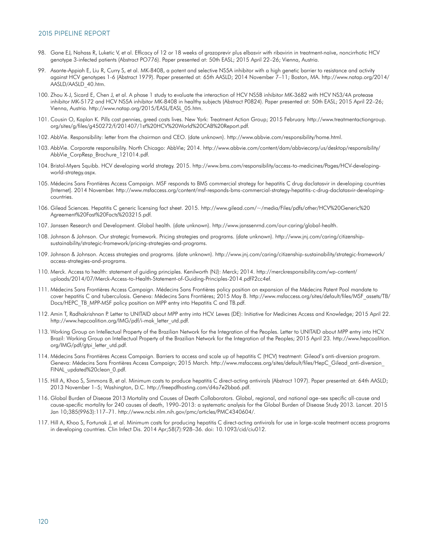- 98. Gane EJ, Nahass R, Luketic V, et al. Efficacy of 12 or 18 weeks of grazoprevir plus elbasvir with ribavirin in treatment-naïve, noncirrhotic HCV genotype 3-infected patients (Abstract PO776). Paper presented at: 50th EASL; 2015 April 22–26; Vienna, Austria.
- 99. Asante-Appiah E, Liu R, Curry S, et al. MK-8408, a potent and selective NS5A inhibitor with a high genetic barrier to resistance and activity against HCV genotypes 1-6 (Abstract 1979). Paper presented at: 65th AASLD; 2014 November 7–11; Boston, MA. [http://www.natap.org/2014/](http://www.natap.org/2014/AASLD/AASLD_40.htm) [AASLD/AASLD\\_40.htm](http://www.natap.org/2014/AASLD/AASLD_40.htm).
- 100. Zhou X-J, Sicard E, Chen J, et al. A phase 1 study to evaluate the interaction of HCV NS5B inhibitor MK-3682 with HCV NS3/4A protease inhibitor MK-5172 and HCV NS5A inhibitor MK-8408 in healthy subjects (Abstract P0824). Paper presented at: 50th EASL; 2015 April 22–26; Vienna, Austria. [http://www.natap.org/2015/EASL/EASL\\_05.htm.](http://www.natap.org/2015/EASL/EASL_05.htm)
- 101. Cousin O, Kaplan K. Pills cost pennies, greed costs lives. New York: Treatment Action Group; 2015 February. [http://www.treatmentactiongroup.](http://www.treatmentactiongroup.org/sites/g/files/g450272/f/201407/1st%20HCV%20World%20CAB%20Report.pdf) [org/sites/g/files/g450272/f/201407/1st%20HCV%20World%20CAB%20Report.pdf.](http://www.treatmentactiongroup.org/sites/g/files/g450272/f/201407/1st%20HCV%20World%20CAB%20Report.pdf)
- 102. AbbVie. Responsibility: letter from the chairman and CEO. (date unknown). [http://www.abbvie.com/responsibility/home.html.](http://www.abbvie.com/responsibility/home.html)
- 103. AbbVie. Corporate responsibility. North Chicago: AbbVie; 2014. [http://www.abbvie.com/content/dam/abbviecorp/us/desktop/responsibility/](http://www.abbvie.com/content/dam/abbviecorp/us/desktop/responsibility/AbbVie_CorpResp_Brochure_121014.pdf) [AbbVie\\_CorpResp\\_Brochure\\_121014.pdf](http://www.abbvie.com/content/dam/abbviecorp/us/desktop/responsibility/AbbVie_CorpResp_Brochure_121014.pdf).
- 104. Bristol-Myers Squibb. HCV developing world strategy. 2015. [http://www.bms.com/responsibility/access-to-medicines/Pages/HCV-developing](http://www.bms.com/responsibility/access-to-medicines/Pages/HCV-developing-world-strategy.aspx)[world-strategy.aspx](http://www.bms.com/responsibility/access-to-medicines/Pages/HCV-developing-world-strategy.aspx).
- 105. Médecins Sans Frontières Access Campaign. MSF responds to BMS commercial strategy for hepatitis C drug daclatasvir in developing countries [Internet]. 2014 November. [http://www.msfaccess.org/content/msf-responds-bms-commercial-strategy-hepatitis-c-drug-daclatasvir-developing](http://www.msfaccess.org/content/msf-responds-bms-commercial-strategy-hepatitis-c-drug-daclatasvir-developing-countries)[countries.](http://www.msfaccess.org/content/msf-responds-bms-commercial-strategy-hepatitis-c-drug-daclatasvir-developing-countries)
- 106. Gilead Sciences. Hepatitis C generic licensing fact sheet. 2015. [http://www.gilead.com/~/media/Files/pdfs/other/HCV%20Generic%20](http://www.gilead.com/~/media/Files/pdfs/other/HCV%20Generic%20Agreement%20Fast%20Facts%203215.pdf) [Agreement%20Fast%20Facts%203215.pdf](http://www.gilead.com/~/media/Files/pdfs/other/HCV%20Generic%20Agreement%20Fast%20Facts%203215.pdf).
- 107. Janssen Research and Development. Global health. (date unknown). [http://www.janssenrnd.com/our-caring/global-health.](http://www.janssenrnd.com/our-caring/global-health)
- 108. Johnson & Johnson. Our strategic framework. Pricing strategies and programs. (date unknown). [http://www.jnj.com/caring/citizenship](http://www.jnj.com/caring/citizenship-sustainability/strategic-framework/pricing-strategies-and-programs)[sustainability/strategic-framework/pricing-strategies-and-programs.](http://www.jnj.com/caring/citizenship-sustainability/strategic-framework/pricing-strategies-and-programs)
- 109. Johnson & Johnson. Access strategies and programs. (date unknown). [http://www.jnj.com/caring/citizenship-sustainability/strategic-framework/](http://www.jnj.com/caring/citizenship-sustainability/strategic-framework/access-strategies-and-programs) [access-strategies-and-programs](http://www.jnj.com/caring/citizenship-sustainability/strategic-framework/access-strategies-and-programs).
- 110. Merck. Access to health: statement of guiding principles. Kenilworth (NJ): Merck; 2014. [http://merckresponsibility.com/wp-content/](http://merckresponsibility.com/wp-content/uploads/2014/07/Merck-Access-to-Health-Statement-of-Guiding-Principles-2014.pdf?2cc4ef) [uploads/2014/07/Merck-Access-to-Health-Statement-of-Guiding-Principles-2014.pdf?2cc4ef.](http://merckresponsibility.com/wp-content/uploads/2014/07/Merck-Access-to-Health-Statement-of-Guiding-Principles-2014.pdf?2cc4ef)
- 111. Médecins Sans Frontières Access Campaign. Médecins Sans Frontières policy position on expansion of the Médecins Patent Pool mandate to cover hepatitis C and tuberculosis. Geneva: Médecins Sans Frontières; 2015 May 8. [http://www.msfaccess.org/sites/default/files/MSF\\_assets/TB/](http://www.msfaccess.org/sites/default/files/MSF_assets/TB/Docs/HEPC_TB_MPP-MSF policy position on MPP entry into Hepatitis C and TB.pdf) [Docs/HEPC\\_TB\\_MPP-MSF policy position on MPP entry into Hepatitis C and TB.pdf.](http://www.msfaccess.org/sites/default/files/MSF_assets/TB/Docs/HEPC_TB_MPP-MSF policy position on MPP entry into Hepatitis C and TB.pdf)
- 112. Amin T, Radhakrishnan P. Letter to UNITAID about MPP entry into HCV. Lewes (DE): Initiative for Medicines Access and Knowledge; 2015 April 22. [http://www.hepcoalition.org/IMG/pdf/i-mak\\_letter\\_utd.pdf](http://www.hepcoalition.org/IMG/pdf/i-mak_letter_utd.pdf).
- 113. Working Group on Intellectual Property of the Brazilian Network for the Integration of the Peoples. Letter to UNITAID about MPP entry into HCV. Brazil: Working Group on Intellectual Property of the Brazilian Network for the Integration of the Peoples; 2015 April 23. [http://www.hepcoalition.](http://www.hepcoalition.org/IMG/pdf/gtpi_letter_utd.pdf) [org/IMG/pdf/gtpi\\_letter\\_utd.pdf.](http://www.hepcoalition.org/IMG/pdf/gtpi_letter_utd.pdf)
- 114. Médecins Sans Frontières Access Campaign. Barriers to access and scale up of hepatitis C (HCV) treatment: Gilead's anti-diversion program. Geneva: Médecins Sans Frontières Access Campaign; 2015 March. [http://www.msfaccess.org/sites/default/files/HepC\\_Gilead\\_anti-diversion\\_](http://www.msfaccess.org/sites/default/files/HepC_Gilead_anti-diversion_FINAL_updated%20clean_0.pdf) [FINAL\\_updated%20clean\\_0.pdf.](http://www.msfaccess.org/sites/default/files/HepC_Gilead_anti-diversion_FINAL_updated%20clean_0.pdf)
- 115. Hill A, Khoo S, Simmons B, et al. Minimum costs to produce hepatitis C direct-acting antivirals (Abstract 1097). Paper presented at: 64th AASLD; 2013 November 1–5; Washington, D.C. [http://freepdfhosting.com/d4a7e2bba6.pdf.](http://freepdfhosting.com/d4a7e2bba6.pdf)
- 116. Global Burden of Disease 2013 Mortality and Causes of Death Collaborators. Global, regional, and national age–sex specific all-cause and cause-specific mortality for 240 causes of death, 1990–2013: a systematic analysis for the Global Burden of Disease Study 2013. Lancet. 2015 Jan 10;385(9963):117–71. [http://www.ncbi.nlm.nih.gov/pmc/articles/PMC4340604/.](http://www.ncbi.nlm.nih.gov/pmc/articles/PMC4340604/)
- 117. Hill A, Khoo S, Fortunak J, et al. Minimum costs for producing hepatitis C direct-acting antivirals for use in large-scale treatment access programs in developing countries. Clin Infect Dis. 2014 Apr;58(7):928–36. doi: 10.1093/cid/ciu012.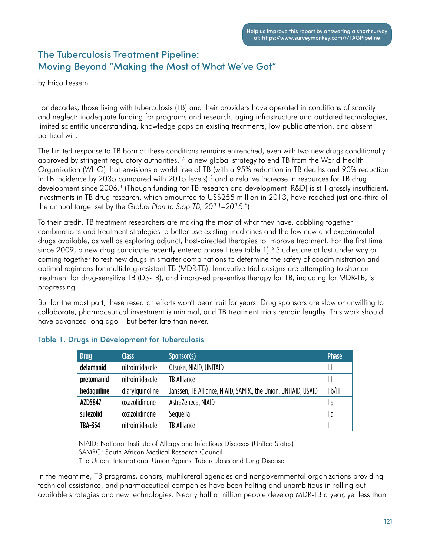# The Tuberculosis Treatment Pipeline: Moving Beyond "Making the Most of What We've Got"

by Erica Lessem

For decades, those living with tuberculosis (TB) and their providers have operated in conditions of scarcity and neglect: inadequate funding for programs and research, aging infrastructure and outdated technologies, limited scientific understanding, knowledge gaps on existing treatments, low public attention, and absent political will.

The limited response to TB born of these conditions remains entrenched, even with two new drugs conditionally approved by stringent regulatory authorities,<sup>1,2</sup> a new global strategy to end TB from the World Health Organization (WHO) that envisions a world free of TB (with a 95% reduction in TB deaths and 90% reduction in TB incidence by 2035 compared with 2015 levels), $3$  and a relative increase in resources for TB drug development since 2006.4 (Though funding for TB research and development [R&D] is still grossly insufficient, investments in TB drug research, which amounted to US\$255 million in 2013, have reached just one-third of the annual target set by the *Global Plan to Stop TB, 2011–2015*. 5)

To their credit, TB treatment researchers are making the most of what they have, cobbling together combinations and treatment strategies to better use existing medicines and the few new and experimental drugs available, as well as exploring adjunct, host-directed therapies to improve treatment. For the first time since 2009, a new drug candidate recently entered phase I (see table 1).<sup>6</sup> Studies are at last under way or coming together to test new drugs in smarter combinations to determine the safety of coadministration and optimal regimens for multidrug-resistant TB (MDR-TB). Innovative trial designs are attempting to shorten treatment for drug-sensitive TB (DS-TB), and improved preventive therapy for TB, including for MDR-TB, is progressing.

But for the most part, these research efforts won't bear fruit for years. Drug sponsors are slow or unwilling to collaborate, pharmaceutical investment is minimal, and TB treatment trials remain lengthy. This work should have advanced long ago – but better late than never.

| <b>Drug</b>    | <b>Class</b>    | Sponsor(s)                                                    | <b>Phase</b> |
|----------------|-----------------|---------------------------------------------------------------|--------------|
| delamanid      | nitroimidazole  | Otsuka, NIAID, UNITAID                                        | $\mathbb{I}$ |
| pretomanid     | nitroimidazole  | <b>TB Alliance</b>                                            | $\mathbb{I}$ |
| bedaquiline    | diarylguinoline | Janssen, TB Alliance, NIAID, SAMRC, the Union, UNITAID, USAID | IIb/III      |
| AZD5847        | oxazolidinone   | AstraZeneca, NIAID                                            | lla          |
| sutezolid      | oxazolidinone   | Sequella                                                      | lla          |
| <b>TBA-354</b> | nitroimidazole  | <b>TB Alliance</b>                                            |              |

## Table 1. Drugs in Development for Tuberculosis

NIAID: National Institute of Allergy and Infectious Diseases (United States) SAMRC: South African Medical Research Council

The Union: International Union Against Tuberculosis and Lung Disease

In the meantime, TB programs, donors, multilateral agencies and nongovernmental organizations providing technical assistance, and pharmaceutical companies have been halting and unambitious in rolling out available strategies and new technologies. Nearly half a million people develop MDR-TB a year, yet less than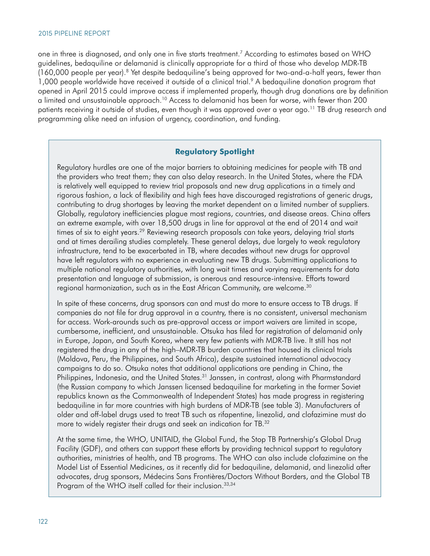one in three is diagnosed, and only one in five starts treatment.7 According to estimates based on WHO guidelines, bedaquiline or delamanid is clinically appropriate for a third of those who develop MDR-TB (160,000 people per year).8 Yet despite bedaquiline's being approved for two-and-a-half years, fewer than 1,000 people worldwide have received it outside of a clinical trial.<sup>9</sup> A bedaquiline donation program that opened in April 2015 could improve access if implemented properly, though drug donations are by definition a limited and unsustainable approach.10 Access to delamanid has been far worse, with fewer than 200 patients receiving it outside of studies, even though it was approved over a year ago.11 TB drug research and programming alike need an infusion of urgency, coordination, and funding.

#### **Regulatory Spotlight**

Regulatory hurdles are one of the major barriers to obtaining medicines for people with TB and the providers who treat them; they can also delay research. In the United States, where the FDA is relatively well equipped to review trial proposals and new drug applications in a timely and rigorous fashion, a lack of flexibility and high fees have discouraged registrations of generic drugs, contributing to drug shortages by leaving the market dependent on a limited number of suppliers. Globally, regulatory inefficiencies plague most regions, countries, and disease areas. China offers an extreme example, with over 18,500 drugs in line for approval at the end of 2014 and wait times of six to eight years.29 Reviewing research proposals can take years, delaying trial starts and at times derailing studies completely. These general delays, due largely to weak regulatory infrastructure, tend to be exacerbated in TB, where decades without new drugs for approval have left regulators with no experience in evaluating new TB drugs. Submitting applications to multiple national regulatory authorities, with long wait times and varying requirements for data presentation and language of submission, is onerous and resource-intensive. Efforts toward regional harmonization, such as in the East African Community, are welcome. $^{30}$ 

In spite of these concerns, drug sponsors can and must do more to ensure access to TB drugs. If companies do not file for drug approval in a country, there is no consistent, universal mechanism for access. Work-arounds such as pre-approval access or import waivers are limited in scope, cumbersome, inefficient, and unsustainable. Otsuka has filed for registration of delamanid only in Europe, Japan, and South Korea, where very few patients with MDR-TB live. It still has not registered the drug in any of the high–MDR-TB burden countries that housed its clinical trials (Moldova, Peru, the Philippines, and South Africa), despite sustained international advocacy campaigns to do so. Otsuka notes that additional applications are pending in China, the Philippines, Indonesia, and the United States.<sup>31</sup> Janssen, in contrast, along with Pharmstandard (the Russian company to which Janssen licensed bedaquiline for marketing in the former Soviet republics known as the Commonwealth of Independent States) has made progress in registering bedaquiline in far more countries with high burdens of MDR-TB (see table 3). Manufacturers of older and off-label drugs used to treat TB such as rifapentine, linezolid, and clofazimine must do more to widely register their drugs and seek an indication for TB.32

At the same time, the WHO, UNITAID, the Global Fund, the Stop TB Partnership's Global Drug Facility (GDF), and others can support these efforts by providing technical support to regulatory authorities, ministries of health, and TB programs. The WHO can also include clofazimine on the Model List of Essential Medicines, as it recently did for bedaquiline, delamanid, and linezolid after advocates, drug sponsors, Médecins Sans Frontières/Doctors Without Borders, and the Global TB Program of the WHO itself called for their inclusion.<sup>33,34</sup>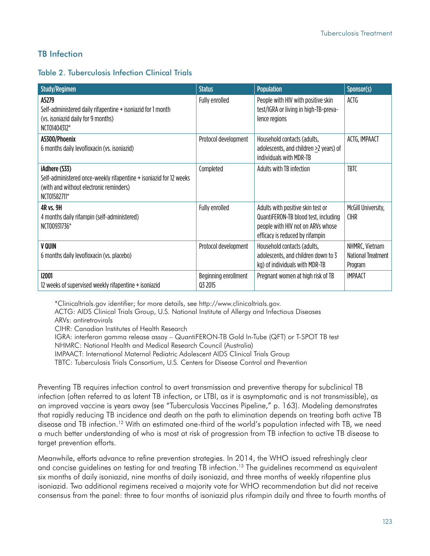# TB Infection

|  |  | <b>Table 2. Tuberculosis Infection Clinical Trials</b> |  |  |
|--|--|--------------------------------------------------------|--|--|
|  |  |                                                        |  |  |

| <b>Study/Regimen</b>                                                                                                                           | <b>Status</b>                   | <b>Population</b>                                                                                                                                 | Sponsor(s)                                      |
|------------------------------------------------------------------------------------------------------------------------------------------------|---------------------------------|---------------------------------------------------------------------------------------------------------------------------------------------------|-------------------------------------------------|
| A5279<br>Self-administered daily rifapentine + isoniazid for 1 month<br>(vs. isoniazid daily for 9 months)<br>NCT01404312*                     | Fully enrolled                  | People with HIV with positive skin<br>test/IGRA or living in high-TB-preva-<br>lence regions                                                      | ACTG                                            |
| A5300/Phoenix<br>6 months daily levofloxacin (vs. isoniazid)                                                                                   | Protocol development            | Household contacts (adults,<br>adolescents, and children >2 years) of<br>individuals with MDR-TB                                                  | ACTG, IMPAACT                                   |
| iAdhere (S33)<br>Self-administered once-weekly rifapentine + isoniazid for 12 weeks<br>(with and without electronic reminders)<br>NCT01582711* | Completed                       | Adults with TB infection                                                                                                                          | <b>TBTC</b>                                     |
| 4R vs. 9H<br>4 months daily rifampin (self-administered)<br>NCT00931736*                                                                       | Fully enrolled                  | Adults with positive skin test or<br>QuantiFERON-TB blood test, including<br>people with HIV not on ARVs whose<br>efficacy is reduced by rifampin | McGill University,<br><b>CIHR</b>               |
| <b>V QUIN</b><br>6 months daily levofloxacin (vs. placebo)                                                                                     | Protocol development            | Household contacts (adults,<br>adolescents, and children down to 3<br>kg) of individuals with MDR-TB                                              | NHMRC, Vietnam<br>National Treatment<br>Program |
| 12001<br>12 weeks of supervised weekly rifapentine + isoniazid                                                                                 | Beginning enrollment<br>Q3 2015 | Pregnant women at high risk of TB                                                                                                                 | <b>IMPAACT</b>                                  |

\*Clinicaltrials.gov identifier; for more details, see http://www.clinicaltrials.gov.

ACTG: AIDS Clinical Trials Group, U.S. National Institute of Allergy and Infectious Diseases ARVs: antiretrovirals

CIHR: Canadian Institutes of Health Research

IGRA: interferon gamma release assay – QuantiFERON-TB Gold In-Tube (QFT) or T-SPOT TB test NHMRC: National Health and Medical Research Council (Australia) IMPAACT: International Maternal Pediatric Adolescent AIDS Clinical Trials Group

TBTC: Tuberculosis Trials Consortium, U.S. Centers for Disease Control and Prevention

Preventing TB requires infection control to avert transmission and preventive therapy for subclinical TB infection (often referred to as latent TB infection, or LTBI, as it is asymptomatic and is not transmissible), as an improved vaccine is years away (see "Tuberculosis Vaccines Pipeline," p. 163). Modeling demonstrates that rapidly reducing TB incidence and death on the path to elimination depends on treating both active TB disease and TB infection.12 With an estimated one-third of the world's population infected with TB, we need a much better understanding of who is most at risk of progression from TB infection to active TB disease to target prevention efforts.

Meanwhile, efforts advance to refine prevention strategies. In 2014, the WHO issued refreshingly clear and concise guidelines on testing for and treating TB infection.<sup>13</sup> The guidelines recommend as equivalent six months of daily isoniazid, nine months of daily isoniazid, and three months of weekly rifapentine plus isoniazid. Two additional regimens received a majority vote for WHO recommendation but did not receive consensus from the panel: three to four months of isoniazid plus rifampin daily and three to fourth months of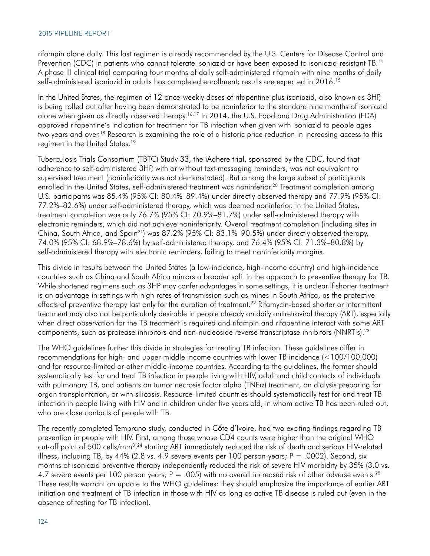rifampin alone daily. This last regimen is already recommended by the U.S. Centers for Disease Control and Prevention (CDC) in patients who cannot tolerate isoniazid or have been exposed to isoniazid-resistant TB.14 A phase III clinical trial comparing four months of daily self-administered rifampin with nine months of daily self-administered isoniazid in adults has completed enrollment; results are expected in 2016.<sup>15</sup>

In the United States, the regimen of 12 once-weekly doses of rifapentine plus isoniazid, also known as 3HP, is being rolled out after having been demonstrated to be noninferior to the standard nine months of isoniazid alone when given as directly observed therapy.<sup>16,17</sup> In 2014, the U.S. Food and Drug Administration (FDA) approved rifapentine's indication for treatment for TB infection when given with isoniazid to people ages two years and over.<sup>18</sup> Research is examining the role of a historic price reduction in increasing access to this regimen in the United States.19

Tuberculosis Trials Consortium (TBTC) Study 33, the iAdhere trial, sponsored by the CDC, found that adherence to self-administered 3HP, with or without text-messaging reminders, was not equivalent to supervised treatment (noninferiority was not demonstrated). But among the large subset of participants enrolled in the United States, self-administered treatment was noninferior.<sup>20</sup> Treatment completion among U.S. participants was 85.4% (95% CI: 80.4%–89.4%) under directly observed therapy and 77.9% (95% CI: 77.2%–82.6%) under self-administered therapy, which was deemed noninferior. In the United States, treatment completion was only 76.7% (95% CI: 70.9%–81.7%) under self-administered therapy with electronic reminders, which did not achieve noninferiority. Overall treatment completion (including sites in China, South Africa, and Spain21) was 87.2% (95% CI: 83.1%–90.5%) under directly observed therapy, 74.0% (95% CI: 68.9%–78.6%) by self-administered therapy, and 76.4% (95% CI: 71.3%–80.8%) by self-administered therapy with electronic reminders, failing to meet noninferiority margins.

This divide in results between the United States (a low-incidence, high-income country) and high-incidence countries such as China and South Africa mirrors a broader split in the approach to preventive therapy for TB. While shortened regimens such as 3HP may confer advantages in some settings, it is unclear if shorter treatment is an advantage in settings with high rates of transmission such as mines in South Africa, as the protective effects of preventive therapy last only for the duration of treatment.<sup>22</sup> Rifamycin-based shorter or intermittent treatment may also not be particularly desirable in people already on daily antiretroviral therapy (ART), especially when direct observation for the TB treatment is required and rifampin and rifapentine interact with some ART components, such as protease inhibitors and non-nucleoside reverse transcriptase inhibitors (NNRTIs).23

The WHO guidelines further this divide in strategies for treating TB infection. These guidelines differ in recommendations for high- and upper-middle income countries with lower TB incidence (<100/100,000) and for resource-limited or other middle-income countries. According to the guidelines, the former should systematically test for and treat TB infection in people living with HIV, adult and child contacts of individuals with pulmonary TB, and patients on tumor necrosis factor alpha (TNF $\alpha$ ) treatment, on dialysis preparing for organ transplantation, or with silicosis. Resource-limited countries should systematically test for and treat TB infection in people living with HIV and in children under five years old, in whom active TB has been ruled out, who are close contacts of people with TB.

The recently completed Temprano study, conducted in Côte d'Ivoire, had two exciting findings regarding TB prevention in people with HIV. First, among those whose CD4 counts were higher than the original WHO cut-off point of 500 cells/mm<sup>3</sup>,<sup>24</sup> starting ART immediately reduced the risk of death and serious HIV-related illness, including TB, by 44% (2.8 vs. 4.9 severe events per 100 person-years;  $P = .0002$ ). Second, six months of isoniazid preventive therapy independently reduced the risk of severe HIV morbidity by 35% (3.0 vs. 4.7 severe events per 100 person years;  $P = .005$ ) with no overall increased risk of other adverse events.<sup>25</sup> These results warrant an update to the WHO guidelines: they should emphasize the importance of earlier ART initiation and treatment of TB infection in those with HIV as long as active TB disease is ruled out (even in the absence of testing for TB infection).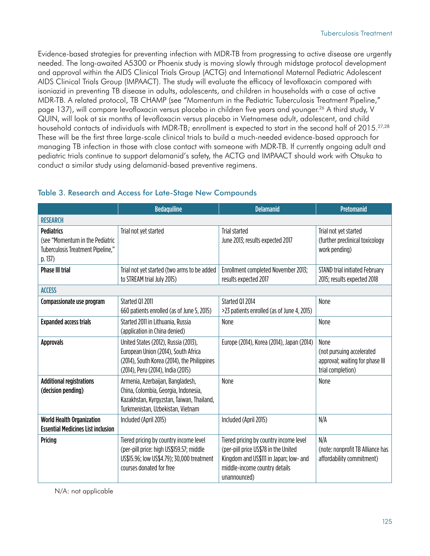Evidence-based strategies for preventing infection with MDR-TB from progressing to active disease are urgently needed. The long-awaited A5300 or Phoenix study is moving slowly through midstage protocol development and approval within the AIDS Clinical Trials Group (ACTG) and International Maternal Pediatric Adolescent AIDS Clinical Trials Group (IMPAACT). The study will evaluate the efficacy of levofloxacin compared with isoniazid in preventing TB disease in adults, adolescents, and children in households with a case of active MDR-TB. A related protocol, TB CHAMP (see "Momentum in the Pediatric Tuberculosis Treatment Pipeline," page 137), will compare levofloxacin versus placebo in children five years and younger.<sup>26</sup> A third study, V QUIN, will look at six months of levofloxacin versus placebo in Vietnamese adult, adolescent, and child household contacts of individuals with MDR-TB; enrollment is expected to start in the second half of 2015.<sup>27,28</sup> These will be the first three large-scale clinical trials to build a much-needed evidence-based approach for managing TB infection in those with close contact with someone with MDR-TB. If currently ongoing adult and pediatric trials continue to support delamanid's safety, the ACTG and IMPAACT should work with Otsuka to conduct a similar study using delamanid-based preventive regimens.

|                                                                                                      | <b>Bedaquiline</b>                                                                                                                                              | <b>Delamanid</b>                                                                                                                                                          | <b>Pretomanid</b>                                                                         |
|------------------------------------------------------------------------------------------------------|-----------------------------------------------------------------------------------------------------------------------------------------------------------------|---------------------------------------------------------------------------------------------------------------------------------------------------------------------------|-------------------------------------------------------------------------------------------|
| <b>RESEARCH</b>                                                                                      |                                                                                                                                                                 |                                                                                                                                                                           |                                                                                           |
| <b>Pediatrics</b><br>(see "Momentum in the Pediatric<br>Tuberculosis Treatment Pipeline."<br>p. 137) | Trial not yet started                                                                                                                                           | Trial started<br>June 2013; results expected 2017                                                                                                                         | Trial not yet started<br>(further preclinical toxicology)<br>work pending)                |
| <b>Phase III trial</b>                                                                               | Trial not yet started (two arms to be added<br>to STREAM trial July 2015)                                                                                       | Enrollment completed November 2013;<br>results expected 2017                                                                                                              | STAND trial initiated February<br>2015; results expected 2018                             |
| <b>ACCESS</b>                                                                                        |                                                                                                                                                                 |                                                                                                                                                                           |                                                                                           |
| Compassionate use program                                                                            | Started 01 2011<br>660 patients enrolled (as of June 5, 2015)                                                                                                   | Started Q1 2014<br>>23 patients enrolled (as of June 4, 2015)                                                                                                             | None                                                                                      |
| <b>Expanded access trials</b>                                                                        | Started 2011 in Lithuania, Russia<br>(application in China denied)                                                                                              | None                                                                                                                                                                      | None                                                                                      |
| <b>Approvals</b>                                                                                     | United States (2012), Russia (2013),<br>European Union (2014), South Africa<br>(2014), South Korea (2014), the Philippines<br>(2014), Peru (2014), India (2015) | Europe (2014), Korea (2014), Japan (2014)                                                                                                                                 | None<br>(not pursuing accelerated<br>approval; waiting for phase III<br>trial completion) |
| <b>Additional registrations</b><br>(decision pending)                                                | Armenia, Azerbaijan, Bangladesh,<br>China, Colombia, Georgia, Indonesia,<br>Kazakhstan, Kyrgyzstan, Taiwan, Thailand,<br>Turkmenistan, Uzbekistan, Vietnam      | None                                                                                                                                                                      | None                                                                                      |
| <b>World Health Organization</b><br><b>Essential Medicines List inclusion</b>                        | Included (April 2015)                                                                                                                                           | Included (April 2015)                                                                                                                                                     | N/A                                                                                       |
| <b>Pricing</b>                                                                                       | Tiered pricing by country income level<br>(per-pill price: high US\$159.57; middle<br>US\$15.96; low US\$4.79); 30,000 treatment<br>courses donated for free    | Tiered pricing by country income level<br>(per-pill price US\$78 in the United<br>Kingdom and US\$111 in Japan; low- and<br>middle-income country details<br>unannounced) | N/A<br>(note: nonprofit TB Alliance has<br>affordability commitment)                      |

## Table 3. Research and Access for Late-Stage New Compounds

N/A: not applicable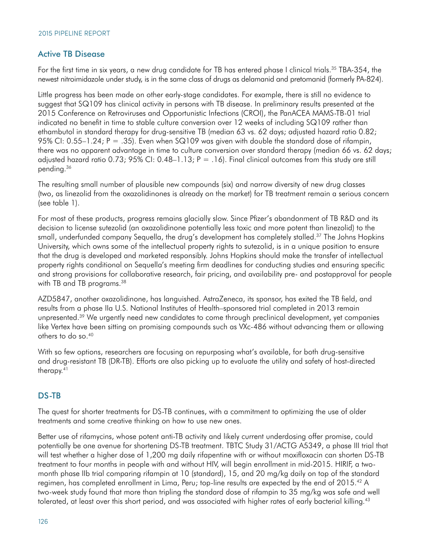## Active TB Disease

For the first time in six years, a new drug candidate for TB has entered phase I clinical trials.<sup>35</sup> TBA-354, the newest nitroimidazole under study, is in the same class of drugs as delamanid and pretomanid (formerly PA-824).

Little progress has been made on other early-stage candidates. For example, there is still no evidence to suggest that SQ109 has clinical activity in persons with TB disease. In preliminary results presented at the 2015 Conference on Retroviruses and Opportunistic Infections (CROI), the PanACEA MAMS-TB-01 trial indicated no benefit in time to stable culture conversion over 12 weeks of including SQ109 rather than ethambutol in standard therapy for drug-sensitive TB (median 63 vs. 62 days; adjusted hazard ratio 0.82; 95% CI: 0.55–1.24; P = .35). Even when SQ109 was given with double the standard dose of rifampin, there was no apparent advantage in time to culture conversion over standard therapy (median 66 vs. 62 days; adjusted hazard ratio 0.73; 95% CI:  $0.48-1.13$ ; P = .16). Final clinical outcomes from this study are still pending.36

The resulting small number of plausible new compounds (six) and narrow diversity of new drug classes (two, as linezolid from the oxazolidinones is already on the market) for TB treatment remain a serious concern (see table 1).

For most of these products, progress remains glacially slow. Since Pfizer's abandonment of TB R&D and its decision to license sutezolid (an oxazolidinone potentially less toxic and more potent than linezolid) to the small, underfunded company Sequella, the drug's development has completely stalled.37 The Johns Hopkins University, which owns some of the intellectual property rights to sutezolid, is in a unique position to ensure that the drug is developed and marketed responsibly. Johns Hopkins should make the transfer of intellectual property rights conditional on Sequella's meeting firm deadlines for conducting studies and ensuring specific and strong provisions for collaborative research, fair pricing, and availability pre- and postapproval for people with TB and TB programs.<sup>38</sup>

AZD5847, another oxazolidinone, has languished. AstraZeneca, its sponsor, has exited the TB field, and results from a phase IIa U.S. National Institutes of Health–sponsored trial completed in 2013 remain unpresented.<sup>39</sup> We urgently need new candidates to come through preclinical development, yet companies like Vertex have been sitting on promising compounds such as VXc-486 without advancing them or allowing others to do so.40

With so few options, researchers are focusing on repurposing what's available, for both drug-sensitive and drug-resistant TB (DR-TB). Efforts are also picking up to evaluate the utility and safety of host-directed therapy.41

## DS-TB

The quest for shorter treatments for DS-TB continues, with a commitment to optimizing the use of older treatments and some creative thinking on how to use new ones.

Better use of rifamycins, whose potent anti-TB activity and likely current underdosing offer promise, could potentially be one avenue for shortening DS-TB treatment. TBTC Study 31/ACTG A5349, a phase III trial that will test whether a higher dose of 1,200 mg daily rifapentine with or without moxifloxacin can shorten DS-TB treatment to four months in people with and without HIV, will begin enrollment in mid-2015. HIRIF, a twomonth phase IIb trial comparing rifampin at 10 (standard), 15, and 20 mg/kg daily on top of the standard regimen, has completed enrollment in Lima, Peru; top-line results are expected by the end of 2015.42 A two-week study found that more than tripling the standard dose of rifampin to 35 mg/kg was safe and well tolerated, at least over this short period, and was associated with higher rates of early bacterial killing.<sup>43</sup>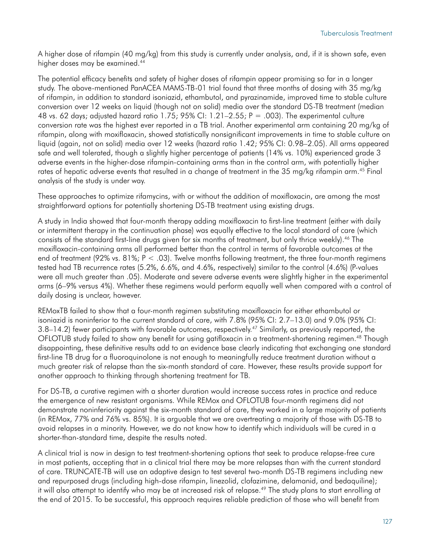A higher dose of rifampin (40 mg/kg) from this study is currently under analysis, and, if it is shown safe, even higher doses may be examined.<sup>44</sup>

The potential efficacy benefits and safety of higher doses of rifampin appear promising so far in a longer study. The above-mentioned PanACEA MAMS-TB-01 trial found that three months of dosing with 35 mg/kg of rifampin, in addition to standard isoniazid, ethambutol, and pyrazinamide, improved time to stable culture conversion over 12 weeks on liquid (though not on solid) media over the standard DS-TB treatment (median 48 vs. 62 days; adjusted hazard ratio 1.75; 95% CI: 1.21–2.55; P = .003). The experimental culture conversion rate was the highest ever reported in a TB trial. Another experimental arm containing 20 mg/kg of rifampin, along with moxifloxacin, showed statistically nonsignificant improvements in time to stable culture on liquid (again, not on solid) media over 12 weeks (hazard ratio 1.42; 95% CI: 0.98–2.05). All arms appeared safe and well tolerated, though a slightly higher percentage of patients (14% vs. 10%) experienced grade 3 adverse events in the higher-dose rifampin-containing arms than in the control arm, with potentially higher rates of hepatic adverse events that resulted in a change of treatment in the 35 mg/kg rifampin arm.<sup>45</sup> Final analysis of the study is under way.

These approaches to optimize rifamycins, with or without the addition of moxifloxacin, are among the most straightforward options for potentially shortening DS-TB treatment using existing drugs.

A study in India showed that four-month therapy adding moxifloxacin to first-line treatment (either with daily or intermittent therapy in the continuation phase) was equally effective to the local standard of care (which consists of the standard first-line drugs given for six months of treatment, but only thrice weekly).<sup>46</sup> The moxifloxacin-containing arms all performed better than the control in terms of favorable outcomes at the end of treatment (92% vs.  $81\%$ ; P  $\lt$  .03). Twelve months following treatment, the three four-month regimens tested had TB recurrence rates (5.2%, 6.6%, and 4.6%, respectively) similar to the control (4.6%) (P-values were all much greater than .05). Moderate and severe adverse events were slightly higher in the experimental arms (6–9% versus 4%). Whether these regimens would perform equally well when compared with a control of daily dosing is unclear, however.

REMoxTB failed to show that a four-month regimen substituting moxifloxacin for either ethambutol or isoniazid is noninferior to the current standard of care, with 7.8% (95% CI: 2.7–13.0) and 9.0% (95% CI: 3.8–14.2) fewer participants with favorable outcomes, respectively.47 Similarly, as previously reported, the OFLOTUB study failed to show any benefit for using gatifloxacin in a treatment-shortening regimen.48 Though disappointing, these definitive results add to an evidence base clearly indicating that exchanging one standard first-line TB drug for a fluoroquinolone is not enough to meaningfully reduce treatment duration without a much greater risk of relapse than the six-month standard of care. However, these results provide support for another approach to thinking through shortening treatment for TB.

For DS-TB, a curative regimen with a shorter duration would increase success rates in practice and reduce the emergence of new resistant organisms. While REMox and OFLOTUB four-month regimens did not demonstrate noninferiority against the six-month standard of care, they worked in a large majority of patients (in REMox, 77% and 76% vs. 85%). It is arguable that we are overtreating a majority of those with DS-TB to avoid relapses in a minority. However, we do not know how to identify which individuals will be cured in a shorter-than-standard time, despite the results noted.

A clinical trial is now in design to test treatment-shortening options that seek to produce relapse-free cure in most patients, accepting that in a clinical trial there may be more relapses than with the current standard of care. TRUNCATE-TB will use an adaptive design to test several two-month DS-TB regimens including new and repurposed drugs (including high-dose rifampin, linezolid, clofazimine, delamanid, and bedaquiline); it will also attempt to identify who may be at increased risk of relapse.<sup>49</sup> The study plans to start enrolling at the end of 2015. To be successful, this approach requires reliable prediction of those who will benefit from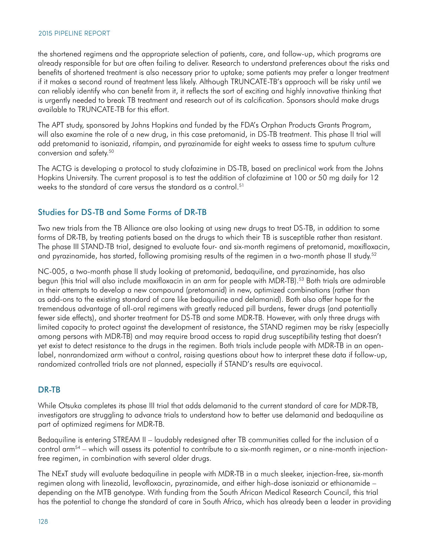the shortened regimens and the appropriate selection of patients, care, and follow-up, which programs are already responsible for but are often failing to deliver. Research to understand preferences about the risks and benefits of shortened treatment is also necessary prior to uptake; some patients may prefer a longer treatment if it makes a second round of treatment less likely. Although TRUNCATE-TB's approach will be risky until we can reliably identify who can benefit from it, it reflects the sort of exciting and highly innovative thinking that is urgently needed to break TB treatment and research out of its calcification. Sponsors should make drugs available to TRUNCATE-TB for this effort.

The APT study, sponsored by Johns Hopkins and funded by the FDA's Orphan Products Grants Program, will also examine the role of a new drug, in this case pretomanid, in DS-TB treatment. This phase II trial will add pretomanid to isoniazid, rifampin, and pyrazinamide for eight weeks to assess time to sputum culture conversion and safety.50

The ACTG is developing a protocol to study clofazimine in DS-TB, based on preclinical work from the Johns Hopkins University. The current proposal is to test the addition of clofazimine at 100 or 50 mg daily for 12 weeks to the standard of care versus the standard as a control.<sup>51</sup>

## Studies for DS-TB and Some Forms of DR-TB

Two new trials from the TB Alliance are also looking at using new drugs to treat DS-TB, in addition to some forms of DR-TB, by treating patients based on the drugs to which their TB is susceptible rather than resistant. The phase III STAND-TB trial, designed to evaluate four- and six-month regimens of pretomanid, moxifloxacin, and pyrazinamide, has started, following promising results of the regimen in a two-month phase II study.<sup>52</sup>

NC-005, a two-month phase II study looking at pretomanid, bedaquiline, and pyrazinamide, has also begun (this trial will also include moxifloxacin in an arm for people with MDR-TB).53 Both trials are admirable in their attempts to develop a new compound (pretomanid) in new, optimized combinations (rather than as add-ons to the existing standard of care like bedaquiline and delamanid). Both also offer hope for the tremendous advantage of all-oral regimens with greatly reduced pill burdens, fewer drugs (and potentially fewer side effects), and shorter treatment for DS-TB and some MDR-TB. However, with only three drugs with limited capacity to protect against the development of resistance, the STAND regimen may be risky (especially among persons with MDR-TB) and may require broad access to rapid drug susceptibility testing that doesn't yet exist to detect resistance to the drugs in the regimen. Both trials include people with MDR-TB in an openlabel, nonrandomized arm without a control, raising questions about how to interpret these data if follow-up, randomized controlled trials are not planned, especially if STAND's results are equivocal.

## DR-TB

While Otsuka completes its phase III trial that adds delamanid to the current standard of care for MDR-TB, investigators are struggling to advance trials to understand how to better use delamanid and bedaquiline as part of optimized regimens for MDR-TB.

Bedaquiline is entering STREAM II – laudably redesigned after TB communities called for the inclusion of a control arm<sup>54</sup> – which will assess its potential to contribute to a six-month regimen, or a nine-month injectionfree regimen, in combination with several older drugs.

The NExT study will evaluate bedaquiline in people with MDR-TB in a much sleeker, injection-free, six-month regimen along with linezolid, levofloxacin, pyrazinamide, and either high-dose isoniazid or ethionamide – depending on the MTB genotype. With funding from the South African Medical Research Council, this trial has the potential to change the standard of care in South Africa, which has already been a leader in providing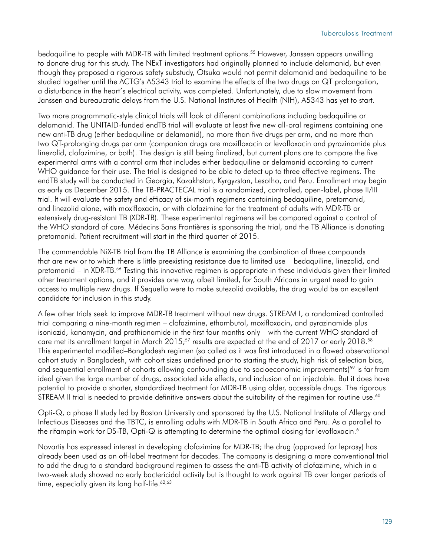bedaquiline to people with MDR-TB with limited treatment options.<sup>55</sup> However, Janssen appears unwilling to donate drug for this study. The NExT investigators had originally planned to include delamanid, but even though they proposed a rigorous safety substudy, Otsuka would not permit delamanid and bedaquiline to be studied together until the ACTG's A5343 trial to examine the effects of the two drugs on QT prolongation, a disturbance in the heart's electrical activity, was completed. Unfortunately, due to slow movement from Janssen and bureaucratic delays from the U.S. National Institutes of Health (NIH), A5343 has yet to start.

Two more programmatic-style clinical trials will look at different combinations including bedaquiline or delamanid. The UNITAID-funded endTB trial will evaluate at least five new all-oral regimens containing one new anti-TB drug (either bedaquiline or delamanid), no more than five drugs per arm, and no more than two QT-prolonging drugs per arm (companion drugs are moxifloxacin or levofloxacin and pyrazinamide plus linezolid, clofazimine, or both). The design is still being finalized, but current plans are to compare the five experimental arms with a control arm that includes either bedaquiline or delamanid according to current WHO guidance for their use. The trial is designed to be able to detect up to three effective regimens. The endTB study will be conducted in Georgia, Kazakhstan, Kyrgyzstan, Lesotho, and Peru. Enrollment may begin as early as December 2015. The TB-PRACTECAL trial is a randomized, controlled, open-label, phase II/III trial. It will evaluate the safety and efficacy of six-month regimens containing bedaquiline, pretomanid, and linezolid alone, with moxifloxacin, or with clofazimine for the treatment of adults with MDR-TB or extensively drug-resistant TB (XDR-TB). These experimental regimens will be compared against a control of the WHO standard of care. Médecins Sans Frontières is sponsoring the trial, and the TB Alliance is donating pretomanid. Patient recruitment will start in the third quarter of 2015.

The commendable NiX-TB trial from the TB Alliance is examining the combination of three compounds that are new or to which there is little preexisting resistance due to limited use – bedaquiline, linezolid, and pretomanid – in XDR-TB.56 Testing this innovative regimen is appropriate in these individuals given their limited other treatment options, and it provides one way, albeit limited, for South Africans in urgent need to gain access to multiple new drugs. If Sequella were to make sutezolid available, the drug would be an excellent candidate for inclusion in this study.

A few other trials seek to improve MDR-TB treatment without new drugs. STREAM I, a randomized controlled trial comparing a nine-month regimen – clofazimine, ethambutol, moxifloxacin, and pyrazinamide plus isoniazid, kanamycin, and prothionamide in the first four months only – with the current WHO standard of care met its enrollment target in March 2015;<sup>57</sup> results are expected at the end of 2017 or early 2018.<sup>58</sup> This experimental modified–Bangladesh regimen (so called as it was first introduced in a flawed observational cohort study in Bangladesh, with cohort sizes undefined prior to starting the study, high risk of selection bias, and sequential enrollment of cohorts allowing confounding due to socioeconomic improvements)<sup>59</sup> is far from ideal given the large number of drugs, associated side effects, and inclusion of an injectable. But it does have potential to provide a shorter, standardized treatment for MDR-TB using older, accessible drugs. The rigorous STREAM II trial is needed to provide definitive answers about the suitability of the regimen for routine use.<sup>60</sup>

Opti-Q, a phase II study led by Boston University and sponsored by the U.S. National Institute of Allergy and Infectious Diseases and the TBTC, is enrolling adults with MDR-TB in South Africa and Peru. As a parallel to the rifampin work for DS-TB, Opti-Q is attempting to determine the optimal dosing for levofloxacin.<sup>61</sup>

Novartis has expressed interest in developing clofazimine for MDR-TB; the drug (approved for leprosy) has already been used as an off-label treatment for decades. The company is designing a more conventional trial to add the drug to a standard background regimen to assess the anti-TB activity of clofazimine, which in a two-week study showed no early bactericidal activity but is thought to work against TB over longer periods of time, especially given its long half-life. $62,63$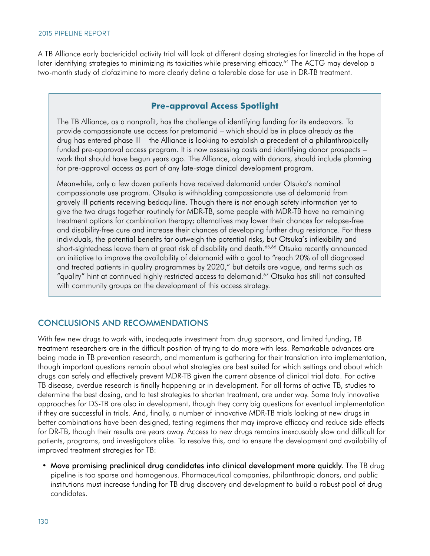A TB Alliance early bactericidal activity trial will look at different dosing strategies for linezolid in the hope of later identifying strategies to minimizing its toxicities while preserving efficacy.<sup>64</sup> The ACTG may develop a two-month study of clofazimine to more clearly define a tolerable dose for use in DR-TB treatment.

#### **Pre-approval Access Spotlight**

The TB Alliance, as a nonprofit, has the challenge of identifying funding for its endeavors. To provide compassionate use access for pretomanid – which should be in place already as the drug has entered phase III – the Alliance is looking to establish a precedent of a philanthropically funded pre-approval access program. It is now assessing costs and identifying donor prospects – work that should have begun years ago. The Alliance, along with donors, should include planning for pre-approval access as part of any late-stage clinical development program.

Meanwhile, only a few dozen patients have received delamanid under Otsuka's nominal compassionate use program. Otsuka is withholding compassionate use of delamanid from gravely ill patients receiving bedaquiline. Though there is not enough safety information yet to give the two drugs together routinely for MDR-TB, some people with MDR-TB have no remaining treatment options for combination therapy; alternatives may lower their chances for relapse-free and disability-free cure and increase their chances of developing further drug resistance. For these individuals, the potential benefits far outweigh the potential risks, but Otsuka's inflexibility and short-sightedness leave them at great risk of disability and death.<sup>65,66</sup> Otsuka recently announced an initiative to improve the availability of delamanid with a goal to "reach 20% of all diagnosed and treated patients in quality programmes by 2020," but details are vague, and terms such as "quality" hint at continued highly restricted access to delamanid.<sup>67</sup> Otsuka has still not consulted with community groups on the development of this access strategy.

## CONCLUSIONS AND RECOMMENDATIONS

With few new drugs to work with, inadequate investment from drug sponsors, and limited funding, TB treatment researchers are in the difficult position of trying to do more with less. Remarkable advances are being made in TB prevention research, and momentum is gathering for their translation into implementation, though important questions remain about what strategies are best suited for which settings and about which drugs can safely and effectively prevent MDR-TB given the current absence of clinical trial data. For active TB disease, overdue research is finally happening or in development. For all forms of active TB, studies to determine the best dosing, and to test strategies to shorten treatment, are under way. Some truly innovative approaches for DS-TB are also in development, though they carry big questions for eventual implementation if they are successful in trials. And, finally, a number of innovative MDR-TB trials looking at new drugs in better combinations have been designed, testing regimens that may improve efficacy and reduce side effects for DR-TB, though their results are years away. Access to new drugs remains inexcusably slow and difficult for patients, programs, and investigators alike. To resolve this, and to ensure the development and availability of improved treatment strategies for TB:

• Move promising preclinical drug candidates into clinical development more quickly. The TB drug pipeline is too sparse and homogenous. Pharmaceutical companies, philanthropic donors, and public institutions must increase funding for TB drug discovery and development to build a robust pool of drug candidates.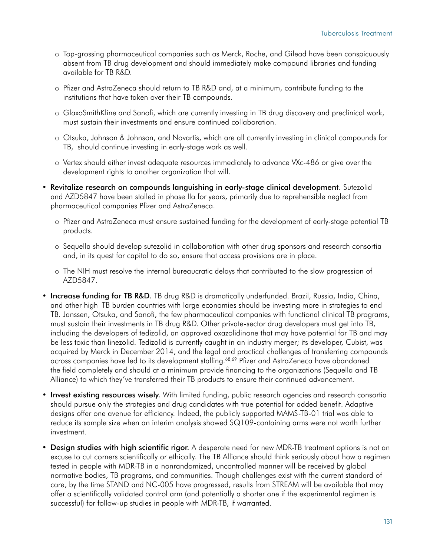- o Top-grossing pharmaceutical companies such as Merck, Roche, and Gilead have been conspicuously absent from TB drug development and should immediately make compound libraries and funding available for TB R&D.
- o Pfizer and AstraZeneca should return to TB R&D and, at a minimum, contribute funding to the institutions that have taken over their TB compounds.
- o GlaxoSmithKline and Sanofi, which are currently investing in TB drug discovery and preclinical work, must sustain their investments and ensure continued collaboration.
- o Otsuka, Johnson & Johnson, and Novartis, which are all currently investing in clinical compounds for TB, should continue investing in early-stage work as well.
- o Vertex should either invest adequate resources immediately to advance VXc-486 or give over the development rights to another organization that will.
- Revitalize research on compounds languishing in early-stage clinical development. Sutezolid and AZD5847 have been stalled in phase IIa for years, primarily due to reprehensible neglect from pharmaceutical companies Pfizer and AstraZeneca.
	- o Pfizer and AstraZeneca must ensure sustained funding for the development of early-stage potential TB products.
	- o Sequella should develop sutezolid in collaboration with other drug sponsors and research consortia and, in its quest for capital to do so, ensure that access provisions are in place.
	- o The NIH must resolve the internal bureaucratic delays that contributed to the slow progression of AZD5847.
- Increase funding for TB R&D. TB drug R&D is dramatically underfunded. Brazil, Russia, India, China, and other high–TB burden countries with large economies should be investing more in strategies to end TB. Janssen, Otsuka, and Sanofi, the few pharmaceutical companies with functional clinical TB programs, must sustain their investments in TB drug R&D. Other private-sector drug developers must get into TB, including the developers of tedizolid, an approved oxazolidinone that may have potential for TB and may be less toxic than linezolid. Tedizolid is currently caught in an industry merger; its developer, Cubist, was acquired by Merck in December 2014, and the legal and practical challenges of transferring compounds across companies have led to its development stalling.<sup>68,69</sup> Pfizer and AstraZeneca have abandoned the field completely and should at a minimum provide financing to the organizations (Sequella and TB Alliance) to which they've transferred their TB products to ensure their continued advancement.
- Invest existing resources wisely. With limited funding, public research agencies and research consortia should pursue only the strategies and drug candidates with true potential for added benefit. Adaptive designs offer one avenue for efficiency. Indeed, the publicly supported MAMS-TB-01 trial was able to reduce its sample size when an interim analysis showed SQ109-containing arms were not worth further investment.
- Design studies with high scientific rigor. A desperate need for new MDR-TB treatment options is not an excuse to cut corners scientifically or ethically. The TB Alliance should think seriously about how a regimen tested in people with MDR-TB in a nonrandomized, uncontrolled manner will be received by global normative bodies, TB programs, and communities. Though challenges exist with the current standard of care, by the time STAND and NC-005 have progressed, results from STREAM will be available that may offer a scientifically validated control arm (and potentially a shorter one if the experimental regimen is successful) for follow-up studies in people with MDR-TB, if warranted.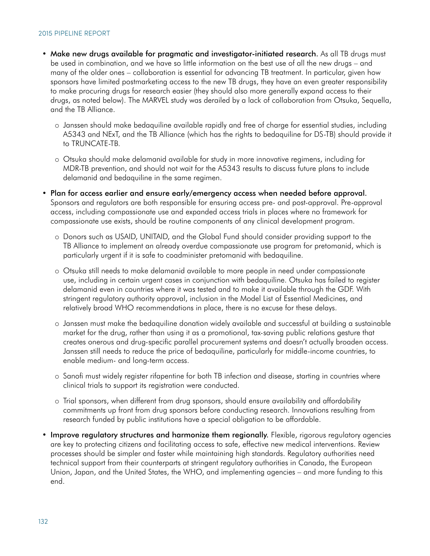- Make new drugs available for pragmatic and investigator-initiated research. As all TB drugs must be used in combination, and we have so little information on the best use of all the new drugs – and many of the older ones – collaboration is essential for advancing TB treatment. In particular, given how sponsors have limited postmarketing access to the new TB drugs, they have an even greater responsibility to make procuring drugs for research easier (they should also more generally expand access to their drugs, as noted below). The MARVEL study was derailed by a lack of collaboration from Otsuka, Sequella, and the TB Alliance.
	- o Janssen should make bedaquiline available rapidly and free of charge for essential studies, including A5343 and NExT, and the TB Alliance (which has the rights to bedaquiline for DS-TB) should provide it to TRUNCATE-TB.
	- o Otsuka should make delamanid available for study in more innovative regimens, including for MDR-TB prevention, and should not wait for the A5343 results to discuss future plans to include delamanid and bedaquiline in the same regimen.
- Plan for access earlier and ensure early/emergency access when needed before approval. Sponsors and regulators are both responsible for ensuring access pre- and post-approval. Pre-approval access, including compassionate use and expanded access trials in places where no framework for compassionate use exists, should be routine components of any clinical development program.
	- o Donors such as USAID, UNITAID, and the Global Fund should consider providing support to the TB Alliance to implement an already overdue compassionate use program for pretomanid, which is particularly urgent if it is safe to coadminister pretomanid with bedaquiline.
	- o Otsuka still needs to make delamanid available to more people in need under compassionate use, including in certain urgent cases in conjunction with bedaquiline. Otsuka has failed to register delamanid even in countries where it was tested and to make it available through the GDF. With stringent regulatory authority approval, inclusion in the Model List of Essential Medicines, and relatively broad WHO recommendations in place, there is no excuse for these delays.
	- o Janssen must make the bedaquiline donation widely available and successful at building a sustainable market for the drug, rather than using it as a promotional, tax-saving public relations gesture that creates onerous and drug-specific parallel procurement systems and doesn't actually broaden access. Janssen still needs to reduce the price of bedaquiline, particularly for middle-income countries, to enable medium- and long-term access.
	- o Sanofi must widely register rifapentine for both TB infection and disease, starting in countries where clinical trials to support its registration were conducted.
	- o Trial sponsors, when different from drug sponsors, should ensure availability and affordability commitments up front from drug sponsors before conducting research. Innovations resulting from research funded by public institutions have a special obligation to be affordable.
- Improve regulatory structures and harmonize them regionally. Flexible, rigorous regulatory agencies are key to protecting citizens and facilitating access to safe, effective new medical interventions. Review processes should be simpler and faster while maintaining high standards. Regulatory authorities need technical support from their counterparts at stringent regulatory authorities in Canada, the European Union, Japan, and the United States, the WHO, and implementing agencies – and more funding to this end.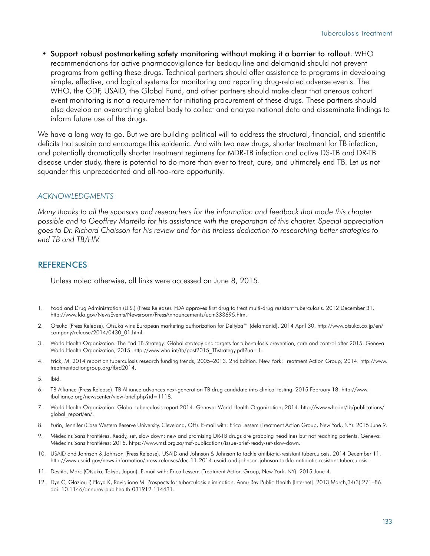• Support robust postmarketing safety monitoring without making it a barrier to rollout. WHO recommendations for active pharmacovigilance for bedaquiline and delamanid should not prevent programs from getting these drugs. Technical partners should offer assistance to programs in developing simple, effective, and logical systems for monitoring and reporting drug-related adverse events. The WHO, the GDF, USAID, the Global Fund, and other partners should make clear that onerous cohort event monitoring is not a requirement for initiating procurement of these drugs. These partners should also develop an overarching global body to collect and analyze national data and disseminate findings to inform future use of the drugs.

We have a long way to go. But we are building political will to address the structural, financial, and scientific deficits that sustain and encourage this epidemic. And with two new drugs, shorter treatment for TB infection, and potentially dramatically shorter treatment regimens for MDR-TB infection and active DS-TB and DR-TB disease under study, there is potential to do more than ever to treat, cure, and ultimately end TB. Let us not squander this unprecedented and all-too-rare opportunity.

#### *ACKNOWLEDGMENTS*

*Many thanks to all the sponsors and researchers for the information and feedback that made this chapter possible and to Geoffrey Martello for his assistance with the preparation of this chapter. Special appreciation goes to Dr. Richard Chaisson for his review and for his tireless dedication to researching better strategies to end TB and TB/HIV.* 

### **REFERENCES**

Unless noted otherwise, all links were accessed on June 8, 2015.

- 1. Food and Drug Administration (U.S.) (Press Release). FDA approves first drug to treat multi-drug resistant tuberculosis. 2012 December 31. [http://www.fda.gov/NewsEvents/Newsroom/PressAnnouncements/ucm333695.htm.](http://www.fda.gov/NewsEvents/Newsroom/PressAnnouncements/ucm333695.htm)
- 2. Otsuka (Press Release). Otsuka wins European marketing authorization for Deltyba™ (delamanid). 2014 April 30. [http://www.otsuka.co.jp/en/](http://www.otsuka.co.jp/en/company/release/2014/0430_01.html) [company/release/2014/0430\\_01.html.](http://www.otsuka.co.jp/en/company/release/2014/0430_01.html)
- 3. World Health Organization. The End TB Strategy: Global strategy and targets for tuberculosis prevention, care and control after 2015. Geneva: World Health Organization; 2015. http://www.who.int/tb/post2015 TBstrategy.pdf?ua=1.
- 4. Frick, M. 2014 report on tuberculosis research funding trends, 2005–2013. 2nd Edition. New York: Treatment Action Group; 2014. [http://www.](http://www.treatmentactiongroup.org/tbrd2014) [treatmentactiongroup.org/tbrd2014.](http://www.treatmentactiongroup.org/tbrd2014)
- 5. Ibid.
- 6. TB Alliance (Press Release). TB Alliance advances next-generation TB drug candidate into clinical testing. 2015 February 18. [http://www.](http://www.tballiance.org/newscenter/view-brief.php?id=1118) [tballiance.org/newscenter/view-brief.php?id=1118](http://www.tballiance.org/newscenter/view-brief.php?id=1118).
- 7. World Health Organization. Global tuberculosis report 2014. Geneva: World Health Organization; 2014. [http://www.who.int/tb/publications/](http://www.who.int/tb/publications/global_report/en/) [global\\_report/en/.](http://www.who.int/tb/publications/global_report/en/)
- 8. Furin, Jennifer (Case Western Reserve University, Cleveland, OH). E-mail with: Erica Lessem (Treatment Action Group, New York, NY). 2015 June 9.
- 9. Médecins Sans Frontières. Ready, set, slow down: new and promising DR-TB drugs are grabbing headlines but not reaching patients. Geneva: Médecins Sans Frontières; 2015. [https://www.msf.org.za/msf-publications/issue-brief-ready-set-slow-down.](https://www.msf.org.za/msf-publications/issue-brief-ready-set-slow-down)
- 10. USAID and Johnson & Johnson (Press Release). USAID and Johnson & Johnson to tackle antibiotic-resistant tuberculosis. 2014 December 11. <http://www.usaid.gov/news-information/press-releases/dec-11-2014-usaid-and-johnson-johnson-tackle-antibiotic-resistant-tuberculosis>.
- 11. Destito, Marc (Otsuka, Tokyo, Japan). E-mail with: Erica Lessem (Treatment Action Group, New York, NY). 2015 June 4.
- 12. Dye C, Glaziou P, Floyd K, Raviglione M. Prospects for tuberculosis elimination. Annu Rev Public Health [Internet]. 2013 March;34(3):271–86. doi: 10.1146/annurev-publhealth-031912-114431.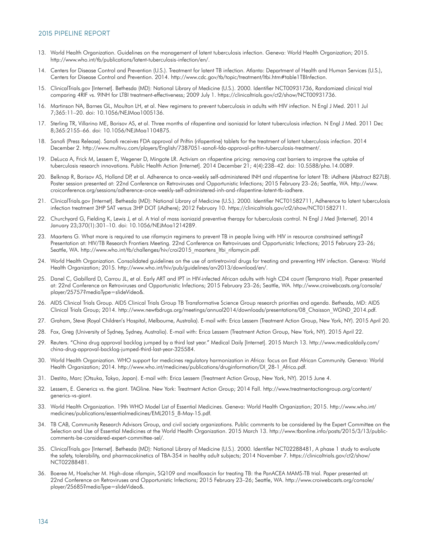- 13. World Health Organization. Guidelines on the management of latent tuberculosis infection. Geneva: World Health Organization; 2015. <http://www.who.int/tb/publications/latent-tuberculosis-infection/en/>.
- 14. Centers for Disease Control and Prevention (U.S.). Treatment for latent TB infection. Atlanta: Department of Health and Human Services (U.S.), Centers for Disease Control and Prevention. 2014. [http://www.cdc.gov/tb/topic/treatment/ltbi.htm#table1TBInfection.](http://www.cdc.gov/tb/topic/treatment/ltbi.htm#table1TBInfection)
- 15. ClinicalTrials.gov [Internet]. Bethesda (MD): National Library of Medicine (U.S.). 2000. Identifier NCT00931736, Randomized clinical trial comparing 4RIF vs. 9INH for LTBI treatment-effectiveness; 2009 July 1.<https://clinicaltrials.gov/ct2/show/NCT00931736>.
- 16. Martinson NA, Barnes GL, Moulton LH, et al. New regimens to prevent tuberculosis in adults with HIV infection. N Engl J Med. 2011 Jul 7;365:11–20. doi: 10.1056/NEJMoa1005136.
- 17. Sterling TR, Villarino ME, Borisov AS, et al. Three months of rifapentine and isoniazid for latent tuberculosis infection. N Engl J Med. 2011 Dec 8;365:2155–66. doi: 10.1056/NEJMoa1104875.
- 18. Sanofi (Press Release). Sanofi receives FDA approval of Priftin (rifapentine) tablets for the treatment of latent tuberculosis infection. 2014 December 2. <http://www.multivu.com/players/English/7387051-sanofi-fda-approval-priftin-tuberculosis-treatment/>.
- 19. DeLuca A, Frick M, Lessem E, Wegener D, Mingote LR. Activism on rifapentine pricing: removing cost barriers to improve the uptake of tuberculosis research innovations. Public Health Action [Internet]. 2014 December 21; 4(4):238–42. doi: 10.5588/pha.14.0089.
- 20. Belknap R, Borisov AS, Holland DP, et al. Adherence to once-weekly self-administered INH and rifapentine for latent TB: iAdhere (Abstract 827LB). Poster session presented at: 22nd Conference on Retroviruses and Opportunistic Infections; 2015 February 23–26; Seattle, WA. [http://www.](http://www.croiconference.org/sessions/adherence-once-weekly-self-administered-inh-and-rifapentine-latent-tb-iadhere) [croiconference.org/sessions/adherence-once-weekly-self-administered-inh-and-rifapentine-latent-tb-iadhere.](http://www.croiconference.org/sessions/adherence-once-weekly-self-administered-inh-and-rifapentine-latent-tb-iadhere)
- 21. ClinicalTrials.gov [Internet]. Bethesda (MD): National Library of Medicine (U.S.). 2000. Identifier NCT01582711, Adherence to latent tuberculosis infection treatment 3HP SAT versus 3HP DOT (iAdhere); 2012 February 10. [https://clinicaltrials.gov/ct2/show/NCT01582711.](https://clinicaltrials.gov/ct2/show/NCT01582711)
- 22. Churchyard G, Fielding K, Lewis J, et al. A trial of mass isoniazid preventive therapy for tuberculosis control. N Engl J Med [Internet]. 2014 January 23;370(1):301–10. doi: 10.1056/NEJMoa1214289.
- 23. Maartens G. What more is required to use rifamycin regimens to prevent TB in people living with HIV in resource constrained settings? Presentation at: HIV/TB Research Frontiers Meeting. 22nd Conference on Retroviruses and Opportunistic Infections; 2015 February 23–26; Seattle, WA. [http://www.who.int/tb/challenges/hiv/croi2015\\_maartens\\_ltbi\\_rifamycin.pdf](http://www.who.int/tb/challenges/hiv/croi2015_maartens_ltbi_rifamycin.pdf).
- 24. World Health Organization. Consolidated guidelines on the use of antiretroviral drugs for treating and preventing HIV infection. Geneva: World Health Organization; 2015.<http://www.who.int/hiv/pub/guidelines/arv2013/download/en/>.
- 25. Danel C, Gabillard D, Carrou JL, et al. Early ART and IPT in HIV-infected African adults with high CD4 count (Temprano trial). Paper presented at: 22nd Conference on Retroviruses and Opportunistic Infections; 2015 February 23–26; Seattle, WA. [http://www.croiwebcasts.org/console/](http://www.croiwebcasts.org/console/player/25757?mediaType=slideVideo&) [player/25757?mediaType=slideVideo&.](http://www.croiwebcasts.org/console/player/25757?mediaType=slideVideo&)
- 26. AIDS Clinical Trials Group. AIDS Clinical Trials Group TB Transformative Science Group research priorities and agenda. Bethesda, MD: AIDS Clinical Trials Group; 2014. [http://www.newtbdrugs.org/meetings/annual2014/downloads/presentations/08\\_Chaisson\\_WGND\\_2014.pdf.](http://www.newtbdrugs.org/meetings/annual2014/downloads/presentations/08_Chaisson_WGND_2014.pdf)
- 27. Graham, Steve (Royal Children's Hospital, Melbourne, Australia). E-mail with: Erica Lessem (Treatment Action Group, New York, NY). 2015 April 20.
- 28. Fox, Greg (University of Sydney, Sydney, Australia). E-mail with: Erica Lessem (Treatment Action Group, New York, NY). 2015 April 22.
- 29. Reuters. "China drug approval backlog jumped by a third last year." Medical Daily [Internet]. 2015 March 13. [http://www.medicaldaily.com/](http://www.medicaldaily.com/china-drug-approval-backlog-jumped-third-last-year-325584) [china-drug-approval-backlog-jumped-third-last-year-325584](http://www.medicaldaily.com/china-drug-approval-backlog-jumped-third-last-year-325584).
- 30. World Health Organization. WHO support for medicines regulatory harmonization in Africa: focus on East African Community. Geneva: World Health Organization; 2014. [http://www.who.int/medicines/publications/druginformation/DI\\_28-1\\_Africa.pdf](http://www.who.int/medicines/publications/druginformation/DI_28-1_Africa.pdf).
- 31. Destito, Marc (Otsuka, Tokyo, Japan). E-mail with: Erica Lessem (Treatment Action Group, New York, NY). 2015 June 4.
- 32. Lessem, E. Generics vs. the giant. TAGline. New York: Treatment Action Group; 2014 Fall. [http://www.treatmentactiongroup.org/content/](http://www.treatmentactiongroup.org/content/generics-vs-giant) [generics-vs-giant](http://www.treatmentactiongroup.org/content/generics-vs-giant).
- 33. World Health Organization. 19th WHO Model List of Essential Medicines. Geneva: World Health Organization; 2015. [http://www.who.int/](http://www.who.int/medicines/publications/essentialmedicines/EML2015_8-May-15.pdf) [medicines/publications/essentialmedicines/EML2015\\_8-May-15.pdf.](http://www.who.int/medicines/publications/essentialmedicines/EML2015_8-May-15.pdf)
- 34. TB CAB, Community Research Advisors Group, and civil society organizations. Public comments to be considered by the Expert Committee on the Selection and Use of Essential Medicines at the World Health Organization. 2015 March 13. [http://www.tbonline.info/posts/2015/3/13/public](http://www.tbonline.info/posts/2015/3/13/public-comments-be-considered-expert-committee-sel/)[comments-be-considered-expert-committee-sel/.](http://www.tbonline.info/posts/2015/3/13/public-comments-be-considered-expert-committee-sel/)
- 35. ClinicalTrials.gov [Internet]. Bethesda (MD): National Library of Medicine (U.S.). 2000. Identifier NCT02288481, A phase 1 study to evaluate the safety, tolerability, and pharmacokinetics of TBA-354 in healthy adult subjects; 2014 November 7. [https://clinicaltrials.gov/ct2/show/](https://clinicaltrials.gov/ct2/show/NCT02288481) [NCT02288481.](https://clinicaltrials.gov/ct2/show/NCT02288481)
- 36. Boeree M, Hoelscher M. High-dose rifampin, SQ109 and moxifloxacin for treating TB: the PanACEA MAMS-TB trial. Paper presented at: 22nd Conference on Retroviruses and Opportunistic Infections; 2015 February 23–26; Seattle, WA. [http://www.croiwebcasts.org/console/](http://www.croiwebcasts.org/console/player/25685?mediaType=slideVideo&) [player/25685?mediaType=slideVideo&.](http://www.croiwebcasts.org/console/player/25685?mediaType=slideVideo&)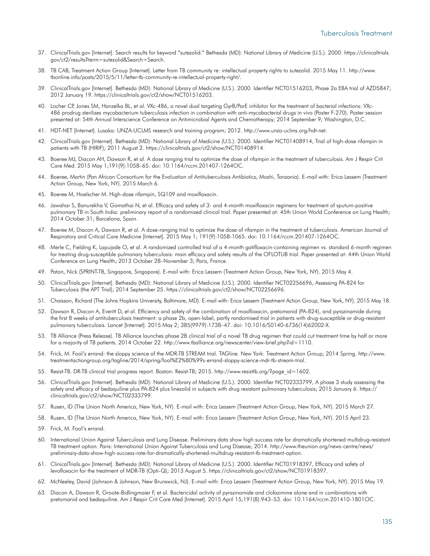- 37. ClinicalTrials.gov [Internet]. Search results for keyword "sutezolid." Bethesda (MD): National Library of Medicine (U.S.). 2000. [https://clinicaltrials.](https://clinicaltrials.gov/ct2/results?term=sutezolid&Search=Search) [gov/ct2/results?term=sutezolid&Search=Search.](https://clinicaltrials.gov/ct2/results?term=sutezolid&Search=Search)
- 38. TB CAB, Treatment Action Group [Internet]. Letter from TB community re: intellectual property rights to sutezolid. 2015 May 11. [http://www.](http://www.tbonline.info/posts/2015/5/11/letter-tb-community-re-intellectual-property-right/) [tbonline.info/posts/2015/5/11/letter-tb-community-re-intellectual-property-right/.](http://www.tbonline.info/posts/2015/5/11/letter-tb-community-re-intellectual-property-right/)
- 39. ClinicalTrials.gov [Internet]. Bethesda (MD): National Library of Medicine (U.S.). 2000. Identifier NCT01516203, Phase 2a EBA trial of AZD5847; 2012 January 19. [https://clinicaltrials.gov/ct2/show/NCT01516203.](https://clinicaltrials.gov/ct2/show/NCT01516203)
- 40. Locher CP, Jones SM, Hanzelka BL, et al. VXc-486, a novel dual targeting GyrB/ParE inhibitor for the treatment of bacterial infections: VXc-486 prodrug sterilizes mycobacterium tuberculosis infection in combination with anti-mycobacterial drugs in vivo (Poster F-270). Poster session presented at: 54th Annual Interscience Conference on Antimicrobial Agents and Chemotherapy; 2014 September 9; Washington, D.C.
- 41. HDT-NET [Internet]. Lusaka: UNZA-UCLMS research and training program; 2012. [http://www.unza-uclms.org/hdt-net.](http://www.unza-uclms.org/hdt-net)
- 42. ClinicalTrials.gov [Internet]. Bethesda (MD): National Library of Medicine (U.S.). 2000. Identifier NCT01408914, Trial of high-dose rifampin in patients with TB (HIRIF); 2011 August 2. [https://clinicaltrials.gov/ct2/show/NCT01408914.](https://clinicaltrials.gov/ct2/show/NCT01408914)
- 43. Boeree MJ, Diacon AH, Dawson R, et al. A dose ranging trial to optimize the dose of rifampin in the treatment of tuberculosis. Am J Respir Crit Care Med. 2015 May 1;191(9):1058–65. doi: 10.1164/rccm.201407-1264OC.
- 44. Boeree, Martin (Pan African Consortium for the Evaluation of Antituberculosis Antibiotics, Moshi, Tanzania). E-mail with: Erica Lessem (Treatment Action Group, New York, NY). 2015 March 6.
- 45. Boeree M, Hoelscher M. High-dose rifampin, SQ109 and moxifloxacin.
- 46. Jawahar S, Banurekha V, Gomathai N, et al. Efficacy and safety of 3- and 4-month moxifloxacin regimens for treatment of sputum-positive pulmonary TB in South India: preliminary report of a randomized clinical trial. Paper presented at: 45th Union World Conference on Lung Health; 2014 October 31; Barcelona, Spain.
- 47. Boeree M, Diacon A, Dawson R, et al. A dose-ranging trial to optimize the dose of rifampin in the treatment of tuberculosis. American Journal of Respiratory and Critical Care Medicine [Internet]. 2015 May 1; 191(9):1058-1065. doi: 10.1164/rccm.201407-1264OC.
- 48. Merle C, Fielding K, Lapujade O, et al. A randomized controlled trial of a 4-month gatifloxacin-containing regimen vs. standard 6-month regimen for treating drug-susceptible pulmonary tuberculosis: main efficacy and safety results of the OFLOTUB trial. Paper presented at: 44th Union World Conference on Lung Health; 2013 October 28–November 3; Paris, France.
- 49. Paton, Nick (SPRINT-TB, Singapore, Singapore). E-mail with: Erica Lessem (Treatment Action Group, New York, NY). 2015 May 4.
- 50. ClinicalTrials.gov [Internet]. Bethesda (MD): National Library of Medicine (U.S.). 2000. Identifier NCT02256696, Assessing PA-824 for Tuberculosis (the APT Trial); 2014 September 25.<https://clinicaltrials.gov/ct2/show/NCT02256696>.
- 51. Chaisson, Richard (The Johns Hopkins University, Baltimore, MD). E-mail with: Erica Lessem (Treatment Action Group, New York, NY). 2015 May 18.
- 52. Dawson R, Diacon A, Everitt D, et al. Efficiency and safety of the combination of moxifloxacin, pretomanid (PA-824), and pyrazinamide during the first 8 weeks of antituberculosis treatment: a phase 2b, open-label, partly randomised trial in patients with drug-susceptible or drug-resistant pulmonary tuberculosis. Lancet [Internet]. 2015 May 2; 385(9979):1738–47. doi: 10.1016/S0140-6736(14)62002-X.
- 53. TB Alliance (Press Release). TB Alliance launches phase 2B clinical trial of a novel TB drug regimen that could cut treatment time by half or more for a majority of TB patients. 2014 October 22.<http://www.tballiance.org/newscenter/view-brief.php?id=1110>.
- 54. Frick, M. Fool's errand: the sloppy science of the MDR-TB STREAM trial. TAGline. New York: Treatment Action Group; 2014 Spring. [http://www.](http://www.treatmentactiongroup.org/tagline/2014/spring/fool%E2%80%99s-errand-sloppy-science-mdr-tb-stream-trial) [treatmentactiongroup.org/tagline/2014/spring/fool%E2%80%99s-errand-sloppy-science-mdr-tb-stream-trial](http://www.treatmentactiongroup.org/tagline/2014/spring/fool%E2%80%99s-errand-sloppy-science-mdr-tb-stream-trial).
- 55. Resist-TB. DR-TB clinical trial progress report. Boston: Resist-TB; 2015. [http://www.resisttb.org/?page\\_id=1602](http://www.resisttb.org/?page_id=1602).
- 56. ClinicalTrials.gov [Internet]. Bethesda (MD): National Library of Medicine (U.S.). 2000. Identifier NCT02333799, A phase 3 study assessing the safety and efficacy of bedaquiline plus PA-824 plus linezolid in subjects with drug resistant pulmonary tuberculosis; 2015 January 6. [https://](https://clinicaltrials.gov/ct2/show/NCT02333799) [clinicaltrials.gov/ct2/show/NCT02333799.](https://clinicaltrials.gov/ct2/show/NCT02333799)
- 57. Rusen, ID (The Union North America, New York, NY). E-mail with: Erica Lessem (Treatment Action Group, New York, NY). 2015 March 27.
- 58. Rusen, ID (The Union North America, New York, NY). E-mail with: Erica Lessem (Treatment Action Group, New York, NY). 2015 April 23.
- 59. Frick, M. Fool's errand.
- 60. International Union Against Tuberculosis and Lung Disease. Preliminary data show high success rate for dramatically shortened multidrug-resistant TB treatment option. Paris: International Union Against Tuberculosis and Lung Disease; 2014. [http://www.theunion.org/news-centre/news/](http://www.theunion.org/news-centre/news/preliminary-data-show-high-success-rate-for-dramatically-shortened-multidrug-resistant-tb-treatment-option) [preliminary-data-show-high-success-rate-for-dramatically-shortened-multidrug-resistant-tb-treatment-option.](http://www.theunion.org/news-centre/news/preliminary-data-show-high-success-rate-for-dramatically-shortened-multidrug-resistant-tb-treatment-option)
- 61. ClinicalTrials.gov [Internet]. Bethesda (MD): National Library of Medicine (U.S.). 2000. Identifier NCT01918397, Efficacy and safety of levofloxacin for the treatment of MDR-TB (Opti-Q); 2013 August 5. [https://clinicaltrials.gov/ct2/show/NCT01918397.](https://clinicaltrials.gov/ct2/show/NCT01918397)
- 62. McNeeley, David (Johnson & Johnson, New Brunswick, NJ). E-mail with: Erica Lessem (Treatment Action Group, New York, NY). 2015 May 19.
- 63. Diacon A, Dawson R, Groote-Bidlingmaier F, et al. Bactericidal activity of pyrazinamide and clofazimine alone and in combinations with pretomanid and bedaquiline. Am J Respir Crit Care Med [Internet]. 2015 April 15;191(8):943-53. doi: 10.1164/rccm.201410-1801OC.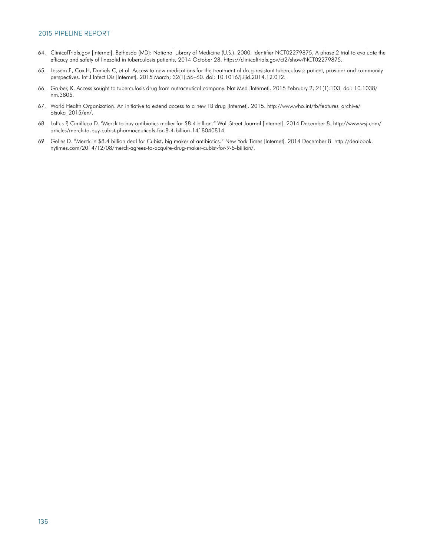- 64. ClinicalTrials.gov [Internet]. Bethesda (MD): National Library of Medicine (U.S.). 2000. Identifier NCT02279875, A phase 2 trial to evaluate the efficacy and safety of linezolid in tuberculosis patients; 2014 October 28. [https://clinicaltrials.gov/ct2/show/NCT02279875.](https://clinicaltrials.gov/ct2/show/NCT02279875)
- 65. Lessem E, Cox H, Daniels C, et al. Access to new medications for the treatment of drug-resistant tuberculosis: patient, provider and community perspectives. Int J Infect Dis [Internet]. 2015 March; 32(1):56–60. doi: 10.1016/j.ijid.2014.12.012.
- 66. Gruber, K. Access sought to tuberculosis drug from nutraceutical company. Nat Med [Internet]. 2015 February 2; 21(1):103. doi: 10.1038/ nm.3805.
- 67. World Health Organization. An initiative to extend access to a new TB drug [Internet]. 2015. http://www.who.int/tb/features archive/ [otsuka\\_2015/en/.](http://www.who.int/tb/features_archive/otsuka_2015/en/)
- 68. Loftus P, Cimilluca D. "Merck to buy antibiotics maker for \$8.4 billion." Wall Street Journal [Internet]. 2014 December 8. [http://www.wsj.com/](http://www.wsj.com/articles/merck-to-buy-cubist-pharmaceuticals-for-8-4-billion-1418040814) [articles/merck-to-buy-cubist-pharmaceuticals-for-8-4-billion-1418040814](http://www.wsj.com/articles/merck-to-buy-cubist-pharmaceuticals-for-8-4-billion-1418040814).
- 69. Gelles D. "Merck in \$8.4 billion deal for Cubist, big maker of antibiotics." New York Times [Internet]. 2014 December 8. [http://dealbook.](http://dealbook.nytimes.com/2014/12/08/merck-agrees-to-acquire-drug-maker-cubist-for-9-5-billion/) [nytimes.com/2014/12/08/merck-agrees-to-acquire-drug-maker-cubist-for-9-5-billion/.](http://dealbook.nytimes.com/2014/12/08/merck-agrees-to-acquire-drug-maker-cubist-for-9-5-billion/)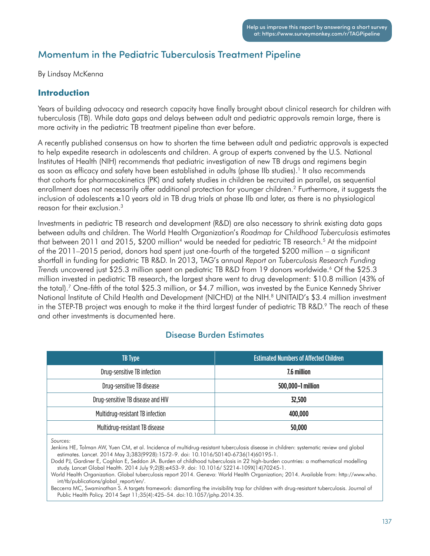# Momentum in the Pediatric Tuberculosis Treatment Pipeline

By Lindsay McKenna

## **Introduction**

Years of building advocacy and research capacity have finally brought about clinical research for children with tuberculosis (TB). While data gaps and delays between adult and pediatric approvals remain large, there is more activity in the pediatric TB treatment pipeline than ever before.

A recently published consensus on how to shorten the time between adult and pediatric approvals is expected to help expedite research in adolescents and children. A group of experts convened by the U.S. National Institutes of Health (NIH) recommends that pediatric investigation of new TB drugs and regimens begin as soon as efficacy and safety have been established in adults (phase IIb studies).1 It also recommends that cohorts for pharmacokinetics (PK) and safety studies in children be recruited in parallel, as sequential enrollment does not necessarily offer additional protection for younger children.<sup>2</sup> Furthermore, it suggests the inclusion of adolescents ≥10 years old in TB drug trials at phase IIb and later, as there is no physiological reason for their exclusion.3

Investments in pediatric TB research and development (R&D) are also necessary to shrink existing data gaps between adults and children. The World Health Organization's *Roadmap for Childhood Tuberculosis* estimates that between 2011 and 2015, \$200 million<sup>4</sup> would be needed for pediatric TB research.<sup>5</sup> At the midpoint of the 2011–2015 period, donors had spent just one-fourth of the targeted \$200 million – a significant shortfall in funding for pediatric TB R&D. In 2013, TAG's annual *Report on Tuberculosis Research Funding Trends* uncovered just \$25.3 million spent on pediatric TB R&D from 19 donors worldwide.6 Of the \$25.3 million invested in pediatric TB research, the largest share went to drug development: \$10.8 million (43% of the total).7 One-fifth of the total \$25.3 million, or \$4.7 million, was invested by the Eunice Kennedy Shriver National Institute of Child Health and Development (NICHD) at the NIH.<sup>8</sup> UNITAID's \$3.4 million investment in the STEP-TB project was enough to make it the third largest funder of pediatric TB R&D.9 The reach of these and other investments is documented here.

## Disease Burden Estimates

| <b>TB Type</b>                    | <b>Estimated Numbers of Affected Children</b> |
|-----------------------------------|-----------------------------------------------|
| Drug-sensitive TB infection       | 7.6 million                                   |
| Drug-sensitive TB disease         | 500,000-1 million                             |
| Drug-sensitive TB disease and HIV | 32,500                                        |
| Multidrug-resistant TB infection  | 400,000                                       |
| Multidrug-resistant TB disease    | 50,000                                        |

*Sources:*

Jenkins HE, Tolman AW, Yuen CM, et al. Incidence of multidrug-resistant tuberculosis disease in children: systematic review and global estimates. Lancet. 2014 May 3;383(9928):1572–9. doi: 10.1016/S0140-6736(14)60195-1.

Dodd PJ, Gardiner E, Coghlan E, Seddon JA. Burden of childhood tuberculosis in 22 high-burden countries: a mathematical modelling study. Lancet Global Health. 2014 July 9;2(8):e453–9. doi: 10.1016/ S2214-109X(14)70245-1.

World Health Organization. Global tuberculosis report 2014. Geneva: World Health Organization; 2014. Available from: [http://www.who.](http://www.who.int/tb/publications/global_report/en/) [int/tb/publications/global\\_report/en/](http://www.who.int/tb/publications/global_report/en/).

Beccerra MC, Swaminathan S. A targets framework: dismantling the invisibility trap for children with drug-resistant tuberculosis. Journal of Public Health Policy. 2014 Sept 11;35(4):425–54. doi:10.1057/jphp.2014.35.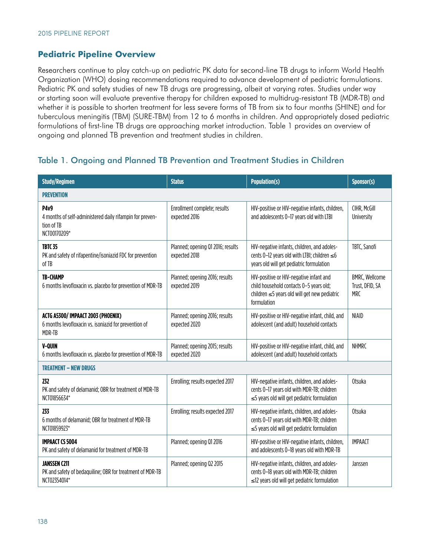## **Pediatric Pipeline Overview**

Researchers continue to play catch-up on pediatric PK data for second-line TB drugs to inform World Health Organization (WHO) dosing recommendations required to advance development of pediatric formulations. Pediatric PK and safety studies of new TB drugs are progressing, albeit at varying rates. Studies under way or starting soon will evaluate preventive therapy for children exposed to multidrug-resistant TB (MDR-TB) and whether it is possible to shorten treatment for less severe forms of TB from six to four months (SHINE) and for tuberculous meningitis (TBM) (SURE-TBM) from 12 to 6 months in children. And appropriately dosed pediatric formulations of first-line TB drugs are approaching market introduction. Table 1 provides an overview of ongoing and planned TB prevention and treatment studies in children.

## Table 1. Ongoing and Planned TB Prevention and Treatment Studies in Children

| <b>Study/Regimen</b>                                                                                  | <b>Status</b>                                      | <b>Population(s)</b>                                                                                                                              | Sponsor(s)                                      |
|-------------------------------------------------------------------------------------------------------|----------------------------------------------------|---------------------------------------------------------------------------------------------------------------------------------------------------|-------------------------------------------------|
| <b>PREVENTION</b>                                                                                     |                                                    |                                                                                                                                                   |                                                 |
| <b>P4v9</b><br>4 months of self-administered daily rifampin for preven-<br>tion of TB<br>NCT00170209* | Enrollment complete; results<br>expected 2016      | HIV-positive or HIV-negative infants, children,<br>and adolescents 0-17 years old with LTBI                                                       | CIHR, McGill<br>University                      |
| <b>TBTC 35</b><br>PK and safety of rifapentine/isoniazid FDC for prevention<br>of TB                  | Planned; opening Q1 2016; results<br>expected 2018 | HIV-negative infants, children, and adoles-<br>cents 0-12 years old with LTBI; children ≤6<br>years old will get pediatric formulation            | TBTC, Sanofi                                    |
| <b>TB-CHAMP</b><br>6 months levofloxacin vs. placebo for prevention of MDR-TB                         | Planned; opening 2016; results<br>expected 2019    | HIV-positive or HIV-negative infant and<br>child household contacts 0-5 years old;<br>children ≤5 years old will get new pediatric<br>formulation | BMRC, Wellcome<br>Trust, DFID, SA<br><b>MRC</b> |
| ACTG A5300/ IMPAACT 2003 (PHOENIX)<br>6 months levofloxacin vs. isoniazid for prevention of<br>MDR-TB | Planned; opening 2016; results<br>expected 2020    | HIV-positive or HIV-negative infant, child, and<br>adolescent (and adult) household contacts                                                      | <b>NIAID</b>                                    |
| <b>V-QUIN</b><br>6 months levofloxacin vs. placebo for prevention of MDR-TB                           | Planned; opening 2015; results<br>expected 2020    | HIV-positive or HIV-negative infant, child, and<br>adolescent (and adult) household contacts                                                      | <b>NHMRC</b>                                    |
| <b>TREATMENT - NEW DRUGS</b>                                                                          |                                                    |                                                                                                                                                   |                                                 |
| 232<br>PK and safety of delamanid; OBR for treatment of MDR-TB<br>NCT01856634*                        | Enrolling; results expected 2017                   | HIV-negative infants, children, and adoles-<br>cents 0-17 years old with MDR-TB; children<br>$\leq$ 5 years old will get pediatric formulation    | Otsuka                                          |
| 233<br>6 months of delamanid; OBR for treatment of MDR-TB<br>NCT01859923*                             | Enrolling; results expected 2017                   | HIV-negative infants, children, and adoles-<br>cents 0-17 years old with MDR-TB; children<br>$\leq$ 5 years old will get pediatric formulation    | Otsuka                                          |
| <b>IMPAACT CS 5004</b><br>PK and safety of delamanid for treatment of MDR-TB                          | Planned; opening Q1 2016                           | HIV-positive or HIV-negative infants, children,<br>and adolescents 0-18 years old with MDR-TB                                                     | <b>IMPAACT</b>                                  |
| <b>JANSSEN C211</b><br>PK and safety of bedaquiline; OBR for treatment of MDR-TB<br>NCT02354014*      | Planned; opening Q2 2015                           | HIV-negative infants, children, and adoles-<br>cents 0-18 years old with MDR-TB; children<br>≤12 years old will get pediatric formulation         | Janssen                                         |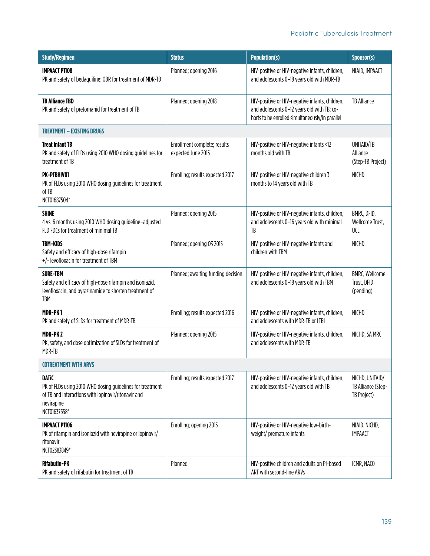| <b>Study/Regimen</b>                                                                                                                                           | <b>Status</b>                                      | <b>Population(s)</b>                                                                                                                              | Sponsor(s)                                           |
|----------------------------------------------------------------------------------------------------------------------------------------------------------------|----------------------------------------------------|---------------------------------------------------------------------------------------------------------------------------------------------------|------------------------------------------------------|
| <b>IMPAACT P1108</b><br>PK and safety of bedaquiline; OBR for treatment of MDR-TB                                                                              | Planned; opening 2016                              | HIV-positive or HIV-negative infants, children,<br>and adolescents 0-18 years old with MDR-TB                                                     | NIAID, IMPAACT                                       |
| <b>TB Alliance TBD</b><br>PK and safety of pretomanid for treatment of TB                                                                                      | Planned; opening 2018                              | HIV-positive or HIV-negative infants, children,<br>and adolescents 0-12 years old with TB; co-<br>horts to be enrolled simultaneously/in parallel | <b>TB Alliance</b>                                   |
| <b>TREATMENT - EXISTING DRUGS</b>                                                                                                                              |                                                    |                                                                                                                                                   |                                                      |
| <b>Treat Infant TB</b><br>PK and safety of FLDs using 2010 WHO dosing guidelines for<br>treatment of TB                                                        | Enrollment complete; results<br>expected June 2015 | HIV-positive or HIV-negative infants <12<br>months old with TB                                                                                    | UNITAID/TB<br>Alliance<br>(Step-TB Project)          |
| PK-PTBHIV01<br>PK of FLDs using 2010 WHO dosing guidelines for treatment<br>of TB<br>NCT01687504*                                                              | Enrolling; results expected 2017                   | HIV-positive or HIV-negative children 3<br>months to 14 years old with TB                                                                         | <b>NICHD</b>                                         |
| <b>SHINE</b><br>4 vs. 6 months using 2010 WHO dosing guideline-adjusted<br>FLD FDCs for treatment of minimal TB                                                | Planned; opening 2015                              | HIV-positive or HIV-negative infants, children,<br>and adolescents 0-16 years old with minimal<br>TB                                              | BMRC, DFID,<br>Wellcome Trust,<br>UCL                |
| <b>TBM-KIDS</b><br>Safety and efficacy of high-dose rifampin<br>+/- levofloxacin for treatment of TBM                                                          | Planned; opening Q3 2015                           | HIV-positive or HIV-negative infants and<br>children with TBM                                                                                     | <b>NICHD</b>                                         |
| <b>SURE-TBM</b><br>Safety and efficacy of high-dose rifampin and isoniazid,<br>levofloxacin, and pyrazinamide to shorten treatment of<br><b>TBM</b>            | Planned; awaiting funding decision                 | HIV-positive or HIV-negative infants, children,<br>and adolescents 0-18 years old with TBM                                                        | BMRC, Wellcome<br>Trust, DFID<br>(pending)           |
| <b>MDR-PK1</b><br>PK and safety of SLDs for treatment of MDR-TB                                                                                                | Enrolling; results expected 2016                   | HIV-positive or HIV-negative infants, children,<br>and adolescents with MDR-TB or LTBI                                                            | <b>NICHD</b>                                         |
| MDR-PK <sub>2</sub><br>PK, safety, and dose optimization of SLDs for treatment of<br>MDR-TB                                                                    | Planned; opening 2015                              | HIV-positive or HIV-negative infants, children,<br>and adolescents with MDR-TB                                                                    | NICHD, SA MRC                                        |
| <b>COTREATMENT WITH ARVS</b>                                                                                                                                   |                                                    |                                                                                                                                                   |                                                      |
| <b>DATIC</b><br>PK of FLDs using 2010 WHO dosing guidelines for treatment<br>of TB and interactions with lopinavir/ritonavir and<br>nevirapine<br>NCT01637558* | Enrolling; results expected 2017                   | HIV-positive or HIV-negative infants, children,<br>and adolescents 0-12 years old with TB                                                         | NICHD, UNITAID/<br>TB Alliance (Step-<br>TB Project) |
| <b>IMPAACT P1106</b><br>PK of rifampin and isoniazid with nevirapine or lopinavir/<br>ritonavir<br>NCT02383849*                                                | Enrolling; opening 2015                            | HIV-positive or HIV-negative low-birth-<br>weight/ premature infants                                                                              | NIAID, NICHD,<br><b>IMPAACT</b>                      |
| <b>Rifabutin-PK</b><br>PK and safety of rifabutin for treatment of TB                                                                                          | Planned                                            | HIV-positive children and adults on PI-based<br>ART with second-line ARVs                                                                         | ICMR, NACO                                           |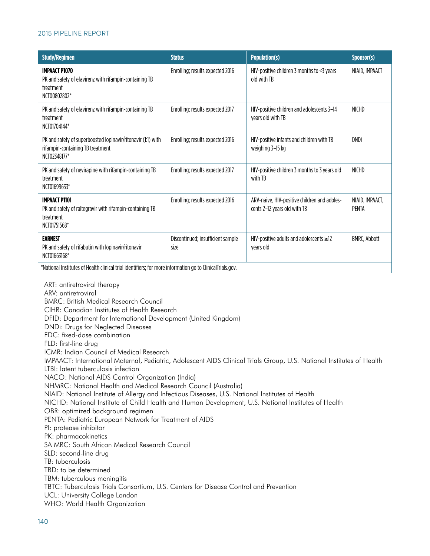| <b>Study/Regimen</b>                                                                                             | <b>Status</b>                             | <b>Population(s)</b>                                                         | Sponsor(s)               |  |  |
|------------------------------------------------------------------------------------------------------------------|-------------------------------------------|------------------------------------------------------------------------------|--------------------------|--|--|
| <b>IMPAACT P1070</b><br>PK and safety of efavirenz with rifampin-containing TB<br>treatment<br>NCT00802802*      | Enrolling; results expected 2016          | HIV-positive children 3 months to <3 years<br>old with TB                    | NIAID, IMPAACT           |  |  |
| PK and safety of efavirenz with rifampin-containing TB<br>treatment<br>NCT01704144*                              | Enrolling; results expected 2017          | HIV-positive children and adolescents 3-14<br>years old with TB              | <b>NICHD</b>             |  |  |
| PK and safety of superboosted lopinavir/ritonavir (1:1) with<br>rifampin-containing TB treatment<br>NCT02348177* | Enrolling; results expected 2016          | HIV-positive infants and children with TB<br>weighing 3-15 kg                | DNDi                     |  |  |
| PK and safety of nevirapine with rifampin-containing TB<br>treatment<br>NCT01699633*                             | Enrolling; results expected 2017          | HIV-positive children 3 months to 3 years old<br>with TB                     | <b>NICHD</b>             |  |  |
| <b>IMPAACT P1101</b><br>PK and safety of raltegravir with rifampin-containing TB<br>treatment<br>NCT01751568*    | Enrolling; results expected 2016          | ARV-naive, HIV-positive children and adoles-<br>cents 2-12 years old with TB | NIAID, IMPAACT,<br>PENTA |  |  |
| <b>EARNEST</b><br>PK and safety of rifabutin with lopinavir/ritonavir<br>NCT01663168*                            | Discontinued; insufficient sample<br>size | HIV-positive adults and adolescents $\geq$ 12<br>years old                   | BMRC, Abbott             |  |  |
| *National Institutes of Health clinical trial identifiers; for more information go to ClinicalTrials.gov.        |                                           |                                                                              |                          |  |  |

ART: antiretroviral therapy ARV: antiretroviral BMRC: British Medical Research Council CIHR: Canadian Institutes of Health Research DFID: Department for International Development (United Kingdom) DNDi: Drugs for Neglected Diseases FDC: fixed-dose combination FLD: first-line drug ICMR: Indian Council of Medical Research IMPAACT: International Maternal, Pediatric, Adolescent AIDS Clinical Trials Group, U.S. National Institutes of Health LTBI: latent tuberculosis infection NACO: National AIDS Control Organization (India) NHMRC: National Health and Medical Research Council (Australia) NIAID: National Institute of Allergy and Infectious Diseases, U.S. National Institutes of Health NICHD: National Institute of Child Health and Human Development, U.S. National Institutes of Health OBR: optimized background regimen PENTA: Pediatric European Network for Treatment of AIDS PI: protease inhibitor PK: pharmacokinetics SA MRC: South African Medical Research Council SLD: second-line drug TB: tuberculosis TBD: to be determined TBM: tuberculous meningitis TBTC: Tuberculosis Trials Consortium, U.S. Centers for Disease Control and Prevention UCL: University College London WHO: World Health Organization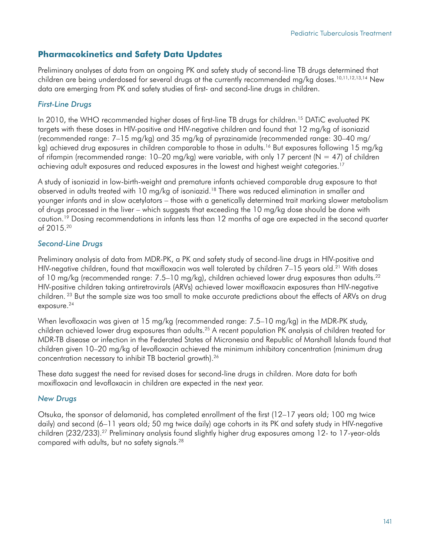# **Pharmacokinetics and Safety Data Updates**

Preliminary analyses of data from an ongoing PK and safety study of second-line TB drugs determined that children are being underdosed for several drugs at the currently recommended mg/kg doses.<sup>10,11,12,13,14</sup> New data are emerging from PK and safety studies of first- and second-line drugs in children.

## *First-Line Drugs*

In 2010, the WHO recommended higher doses of first-line TB drugs for children.<sup>15</sup> DATiC evaluated PK targets with these doses in HIV-positive and HIV-negative children and found that 12 mg/kg of isoniazid (recommended range: 7–15 mg/kg) and 35 mg/kg of pyrazinamide (recommended range: 30–40 mg/ kg) achieved drug exposures in children comparable to those in adults.<sup>16</sup> But exposures following 15 mg/kg of rifampin (recommended range:  $10-20$  mg/kg) were variable, with only 17 percent (N = 47) of children achieving adult exposures and reduced exposures in the lowest and highest weight categories.<sup>17</sup>

A study of isoniazid in low-birth-weight and premature infants achieved comparable drug exposure to that observed in adults treated with 10 mg/kg of isoniazid.18 There was reduced elimination in smaller and younger infants and in slow acetylators – those with a genetically determined trait marking slower metabolism of drugs processed in the liver – which suggests that exceeding the 10 mg/kg dose should be done with caution.19 Dosing recommendations in infants less than 12 months of age are expected in the second quarter of 2015.20

## *Second-Line Drugs*

Preliminary analysis of data from MDR-PK, a PK and safety study of second-line drugs in HIV-positive and HIV-negative children, found that moxifloxacin was well tolerated by children 7-15 years old.<sup>21</sup> With doses of 10 mg/kg (recommended range: 7.5–10 mg/kg), children achieved lower drug exposures than adults.22 HIV-positive children taking antiretrovirals (ARVs) achieved lower moxifloxacin exposures than HIV-negative children. 23 But the sample size was too small to make accurate predictions about the effects of ARVs on drug exposure.<sup>24</sup>

When levofloxacin was given at 15 mg/kg (recommended range: 7.5–10 mg/kg) in the MDR-PK study, children achieved lower drug exposures than adults.25 A recent population PK analysis of children treated for MDR-TB disease or infection in the Federated States of Micronesia and Republic of Marshall Islands found that children given 10–20 mg/kg of levofloxacin achieved the minimum inhibitory concentration (minimum drug concentration necessary to inhibit TB bacterial growth).26

These data suggest the need for revised doses for second-line drugs in children. More data for both moxifloxacin and levofloxacin in children are expected in the next year.

#### *New Drugs*

Otsuka, the sponsor of delamanid, has completed enrollment of the first (12–17 years old; 100 mg twice daily) and second (6–11 years old; 50 mg twice daily) age cohorts in its PK and safety study in HIV-negative children (232/233).27 Preliminary analysis found slightly higher drug exposures among 12- to 17-year-olds compared with adults, but no safety signals.28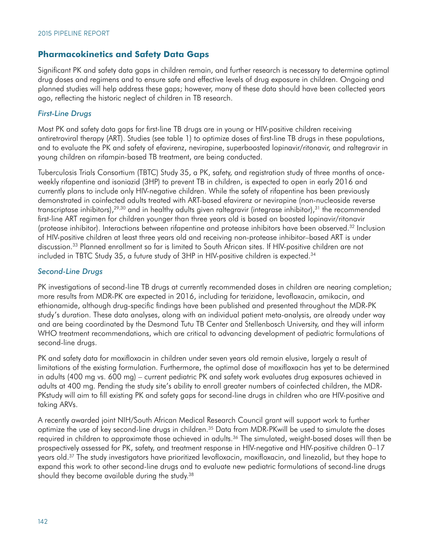### **Pharmacokinetics and Safety Data Gaps**

Significant PK and safety data gaps in children remain, and further research is necessary to determine optimal drug doses and regimens and to ensure safe and effective levels of drug exposure in children. Ongoing and planned studies will help address these gaps; however, many of these data should have been collected years ago, reflecting the historic neglect of children in TB research.

#### *First-Line Drugs*

Most PK and safety data gaps for first-line TB drugs are in young or HIV-positive children receiving antiretroviral therapy (ART). Studies (see table 1) to optimize doses of first-line TB drugs in these populations, and to evaluate the PK and safety of efavirenz, nevirapine, superboosted lopinavir/ritonavir, and raltegravir in young children on rifampin-based TB treatment, are being conducted.

Tuberculosis Trials Consortium (TBTC) Study 35, a PK, safety, and registration study of three months of onceweekly rifapentine and isoniazid (3HP) to prevent TB in children, is expected to open in early 2016 and currently plans to include only HIV-negative children. While the safety of rifapentine has been previously demonstrated in coinfected adults treated with ART-based efavirenz or nevirapine (non-nucleoside reverse transcriptase inhibitors), $29,30$  and in healthy adults given raltegravir (integrase inhibitor), $31$  the recommended first-line ART regimen for children younger than three years old is based on boosted lopinavir/ritonavir (protease inhibitor). Interactions between rifapentine and protease inhibitors have been observed.32 Inclusion of HIV-positive children at least three years old and receiving non-protease inhibitor–based ART is under discussion.33 Planned enrollment so far is limited to South African sites. If HIV-positive children are not included in TBTC Study 35, a future study of 3HP in HIV-positive children is expected.34

#### *Second-Line Drugs*

PK investigations of second-line TB drugs at currently recommended doses in children are nearing completion; more results from MDR-PK are expected in 2016, including for terizidone, levofloxacin, amikacin, and ethionamide, although drug-specific findings have been published and presented throughout the MDR-PK study's duration. These data analyses, along with an individual patient meta-analysis, are already under way and are being coordinated by the Desmond Tutu TB Center and Stellenbosch University, and they will inform WHO treatment recommendations, which are critical to advancing development of pediatric formulations of second-line drugs.

PK and safety data for moxifloxacin in children under seven years old remain elusive, largely a result of limitations of the existing formulation. Furthermore, the optimal dose of moxifloxacin has yet to be determined in adults (400 mg vs. 600 mg) – current pediatric PK and safety work evaluates drug exposures achieved in adults at 400 mg. Pending the study site's ability to enroll greater numbers of coinfected children, the MDR-PKstudy will aim to fill existing PK and safety gaps for second-line drugs in children who are HIV-positive and taking ARVs.

A recently awarded joint NIH/South African Medical Research Council grant will support work to further optimize the use of key second-line drugs in children.35 Data from MDR-PKwill be used to simulate the doses required in children to approximate those achieved in adults.<sup>36</sup> The simulated, weight-based doses will then be prospectively assessed for PK, safety, and treatment response in HIV-negative and HIV-positive children 0–17 years old.37 The study investigators have prioritized levofloxacin, moxifloxacin, and linezolid, but they hope to expand this work to other second-line drugs and to evaluate new pediatric formulations of second-line drugs should they become available during the study.<sup>38</sup>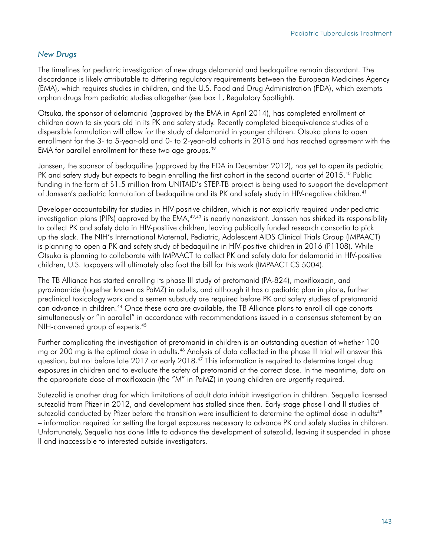### *New Drugs*

The timelines for pediatric investigation of new drugs delamanid and bedaquiline remain discordant. The discordance is likely attributable to differing regulatory requirements between the European Medicines Agency (EMA), which requires studies in children, and the U.S. Food and Drug Administration (FDA), which exempts orphan drugs from pediatric studies altogether (see box 1, Regulatory Spotlight).

Otsuka, the sponsor of delamanid (approved by the EMA in April 2014), has completed enrollment of children down to six years old in its PK and safety study. Recently completed bioequivalence studies of a dispersible formulation will allow for the study of delamanid in younger children. Otsuka plans to open enrollment for the 3- to 5-year-old and 0- to 2-year-old cohorts in 2015 and has reached agreement with the EMA for parallel enrollment for these two age groups.39

Janssen, the sponsor of bedaquiline (approved by the FDA in December 2012), has yet to open its pediatric PK and safety study but expects to begin enrolling the first cohort in the second quarter of 2015.<sup>40</sup> Public funding in the form of \$1.5 million from UNITAID's STEP-TB project is being used to support the development of Janssen's pediatric formulation of bedaquiline and its PK and safety study in HIV-negative children.<sup>41</sup>

Developer accountability for studies in HIV-positive children, which is not explicitly required under pediatric investigation plans (PIPs) approved by the  $EMA$ ,  $42,43$  is nearly nonexistent. Janssen has shirked its responsibility to collect PK and safety data in HIV-positive children, leaving publically funded research consortia to pick up the slack. The NIH's International Maternal, Pediatric, Adolescent AIDS Clinical Trials Group (IMPAACT) is planning to open a PK and safety study of bedaquiline in HIV-positive children in 2016 (P1108). While Otsuka is planning to collaborate with IMPAACT to collect PK and safety data for delamanid in HIV-positive children, U.S. taxpayers will ultimately also foot the bill for this work (IMPAACT CS 5004).

The TB Alliance has started enrolling its phase III study of pretomanid (PA-824), moxifloxacin, and pyrazinamide (together known as PaMZ) in adults, and although it has a pediatric plan in place, further preclinical toxicology work and a semen substudy are required before PK and safety studies of pretomanid can advance in children.44 Once these data are available, the TB Alliance plans to enroll all age cohorts simultaneously or "in parallel" in accordance with recommendations issued in a consensus statement by an NIH-convened group of experts.45

Further complicating the investigation of pretomanid in children is an outstanding question of whether 100 mg or 200 mg is the optimal dose in adults.<sup>46</sup> Analysis of data collected in the phase III trial will answer this question, but not before late 2017 or early 2018.47 This information is required to determine target drug exposures in children and to evaluate the safety of pretomanid at the correct dose. In the meantime, data on the appropriate dose of moxifloxacin (the "M" in PaMZ) in young children are urgently required.

Sutezolid is another drug for which limitations of adult data inhibit investigation in children. Sequella licensed sutezolid from Pfizer in 2012, and development has stalled since then. Early-stage phase I and II studies of sutezolid conducted by Pfizer before the transition were insufficient to determine the optimal dose in adults<sup>48</sup> – information required for setting the target exposures necessary to advance PK and safety studies in children. Unfortunately, Sequella has done little to advance the development of sutezolid, leaving it suspended in phase II and inaccessible to interested outside investigators.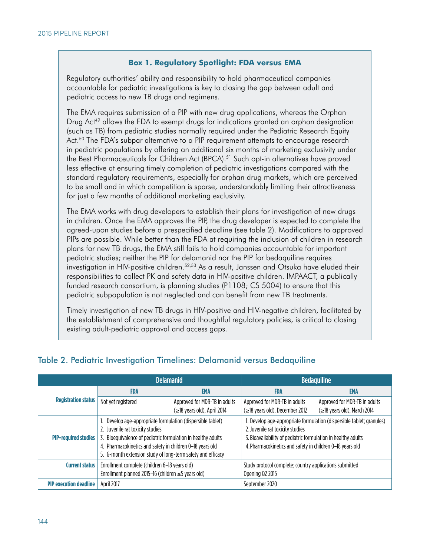#### **Box 1. Regulatory Spotlight: FDA versus EMA**

Regulatory authorities' ability and responsibility to hold pharmaceutical companies accountable for pediatric investigations is key to closing the gap between adult and pediatric access to new TB drugs and regimens.

The EMA requires submission of a PIP with new drug applications, whereas the Orphan Drug Act<sup>49</sup> allows the FDA to exempt drugs for indications granted an orphan designation (such as TB) from pediatric studies normally required under the Pediatric Research Equity Act.<sup>50</sup> The FDA's subpar alternative to a PIP requirement attempts to encourage research in pediatric populations by offering an additional six months of marketing exclusivity under the Best Pharmaceuticals for Children Act (BPCA).<sup>51</sup> Such opt-in alternatives have proved less effective at ensuring timely completion of pediatric investigations compared with the standard regulatory requirements, especially for orphan drug markets, which are perceived to be small and in which competition is sparse, understandably limiting their attractiveness for just a few months of additional marketing exclusivity.

The EMA works with drug developers to establish their plans for investigation of new drugs in children. Once the EMA approves the PIP, the drug developer is expected to complete the agreed-upon studies before a prespecified deadline (see table 2). Modifications to approved PIPs are possible. While better than the FDA at requiring the inclusion of children in research plans for new TB drugs, the EMA still fails to hold companies accountable for important pediatric studies; neither the PIP for delamanid nor the PIP for bedaquiline requires investigation in HIV-positive children.<sup>52,53</sup> As a result, Janssen and Otsuka have eluded their responsibilities to collect PK and safety data in HIV-positive children. IMPAACT, a publically funded research consortium, is planning studies (P1108; CS 5004) to ensure that this pediatric subpopulation is not neglected and can benefit from new TB treatments.

Timely investigation of new TB drugs in HIV-positive and HIV-negative children, facilitated by the establishment of comprehensive and thoughtful regulatory policies, is critical to closing existing adult-pediatric approval and access gaps.

| <b>Delamanid</b>              |                                                                                                                                                                                                                                                                                       | <b>Bedaquiline</b>                                                 |                                                                                                                                                                                                                                         |                                                                    |
|-------------------------------|---------------------------------------------------------------------------------------------------------------------------------------------------------------------------------------------------------------------------------------------------------------------------------------|--------------------------------------------------------------------|-----------------------------------------------------------------------------------------------------------------------------------------------------------------------------------------------------------------------------------------|--------------------------------------------------------------------|
|                               | <b>FDA</b>                                                                                                                                                                                                                                                                            | <b>EMA</b>                                                         | <b>FDA</b>                                                                                                                                                                                                                              | <b>EMA</b>                                                         |
| <b>Registration status</b>    | Not yet registered                                                                                                                                                                                                                                                                    | Approved for MDR-TB in adults<br>$(\geq 18$ years old), April 2014 | Approved for MDR-TB in adults<br>(≥18 years old), December 2012                                                                                                                                                                         | Approved for MDR-TB in adults<br>$(\geq 18$ years old), March 2014 |
| <b>PIP-required studies</b>   | Develop age-appropriate formulation (dispersible tablet)<br>2. Juvenile rat toxicity studies<br>Bioequivalence of pediatric formulation in healthy adults<br>4. Pharmacokinetics and safety in children 0-18 years old<br>5. 6-month extension study of long-term safety and efficacy |                                                                    | I. Develop age-appropriate formulation (dispersible tablet; granules)<br>2. Juvenile rat toxicity studies<br>3. Bioavailability of pediatric formulation in healthy adults<br>4. Pharmacokinetics and safety in children 0-18 years old |                                                                    |
| <b>Current status</b>         | Enrollment complete (children 6-18 years old)<br>Enrollment planned 2015-16 (children $\leq$ 5 years old)                                                                                                                                                                             |                                                                    | Study protocol complete; country applications submitted<br>Opening Q2 2015                                                                                                                                                              |                                                                    |
| <b>PIP execution deadline</b> | April 2017                                                                                                                                                                                                                                                                            |                                                                    | September 2020                                                                                                                                                                                                                          |                                                                    |

## Table 2. Pediatric Investigation Timelines: Delamanid versus Bedaquiline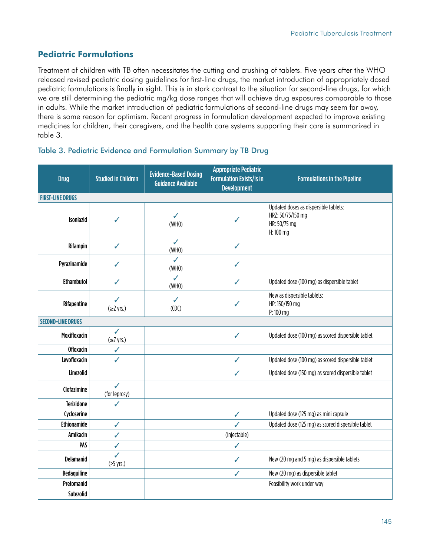# **Pediatric Formulations**

Treatment of children with TB often necessitates the cutting and crushing of tablets. Five years after the WHO released revised pediatric dosing guidelines for first-line drugs, the market introduction of appropriately dosed pediatric formulations is finally in sight. This is in stark contrast to the situation for second-line drugs, for which we are still determining the pediatric mg/kg dose ranges that will achieve drug exposures comparable to those in adults. While the market introduction of pediatric formulations of second-line drugs may seem far away, there is some reason for optimism. Recent progress in formulation development expected to improve existing medicines for children, their caregivers, and the health care systems supporting their care is summarized in table 3.

## Table 3. Pediatric Evidence and Formulation Summary by TB Drug

| <b>Drug</b>              | <b>Studied in Children</b>      | <b>Evidence-Based Dosing</b><br><b>Guidance Available</b> | <b>Appropriate Pediatric</b><br><b>Formulation Exists/Is in</b><br><b>Development</b> | <b>Formulations in the Pipeline</b>                                                     |
|--------------------------|---------------------------------|-----------------------------------------------------------|---------------------------------------------------------------------------------------|-----------------------------------------------------------------------------------------|
| <b>FIRST-LINE DRUGS</b>  |                                 |                                                           |                                                                                       |                                                                                         |
| Isoniazid                | ✓                               | ✓<br>(WHO)                                                | ✓                                                                                     | Updated doses as dispersible tablets:<br>HRZ: 50/75/150 mg<br>HR: 50/75 mg<br>H: 100 mg |
| Rifampin                 | $\checkmark$                    | $\checkmark$<br>(WHO)                                     | $\checkmark$                                                                          |                                                                                         |
| Pyrazinamide             | ✓                               | ✓<br>(WHO)                                                | $\checkmark$                                                                          |                                                                                         |
| <b>Ethambutol</b>        | ✓                               | ✓<br>(WHO)                                                | $\checkmark$                                                                          | Updated dose (100 mg) as dispersible tablet                                             |
| Rifapentine              | $\checkmark$<br>$(\geq 2$ yrs.) | $\checkmark$<br>(CDC)                                     | ✓                                                                                     | New as dispersible tablets:<br>HP: 150/150 mg<br>P: 100 mg                              |
| <b>SECOND-LINE DRUGS</b> |                                 |                                                           |                                                                                       |                                                                                         |
| <b>Moxifloxacin</b>      | $\checkmark$<br>$(\geq7$ yrs.)  |                                                           | $\checkmark$                                                                          | Updated dose (100 mg) as scored dispersible tablet                                      |
| <b>Ofloxacin</b>         | ✓                               |                                                           |                                                                                       |                                                                                         |
| Levofloxacin             | ✓                               |                                                           | $\checkmark$                                                                          | Updated dose (100 mg) as scored dispersible tablet                                      |
| Linezolid                |                                 |                                                           | $\checkmark$                                                                          | Updated dose (150 mg) as scored dispersible tablet                                      |
| Clofazimine              | ✓<br>(for leprosy)              |                                                           |                                                                                       |                                                                                         |
| <b>Terizidone</b>        | $\checkmark$                    |                                                           |                                                                                       |                                                                                         |
| Cycloserine              |                                 |                                                           | $\checkmark$                                                                          | Updated dose (125 mg) as mini capsule                                                   |
| Ethionamide              | $\checkmark$                    |                                                           | $\checkmark$                                                                          | Updated dose (125 mg) as scored dispersible tablet                                      |
| Amikacin                 | $\checkmark$                    |                                                           | (injectable)                                                                          |                                                                                         |
| PAS                      | $\checkmark$                    |                                                           | ✓                                                                                     |                                                                                         |
| <b>Delamanid</b>         | J<br>(>5 yrs.)                  |                                                           | $\checkmark$                                                                          | New (20 mg and 5 mg) as dispersible tablets                                             |
| Bedaquiline              |                                 |                                                           | $\checkmark$                                                                          | New (20 mg) as dispersible tablet                                                       |
| Pretomanid               |                                 |                                                           |                                                                                       | Feasibility work under way                                                              |
| Sutezolid                |                                 |                                                           |                                                                                       |                                                                                         |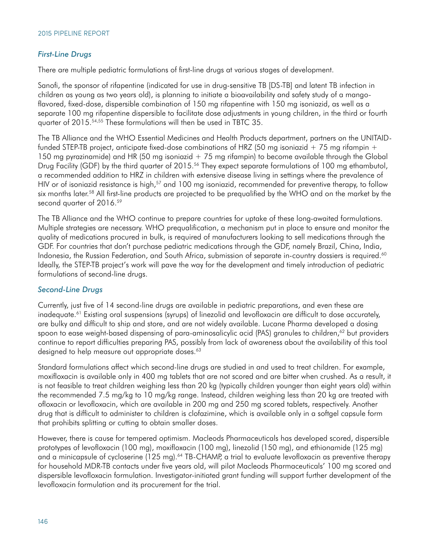## *First-Line Drugs*

There are multiple pediatric formulations of first-line drugs at various stages of development.

Sanofi, the sponsor of rifapentine (indicated for use in drug-sensitive TB [DS-TB] and latent TB infection in children as young as two years old), is planning to initiate a bioavailability and safety study of a mangoflavored, fixed-dose, dispersible combination of 150 mg rifapentine with 150 mg isoniazid, as well as a separate 100 mg rifapentine dispersible to facilitate dose adjustments in young children, in the third or fourth quarter of 2015.54,55 These formulations will then be used in TBTC 35.

The TB Alliance and the WHO Essential Medicines and Health Products department, partners on the UNITAIDfunded STEP-TB project, anticipate fixed-dose combinations of HRZ (50 mg isoniazid  $+75$  mg rifampin  $+$ 150 mg pyrazinamide) and HR (50 mg isoniazid + 75 mg rifampin) to become available through the Global Drug Facility (GDF) by the third quarter of 2015.<sup>56</sup> They expect separate formulations of 100 mg ethambutol, a recommended addition to HRZ in children with extensive disease living in settings where the prevalence of HIV or of isoniazid resistance is high,<sup>57</sup> and 100 mg isoniazid, recommended for preventive therapy, to follow six months later.<sup>58</sup> All first-line products are projected to be prequalified by the WHO and on the market by the second quarter of 2016.<sup>59</sup>

The TB Alliance and the WHO continue to prepare countries for uptake of these long-awaited formulations. Multiple strategies are necessary. WHO prequalification, a mechanism put in place to ensure and monitor the quality of medications procured in bulk, is required of manufacturers looking to sell medications through the GDF. For countries that don't purchase pediatric medications through the GDF, namely Brazil, China, India, Indonesia, the Russian Federation, and South Africa, submission of separate in-country dossiers is required.<sup>60</sup> Ideally, the STEP-TB project's work will pave the way for the development and timely introduction of pediatric formulations of second-line drugs.

## *Second-Line Drugs*

Currently, just five of 14 second-line drugs are available in pediatric preparations, and even these are inadequate.61 Existing oral suspensions (syrups) of linezolid and levofloxacin are difficult to dose accurately, are bulky and difficult to ship and store, and are not widely available. Lucane Pharma developed a dosing spoon to ease weight-based dispensing of para-aminosalicylic acid (PAS) granules to children,<sup>62</sup> but providers continue to report difficulties preparing PAS, possibly from lack of awareness about the availability of this tool designed to help measure out appropriate doses.<sup>63</sup>

Standard formulations affect which second-line drugs are studied in and used to treat children. For example, moxifloxacin is available only in 400 mg tablets that are not scored and are bitter when crushed. As a result, it is not feasible to treat children weighing less than 20 kg (typically children younger than eight years old) within the recommended 7.5 mg/kg to 10 mg/kg range. Instead, children weighing less than 20 kg are treated with ofloxacin or levofloxacin, which are available in 200 mg and 250 mg scored tablets, respectively. Another drug that is difficult to administer to children is clofazimine, which is available only in a softgel capsule form that prohibits splitting or cutting to obtain smaller doses.

However, there is cause for tempered optimism. Macleods Pharmaceuticals has developed scored, dispersible prototypes of levofloxacin (100 mg), moxifloxacin (100 mg), linezolid (150 mg), and ethionamide (125 mg) and a minicapsule of cycloserine (125 mg).<sup>64</sup> TB-CHAMP, a trial to evaluate levofloxacin as preventive therapy for household MDR-TB contacts under five years old, will pilot Macleods Pharmaceuticals' 100 mg scored and dispersible levofloxacin formulation. Investigator-initiated grant funding will support further development of the levofloxacin formulation and its procurement for the trial.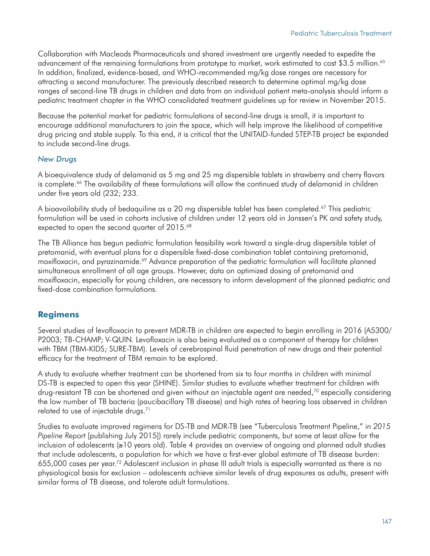Collaboration with Macleods Pharmaceuticals and shared investment are urgently needed to expedite the advancement of the remaining formulations from prototype to market, work estimated to cost \$3.5 million.<sup>65</sup> In addition, finalized, evidence-based, and WHO-recommended mg/kg dose ranges are necessary for attracting a second manufacturer. The previously described research to determine optimal mg/kg dose ranges of second-line TB drugs in children and data from an individual patient meta-analysis should inform a pediatric treatment chapter in the WHO consolidated treatment guidelines up for review in November 2015.

Because the potential market for pediatric formulations of second-line drugs is small, it is important to encourage additional manufacturers to join the space, which will help improve the likelihood of competitive drug pricing and stable supply. To this end, it is critical that the UNITAID-funded STEP-TB project be expanded to include second-line drugs.

### *New Drugs*

A bioequivalence study of delamanid as 5 mg and 25 mg dispersible tablets in strawberry and cherry flavors is complete.<sup>66</sup> The availability of these formulations will allow the continued study of delamanid in children under five years old (232; 233.

A bioavailability study of bedaquiline as a 20 mg dispersible tablet has been completed.<sup>67</sup> This pediatric formulation will be used in cohorts inclusive of children under 12 years old in Janssen's PK and safety study, expected to open the second quarter of 2015.<sup>68</sup>

The TB Alliance has begun pediatric formulation feasibility work toward a single-drug dispersible tablet of pretomanid, with eventual plans for a dispersible fixed-dose combination tablet containing pretomanid, moxifloxacin, and pyrazinamide.<sup>69</sup> Advance preparation of the pediatric formulation will facilitate planned simultaneous enrollment of all age groups. However, data on optimized dosing of pretomanid and moxifloxacin, especially for young children, are necessary to inform development of the planned pediatric and fixed-dose combination formulations.

# **Regimens**

Several studies of levofloxacin to prevent MDR-TB in children are expected to begin enrolling in 2016 (A5300/ P2003; TB-CHAMP; V-QUIN. Levofloxacin is also being evaluated as a component of therapy for children with TBM (TBM-KIDS; SURE-TBM). Levels of cerebrospinal fluid penetration of new drugs and their potential efficacy for the treatment of TBM remain to be explored.

A study to evaluate whether treatment can be shortened from six to four months in children with minimal DS-TB is expected to open this year (SHINE). Similar studies to evaluate whether treatment for children with drug-resistant TB can be shortened and given without an injectable agent are needed,<sup>70</sup> especially considering the low number of TB bacteria (paucibacillary TB disease) and high rates of hearing loss observed in children related to use of injectable drugs.<sup>71</sup>

Studies to evaluate improved regimens for DS-TB and MDR-TB (see "Tuberculosis Treatment Pipeline," in *2015 Pipeline Report* [publishing July 2015]) rarely include pediatric components, but some at least allow for the inclusion of adolescents (≥10 years old). Table 4 provides an overview of ongoing and planned adult studies that include adolescents, a population for which we have a first-ever global estimate of TB disease burden: 655,000 cases per year.72 Adolescent inclusion in phase III adult trials is especially warranted as there is no physiological basis for exclusion – adolescents achieve similar levels of drug exposures as adults, present with similar forms of TB disease, and tolerate adult formulations.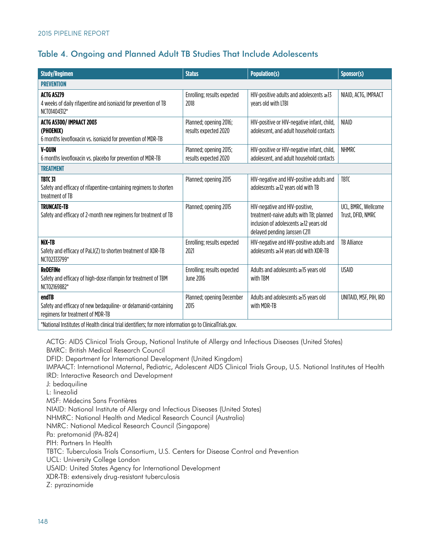# Table 4. Ongoing and Planned Adult TB Studies That Include Adolescents

| <b>Study/Regimen</b>                                                                                         | <b>Status</b>                                   | <b>Population(s)</b>                                                                                                                                | Sponsor(s)                               |  |  |
|--------------------------------------------------------------------------------------------------------------|-------------------------------------------------|-----------------------------------------------------------------------------------------------------------------------------------------------------|------------------------------------------|--|--|
| <b>PREVENTION</b>                                                                                            |                                                 |                                                                                                                                                     |                                          |  |  |
| <b>ACTG A5279</b><br>4 weeks of daily rifapentine and isoniazid for prevention of TB<br>NCT01404312*         | Enrolling; results expected<br>2018             | HIV-positive adults and adolescents $\geq$ 13<br>vears old with LTBI                                                                                | NIAID, ACTG, IMPAACT                     |  |  |
| <b>ACTG A5300/IMPAACT 2003</b><br>(PHOENIX)<br>6 months levofloxacin vs. isoniazid for prevention of MDR-TB  | Planned; opening 2016;<br>results expected 2020 | HIV-positive or HIV-negative infant, child,<br>adolescent, and adult household contacts                                                             | <b>NIAID</b>                             |  |  |
| <b>V-QUIN</b><br>6 months levofloxacin vs. placebo for prevention of MDR-TB                                  | Planned; opening 2015;<br>results expected 2020 | HIV-positive or HIV-negative infant, child,<br>adolescent, and adult household contacts                                                             | <b>NHMRC</b>                             |  |  |
| <b>TREATMENT</b>                                                                                             |                                                 |                                                                                                                                                     |                                          |  |  |
| <b>TBTC 31</b><br>Safety and efficacy of rifapentine-containing regimens to shorten<br>treatment of TB       | Planned; opening 2015                           | HIV-negative and HIV-positive adults and<br>adolescents ≥12 years old with TB                                                                       | TBTC                                     |  |  |
| <b>TRUNCATE-TB</b><br>Safety and efficacy of 2-month new regimens for treatment of TB                        | Planned; opening 2015                           | HIV-negative and HIV-positive,<br>treatment-naive adults with TB; planned<br>inclusion of adolescents ≥12 years old<br>delayed pending Janssen C211 | UCL, BMRC, Wellcome<br>Trust, DFID, NMRC |  |  |
| NiX-TB<br>Safety and efficacy of PaLJ(Z) to shorten treatment of XDR-TB<br>NCT02333799*                      | Enrolling; results expected<br>2021             | HIV-negative and HIV-positive adults and<br>adolescents ≥14 years old with XDR-TB                                                                   | <b>TB Alliance</b>                       |  |  |
| <b>ReDEFINe</b><br>Safety and efficacy of high-dose rifampin for treatment of TBM<br>NCT02169882*            | Enrolling; results expected<br>June 2016        | Adults and adolescents ≥15 years old<br>with TBM                                                                                                    | <b>USAID</b>                             |  |  |
| endTB<br>Safety and efficacy of new bedaquiline- or delamanid-containing<br>regimens for treatment of MDR-TB | Planned; opening December<br>2015               | Adults and adolescents ≥15 years old<br>with MDR-TB                                                                                                 | UNITAID, MSF, PIH, IRD                   |  |  |
| *National Institutes of Health clinical trial identifiers; for more information go to ClinicalTrials.gov.    |                                                 |                                                                                                                                                     |                                          |  |  |

ACTG: AIDS Clinical Trials Group, National Institute of Allergy and Infectious Diseases (United States) BMRC: British Medical Research Council DFID: Department for International Development (United Kingdom) IMPAACT: International Maternal, Pediatric, Adolescent AIDS Clinical Trials Group, U.S. National Institutes of Health IRD: Interactive Research and Development J: bedaquiline L: linezolid MSF: Médecins Sans Frontières NIAID: National Institute of Allergy and Infectious Diseases (United States) NHMRC: National Health and Medical Research Council (Australia) NMRC: National Medical Research Council (Singapore) Pa: pretomanid (PA-824) PIH: Partners In Health TBTC: Tuberculosis Trials Consortium, U.S. Centers for Disease Control and Prevention UCL: University College London USAID: United States Agency for International Development XDR-TB: extensively drug-resistant tuberculosis Z: pyrazinamide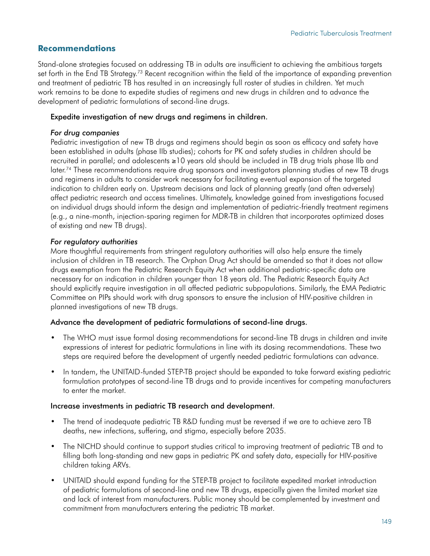# **Recommendations**

Stand-alone strategies focused on addressing TB in adults are insufficient to achieving the ambitious targets set forth in the End TB Strategy.<sup>73</sup> Recent recognition within the field of the importance of expanding prevention and treatment of pediatric TB has resulted in an increasingly full roster of studies in children. Yet much work remains to be done to expedite studies of regimens and new drugs in children and to advance the development of pediatric formulations of second-line drugs.

### Expedite investigation of new drugs and regimens in children.

#### *For drug companies*

Pediatric investigation of new TB drugs and regimens should begin as soon as efficacy and safety have been established in adults (phase IIb studies); cohorts for PK and safety studies in children should be recruited in parallel; and adolescents ≥10 years old should be included in TB drug trials phase IIb and later.<sup>74</sup> These recommendations require drug sponsors and investigators planning studies of new TB drugs and regimens in adults to consider work necessary for facilitating eventual expansion of the targeted indication to children early on. Upstream decisions and lack of planning greatly (and often adversely) affect pediatric research and access timelines. Ultimately, knowledge gained from investigations focused on individual drugs should inform the design and implementation of pediatric-friendly treatment regimens (e.g., a nine-month, injection-sparing regimen for MDR-TB in children that incorporates optimized doses of existing and new TB drugs).

## *For regulatory authorities*

More thoughtful requirements from stringent regulatory authorities will also help ensure the timely inclusion of children in TB research. The Orphan Drug Act should be amended so that it does not allow drugs exemption from the Pediatric Research Equity Act when additional pediatric-specific data are necessary for an indication in children younger than 18 years old. The Pediatric Research Equity Act should explicitly require investigation in all affected pediatric subpopulations. Similarly, the EMA Pediatric Committee on PIPs should work with drug sponsors to ensure the inclusion of HIV-positive children in planned investigations of new TB drugs.

## Advance the development of pediatric formulations of second-line drugs.

- The WHO must issue formal dosing recommendations for second-line TB drugs in children and invite expressions of interest for pediatric formulations in line with its dosing recommendations. These two steps are required before the development of urgently needed pediatric formulations can advance.
- In tandem, the UNITAID-funded STEP-TB project should be expanded to take forward existing pediatric formulation prototypes of second-line TB drugs and to provide incentives for competing manufacturers to enter the market.

#### Increase investments in pediatric TB research and development.

- The trend of inadequate pediatric TB R&D funding must be reversed if we are to achieve zero TB deaths, new infections, suffering, and stigma, especially before 2035.
- The NICHD should continue to support studies critical to improving treatment of pediatric TB and to filling both long-standing and new gaps in pediatric PK and safety data, especially for HIV-positive children taking ARVs.
- UNITAID should expand funding for the STEP-TB project to facilitate expedited market introduction of pediatric formulations of second-line and new TB drugs, especially given the limited market size and lack of interest from manufacturers. Public money should be complemented by investment and commitment from manufacturers entering the pediatric TB market.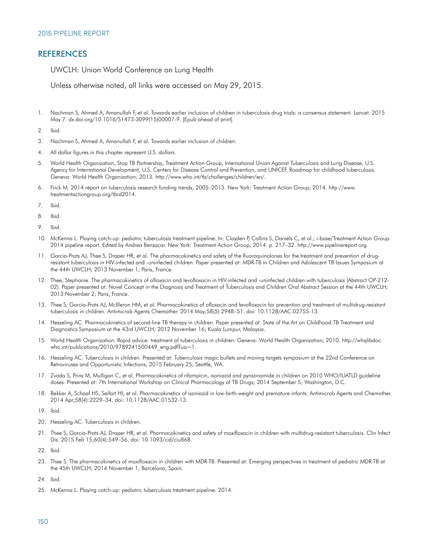#### **REFERENCES**

UWCLH: Union World Conference on Lung Health

Unless otherwise noted, all links were accessed on May 29, 2015.

1. Nachman S, Ahmed A, Amanullah F, et al. Towards earlier inclusion of children in tuberculosis drug trials: a consensus statement. Lancet. 2015 May 7. dx.doi.org/10.1016/S1473-3099(15)00007-9. [Epub ahead of print]

2. Ibid.

- 3. Nachman S, Ahmed A, Amanullah F, et al. Towards earlier inclusion of children.
- 4. All dollar figures in this chapter represent U.S. dollars.
- 5. World Health Organization, Stop TB Partnership, Treatment Action Group, International Union Against Tuberculosis and Lung Disease, U.S. Agency for International Development, U.S. Centers for Disease Control and Prevention, and UNICEF. Roadmap for childhood tuberculosis. Geneva: World Health Organization; 2013. [http://www.who.int/tb/challenges/children/en/.](http://www.who.int/tb/challenges/children/en/)
- 6. Frick M. 2014 report on tuberculosis research funding trends, 2005–2013. New York: Treatment Action Group; 2014. [http://www.](http://www.treatmentactiongroup.org/tbrd2014) [treatmentactiongroup.org/tbrd2014.](http://www.treatmentactiongroup.org/tbrd2014)
- 7. Ibid.
- 8. Ibid.
- 9. Ibid.
- 10. McKenna L. Playing catch-up: pediatric tuberculosis treatment pipeline. In: Clayden P, Collins S, Daniels C, et al.; i-base/Treatment Action Group. 2014 pipeline report. Edited by Andrea Benzacar. New York: Treatment Action Group; 2014. p. 217–32. [http://www.pipelinereport.org.](http://www.pipelinereport.org)
- 11. Garcia-Prats AJ, Thee S, Draper HR, et al. The pharmacokinetics and safety of the fluoroquinolones for the treatment and prevention of drugresistant tuberculosis in HIV-infected and -uninfected children. Paper presented at: MDR-TB in Children and Adolescent TB Issues Symposium at the 44th UWCLH; 2013 November 1; Paris, France.
- 12. Thee, Stephanie. The pharmacokinetics of ofloxacin and levofloxacin in HIV-infected and -uninfected children with tuberculosis (Abstract OP-212- 02). Paper presented at: Novel Concept in the Diagnosis and Treatment of Tuberculosis and Children Oral Abstract Session at the 44th UWCLH; 2013 November 2; Paris, France.
- 13. Thee S, Garcia-Prats AJ, McIlleron HM, et al. Pharmacokinetics of ofloxacin and levofloxacin for prevention and treatment of multidrug-resistant tuberculosis in children. Antimicrob Agents Chemother. 2014 May;58(5):2948–51. doi: 10.1128/AAC.02755-13.
- 14. Hesseling AC. Pharmacokinetics of second-line TB therapy in children. Paper presented at: State of the Art on Childhood TB Treatment and Diagnostics Symposium at the 43rd UWCLH; 2012 November 16; Kuala Lumpur, Malaysia.
- 15. World Health Organization. Rapid advice: treatment of tuberculosis in children. Geneva: World Health Organization; 2010. [http://whqlibdoc.](http://whqlibdoc.who.int/publications/2010/9789241500449_eng.pdf?ua=1) [who.int/publications/2010/9789241500449\\_eng.pdf?ua=1](http://whqlibdoc.who.int/publications/2010/9789241500449_eng.pdf?ua=1).
- 16. Hesseling AC. Tuberculosis in children. Presented at: Tuberculosis magic bullets and moving targets symposium at the 22nd Conference on Retroviruses and Opportunistic Infections; 2015 February 25; Seattle, WA.
- 17. Zvada S, Prins M, Mulligan C, et al. Pharmacokinetics of rifampicin, isoniazid and pyrazinamide in children on 2010 WHO/IUATLD guideline doses. Presented at: 7th International Workshop on Clinical Pharmacology of TB Drugs; 2014 September 5; Washington, D.C.
- 18. Bekker A, Schaaf HS, Seifart HI, et al. Pharmacokinetics of isoniazid in low-birth-weight and premature infants. Antimicrob Agents and Chemother. 2014 Apr;58(4):2229–34. doi: 10.1128/AAC.01532-13.
- 19. Ibid.
- 20. Hesseling AC. Tuberculosis in children.
- 21. Thee S, Garcia-Prats AJ, Draper HR, et al. Pharmacokinetics and safety of moxifloxacin in children with multidrug-resistant tuberculosis. Clin Infect Dis. 2015 Feb 15;60(4):549–56. doi: 10.1093/cid/ciu868.

22. Ibid.

- 23. Thee S. The pharmacokinetics of moxifloxacin in children with MDR-TB. Presented at: Emerging perspectives in treatment of pediatric MDR-TB at the 45th UWCLH; 2014 November 1; Barcelona, Spain.
- 24. Ibid.
- 25. McKenna L. Playing catch-up: pediatric tuberculosis treatment pipeline. 2014.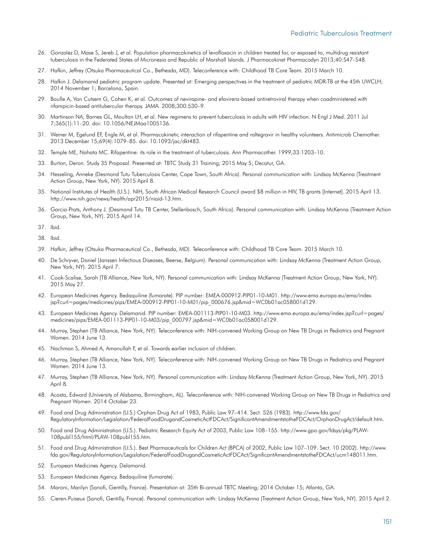- 26. Gonzalez D, Mase S, Jereb J, et al. Population pharmacokinetics of levofloxacin in children treated for, or exposed to, multidrug resistant tuberculosis in the Federated States of Micronesia and Republic of Marshall Islands. J Pharmacokinet Pharmacodyn 2013;40:S47–S48.
- 27. Hafkin, Jeffrey (Otsuka Pharmaceutical Co., Bethesda, MD). Teleconference with: Childhood TB Core Team. 2015 March 10.
- 28. Hafkin J. Delamanid pediatric program update. Presented at: Emerging perspectives in the treatment of pediatric MDR-TB at the 45th UWCLH; 2014 November 1; Barcelona, Spain.
- 29. Boulle A, Van Cutsem G, Cohen K, et al. Outcomes of nevirapine- and efavirenz-based antiretroviral therapy when coadministered with rifampicin-based antitubercular therapy. JAMA. 2008;300:530–9.
- 30. Martinson NA, Barnes GL, Moulton LH, et al. New regimens to prevent tuberculosis in adults with HIV infection. N Engl J Med. 2011 Jul 7;365(1):11–20. doi: 10.1056/NEJMoa1005136.
- 31. Weiner M, Egelund EF, Engle M, et al. Pharmacokinetic interaction of rifapentine and raltegravir in healthy volunteers. Antimicrob Chemother. 2013 December 15;69(4):1079–85. doi: 10.1093/jac/dkt483.
- 32. Temple ME, Nahata MC. Rifapentine: its role in the treatment of tuberculosis. Ann Pharmacother. 1999;33:1203–10.
- 33. Burton, Deron. Study 35 Proposal. Presented at: TBTC Study 31 Training; 2015 May 5; Decatur, GA.
- 34. Hesseling, Anneke (Desmond Tutu Tuberculosis Center, Cape Town, South Africa). Personal communication with: Lindsay McKenna (Treatment Action Group, New York, NY). 2015 April 8.
- 35. National Institutes of Health (U.S.). NIH, South African Medical Research Council award \$8 million in HIV, TB grants [Internet]. 2015 April 13. [http://www.nih.gov/news/health/apr2015/niaid-13.htm.](http://www.nih.gov/news/health/apr2015/niaid-13.htm)
- 36. Garcia-Prats, Anthony J. (Desmond Tutu TB Center, Stellenbosch, South Africa). Personal communication with: Lindsay McKenna (Treatment Action Group, New York, NY). 2015 April 14.
- 37. Ibid.
- 38. Ibid.
- 39. Hafkin, Jeffrey (Otsuka Pharmaceutical Co., Bethesda, MD). Teleconference with: Childhood TB Core Team. 2015 March 10.
- 40. De Schryver, Daniel (Janssen Infectious Diseases, Beerse, Belgium). Personal communication with: Lindsay McKenna (Treatment Action Group, New York, NY). 2015 April 7.
- 41. Cook-Scalise, Sarah (TB Alliance, New York, NY). Personal communication with: Lindsay McKenna (Treatment Action Group, New York, NY). 2015 May 27.
- 42. European Medicines Agency. Bedaquiline (fumarate). PIP number: EMEA-000912-PIP01-10-M01. [http://www.ema.europa.eu/ema/index.](http://www.ema.europa.eu/ema/index.jsp?curl=pages/medicines/pips/EMEA-000912-PIP01-10-M01/pip_000676.jsp&mid=WC0b01ac058001d129) [jsp?curl=pages/medicines/pips/EMEA-000912-PIP01-10-M01/pip\\_000676.jsp&mid=WC0b01ac058001d129](http://www.ema.europa.eu/ema/index.jsp?curl=pages/medicines/pips/EMEA-000912-PIP01-10-M01/pip_000676.jsp&mid=WC0b01ac058001d129).
- 43. European Medicines Agency. Delamanid. PIP number: EMEA-001113-PIP01-10-M03. [http://www.ema.europa.eu/ema/index.jsp?curl=pages/](http://www.ema.europa.eu/ema/index.jsp?curl=pages/medicines/pips/EMEA-001113-PIP01-10-M03/pip_000797.jsp&mid=WC0b01ac058001d129) [medicines/pips/EMEA-001113-PIP01-10-M03/pip\\_000797.jsp&mid=WC0b01ac058001d129.](http://www.ema.europa.eu/ema/index.jsp?curl=pages/medicines/pips/EMEA-001113-PIP01-10-M03/pip_000797.jsp&mid=WC0b01ac058001d129)
- 44. Murray, Stephen (TB Alliance, New York, NY). Teleconference with: NIH-convened Working Group on New TB Drugs in Pediatrics and Pregnant Women. 2014 June 13.
- 45. Nachman S, Ahmed A, Amanullah F, et al. Towards earlier inclusion of children.
- 46. Murray, Stephen (TB Alliance, New York, NY). Teleconference with: NIH-convened Working Group on New TB Drugs in Pediatrics and Pregnant Women. 2014 June 13.
- 47. Murray, Stephen (TB Alliance, New York, NY). Personal communication with: Lindsay McKenna (Treatment Action Group, New York, NY). 2015 April 8.
- 48. Acosta, Edward (University of Alabama, Birmingham, AL). Teleconference with: NIH-convened Working Group on New TB Drugs in Pediatrics and Pregnant Women. 2014 October 23.
- 49. Food and Drug Administration (U.S.) Orphan Drug Act of 1983, Public Law 97–414. Sect. 526 (1983). [http://www.fda.gov/](http://www.fda.gov/RegulatoryInformation/Legislation/FederalFoodDrugandCosmeticActFDCAct/SignificantAmendmentstotheFDCAct/OrphanDrugAct/default.htm) [RegulatoryInformation/Legislation/FederalFoodDrugandCosmeticActFDCAct/SignificantAmendmentstotheFDCAct/OrphanDrugAct/default.htm](http://www.fda.gov/RegulatoryInformation/Legislation/FederalFoodDrugandCosmeticActFDCAct/SignificantAmendmentstotheFDCAct/OrphanDrugAct/default.htm).
- 50. Food and Drug Administration (U.S.). Pediatric Research Equity Act of 2003, Public Law 108–155. [http://www.gpo.gov/fdsys/pkg/PLAW-](http://www.gpo.gov/fdsys/pkg/PLAW-108publ155/html/PLAW-108publ155.htm)[108publ155/html/PLAW-108publ155.htm.](http://www.gpo.gov/fdsys/pkg/PLAW-108publ155/html/PLAW-108publ155.htm)
- 51. Food and Drug Administration (U.S.). Best Pharmaceuticals for Children Act (BPCA) of 2002, Public Law 107–109. Sect. 10 (2002). [http://www.](http://www.fda.gov/RegulatoryInformation/Legislation/FederalFoodDrugandCosmeticActFDCAct/SignificantAmendmentstotheFDCAct/ucm148011.htm) [fda.gov/RegulatoryInformation/Legislation/FederalFoodDrugandCosmeticActFDCAct/SignificantAmendmentstotheFDCAct/ucm148011.htm.](http://www.fda.gov/RegulatoryInformation/Legislation/FederalFoodDrugandCosmeticActFDCAct/SignificantAmendmentstotheFDCAct/ucm148011.htm)
- 52. European Medicines Agency. Delamanid.
- 53. European Medicines Agency. Bedaquiline (fumarate).
- 54. Maroni, Marilyn (Sanofi, Gentilly, France). Presentation at: 35th Bi-annual TBTC Meeting; 2014 October 15; Atlanta, GA.
- 55. Cieren-Puiseux (Sanofi, Gentilly, France). Personal communication with: Lindsay McKenna (Treatment Action Group, New York, NY). 2015 April 2.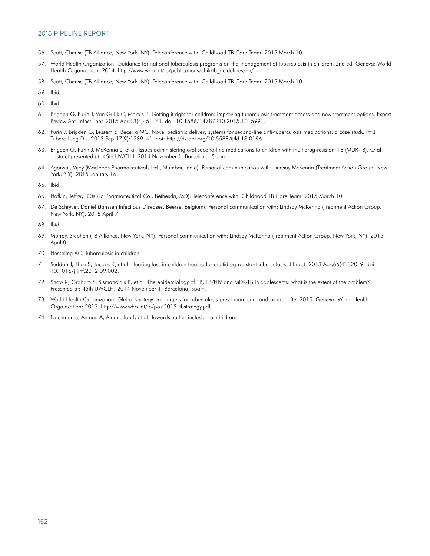- 56. Scott, Cherise (TB Alliance, New York, NY). Teleconference with: Childhood TB Core Team. 2015 March 10.
- 57. World Health Organization. Guidance for national tuberculosis programs on the management of tuberculosis in children. 2nd ed. Geneva: World Health Organization; 2014. [http://www.who.int/tb/publications/childtb\\_guidelines/en/](http://www.who.int/tb/publications/childtb_guidelines/en/).
- 58. Scott, Cherise (TB Alliance, New York, NY). Teleconference with: Childhood TB Core Team. 2015 March 10.
- 59. Ibid.
- 60. Ibid.
- 61. Brigden G, Furin J, Van Gulik C, Marais B. Getting it right for children: improving tuberculosis treatment access and new treatment options. Expert Review Anti Infect Ther. 2015 Apr;13(4)451–61. doi: 10.1586/14787210.2015.1015991.
- 62. Furin J, Brigden G, Lessem E, Becerra MC. Novel pediatric delivery systems for second-line anti-tuberculosis medications: a case study. Int J Tuberc Lung Dis. 2013 Sep;17(9):1239–41. doi:<http://dx.doi.org/10.5588/ijtld.13.0196>.
- 63. Brigden G, Furin J, McKenna L, et al. Issues administering oral second-line medications to children with multidrug-resistant TB (MDR-TB). Oral abstract presented at: 45th UWCLH; 2014 November 1; Barcelona, Spain.
- 64. Agarwal, Vijay (Macleods Pharmaceuticals Ltd., Mumbai, India). Personal communication with: Lindsay McKenna (Treatment Action Group, New York, NY). 2015 January 16.
- 65. Ibid.
- 66. Hafkin, Jeffrey (Otsuka Pharmaceutical Co., Bethesda, MD). Teleconference with: Childhood TB Core Team. 2015 March 10.
- 67. De Schryver, Daniel (Janssen Infectious Diseases, Beerse, Belgium). Personal communication with: Lindsay McKenna (Treatment Action Group, New York, NY). 2015 April 7.
- 68. Ibid.
- 69. Murray, Stephen (TB Alliance, New York, NY). Personal communication with: Lindsay McKenna (Treatment Action Group, New York, NY). 2015 April 8.
- 70. Hesseling AC. Tuberculosis in children.
- 71. Seddon J, Thee S, Jacobs K, et al. Hearing loss in children treated for multidrug-resistant tuberculosis. J Infect. 2013 Apr;66(4):320–9. doi: 10.1016/j.jinf.2012.09.002.
- 72. Snow K, Graham S, Sismandidis B, et al. The epidemiology of TB, TB/HIV and MDR-TB in adolescents: what is the extent of the problem? Presented at: 45th UWCLH; 2014 November 1; Barcelona, Spain.
- 73. World Health Organization. Global strategy and targets for tuberculosis prevention, care and control after 2015. Geneva: World Health Organization; 2013. [http://www.who.int/tb/post2015\\_tbstrategy.pdf](http://www.who.int/tb/post2015_tbstrategy.pdf).
- 74. Nachman S, Ahmed A, Amanullah F, et al. Towards earlier inclusion of children.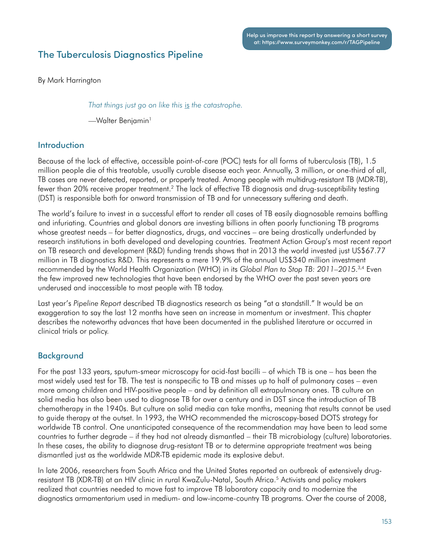# The Tuberculosis Diagnostics Pipeline

By Mark Harrington

*That things just go on like this* is *the catastrophe.*

-Walter Benjamin<sup>1</sup>

## Introduction

Because of the lack of effective, accessible point-of-care (POC) tests for all forms of tuberculosis (TB), 1.5 million people die of this treatable, usually curable disease each year. Annually, 3 million, or one-third of all, TB cases are never detected, reported, or properly treated. Among people with multidrug-resistant TB (MDR-TB), fewer than 20% receive proper treatment.2 The lack of effective TB diagnosis and drug-susceptibility testing (DST) is responsible both for onward transmission of TB and for unnecessary suffering and death.

The world's failure to invest in a successful effort to render all cases of TB easily diagnosable remains baffling and infuriating. Countries and global donors are investing billions in often poorly functioning TB programs whose greatest needs – for better diagnostics, drugs, and vaccines – are being drastically underfunded by research institutions in both developed and developing countries. Treatment Action Group's most recent report on TB research and development (R&D) funding trends shows that in 2013 the world invested just US\$67.77 million in TB diagnostics R&D. This represents a mere 19.9% of the annual US\$340 million investment recommended by the World Health Organization (WHO) in its *Global Plan to Stop TB: 2011–2015*. 3,4 Even the few improved new technologies that have been endorsed by the WHO over the past seven years are underused and inaccessible to most people with TB today.

Last year's *Pipeline Report* described TB diagnostics research as being "at a standstill." It would be an exaggeration to say the last 12 months have seen an increase in momentum or investment. This chapter describes the noteworthy advances that have been documented in the published literature or occurred in clinical trials or policy.

# Background

For the past 133 years, sputum-smear microscopy for acid-fast bacilli – of which TB is one – has been the most widely used test for TB. The test is nonspecific to TB and misses up to half of pulmonary cases – even more among children and HIV-positive people – and by definition all extrapulmonary ones. TB culture on solid media has also been used to diagnose TB for over a century and in DST since the introduction of TB chemotherapy in the 1940s. But culture on solid media can take months, meaning that results cannot be used to guide therapy at the outset. In 1993, the WHO recommended the microscopy-based DOTS strategy for worldwide TB control. One unanticipated consequence of the recommendation may have been to lead some countries to further degrade – if they had not already dismantled – their TB microbiology (culture) laboratories. In these cases, the ability to diagnose drug-resistant TB or to determine appropriate treatment was being dismantled just as the worldwide MDR-TB epidemic made its explosive debut.

In late 2006, researchers from South Africa and the United States reported an outbreak of extensively drugresistant TB (XDR-TB) at an HIV clinic in rural KwaZulu-Natal, South Africa.5 Activists and policy makers realized that countries needed to move fast to improve TB laboratory capacity and to modernize the diagnostics armamentarium used in medium- and low-income-country TB programs. Over the course of 2008,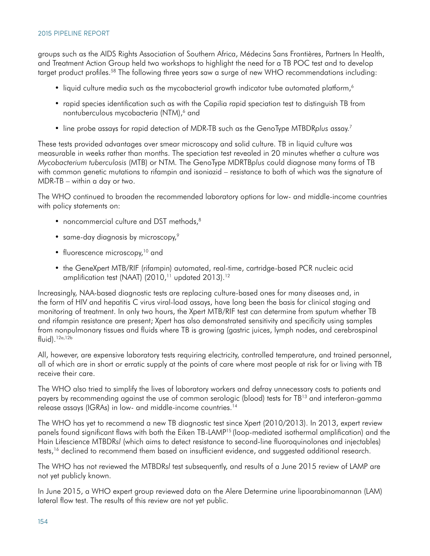groups such as the AIDS Rights Association of Southern Africa, Médecins Sans Frontières, Partners In Health, and Treatment Action Group held two workshops to highlight the need for a TB POC test and to develop target product profiles.58 The following three years saw a surge of new WHO recommendations including:

- liquid culture media such as the mycobacterial growth indicator tube automated platform,<sup>6</sup>
- rapid species identification such as with the Capilia rapid speciation test to distinguish TB from nontuberculous mycobacteria (NTM),<sup>6</sup> and
- line probe assays for rapid detection of MDR-TB such as the GenoType MTBDR*plus* assay.7

These tests provided advantages over smear microscopy and solid culture. TB in liquid culture was measurable in weeks rather than months. The speciation test revealed in 20 minutes whether a culture was *Mycobacterium tuberculosis* (MTB) or NTM. The GenoType MDRTB*plus* could diagnose many forms of TB with common genetic mutations to rifampin and isoniazid – resistance to both of which was the signature of MDR-TB – within a day or two.

The WHO continued to broaden the recommended laboratory options for low- and middle-income countries with policy statements on:

- noncommercial culture and DST methods,<sup>8</sup>
- same-day diagnosis by microscopy,<sup>9</sup>
- fluorescence microscopy,<sup>10</sup> and
- the GeneXpert MTB/RIF (rifampin) automated, real-time, cartridge-based PCR nucleic acid amplification test (NAAT)  $(2010)^{11}$  updated 2013).<sup>12</sup>

Increasingly, NAA-based diagnostic tests are replacing culture-based ones for many diseases and, in the form of HIV and hepatitis C virus viral-load assays, have long been the basis for clinical staging and monitoring of treatment. In only two hours, the Xpert MTB/RIF test can determine from sputum whether TB and rifampin resistance are present; Xpert has also demonstrated sensitivity and specificity using samples from nonpulmonary tissues and fluids where TB is growing (gastric juices, lymph nodes, and cerebrospinal  $fluid)$ .<sup>12a,12b</sup>

All, however, are expensive laboratory tests requiring electricity, controlled temperature, and trained personnel, all of which are in short or erratic supply at the points of care where most people at risk for or living with TB receive their care.

The WHO also tried to simplify the lives of laboratory workers and defray unnecessary costs to patients and payers by recommending against the use of common serologic (blood) tests for TB13 and interferon-gamma release assays (IGRAs) in low- and middle-income countries.14

The WHO has yet to recommend a new TB diagnostic test since Xpert (2010/2013). In 2013, expert review panels found significant flaws with both the Eiken TB-LAMP15 (loop-mediated isothermal amplification) and the Hain Lifescience MTBDR*sl* (which aims to detect resistance to second-line fluoroquinolones and injectables) tests,<sup>16</sup> declined to recommend them based on insufficient evidence, and suggested additional research.

The WHO has not reviewed the MTBDR*sl* test subsequently, and results of a June 2015 review of LAMP are not yet publicly known.

In June 2015, a WHO expert group reviewed data on the Alere Determine urine lipoarabinomannan (LAM) lateral flow test. The results of this review are not yet public.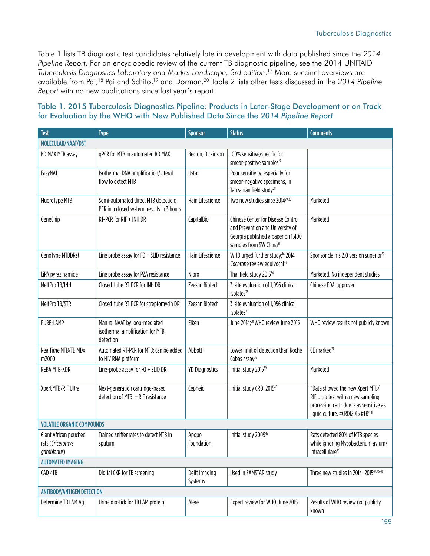Table 1 lists TB diagnostic test candidates relatively late in development with data published since the *2014 Pipeline Report*. For an encyclopedic review of the current TB diagnostic pipeline, see the 2014 UNITAID *Tuberculosis Diagnostics Laboratory and Market Landscape, 3rd edition*. 17 More succinct overviews are available from Pai,18 Pai and Schito,19 and Dorman.20 Table 2 lists other tests discussed in the *2014 Pipeline Report* with no new publications since last year's report.

### Table 1. 2015 Tuberculosis Diagnostics Pipeline: Products in Later-Stage Development or on Track for Evaluation by the WHO with New Published Data Since the *2014 Pipeline Report*

| <b>Test</b>                                             | <b>Type</b>                                                                        | <b>Sponsor</b>           | <b>Status</b>                                                                                                                                              | <b>Comments</b>                                                                                                                                      |  |  |
|---------------------------------------------------------|------------------------------------------------------------------------------------|--------------------------|------------------------------------------------------------------------------------------------------------------------------------------------------------|------------------------------------------------------------------------------------------------------------------------------------------------------|--|--|
| MOLECULAR/NAAT/DST                                      |                                                                                    |                          |                                                                                                                                                            |                                                                                                                                                      |  |  |
| BD MAX MTB assay                                        | qPCR for MTB in automated BD MAX                                                   | Becton, Dickinson        | 100% sensitive/specific for<br>smear-positive samples <sup>27</sup>                                                                                        |                                                                                                                                                      |  |  |
| EasyNAT                                                 | Isothermal DNA amplification/lateral<br>flow to detect MTB                         | Ustar                    | Poor sensitivity, especially for<br>smear-negative specimens, in<br>Tanzanian field study <sup>28</sup>                                                    |                                                                                                                                                      |  |  |
| FluoroType MTB                                          | Semi-automated direct MTB detection;<br>PCR in a closed system; results in 3 hours | Hain Lifescience         | Two new studies since 201429,30                                                                                                                            | Marketed                                                                                                                                             |  |  |
| GeneChip                                                | RT-PCR for RIF + INH DR                                                            | CapitalBio               | <b>Chinese Center for Disease Control</b><br>and Prevention and University of<br>Georgia published a paper on 1,400<br>samples from SW China <sup>31</sup> | Marketed                                                                                                                                             |  |  |
| GenoType MTBDRsI                                        | Line probe assay for $FQ + SLID$ resistance                                        | Hain Lifescience         | WHO urged further study; <sup>16</sup> 2014<br>Cochrane review equivocal <sup>33</sup>                                                                     | Sponsor claims 2.0 version superior <sup>32</sup>                                                                                                    |  |  |
| LiPA pyrazinamide                                       | Line probe assay for PZA resistance                                                | Nipro                    | Thai field study 2015 <sup>34</sup>                                                                                                                        | Marketed. No independent studies                                                                                                                     |  |  |
| MeltPro TB/INH                                          | Closed-tube RT-PCR for INH DR                                                      | Zeesan Biotech           | 3-site evaluation of 1,096 clinical<br>isolates <sup>35</sup>                                                                                              | Chinese FDA-approved                                                                                                                                 |  |  |
| MeltPro TB/STR                                          | Closed-tube RT-PCR for streptomycin DR                                             | Zeesan Biotech           | 3-site evaluation of 1,056 clinical<br>isolates <sup>36</sup>                                                                                              |                                                                                                                                                      |  |  |
| <b>PURE-LAMP</b>                                        | Manual NAAT by loop-mediated<br>isothermal amplification for MTB<br>detection      | Eiken                    | June 2014; <sup>50</sup> WHO review June 2015                                                                                                              | WHO review results not publicly known                                                                                                                |  |  |
| RealTime MTB/TB MDx<br>m2000                            | Automated RT-PCR for MTB; can be added<br>to HIV RNA platform                      | Abbott                   | Lower limit of detection than Roche<br>Cobas assay <sup>38</sup>                                                                                           | CE marked <sup>37</sup>                                                                                                                              |  |  |
| REBA MTB-XDR                                            | Line-probe assay for FQ + SLID DR                                                  | <b>YD Diagnostics</b>    | Initial study 2015 <sup>39</sup>                                                                                                                           | Marketed                                                                                                                                             |  |  |
| Xpert MTB/RIF Ultra                                     | Next-generation cartridge-based<br>detection of MTB + RIF resistance               | Cepheid                  | Initial study CROI 201540                                                                                                                                  | "Data showed the new Xpert MTB/<br>RIF Ultra test with a new sampling<br>processing cartridge is as sensitive as<br>liquid culture. #CR0I2015 #TB"41 |  |  |
| <b>VOLATILE ORGANIC COMPOUNDS</b>                       |                                                                                    |                          |                                                                                                                                                            |                                                                                                                                                      |  |  |
| Giant African pouched<br>rats (Cricetomys<br>gambianus) | Trained sniffer rates to detect MTB in<br>sputum                                   | Apopo<br>Foundation      | Initial study 2009 <sup>42</sup>                                                                                                                           | Rats detected 80% of MTB species<br>while ignoring Mycobacterium avium/<br>intracellulare <sup>43</sup>                                              |  |  |
| <b>AUTOMATED IMAGING</b>                                |                                                                                    |                          |                                                                                                                                                            |                                                                                                                                                      |  |  |
| CAD 4TB                                                 | Digital CXR for TB screening                                                       | Delft Imaging<br>Systems | Used in ZAMSTAR study                                                                                                                                      | Three new studies in 2014-201544,45,46                                                                                                               |  |  |
| <b>ANTIBODY/ANTIGEN DETECTION</b>                       |                                                                                    |                          |                                                                                                                                                            |                                                                                                                                                      |  |  |
| Determine TB LAM Ag                                     | Urine dipstick for TB LAM protein                                                  | Alere                    | Expert review for WHO, June 2015                                                                                                                           | Results of WHO review not publicly<br>known                                                                                                          |  |  |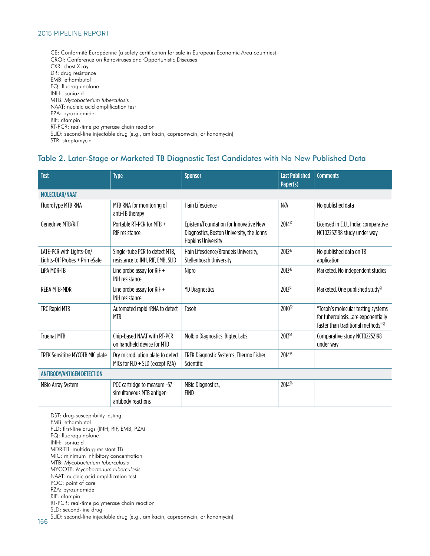CE: Conformitè Européenne (a safety certification for sale in European Economic Area countries) CROI: Conference on Retroviruses and Opportunistic Diseases CXR: chest X-ray DR: drug resistance EMB: ethambutol FQ: fluoroquinolone INH: isoniazid MTB: *Mycobacterium tuberculosis* NAAT: nucleic acid amplification test PZA: pyrazinamide RIF: rifampin RT-PCR: real-time polymerase chain reaction SLID: second-line injectable drug (e.g., amikacin, capreomycin, or kanamycin) STR: streptomycin

### Table 2. Later-Stage or Marketed TB Diagnostic Test Candidates with No New Published Data

| <b>Test</b>                                               | <b>Type</b>                                                                     | <b>Sponsor</b>                                                                                                  | <b>Last Published</b><br>Paper(s) | <b>Comments</b>                                                                                               |  |
|-----------------------------------------------------------|---------------------------------------------------------------------------------|-----------------------------------------------------------------------------------------------------------------|-----------------------------------|---------------------------------------------------------------------------------------------------------------|--|
| MOLECULAR/NAAT                                            |                                                                                 |                                                                                                                 |                                   |                                                                                                               |  |
| FluoroType MTB RNA                                        | MTB RNA for monitoring of<br>anti-TB therapy                                    | Hain Lifescience                                                                                                | N/A                               | No published data                                                                                             |  |
| Genedrive MTB/RIF                                         | Portable RT-PCR for MTB +<br>RIF resistance                                     | Epistem/Foundation for Innovative New<br>Diagnostics. Boston University, the Johns<br><b>Hopkins University</b> | 201447                            | Licensed in E.U., India; comparative<br>NCT02252198 study under way                                           |  |
| LATE-PCR with Lights-On/<br>Lights-Off Probes + PrimeSafe | Single-tube PCR to detect MTB,<br>resistance to INH, RIF, EMB, SLID             | Hain Lifescience/Brandeis University,<br>Stellenbosch University                                                | 201248                            | No published data on TB<br>application                                                                        |  |
| LiPA MDR-TB                                               | Line probe assay for RIF +<br><b>INH</b> resistance                             | Nipro                                                                                                           | 201349                            | Marketed. No independent studies                                                                              |  |
| RFBA MTB-MDR                                              | Line probe assay for RIF +<br><b>INH</b> resistance                             | <b>YD Diagnostics</b>                                                                                           | 201351                            | Marketed. One published study <sup>51</sup>                                                                   |  |
| <b>TRC Rapid MTB</b>                                      | Automated rapid rRNA to detect<br><b>MTB</b>                                    | Tosoh                                                                                                           | 2010 <sup>52</sup>                | "Tosoh's molecular testing systems<br>for tuberculosisare exponentially<br>faster than traditional methods"53 |  |
| <b>Truenat MTB</b>                                        | Chip-based NAAT with RT-PCR<br>on handheld device for MTB                       | Molbio Diagnostics, Bigtec Labs                                                                                 | 201354                            | Comparative study NCT02252198<br>under way                                                                    |  |
| TREK Sensititre MYCOTB MIC plate                          | Dry microdilution plate to detect<br>MICs for $FLD + SLD$ (except $PZA$ )       | TREK Diagnostic Systems, Thermo Fisher<br>Scientific                                                            | 201455                            |                                                                                                               |  |
| <b>ANTIBODY/ANTIGEN DETECTION</b>                         |                                                                                 |                                                                                                                 |                                   |                                                                                                               |  |
| MBio Array System                                         | POC cartridge to measure ~57<br>simultaneous MTB antigen-<br>antibody reactions | MBio Diagnostics,<br><b>FIND</b>                                                                                | 201456                            |                                                                                                               |  |

DST: drug-susceptibility testing EMB: ethambutol FLD: first-line drugs (INH, RIF, EMB, PZA) FQ: fluoroquinolone INH: isoniazid MDR-TB: multidrug-resistant TB MIC: minimum inhibitory concentration MTB: *Mycobacterium tuberculosis* MYCOTB: *Mycobacterium tuberculosis* NAAT: nucleic-acid amplification test POC: point of care PZA: pyrazinamide RIF: rifampin RT-PCR: real-time polymerase chain reaction SLD: second-line drug

SLID: second-line injectable drug (e.g., amikacin, capreomycin, or kanamycin)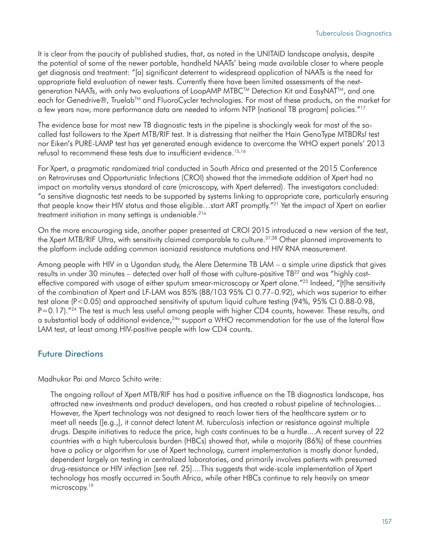It is clear from the paucity of published studies, that, as noted in the UNITAID landscape analysis, despite the potential of some of the newer portable, handheld NAATs' being made available closer to where people get diagnosis and treatment: "[a] significant deterrent to widespread application of NAATs is the need for appropriate field evaluation of newer tests. Currently there have been limited assessments of the nextgeneration NAATs, with only two evaluations of LoopAMP MTBC™ Detection Kit and EasyNAT™, and one each for Genedrive®, Truelab™ and FluoroCycler technologies. For most of these products, on the market for a few years now, more performance data are needed to inform NTP [national TB program] policies."17

The evidence base for most new TB diagnostic tests in the pipeline is shockingly weak for most of the socalled fast followers to the Xpert MTB/RIF test. It is distressing that neither the Hain GenoType MTBDR*sl* test nor Eiken's PURE-LAMP test has yet generated enough evidence to overcome the WHO expert panels' 2013 refusal to recommend these tests due to insufficient evidence.15,16

For Xpert, a pragmatic randomized trial conducted in South Africa and presented at the 2015 Conference on Retroviruses and Opportunistic Infections (CROI) showed that the immediate addition of Xpert had no impact on mortality versus standard of care (microscopy, with Xpert deferred). The investigators concluded: "a sensitive diagnostic test needs to be supported by systems linking to appropriate care, particularly ensuring that people know their HIV status and those eligible…start ART promptly."21 Yet the impact of Xpert on earlier treatment initiation in many settings is undeniable.<sup>21a</sup>

On the more encouraging side, another paper presented at CROI 2015 introduced a new version of the test, the Xpert MTB/RIF Ultra, with sensitivity claimed comparable to culture.<sup>37,38</sup> Other planned improvements to the platform include adding common isoniazid resistance mutations and HIV RNA measurement.

Among people with HIV in a Ugandan study, the Alere Determine TB LAM – a simple urine dipstick that gives results in under 30 minutes – detected over half of those with culture-positive TB<sup>22</sup> and was "highly costeffective compared with usage of either sputum smear-microscopy or Xpert alone."23 Indeed, "[t]he sensitivity of the combination of Xpert and LF-LAM was 85% (88/103 95% CI 0.77–0.92), which was superior to either test alone (P<0.05) and approached sensitivity of sputum liquid culture testing (94%, 95% CI 0.88-0.98, P=0.17)."<sup>24</sup> The test is much less useful among people with higher CD4 counts, however. These results, and a substantial body of additional evidence,<sup>24a</sup> support a WHO recommendation for the use of the lateral flow LAM test, at least among HIV-positive people with low CD4 counts.

# Future Directions

Madhukar Pai and Marco Schito write:

The ongoing rollout of Xpert MTB/RIF has had a positive influence on the TB diagnostics landscape, has attracted new investments and product developers, and has created a robust pipeline of technologies... However, the Xpert technology was not designed to reach lower tiers of the healthcare system or to meet all needs ([e.g.,], it cannot detect latent *M. tuberculosis* infection or resistance against multiple drugs. Despite initiatives to reduce the price, high costs continues to be a hurdle....A recent survey of 22 countries with a high tuberculosis burden (HBCs) showed that, while a majority (86%) of these countries have a policy or algorithm for use of Xpert technology, current implementation is mostly donor funded, dependent largely on testing in centralized laboratories, and primarily involves patients with presumed drug-resistance or HIV infection [see ref. 25]....This suggests that wide-scale implementation of Xpert technology has mostly occurred in South Africa, while other HBCs continue to rely heavily on smear microscopy.<sup>19</sup>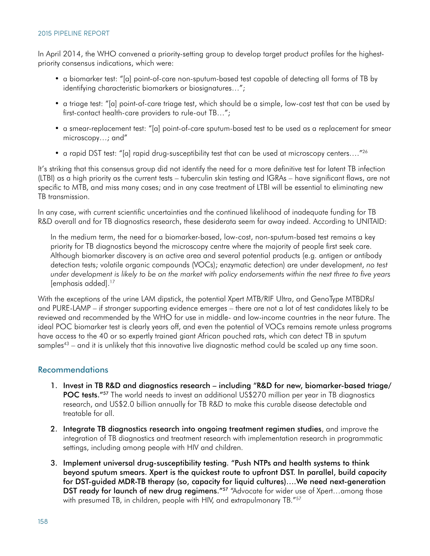In April 2014, the WHO convened a priority-setting group to develop target product profiles for the highestpriority consensus indications, which were:

- a biomarker test: "[a] point-of-care non-sputum-based test capable of detecting all forms of TB by identifying characteristic biomarkers or biosignatures…";
- a triage test: "[a] point-of-care triage test, which should be a simple, low-cost test that can be used by first-contact health-care providers to rule-out TB…";
- a smear-replacement test: "[a] point-of-care sputum-based test to be used as a replacement for smear microscopy…; and"
- a rapid DST test: "[a] rapid drug-susceptibility test that can be used at microscopy centers...."<sup>26</sup>

It's striking that this consensus group did not identify the need for a more definitive test for latent TB infection (LTBI) as a high priority as the current tests – tuberculin skin testing and IGRAs – have significant flaws, are not specific to MTB, and miss many cases; and in any case treatment of LTBI will be essential to eliminating new TB transmission.

In any case, with current scientific uncertainties and the continued likelihood of inadequate funding for TB R&D overall and for TB diagnostics research, these desiderata seem far away indeed. According to UNITAID:

In the medium term, the need for a biomarker-based, low-cost, non-sputum-based test remains a key priority for TB diagnostics beyond the microscopy centre where the majority of people first seek care. Although biomarker discovery is an active area and several potential products (e.g. antigen or antibody detection tests; volatile organic compounds (VOCs); enzymatic detection) are under development, *no test under development is likely to be on the market with policy endorsements within the next three to five years*  [emphasis added].17

With the exceptions of the urine LAM dipstick, the potential Xpert MTB/RIF Ultra, and GenoType MTBDR*sl* and PURE-LAMP – if stronger supporting evidence emerges – there are not a lot of test candidates likely to be reviewed and recommended by the WHO for use in middle- and low-income countries in the near future. The ideal POC biomarker test is clearly years off, and even the potential of VOCs remains remote unless programs have access to the 40 or so expertly trained giant African pouched rats, which can detect TB in sputum samples<sup>43</sup> – and it is unlikely that this innovative live diagnostic method could be scaled up any time soon.

## Recommendations

- 1. Invest in TB R&D and diagnostics research including "R&D for new, biomarker-based triage/ **POC tests.**"<sup>57</sup> The world needs to invest an additional US\$270 million per year in TB diagnostics research, and US\$2.0 billion annually for TB R&D to make this curable disease detectable and treatable for all.
- 2. Integrate TB diagnostics research into ongoing treatment regimen studies, and improve the integration of TB diagnostics and treatment research with implementation research in programmatic settings, including among people with HIV and children.
- 3. Implement universal drug-susceptibility testing. "Push NTPs and health systems to think beyond sputum smears. Xpert is the quickest route to upfront DST. In parallel, build capacity for DST-guided MDR-TB therapy (so, capacity for liquid cultures)….We need next-generation DST ready for launch of new drug regimens."<sup>57</sup> "Advocate for wider use of Xpert...among those with presumed TB, in children, people with HIV, and extrapulmonary TB."57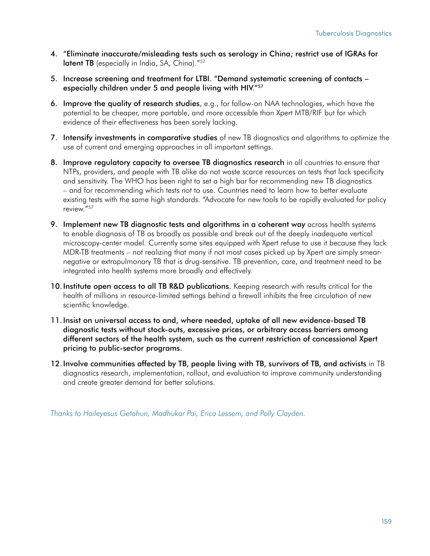- 4. "Eliminate inaccurate/misleading tests such as serology in China; restrict use of IGRAs for latent TB (especially in India, SA, China)."57
- 5. Increase screening and treatment for LTBI. "Demand systematic screening of contacts especially children under 5 and people living with HIV."57
- 6. Improve the quality of research studies, e.g., for follow-on NAA technologies, which have the potential to be cheaper, more portable, and more accessible than Xpert MTB/RIF but for which evidence of their effectiveness has been sorely lacking.
- 7. Intensify investments in comparative studies of new TB diagnostics and algorithms to optimize the use of current and emerging approaches in all important settings.
- 8. Improve regulatory capacity to oversee TB diagnostics research in all countries to ensure that NTPs, providers, and people with TB alike do not waste scarce resources on tests that lack specificity and sensitivity. The WHO has been right to set a high bar for recommending new TB diagnostics – and for recommending which tests *not* to use. Countries need to learn how to better evaluate existing tests with the same high standards. "Advocate for new tools to be rapidly evaluated for policy review."57
- 9. Implement new TB diagnostic tests and algorithms in a coherent way across health systems to enable diagnosis of TB as broadly as possible and break out of the deeply inadequate vertical microscopy-center model. Currently some sites equipped with Xpert refuse to use it because they lack MDR-TB treatments – not realizing that many if not most cases picked up by Xpert are simply smearnegative or extrapulmonary TB that is drug-sensitive. TB prevention, care, and treatment need to be integrated into health systems more broadly and effectively.
- 10. Institute open access to all TB R&D publications. Keeping research with results critical for the health of millions in resource-limited settings behind a firewall inhibits the free circulation of new scientific knowledge.
- 11.Insist on universal access to and, where needed, uptake of all new evidence-based TB diagnostic tests without stock-outs, excessive prices, or arbitrary access barriers among different sectors of the health system, such as the current restriction of concessional Xpert pricing to public-sector programs.
- 12.Involve communities affected by TB, people living with TB, survivors of TB, and activists in TB diagnostics research, implementation, rollout, and evaluation to improve community understanding and create greater demand for better solutions.

*Thanks to Haileyesus Getahun, Madhukar Pai, Erica Lessem, and Polly Clayden.*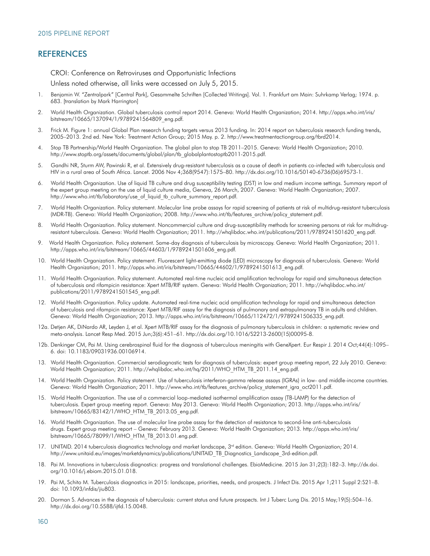#### **REFERENCES**

CROI: Conference on Retroviruses and Opportunistic Infections

Unless noted otherwise, all links were accessed on July 5, 2015.

- 1. Benjamin W. "Zentralpark" [Central Park], Gesammelte Schriften [Collected Writings]. Vol. 1. Frankfurt am Main: Suhrkamp Verlag; 1974. p. 683. [translation by Mark Harrington]
- 2. World Health Organization. Global tuberculosis control report 2014. Geneva: World Health Organization; 2014. [http://apps.who.int/iris/](http://apps.who.int/iris/bitstream/10665/137094/1/9789241564809_eng.pdf) [bitstream/10665/137094/1/9789241564809\\_eng.pdf](http://apps.who.int/iris/bitstream/10665/137094/1/9789241564809_eng.pdf).
- 3. Frick M. Figure 1: annual Global Plan research funding targets versus 2013 funding. In: 2014 report on tuberculosis research funding trends, 2005–2013. 2nd ed. New York: Treatment Action Group; 2015 May. p. 2. <http://www.treatmentactiongroup.org/tbrd2014>.
- 4. Stop TB Partnership/World Health Organization. The global plan to stop TB 2011–2015. Geneva: World Health Organization; 2010. [http://www.stoptb.org/assets/documents/global/plan/tb\\_globalplantostoptb2011-2015.pdf](http://www.stoptb.org/assets/documents/global/plan/tb_globalplantostoptb2011-2015.pdf).
- 5. Gandhi NR, Sturm AW, Pawinski R, et al. Extensively drug-resistant tuberculosis as a cause of death in patients co-infected with tuberculosis and HIV in a rural area of South Africa. Lancet. 2006 Nov 4;368(9547):1575–80. [http://dx.doi.org/10.1016/S0140-6736\(06\)69573-1.](http://dx.doi.org/10.1016/S0140-6736(06)69573-1)
- 6. World Health Organization. Use of liquid TB culture and drug susceptibility testing (DST) in low and medium income settings. Summary report of the expert group meeting on the use of liquid culture media, Geneva, 26 March, 2007. Geneva: World Health Organization; 2007. [http://www.who.int/tb/laboratory/use\\_of\\_liquid\\_tb\\_culture\\_summary\\_report.pdf](http://www.who.int/tb/laboratory/use_of_liquid_tb_culture_summary_report.pdf).
- 7. World Health Organization. Policy statement. Molecular line probe assays for rapid screening of patients at risk of multidrug-resistant tuberculosis (MDR-TB). Geneva: World Health Organization; 2008. [http://www.who.int/tb/features\\_archive/policy\\_statement.pdf.](http://www.who.int/tb/features_archive/policy_statement.pdf)
- 8. World Health Organization. Policy statement. Noncommercial culture and drug-susceptibility methods for screening persons at risk for multidrugresistant tuberculosis. Geneva: World Health Organization; 2011. [http://whqlibdoc.who.int/publications/2011/9789241501620\\_eng.pdf](http://whqlibdoc.who.int/publications/2011/9789241501620_eng.pdf).
- 9. World Health Organization. Policy statement. Same-day diagnosis of tuberculosis by microscopy. Geneva: World Health Organization; 2011. [http://apps.who.int/iris/bitstream/10665/44603/1/9789241501606\\_eng.pdf](http://apps.who.int/iris/bitstream/10665/44603/1/9789241501606_eng.pdf).
- 10. World Health Organization. Policy statement. Fluorescent light-emitting diode (LED) microscopy for diagnosis of tuberculosis. Geneva: World Health Organization; 2011. [http://apps.who.int/iris/bitstream/10665/44602/1/9789241501613\\_eng.pdf](http://apps.who.int/iris/bitstream/10665/44602/1/9789241501613_eng.pdf).
- 11. World Health Organization. Policy statement. Automated real-time nucleic acid amplification technology for rapid and simultaneous detection of tuberculosis and rifampicin resistance: Xpert MTB/RIF system. Geneva: World Health Organization; 2011. [http://whqlibdoc.who.int/](http://whqlibdoc.who.int/publications/2011/9789241501545_eng.pdf) [publications/2011/9789241501545\\_eng.pdf.](http://whqlibdoc.who.int/publications/2011/9789241501545_eng.pdf)
- 12. World Health Organization. Policy update. Automated real-time nucleic acid amplification technology for rapid and simultaneous detection of tuberculosis and rifampicin resistance: Xpert MTB/RIF assay for the diagnosis of pulmonary and extrapulmonary TB in adults and children. Geneva: World Health Organization; 2013. http://apps.who.int/iris/bitstream/10665/112472/1/9789241506335 eng.pdf.
- 12a. Detjen AK, DiNardo AR, Leyden J, et al. Xpert MTB/RIF assay for the diagnosis of pulmonary tuberculosis in children: a systematic review and meta-analysis. Lancet Resp Med. 2015 Jun;3(6):451–61. [http://dx.doi.org/10.1016/S2213-2600\(15\)00095-8](http://dx.doi.org/10.1016/S2213-2600(15)00095-8).
- 12b. Denkinger CM, Pai M. Using cerebrospinal fluid for the diagnosis of tuberculous meningitis with GeneXpert. Eur Respir J. 2014 Oct;44(4):1095– 6. doi: 10.1183/09031936.00106914.
- 13. World Health Organization. Commercial serodiagnostic tests for diagnosis of tuberculosis: expert group meeting report, 22 July 2010. Geneva: World Health Organization; 2011. [http://whqlibdoc.who.int/hq/2011/WHO\\_HTM\\_TB\\_2011.14\\_eng.pdf](http://whqlibdoc.who.int/hq/2011/WHO_HTM_TB_2011.14_eng.pdf).
- 14. World Health Organization. Policy statement. Use of tuberculosis interferon-gamma release assays (IGRAs) in low- and middle-income countries. Geneva: World Health Organization; 2011. [http://www.who.int/tb/features\\_archive/policy\\_statement\\_igra\\_oct2011.pdf.](http://www.who.int/tb/features_archive/policy_statement_igra_oct2011.pdf)
- 15. World Health Organization. The use of a commercial loop-mediated isothermal amplification assay (TB-LAMP) for the detection of tuberculosis. Expert group meeting report. Geneva: May 2013. Geneva: World Health Organization; 2013. [http://apps.who.int/iris/](http://apps.who.int/iris/bitstream/10665/83142/1/WHO_HTM_TB_2013.05_eng.pdf) [bitstream/10665/83142/1/WHO\\_HTM\\_TB\\_2013.05\\_eng.pdf](http://apps.who.int/iris/bitstream/10665/83142/1/WHO_HTM_TB_2013.05_eng.pdf).
- 16. World Health Organization. The use of molecular line probe assay for the detection of resistance to second-line anti-tuberculosis drugs. Expert group meeting report – Geneva: February 2013. Geneva: World Health Organization; 2013. [http://apps.who.int/iris/](http://apps.who.int/iris/bitstream/10665/78099/1/WHO_HTM_TB_2013.01.eng.pdf) [bitstream/10665/78099/1/WHO\\_HTM\\_TB\\_2013.01.eng.pdf.](http://apps.who.int/iris/bitstream/10665/78099/1/WHO_HTM_TB_2013.01.eng.pdf)
- 17. UNITAID. 2014 tuberculosis diagnostics technology and market landscape, 3<sup>rd</sup> edition. Geneva: World Health Organization; 2014. [http://www.unitaid.eu/images/marketdynamics/publications/UNITAID\\_TB\\_Diagnostics\\_Landscape\\_3rd-edition.pdf](http://www.unitaid.eu/images/marketdynamics/publications/UNITAID_TB_Diagnostics_Landscape_3rd-edition.pdf).
- 18. Pai M. Innovations in tuberculosis diagnostics: progress and translational challenges. EbioMedicine. 2015 Jan 31;2(3):182–3. [http://dx.doi.](http://dx.doi.org/10.1016/j.ebiom.2015.01.018) [org/10.1016/j.ebiom.2015.01.018](http://dx.doi.org/10.1016/j.ebiom.2015.01.018).
- 19. Pai M, Schito M. Tuberculosis diagnostics in 2015: landscape, priorities, needs, and prospects. J Infect Dis. 2015 Apr 1;211 Suppl 2:S21–8. doi: 10.1093/infdis/jiu803.
- 20. Dorman S. Advances in the diagnosis of tuberculosis: current status and future prospects. Int J Tuberc Lung Dis. 2015 May;19(5):504–16. [http://dx.doi.org/10.5588/ijtld.15.0048.](http://dx.doi.org/10.5588/ijtld.15.0048)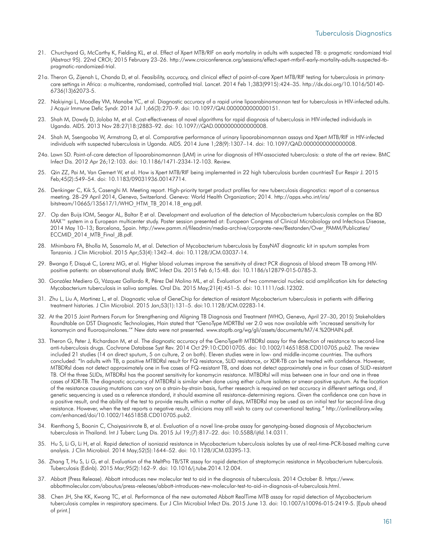- 21. Churchyard G, McCarthy K, Fielding KL, et al. Effect of Xpert MTB/RIF on early mortality in adults with suspected TB: a pragmatic randomized trial (Abstract 95). 22nd CROI; 2015 February 23–26. [http://www.croiconference.org/sessions/effect-xpert-mtbrif-early-mortality-adults-suspected-tb](http://www.croiconference.org/sessions/effect-xpert-mtbrif-early-mortality-adults-suspected-tb-pragmatic-randomized-trial)[pragmatic-randomized-trial.](http://www.croiconference.org/sessions/effect-xpert-mtbrif-early-mortality-adults-suspected-tb-pragmatic-randomized-trial)
- 21a. Theron G, Zijenah L, Chanda D, et al. Feasibility, accuracy, and clinical effect of point-of-care Xpert MTB/RIF testing for tuberculosis in primarycare settings in Africa: a multicentre, randomised, controlled trial. Lancet. 2014 Feb 1;383(9915):424–35. [http://dx.doi.org/10.1016/S0140-](http://dx.doi.org/10.1016/S0140-6736(13)62073-5) [6736\(13\)62073-5](http://dx.doi.org/10.1016/S0140-6736(13)62073-5).
- 22. Nakiyingi L, Moodley VM, Manabe YC, et al. Diagnostic accuracy of a rapid urine lipoarabinomannan test for tuberculosis in HIV-infected adults. J Acquir Immune Defic Syndr. 2014 Jul 1;66(3):270–9. doi: 10.1097/QAI.0000000000000151.
- 23. Shah M, Dowdy D, Joloba M, et al. Cost-effectiveness of novel algorithms for rapid diagnosis of tuberculosis in HIV-infected individuals in Uganda. AIDS. 2013 Nov 28:27(18:)2883–92. doi: 10.1097//QAD.0000000000000008.
- 24. Shah M, Ssengooba W, Armstrong D, et al. Comparative performance of urinary lipoarabinomannan assays and Xpert MTB/RIF in HIV-infected individuals with suspected tuberculosis in Uganda. AIDS. 2014 June 1;28(9):1307–14. doi: 10.1097/QAD.0000000000000008.
- 24a. Lawn SD. Point-of-care detection of lipoarabinomannan (LAM) in urine for diagnosis of HIV-associated tuberculosis: a state of the art review. BMC Infect Dis. 2012 Apr 26;12:103. doi: 10.1186/1471-2334-12-103. Review.
- 25. Qin ZZ, Pai M, Van Gemert W, et al. How is Xpert MTB/RIF being implemented in 22 high tuberculosis burden countries? Eur Respir J. 2015 Feb;45(2):549–54. doi: 10.1183/09031936.00147714.
- 26. Denkinger C, Kik S, Casenghi M. Meeting report. High-priority target product profiles for new tuberculosis diagnostics: report of a consensus meeting. 28–29 April 2014, Geneva, Switzerland. Geneva: World Health Organization; 2014. [http://apps.who.int/iris/](http://apps.who.int/iris/bitstream/10665/135617/1/WHO_HTM_TB_2014.18_eng.pdf) [bitstream/10665/135617/1/WHO\\_HTM\\_TB\\_2014.18\\_eng.pdf.](http://apps.who.int/iris/bitstream/10665/135617/1/WHO_HTM_TB_2014.18_eng.pdf)
- 27. Op den Buijs IOM, Seagar AL, Baltar P, et al. Development and evaluation of the detection of Mycobacterium tuberculosis complex on the BD MAX™ system in a European multicenter study. Poster session presented at: European Congress of Clinical Microbiology and Infectious Disease, 2014 May 10–13; Barcelona, Spain. [http://www.pamm.nl/fileadmin/media-archive/corporate-new/Bestanden/Over\\_PAMM/Publicaties/](http://www.pamm.nl/fileadmin/media-archive/corporate-new/Bestanden/Over_PAMM/Publicaties/ECCMID_2014_MTB_Final_JB.pdf) [ECCMID\\_2014\\_MTB\\_Final\\_JB.pdf](http://www.pamm.nl/fileadmin/media-archive/corporate-new/Bestanden/Over_PAMM/Publicaties/ECCMID_2014_MTB_Final_JB.pdf).
- 28. Mhimbara FA, Bholla M, Sasamalo M, et al. Detection of Mycobacterium tuberculosis by EasyNAT diagnostic kit in sputum samples from Tanzania. J Clin Microbiol. 2015 Apr;53(4):1342–4. doi: 10.1128/JCM.03037-14.
- 29. Bwanga F, Disqué C, Lorenz MG, et al. Higher blood volumes improve the sensitivity of direct PCR diagnosis of blood stream TB among HIVpositive patients: an observational study. BMC Infect Dis. 2015 Feb 6;15:48. doi: 10.1186/s12879-015-0785-3.
- 30. González Mediero G, Vázquez Gallardo R, Pérez Del Molino ML, et al. Evaluation of two commercial nucleic acid amplification kits for detecting Mycobacterium tuberculosis in saliva samples. Oral Dis. 2015 May;21(4):451–5. doi: 10.1111/odi.12302.
- 31. Zhu L, Liu A, Martinez L, et al. Diagnostic value of GeneChip for detection of resistant Mycobacterium tuberculosis in patients with differing treatment histories. J Clin Microbiol. 2015 Jan;53(1):131–5. doi:10.1128/JCM.02283-14.
- 32. At the 2015 Joint Partners Forum for Strengthening and Aligning TB Diagnosis and Treatment (WHO, Geneva, April 27–30, 2015) Stakeholders Roundtable on DST Diagnostic Technologies, Hain stated that "GenoType MDRTBsl ver 2.0 was now available with 'increased sensitivity for kanamycin and fluoroquinolones.'" New data were not presented. [www.stoptb.org/wg/gli/assets/documents/M7/4.%20HAIN.pdf](http://www.stoptb.org/wg/gli/assets/documents/M7/4.%20HAIN.pdf).
- 33. Theron G, Peter J, Richardson M, et al. The diagnostic accuracy of the GenoType® MTBDRsI assay for the detection of resistance to second-line anti-tuberculosis drugs. Cochrane Database Syst Rev. 2014 Oct 29:10:CD010705. doi: 10.1002/14651858.CD010705.pub2. The review included 21 studies (14 on direct sputum, 5 on culture, 2 on both). Eleven studies were in low- and middle-income countries. The authors concluded: "In adults with TB, a positive MTBDRsl result for FQ resistance, SLID resistance, or XDR-TB can be treated with confidence. However, MTBDRsl does not detect approximately one in five cases of FQ-resistant TB, and does not detect approximately one in four cases of SLID-resistant TB. Of the three SLIDs, MTBDRsl has the poorest sensitivity for kanamycin resistance. MTBDRsl will miss between one in four and one in three cases of XDR-TB. The diagnostic accuracy of MTBDRsl is similar when done using either culture isolates or smear-positive sputum. As the location of the resistance causing mutations can vary on a strain-by-strain basis, further research is required on test accuracy in different settings and, if genetic sequencing is used as a reference standard, it should examine all resistance-determining regions. Given the confidence one can have in a positive result, and the ability of the test to provide results within a matter of days, MTBDRsl may be used as an initial test for second-line drug resistance. However, when the test reports a negative result, clinicians may still wish to carry out conventional testing." [http://onlinelibrary.wiley.](http://onlinelibrary.wiley.com/enhanced/doi/10.1002/14651858.CD010705.pub2) [com/enhanced/doi/10.1002/14651858.CD010705.pub2.](http://onlinelibrary.wiley.com/enhanced/doi/10.1002/14651858.CD010705.pub2)
- 34. Rienthong S, Boonin C, Chaiyasirinrote B, et al. Evaluation of a novel line-probe assay for genotyping-based diagnosis of Mycobacterium tuberculosis in Thailand. Int J Tuberc Lung Dis. 2015 Jul 19;(7):817–22. doi: 10.5588/ijtld.14.0311.
- 35. Hu S, Li G, Li H, et al. Rapid detection of isoniazid resistance in Mycobacterium tuberculosis isolates by use of real-time-PCR-based melting curve analysis. J Clin Microbiol. 2014 May;52(5):1644–52. doi: 10.1128/JCM.03395-13.
- 36. Zhang T, Hu S, Li G, et al. Evaluation of the MeltPro TB/STR assay for rapid detection of streptomycin resistance in Mycobacterium tuberculosis. Tuberculosis (Edinb). 2015 Mar;95(2):162–9. doi: 10.1016/j.tube.2014.12.004.
- 37. Abbott (Press Release). Abbott introduces new molecular test to aid in the diagnosis of tuberculosis. 2014 October 8. [https://www.](https://www.abbottmolecular.com/aboutus/press-releases/abbott-introduces-new-molecular-test-to-aid-in-diagnosis-of-tuberculosis.html) [abbottmolecular.com/aboutus/press-releases/abbott-introduces-new-molecular-test-to-aid-in-diagnosis-of-tuberculosis.html](https://www.abbottmolecular.com/aboutus/press-releases/abbott-introduces-new-molecular-test-to-aid-in-diagnosis-of-tuberculosis.html).
- 38. Chen JH, She KK, Kwong TC, et al. Performance of the new automated Abbott RealTime MTB assay for rapid detection of Mycobacterium tuberculosis complex in respiratory specimens. Eur J Clin Microbiol Infect Dis. 2015 June 13. doi: 10.1007/s10096-015-2419-5. [Epub ahead of print.]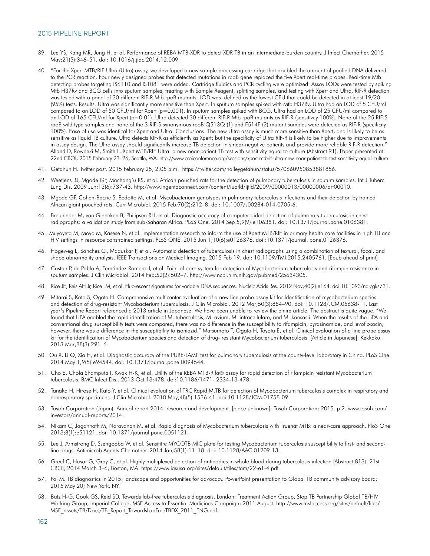- 39. Lee YS, Kang MR, Jung H, et al. Performance of REBA MTB-XDR to detect XDR TB in an intermediate-burden country. J Infect Chemother. 2015 May;21(5):346–51. doi: 10.1016/j.jiac.2014.12.009.
- 40. "For the Xpert MTB/RIF Ultra (Ultra) assay, we developed a new sample processing cartridge that doubled the amount of purified DNA delivered to the PCR reaction. Four newly designed probes that detected mutations in rpoB gene replaced the five Xpert real-time probes. Real-time Mtb detecting probes targeting IS6110 and IS1081 were added. Cartridge fluidics and PCR cycling were optimized. Assay LODs were tested by spiking Mtb H37Rv and BCG cells into sputum samples, treating with Sample Reagent, splitting samples, and testing with Xpert and Ultra. RIF-R detection was tested with a panel of 30 different RIF-R Mtb rpoB mutants. LOD was defined as the lowest CFU that could be detected in at least 19/20 (95%) tests. Results. Ultra was significantly more sensitive than Xpert. In sputum samples spiked with Mtb H37Rv, Ultra had an LOD of 5 CFU/ml compared to an LOD of 50 CFU/ml for Xpert (p=0.001). In sputum samples spiked with BCG, Ultra had an LOD of 25 CFU/ml compared to an LOD of 165 CFU/ml for Xpert (p=0.01). Ultra detected 30 different RIF-R Mtb rpoB mutants as RIF-R (sensitivity 100%). None of the 25 RIF-S rpoB wild type samples and none of the 3 RIF-S synonymous rpoB Q513Q (1) and F514F (2) mutant samples were detected as RIF-R (specificity 100%). Ease of use was identical for Xpert and Ultra. Conclusions. The new Ultra assay is much more sensitive than Xpert, and is likely to be as sensitive as liquid TB culture. Ultra detects RIF-R as efficiently as Xpert; but the specificity of Ultra RIF-R is likely to be higher due to improvements in assay design. The Ultra assay should significantly increase TB detection in smear-negative patients and provide more reliable RIF-R detection.' Alland D, Rowneki M, Smith L. Xpert MTB/RIF Ultra: a new near-patient TB test with sensitivity equal to culture (Abstract 91). Paper presented at: 22nd CROI; 2015 February 23–26; Seattle, WA. [http://www.croiconference.org/sessions/xpert-mtbrif-ultra-new-near-patient-tb-test-sensitivity-equal-culture.](http://www.croiconference.org/sessions/xpert-mtbrif-ultra-new-near-patient-tb-test-sensitivity-equal-culture)
- 41. Getahun H. Twitter post. 2015 February 25, 2:05 p.m. <https://twitter.com/haileygetahun/status/570660950853881856>.
- 42. Weetjens BJ, Mgode GF, Machang'u RS, et al. African pouched rats for the detection of pulmonary tuberculosis in sputum samples. Int J Tuberc Lung Dis. 2009 Jun;13(6):737-43. [http://www.ingentaconnect.com/content/iuatld/ijtld/2009/00000013/00000006/art00010.](http://www.ingentaconnect.com/content/iuatld/ijtld/2009/00000013/00000006/art00010)
- 43. Mgode GF, Cohen-Bacrie S, Bedotto M, et al. Mycobacterium genotypes in pulmonary tuberculosis infections and their detection by trained African giant pouched rats. Curr Microbiol. 2015 Feb;70(2):212–8. doi: 10.1007/s00284-014-0705-6.
- 44. Breuninger M, van Ginneken B, Philipsen RH, et al. Diagnostic accuracy of computer-aided detection of pulmonary tuberculosis in chest radiographs: a validation study from sub-Saharan Africa. PLoS One. 2014 Sep 5;9(9):e106381. doi: 10.1371/journal.pone.0106381.
- 45. Muyoyeta M, Moyo M, Kasese N, et al. Implementation research to inform the use of Xpert MTB/RIF in primary health care facilities in high TB and HIV settings in resource constrained settings. PLoS ONE. 2015 Jun 1;10(6):e0126376. doi :10.1371/journal. pone.0126376.
- 46. Hogeweg L, Sanchez CI, Maduskar P, et al. Automatic detection of tuberculosis in chest radiographs using a combination of textural, focal, and shape abnormality analysis. IEEE Transactions on Medical Imaging. 2015 Feb 19. doi: 10.1109/TMI.2015.2405761. [Epub ahead of print]
- 47. Castan P, de Pablo A, Fernández-Romero J, et al. Point-of-care system for detection of Mycobacterium tuberculosis and rifampin resistance in sputum samples. J Clin Microbiol. 2014 Feb;52(2):502–7. http://www.ncbi.nlm.nih.gov/pubmed/25634305.
- 48. Rice JE, Reis AH Jr, Rice LM, et al. Fluorescent signatures for variable DNA sequences. Nucleic Acids Res. 2012 Nov;40(2):e164. doi:10.1093/nar/gks731.
- 49. Mitarai S, Kato S, Ogata H. Comprehensive multicenter evaluation of a new line probe assay kit for Identification of mycobacterium species and detection of drug-resistant Mycobacterium tuberculosis. J Clin Microbiol. 2012 Mar;50(3):884–90. doi: 10.1128/JCM.05638-11. Last year's Pipeline Report referenced a 2013 article in Japanese. We have been unable to review the entire article. The abstract is quite vague. "We found that LiPA enabled the rapid identification of M. tuberculosis, M. avium, M. intracellulare, and M. kansasii. When the results of the LiPA and conventional drug susceptibility tests were compared, there was no difference in the susceptibility to rifampicin, pyrazinamide, and levofloxacin; however, there was a difference in the susceptibility to isoniazid." Matsumoto T, Ogata H, Toyota E, et al. Clinical evaluation of a line probe assay kit for the identification of Mycobacterium species and detection of drug- resistant Mycobacterium tuberculosis. [Article in Japanese]. Kekkaku. 2013 Mar;88(3):291–6.
- 50. Ou X, Li Q, Xia H, et al. Diagnostic accuracy of the PURE-LAMP test for pulmonary tuberculosis at the county-level laboratory in China. PLoS One. 2014 May 1;9(5):e94544. doi: 10.1371/journal.pone.0094544.
- 51. Cho E, Chola Shamputa I, Kwak H-K, et al. Utility of the REBA MTB-Rifa® assay for rapid detection of rifampicin resistant Mycobacterium tuberculosis. BMC Infect Dis.. 2013 Oct 13:478. doi:10.1186/1471- 2334-13-478.
- 52. Tanaka H, Hirose H, Kato Y, et al. Clinical evaluation of TRC Rapid M.TB for detection of Mycobacterium tuberculosis complex in respiratory and nonrespiratory specimens. J Clin Microbiol. 2010 May;48(5):1536-41. doi:10.1128/JCM.01758-09.
- 53. Tosoh Corporation (Japan). Annual report 2014: research and development. [place unknown]: Tosoh Corporation; 2015. p 2. [www.tosoh.com/](http://www.tosoh.com/investors/annual-reports/2014) [investors/annual-reports/2014](http://www.tosoh.com/investors/annual-reports/2014).
- 54. Nikam C, Jagannath M, Narayanan M, et al. Rapid diagnosis of Mycobacterium tuberculosis with Truenat MTB: a near-care approach. PloS One. 2013;8(1):e51121. doi: 10.1371/journal.pone.0051121.
- 55. Lee J, Armstrong D, Ssengooba W, et al. Sensititre MYCOTB MIC plate for testing Mycobacterium tuberculosis susceptibility to first- and secondline drugs. Antimicrob Agents Chemother. 2014 Jan;58(1):11–18. doi: 10.1128/AAC.01209-13.
- 56. Greef C, Husar G, Gray C, et al. Highly multiplexed detection of antibodies in whole blood during tuberculosis infection (Abstract 813). 21st CROI; 2014 March 3–6; Boston, MA.<https://www.iasusa.org/sites/default/files/tam/22-e1-4.pdf>.
- 57. Pai M. TB diagnostics in 2015: landscape and opportunities for advocacy. PowerPoint presentation to Global TB community advisory board; 2015 May 20; New York, NY.
- 58. Batz H-G, Cook GS, Reid SD. Towards lab-free tuberculosis diagnosis. London: Treatment Action Group, Stop TB Partnership Global TB/HIV Working Group, Imperial College, MSF Access to Essential Medicines Campaign; 2011 August. [http://www.msfaccess.org/sites/default/files/](http://www.msfaccess.org/sites/default/files/MSF_assets/TB/Docs/TB_Report_TowardsLabFreeTBDX_2011_ENG.pdf) [MSF\\_assets/TB/Docs/TB\\_Report\\_TowardsLabFreeTBDX\\_2011\\_ENG.pdf.](http://www.msfaccess.org/sites/default/files/MSF_assets/TB/Docs/TB_Report_TowardsLabFreeTBDX_2011_ENG.pdf)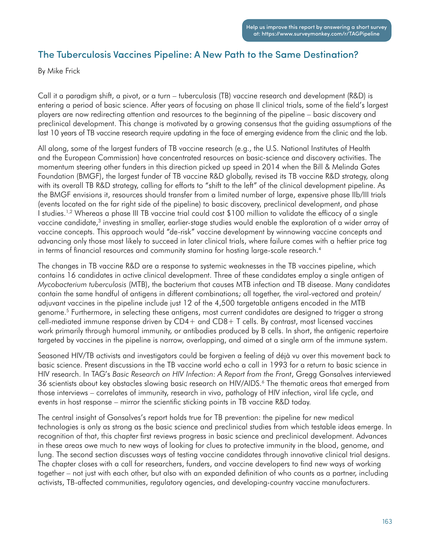# The Tuberculosis Vaccines Pipeline: A New Path to the Same Destination?

By Mike Frick

Call it a paradigm shift, a pivot, or a turn – tuberculosis (TB) vaccine research and development (R&D) is entering a period of basic science. After years of focusing on phase II clinical trials, some of the field's largest players are now redirecting attention and resources to the beginning of the pipeline – basic discovery and preclinical development. This change is motivated by a growing consensus that the guiding assumptions of the last 10 years of TB vaccine research require updating in the face of emerging evidence from the clinic and the lab.

All along, some of the largest funders of TB vaccine research (e.g., the U.S. National Institutes of Health and the European Commission) have concentrated resources on basic-science and discovery activities. The momentum steering other funders in this direction picked up speed in 2014 when the Bill & Melinda Gates Foundation (BMGF), the largest funder of TB vaccine R&D globally, revised its TB vaccine R&D strategy, along with its overall TB R&D strategy, calling for efforts to "shift to the left" of the clinical development pipeline. As the BMGF envisions it, resources should transfer from a limited number of large, expensive phase IIb/III trials (events located on the far right side of the pipeline) to basic discovery, preclinical development, and phase I studies.<sup>1,2</sup> Whereas a phase III TB vaccine trial could cost \$100 million to validate the efficacy of a single vaccine candidate,<sup>3</sup> investing in smaller, earlier-stage studies would enable the exploration of a wider array of vaccine concepts. This approach would "de-risk" vaccine development by winnowing vaccine concepts and advancing only those most likely to succeed in later clinical trials, where failure comes with a heftier price tag in terms of financial resources and community stamina for hosting large-scale research.<sup>4</sup>

The changes in TB vaccine R&D are a response to systemic weaknesses in the TB vaccines pipeline, which contains 16 candidates in active clinical development. Three of these candidates employ a single antigen of *Mycobacterium tuberculosis* (MTB), the bacterium that causes MTB infection and TB disease. Many candidates contain the same handful of antigens in different combinations; all together, the viral-vectored and protein/ adjuvant vaccines in the pipeline include just 12 of the 4,500 targetable antigens encoded in the MTB genome.5 Furthermore, in selecting these antigens, most current candidates are designed to trigger a strong cell-mediated immune response driven by CD4+ and CD8+ T cells. By contrast, most licensed vaccines work primarily through humoral immunity, or antibodies produced by B cells. In short, the antigenic repertoire targeted by vaccines in the pipeline is narrow, overlapping, and aimed at a single arm of the immune system.

Seasoned HIV/TB activists and investigators could be forgiven a feeling of déjà vu over this movement back to basic science. Present discussions in the TB vaccine world echo a call in 1993 for a return to basic science in HIV research. In TAG's *Basic Research on HIV Infection: A Report from the Front*, Gregg Gonsalves interviewed 36 scientists about key obstacles slowing basic research on HIV/AIDS.<sup>6</sup> The thematic areas that emerged from those interviews – correlates of immunity, research in vivo, pathology of HIV infection, viral life cycle, and events in host response – mirror the scientific sticking points in TB vaccine R&D today.

The central insight of Gonsalves's report holds true for TB prevention: the pipeline for new medical technologies is only as strong as the basic science and preclinical studies from which testable ideas emerge. In recognition of that, this chapter first reviews progress in basic science and preclinical development. Advances in these areas owe much to new ways of looking for clues to protective immunity in the blood, genome, and lung. The second section discusses ways of testing vaccine candidates through innovative clinical trial designs. The chapter closes with a call for researchers, funders, and vaccine developers to find new ways of working together – not just with each other, but also with an expanded definition of who counts as a partner, including activists, TB-affected communities, regulatory agencies, and developing-country vaccine manufacturers.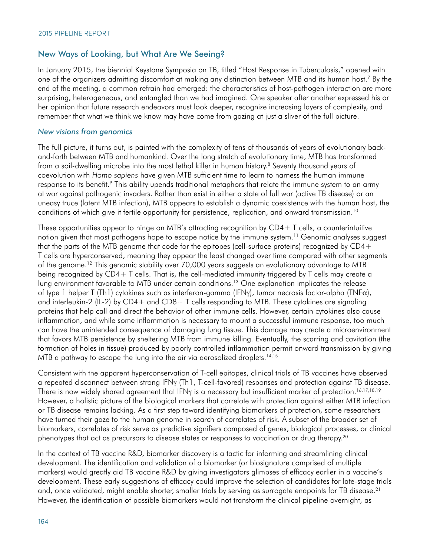### New Ways of Looking, but What Are We Seeing?

In January 2015, the biennial Keystone Symposia on TB, titled "Host Response in Tuberculosis," opened with one of the organizers admitting discomfort at making any distinction between MTB and its human host.7 By the end of the meeting, a common refrain had emerged: the characteristics of host-pathogen interaction are more surprising, heterogeneous, and entangled than we had imagined. One speaker after another expressed his or her opinion that future research endeavors must look deeper, recognize increasing layers of complexity, and remember that what we think we know may have come from gazing at just a sliver of the full picture.

#### *New visions from genomics*

The full picture, it turns out, is painted with the complexity of tens of thousands of years of evolutionary backand-forth between MTB and humankind. Over the long stretch of evolutionary time, MTB has transformed from a soil-dwelling microbe into the most lethal killer in human history.<sup>8</sup> Seventy thousand years of coevolution with *Homo sapiens* have given MTB sufficient time to learn to harness the human immune response to its benefit.<sup>9</sup> This ability upends traditional metaphors that relate the immune system to an army at war against pathogenic invaders. Rather than exist in either a state of full war (active TB disease) or an uneasy truce (latent MTB infection), MTB appears to establish a dynamic coexistence with the human host, the conditions of which give it fertile opportunity for persistence, replication, and onward transmission.10

These opportunities appear to hinge on MTB's attracting recognition by CD4+ T cells, a counterintuitive notion given that most pathogens hope to escape notice by the immune system.<sup>11</sup> Genomic analyses suggest that the parts of the MTB genome that code for the epitopes (cell-surface proteins) recognized by CD4+ T cells are hyperconserved, meaning they appear the least changed over time compared with other segments of the genome.<sup>12</sup> This genomic stability over 70,000 years suggests an evolutionary advantage to MTB being recognized by CD4+ T cells. That is, the cell-mediated immunity triggered by T cells may create a lung environment favorable to MTB under certain conditions.13 One explanation implicates the release of type 1 helper T (Th1) cytokines such as interferon-gamma (IFNγ), tumor necrosis factor-alpha (TNFα), and interleukin-2 (IL-2) by  $CD4$  + and  $CD8$  + T cells responding to MTB. These cytokines are signaling proteins that help call and direct the behavior of other immune cells. However, certain cytokines also cause inflammation, and while some inflammation is necessary to mount a successful immune response, too much can have the unintended consequence of damaging lung tissue. This damage may create a microenvironment that favors MTB persistence by sheltering MTB from immune killing. Eventually, the scarring and cavitation (the formation of holes in tissue) produced by poorly controlled inflammation permit onward transmission by giving MTB a pathway to escape the lung into the air via aerosolized droplets.<sup>14,15</sup>

Consistent with the apparent hyperconservation of T-cell epitopes, clinical trials of TB vaccines have observed a repeated disconnect between strong IFNγ (Th1, T-cell-favored) responses and protection against TB disease. There is now widely shared agreement that IFNγ is a necessary but insufficient marker of protection.<sup>16,17,18,19</sup> However, a holistic picture of the biological markers that correlate with protection against either MTB infection or TB disease remains lacking. As a first step toward identifying biomarkers of protection, some researchers have turned their gaze to the human genome in search of correlates of risk. A subset of the broader set of biomarkers, correlates of risk serve as predictive signifiers composed of genes, biological processes, or clinical phenotypes that act as precursors to disease states or responses to vaccination or drug therapy.20

In the context of TB vaccine R&D, biomarker discovery is a tactic for informing and streamlining clinical development. The identification and validation of a biomarker (or biosignature comprised of multiple markers) would greatly aid TB vaccine R&D by giving investigators glimpses of efficacy earlier in a vaccine's development. These early suggestions of efficacy could improve the selection of candidates for late-stage trials and, once validated, might enable shorter, smaller trials by serving as surrogate endpoints for TB disease.<sup>21</sup> However, the identification of possible biomarkers would not transform the clinical pipeline overnight, as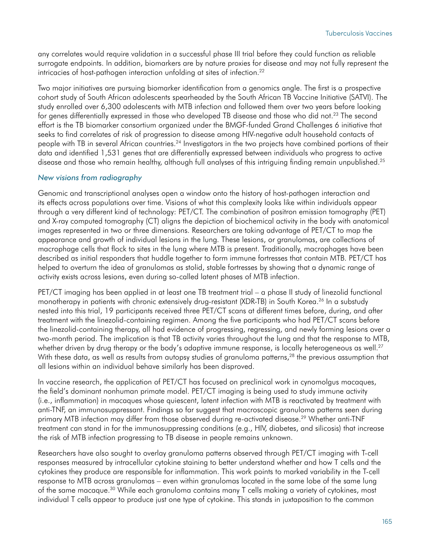any correlates would require validation in a successful phase III trial before they could function as reliable surrogate endpoints. In addition, biomarkers are by nature proxies for disease and may not fully represent the intricacies of host-pathogen interaction unfolding at sites of infection.<sup>22</sup>

Two major initiatives are pursuing biomarker identification from a genomics angle. The first is a prospective cohort study of South African adolescents spearheaded by the South African TB Vaccine Initiative (SATVI). The study enrolled over 6,300 adolescents with MTB infection and followed them over two years before looking for genes differentially expressed in those who developed TB disease and those who did not.<sup>23</sup> The second effort is the TB biomarker consortium organized under the BMGF-funded Grand Challenges 6 initiative that seeks to find correlates of risk of progression to disease among HIV-negative adult household contacts of people with TB in several African countries.24 Investigators in the two projects have combined portions of their data and identified 1,531 genes that are differentially expressed between individuals who progress to active disease and those who remain healthy, although full analyses of this intriguing finding remain unpublished.<sup>25</sup>

#### *New visions from radiography*

Genomic and transcriptional analyses open a window onto the history of host-pathogen interaction and its effects across populations over time. Visions of what this complexity looks like within individuals appear through a very different kind of technology: PET/CT. The combination of positron emission tomography (PET) and X-ray computed tomography (CT) aligns the depiction of biochemical activity in the body with anatomical images represented in two or three dimensions. Researchers are taking advantage of PET/CT to map the appearance and growth of individual lesions in the lung. These lesions, or granulomas, are collections of macrophage cells that flock to sites in the lung where MTB is present. Traditionally, macrophages have been described as initial responders that huddle together to form immune fortresses that contain MTB. PET/CT has helped to overturn the idea of granulomas as stolid, stable fortresses by showing that a dynamic range of activity exists across lesions, even during so-called latent phases of MTB infection.

PET/CT imaging has been applied in at least one TB treatment trial – a phase II study of linezolid functional monotherapy in patients with chronic extensively drug-resistant (XDR-TB) in South Korea.<sup>26</sup> In a substudy nested into this trial, 19 participants received three PET/CT scans at different times before, during, and after treatment with the linezolid-containing regimen. Among the five participants who had PET/CT scans before the linezolid-containing therapy, all had evidence of progressing, regressing, and newly forming lesions over a two-month period. The implication is that TB activity varies throughout the lung and that the response to MTB, whether driven by drug therapy or the body's adaptive immune response, is locally heterogeneous as well.<sup>27</sup> With these data, as well as results from autopsy studies of granuloma patterns,<sup>28</sup> the previous assumption that all lesions within an individual behave similarly has been disproved.

In vaccine research, the application of PET/CT has focused on preclinical work in cynomolgus macaques, the field's dominant nonhuman primate model. PET/CT imaging is being used to study immune activity (i.e., inflammation) in macaques whose quiescent, latent infection with MTB is reactivated by treatment with anti-TNF, an immunosuppressant. Findings so far suggest that macroscopic granuloma patterns seen during primary MTB infection may differ from those observed during re-activated disease.<sup>29</sup> Whether anti-TNF treatment can stand in for the immunosuppressing conditions (e.g., HIV, diabetes, and silicosis) that increase the risk of MTB infection progressing to TB disease in people remains unknown.

Researchers have also sought to overlay granuloma patterns observed through PET/CT imaging with T-cell responses measured by intracellular cytokine staining to better understand whether and how T cells and the cytokines they produce are responsible for inflammation. This work points to marked variability in the T-cell response to MTB across granulomas – even within granulomas located in the same lobe of the same lung of the same macaque.<sup>30</sup> While each granuloma contains many T cells making a variety of cytokines, most individual T cells appear to produce just one type of cytokine. This stands in juxtaposition to the common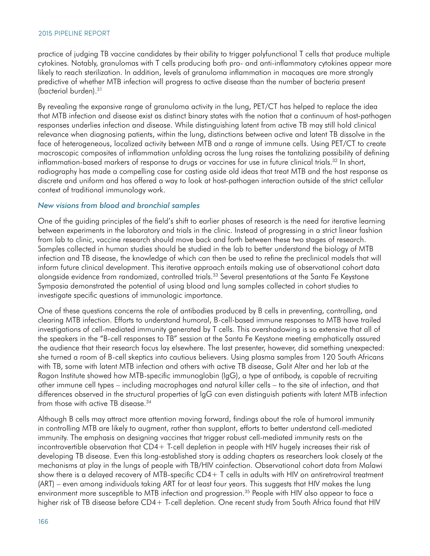practice of judging TB vaccine candidates by their ability to trigger polyfunctional T cells that produce multiple cytokines. Notably, granulomas with T cells producing both pro- and anti-inflammatory cytokines appear more likely to reach sterilization. In addition, levels of granuloma inflammation in macaques are more strongly predictive of whether MTB infection will progress to active disease than the number of bacteria present (bacterial burden).31

By revealing the expansive range of granuloma activity in the lung, PET/CT has helped to replace the idea that MTB infection and disease exist as distinct binary states with the notion that a continuum of host-pathogen responses underlies infection and disease. While distinguishing latent from active TB may still hold clinical relevance when diagnosing patients, within the lung, distinctions between active and latent TB dissolve in the face of heterogeneous, localized activity between MTB and a range of immune cells. Using PET/CT to create macroscopic composites of inflammation unfolding across the lung raises the tantalizing possibility of defining inflammation-based markers of response to drugs or vaccines for use in future clinical trials.<sup>32</sup> In short, radiography has made a compelling case for casting aside old ideas that treat MTB and the host response as discrete and uniform and has offered a way to look at host-pathogen interaction outside of the strict cellular context of traditional immunology work.

#### *New visions from blood and bronchial samples*

One of the guiding principles of the field's shift to earlier phases of research is the need for iterative learning between experiments in the laboratory and trials in the clinic. Instead of progressing in a strict linear fashion from lab to clinic, vaccine research should move back and forth between these two stages of research. Samples collected in human studies should be studied in the lab to better understand the biology of MTB infection and TB disease, the knowledge of which can then be used to refine the preclinical models that will inform future clinical development. This iterative approach entails making use of observational cohort data alongside evidence from randomized, controlled trials.33 Several presentations at the Santa Fe Keystone Symposia demonstrated the potential of using blood and lung samples collected in cohort studies to investigate specific questions of immunologic importance.

One of these questions concerns the role of antibodies produced by B cells in preventing, controlling, and clearing MTB infection. Efforts to understand humoral, B-cell-based immune responses to MTB have trailed investigations of cell-mediated immunity generated by T cells. This overshadowing is so extensive that all of the speakers in the "B-cell responses to TB" session at the Santa Fe Keystone meeting emphatically assured the audience that their research focus lay elsewhere. The last presenter, however, did something unexpected: she turned a room of B-cell skeptics into cautious believers. Using plasma samples from 120 South Africans with TB, some with latent MTB infection and others with active TB disease, Galit Alter and her lab at the Ragon Institute showed how MTB-specific immunoglobin (IgG), a type of antibody, is capable of recruiting other immune cell types – including macrophages and natural killer cells – to the site of infection, and that differences observed in the structural properties of IgG can even distinguish patients with latent MTB infection from those with active TB disease.34

Although B cells may attract more attention moving forward, findings about the role of humoral immunity in controlling MTB are likely to augment, rather than supplant, efforts to better understand cell-mediated immunity. The emphasis on designing vaccines that trigger robust cell-mediated immunity rests on the incontrovertible observation that CD4+ T-cell depletion in people with HIV hugely increases their risk of developing TB disease. Even this long-established story is adding chapters as researchers look closely at the mechanisms at play in the lungs of people with TB/HIV coinfection. Observational cohort data from Malawi show there is a delayed recovery of MTB-specific CD4 + T cells in adults with HIV on antiretroviral treatment (ART) – even among individuals taking ART for at least four years. This suggests that HIV makes the lung environment more susceptible to MTB infection and progression.<sup>35</sup> People with HIV also appear to face a higher risk of TB disease before CD4+ T-cell depletion. One recent study from South Africa found that HIV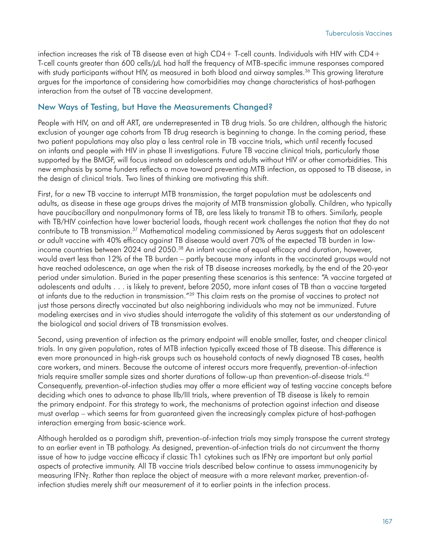infection increases the risk of TB disease even at high  $CD4+$  T-cell counts. Individuals with HIV with  $CD4+$ T-cell counts greater than 600 cells/μL had half the frequency of MTB-specific immune responses compared with study participants without HIV, as measured in both blood and airway samples.<sup>36</sup> This growing literature argues for the importance of considering how comorbidities may change characteristics of host-pathogen interaction from the outset of TB vaccine development.

## New Ways of Testing, but Have the Measurements Changed?

People with HIV, on and off ART, are underrepresented in TB drug trials. So are children, although the historic exclusion of younger age cohorts from TB drug research is beginning to change. In the coming period, these two patient populations may also play a less central role in TB vaccine trials, which until recently focused on infants and people with HIV in phase II investigations. Future TB vaccine clinical trials, particularly those supported by the BMGF, will focus instead on adolescents and adults without HIV or other comorbidities. This new emphasis by some funders reflects a move toward preventing MTB infection, as opposed to TB disease, in the design of clinical trials. Two lines of thinking are motivating this shift.

First, for a new TB vaccine to interrupt MTB transmission, the target population must be adolescents and adults, as disease in these age groups drives the majority of MTB transmission globally. Children, who typically have paucibacillary and nonpulmonary forms of TB, are less likely to transmit TB to others. Similarly, people with TB/HIV coinfection have lower bacterial loads, though recent work challenges the notion that they do not contribute to TB transmission.37 Mathematical modeling commissioned by Aeras suggests that an adolescent or adult vaccine with 40% efficacy against TB disease would avert 70% of the expected TB burden in lowincome countries between 2024 and 2050.<sup>38</sup> An infant vaccine of equal efficacy and duration, however, would avert less than 12% of the TB burden – partly because many infants in the vaccinated groups would not have reached adolescence, an age when the risk of TB disease increases markedly, by the end of the 20-year period under simulation. Buried in the paper presenting these scenarios is this sentence: "A vaccine targeted at adolescents and adults . . . is likely to prevent, before 2050, more infant cases of TB than a vaccine targeted at infants due to the reduction in transmission."39 This claim rests on the promise of vaccines to protect not just those persons directly vaccinated but also neighboring individuals who may not be immunized. Future modeling exercises and in vivo studies should interrogate the validity of this statement as our understanding of the biological and social drivers of TB transmission evolves.

Second, using prevention of infection as the primary endpoint will enable smaller, faster, and cheaper clinical trials. In any given population, rates of MTB infection typically exceed those of TB disease. This difference is even more pronounced in high-risk groups such as household contacts of newly diagnosed TB cases, health care workers, and miners. Because the outcome of interest occurs more frequently, prevention-of-infection trials require smaller sample sizes and shorter durations of follow-up than prevention-of-disease trials.40 Consequently, prevention-of-infection studies may offer a more efficient way of testing vaccine concepts before deciding which ones to advance to phase IIb/III trials, where prevention of TB disease is likely to remain the primary endpoint. For this strategy to work, the mechanisms of protection against infection and disease must overlap – which seems far from guaranteed given the increasingly complex picture of host-pathogen interaction emerging from basic-science work.

Although heralded as a paradigm shift, prevention-of-infection trials may simply transpose the current strategy to an earlier event in TB pathology. As designed, prevention-of-infection trials do not circumvent the thorny issue of how to judge vaccine efficacy if classic Th1 cytokines such as IFNγ are important but only partial aspects of protective immunity. All TB vaccine trials described below continue to assess immunogenicity by measuring IFNγ. Rather than replace the object of measure with a more relevant marker, prevention-ofinfection studies merely shift our measurement of it to earlier points in the infection process.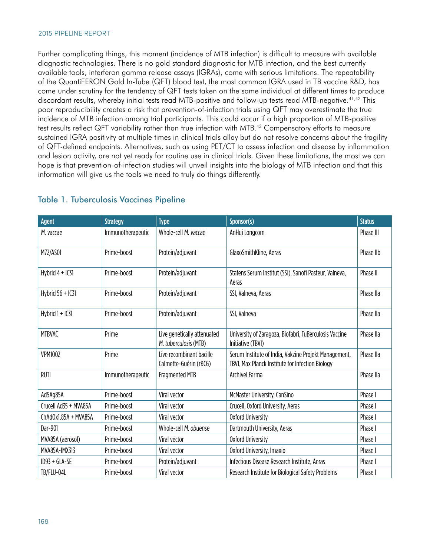Further complicating things, this moment (incidence of MTB infection) is difficult to measure with available diagnostic technologies. There is no gold standard diagnostic for MTB infection, and the best currently available tools, interferon gamma release assays (IGRAs), come with serious limitations. The repeatability of the QuantiFERON Gold In-Tube (QFT) blood test, the most common IGRA used in TB vaccine R&D, has come under scrutiny for the tendency of QFT tests taken on the same individual at different times to produce discordant results, whereby initial tests read MTB-positive and follow-up tests read MTB-negative.<sup>41,42</sup> This poor reproducibility creates a risk that prevention-of-infection trials using QFT may overestimate the true incidence of MTB infection among trial participants. This could occur if a high proportion of MTB-positive test results reflect QFT variability rather than true infection with MTB.<sup>43</sup> Compensatory efforts to measure sustained IGRA positivity at multiple times in clinical trials allay but do not resolve concerns about the fragility of QFT-defined endpoints. Alternatives, such as using PET/CT to assess infection and disease by inflammation and lesion activity, are not yet ready for routine use in clinical trials. Given these limitations, the most we can hope is that prevention-of-infection studies will unveil insights into the biology of MTB infection and that this information will give us the tools we need to truly do things differently.

| Agent                 | <b>Strategy</b>   | <b>Type</b>                                          | Sponsor(s)                                                                                                | <b>Status</b> |
|-----------------------|-------------------|------------------------------------------------------|-----------------------------------------------------------------------------------------------------------|---------------|
| M. vaccae             | Immunotherapeutic | Whole-cell M. vaccae                                 | AnHui Longcom                                                                                             | Phase III     |
| M72/AS01              | Prime-boost       | Protein/adjuvant                                     | GlaxoSmithKline, Aeras                                                                                    | Phase IIb     |
| Hybrid $4 +$ IC31     | Prime-boost       | Protein/adjuvant                                     | Statens Serum Institut (SSI), Sanofi Pasteur, Valneva,<br>Aeras                                           | Phase II      |
| Hybrid $56 +$ IC31    | Prime-boost       | Protein/adjuvant                                     | SSI, Valneva, Aeras                                                                                       | Phase IIa     |
| Hybrid $1 +$ IC31     | Prime-boost       | Protein/adjuvant                                     | SSI, Valneva                                                                                              | Phase IIa     |
| <b>MTBVAC</b>         | Prime             | Live genetically attenuated<br>M. tuberculosis (MTB) | University of Zaragoza, Biofabri, TuBerculosis Vaccine<br>Initiative (TBVI)                               | Phase IIa     |
| <b>VPM1002</b>        | Prime             | Live recombinant bacille<br>Calmette-Guérin (rBCG)   | Serum Institute of India, Vakzine Projekt Management,<br>TBVI, Max Planck Institute for Infection Biology | Phase IIa     |
| <b>RUTI</b>           | Immunotherapeutic | <b>Fragmented MTB</b>                                | Archivel Farma                                                                                            | Phase IIa     |
| Ad5Ag85A              | Prime-boost       | Viral vector                                         | McMaster University, CanSino                                                                              | Phase I       |
| Crucell Ad35 + MVA85A | Prime-boost       | Viral vector                                         | Crucell, Oxford University, Aeras                                                                         | Phase I       |
| ChAdOx1.85A + MVA85A  | Prime-boost       | Viral vector                                         | Oxford University                                                                                         | Phase I       |
| Dar-901               | Prime-boost       | Whole-cell M. obuense                                | Dartmouth University, Aeras                                                                               | Phase I       |
| MVA85A (aerosol)      | Prime-boost       | Viral vector                                         | <b>Oxford University</b>                                                                                  | Phase I       |
| MVA85A-IMX313         | Prime-boost       | Viral vector                                         | Oxford University, Imaxio                                                                                 | Phase I       |
| $ID93 + GLA-SE$       | Prime-boost       | Protein/adjuvant                                     | Infectious Disease Research Institute, Aeras                                                              | Phase I       |
| TB/FLU-04L            | Prime-boost       | Viral vector                                         | Research Institute for Biological Safety Problems                                                         | Phase I       |

# Table 1. Tuberculosis Vaccines Pipeline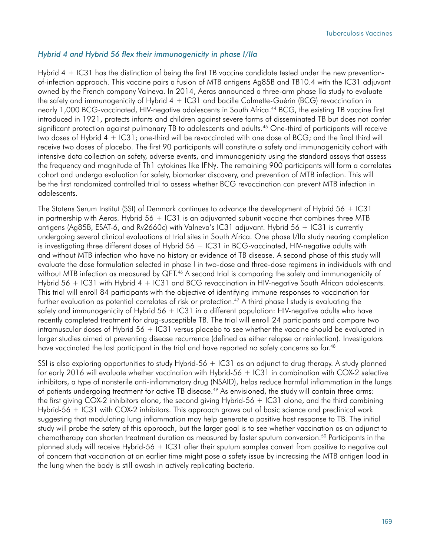#### *Hybrid 4 and Hybrid 56 flex their immunogenicity in phase I/IIa*

Hybrid 4 + IC31 has the distinction of being the first TB vaccine candidate tested under the new preventionof-infection approach. This vaccine pairs a fusion of MTB antigens Ag85B and TB10.4 with the IC31 adjuvant owned by the French company Valneva. In 2014, Aeras announced a three-arm phase IIa study to evaluate the safety and immunogenicity of Hybrid 4 + IC31 and bacille Calmette-Guérin (BCG) revaccination in nearly 1,000 BCG-vaccinated, HIV-negative adolescents in South Africa.<sup>44</sup> BCG, the existing TB vaccine first introduced in 1921, protects infants and children against severe forms of disseminated TB but does not confer significant protection against pulmonary TB to adolescents and adults.<sup>45</sup> One-third of participants will receive two doses of Hybrid 4 + IC31; one-third will be revaccinated with one dose of BCG; and the final third will receive two doses of placebo. The first 90 participants will constitute a safety and immunogenicity cohort with intensive data collection on safety, adverse events, and immunogenicity using the standard assays that assess the frequency and magnitude of Th1 cytokines like IFNγ. The remaining 900 participants will form a correlates cohort and undergo evaluation for safety, biomarker discovery, and prevention of MTB infection. This will be the first randomized controlled trial to assess whether BCG revaccination can prevent MTB infection in adolescents.

The Statens Serum Institut (SSI) of Denmark continues to advance the development of Hybrid 56 + IC31 in partnership with Aeras. Hybrid  $56 + IC31$  is an adjuvanted subunit vaccine that combines three MTB antigens (Ag85B, ESAT-6, and Rv2660c) with Valneva's IC31 adjuvant. Hybrid 56 + IC31 is currently undergoing several clinical evaluations at trial sites in South Africa. One phase I/IIa study nearing completion is investigating three different doses of Hybrid 56 + IC31 in BCG-vaccinated, HIV-negative adults with and without MTB infection who have no history or evidence of TB disease. A second phase of this study will evaluate the dose formulation selected in phase I in two-dose and three-dose regimens in individuals with and without MTB infection as measured by QFT.<sup>46</sup> A second trial is comparing the safety and immunogenicity of Hybrid 56 + IC31 with Hybrid 4 + IC31 and BCG revaccination in HIV-negative South African adolescents. This trial will enroll 84 participants with the objective of identifying immune responses to vaccination for further evaluation as potential correlates of risk or protection.<sup>47</sup> A third phase I study is evaluating the safety and immunogenicity of Hybrid 56 + IC31 in a different population: HIV-negative adults who have recently completed treatment for drug-susceptible TB. The trial will enroll 24 participants and compare two intramuscular doses of Hybrid 56 + IC31 versus placebo to see whether the vaccine should be evaluated in larger studies aimed at preventing disease recurrence (defined as either relapse or reinfection). Investigators have vaccinated the last participant in the trial and have reported no safety concerns so far.<sup>48</sup>

SSI is also exploring opportunities to study Hybrid-56 + IC31 as an adjunct to drug therapy. A study planned for early 2016 will evaluate whether vaccination with Hybrid-56 + IC31 in combination with COX-2 selective inhibitors, a type of nonsterile anti-inflammatory drug (NSAID), helps reduce harmful inflammation in the lungs of patients undergoing treatment for active TB disease.49 As envisioned, the study will contain three arms: the first giving COX-2 inhibitors alone, the second giving Hybrid-56 + IC31 alone, and the third combining Hybrid-56 + IC31 with COX-2 inhibitors. This approach grows out of basic science and preclinical work suggesting that modulating lung inflammation may help generate a positive host response to TB. The initial study will probe the safety of this approach, but the larger goal is to see whether vaccination as an adjunct to chemotherapy can shorten treatment duration as measured by faster sputum conversion.50 Participants in the planned study will receive Hybrid-56 + IC31 after their sputum samples convert from positive to negative out of concern that vaccination at an earlier time might pose a safety issue by increasing the MTB antigen load in the lung when the body is still awash in actively replicating bacteria.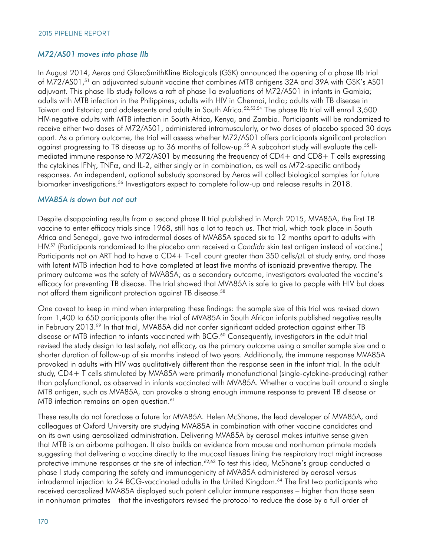#### *M72/AS01 moves into phase IIb*

In August 2014, Aeras and GlaxoSmithKline Biologicals (GSK) announced the opening of a phase IIb trial of M72/AS01,<sup>51</sup> an adjuvanted subunit vaccine that combines MTB antigens 32A and 39A with GSK's AS01 adjuvant. This phase IIb study follows a raft of phase IIa evaluations of M72/AS01 in infants in Gambia; adults with MTB infection in the Philippines; adults with HIV in Chennai, India; adults with TB disease in Taiwan and Estonia; and adolescents and adults in South Africa.52,53,54 The phase IIb trial will enroll 3,500 HIV-negative adults with MTB infection in South Africa, Kenya, and Zambia. Participants will be randomized to receive either two doses of M72/AS01, administered intramuscularly, or two doses of placebo spaced 30 days apart. As a primary outcome, the trial will assess whether M72/AS01 offers participants significant protection against progressing to TB disease up to 36 months of follow-up.55 A subcohort study will evaluate the cellmediated immune response to M72/AS01 by measuring the frequency of CD4+ and CD8+ T cells expressing the cytokines IFNγ, TNFα, and IL-2, either singly or in combination, as well as M72-specific antibody responses. An independent, optional substudy sponsored by Aeras will collect biological samples for future biomarker investigations.56 Investigators expect to complete follow-up and release results in 2018.

#### *MVA85A is down but not out*

Despite disappointing results from a second phase II trial published in March 2015, MVA85A, the first TB vaccine to enter efficacy trials since 1968, still has a lot to teach us. That trial, which took place in South Africa and Senegal, gave two intradermal doses of MVA85A spaced six to 12 months apart to adults with HIV.57 (Participants randomized to the placebo arm received a *Candida* skin test antigen instead of vaccine.) Participants not on ART had to have a  $CD4+$  T-cell count greater than 350 cells/ $\mu$ L at study entry, and those with latent MTB infection had to have completed at least five months of isoniazid preventive therapy. The primary outcome was the safety of MVA85A; as a secondary outcome, investigators evaluated the vaccine's efficacy for preventing TB disease. The trial showed that MVA85A is safe to give to people with HIV but does not afford them significant protection against TB disease.<sup>58</sup>

One caveat to keep in mind when interpreting these findings: the sample size of this trial was revised down from 1,400 to 650 participants after the trial of MVA85A in South African infants published negative results in February 2013.59 In that trial, MVA85A did not confer significant added protection against either TB disease or MTB infection to infants vaccinated with BCG.<sup>60</sup> Consequently, investigators in the adult trial revised the study design to test safety, not efficacy, as the primary outcome using a smaller sample size and a shorter duration of follow-up of six months instead of two years. Additionally, the immune response MVA85A provoked in adults with HIV was qualitatively different than the response seen in the infant trial. In the adult study, CD4+ T cells stimulated by MVA85A were primarily monofunctional (single-cytokine-producing) rather than polyfunctional, as observed in infants vaccinated with MVA85A. Whether a vaccine built around a single MTB antigen, such as MVA85A, can provoke a strong enough immune response to prevent TB disease or MTB infection remains an open question.<sup>61</sup>

These results do not foreclose a future for MVA85A. Helen McShane, the lead developer of MVA85A, and colleagues at Oxford University are studying MVA85A in combination with other vaccine candidates and on its own using aerosolized administration. Delivering MVA85A by aerosol makes intuitive sense given that MTB is an airborne pathogen. It also builds on evidence from mouse and nonhuman primate models suggesting that delivering a vaccine directly to the mucosal tissues lining the respiratory tract might increase protective immune responses at the site of infection.<sup>62,63</sup> To test this idea, McShane's group conducted a phase I study comparing the safety and immunogenicity of MVA85A administered by aerosol versus intradermal injection to 24 BCG-vaccinated adults in the United Kingdom.64 The first two participants who received aerosolized MVA85A displayed such potent cellular immune responses – higher than those seen in nonhuman primates – that the investigators revised the protocol to reduce the dose by a full order of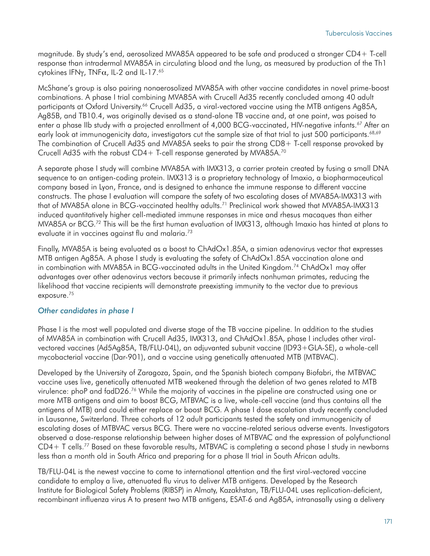magnitude. By study's end, aerosolized MVA85A appeared to be safe and produced a stronger CD4+ T-cell response than intradermal MVA85A in circulating blood and the lung, as measured by production of the Th1 cytokines IFNγ, TNFα, IL-2 and IL-17.65

McShane's group is also pairing nonaerosolized MVA85A with other vaccine candidates in novel prime-boost combinations. A phase I trial combining MVA85A with Crucell Ad35 recently concluded among 40 adult participants at Oxford University.<sup>66</sup> Crucell Ad35, a viral-vectored vaccine using the MTB antigens Ag85A, Ag85B, and TB10.4, was originally devised as a stand-alone TB vaccine and, at one point, was poised to enter a phase IIb study with a projected enrollment of 4,000 BCG-vaccinated, HIV-negative infants.<sup>67</sup> After an early look at immunogenicity data, investigators cut the sample size of that trial to just 500 participants.<sup>68,69</sup> The combination of Crucell Ad35 and MVA85A seeks to pair the strong CD8+ T-cell response provoked by Crucell Ad35 with the robust CD4+ T-cell response generated by MVA85A.70

A separate phase I study will combine MVA85A with IMX313, a carrier protein created by fusing a small DNA sequence to an antigen-coding protein. IMX313 is a proprietary technology of Imaxio, a biopharmaceutical company based in Lyon, France, and is designed to enhance the immune response to different vaccine constructs. The phase I evaluation will compare the safety of two escalating doses of MVA85A-IMX313 with that of MVA85A alone in BCG-vaccinated healthy adults.71 Preclinical work showed that MVA85A-IMX313 induced quantitatively higher cell-mediated immune responses in mice and rhesus macaques than either MVA85A or BCG.72 This will be the first human evaluation of IMX313, although Imaxio has hinted at plans to evaluate it in vaccines against flu and malaria.<sup>73</sup>

Finally, MVA85A is being evaluated as a boost to ChAdOx1.85A, a simian adenovirus vector that expresses MTB antigen Ag85A. A phase I study is evaluating the safety of ChAdOx1.85A vaccination alone and in combination with MVA85A in BCG-vaccinated adults in the United Kingdom.<sup>74</sup> ChAdOx1 may offer advantages over other adenovirus vectors because it primarily infects nonhuman primates, reducing the likelihood that vaccine recipients will demonstrate preexisting immunity to the vector due to previous exposure.<sup>75</sup>

#### *Other candidates in phase I*

Phase I is the most well populated and diverse stage of the TB vaccine pipeline. In addition to the studies of MVA85A in combination with Crucell Ad35, IMX313, and ChAdOx1.85A, phase I includes other viralvectored vaccines (Ad5Ag85A, TB/FLU-04L), an adjuvanted subunit vaccine (ID93+GLA-SE), a whole-cell mycobacterial vaccine (Dar-901), and a vaccine using genetically attenuated MTB (MTBVAC).

Developed by the University of Zaragoza, Spain, and the Spanish biotech company Biofabri, the MTBVAC vaccine uses live, genetically attenuated MTB weakened through the deletion of two genes related to MTB virulence: phoP and fadD26.76 While the majority of vaccines in the pipeline are constructed using one or more MTB antigens and aim to boost BCG, MTBVAC is a live, whole-cell vaccine (and thus contains all the antigens of MTB) and could either replace or boost BCG. A phase I dose escalation study recently concluded in Lausanne, Switzerland. Three cohorts of 12 adult participants tested the safety and immunogenicity of escalating doses of MTBVAC versus BCG. There were no vaccine-related serious adverse events. Investigators observed a dose-response relationship between higher doses of MTBVAC and the expression of polyfunctional CD4+ T cells.77 Based on these favorable results, MTBVAC is completing a second phase I study in newborns less than a month old in South Africa and preparing for a phase II trial in South African adults.

TB/FLU-04L is the newest vaccine to come to international attention and the first viral-vectored vaccine candidate to employ a live, attenuated flu virus to deliver MTB antigens. Developed by the Research Institute for Biological Safety Problems (RIBSP) in Almaty, Kazakhstan, TB/FLU-04L uses replication-deficient, recombinant influenza virus A to present two MTB antigens, ESAT-6 and Ag85A, intranasally using a delivery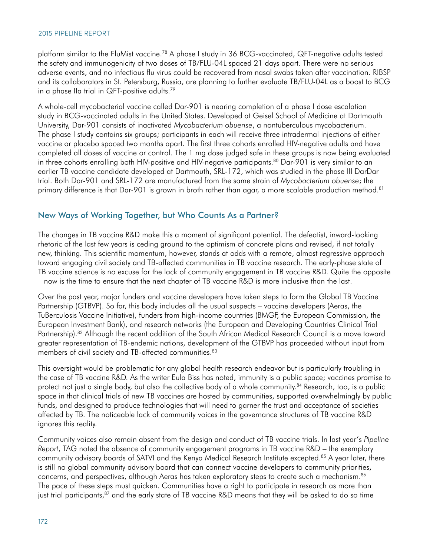platform similar to the FluMist vaccine.<sup>78</sup> A phase I study in 36 BCG-vaccinated, QFT-negative adults tested the safety and immunogenicity of two doses of TB/FLU-04L spaced 21 days apart. There were no serious adverse events, and no infectious flu virus could be recovered from nasal swabs taken after vaccination. RIBSP and its collaborators in St. Petersburg, Russia, are planning to further evaluate TB/FLU-04L as a boost to BCG in a phase IIa trial in QFT-positive adults.<sup>79</sup>

A whole-cell mycobacterial vaccine called Dar-901 is nearing completion of a phase I dose escalation study in BCG-vaccinated adults in the United States. Developed at Geisel School of Medicine at Dartmouth University, Dar-901 consists of inactivated *Mycobacterium obuense*, a nontuberculous mycobacterium. The phase I study contains six groups; participants in each will receive three intradermal injections of either vaccine or placebo spaced two months apart. The first three cohorts enrolled HIV-negative adults and have completed all doses of vaccine or control. The 1 mg dose judged safe in these groups is now being evaluated in three cohorts enrolling both HIV-positive and HIV-negative participants.<sup>80</sup> Dar-901 is very similar to an earlier TB vaccine candidate developed at Dartmouth, SRL-172, which was studied in the phase III DarDar trial. Both Dar-901 and SRL-172 are manufactured from the same strain of *Mycobacterium obuense*; the primary difference is that Dar-901 is grown in broth rather than agar, a more scalable production method.<sup>81</sup>

## New Ways of Working Together, but Who Counts As a Partner?

The changes in TB vaccine R&D make this a moment of significant potential. The defeatist, inward-looking rhetoric of the last few years is ceding ground to the optimism of concrete plans and revised, if not totally new, thinking. This scientific momentum, however, stands at odds with a remote, almost regressive approach toward engaging civil society and TB-affected communities in TB vaccine research. The early-phase state of TB vaccine science is no excuse for the lack of community engagement in TB vaccine R&D. Quite the opposite – now is the time to ensure that the next chapter of TB vaccine R&D is more inclusive than the last.

Over the past year, major funders and vaccine developers have taken steps to form the Global TB Vaccine Partnership (GTBVP). So far, this body includes all the usual suspects – vaccine developers (Aeras, the TuBerculosis Vaccine Initiative), funders from high-income countries (BMGF, the European Commission, the European Investment Bank), and research networks (the European and Developing Countries Clinical Trial Partnership).<sup>82</sup> Although the recent addition of the South African Medical Research Council is a move toward greater representation of TB-endemic nations, development of the GTBVP has proceeded without input from members of civil society and TB-affected communities.<sup>83</sup>

This oversight would be problematic for any global health research endeavor but is particularly troubling in the case of TB vaccine R&D. As the writer Eula Biss has noted, immunity is a public space; vaccines promise to protect not just a single body, but also the collective body of a whole community.<sup>84</sup> Research, too, is a public space in that clinical trials of new TB vaccines are hosted by communities, supported overwhelmingly by public funds, and designed to produce technologies that will need to garner the trust and acceptance of societies affected by TB. The noticeable lack of community voices in the governance structures of TB vaccine R&D ignores this reality.

Community voices also remain absent from the design and conduct of TB vaccine trials. In last year's *Pipeline Report*, TAG noted the absence of community engagement programs in TB vaccine R&D – the exemplary community advisory boards of SATVI and the Kenya Medical Research Institute excepted.85 A year later, there is still no global community advisory board that can connect vaccine developers to community priorities, concerns, and perspectives, although Aeras has taken exploratory steps to create such a mechanism.86 The pace of these steps must quicken. Communities have a right to participate in research as more than iust trial participants,<sup>87</sup> and the early state of TB vaccine R&D means that they will be asked to do so time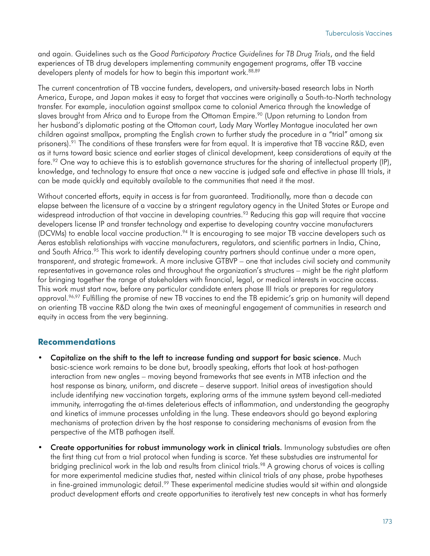and again. Guidelines such as the *Good Participatory Practice Guidelines for TB Drug Trials*, and the field experiences of TB drug developers implementing community engagement programs, offer TB vaccine developers plenty of models for how to begin this important work.<sup>88,89</sup>

The current concentration of TB vaccine funders, developers, and university-based research labs in North America, Europe, and Japan makes it easy to forget that vaccines were originally a South-to-North technology transfer. For example, inoculation against smallpox came to colonial America through the knowledge of slaves brought from Africa and to Europe from the Ottoman Empire.<sup>90</sup> (Upon returning to London from her husband's diplomatic posting at the Ottoman court, Lady Mary Wortley Montague inoculated her own children against smallpox, prompting the English crown to further study the procedure in a "trial" among six prisoners).91 The conditions of these transfers were far from equal. It is imperative that TB vaccine R&D, even as it turns toward basic science and earlier stages of clinical development, keep considerations of equity at the fore.<sup>92</sup> One way to achieve this is to establish governance structures for the sharing of intellectual property (IP), knowledge, and technology to ensure that once a new vaccine is judged safe and effective in phase III trials, it can be made quickly and equitably available to the communities that need it the most.

Without concerted efforts, equity in access is far from guaranteed. Traditionally, more than a decade can elapse between the licensure of a vaccine by a stringent regulatory agency in the United States or Europe and widespread introduction of that vaccine in developing countries.<sup>93</sup> Reducing this gap will require that vaccine developers license IP and transfer technology and expertise to developing country vaccine manufacturers (DCVMs) to enable local vaccine production.<sup>94</sup> It is encouraging to see major TB vaccine developers such as Aeras establish relationships with vaccine manufacturers, regulators, and scientific partners in India, China, and South Africa.<sup>95</sup> This work to identify developing country partners should continue under a more open, transparent, and strategic framework. A more inclusive GTBVP – one that includes civil society and community representatives in governance roles and throughout the organization's structures – might be the right platform for bringing together the range of stakeholders with financial, legal, or medical interests in vaccine access. This work must start now, before any particular candidate enters phase III trials or prepares for regulatory approval.<sup>96,97</sup> Fulfilling the promise of new TB vaccines to end the TB epidemic's grip on humanity will depend on orienting TB vaccine R&D along the twin axes of meaningful engagement of communities in research and equity in access from the very beginning.

## **Recommendations**

- Capitalize on the shift to the left to increase funding and support for basic science. Much basic-science work remains to be done but, broadly speaking, efforts that look at host-pathogen interaction from new angles – moving beyond frameworks that see events in MTB infection and the host response as binary, uniform, and discrete – deserve support. Initial areas of investigation should include identifying new vaccination targets, exploring arms of the immune system beyond cell-mediated immunity, interrogating the at-times deleterious effects of inflammation, and understanding the geography and kinetics of immune processes unfolding in the lung. These endeavors should go beyond exploring mechanisms of protection driven by the host response to considering mechanisms of evasion from the perspective of the MTB pathogen itself.
- Create opportunities for robust immunology work in clinical trials. Immunology substudies are often the first thing cut from a trial protocol when funding is scarce. Yet these substudies are instrumental for bridging preclinical work in the lab and results from clinical trials.98 A growing chorus of voices is calling for more experimental medicine studies that, nested within clinical trials of any phase, probe hypotheses in fine-grained immunologic detail.<sup>99</sup> These experimental medicine studies would sit within and alongside product development efforts and create opportunities to iteratively test new concepts in what has formerly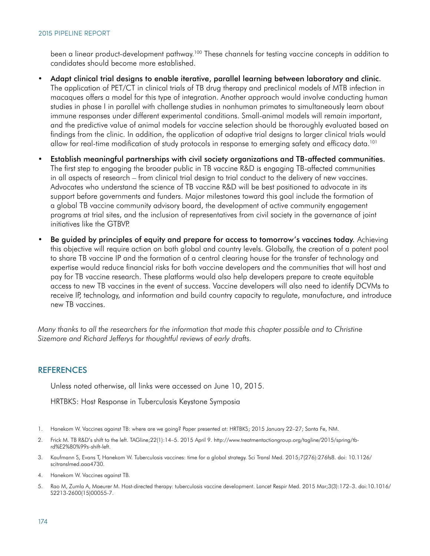been a linear product-development pathway.<sup>100</sup> These channels for testing vaccine concepts in addition to candidates should become more established.

- Adapt clinical trial designs to enable iterative, parallel learning between laboratory and clinic. The application of PET/CT in clinical trials of TB drug therapy and preclinical models of MTB infection in macaques offers a model for this type of integration. Another approach would involve conducting human studies in phase I in parallel with challenge studies in nonhuman primates to simultaneously learn about immune responses under different experimental conditions. Small-animal models will remain important, and the predictive value of animal models for vaccine selection should be thoroughly evaluated based on findings from the clinic. In addition, the application of adaptive trial designs to larger clinical trials would allow for real-time modification of study protocols in response to emerging safety and efficacy data.101
- Establish meaningful partnerships with civil society organizations and TB-affected communities. The first step to engaging the broader public in TB vaccine R&D is engaging TB-affected communities in all aspects of research – from clinical trial design to trial conduct to the delivery of new vaccines. Advocates who understand the science of TB vaccine R&D will be best positioned to advocate in its support before governments and funders. Major milestones toward this goal include the formation of a global TB vaccine community advisory board, the development of active community engagement programs at trial sites, and the inclusion of representatives from civil society in the governance of joint initiatives like the GTBVP.
- Be guided by principles of equity and prepare for access to tomorrow's vaccines today. Achieving this objective will require action on both global and country levels. Globally, the creation of a patent pool to share TB vaccine IP and the formation of a central clearing house for the transfer of technology and expertise would reduce financial risks for both vaccine developers and the communities that will host and pay for TB vaccine research. These platforms would also help developers prepare to create equitable access to new TB vaccines in the event of success. Vaccine developers will also need to identify DCVMs to receive IP, technology, and information and build country capacity to regulate, manufacture, and introduce new TB vaccines.

*Many thanks to all the researchers for the information that made this chapter possible and to Christine Sizemore and Richard Jefferys for thoughtful reviews of early drafts.*

#### REFERENCES

Unless noted otherwise, all links were accessed on June 10, 2015.

HRTBKS: Host Response in Tuberculosis Keystone Symposia

- 1. Hanekom W. Vaccines against TB: where are we going? Paper presented at: HRTBKS; 2015 January 22–27; Santa Fe, NM.
- 2. Frick M. TB R&D's shift to the left. TAGline;22(1):14–5. 2015 April 9. [http://www.treatmentactiongroup.org/tagline/2015/spring/tb](http://www.treatmentactiongroup.org/tagline/2015/spring/tb-rd%E2%80%99s-shift-left)[rd%E2%80%99s-shift-left](http://www.treatmentactiongroup.org/tagline/2015/spring/tb-rd%E2%80%99s-shift-left).
- 3. Kaufmann S, Evans T, Hanekom W. Tuberculosis vaccines: time for a global strategy. Sci Transl Med. 2015;7(276):276fs8. doi: 10.1126/ scitranslmed.aaa4730.
- 4. Hanekom W. Vaccines against TB.
- 5. Rao M, Zumla A, Maeurer M. Host-directed therapy: tuberculosis vaccine development. Lancet Respir Med. 2015 Mar;3(3):172–3. doi:10.1016/ S2213-2600(15)00055-7.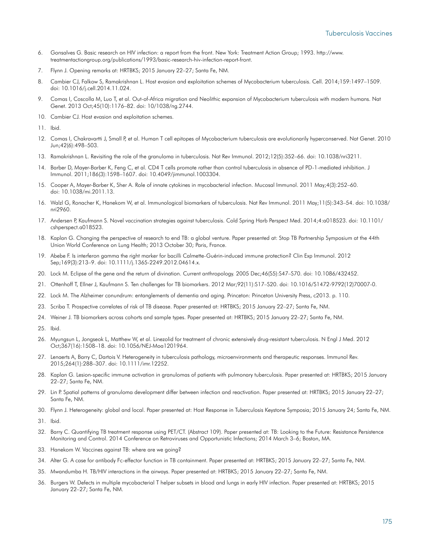- 6. Gonsalves G. Basic research on HIV infection: a report from the front. New York: Treatment Action Group; 1993. [http://www.](http://www.treatmentactiongroup.org/publications/1993/basic-research-hiv-infection-report-front) [treatmentactiongroup.org/publications/1993/basic-research-hiv-infection-report-front.](http://www.treatmentactiongroup.org/publications/1993/basic-research-hiv-infection-report-front)
- 7. Flynn J. Opening remarks at: HRTBKS; 2015 January 22–27; Santa Fe, NM.
- 8. Cambier CJ, Falkow S, Ramakrishnan L. Host evasion and exploitation schemes of Mycobacterium tuberculosis. Cell. 2014;159:1497–1509. doi: 10.1016/j.cell.2014.11.024.
- 9. Comas I, Coscolla M, Luo T, et al. Out-of-Africa migration and Neolithic expansion of Mycobacterium tuberculosis with modern humans. Nat Genet. 2013 Oct;45(10):1176–82. doi: 10/1038/ng.2744.
- 10. Cambier CJ. Host evasion and exploitation schemes.
- 11. Ibid.
- 12. Comas I, Chakravartti J, Small P, et al. Human T cell epitopes of Mycobacterium tuberculosis are evolutionarily hyperconserved. Nat Genet. 2010 Jun;42(6):498–503.
- 13. Ramakrishnan L. Revisiting the role of the granuloma in tuberculosis. Nat Rev Immunol. 2012;12(5):352–66. doi: 10.1038/nri3211.
- 14. Barber D, Mayer-Barber K, Feng C, et al. CD4 T cells promote rather than control tuberculosis in absence of PD-1-mediated inhibition. J Immunol. 2011;186(3):1598–1607. doi: 10.4049/jimmunol.1003304.
- 15. Cooper A, Mayer-Barber K, Sher A. Role of innate cytokines in mycobacterial infection. Mucosal Immunol. 2011 May;4(3):252–60. doi: 10.1038/mi.2011.13.
- 16. Walzl G, Ronacher K, Hanekom W, et al. Immunological biomarkers of tuberculosis. Nat Rev Immunol. 2011 May;11(5):343–54. doi: 10.1038/ nri2960.
- 17. Andersen P, Kaufmann S. Novel vaccination strategies against tuberculosis. Cold Spring Harb Perspect Med. 2014;4:a018523. doi: 10.1101/ cshperspect.a018523.
- 18. Kaplan G. Changing the perspective of research to end TB: a global venture. Paper presented at: Stop TB Partnership Symposium at the 44th Union World Conference on Lung Health; 2013 October 30; Paris, France.
- 19. Abebe F. Is interferon gamma the right marker for bacilli Calmette-Guérin-induced immune protection? Clin Exp Immunol. 2012 Sep;169(3):213–9. doi: 10.1111/j.1365-2249.2012.04614.x.
- 20. Lock M. Eclipse of the gene and the return of divination. Current anthropology. 2005 Dec;46(S5):S47–S70. doi: 10.1086/432452.
- 21. Ottenhoff T, Ellner J, Kaufmann S. Ten challenges for TB biomarkers. 2012 Mar;92(11):S17–S20. doi: 10.1016/S1472-9792(12)70007-0.
- 22. Lock M. The Alzheimer conundrum: entanglements of dementia and aging. Princeton: Princeton University Press, c2013. p. 110.
- 23. Scriba T. Prospective correlates of risk of TB disease. Paper presented at: HRTBKS; 2015 January 22–27; Santa Fe, NM.
- 24. Weiner J. TB biomarkers across cohorts and sample types. Paper presented at: HRTBKS; 2015 January 22–27; Santa Fe, NM.
- 25. Ibid.
- 26. Myungsun L, Jongseok L, Matthew W, et al. Linezolid for treatment of chronic extensively drug-resistant tuberculosis. N Engl J Med. 2012 Oct;367(16):1508–18. doi: 10.1056/NEJ-Moa1201964.
- 27. Lenaerts A, Barry C, Dartois V. Heterogeneity in tuberculosis pathology, microenvironments and therapeutic responses. Immunol Rev. 2015;264(1):288–307. doi: 10.1111/imr.12252.
- 28. Kaplan G. Lesion-specific immune activation in granulomas of patients with pulmonary tuberculosis. Paper presented at: HRTBKS; 2015 January 22–27; Santa Fe, NM.
- 29. Lin P. Spatial patterns of granuloma development differ between infection and reactivation. Paper presented at: HRTBKS; 2015 January 22–27; Santa Fe, NM.
- 30. Flynn J. Heterogeneity: global and local. Paper presented at: Host Response in Tuberculosis Keystone Symposia; 2015 January 24; Santa Fe, NM.
- 31. Ibid.
- 32. Barry C. Quantifying TB treatment response using PET/CT. (Abstract 109). Paper presented at: TB: Looking to the Future: Resistance Persistence Monitoring and Control. 2014 Conference on Retroviruses and Opportunistic Infections; 2014 March 3–6; Boston, MA.
- 33. Hanekom W. Vaccines against TB: where are we going?
- 34. Alter G. A case for antibody Fc-effector function in TB containment. Paper presented at: HRTBKS; 2015 January 22–27; Santa Fe, NM.
- 35. Mwandumba H. TB/HIV interactions in the airways. Paper presented at: HRTBKS; 2015 January 22–27; Santa Fe, NM.
- 36. Burgers W. Defects in multiple mycobacterial T helper subsets in blood and lungs in early HIV infection. Paper presented at: HRTBKS; 2015 January 22–27; Santa Fe, NM.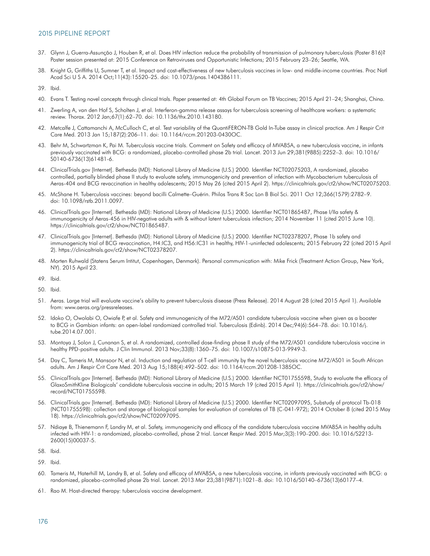## 2015 PIPELINE REPORT

- 37. Glynn J, Guerra-Assunção J, Houben R, et al. Does HIV infection reduce the probability of transmission of pulmonary tuberculosis (Poster 816)? Poster session presented at: 2015 Conference on Retroviruses and Opportunistic Infections; 2015 February 23–26; Seattle, WA.
- 38. Knight G, Griffiths U, Sumner T, et al. Impact and cost-effectiveness of new tuberculosis vaccines in low- and middle-income countries. Proc Natl Acad Sci U S A. 2014 Oct;11(43):15520–25. doi: 10.1073/pnas.1404386111.
- 39. Ibid.
- 40. Evans T. Testing novel concepts through clinical trials. Paper presented at: 4th Global Forum on TB Vaccines; 2015 April 21–24; Shanghai, China.
- 41. Zwerling A, van den Hof S, Scholten J, et al. Interferon-gamma release assays for tuberculosis screening of healthcare workers: a systematic review. Thorax. 2012 Jan;67(1):62–70. doi: 10.1136/thx.2010.143180.
- 42. Metcalfe J, Cattamanchi A, McCulloch C, et al. Test variability of the QuantiFERON-TB Gold In-Tube assay in clinical practice. Am J Respir Crit Care Med. 2013 Jan 15;187(2):206–11. doi: 10.1164/rccm.201203-0430OC.
- 43. Behr M, Schwartzman K, Pai M. Tuberculosis vaccine trials. Comment on Safety and efficacy of MVA85A, a new tuberculosis vaccine, in infants previously vaccinated with BCG: a randomized, placebo-controlled phase 2b trial. Lancet. 2013 Jun 29;381(9885):2252–3. doi: 10.1016/ S0140-6736(13)61481-6.
- 44. ClinicalTrials.gov [Internet]. Bethesda (MD): National Library of Medicine (U.S.) 2000. Identifier NCT02075203, A randomized, placebo controlled, partially blinded phase II study to evaluate safety, immunogenicity and prevention of infection with Mycobacterium tuberculosis of Aeras-404 and BCG revaccination in healthy adolescents; 2015 May 26 (cited 2015 April 2).<https://clinicaltrials.gov/ct2/show/NCT02075203>.
- 45. McShane H. Tuberculosis vaccines: beyond bacilli Calmette–Guérin. Philos Trans R Soc Lon B Biol Sci. 2011 Oct 12;366(1579):2782–9. doi: 10.1098/rstb.2011.0097.
- 46. ClinicalTrials.gov [Internet]. Bethesda (MD): National Library of Medicine (U.S.) 2000. Identifier NCT01865487, Phase I/IIa safety & immunogenicity of Aeras-456 in HIV-negative adults with & without latent tuberculosis infection; 2014 November 11 (cited 2015 June 10). [https://clinicaltrials.gov/ct2/show/NCT01865487.](https://clinicaltrials.gov/ct2/show/NCT01865487)
- 47. ClinicalTrials.gov [Internet]. Bethesda (MD): National Library of Medicine (U.S.) 2000. Identifier NCT02378207, Phase 1b safety and immunogenicity trial of BCG revaccination, H4:IC3, and H56:IC31 in healthy, HIV-1-uninfected adolescents; 2015 February 22 (cited 2015 April 2).<https://clinicaltrials.gov/ct2/show/NCT02378207>.
- 48. Morten Ruhwald (Statens Serum Intitut, Copenhagen, Denmark). Personal communication with: Mike Frick (Treatment Action Group, New York, NY). 2015 April 23.
- 49. Ibid.
- 50. Ibid.
- 51. Aeras. Large trial will evaluate vaccine's ability to prevent tuberculosis disease (Press Release). 2014 August 28 (cited 2015 April 1). Available from: [www.aeras.org/pressreleases](http://www.aeras.org/pressreleases).
- 52. Idoko O, Owolabi O, Owiafe P, et al. Safety and immunogenicity of the M72/AS01 candidate tuberculosis vaccine when given as a booster to BCG in Gambian infants: an open-label randomized controlled trial. Tuberculosis (Edinb). 2014 Dec;94(6):564–78. doi: 10.1016/j. tube.2014.07.001.
- 53. Montoya J, Solon J, Cunanan S, et al. A randomized, controlled dose-finding phase II study of the M72/AS01 candidate tuberculosis vaccine in healthy PPD-positive adults. J Clin Immunol. 2013 Nov;33(8):1360–75. doi: 10.1007/s10875-013-9949-3.
- 54. Day C, Tameris M, Mansoor N, et al. Induction and regulation of T-cell immunity by the novel tuberculosis vaccine M72/AS01 in South African adults. Am J Respir Crit Care Med. 2013 Aug 15;188(4):492–502. doi: 10.1164/rccm.201208-1385OC.
- 55. ClinicalTrials.gov [Internet]. Bethesda (MD): National Library of Medicine (U.S.) 2000. Identifier NCT01755598, Study to evaluate the efficacy of GlaxoSmithKline Biologicals' candidate tuberculosis vaccine in adults; 2015 March 19 (cited 2015 April 1). [https://clinicaltrials.gov/ct2/show/](https://clinicaltrials.gov/ct2/show/record/NCT01755598) [record/NCT01755598](https://clinicaltrials.gov/ct2/show/record/NCT01755598).
- 56. ClinicalTrials.gov [Internet]. Bethesda (MD): National Library of Medicine (U.S.) 2000. Identifier NCT02097095, Substudy of protocol Tb-018 (NCT01755598): collection and storage of biological samples for evaluation of correlates of TB (C-041-972); 2014 October 8 (cited 2015 May 18). [https://clinicaltrials.gov/ct2/show/NCT02097095.](https://clinicaltrials.gov/ct2/show/NCT02097095)
- 57. Ndiaye B, Thienemann F, Landry M, et al. Safety, immunogenicity and efficacy of the candidate tuberculosis vaccine MVA85A in healthy adults infected with HIV-1: a randomized, placebo-controlled, phase 2 trial. Lancet Respir Med. 2015 Mar;3(3):190–200. doi: 10.1016/S2213- 2600(15)00037-5.
- 58. Ibid.
- 59. Ibid.
- 60. Tameris M, Haterhill M, Landry B, et al. Safety and efficacy of MVA85A, a new tuberculosis vaccine, in infants previously vaccinated with BCG: a randomized, placebo-controlled phase 2b trial. Lancet. 2013 Mar 23;381(9871):1021–8. doi: 10.1016/S0140–6736(13)60177–4.
- 61. Rao M. Host-directed therapy: tuberculosis vaccine development.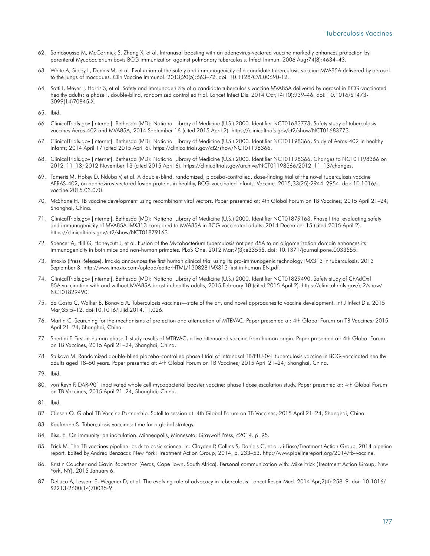- 62. Santosuosso M, McCormick S, Zhang X, et al. Intranasal boosting with an adenovirus-vectored vaccine markedly enhances protection by parenteral Mycobacterium bovis BCG immunization against pulmonary tuberculosis. Infect Immun. 2006 Aug;74(8):4634–43.
- 63. White A, Sibley L, Dennis M, et al. Evaluation of the safety and immunogenicity of a candidate tuberculosis vaccine MVA85A delivered by aerosol to the lungs of macaques. Clin Vaccine Immunol. 2013;20(5):663–72. doi: 10.1128/CVI.00690-12.
- 64. Satti I, Meyer J, Harris S, et al. Safety and immunogenicity of a candidate tuberculosis vaccine MVA85A delivered by aerosol in BCG-vaccinated healthy adults: a phase I, double-blind, randomized controlled trial. Lancet Infect Dis. 2014 Oct;14(10):939–46. doi: 10.1016/S1473- 3099(14)70845-X.
- 65. Ibid.
- 66. ClinicalTrials.gov [Internet]. Bethesda (MD): National Library of Medicine (U.S.) 2000. Identifier NCT01683773, Safety study of tuberculosis vaccines Aeras-402 and MVA85A; 2014 September 16 (cited 2015 April 2). [https://clinicaltrials.gov/ct2/show/NCT01683773.](https://clinicaltrials.gov/ct2/show/NCT01683773)
- 67. ClinicalTrials.gov [Internet]. Bethesda (MD): National Library of Medicine (U.S.) 2000. Identifier NCT01198366, Study of Aeras-402 in healthy infants; 2014 April 17 (cited 2015 April 6).<https://clinicaltrials.gov/ct2/show/NCT01198366>.
- 68. ClinicalTrials.gov [Internet]. Bethesda (MD): National Library of Medicine (U.S.) 2000. Identifier NCT01198366, Changes to NCT01198366 on 2012\_11\_13; 2012 November 13 (cited 2015 April 6). [https://clinicaltrials.gov/archive/NCT01198366/2012\\_11\\_13/changes.](https://clinicaltrials.gov/archive/NCT01198366/2012_11_13/changes)
- 69. Tameris M, Hokey D, Nduba V, et al. A double-blind, randomized, placebo-controlled, dose-finding trial of the novel tuberculosis vaccine AERAS-402, an adenovirus-vectored fusion protein, in healthy, BCG-vaccinated infants. Vaccine. 2015;33(25):2944–2954. doi: 10.1016/j. vaccine.2015.03.070.
- 70. McShane H. TB vaccine development using recombinant viral vectors. Paper presented at: 4th Global Forum on TB Vaccines; 2015 April 21–24; Shanghai, China.
- 71. ClinicalTrials.gov [Internet]. Bethesda (MD): National Library of Medicine (U.S.) 2000. Identifier NCT01879163, Phase I trial evaluating safety and immunogenicity of MVA85A-IMX313 compared to MVA85A in BCG vaccinated adults; 2014 December 15 (cited 2015 April 2). [https://clinicaltrials.gov/ct2/show/NCT01879163.](https://clinicaltrials.gov/ct2/show/NCT01879163)
- 72. Spencer A, Hill G, Honeycutt J, et al. Fusion of the Mycobacterium tuberculosis antigen 85A to an oligomerization domain enhances its immunogenicity in both mice and non-human primates. PLoS One. 2012 Mar;7(3):e33555. doi: 10.1371/journal.pone.0033555.
- 73. Imaxio (Press Release). Imaxio announces the first human clinical trial using its pro-immunogenic technology IMX313 in tuberculosis. 2013 September 3. [http://www.imaxio.com/](http://www.imaxio.com/upload/editorHTML/130828 IMX313 first in human EN.pdf)upload/editorHTML/130828 IMX313 first in human EN.pdf.
- 74. ClinicalTrials.gov [Internet]. Bethesda (MD): National Library of Medicine (U.S.) 2000. Identifier NCT01829490, Safety study of ChAdOx1 85A vaccination with and without MVA85A boost in healthy adults; 2015 February 18 (cited 2015 April 2). [https://clinicaltrials.gov/ct2/show/](https://clinicaltrials.gov/ct2/show/NCT01829490) [NCT01829490.](https://clinicaltrials.gov/ct2/show/NCT01829490)
- 75. da Costa C, Walker B, Bonavia A. Tuberculosis vaccines—state of the art, and novel approaches to vaccine development. Int J Infect Dis. 2015 Mar;35:5–12. doi:10.1016/j.ijid.2014.11.026.
- 76. Martin C. Searching for the mechanisms of protection and attenuation of MTBVAC. Paper presented at: 4th Global Forum on TB Vaccines; 2015 April 21–24; Shanghai, China.
- 77. Spertini F. First-in-human phase 1 study results of MTBVAC, a live attenuated vaccine from human origin. Paper presented at: 4th Global Forum on TB Vaccines; 2015 April 21–24; Shanghai, China.
- 78. Stukova M. Randomized double-blind placebo-controlled phase I trial of intranasal TB/FLU-04L tuberculosis vaccine in BCG-vaccinated healthy adults aged 18–50 years. Paper presented at: 4th Global Forum on TB Vaccines; 2015 April 21–24; Shanghai, China.
- 79. Ibid.
- 80. von Reyn F. DAR-901 inactivated whole cell mycobacterial booster vaccine: phase I dose escalation study. Paper presented at: 4th Global Forum on TB Vaccines; 2015 April 21–24; Shanghai, China.
- 81. Ibid.
- 82. Olesen O. Global TB Vaccine Partnership. Satellite session at: 4th Global Forum on TB Vaccines; 2015 April 21–24; Shanghai, China.
- 83. Kaufmann S. Tuberculosis vaccines: time for a global strategy.
- 84. Biss, E. On immunity: an inoculation. Minneapolis, Minnesota: Graywolf Press; c2014. p. 95.
- 85. Frick M. The TB vaccines pipeline: back to basic science. In: Clayden P, Collins S, Daniels C, et al.; i-Base/Treatment Action Group. 2014 pipeline report. Edited by Andrea Benzacar. New York: Treatment Action Group; 2014. p. 233–53. [http://www.pipelinereport.org/2014/tb-vaccine.](http://www.pipelinereport.org/2014/tb-vaccine)
- 86. Kristin Coucher and Gavin Robertson (Aeras, Cape Town, South Africa). Personal communication with: Mike Frick (Treatment Action Group, New York, NY). 2015 January 6.
- 87. DeLuca A, Lessem E, Wegener D, et al. The evolving role of advocacy in tuberculosis. Lancet Respir Med. 2014 Apr;2(4):258-9. doi: 10.1016/ S2213-2600(14)70035-9.